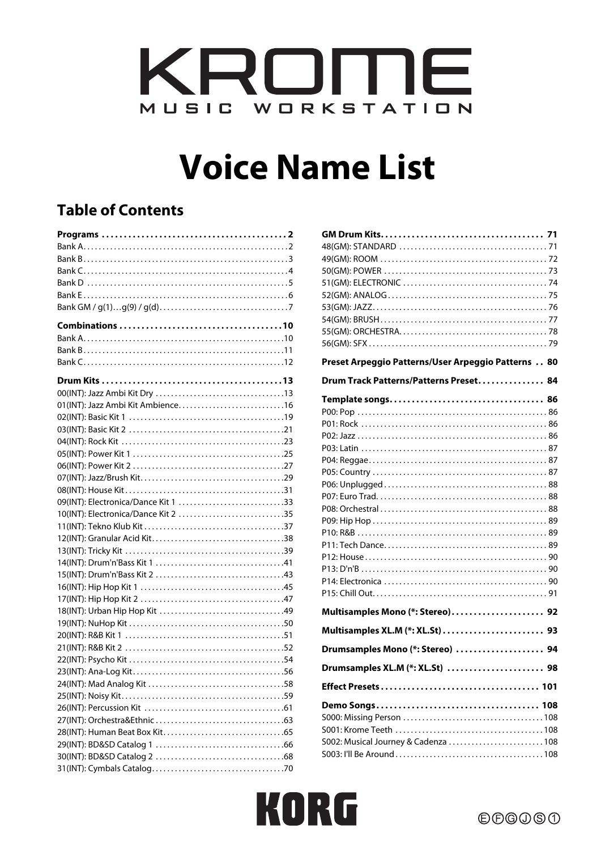

# **Voice Name List**

# **Table of Contents**

| 01(INT): Jazz Ambi Kit Ambience16   |
|-------------------------------------|
|                                     |
|                                     |
|                                     |
|                                     |
|                                     |
|                                     |
|                                     |
| 09(INT): Electronica/Dance Kit 1 33 |
| 10(INT): Electronica/Dance Kit 2 35 |
|                                     |
|                                     |
|                                     |
|                                     |
|                                     |
|                                     |
|                                     |
|                                     |
|                                     |
|                                     |
|                                     |
|                                     |
|                                     |
|                                     |
|                                     |
|                                     |
|                                     |
|                                     |
|                                     |
|                                     |
|                                     |

| Preset Arpeggio Patterns/User Arpeggio Patterns 80 |
|----------------------------------------------------|
| Drum Track Patterns/Patterns Preset 84             |
|                                                    |
| Multisamples Mono (*: Stereo) 92                   |
|                                                    |
| Drumsamples Mono (*: Stereo)  94                   |
| Drumsamples XL.M (*: XL.St)  98                    |
|                                                    |
| S002: Musical Journey & Cadenza  108               |

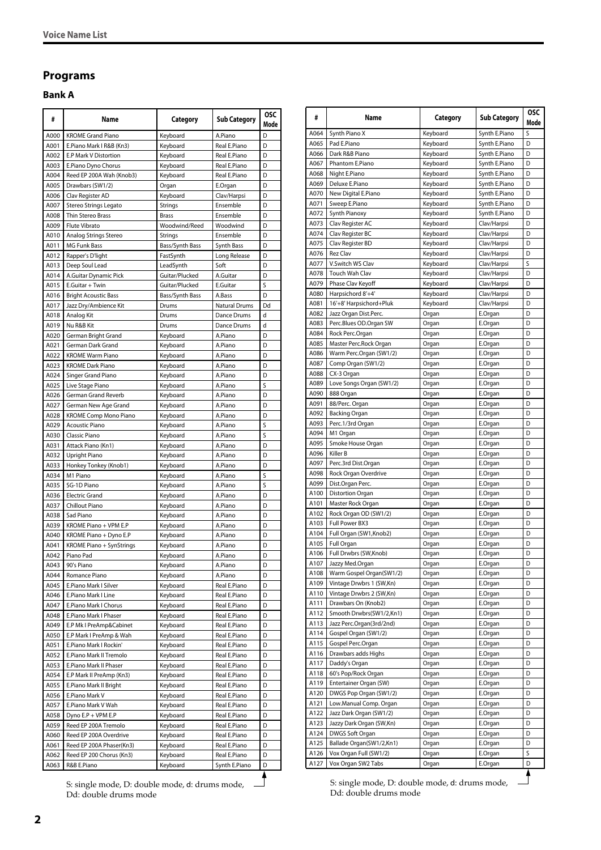# <span id="page-1-0"></span>**Programs**

# <span id="page-1-1"></span>**Bank A**

| #            | Name                                                 | Category                 | <b>Sub Category</b>  | OSC.<br>Mode |
|--------------|------------------------------------------------------|--------------------------|----------------------|--------------|
| A000         | <b>KROME Grand Piano</b>                             | Keyboard                 | A.Piano              | D            |
| A001         | E.Piano Mark I R&B (Kn3)                             | Keyboard                 | Real E.Piano         | D            |
| A002         | E.P Mark V Distortion                                | Keyboard                 | Real E.Piano         | D            |
| A003         | E.Piano Dyno Chorus                                  | Keyboard                 | Real E.Piano         | D            |
| A004         | Reed EP 200A Wah (Knob3)                             | Keyboard                 | Real E.Piano         | D            |
| A005         | Drawbars (SW1/2)                                     | Organ                    | E.Organ              | D            |
| A006         | Clav Register AD                                     | Keyboard                 | Clav/Harpsi          | D            |
| A007         | Stereo Strings Legato                                | Strings                  | Ensemble             | D            |
| A008         | Thin Stereo Brass                                    | <b>Brass</b>             | Ensemble             | D            |
| A009         | Flute Vibrato                                        | Woodwind/Reed            | Woodwind             | D            |
| A010         | Analog Strings Stereo                                | <b>Strings</b>           | Ensemble             | D            |
| A011         | <b>MG Funk Bass</b>                                  | Bass/Synth Bass          | Synth Bass           | D            |
| A012         | Rapper's D'light                                     | FastSynth                | Long Release         | D            |
| A013         | Deep Soul Lead                                       | LeadSynth                | Soft                 | D            |
| A014         | A.Guitar Dynamic Pick                                | Guitar/Plucked           | A.Guitar             | D<br>S       |
| A015<br>A016 | E.Guitar + Twin                                      | Guitar/Plucked           | E.Guitar<br>A.Bass   | D            |
| A017         | <b>Bright Acoustic Bass</b><br>Jazz Dry/Ambience Kit | Bass/Synth Bass<br>Drums | <b>Natural Drums</b> | Dd           |
| A018         | Analog Kit                                           | Drums                    | Dance Drums          | d            |
| A019         | Nu R&B Kit                                           | Drums                    | Dance Drums          | d            |
| A020         | German Bright Grand                                  | Keyboard                 | A.Piano              | D            |
| A021         | German Dark Grand                                    | Keyboard                 | A.Piano              | D            |
| A022         | <b>KROME Warm Piano</b>                              | Keyboard                 | A.Piano              | D            |
| A023         | <b>KROME Dark Piano</b>                              | Keyboard                 | A.Piano              | D            |
| A024         | Singer Grand Piano                                   | Keyboard                 | A.Piano              | D            |
| A025         | Live Stage Piano                                     | Keyboard                 | A.Piano              | S            |
| A026         | German Grand Reverb                                  | Keyboard                 | A.Piano              | D            |
| A027         | German New Age Grand                                 | Keyboard                 | A.Piano              | D            |
| A028         | <b>KROME Comp Mono Piano</b>                         | Keyboard                 | A.Piano              | D            |
| A029         | <b>Acoustic Piano</b>                                | Keyboard                 | A.Piano              | S            |
| A030         | Classic Piano                                        | Keyboard                 | A.Piano              | S            |
| A031         | Attack Piano (Kn1)                                   | Keyboard                 | A.Piano              | D            |
| A032         | Upright Piano                                        | Keyboard                 | A.Piano              | D            |
| A033         | Honkey Tonkey (Knob1)                                | Keyboard                 | A.Piano              | D            |
| A034         | M1 Piano                                             | Keyboard                 | A.Piano              | S            |
| A035         | SG-1D Piano                                          | Keyboard                 | A.Piano              | Ś            |
| A036         | <b>Electric Grand</b>                                | Keyboard                 | A.Piano              | D            |
| A037         | Chillout Piano                                       | Keyboard                 | A.Piano              | D            |
| A038         | Sad Piano                                            | Keyboard                 | A.Piano              | D            |
| A039         | KROME Piano + VPM E.P                                | Keyboard                 | A.Piano              | D            |
| A040<br>A041 | KROME Piano + Dyno E.P                               | Keyboard                 | A.Piano<br>A.Piano   | D<br>D       |
| A042         | KROME Piano + SynStrings<br>Piano Pad                | Keyboard<br>Keyboard     | A.Piano              | D            |
|              |                                                      |                          |                      |              |
| A043<br>A044 | 90's Piano<br>Romance Piano                          | Keyboard<br>Keyboard     | A.Piano<br>A.Piano   | υ<br>D       |
| A045         | E.Piano Mark I Silver                                | Keyboard                 | Real E.Piano         | D            |
| A046         | E.Piano Mark I Line                                  | Keyboard                 | Real E.Piano         | D            |
| A047         | E.Piano Mark I Chorus                                | Keyboard                 | Real E.Piano         | D            |
| A048         | E.Piano Mark I Phaser                                | Keyboard                 | Real E.Piano         | D            |
| A049         | E.P Mk I PreAmp&Cabinet                              | Keyboard                 | Real E.Piano         | D            |
| A050         | E.P Mark I PreAmp & Wah                              | Keyboard                 | Real E.Piano         | D            |
| A051         | E.Piano Mark I Rockin'                               | Keyboard                 | Real E.Piano         | D            |
| A052         | E.Piano Mark II Tremolo                              | Keyboard                 | Real E.Piano         | D            |
| A053         | E.Piano Mark II Phaser                               | Keyboard                 | Real E.Piano         | D            |
| A054         | E.P Mark II PreAmp (Kn3)                             | Keyboard                 | Real E.Piano         | D            |
| A055         | E.Piano Mark II Bright                               | Keyboard                 | Real E.Piano         | D            |
| A056         | E.Piano Mark V                                       | Keyboard                 | Real E.Piano         | D            |
| A057         | E.Piano Mark V Wah                                   | Keyboard                 | Real E.Piano         | D            |
| A058         | Dyno E.P + VPM E.P                                   | Keyboard                 | Real E.Piano         | D            |
| A059         | Reed EP 200A Tremolo                                 | Keyboard                 | Real E.Piano         | D            |
| A060         | Reed EP 200A Overdrive                               | Keyboard                 | Real E.Piano         | D            |
| A061         | Reed EP 200A Phaser(Kn3)                             | Keyboard                 | Real E.Piano         | D            |
| A062         | Reed EP 200 Chorus (Kn3)                             | Keyboard                 | Real E.Piano         | D            |
| A063         | R&B E.Piano                                          | Keyboard                 | Synth E.Piano        | D            |

S: single mode, D: double mode, d: drums mode, Dd: double drums mode

| #            | Name                                            | Category             | <b>Sub Category</b>        | <b>OSC</b><br>Mode |
|--------------|-------------------------------------------------|----------------------|----------------------------|--------------------|
| A064         | Synth Piano X                                   | Keyboard             | Synth E.Piano              | S                  |
| A065         | Pad E.Piano                                     | Keyboard             | Synth E.Piano              | D                  |
| A066         | Dark R&B Piano                                  | Keyboard             | Synth E.Piano              | D                  |
| A067         | Phantom E.Piano                                 | Keyboard             | Synth E.Piano              | D                  |
| A068         | Night E.Piano                                   | Keyboard             | Synth E.Piano              | D                  |
| A069         | Deluxe E.Piano                                  | Keyboard             | Synth E.Piano              | D                  |
| A070         | New Digital E.Piano                             | Keyboard             | Synth E.Piano              | D                  |
| A071         | Sweep E.Piano                                   | Keyboard             | Synth E.Piano              | D                  |
| A072         | Synth Pianoxy                                   | Keyboard             | Synth E.Piano              | D                  |
| A073         | Clav Register AC                                | Keyboard             | Clav/Harpsi                | D                  |
| A074         | Clav Register BC                                | Keyboard             | Clav/Harpsi                | D                  |
| A075         | Clav Register BD                                | Keyboard             | Clav/Harpsi                | D                  |
| A076         | <b>Rez Clav</b><br>V.Switch WS Clav             | Keyboard             | Clav/Harpsi                | D<br>S             |
| A077         |                                                 | Keyboard             | Clav/Harpsi                | D                  |
| A078<br>A079 | Touch Wah Clav                                  | Keyboard             | Clav/Harpsi                | D                  |
| A080         | Phase Clav Keyoff<br>Harpsichord 8'+4'          | Keyboard<br>Keyboard | Clav/Harpsi<br>Clav/Harpsi | D                  |
| A081         | 16'+8' Harpsichord+Pluk                         | Keyboard             | Clav/Harpsi                | D                  |
| A082         | Jazz Organ Dist.Perc.                           | Organ                | E.Organ                    | D                  |
| A083         | Perc.Blues OD.Organ SW                          | Organ                | E.Organ                    | D                  |
| A084         | Rock Perc.Organ                                 | Organ                | E.Organ                    | D                  |
| A085         | Master Perc.Rock Organ                          | Organ                | E.Organ                    | D                  |
| A086         | Warm Perc.Organ (SW1/2)                         | Organ                | E.Organ                    | D                  |
| A087         | Comp Organ (SW1/2)                              | Organ                | E.Organ                    | D                  |
| A088         | CX-3 Organ                                      | Organ                | E.Organ                    | D                  |
| A089         | Love Songs Organ (SW1/2)                        | Organ                | E.Organ                    | D                  |
| A090         | 888 Organ                                       | Organ                | E.Organ                    | D                  |
| A091         | 88/Perc. Organ                                  | Organ                | E.Organ                    | D                  |
| A092         | <b>Backing Organ</b>                            | Organ                | E.Organ                    | D                  |
| A093         | Perc.1/3rd Organ                                | Organ                | E.Organ                    | D                  |
| A094         | M1 Organ                                        | Organ                | E.Organ                    | D                  |
| A095         | Smoke House Organ                               | Organ                | E.Organ                    | D                  |
| A096         | Killer B                                        | Organ                | E.Organ                    | D                  |
| A097         | Perc.3rd Dist.Organ                             | Organ                | E.Organ                    | D                  |
| A098         | Rock Organ Overdrive                            | Organ                | E.Organ                    | D                  |
| A099         | Dist.Organ Perc.                                | Organ                | E.Organ                    | D                  |
| A100         | Distortion Organ                                | Organ                | E.Organ                    | D                  |
| A101         | Master Rock Organ                               | Organ                | E.Organ                    | D                  |
| A102         | Rock Organ OD (SW1/2)                           | Organ                | E.Organ                    | D                  |
| A103         | Full Power BX3                                  | Organ                | E.Organ                    | D                  |
| A104         | Full Organ (SW1, Knob2)                         | Organ                | E.Organ                    | D                  |
| A105         | Full Organ                                      | Organ                | E.Organ                    | D                  |
| A106         | Full Drwbrs (SW,Knob)                           | Organ                | E.Organ                    | D                  |
| A107         | Jazzy Med.Organ                                 | Organ                | E.Organ                    | D                  |
| A108         | Warm Gospel Organ(SW1/2)                        | Organ                | E.Organ                    | D                  |
| A109         | Vintage Drwbrs 1 (SW,Kn)                        | Organ                | E.Organ                    | D                  |
| A110         | Vintage Drwbrs 2 (SW,Kn)<br>Drawbars On (Knob2) | Organ<br>Organ       | E.Organ<br>E.Organ         | D<br>D             |
| A111<br>A112 | Smooth Drwbrs(SW1/2,Kn1)                        | Organ                | E.Organ                    | D                  |
| A113         | Jazz Perc.Organ(3rd/2nd)                        | Organ                | E.Organ                    | D                  |
| A114         | Gospel Organ (SW1/2)                            | Organ                | E.Organ                    | D                  |
| A115         | Gospel Perc.Organ                               | Organ                | E.Organ                    | D                  |
| A116         | Drawbars adds Highs                             | Organ                | E.Organ                    | D                  |
| A117         | Daddy's Organ                                   | Organ                | E.Organ                    | D                  |
| A118         | 60's Pop/Rock Organ                             | Organ                | E.Organ                    | D                  |
| A119         | Entertainer Organ (SW)                          | Organ                | E.Organ                    | D                  |
| A120         | DWGS Pop Organ (SW1/2)                          | Organ                | E.Organ                    | D                  |
| A121         | Low.Manual Comp. Organ                          | Organ                | E.Organ                    | D                  |
| A122         | Jazz Dark Organ (SW1/2)                         | Organ                | E.Organ                    | D                  |
| A123         | Jazzy Dark Organ (SW,Kn)                        | Organ                | E.Organ                    | D                  |
| A124         | DWGS Soft Organ                                 | Organ                | E.Organ                    | D                  |
| A125         | Ballade Organ(SW1/2,Kn1)                        | Organ                | E.Organ                    | D                  |
| A126         | Vox Organ Full (SW1/2)                          | Organ                | E.Organ                    | S                  |
| A127         | Vox Organ SW2 Tabs                              | Organ                | E.Organ                    | D                  |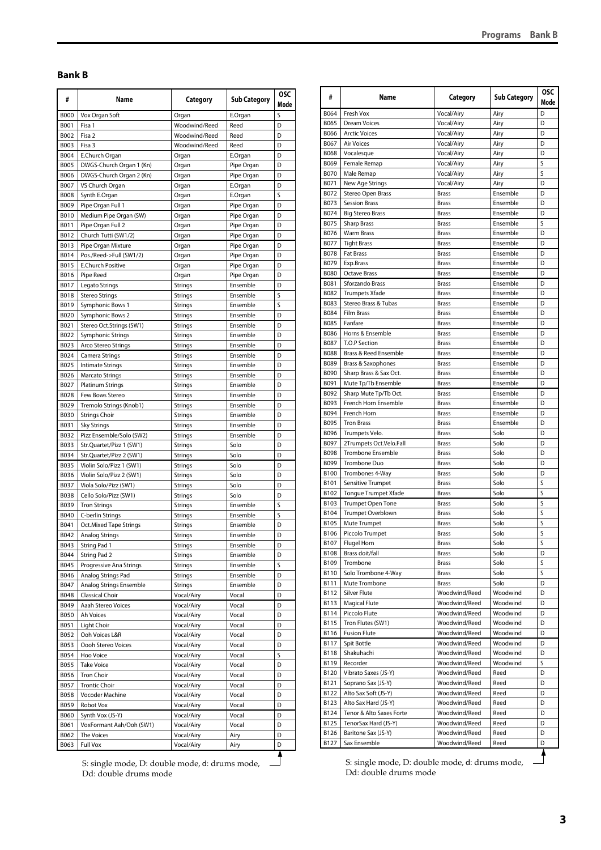#### <span id="page-2-0"></span>**Bank B**

| #            | Name                                       | Category           | <b>Sub Category</b>      | <b>OSC</b><br>Mode |
|--------------|--------------------------------------------|--------------------|--------------------------|--------------------|
| <b>B000</b>  | Vox Organ Soft                             | Organ              | E.Organ                  | S                  |
| B001         | Fisa 1                                     | Woodwind/Reed      | Reed                     | D                  |
| B002         | Fisa <sub>2</sub>                          | Woodwind/Reed      | Reed                     | D                  |
| B003         | Fisa 3                                     | Woodwind/Reed      | Reed                     | D                  |
| B004         | E.Church Organ                             | Organ              | E.Organ                  | D                  |
| <b>B005</b>  | DWGS-Church Organ 1 (Kn)                   | Organ              | Pipe Organ               | D                  |
| <b>B006</b>  | DWGS-Church Organ 2 (Kn)                   | Organ              | Pipe Organ               | D                  |
| B007         | VS Church Organ                            | Organ              | E.Organ                  | D                  |
| <b>B008</b>  | Synth E.Organ                              | Organ              | E.Organ                  | S                  |
| B009         | Pipe Organ Full 1                          | Organ              | Pipe Organ               | D                  |
| B010         | Medium Pipe Organ (SW)                     | Organ              | Pipe Organ               | D                  |
| B011<br>B012 | Pipe Organ Full 2<br>Church Tutti (SW1/2)  | Organ              | Pipe Organ               | D                  |
| B013         | Pipe Organ Mixture                         | Organ              | Pipe Organ<br>Pipe Organ | D<br>D             |
| B014         | Pos./Reed->Full (SW1/2)                    | Organ<br>Organ     | Pipe Organ               | D                  |
| B015         | <b>E.Church Positive</b>                   | Organ              | Pipe Organ               | D                  |
| B016         | Pipe Reed                                  | Organ              | Pipe Organ               | D                  |
| B017         | Legato Strings                             | Strings            | Ensemble                 | D                  |
| <b>B018</b>  | Stereo Strings                             | Strings            | Ensemble                 | S                  |
| B019         | Symphonic Bows 1                           | Strings            | Ensemble                 | S                  |
| B020         | Symphonic Bows 2                           | Strings            | Ensemble                 | D                  |
| B021         | Stereo Oct.Strings (SW1)                   | Strings            | Ensemble                 | D                  |
| B022         | Symphonic Strings                          | Strings            | Ensemble                 | D                  |
| B023         | Arco Stereo Strings                        | Strings            | Ensemble                 | D                  |
| B024         | Camera Strings                             | Strings            | Ensemble                 | D                  |
| B025         | <b>Intimate Strings</b>                    | <b>Strings</b>     | Ensemble                 | D                  |
| B026         | <b>Marcato Strings</b>                     | Strings            | Ensemble                 | D                  |
| B027         | <b>Platinum Strings</b>                    | <b>Strings</b>     | Ensemble                 | D                  |
| B028         | Few Bows Stereo                            | Strings            | Ensemble                 | D                  |
| B029         | Tremolo Strings (Knob1)                    | Strings            | Ensemble                 | D                  |
| B030         | <b>Strings Choir</b>                       | Strings            | Ensemble                 | D                  |
| B031         | <b>Sky Strings</b>                         | Strings            | Ensemble                 | D                  |
| B032         | Pizz Ensemble/Solo (SW2)                   | <b>Strings</b>     | Ensemble                 | D                  |
| B033         | Str.Quartet/Pizz 1 (SW1)                   | Strings            | Solo                     | D                  |
| B034         | Str.Quartet/Pizz 2 (SW1)                   | Strings            | Solo                     | D                  |
| B035         | Violin Solo/Pizz 1 (SW1)                   | <b>Strings</b>     | Solo                     | D                  |
| B036         | Violin Solo/Pizz 2 (SW1)                   | <b>Strings</b>     | Solo                     | D                  |
| B037         | Viola Solo/Pizz (SW1)                      | Strings            | Solo                     | D                  |
| <b>B038</b>  | Cello Solo/Pizz (SW1)                      | Strings            | Solo                     | D                  |
| B039         | <b>Tron Strings</b>                        | Strings            | Ensemble                 | S                  |
| B040         | C-berlin Strings                           | Strings            | Ensemble                 | S                  |
| B041         | Oct.Mixed Tape Strings                     | Strings            | Ensemble                 | D                  |
| B042         | <b>Analog Strings</b>                      | Strings            | Ensemble                 | D                  |
| B043         | String Pad 1                               | Strings            | Ensemble                 | D                  |
| B044         | String Pad 2                               | Strings            | Ensemble                 | D                  |
| B045         | Progressive Ana Strings                    | Strings            | Ensemble                 | S                  |
| B046<br>B047 | Analog Strings Pad                         | Strings<br>Strings | Ensemble<br>Ensemble     | D<br>D             |
| B048         | Analog Strings Ensemble<br>Classical Choir | Vocal/Airy         | Vocal                    | D                  |
| B049         | Aaah Stereo Voices                         | Vocal/Airy         | Vocal                    | D                  |
| B050         | Ah Voices                                  | Vocal/Airy         | Vocal                    | D                  |
| B051         | Light Choir                                | Vocal/Airy         | Vocal                    | D                  |
| B052         | Ooh Voices L&R                             | Vocal/Airy         | Vocal                    | D                  |
| B053         | Oooh Stereo Voices                         | Vocal/Airy         | Vocal                    | D                  |
| B054         | Hoo Voice                                  | Vocal/Airy         | Vocal                    | S                  |
| B055         | <b>Take Voice</b>                          | Vocal/Airy         | Vocal                    | D                  |
| B056         | <b>Tron Choir</b>                          | Vocal/Airy         | Vocal                    | D                  |
| B057         | <b>Trontic Choir</b>                       | Vocal/Airy         | Vocal                    | D                  |
| B058         | Vocoder Machine                            | Vocal/Airy         | Vocal                    | D                  |
| B059         | Robot Vox                                  | Vocal/Airy         | Vocal                    | D                  |
| B060         | Synth Vox (JS-Y)                           | Vocal/Airy         | Vocal                    | D                  |
| B061         | VoxFormant Aah/Ooh (SW1)                   | Vocal/Airy         | Vocal                    | D                  |
| B062         | The Voices                                 | Vocal/Airy         | Airy                     | D                  |
| B063         | Full Vox                                   | Vocal/Airy         | Airy                     | D                  |

S: single mode, D: double mode, d: drums mode, Dd: double drums mode

| #                   | Name                                             | Category                       | <b>Sub Category</b> | <b>OSC</b><br>Mode |
|---------------------|--------------------------------------------------|--------------------------------|---------------------|--------------------|
| B064                | Fresh Vox                                        | Vocal/Airy                     | Airy                | D                  |
| B065                | <b>Dream Voices</b>                              | Vocal/Airy                     | Airy                | D                  |
| B066                | <b>Arctic Voices</b>                             | Vocal/Airy                     | Airy                | D                  |
| B067                | <b>Air Voices</b>                                | Vocal/Airy                     | Airy                | D                  |
| B068                | Vocalesque                                       | Vocal/Airy                     | Airy                | D                  |
| B069                | Female Remap                                     | Vocal/Airy                     | Airy                | S                  |
| <b>B070</b>         | Male Remap                                       | Vocal/Airy                     | Airy                | S                  |
| B071<br>B072        | New Age Strings                                  | Vocal/Airy<br><b>Brass</b>     | Airy<br>Ensemble    | D<br>D             |
| B073                | Stereo Open Brass<br><b>Session Brass</b>        | <b>Brass</b>                   | Ensemble            | D                  |
| B074                | <b>Big Stereo Brass</b>                          | <b>Brass</b>                   | Ensemble            | D                  |
| B075                | <b>Sharp Brass</b>                               | <b>Brass</b>                   | Ensemble            | S                  |
| B076                | <b>Warm Brass</b>                                | <b>Brass</b>                   | Ensemble            | D                  |
| B077                | <b>Tight Brass</b>                               | <b>Brass</b>                   | Ensemble            | D                  |
| B078                | <b>Fat Brass</b>                                 | <b>Brass</b>                   | Ensemble            | D                  |
| B079                | Exp.Brass                                        | <b>Brass</b>                   | Ensemble            | D                  |
| <b>B080</b>         | <b>Octave Brass</b>                              | <b>Brass</b>                   | Ensemble            | D                  |
| B081                | Sforzando Brass                                  | <b>Brass</b>                   | Ensemble            | D                  |
| B082                | <b>Trumpets Xfade</b>                            | <b>Brass</b>                   | Ensemble            | D                  |
| B083                | Stereo Brass & Tubas                             | <b>Brass</b>                   | Ensemble            | D                  |
| B084                | <b>Film Brass</b>                                | <b>Brass</b>                   | Ensemble            | D                  |
| B085                | Fanfare                                          | <b>Brass</b>                   | Ensemble            | D                  |
| <b>B086</b>         | Horns & Ensemble                                 | <b>Brass</b>                   | Ensemble            | D                  |
| B087                | T.O.P Section                                    | <b>Brass</b>                   | Ensemble            | D                  |
| B088                | Brass & Reed Ensemble                            | <b>Brass</b>                   | Ensemble            | D                  |
| B089                | <b>Brass &amp; Saxophones</b>                    | <b>Brass</b>                   | Ensemble            | D                  |
| B090                | Sharp Brass & Sax Oct.                           | <b>Brass</b>                   | Ensemble            | D                  |
| B091                | Mute Tp/Tb Ensemble                              | <b>Brass</b>                   | Ensemble            | D                  |
| B092                | Sharp Mute Tp/Tb Oct.                            | <b>Brass</b>                   | Ensemble            | D                  |
| B093                | French Horn Ensemble                             | <b>Brass</b>                   | Ensemble            | D                  |
| B094                | French Horn                                      | <b>Brass</b>                   | Ensemble            | D                  |
| B095                | <b>Tron Brass</b>                                | <b>Brass</b>                   | Ensemble            | D                  |
| B096                | Trumpets Velo.                                   | <b>Brass</b>                   | Solo                | D                  |
| B097                | 2Trumpets Oct.Velo.Fall                          | <b>Brass</b>                   | Solo                | D                  |
| B098<br>B099        | <b>Trombone Ensemble</b><br>Trombone Duo         | <b>Brass</b><br><b>Brass</b>   | Solo<br>Solo        | D<br>D             |
|                     |                                                  | <b>Brass</b>                   | Solo                | D                  |
| <b>B100</b><br>B101 | Trombones 4-Way<br>Sensitive Trumpet             | <b>Brass</b>                   | Solo                | S                  |
| B102                | Tongue Trumpet Xfade                             | <b>Brass</b>                   | Solo                | S                  |
| B103                | <b>Trumpet Open Tone</b>                         | <b>Brass</b>                   | Solo                | S                  |
| B104                | <b>Trumpet Overblown</b>                         | <b>Brass</b>                   | Solo                | S                  |
| B105                | Mute Trumpet                                     | <b>Brass</b>                   | Solo                | S                  |
| B106                | Piccolo Trumpet                                  | <b>Brass</b>                   | Solo                | S                  |
| B107                | Flugel Horn                                      | <b>Brass</b>                   | Solo                | S                  |
| B108                | Brass doit/fall                                  | <b>Brass</b>                   | Solo                | D                  |
| B109                | Trombone                                         | Brass                          | Solo                | S                  |
| B110                | Solo Trombone 4-Way                              | Brass                          | Solo                | S                  |
| B111                | Mute Trombone                                    | Brass                          | Solo                | D                  |
| B112                | Silver Flute                                     | Woodwind/Reed                  | Woodwind            | D                  |
| B113                | Magical Flute                                    | Woodwind/Reed                  | Woodwind            | D                  |
| B114                | Piccolo Flute                                    | Woodwind/Reed                  | Woodwind            | D                  |
| B115                | Tron Flutes (SW1)                                | Woodwind/Reed                  | Woodwind            | D                  |
| B116                | <b>Fusion Flute</b>                              | Woodwind/Reed                  | Woodwind            | D                  |
| B117                | Spit Bottle                                      | Woodwind/Reed                  | Woodwind            | D                  |
| B118                | Shakuhachi                                       | Woodwind/Reed                  | Woodwind            | D                  |
| B119                | Recorder                                         | Woodwind/Reed                  | Woodwind            | S                  |
| B120                | Vibrato Saxes (JS-Y)                             | Woodwind/Reed                  | Reed                | D                  |
| B121                | Soprano Sax (JS-Y)                               | Woodwind/Reed                  | Reed                | D                  |
| B122                | Alto Sax Soft (JS-Y)                             | Woodwind/Reed                  | Reed                | D                  |
| B123<br>B124        | Alto Sax Hard (JS-Y)<br>Tenor & Alto Saxes Forte | Woodwind/Reed<br>Woodwind/Reed | Reed<br>Reed        | D<br>D             |
| B125                | TenorSax Hard (JS-Y)                             | Woodwind/Reed                  | Reed                | D                  |
| B126                | Baritone Sax (JS-Y)                              | Woodwind/Reed                  | Reed                | D                  |
| B127                | Sax Ensemble                                     | Woodwind/Reed                  | Reed                | D                  |
|                     |                                                  |                                |                     |                    |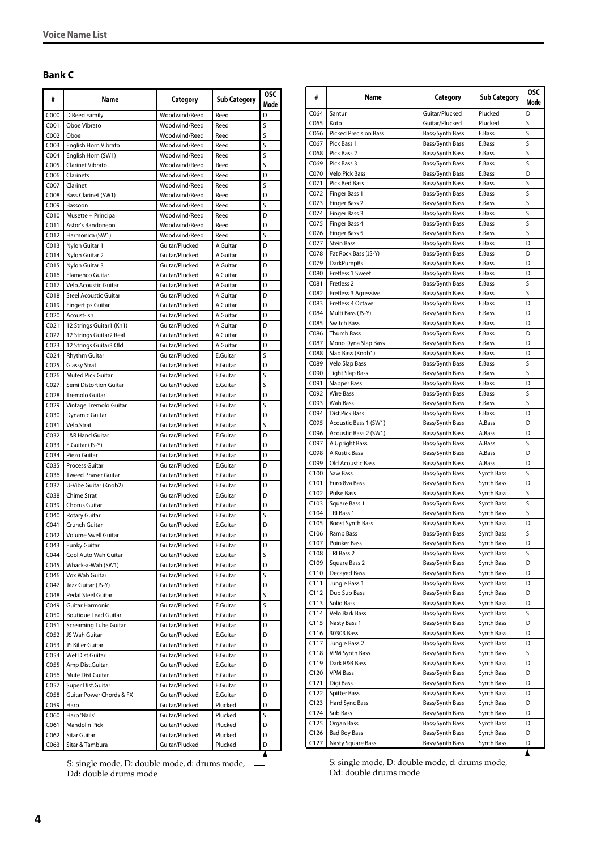# <span id="page-3-0"></span>**Bank C**

| #                        | Name                                     | Category                         | <b>Sub Category</b>  | <b>OSC</b><br>Mode |
|--------------------------|------------------------------------------|----------------------------------|----------------------|--------------------|
| C000                     | D Reed Family                            | Woodwind/Reed                    | Reed                 | D                  |
| C001                     | Oboe Vibrato                             | Woodwind/Reed                    | Reed                 | S                  |
| C <sub>002</sub>         | Oboe                                     | Woodwind/Reed                    | Reed                 | S                  |
| C003                     | English Horn Vibrato                     | Woodwind/Reed                    | Reed                 | S                  |
| C <sub>004</sub>         | English Horn (SW1)                       | Woodwind/Reed                    | Reed                 | S                  |
| C <sub>005</sub>         | <b>Clarinet Vibrato</b>                  | Woodwind/Reed                    | Reed                 | S                  |
| C006                     | Clarinets                                | Woodwind/Reed                    | Reed                 | D                  |
| C007                     | Clarinet                                 | Woodwind/Reed                    | Reed                 | S                  |
| C008<br>C009             | Bass Clarinet (SW1)<br>Bassoon           | Woodwind/Reed<br>Woodwind/Reed   | Reed<br>Reed         | D<br>S             |
| C010                     | Musette + Principal                      | Woodwind/Reed                    | Reed                 | D                  |
| C <sub>011</sub>         | Astor's Bandoneon                        | Woodwind/Reed                    | Reed                 | D                  |
| CO12                     | Harmonica (SW1)                          | Woodwind/Reed                    | Reed                 | S                  |
| CO13                     | Nylon Guitar 1                           | Guitar/Plucked                   | A.Guitar             | D                  |
| CO14                     | Nylon Guitar 2                           | Guitar/Plucked                   | A.Guitar             | D                  |
| C015                     | Nylon Guitar 3                           | Guitar/Plucked                   | A.Guitar             | D                  |
| C016                     | Flamenco Guitar                          | Guitar/Plucked                   | A.Guitar             | D                  |
| C017                     | Velo.Acoustic Guitar                     | Guitar/Plucked                   | A.Guitar             | D                  |
| CO18                     | <b>Steel Acoustic Guitar</b>             | Guitar/Plucked                   | A.Guitar             | D                  |
| C019                     | Fingertips Guitar                        | Guitar/Plucked                   | A.Guitar             | D                  |
| CO <sub>20</sub>         | Acoust-ish                               | Guitar/Plucked                   | A.Guitar             | D                  |
| C021                     | 12 Strings Guitar1 (Kn1)                 | Guitar/Plucked                   | A.Guitar             | D                  |
| CO <sub>22</sub>         | 12 Strings Guitar2 Real                  | Guitar/Plucked                   | A.Guitar             | D                  |
| C023                     | 12 Strings Guitar3 Old                   | Guitar/Plucked                   | A.Guitar             | D                  |
| CO <sub>24</sub>         | Rhythm Guitar                            | Guitar/Plucked                   | E.Guitar             | S                  |
| CO <sub>25</sub>         | <b>Glassy Strat</b>                      | Guitar/Plucked                   | <b>E.Guitar</b>      | D                  |
| C026                     | Muted Pick Guitar                        | Guitar/Plucked                   | E.Guitar             | S                  |
| CO <sub>27</sub>         | Semi Distortion Guitar                   | Guitar/Plucked                   | E.Guitar             | S                  |
| C028                     | <b>Tremolo Guitar</b>                    | Guitar/Plucked                   | E.Guitar             | D                  |
| C029                     | Vintage Tremolo Guitar                   | Guitar/Plucked                   | E.Guitar             | S                  |
| C030                     | Dynamic Guitar                           | Guitar/Plucked                   | E.Guitar             | D<br>S             |
| CO <sub>31</sub><br>C032 | Velo.Strat<br><b>L&amp;R Hand Guitar</b> | Guitar/Plucked<br>Guitar/Plucked | E.Guitar<br>E.Guitar | D                  |
| C033                     | E.Guitar (JS-Y)                          | Guitar/Plucked                   | E.Guitar             | D                  |
| C034                     | Piezo Guitar                             | Guitar/Plucked                   | E.Guitar             | D                  |
| C035                     | <b>Process Guitar</b>                    | Guitar/Plucked                   | E.Guitar             | D                  |
| C036                     | <b>Tweed Phaser Guitar</b>               | Guitar/Plucked                   | E.Guitar             | D                  |
| C037                     | U-Vibe Guitar (Knob2)                    | Guitar/Plucked                   | E.Guitar             | D                  |
| C038                     | Chime Strat                              | Guitar/Plucked                   | <b>E.Guitar</b>      | D                  |
| C039                     | Chorus Guitar                            | Guitar/Plucked                   | E.Guitar             | D                  |
| C040                     | <b>Rotary Guitar</b>                     | Guitar/Plucked                   | E.Guitar             | S                  |
| CO <sub>41</sub>         | Crunch Guitar                            | Guitar/Plucked                   | E.Guitar             | D                  |
| CO <sub>42</sub>         | <b>Volume Swell Guitar</b>               | Guitar/Plucked                   | E.Guitar             | D                  |
| C043                     | Funky Guitar                             | Guitar/Plucked                   | E.Guitar             | D                  |
| C044                     | Cool Auto Wah Guitar                     | Guitar/Plucked                   | E.Guitar             | S                  |
| C045                     | Whack-a-Wah (SW1)                        | Guitar/Plucked                   | E.Guitar             | D                  |
| C046                     | Vox Wah Guitar                           | Guitar/Plucked                   | E.Guitar             | S                  |
| C047                     | Jazz Guitar (JS-Y)                       | Guitar/Plucked                   | E.Guitar             | D                  |
| C048                     | Pedal Steel Guitar                       | Guitar/Plucked                   | E.Guitar             | S                  |
| C049                     | Guitar Harmonic                          | Guitar/Plucked                   | E.Guitar             | S                  |
| C050                     | <b>Boutique Lead Guitar</b>              | Guitar/Plucked                   | E.Guitar             | D                  |
| C051<br>C <sub>052</sub> | Screaming Tube Guitar                    | Guitar/Plucked                   | E.Guitar             | D                  |
|                          | JS Wah Guitar                            | Guitar/Plucked                   | E.Guitar             | D<br>D             |
| C053<br>C054             | JS Killer Guitar<br>Wet Dist.Guitar      | Guitar/Plucked<br>Guitar/Plucked | E.Guitar<br>E.Guitar | D                  |
| C055                     | Amp Dist.Guitar                          | Guitar/Plucked                   | E.Guitar             | D                  |
| C056                     | Mute Dist.Guitar                         | Guitar/Plucked                   | E.Guitar             | D                  |
| C057                     | Super Dist.Guitar                        | Guitar/Plucked                   | E.Guitar             | D                  |
| C058                     | Guitar Power Chords & FX                 | Guitar/Plucked                   | E.Guitar             | D                  |
| C059                     | Harp                                     | Guitar/Plucked                   | Plucked              | D                  |
| C060                     | Harp 'Nails'                             | Guitar/Plucked                   | Plucked              | S                  |
| C061                     | Mandolin Pick                            | Guitar/Plucked                   | Plucked              | D                  |
| C062                     | Sitar Guitar                             | Guitar/Plucked                   | Plucked              | D                  |
| C063                     | Sitar & Tambura                          | Guitar/Plucked                   | Plucked              | D                  |
|                          |                                          |                                  |                      |                    |

S: single mode, D: double mode, d: drums mode,  $\Box$ Dd: double drums mode

| #                | Name                              | Category                           | <b>Sub Category</b>      | <b>OSC</b><br>Mode |
|------------------|-----------------------------------|------------------------------------|--------------------------|--------------------|
| C064             | Santur                            | Guitar/Plucked                     | Plucked                  | D                  |
| C065             | Koto                              | Guitar/Plucked                     | Plucked                  | S                  |
| C066             | <b>Picked Precision Bass</b>      | Bass/Synth Bass                    | E.Bass                   | S                  |
| C067             | Pick Bass 1                       | Bass/Synth Bass                    | E.Bass                   | S                  |
| C068             | Pick Bass 2                       | Bass/Synth Bass                    | E.Bass                   | S                  |
| C069             | Pick Bass 3                       | Bass/Synth Bass                    | E.Bass                   | S                  |
| C070             | Velo.Pick Bass                    | Bass/Synth Bass                    | E.Bass                   | D                  |
| C071             | Pick Bed Bass                     | Bass/Synth Bass                    | E.Bass                   | S                  |
| C072             | Finger Bass 1                     | Bass/Synth Bass                    | E.Bass                   | S                  |
| C073             | Finger Bass 2                     | Bass/Synth Bass                    | E.Bass                   | S<br>S             |
| C074<br>C075     | Finger Bass 3<br>Finger Bass 4    | Bass/Synth Bass<br>Bass/Synth Bass | E.Bass<br>E.Bass         | S                  |
| C076             | Finger Bass 5                     | Bass/Synth Bass                    | E.Bass                   | S                  |
| C077             | Stein Bass                        | Bass/Synth Bass                    | E.Bass                   | D                  |
| C078             | Fat Rock Bass (JS-Y)              | Bass/Synth Bass                    | E.Bass                   | D                  |
| C079             | <b>DarkPumpBs</b>                 | Bass/Synth Bass                    | E.Bass                   | D                  |
| C080             | Fretless 1 Sweet                  | Bass/Synth Bass                    | E.Bass                   | D                  |
| C081             | Fretless <sub>2</sub>             | Bass/Synth Bass                    | E.Bass                   | S                  |
| C082             | Fretless 3 Agressive              | Bass/Synth Bass                    | E.Bass                   | S                  |
| C083             | Fretless 4 Octave                 | Bass/Synth Bass                    | E.Bass                   | D                  |
| C084             | Multi Bass (JS-Y)                 | Bass/Synth Bass                    | E.Bass                   | D                  |
| C085             | <b>Switch Bass</b>                | Bass/Synth Bass                    | E.Bass                   | D                  |
| C086             | Thumb Bass                        | Bass/Synth Bass                    | E.Bass                   | D                  |
| C087             | Mono Dyna Slap Bass               | Bass/Synth Bass                    | E.Bass                   | D                  |
| C088             | Slap Bass (Knob1)                 | Bass/Synth Bass                    | E.Bass                   | D                  |
| C089             | Velo.Slap Bass                    | Bass/Synth Bass                    | E.Bass                   | S                  |
| C090             | <b>Tight Slap Bass</b>            | Bass/Synth Bass                    | E.Bass                   | S                  |
| C091             | <b>Slapper Bass</b>               | Bass/Synth Bass                    | E.Bass                   | D                  |
| C092             | <b>Wire Bass</b>                  | Bass/Synth Bass                    | E.Bass                   | S                  |
| C093             | Wah Bass                          | Bass/Synth Bass                    | E.Bass                   | S                  |
| C094             | Dist.Pick Bass                    | Bass/Synth Bass                    | E.Bass                   | D                  |
| C095             | Acoustic Bass 1 (SW1)             | Bass/Synth Bass                    | A.Bass                   | D                  |
| C096             | Acoustic Bass 2 (SW1)             | Bass/Synth Bass                    | A.Bass                   | D                  |
| C097             | A.Upright Bass                    | Bass/Synth Bass                    | A.Bass                   | S                  |
| C098             | A'Kustik Bass                     | Bass/Synth Bass                    | A.Bass                   | D<br>D             |
| C099<br>C100     | Old Acoustic Bass                 | Bass/Synth Bass                    | A.Bass                   | S                  |
| C101             | Saw Bass<br>Euro 8va Bass         | Bass/Synth Bass<br>Bass/Synth Bass | Synth Bass<br>Synth Bass | D                  |
| C102             | Pulse Bass                        | Bass/Synth Bass                    | Synth Bass               | S                  |
| C103             | Square Bass 1                     | Bass/Synth Bass                    | Synth Bass               | S                  |
| C104             | TRI Bass 1                        | Bass/Synth Bass                    | Synth Bass               | S                  |
| C105             | Boost Synth Bass                  | Bass/Synth Bass                    | Synth Bass               | D                  |
| C106             | Ramp Bass                         | Bass/Synth Bass                    | Synth Bass               | S                  |
| C <sub>107</sub> | Poinker Bass                      | Bass/Synth Bass                    | Synth Bass               | D                  |
| C108             | TRI Bass 2                        | Bass/Synth Bass                    | Synth Bass               | S                  |
| C109             | Square Bass 2                     | Bass/Synth Bass                    | Synth Bass               | D                  |
| C110             | Decayed Bass                      | Bass/Synth Bass                    | Synth Bass               | D                  |
| C111             | Jungle Bass 1                     | Bass/Synth Bass                    | Synth Bass               | D                  |
| C112             | Dub Sub Bass                      | Bass/Synth Bass                    | Synth Bass               | D                  |
| C113             | Solid Bass                        | Bass/Synth Bass                    | Synth Bass               | D                  |
| C114             | Velo.Bark Bass                    | Bass/Synth Bass                    | Synth Bass               | S                  |
| C115             | Nasty Bass 1                      | Bass/Synth Bass                    | Synth Bass               | D                  |
| C116             | 30303 Bass                        | Bass/Synth Bass                    | Synth Bass               | D                  |
| C <sub>117</sub> | Jungle Bass 2                     | Bass/Synth Bass                    | Synth Bass               | D                  |
| C118             | <b>VPM Synth Bass</b>             | Bass/Synth Bass                    | Synth Bass               | S                  |
| C119             | Dark R&B Bass                     | Bass/Synth Bass                    | Synth Bass               | D                  |
| C120             | VPM Bass                          | Bass/Synth Bass                    | Synth Bass               | D                  |
| C121             | Digi Bass                         | Bass/Synth Bass                    | Synth Bass               | D                  |
| C122             | <b>Spitter Bass</b>               | Bass/Synth Bass                    | Synth Bass               | D                  |
| C123             | Hard Sync Bass                    | Bass/Synth Bass                    | Synth Bass               | D                  |
| C124             | Sub Bass                          | Bass/Synth Bass                    | Synth Bass               | D<br>D             |
| C125<br>C126     | Organ Bass<br><b>Bad Boy Bass</b> | Bass/Synth Bass<br>Bass/Synth Bass | Synth Bass<br>Synth Bass | D                  |
| C127             | Nasty Square Bass                 | Bass/Synth Bass                    | Synth Bass               | D                  |
|                  |                                   |                                    |                          |                    |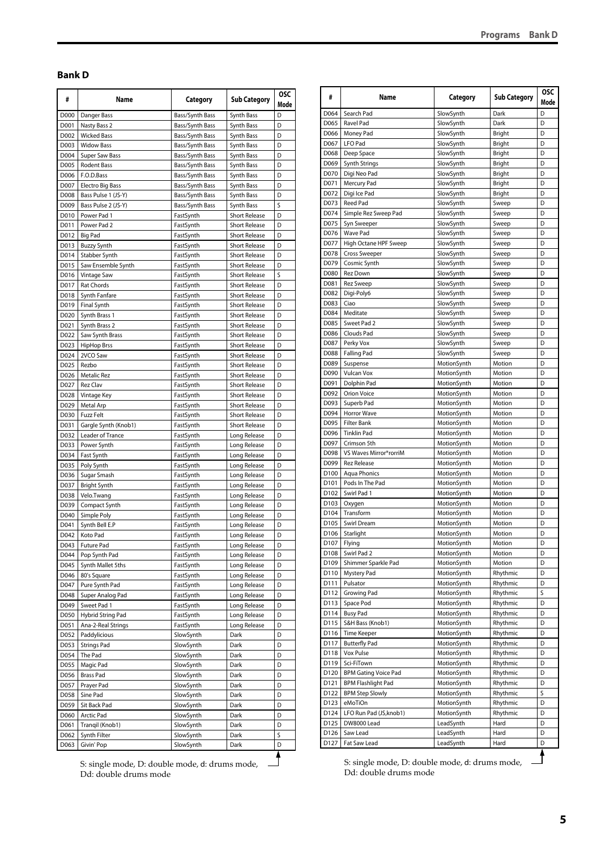#### <span id="page-4-0"></span>**Bank D**

| D000<br>Danger Bass<br>D<br>Bass/Synth Bass<br>Synth Bass<br>Nasty Bass 2<br>D<br>D001<br>Bass/Synth Bass<br>Synth Bass<br>D002<br>D<br><b>Wicked Bass</b><br>Bass/Synth Bass<br>Synth Bass<br>D003<br><b>Widow Bass</b><br>Bass/Synth Bass<br>Synth Bass<br>D<br>D004<br>Super Saw Bass<br>Bass/Synth Bass<br>Synth Bass<br>D<br>D005<br>D<br>Rodent Bass<br>Bass/Synth Bass<br>Synth Bass<br>D006<br>F.O.D.Bass<br>Synth Bass<br>D<br>Bass/Synth Bass<br>D007<br><b>Electro Big Bass</b><br>Bass/Synth Bass<br>Synth Bass<br>D<br>D008<br>Bass Pulse 1 (JS-Y)<br>Synth Bass<br>D<br>Bass/Synth Bass<br>S<br>D009<br>Bass Pulse 2 (JS-Y)<br>Bass/Synth Bass<br>Synth Bass<br>D010<br>Power Pad 1<br><b>Short Release</b><br>D<br>FastSynth<br>D011<br>Power Pad 2<br><b>Short Release</b><br>D<br>FastSynth<br>D012<br><b>Big Pad</b><br><b>Short Release</b><br>D<br>FastSynth<br><b>Short Release</b><br>D013<br><b>Buzzy Synth</b><br>D<br>FastSynth<br>D014<br>Stabber Synth<br><b>Short Release</b><br>D<br>FastSynth<br>Saw Ensemble Synth<br><b>Short Release</b><br>D015<br>D<br>FastSynth<br>D016<br>Vintage Saw<br><b>Short Release</b><br>S<br>FastSynth<br>D017<br><b>Rat Chords</b><br><b>Short Release</b><br>D<br>FastSynth<br>D018<br>Synth Fanfare<br><b>Short Release</b><br>D<br>FastSynth<br>D019<br><b>Short Release</b><br>D<br><b>Final Synth</b><br>FastSynth<br><b>Short Release</b><br>D<br>D020<br>Synth Brass 1<br>FastSynth<br><b>Short Release</b><br>D021<br>Synth Brass 2<br>D<br>FastSynth<br>D022<br><b>Short Release</b><br>D<br>Saw Synth Brass<br>FastSynth<br>D023<br><b>Short Release</b><br>D<br><b>HipHop Brss</b><br>FastSynth<br>D024<br>2VCO Saw<br><b>Short Release</b><br>D<br>FastSynth<br>D025<br><b>Short Release</b><br>D<br>Rezbo<br>FastSynth<br>D026<br><b>Metalic Rez</b><br><b>Short Release</b><br>D<br>FastSynth<br>D027<br><b>Rez Clav</b><br><b>Short Release</b><br>D<br>FastSynth<br>D028<br><b>Short Release</b><br>D<br>Vintage Key<br>FastSynth<br>D029<br><b>Short Release</b><br>Metal Arp<br>FastSynth<br>D<br>D030<br><b>Fuzz Felt</b><br><b>Short Release</b><br>D<br>FastSynth<br>D031<br>Gargle Synth (Knob1)<br><b>Short Release</b><br>D<br>FastSynth<br>D032<br>Leader of Trance<br>Long Release<br>D<br>FastSynth<br>D033<br>Power Synth<br>D<br>FastSynth<br>Long Release<br>D034<br>Fast Synth<br>D<br>FastSynth<br>Long Release<br>D<br>D035<br>Long Release<br>Poly Synth<br>FastSynth<br>D036<br>Sugar Smash<br>D<br>FastSynth<br>Long Release<br>D<br>D037<br>Bright Synth<br>FastSynth<br>Long Release<br>D<br>D038<br>Long Release<br>Velo.Twang<br>FastSynth<br>D039<br>D<br>Compact Synth<br>FastSynth<br>Long Release<br>D040<br>D<br>Simple Poly<br>FastSynth<br>Long Release<br>D041<br>Synth Bell E.P<br>D<br>FastSynth<br>Long Release<br>D042<br>Koto Pad<br>D<br>Long Release<br>FastSynth<br>D043<br><b>Future Pad</b><br>FastSynth<br>Long Release<br>D<br>Pop Synth Pad<br>D044<br>FastSynth<br>Long Release<br>D<br>Synth Mallet 5ths<br>FastSynth<br>Long Release<br>D045<br>D<br>Long Release<br>80's Square<br>FastSynth<br>D<br>D046<br>Pure Synth Pad<br>Long Release<br>D047<br>FastSynth<br>D<br>D048<br>Super Analog Pad<br>FastSynth<br>Long Release<br>D<br>Sweet Pad 1<br>FastSynth<br>Long Release<br>D<br>D049<br>Hybrid String Pad<br>FastSynth<br>Long Release<br>D050<br>D<br>Ana-2-Real Strings<br>FastSynth<br>Long Release<br>D051<br>D<br>Paddylicious<br>D052<br>SlowSynth<br>Dark<br>D<br>D053<br><b>Strings Pad</b><br>SlowSynth<br>Dark<br>D<br>The Pad<br>D054<br>SlowSynth<br>D<br>Dark<br>SlowSynth<br>D055<br>Magic Pad<br>Dark<br>D<br>D056<br><b>Brass Pad</b><br>SlowSynth<br>Dark<br>D<br>SlowSynth<br>D057<br>Prayer Pad<br>Dark<br>D<br>Sine Pad<br>SlowSynth<br>D058<br>Dark<br>D<br>D059<br>Sit Back Pad<br>SlowSynth<br>D<br>Dark<br>Arctic Pad<br>SlowSynth<br>D060<br>Dark<br>D<br>SlowSynth<br>D061<br>Tranqil (Knob1)<br>D<br>Dark<br>S<br>Synth Filter<br>SlowSynth<br>D062<br>Dark<br>Givin' Pop<br>SlowSynth<br>D<br>D063<br>Dark | # | Name | Category | Sub Category | <b>OSC</b><br>Mode |
|--------------------------------------------------------------------------------------------------------------------------------------------------------------------------------------------------------------------------------------------------------------------------------------------------------------------------------------------------------------------------------------------------------------------------------------------------------------------------------------------------------------------------------------------------------------------------------------------------------------------------------------------------------------------------------------------------------------------------------------------------------------------------------------------------------------------------------------------------------------------------------------------------------------------------------------------------------------------------------------------------------------------------------------------------------------------------------------------------------------------------------------------------------------------------------------------------------------------------------------------------------------------------------------------------------------------------------------------------------------------------------------------------------------------------------------------------------------------------------------------------------------------------------------------------------------------------------------------------------------------------------------------------------------------------------------------------------------------------------------------------------------------------------------------------------------------------------------------------------------------------------------------------------------------------------------------------------------------------------------------------------------------------------------------------------------------------------------------------------------------------------------------------------------------------------------------------------------------------------------------------------------------------------------------------------------------------------------------------------------------------------------------------------------------------------------------------------------------------------------------------------------------------------------------------------------------------------------------------------------------------------------------------------------------------------------------------------------------------------------------------------------------------------------------------------------------------------------------------------------------------------------------------------------------------------------------------------------------------------------------------------------------------------------------------------------------------------------------------------------------------------------------------------------------------------------------------------------------------------------------------------------------------------------------------------------------------------------------------------------------------------------------------------------------------------------------------------------------------------------------------------------------------------------------------------------------------------------------------------------------------------------------------------------------------------------------------------------------------------------------------------------------------------------------------------------------------------------------------------------------------------------------------------------------------------------------------------------------------------------------------------------------------------------------------------------------------------|---|------|----------|--------------|--------------------|
|                                                                                                                                                                                                                                                                                                                                                                                                                                                                                                                                                                                                                                                                                                                                                                                                                                                                                                                                                                                                                                                                                                                                                                                                                                                                                                                                                                                                                                                                                                                                                                                                                                                                                                                                                                                                                                                                                                                                                                                                                                                                                                                                                                                                                                                                                                                                                                                                                                                                                                                                                                                                                                                                                                                                                                                                                                                                                                                                                                                                                                                                                                                                                                                                                                                                                                                                                                                                                                                                                                                                                                                                                                                                                                                                                                                                                                                                                                                                                                                                                                                                                |   |      |          |              |                    |
|                                                                                                                                                                                                                                                                                                                                                                                                                                                                                                                                                                                                                                                                                                                                                                                                                                                                                                                                                                                                                                                                                                                                                                                                                                                                                                                                                                                                                                                                                                                                                                                                                                                                                                                                                                                                                                                                                                                                                                                                                                                                                                                                                                                                                                                                                                                                                                                                                                                                                                                                                                                                                                                                                                                                                                                                                                                                                                                                                                                                                                                                                                                                                                                                                                                                                                                                                                                                                                                                                                                                                                                                                                                                                                                                                                                                                                                                                                                                                                                                                                                                                |   |      |          |              |                    |
|                                                                                                                                                                                                                                                                                                                                                                                                                                                                                                                                                                                                                                                                                                                                                                                                                                                                                                                                                                                                                                                                                                                                                                                                                                                                                                                                                                                                                                                                                                                                                                                                                                                                                                                                                                                                                                                                                                                                                                                                                                                                                                                                                                                                                                                                                                                                                                                                                                                                                                                                                                                                                                                                                                                                                                                                                                                                                                                                                                                                                                                                                                                                                                                                                                                                                                                                                                                                                                                                                                                                                                                                                                                                                                                                                                                                                                                                                                                                                                                                                                                                                |   |      |          |              |                    |
|                                                                                                                                                                                                                                                                                                                                                                                                                                                                                                                                                                                                                                                                                                                                                                                                                                                                                                                                                                                                                                                                                                                                                                                                                                                                                                                                                                                                                                                                                                                                                                                                                                                                                                                                                                                                                                                                                                                                                                                                                                                                                                                                                                                                                                                                                                                                                                                                                                                                                                                                                                                                                                                                                                                                                                                                                                                                                                                                                                                                                                                                                                                                                                                                                                                                                                                                                                                                                                                                                                                                                                                                                                                                                                                                                                                                                                                                                                                                                                                                                                                                                |   |      |          |              |                    |
|                                                                                                                                                                                                                                                                                                                                                                                                                                                                                                                                                                                                                                                                                                                                                                                                                                                                                                                                                                                                                                                                                                                                                                                                                                                                                                                                                                                                                                                                                                                                                                                                                                                                                                                                                                                                                                                                                                                                                                                                                                                                                                                                                                                                                                                                                                                                                                                                                                                                                                                                                                                                                                                                                                                                                                                                                                                                                                                                                                                                                                                                                                                                                                                                                                                                                                                                                                                                                                                                                                                                                                                                                                                                                                                                                                                                                                                                                                                                                                                                                                                                                |   |      |          |              |                    |
|                                                                                                                                                                                                                                                                                                                                                                                                                                                                                                                                                                                                                                                                                                                                                                                                                                                                                                                                                                                                                                                                                                                                                                                                                                                                                                                                                                                                                                                                                                                                                                                                                                                                                                                                                                                                                                                                                                                                                                                                                                                                                                                                                                                                                                                                                                                                                                                                                                                                                                                                                                                                                                                                                                                                                                                                                                                                                                                                                                                                                                                                                                                                                                                                                                                                                                                                                                                                                                                                                                                                                                                                                                                                                                                                                                                                                                                                                                                                                                                                                                                                                |   |      |          |              |                    |
|                                                                                                                                                                                                                                                                                                                                                                                                                                                                                                                                                                                                                                                                                                                                                                                                                                                                                                                                                                                                                                                                                                                                                                                                                                                                                                                                                                                                                                                                                                                                                                                                                                                                                                                                                                                                                                                                                                                                                                                                                                                                                                                                                                                                                                                                                                                                                                                                                                                                                                                                                                                                                                                                                                                                                                                                                                                                                                                                                                                                                                                                                                                                                                                                                                                                                                                                                                                                                                                                                                                                                                                                                                                                                                                                                                                                                                                                                                                                                                                                                                                                                |   |      |          |              |                    |
|                                                                                                                                                                                                                                                                                                                                                                                                                                                                                                                                                                                                                                                                                                                                                                                                                                                                                                                                                                                                                                                                                                                                                                                                                                                                                                                                                                                                                                                                                                                                                                                                                                                                                                                                                                                                                                                                                                                                                                                                                                                                                                                                                                                                                                                                                                                                                                                                                                                                                                                                                                                                                                                                                                                                                                                                                                                                                                                                                                                                                                                                                                                                                                                                                                                                                                                                                                                                                                                                                                                                                                                                                                                                                                                                                                                                                                                                                                                                                                                                                                                                                |   |      |          |              |                    |
|                                                                                                                                                                                                                                                                                                                                                                                                                                                                                                                                                                                                                                                                                                                                                                                                                                                                                                                                                                                                                                                                                                                                                                                                                                                                                                                                                                                                                                                                                                                                                                                                                                                                                                                                                                                                                                                                                                                                                                                                                                                                                                                                                                                                                                                                                                                                                                                                                                                                                                                                                                                                                                                                                                                                                                                                                                                                                                                                                                                                                                                                                                                                                                                                                                                                                                                                                                                                                                                                                                                                                                                                                                                                                                                                                                                                                                                                                                                                                                                                                                                                                |   |      |          |              |                    |
|                                                                                                                                                                                                                                                                                                                                                                                                                                                                                                                                                                                                                                                                                                                                                                                                                                                                                                                                                                                                                                                                                                                                                                                                                                                                                                                                                                                                                                                                                                                                                                                                                                                                                                                                                                                                                                                                                                                                                                                                                                                                                                                                                                                                                                                                                                                                                                                                                                                                                                                                                                                                                                                                                                                                                                                                                                                                                                                                                                                                                                                                                                                                                                                                                                                                                                                                                                                                                                                                                                                                                                                                                                                                                                                                                                                                                                                                                                                                                                                                                                                                                |   |      |          |              |                    |
|                                                                                                                                                                                                                                                                                                                                                                                                                                                                                                                                                                                                                                                                                                                                                                                                                                                                                                                                                                                                                                                                                                                                                                                                                                                                                                                                                                                                                                                                                                                                                                                                                                                                                                                                                                                                                                                                                                                                                                                                                                                                                                                                                                                                                                                                                                                                                                                                                                                                                                                                                                                                                                                                                                                                                                                                                                                                                                                                                                                                                                                                                                                                                                                                                                                                                                                                                                                                                                                                                                                                                                                                                                                                                                                                                                                                                                                                                                                                                                                                                                                                                |   |      |          |              |                    |
|                                                                                                                                                                                                                                                                                                                                                                                                                                                                                                                                                                                                                                                                                                                                                                                                                                                                                                                                                                                                                                                                                                                                                                                                                                                                                                                                                                                                                                                                                                                                                                                                                                                                                                                                                                                                                                                                                                                                                                                                                                                                                                                                                                                                                                                                                                                                                                                                                                                                                                                                                                                                                                                                                                                                                                                                                                                                                                                                                                                                                                                                                                                                                                                                                                                                                                                                                                                                                                                                                                                                                                                                                                                                                                                                                                                                                                                                                                                                                                                                                                                                                |   |      |          |              |                    |
|                                                                                                                                                                                                                                                                                                                                                                                                                                                                                                                                                                                                                                                                                                                                                                                                                                                                                                                                                                                                                                                                                                                                                                                                                                                                                                                                                                                                                                                                                                                                                                                                                                                                                                                                                                                                                                                                                                                                                                                                                                                                                                                                                                                                                                                                                                                                                                                                                                                                                                                                                                                                                                                                                                                                                                                                                                                                                                                                                                                                                                                                                                                                                                                                                                                                                                                                                                                                                                                                                                                                                                                                                                                                                                                                                                                                                                                                                                                                                                                                                                                                                |   |      |          |              |                    |
|                                                                                                                                                                                                                                                                                                                                                                                                                                                                                                                                                                                                                                                                                                                                                                                                                                                                                                                                                                                                                                                                                                                                                                                                                                                                                                                                                                                                                                                                                                                                                                                                                                                                                                                                                                                                                                                                                                                                                                                                                                                                                                                                                                                                                                                                                                                                                                                                                                                                                                                                                                                                                                                                                                                                                                                                                                                                                                                                                                                                                                                                                                                                                                                                                                                                                                                                                                                                                                                                                                                                                                                                                                                                                                                                                                                                                                                                                                                                                                                                                                                                                |   |      |          |              |                    |
|                                                                                                                                                                                                                                                                                                                                                                                                                                                                                                                                                                                                                                                                                                                                                                                                                                                                                                                                                                                                                                                                                                                                                                                                                                                                                                                                                                                                                                                                                                                                                                                                                                                                                                                                                                                                                                                                                                                                                                                                                                                                                                                                                                                                                                                                                                                                                                                                                                                                                                                                                                                                                                                                                                                                                                                                                                                                                                                                                                                                                                                                                                                                                                                                                                                                                                                                                                                                                                                                                                                                                                                                                                                                                                                                                                                                                                                                                                                                                                                                                                                                                |   |      |          |              |                    |
|                                                                                                                                                                                                                                                                                                                                                                                                                                                                                                                                                                                                                                                                                                                                                                                                                                                                                                                                                                                                                                                                                                                                                                                                                                                                                                                                                                                                                                                                                                                                                                                                                                                                                                                                                                                                                                                                                                                                                                                                                                                                                                                                                                                                                                                                                                                                                                                                                                                                                                                                                                                                                                                                                                                                                                                                                                                                                                                                                                                                                                                                                                                                                                                                                                                                                                                                                                                                                                                                                                                                                                                                                                                                                                                                                                                                                                                                                                                                                                                                                                                                                |   |      |          |              |                    |
|                                                                                                                                                                                                                                                                                                                                                                                                                                                                                                                                                                                                                                                                                                                                                                                                                                                                                                                                                                                                                                                                                                                                                                                                                                                                                                                                                                                                                                                                                                                                                                                                                                                                                                                                                                                                                                                                                                                                                                                                                                                                                                                                                                                                                                                                                                                                                                                                                                                                                                                                                                                                                                                                                                                                                                                                                                                                                                                                                                                                                                                                                                                                                                                                                                                                                                                                                                                                                                                                                                                                                                                                                                                                                                                                                                                                                                                                                                                                                                                                                                                                                |   |      |          |              |                    |
|                                                                                                                                                                                                                                                                                                                                                                                                                                                                                                                                                                                                                                                                                                                                                                                                                                                                                                                                                                                                                                                                                                                                                                                                                                                                                                                                                                                                                                                                                                                                                                                                                                                                                                                                                                                                                                                                                                                                                                                                                                                                                                                                                                                                                                                                                                                                                                                                                                                                                                                                                                                                                                                                                                                                                                                                                                                                                                                                                                                                                                                                                                                                                                                                                                                                                                                                                                                                                                                                                                                                                                                                                                                                                                                                                                                                                                                                                                                                                                                                                                                                                |   |      |          |              |                    |
|                                                                                                                                                                                                                                                                                                                                                                                                                                                                                                                                                                                                                                                                                                                                                                                                                                                                                                                                                                                                                                                                                                                                                                                                                                                                                                                                                                                                                                                                                                                                                                                                                                                                                                                                                                                                                                                                                                                                                                                                                                                                                                                                                                                                                                                                                                                                                                                                                                                                                                                                                                                                                                                                                                                                                                                                                                                                                                                                                                                                                                                                                                                                                                                                                                                                                                                                                                                                                                                                                                                                                                                                                                                                                                                                                                                                                                                                                                                                                                                                                                                                                |   |      |          |              |                    |
|                                                                                                                                                                                                                                                                                                                                                                                                                                                                                                                                                                                                                                                                                                                                                                                                                                                                                                                                                                                                                                                                                                                                                                                                                                                                                                                                                                                                                                                                                                                                                                                                                                                                                                                                                                                                                                                                                                                                                                                                                                                                                                                                                                                                                                                                                                                                                                                                                                                                                                                                                                                                                                                                                                                                                                                                                                                                                                                                                                                                                                                                                                                                                                                                                                                                                                                                                                                                                                                                                                                                                                                                                                                                                                                                                                                                                                                                                                                                                                                                                                                                                |   |      |          |              |                    |
|                                                                                                                                                                                                                                                                                                                                                                                                                                                                                                                                                                                                                                                                                                                                                                                                                                                                                                                                                                                                                                                                                                                                                                                                                                                                                                                                                                                                                                                                                                                                                                                                                                                                                                                                                                                                                                                                                                                                                                                                                                                                                                                                                                                                                                                                                                                                                                                                                                                                                                                                                                                                                                                                                                                                                                                                                                                                                                                                                                                                                                                                                                                                                                                                                                                                                                                                                                                                                                                                                                                                                                                                                                                                                                                                                                                                                                                                                                                                                                                                                                                                                |   |      |          |              |                    |
|                                                                                                                                                                                                                                                                                                                                                                                                                                                                                                                                                                                                                                                                                                                                                                                                                                                                                                                                                                                                                                                                                                                                                                                                                                                                                                                                                                                                                                                                                                                                                                                                                                                                                                                                                                                                                                                                                                                                                                                                                                                                                                                                                                                                                                                                                                                                                                                                                                                                                                                                                                                                                                                                                                                                                                                                                                                                                                                                                                                                                                                                                                                                                                                                                                                                                                                                                                                                                                                                                                                                                                                                                                                                                                                                                                                                                                                                                                                                                                                                                                                                                |   |      |          |              |                    |
|                                                                                                                                                                                                                                                                                                                                                                                                                                                                                                                                                                                                                                                                                                                                                                                                                                                                                                                                                                                                                                                                                                                                                                                                                                                                                                                                                                                                                                                                                                                                                                                                                                                                                                                                                                                                                                                                                                                                                                                                                                                                                                                                                                                                                                                                                                                                                                                                                                                                                                                                                                                                                                                                                                                                                                                                                                                                                                                                                                                                                                                                                                                                                                                                                                                                                                                                                                                                                                                                                                                                                                                                                                                                                                                                                                                                                                                                                                                                                                                                                                                                                |   |      |          |              |                    |
|                                                                                                                                                                                                                                                                                                                                                                                                                                                                                                                                                                                                                                                                                                                                                                                                                                                                                                                                                                                                                                                                                                                                                                                                                                                                                                                                                                                                                                                                                                                                                                                                                                                                                                                                                                                                                                                                                                                                                                                                                                                                                                                                                                                                                                                                                                                                                                                                                                                                                                                                                                                                                                                                                                                                                                                                                                                                                                                                                                                                                                                                                                                                                                                                                                                                                                                                                                                                                                                                                                                                                                                                                                                                                                                                                                                                                                                                                                                                                                                                                                                                                |   |      |          |              |                    |
|                                                                                                                                                                                                                                                                                                                                                                                                                                                                                                                                                                                                                                                                                                                                                                                                                                                                                                                                                                                                                                                                                                                                                                                                                                                                                                                                                                                                                                                                                                                                                                                                                                                                                                                                                                                                                                                                                                                                                                                                                                                                                                                                                                                                                                                                                                                                                                                                                                                                                                                                                                                                                                                                                                                                                                                                                                                                                                                                                                                                                                                                                                                                                                                                                                                                                                                                                                                                                                                                                                                                                                                                                                                                                                                                                                                                                                                                                                                                                                                                                                                                                |   |      |          |              |                    |
|                                                                                                                                                                                                                                                                                                                                                                                                                                                                                                                                                                                                                                                                                                                                                                                                                                                                                                                                                                                                                                                                                                                                                                                                                                                                                                                                                                                                                                                                                                                                                                                                                                                                                                                                                                                                                                                                                                                                                                                                                                                                                                                                                                                                                                                                                                                                                                                                                                                                                                                                                                                                                                                                                                                                                                                                                                                                                                                                                                                                                                                                                                                                                                                                                                                                                                                                                                                                                                                                                                                                                                                                                                                                                                                                                                                                                                                                                                                                                                                                                                                                                |   |      |          |              |                    |
|                                                                                                                                                                                                                                                                                                                                                                                                                                                                                                                                                                                                                                                                                                                                                                                                                                                                                                                                                                                                                                                                                                                                                                                                                                                                                                                                                                                                                                                                                                                                                                                                                                                                                                                                                                                                                                                                                                                                                                                                                                                                                                                                                                                                                                                                                                                                                                                                                                                                                                                                                                                                                                                                                                                                                                                                                                                                                                                                                                                                                                                                                                                                                                                                                                                                                                                                                                                                                                                                                                                                                                                                                                                                                                                                                                                                                                                                                                                                                                                                                                                                                |   |      |          |              |                    |
|                                                                                                                                                                                                                                                                                                                                                                                                                                                                                                                                                                                                                                                                                                                                                                                                                                                                                                                                                                                                                                                                                                                                                                                                                                                                                                                                                                                                                                                                                                                                                                                                                                                                                                                                                                                                                                                                                                                                                                                                                                                                                                                                                                                                                                                                                                                                                                                                                                                                                                                                                                                                                                                                                                                                                                                                                                                                                                                                                                                                                                                                                                                                                                                                                                                                                                                                                                                                                                                                                                                                                                                                                                                                                                                                                                                                                                                                                                                                                                                                                                                                                |   |      |          |              |                    |
|                                                                                                                                                                                                                                                                                                                                                                                                                                                                                                                                                                                                                                                                                                                                                                                                                                                                                                                                                                                                                                                                                                                                                                                                                                                                                                                                                                                                                                                                                                                                                                                                                                                                                                                                                                                                                                                                                                                                                                                                                                                                                                                                                                                                                                                                                                                                                                                                                                                                                                                                                                                                                                                                                                                                                                                                                                                                                                                                                                                                                                                                                                                                                                                                                                                                                                                                                                                                                                                                                                                                                                                                                                                                                                                                                                                                                                                                                                                                                                                                                                                                                |   |      |          |              |                    |
|                                                                                                                                                                                                                                                                                                                                                                                                                                                                                                                                                                                                                                                                                                                                                                                                                                                                                                                                                                                                                                                                                                                                                                                                                                                                                                                                                                                                                                                                                                                                                                                                                                                                                                                                                                                                                                                                                                                                                                                                                                                                                                                                                                                                                                                                                                                                                                                                                                                                                                                                                                                                                                                                                                                                                                                                                                                                                                                                                                                                                                                                                                                                                                                                                                                                                                                                                                                                                                                                                                                                                                                                                                                                                                                                                                                                                                                                                                                                                                                                                                                                                |   |      |          |              |                    |
|                                                                                                                                                                                                                                                                                                                                                                                                                                                                                                                                                                                                                                                                                                                                                                                                                                                                                                                                                                                                                                                                                                                                                                                                                                                                                                                                                                                                                                                                                                                                                                                                                                                                                                                                                                                                                                                                                                                                                                                                                                                                                                                                                                                                                                                                                                                                                                                                                                                                                                                                                                                                                                                                                                                                                                                                                                                                                                                                                                                                                                                                                                                                                                                                                                                                                                                                                                                                                                                                                                                                                                                                                                                                                                                                                                                                                                                                                                                                                                                                                                                                                |   |      |          |              |                    |
|                                                                                                                                                                                                                                                                                                                                                                                                                                                                                                                                                                                                                                                                                                                                                                                                                                                                                                                                                                                                                                                                                                                                                                                                                                                                                                                                                                                                                                                                                                                                                                                                                                                                                                                                                                                                                                                                                                                                                                                                                                                                                                                                                                                                                                                                                                                                                                                                                                                                                                                                                                                                                                                                                                                                                                                                                                                                                                                                                                                                                                                                                                                                                                                                                                                                                                                                                                                                                                                                                                                                                                                                                                                                                                                                                                                                                                                                                                                                                                                                                                                                                |   |      |          |              |                    |
|                                                                                                                                                                                                                                                                                                                                                                                                                                                                                                                                                                                                                                                                                                                                                                                                                                                                                                                                                                                                                                                                                                                                                                                                                                                                                                                                                                                                                                                                                                                                                                                                                                                                                                                                                                                                                                                                                                                                                                                                                                                                                                                                                                                                                                                                                                                                                                                                                                                                                                                                                                                                                                                                                                                                                                                                                                                                                                                                                                                                                                                                                                                                                                                                                                                                                                                                                                                                                                                                                                                                                                                                                                                                                                                                                                                                                                                                                                                                                                                                                                                                                |   |      |          |              |                    |
|                                                                                                                                                                                                                                                                                                                                                                                                                                                                                                                                                                                                                                                                                                                                                                                                                                                                                                                                                                                                                                                                                                                                                                                                                                                                                                                                                                                                                                                                                                                                                                                                                                                                                                                                                                                                                                                                                                                                                                                                                                                                                                                                                                                                                                                                                                                                                                                                                                                                                                                                                                                                                                                                                                                                                                                                                                                                                                                                                                                                                                                                                                                                                                                                                                                                                                                                                                                                                                                                                                                                                                                                                                                                                                                                                                                                                                                                                                                                                                                                                                                                                |   |      |          |              |                    |
|                                                                                                                                                                                                                                                                                                                                                                                                                                                                                                                                                                                                                                                                                                                                                                                                                                                                                                                                                                                                                                                                                                                                                                                                                                                                                                                                                                                                                                                                                                                                                                                                                                                                                                                                                                                                                                                                                                                                                                                                                                                                                                                                                                                                                                                                                                                                                                                                                                                                                                                                                                                                                                                                                                                                                                                                                                                                                                                                                                                                                                                                                                                                                                                                                                                                                                                                                                                                                                                                                                                                                                                                                                                                                                                                                                                                                                                                                                                                                                                                                                                                                |   |      |          |              |                    |
|                                                                                                                                                                                                                                                                                                                                                                                                                                                                                                                                                                                                                                                                                                                                                                                                                                                                                                                                                                                                                                                                                                                                                                                                                                                                                                                                                                                                                                                                                                                                                                                                                                                                                                                                                                                                                                                                                                                                                                                                                                                                                                                                                                                                                                                                                                                                                                                                                                                                                                                                                                                                                                                                                                                                                                                                                                                                                                                                                                                                                                                                                                                                                                                                                                                                                                                                                                                                                                                                                                                                                                                                                                                                                                                                                                                                                                                                                                                                                                                                                                                                                |   |      |          |              |                    |
|                                                                                                                                                                                                                                                                                                                                                                                                                                                                                                                                                                                                                                                                                                                                                                                                                                                                                                                                                                                                                                                                                                                                                                                                                                                                                                                                                                                                                                                                                                                                                                                                                                                                                                                                                                                                                                                                                                                                                                                                                                                                                                                                                                                                                                                                                                                                                                                                                                                                                                                                                                                                                                                                                                                                                                                                                                                                                                                                                                                                                                                                                                                                                                                                                                                                                                                                                                                                                                                                                                                                                                                                                                                                                                                                                                                                                                                                                                                                                                                                                                                                                |   |      |          |              |                    |
|                                                                                                                                                                                                                                                                                                                                                                                                                                                                                                                                                                                                                                                                                                                                                                                                                                                                                                                                                                                                                                                                                                                                                                                                                                                                                                                                                                                                                                                                                                                                                                                                                                                                                                                                                                                                                                                                                                                                                                                                                                                                                                                                                                                                                                                                                                                                                                                                                                                                                                                                                                                                                                                                                                                                                                                                                                                                                                                                                                                                                                                                                                                                                                                                                                                                                                                                                                                                                                                                                                                                                                                                                                                                                                                                                                                                                                                                                                                                                                                                                                                                                |   |      |          |              |                    |
|                                                                                                                                                                                                                                                                                                                                                                                                                                                                                                                                                                                                                                                                                                                                                                                                                                                                                                                                                                                                                                                                                                                                                                                                                                                                                                                                                                                                                                                                                                                                                                                                                                                                                                                                                                                                                                                                                                                                                                                                                                                                                                                                                                                                                                                                                                                                                                                                                                                                                                                                                                                                                                                                                                                                                                                                                                                                                                                                                                                                                                                                                                                                                                                                                                                                                                                                                                                                                                                                                                                                                                                                                                                                                                                                                                                                                                                                                                                                                                                                                                                                                |   |      |          |              |                    |
|                                                                                                                                                                                                                                                                                                                                                                                                                                                                                                                                                                                                                                                                                                                                                                                                                                                                                                                                                                                                                                                                                                                                                                                                                                                                                                                                                                                                                                                                                                                                                                                                                                                                                                                                                                                                                                                                                                                                                                                                                                                                                                                                                                                                                                                                                                                                                                                                                                                                                                                                                                                                                                                                                                                                                                                                                                                                                                                                                                                                                                                                                                                                                                                                                                                                                                                                                                                                                                                                                                                                                                                                                                                                                                                                                                                                                                                                                                                                                                                                                                                                                |   |      |          |              |                    |
|                                                                                                                                                                                                                                                                                                                                                                                                                                                                                                                                                                                                                                                                                                                                                                                                                                                                                                                                                                                                                                                                                                                                                                                                                                                                                                                                                                                                                                                                                                                                                                                                                                                                                                                                                                                                                                                                                                                                                                                                                                                                                                                                                                                                                                                                                                                                                                                                                                                                                                                                                                                                                                                                                                                                                                                                                                                                                                                                                                                                                                                                                                                                                                                                                                                                                                                                                                                                                                                                                                                                                                                                                                                                                                                                                                                                                                                                                                                                                                                                                                                                                |   |      |          |              |                    |
|                                                                                                                                                                                                                                                                                                                                                                                                                                                                                                                                                                                                                                                                                                                                                                                                                                                                                                                                                                                                                                                                                                                                                                                                                                                                                                                                                                                                                                                                                                                                                                                                                                                                                                                                                                                                                                                                                                                                                                                                                                                                                                                                                                                                                                                                                                                                                                                                                                                                                                                                                                                                                                                                                                                                                                                                                                                                                                                                                                                                                                                                                                                                                                                                                                                                                                                                                                                                                                                                                                                                                                                                                                                                                                                                                                                                                                                                                                                                                                                                                                                                                |   |      |          |              |                    |
|                                                                                                                                                                                                                                                                                                                                                                                                                                                                                                                                                                                                                                                                                                                                                                                                                                                                                                                                                                                                                                                                                                                                                                                                                                                                                                                                                                                                                                                                                                                                                                                                                                                                                                                                                                                                                                                                                                                                                                                                                                                                                                                                                                                                                                                                                                                                                                                                                                                                                                                                                                                                                                                                                                                                                                                                                                                                                                                                                                                                                                                                                                                                                                                                                                                                                                                                                                                                                                                                                                                                                                                                                                                                                                                                                                                                                                                                                                                                                                                                                                                                                |   |      |          |              |                    |
|                                                                                                                                                                                                                                                                                                                                                                                                                                                                                                                                                                                                                                                                                                                                                                                                                                                                                                                                                                                                                                                                                                                                                                                                                                                                                                                                                                                                                                                                                                                                                                                                                                                                                                                                                                                                                                                                                                                                                                                                                                                                                                                                                                                                                                                                                                                                                                                                                                                                                                                                                                                                                                                                                                                                                                                                                                                                                                                                                                                                                                                                                                                                                                                                                                                                                                                                                                                                                                                                                                                                                                                                                                                                                                                                                                                                                                                                                                                                                                                                                                                                                |   |      |          |              |                    |
|                                                                                                                                                                                                                                                                                                                                                                                                                                                                                                                                                                                                                                                                                                                                                                                                                                                                                                                                                                                                                                                                                                                                                                                                                                                                                                                                                                                                                                                                                                                                                                                                                                                                                                                                                                                                                                                                                                                                                                                                                                                                                                                                                                                                                                                                                                                                                                                                                                                                                                                                                                                                                                                                                                                                                                                                                                                                                                                                                                                                                                                                                                                                                                                                                                                                                                                                                                                                                                                                                                                                                                                                                                                                                                                                                                                                                                                                                                                                                                                                                                                                                |   |      |          |              |                    |
|                                                                                                                                                                                                                                                                                                                                                                                                                                                                                                                                                                                                                                                                                                                                                                                                                                                                                                                                                                                                                                                                                                                                                                                                                                                                                                                                                                                                                                                                                                                                                                                                                                                                                                                                                                                                                                                                                                                                                                                                                                                                                                                                                                                                                                                                                                                                                                                                                                                                                                                                                                                                                                                                                                                                                                                                                                                                                                                                                                                                                                                                                                                                                                                                                                                                                                                                                                                                                                                                                                                                                                                                                                                                                                                                                                                                                                                                                                                                                                                                                                                                                |   |      |          |              |                    |
|                                                                                                                                                                                                                                                                                                                                                                                                                                                                                                                                                                                                                                                                                                                                                                                                                                                                                                                                                                                                                                                                                                                                                                                                                                                                                                                                                                                                                                                                                                                                                                                                                                                                                                                                                                                                                                                                                                                                                                                                                                                                                                                                                                                                                                                                                                                                                                                                                                                                                                                                                                                                                                                                                                                                                                                                                                                                                                                                                                                                                                                                                                                                                                                                                                                                                                                                                                                                                                                                                                                                                                                                                                                                                                                                                                                                                                                                                                                                                                                                                                                                                |   |      |          |              |                    |
|                                                                                                                                                                                                                                                                                                                                                                                                                                                                                                                                                                                                                                                                                                                                                                                                                                                                                                                                                                                                                                                                                                                                                                                                                                                                                                                                                                                                                                                                                                                                                                                                                                                                                                                                                                                                                                                                                                                                                                                                                                                                                                                                                                                                                                                                                                                                                                                                                                                                                                                                                                                                                                                                                                                                                                                                                                                                                                                                                                                                                                                                                                                                                                                                                                                                                                                                                                                                                                                                                                                                                                                                                                                                                                                                                                                                                                                                                                                                                                                                                                                                                |   |      |          |              |                    |
|                                                                                                                                                                                                                                                                                                                                                                                                                                                                                                                                                                                                                                                                                                                                                                                                                                                                                                                                                                                                                                                                                                                                                                                                                                                                                                                                                                                                                                                                                                                                                                                                                                                                                                                                                                                                                                                                                                                                                                                                                                                                                                                                                                                                                                                                                                                                                                                                                                                                                                                                                                                                                                                                                                                                                                                                                                                                                                                                                                                                                                                                                                                                                                                                                                                                                                                                                                                                                                                                                                                                                                                                                                                                                                                                                                                                                                                                                                                                                                                                                                                                                |   |      |          |              |                    |
|                                                                                                                                                                                                                                                                                                                                                                                                                                                                                                                                                                                                                                                                                                                                                                                                                                                                                                                                                                                                                                                                                                                                                                                                                                                                                                                                                                                                                                                                                                                                                                                                                                                                                                                                                                                                                                                                                                                                                                                                                                                                                                                                                                                                                                                                                                                                                                                                                                                                                                                                                                                                                                                                                                                                                                                                                                                                                                                                                                                                                                                                                                                                                                                                                                                                                                                                                                                                                                                                                                                                                                                                                                                                                                                                                                                                                                                                                                                                                                                                                                                                                |   |      |          |              |                    |
|                                                                                                                                                                                                                                                                                                                                                                                                                                                                                                                                                                                                                                                                                                                                                                                                                                                                                                                                                                                                                                                                                                                                                                                                                                                                                                                                                                                                                                                                                                                                                                                                                                                                                                                                                                                                                                                                                                                                                                                                                                                                                                                                                                                                                                                                                                                                                                                                                                                                                                                                                                                                                                                                                                                                                                                                                                                                                                                                                                                                                                                                                                                                                                                                                                                                                                                                                                                                                                                                                                                                                                                                                                                                                                                                                                                                                                                                                                                                                                                                                                                                                |   |      |          |              |                    |
|                                                                                                                                                                                                                                                                                                                                                                                                                                                                                                                                                                                                                                                                                                                                                                                                                                                                                                                                                                                                                                                                                                                                                                                                                                                                                                                                                                                                                                                                                                                                                                                                                                                                                                                                                                                                                                                                                                                                                                                                                                                                                                                                                                                                                                                                                                                                                                                                                                                                                                                                                                                                                                                                                                                                                                                                                                                                                                                                                                                                                                                                                                                                                                                                                                                                                                                                                                                                                                                                                                                                                                                                                                                                                                                                                                                                                                                                                                                                                                                                                                                                                |   |      |          |              |                    |
|                                                                                                                                                                                                                                                                                                                                                                                                                                                                                                                                                                                                                                                                                                                                                                                                                                                                                                                                                                                                                                                                                                                                                                                                                                                                                                                                                                                                                                                                                                                                                                                                                                                                                                                                                                                                                                                                                                                                                                                                                                                                                                                                                                                                                                                                                                                                                                                                                                                                                                                                                                                                                                                                                                                                                                                                                                                                                                                                                                                                                                                                                                                                                                                                                                                                                                                                                                                                                                                                                                                                                                                                                                                                                                                                                                                                                                                                                                                                                                                                                                                                                |   |      |          |              |                    |
|                                                                                                                                                                                                                                                                                                                                                                                                                                                                                                                                                                                                                                                                                                                                                                                                                                                                                                                                                                                                                                                                                                                                                                                                                                                                                                                                                                                                                                                                                                                                                                                                                                                                                                                                                                                                                                                                                                                                                                                                                                                                                                                                                                                                                                                                                                                                                                                                                                                                                                                                                                                                                                                                                                                                                                                                                                                                                                                                                                                                                                                                                                                                                                                                                                                                                                                                                                                                                                                                                                                                                                                                                                                                                                                                                                                                                                                                                                                                                                                                                                                                                |   |      |          |              |                    |
|                                                                                                                                                                                                                                                                                                                                                                                                                                                                                                                                                                                                                                                                                                                                                                                                                                                                                                                                                                                                                                                                                                                                                                                                                                                                                                                                                                                                                                                                                                                                                                                                                                                                                                                                                                                                                                                                                                                                                                                                                                                                                                                                                                                                                                                                                                                                                                                                                                                                                                                                                                                                                                                                                                                                                                                                                                                                                                                                                                                                                                                                                                                                                                                                                                                                                                                                                                                                                                                                                                                                                                                                                                                                                                                                                                                                                                                                                                                                                                                                                                                                                |   |      |          |              |                    |
|                                                                                                                                                                                                                                                                                                                                                                                                                                                                                                                                                                                                                                                                                                                                                                                                                                                                                                                                                                                                                                                                                                                                                                                                                                                                                                                                                                                                                                                                                                                                                                                                                                                                                                                                                                                                                                                                                                                                                                                                                                                                                                                                                                                                                                                                                                                                                                                                                                                                                                                                                                                                                                                                                                                                                                                                                                                                                                                                                                                                                                                                                                                                                                                                                                                                                                                                                                                                                                                                                                                                                                                                                                                                                                                                                                                                                                                                                                                                                                                                                                                                                |   |      |          |              |                    |
|                                                                                                                                                                                                                                                                                                                                                                                                                                                                                                                                                                                                                                                                                                                                                                                                                                                                                                                                                                                                                                                                                                                                                                                                                                                                                                                                                                                                                                                                                                                                                                                                                                                                                                                                                                                                                                                                                                                                                                                                                                                                                                                                                                                                                                                                                                                                                                                                                                                                                                                                                                                                                                                                                                                                                                                                                                                                                                                                                                                                                                                                                                                                                                                                                                                                                                                                                                                                                                                                                                                                                                                                                                                                                                                                                                                                                                                                                                                                                                                                                                                                                |   |      |          |              |                    |
|                                                                                                                                                                                                                                                                                                                                                                                                                                                                                                                                                                                                                                                                                                                                                                                                                                                                                                                                                                                                                                                                                                                                                                                                                                                                                                                                                                                                                                                                                                                                                                                                                                                                                                                                                                                                                                                                                                                                                                                                                                                                                                                                                                                                                                                                                                                                                                                                                                                                                                                                                                                                                                                                                                                                                                                                                                                                                                                                                                                                                                                                                                                                                                                                                                                                                                                                                                                                                                                                                                                                                                                                                                                                                                                                                                                                                                                                                                                                                                                                                                                                                |   |      |          |              |                    |
|                                                                                                                                                                                                                                                                                                                                                                                                                                                                                                                                                                                                                                                                                                                                                                                                                                                                                                                                                                                                                                                                                                                                                                                                                                                                                                                                                                                                                                                                                                                                                                                                                                                                                                                                                                                                                                                                                                                                                                                                                                                                                                                                                                                                                                                                                                                                                                                                                                                                                                                                                                                                                                                                                                                                                                                                                                                                                                                                                                                                                                                                                                                                                                                                                                                                                                                                                                                                                                                                                                                                                                                                                                                                                                                                                                                                                                                                                                                                                                                                                                                                                |   |      |          |              |                    |
|                                                                                                                                                                                                                                                                                                                                                                                                                                                                                                                                                                                                                                                                                                                                                                                                                                                                                                                                                                                                                                                                                                                                                                                                                                                                                                                                                                                                                                                                                                                                                                                                                                                                                                                                                                                                                                                                                                                                                                                                                                                                                                                                                                                                                                                                                                                                                                                                                                                                                                                                                                                                                                                                                                                                                                                                                                                                                                                                                                                                                                                                                                                                                                                                                                                                                                                                                                                                                                                                                                                                                                                                                                                                                                                                                                                                                                                                                                                                                                                                                                                                                |   |      |          |              |                    |
|                                                                                                                                                                                                                                                                                                                                                                                                                                                                                                                                                                                                                                                                                                                                                                                                                                                                                                                                                                                                                                                                                                                                                                                                                                                                                                                                                                                                                                                                                                                                                                                                                                                                                                                                                                                                                                                                                                                                                                                                                                                                                                                                                                                                                                                                                                                                                                                                                                                                                                                                                                                                                                                                                                                                                                                                                                                                                                                                                                                                                                                                                                                                                                                                                                                                                                                                                                                                                                                                                                                                                                                                                                                                                                                                                                                                                                                                                                                                                                                                                                                                                |   |      |          |              |                    |
|                                                                                                                                                                                                                                                                                                                                                                                                                                                                                                                                                                                                                                                                                                                                                                                                                                                                                                                                                                                                                                                                                                                                                                                                                                                                                                                                                                                                                                                                                                                                                                                                                                                                                                                                                                                                                                                                                                                                                                                                                                                                                                                                                                                                                                                                                                                                                                                                                                                                                                                                                                                                                                                                                                                                                                                                                                                                                                                                                                                                                                                                                                                                                                                                                                                                                                                                                                                                                                                                                                                                                                                                                                                                                                                                                                                                                                                                                                                                                                                                                                                                                |   |      |          |              |                    |
|                                                                                                                                                                                                                                                                                                                                                                                                                                                                                                                                                                                                                                                                                                                                                                                                                                                                                                                                                                                                                                                                                                                                                                                                                                                                                                                                                                                                                                                                                                                                                                                                                                                                                                                                                                                                                                                                                                                                                                                                                                                                                                                                                                                                                                                                                                                                                                                                                                                                                                                                                                                                                                                                                                                                                                                                                                                                                                                                                                                                                                                                                                                                                                                                                                                                                                                                                                                                                                                                                                                                                                                                                                                                                                                                                                                                                                                                                                                                                                                                                                                                                |   |      |          |              |                    |
|                                                                                                                                                                                                                                                                                                                                                                                                                                                                                                                                                                                                                                                                                                                                                                                                                                                                                                                                                                                                                                                                                                                                                                                                                                                                                                                                                                                                                                                                                                                                                                                                                                                                                                                                                                                                                                                                                                                                                                                                                                                                                                                                                                                                                                                                                                                                                                                                                                                                                                                                                                                                                                                                                                                                                                                                                                                                                                                                                                                                                                                                                                                                                                                                                                                                                                                                                                                                                                                                                                                                                                                                                                                                                                                                                                                                                                                                                                                                                                                                                                                                                |   |      |          |              |                    |

| S: single mode, D: double mode, d: drums mode, | - |
|------------------------------------------------|---|
| Dd: double drums mode                          |   |

| #                | Name                              | Category                   | <b>Sub Category</b>  | OSC.<br>Mode |
|------------------|-----------------------------------|----------------------------|----------------------|--------------|
| D064             | Search Pad                        | SlowSynth                  | Dark                 | D            |
| D065             | Ravel Pad                         | SlowSynth                  | Dark                 | D            |
| D066             | Money Pad                         | SlowSynth                  | <b>Bright</b>        | D            |
| D067             | <b>LFO Pad</b>                    | SlowSynth                  | <b>Bright</b>        | D            |
| D068             | Deep Space                        | SlowSynth                  | Bright               | D            |
| D069             | <b>Synth Strings</b>              | SlowSynth                  | Bright               | D            |
| D070             | Digi Neo Pad                      | SlowSynth                  | Bright               | D            |
| D071<br>D072     | Mercury Pad                       | SlowSynth                  | Bright               | D<br>D       |
| D073             | Digi Ice Pad<br><b>Reed Pad</b>   | SlowSynth<br>SlowSynth     | Bright               | D            |
| D074             | Simple Rez Sweep Pad              | SlowSynth                  | Sweep<br>Sweep       | D            |
| D075             | Syn Sweeper                       | SlowSynth                  | Sweep                | D            |
| D076             | Wave Pad                          | SlowSynth                  | Sweep                | D            |
| D077             | High Octane HPF Sweep             | SlowSynth                  | Sweep                | D            |
| D078             | <b>Cross Sweeper</b>              | SlowSynth                  | Sweep                | D            |
| D079             | Cosmic Synth                      | SlowSynth                  | Sweep                | D            |
| D080             | Rez Down                          | SlowSynth                  | Sweep                | D            |
| D081             | <b>Rez Sweep</b>                  | SlowSynth                  | Sweep                | D            |
| D082             | Digi-Poly6                        | SlowSynth                  | Sweep                | D            |
| D083             | Ciao                              | SlowSynth                  | Sweep                | D            |
| D084             | Meditate                          | SlowSynth                  | Sweep                | D            |
| D085             | Sweet Pad 2                       | SlowSynth                  | Sweep                | D            |
| D086             | Clouds Pad                        | SlowSynth                  | Sweep                | D            |
| D087             | Perky Vox                         | SlowSynth                  | Sweep                | D            |
| D088             | <b>Falling Pad</b>                | SlowSynth                  | Sweep                | D            |
| D089             | Suspense                          | MotionSynth                | Motion               | D            |
| D090             | <b>Vulcan Vox</b>                 | MotionSynth                | Motion               | D            |
| D091<br>D092     | Dolphin Pad<br><b>Orion Voice</b> | MotionSynth                | Motion               | D<br>D       |
| D093             | Superb Pad                        | MotionSynth                | Motion<br>Motion     | D            |
| D094             | Horror Wave                       | MotionSynth<br>MotionSynth | Motion               | D            |
| D095             | <b>Filter Bank</b>                | MotionSynth                | Motion               | D            |
| D096             | <b>Tinklin Pad</b>                | MotionSynth                | Motion               | D            |
| D097             | Crimson 5th                       | MotionSynth                | Motion               | D            |
| D098             | VS Waves Mirror*rorriM            | MotionSynth                | Motion               | D            |
| D099             | <b>Rez Release</b>                | MotionSynth                | Motion               | D            |
| D100             | <b>Agua Phonics</b>               | MotionSynth                | Motion               | D            |
| D <sub>101</sub> | Pods In The Pad                   | MotionSynth                | Motion               | D            |
| D102             | Swirl Pad 1                       | MotionSynth                | Motion               | D            |
| D103             | Oxygen                            | MotionSynth                | Motion               | D            |
| D104             | Transform                         | MotionSynth                | Motion               | D            |
| D105             | Swirl Dream                       | MotionSynth                | Motion               | D            |
| D106             | Starlight                         | MotionSynth                | Motion               | D            |
| D107             | Flying                            | MotionSynth                | Motion               | D            |
| D108             | Swirl Pad 2                       | MotionSynth                | Motion               | D            |
| D109             | Shimmer Sparkle Pad               | MotionSynth                | Motion               | D            |
| D110             | Mystery Pad                       | MotionSynth                | Rhythmic             | D            |
| D111<br>D112     | Pulsator<br>Growing Pad           | MotionSynth<br>MotionSynth | Rhythmic<br>Rhythmic | D<br>S       |
| D113             | Space Pod                         | MotionSynth                | Rhythmic             | D            |
| D114             | Busy Pad                          | MotionSynth                | Rhythmic             | D            |
| D115             | S&H Bass (Knob1)                  | MotionSynth                | Rhythmic             | D            |
| D116             | Time Keeper                       | MotionSynth                | Rhythmic             | D            |
| D117             | <b>Butterfly Pad</b>              | MotionSynth                | Rhythmic             | D            |
| D118             | Vox Pulse                         | MotionSynth                | Rhythmic             | D            |
| D119             | Sci-FiTown                        | MotionSynth                | Rhythmic             | D            |
| D120             | <b>BPM Gating Voice Pad</b>       | MotionSynth                | Rhythmic             | D            |
| D121             | <b>BPM Flashlight Pad</b>         | MotionSynth                | Rhythmic             | D            |
| D122             | <b>BPM Step Slowly</b>            | MotionSynth                | Rhythmic             | S            |
| D123             | eMoTiOn                           | MotionSynth                | Rhythmic             | D            |
| D124             | LFO Run Pad (JS, knob1)           | MotionSynth                | Rhythmic             | D            |
| D125             | DW8000 Lead                       | LeadSynth                  | Hard                 | D            |
| D126             | Saw Lead                          | LeadSynth                  | Hard                 | D            |
| D127             | Fat Saw Lead                      | LeadSynth                  | Hard                 | D            |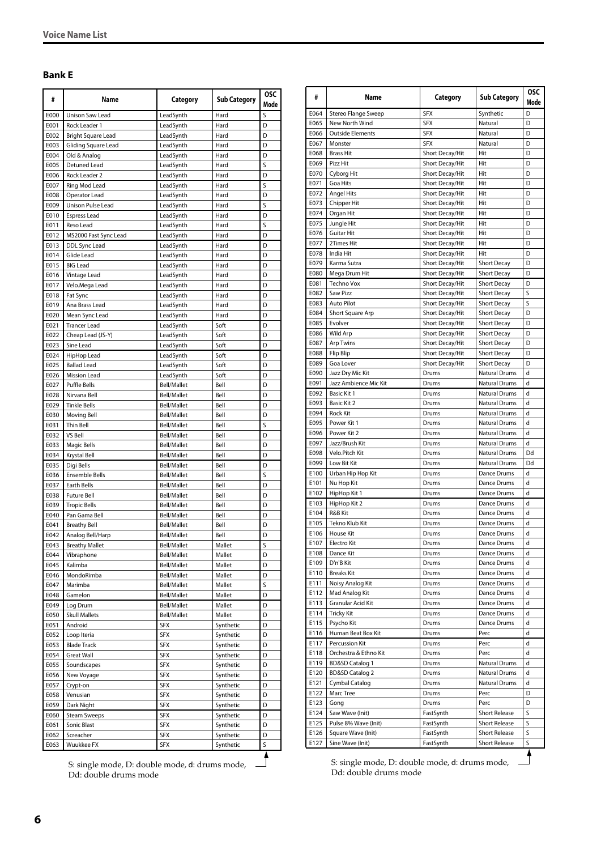#### <span id="page-5-0"></span>**Bank E**

| #            | Name                                     | Category                   | <b>Sub Category</b>    | <b>OSC</b><br>Mode |
|--------------|------------------------------------------|----------------------------|------------------------|--------------------|
| E000         | <b>Unison Saw Lead</b>                   | LeadSynth                  | Hard                   | S                  |
| E001         | Rock Leader 1                            | LeadSynth                  | Hard                   | D                  |
| E002         | <b>Bright Square Lead</b>                | LeadSynth                  | Hard                   | D                  |
| E003         | Gliding Square Lead                      | LeadSvnth                  | Hard                   | D                  |
| E004         | Old & Analog                             | LeadSynth                  | Hard                   | D                  |
| E005         | Detuned Lead                             | LeadSynth                  | Hard                   | S                  |
| E006         | Rock Leader 2                            | LeadSynth                  | Hard                   | D                  |
| E007         | Ring Mod Lead                            | LeadSynth                  | Hard                   | S                  |
| E008         | Operator Lead                            | LeadSynth                  | Hard                   | D                  |
| E009<br>E010 | Unison Pulse Lead<br><b>Espress Lead</b> | LeadSynth<br>LeadSynth     | Hard<br>Hard           | S<br>D             |
| E011         | Reso Lead                                | LeadSynth                  | Hard                   | S                  |
| E012         | MS2000 Fast Sync Lead                    | LeadSynth                  | Hard                   | D                  |
| E013         | DDL Sync Lead                            | LeadSynth                  | Hard                   | D                  |
| E014         | Glide Lead                               | LeadSynth                  | Hard                   | D                  |
| E015         | <b>BIG Lead</b>                          | LeadSynth                  | Hard                   | D                  |
| E016         | Vintage Lead                             | LeadSynth                  | Hard                   | D                  |
| E017         | Velo.Mega Lead                           | LeadSynth                  | Hard                   | D                  |
| E018         | Fat Sync                                 | LeadSynth                  | Hard                   | D                  |
| E019         | Ana Brass Lead                           | LeadSynth                  | Hard                   | D                  |
| E020         | Mean Sync Lead                           | LeadSynth                  | Hard                   | D                  |
| E021         | <b>Trancer Lead</b>                      | LeadSynth                  | Soft                   | D                  |
| E022         | Cheap Lead (JS-Y)                        | LeadSynth                  | Soft                   | D                  |
| E023         | Sine Lead                                | LeadSvnth                  | Soft                   | D                  |
| E024         | HipHop Lead                              | LeadSynth                  | Soft                   | D                  |
| E025         | <b>Ballad Lead</b>                       | LeadSynth                  | Soft                   | D                  |
| E026         | <b>Mission Lead</b>                      | LeadSynth                  | Soft                   | D                  |
| E027         | <b>Puffle Bells</b>                      | Bell/Mallet                | Bell                   | D                  |
| E028         | Nirvana Bell                             | Bell/Mallet                | Bell                   | D                  |
| E029         | <b>Tinkle Bells</b>                      | Bell/Mallet                | Bell                   | D                  |
| E030         | Moving Bell                              | Bell/Mallet                | Bell                   | D                  |
| E031         | Thin Bell                                | Bell/Mallet                | Bell                   | S                  |
| E032         | VS Bell                                  | Bell/Mallet                | Bell                   | D                  |
| E033<br>E034 | <b>Magic Bells</b>                       | Bell/Mallet<br>Bell/Mallet | Bell<br>Bell           | D<br>D             |
| E035         | Krystal Bell<br>Digi Bells               | Bell/Mallet                | Bell                   | D                  |
| E036         | <b>Ensemble Bells</b>                    | Bell/Mallet                | Bell                   | S                  |
| E037         | <b>Earth Bells</b>                       | Bell/Mallet                | Bell                   | D                  |
| E038         | <b>Future Bell</b>                       | Bell/Mallet                | Bell                   | D                  |
| E039         | <b>Tropic Bells</b>                      | Bell/Mallet                | Bell                   | D                  |
| E040         | Pan Gama Bell                            | Bell/Mallet                | Bell                   | D                  |
| E041         | <b>Breathy Bell</b>                      | Bell/Mallet                | Bell                   | D                  |
| E042         | Analog Bell/Harp                         | Bell/Mallet                | Bell                   | D                  |
| E043         | <b>Breathy Mallet</b>                    | Bell/Mallet                | Mallet                 | S                  |
| E044         | Vibraphone                               | Bell/Mallet                | Mallet                 | D                  |
| E045         | Kalimba                                  | Bell/Mallet                | Mallet                 | D                  |
| E046         | MondoRimba                               | Bell/Mallet                | Mallet                 | D                  |
| E047         | Marimba                                  | Bell/Mallet                | Mallet                 | S                  |
| E048         | Gamelon                                  | Bell/Mallet                | Mallet                 | D                  |
| E049         | Log Drum                                 | Bell/Mallet                | Mallet                 | D                  |
| E050         | <b>Skull Mallets</b>                     | Bell/Mallet                | Mallet                 | D                  |
| E051         | Android                                  | SFX                        | Synthetic              | D                  |
| E052         | Loop Iteria                              | SFX                        | Synthetic              | D                  |
| E053         | <b>Blade Track</b>                       | SFX                        | Synthetic              | D                  |
| E054         | <b>Great Wall</b>                        | SFX                        | Synthetic              | D                  |
| E055         | Soundscapes                              | SFX                        | Synthetic              | D                  |
| E056         | New Voyage                               | SFX                        | Synthetic              | D                  |
| E057         | Crypt-on                                 | SFX                        | Synthetic              | D                  |
| E058<br>E059 | Venusian                                 | SFX<br>SFX                 | Synthetic<br>Synthetic | D<br>D             |
| E060         | Dark Night<br><b>Steam Sweeps</b>        | SFX                        | Synthetic              | D                  |
| E061         | Sonic Blast                              | <b>SFX</b>                 | Synthetic              | D                  |
| E062         | Screacher                                | SFX                        | Synthetic              | D                  |
| E063         | Wuukkee FX                               | SFX                        | Synthetic              | S                  |
|              |                                          |                            |                        |                    |

S: single mode, D: double mode, d: drums mode, Dd: double drums mode

| #            | Name                                | Category                           | <b>Sub Category</b>            | <b>OSC</b><br>Mode |
|--------------|-------------------------------------|------------------------------------|--------------------------------|--------------------|
| E064         | Stereo Flange Sweep                 | <b>SFX</b>                         | Synthetic                      | D                  |
| E065         | New North Wind                      | <b>SFX</b>                         | Natural                        | D                  |
| E066         | <b>Outside Elements</b>             | SFX                                | Natural                        | D                  |
| E067         | Monster                             | <b>SFX</b>                         | Natural                        | D                  |
| E068         | <b>Brass Hit</b>                    | Short Decay/Hit                    | Hit                            | D                  |
| E069         | Pizz Hit                            | Short Decay/Hit                    | Hit                            | D                  |
| E070         | Cyborg Hit                          | Short Decay/Hit                    | Hit                            | D                  |
| E071<br>E072 | Goa Hits<br><b>Angel Hits</b>       | Short Decay/Hit                    | Hit<br>Hit                     | D<br>D             |
| E073         | Chipper Hit                         | Short Decay/Hit<br>Short Decay/Hit | Hit                            | D                  |
| E074         | Organ Hit                           | Short Decay/Hit                    | Hit                            | D                  |
| E075         | Jungle Hit                          | Short Decay/Hit                    | Hit                            | D                  |
| E076         | <b>Guitar Hit</b>                   | Short Decay/Hit                    | Hit                            | D                  |
| E077         | 2Times Hit                          | Short Decay/Hit                    | Hit                            | D                  |
| E078         | India Hit                           | Short Decay/Hit                    | Hit                            | D                  |
| E079         | Karma Sutra                         | Short Decay/Hit                    | <b>Short Decay</b>             | D                  |
| E080         | Mega Drum Hit                       | Short Decay/Hit                    | <b>Short Decay</b>             | D                  |
| E081         | <b>Techno Vox</b>                   | Short Decay/Hit                    | <b>Short Decay</b>             | D                  |
| E082         | Saw Pizz                            | Short Decay/Hit                    | <b>Short Decay</b>             | S                  |
| E083         | <b>Auto Pilot</b>                   | Short Decay/Hit                    | <b>Short Decay</b>             | S                  |
| E084         | Short Square Arp                    | Short Decay/Hit                    | <b>Short Decay</b>             | D                  |
| E085         | Evolver                             | Short Decay/Hit                    | <b>Short Decay</b>             | D                  |
| E086         | Wild Arp                            | Short Decay/Hit                    | <b>Short Decay</b>             | D                  |
| E087         | <b>Arp Twins</b>                    | Short Decay/Hit                    | <b>Short Decay</b>             | D                  |
| E088         | Flip Blip                           | Short Decay/Hit                    | <b>Short Decay</b>             | D                  |
| E089         | Goa Lover                           | Short Decay/Hit                    | <b>Short Decay</b>             | D                  |
| E090         | Jazz Dry Mic Kit                    | Drums                              | <b>Natural Drums</b>           | d                  |
| E091         | Jazz Ambience Mic Kit               | Drums                              | Natural Drums                  | d<br>d             |
| E092         | Basic Kit 1                         | Drums                              | Natural Drums                  | d                  |
| E093<br>E094 | Basic Kit 2<br>Rock Kit             | Drums<br>Drums                     | Natural Drums<br>Natural Drums | d                  |
| E095         | Power Kit 1                         | Drums                              | <b>Natural Drums</b>           | d                  |
| E096         | Power Kit 2                         | Drums                              | Natural Drums                  | d                  |
| E097         | Jazz/Brush Kit                      | Drums                              | <b>Natural Drums</b>           | d                  |
| E098         | Velo.Pitch Kit                      | Drums                              | Natural Drums                  | Dd                 |
| E099         | Low Bit Kit                         | Drums                              | Natural Drums                  | Dd                 |
| E100         | Urban Hip Hop Kit                   | Drums                              | Dance Drums                    | d                  |
| E101         | Nu Hop Kit                          | Drums                              | Dance Drums                    | d                  |
| E102         | HipHop Kit 1                        | Drums                              | Dance Drums                    | d                  |
| E103         | HipHop Kit 2                        | Drums                              | Dance Drums                    | d                  |
| E104         | R&B Kit                             | Drums                              | Dance Drums                    | d                  |
| E105         | Tekno Klub Kit                      | Drums                              | Dance Drums                    | d                  |
| E106         | <b>House Kit</b>                    | Drums                              | Dance Drums                    | d                  |
| E107         | Electro Kit                         | Drums                              | Dance Drums                    | d                  |
| E108         | Dance Kit                           | Drums                              | Dance Drums                    | d                  |
| E109         | D'n'B Kit                           | Drums                              | Dance Drums                    | d                  |
| E110         | <b>Breaks Kit</b>                   | Drums                              | Dance Drums                    | d                  |
| E111         | Noisy Analog Kit                    | Drums                              | Dance Drums                    | d                  |
| E112         | Mad Analog Kit<br>Granular Acid Kit | Drums                              | Dance Drums                    | d<br>d             |
| E113<br>E114 | Tricky Kit                          | Drums<br>Drums                     | Dance Drums<br>Dance Drums     | d                  |
| E115         | Psycho Kit                          | Drums                              | Dance Drums                    | d                  |
| E116         | Human Beat Box Kit                  | Drums                              | Perc                           | d                  |
| E117         | Percussion Kit                      | Drums                              | Perc                           | d                  |
| E118         | Orchestra & Ethno Kit               | Drums                              | Perc                           | d                  |
| E119         | <b>BD&amp;SD Catalog 1</b>          | Drums                              | Natural Drums                  | d                  |
| E120         | <b>BD&amp;SD Catalog 2</b>          | Drums                              | Natural Drums                  | d                  |
| E121         | Cymbal Catalog                      | Drums                              | Natural Drums                  | d                  |
| E122         | Marc Tree                           | Drums                              | Perc                           | D                  |
| E123         | Gong                                | Drums                              | Perc                           | D                  |
| E124         | Saw Wave (Init)                     | FastSynth                          | Short Release                  | S                  |
| E125         | Pulse 8% Wave (Init)                | FastSynth                          | Short Release                  | S                  |
| E126         | Square Wave (Init)                  | FastSynth                          | <b>Short Release</b>           | S                  |
| E127         | Sine Wave (Init)                    | FastSynth                          | <b>Short Release</b>           | S                  |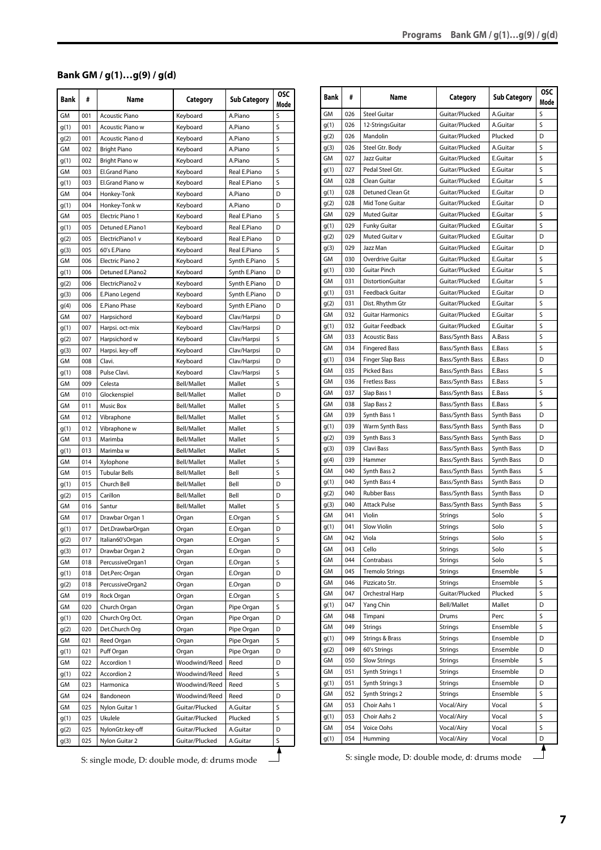# <span id="page-6-0"></span>**Bank GM / g(1)…g(9) / g(d)**

| <b>Bank</b> | #   | Name                      | Category       | <b>Sub Category</b> | <b>OSC</b><br>Mode |
|-------------|-----|---------------------------|----------------|---------------------|--------------------|
| GM          | 001 | <b>Acoustic Piano</b>     | Keyboard       | A.Piano             | S                  |
| g(1)        | 001 | Acoustic Piano w          | Keyboard       | A.Piano             | S                  |
| g(2)        | 001 | Acoustic Piano d          | Keyboard       | A.Piano             | S                  |
| GМ          | 002 | <b>Bright Piano</b>       | Keyboard       | A.Piano             | S                  |
| g(1)        | 002 | Bright Piano w            | Keyboard       | A.Piano             | S                  |
| GM          | 003 | El.Grand Piano            | Keyboard       | Real E.Piano        | S                  |
| g(1)        | 003 | El.Grand Piano w          | Keyboard       | Real E.Piano        | S                  |
| GM          | 004 | Honkey-Tonk               | Keyboard       | A.Piano             | D                  |
| g(1)        | 004 | Honkey-Tonk w             | Keyboard       | A.Piano             | D                  |
| GМ          | 005 | Electric Piano 1          | Keyboard       | Real E.Piano        | S                  |
| g(1)        | 005 | Detuned E.Piano1          | Keyboard       | Real E.Piano        | D                  |
| g(2)        | 005 | ElectricPiano1 v          | Keyboard       | Real E.Piano        | D                  |
| g(3)        | 005 | 60's E.Piano              | Keyboard       | Real E.Piano        | S                  |
| GM          | 006 | Electric Piano 2          | Keyboard       | Synth E.Piano       | S                  |
| g(1)        | 006 | Detuned E.Piano2          | Keyboard       | Synth E.Piano       | D                  |
| g(2)        | 006 | ElectricPiano2 v          | Keyboard       | Synth E.Piano       | D                  |
| g(3)        | 006 | E.Piano Legend            | Keyboard       | Synth E.Piano       | D                  |
| g(4)        | 006 | E.Piano Phase             | Keyboard       | Synth E.Piano       | D                  |
| GМ          | 007 | Harpsichord               | Keyboard       | Clav/Harpsi         | D                  |
| g(1)        | 007 | Harpsi. oct-mix           | Keyboard       | Clav/Harpsi         | D                  |
| g(2)        | 007 | Harpsichord w             | Keyboard       | Clav/Harpsi         | S                  |
|             | 007 |                           |                | Clav/Harpsi         | D                  |
| g(3)<br>GМ  | 008 | Harpsi. key-off<br>Clavi. | Keyboard       | Clav/Harpsi         | D                  |
|             |     |                           | Keyboard       |                     |                    |
| g(1)        | 008 | Pulse Clavi.              | Keyboard       | Clav/Harpsi         | S                  |
| GM          | 009 | Celesta                   | Bell/Mallet    | Mallet              | S                  |
| GМ          | 010 | Glockenspiel              | Bell/Mallet    | Mallet              | D                  |
| GM          | 011 | Music Box                 | Bell/Mallet    | Mallet              | S                  |
| GM          | 012 | Vibraphone                | Bell/Mallet    | Mallet              | S                  |
| g(1)        | 012 | Vibraphone w              | Bell/Mallet    | Mallet              | S                  |
| GM          | 013 | Marimba                   | Bell/Mallet    | Mallet              | S                  |
| g(1)        | 013 | Marimba w                 | Bell/Mallet    | Mallet              | S                  |
| GМ          | 014 | Xylophone                 | Bell/Mallet    | Mallet              | S                  |
| GM          | 015 | <b>Tubular Bells</b>      | Bell/Mallet    | Bell                | S                  |
| g(1)        | 015 | Church Bell               | Bell/Mallet    | Bell                | D                  |
| g(2)        | 015 | Carillon                  | Bell/Mallet    | Bell                | D                  |
| GМ          | 016 | Santur                    | Bell/Mallet    | Mallet              | S                  |
| GМ          | 017 | Drawbar Organ 1           | Organ          | E.Organ             | S                  |
| g(1)        | 017 | Det.DrawbarOrgan          | Organ          | E.Organ             | D                  |
| g(2)        | 017 | Italian60'sOrgan          | Organ          | E.Organ             | S                  |
| g(3)        | 017 | Drawbar Organ 2           | Organ          | E.Organ             | D                  |
| GM          | 018 | PercussiveOrgan1          | Organ          | E.Organ             | S                  |
| g(1)        | 018 | Det.Perc-Organ            | Organ          | E.Organ             | D                  |
| q(2)        | 018 | PercussiveOrgan2          | Organ          | E.Organ             | D                  |
| GМ          | 019 | Rock Organ                | Organ          | E.Organ             | S                  |
| GМ          | 020 | Church Organ              | Organ          | Pipe Organ          | S                  |
| g(1)        | 020 | Church Org Oct.           | Organ          | Pipe Organ          | D                  |
| g(2)        | 020 | Det.Church Org            | Organ          | Pipe Organ          | D                  |
| GМ          | 021 | Reed Organ                | Organ          | Pipe Organ          | S                  |
| g(1)        | 021 | Puff Organ                | Organ          | Pipe Organ          | D                  |
| GM          | 022 | Accordion 1               | Woodwind/Reed  | Reed                | D                  |
| g(1)        | 022 | Accordion 2               | Woodwind/Reed  | Reed                | S                  |
| GМ          | 023 | Harmonica                 | Woodwind/Reed  | Reed                | S                  |
| GM          | 024 | Bandoneon                 | Woodwind/Reed  | Reed                | D                  |
| GМ          | 025 | Nylon Guitar 1            | Guitar/Plucked | A.Guitar            | S                  |
| g(1)        | 025 | Ukulele                   | Guitar/Plucked | Plucked             | S                  |
| g(2)        | 025 | NylonGtr.key-off          | Guitar/Plucked | A.Guitar            | D                  |
| g(3)        | 025 | Nylon Guitar 2            | Guitar/Plucked | A.Guitar            | S                  |
|             |     |                           |                |                     |                    |

S: single mode, D: double mode, d: drums mode $\Box$ 

| <b>Bank</b> | #   | Name                    | Category        | <b>Sub Category</b> | <b>OSC</b><br>Mode |
|-------------|-----|-------------------------|-----------------|---------------------|--------------------|
| GM          | 026 | <b>Steel Guitar</b>     | Guitar/Plucked  | A.Guitar            | S                  |
| g(1)        | 026 | 12-StringsGuitar        | Guitar/Plucked  | A.Guitar            | S                  |
| g(2)        | 026 | Mandolin                | Guitar/Plucked  | Plucked             | D                  |
| g(3)        | 026 | Steel Gtr. Body         | Guitar/Plucked  | A.Guitar            | S                  |
| GМ          | 027 | Jazz Guitar             | Guitar/Plucked  | E.Guitar            | S                  |
| g(1)        | 027 | Pedal Steel Gtr.        | Guitar/Plucked  | E.Guitar            | S                  |
| GM          | 028 | Clean Guitar            | Guitar/Plucked  | E.Guitar            | S                  |
| g(1)        | 028 | Detuned Clean Gt        | Guitar/Plucked  | E.Guitar            | D                  |
| g(2)        | 028 | Mid Tone Guitar         | Guitar/Plucked  | E.Guitar            | D                  |
| GM          | 029 | Muted Guitar            | Guitar/Plucked  | E.Guitar            | S                  |
| g(1)        | 029 | <b>Funky Guitar</b>     | Guitar/Plucked  | E.Guitar            | S                  |
| g(2)        | 029 | Muted Guitar v          | Guitar/Plucked  | E.Guitar            | D                  |
| g(3)        | 029 | Jazz Man                | Guitar/Plucked  | E.Guitar            | D                  |
| GМ          | 030 | Overdrive Guitar        | Guitar/Plucked  | E.Guitar            | S                  |
| q(1)        | 030 | Guitar Pinch            | Guitar/Plucked  | E.Guitar            | S                  |
| GМ          | 031 | DistortionGuitar        | Guitar/Plucked  | E.Guitar            | S                  |
| g(1)        | 031 | Feedback Guitar         | Guitar/Plucked  | E.Guitar            | D                  |
| q(2)        | 031 | Dist. Rhythm Gtr        | Guitar/Plucked  | E.Guitar            | S                  |
| GM          | 032 | <b>Guitar Harmonics</b> | Guitar/Plucked  | E.Guitar            | S                  |
| g(1)        | 032 | Guitar Feedback         | Guitar/Plucked  | E.Guitar            | S                  |
| GМ          | 033 | <b>Acoustic Bass</b>    | Bass/Synth Bass | A.Bass              | S                  |
| GM          | 034 | <b>Fingered Bass</b>    | Bass/Synth Bass | E.Bass              | S                  |
| g(1)        | 034 | <b>Finger Slap Bass</b> | Bass/Synth Bass | E.Bass              | D                  |
| GМ          | 035 | <b>Picked Bass</b>      | Bass/Synth Bass | E.Bass              | S                  |
| GM          | 036 | <b>Fretless Bass</b>    | Bass/Synth Bass | E.Bass              | S                  |
| GM          | 037 | Slap Bass 1             | Bass/Synth Bass | E.Bass              | S                  |
| GМ          | 038 | Slap Bass 2             | Bass/Synth Bass | E.Bass              | S                  |
| GM          | 039 | Synth Bass 1            | Bass/Synth Bass | Synth Bass          | D                  |
| g(1)        | 039 | Warm Synth Bass         | Bass/Synth Bass | Synth Bass          | D                  |
| g(2)        | 039 | Synth Bass 3            | Bass/Synth Bass | Synth Bass          | D                  |
| g(3)        | 039 | Clavi Bass              | Bass/Synth Bass | Synth Bass          | D                  |
| g(4)        | 039 | Hammer                  | Bass/Synth Bass | Synth Bass          | D                  |
| GM          | 040 | Synth Bass 2            | Bass/Synth Bass | Synth Bass          | S                  |
| g(1)        | 040 | Synth Bass 4            | Bass/Synth Bass | Synth Bass          | D                  |
| g(2)        | 040 | <b>Rubber Bass</b>      | Bass/Synth Bass | Synth Bass          | D                  |
| g(3)        | 040 | <b>Attack Pulse</b>     | Bass/Synth Bass | Synth Bass          | S                  |
| GM          | 041 | Violin                  | Strings         | Solo                | S                  |
| g(1)        | 041 | <b>Slow Violin</b>      | Strings         | Solo                | S                  |
| GM          | 042 | Viola                   | Strings         | Solo                | S                  |
| GМ          | 043 | Cello                   | Strings         | Solo                | S                  |
| GМ          | 044 | Contrabass              | Strings         | Solo                | S                  |
| GМ          | 045 | <b>Tremolo Strings</b>  | Strings         | Ensemble            | S                  |
| GМ          | 046 | Pizzicato Str.          | Strings         | Ensemble            | S                  |
| GМ          | 047 | Orchestral Harp         | Guitar/Plucked  | Plucked             | S                  |
| g(1)        | 047 | Yang Chin               | Bell/Mallet     | Mallet              | D                  |
| GМ          | 048 | Timpani                 | Drums           | Perc                | S                  |
| GМ          | 049 | <b>Strings</b>          | Strings         | Ensemble            | S                  |
| g(1)        | 049 | Strings & Brass         | Strings         | Ensemble            | D                  |
| g(2)        | 049 | 60's Strings            | Strings         | Ensemble            | D                  |
| GM          | 050 | <b>Slow Strings</b>     | <b>Strings</b>  | Ensemble            | S                  |
| GM          | 051 | Synth Strings 1         | Strings         | Ensemble            | D                  |
|             | 051 | Synth Strings 3         | Strings         | Ensemble            | D                  |
| g(1)<br>GМ  | 052 | Synth Strings 2         |                 | Ensemble            | S                  |
|             |     |                         | Strings         |                     |                    |
| GМ          | 053 | Choir Aahs 1            | Vocal/Airy      | Vocal               | S<br>S             |
| g(1)        | 053 | Choir Aahs 2            | Vocal/Airy      | Vocal               |                    |
| GM          | 054 | Voice Oohs              | Vocal/Airy      | Vocal               | S                  |
| g(1)        | 054 | Humming                 | Vocal/Airy      | Vocal               | D                  |

S: single mode, D: double mode, d: drums mode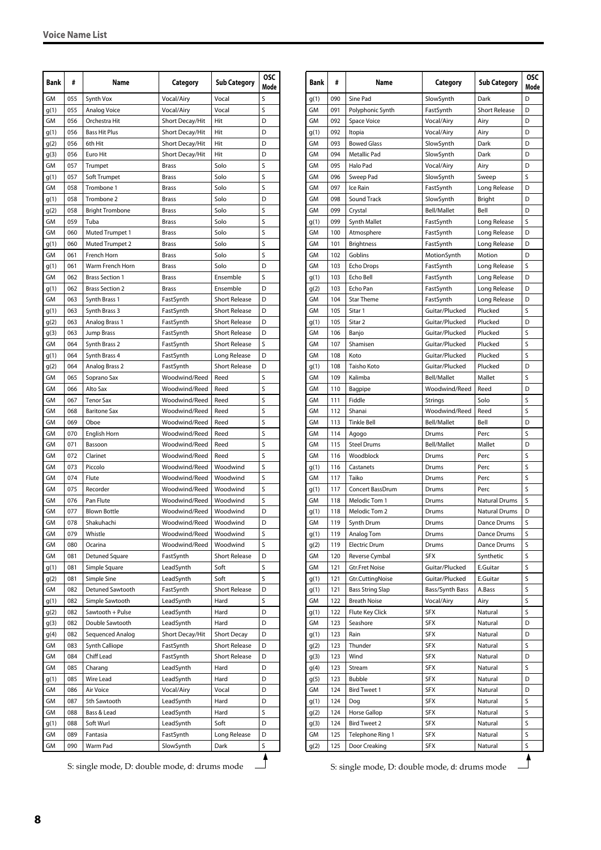| <b>Bank</b> | #   | Name                              | Category        | <b>Sub Category</b>  | <b>OSC</b><br>Mode |
|-------------|-----|-----------------------------------|-----------------|----------------------|--------------------|
| <b>GM</b>   | 055 | Synth Vox                         | Vocal/Airy      | Vocal                | S                  |
| g(1)        | 055 | Analog Voice                      | Vocal/Airy      | Vocal                | S                  |
| GM          | 056 | Orchestra Hit                     | Short Decay/Hit | Hit                  | D                  |
| g(1)        | 056 | Bass Hit Plus                     | Short Decay/Hit | Hit                  | D                  |
| g(2)        | 056 | 6th Hit                           | Short Decay/Hit | Hit                  | D                  |
| g(3)        | 056 | Euro Hit                          | Short Decay/Hit | Hit                  | D                  |
| GМ          | 057 | Trumpet                           | Brass           | Solo                 | S                  |
| g(1)        | 057 | Soft Trumpet                      | <b>Brass</b>    | Solo                 | S                  |
| GM          | 058 | Trombone 1                        | <b>Brass</b>    | Solo                 | S                  |
| g(1)        | 058 | Trombone 2                        | Brass           | Solo                 | D                  |
| g(2)        | 058 | <b>Bright Trombone</b>            | <b>Brass</b>    | Solo                 | S                  |
| GМ          | 059 | Tuba                              | <b>Brass</b>    | Solo                 | S                  |
| GМ          | 060 | Muted Trumpet 1                   | <b>Brass</b>    | Solo                 | S                  |
| g(1)        | 060 | Muted Trumpet 2                   | <b>Brass</b>    | Solo                 | S                  |
| GМ          | 061 | French Horn                       | <b>Brass</b>    | Solo                 | S                  |
| g(1)        | 061 | Warm French Horn                  | <b>Brass</b>    | Solo                 | D                  |
| GМ          | 062 | <b>Brass Section 1</b>            | <b>Brass</b>    | Ensemble             | S                  |
| g(1)        | 062 | <b>Brass Section 2</b>            | <b>Brass</b>    | Ensemble             | D                  |
| GМ          | 063 | Synth Brass 1                     | FastSynth       | <b>Short Release</b> | D                  |
| g(1)        | 063 | Synth Brass 3                     | FastSynth       | <b>Short Release</b> | D                  |
| g(2)        | 063 | Analog Brass 1                    | FastSynth       | <b>Short Release</b> | D                  |
| g(3)        | 063 | Jump Brass                        | FastSynth       | <b>Short Release</b> | D                  |
| GМ          | 064 | Synth Brass 2                     | FastSynth       | <b>Short Release</b> | S                  |
| g(1)        | 064 | Synth Brass 4                     | FastSynth       | Long Release         | D                  |
| g(2)        | 064 | Analog Brass 2                    | FastSynth       | <b>Short Release</b> | D                  |
| GМ          | 065 | Soprano Sax                       | Woodwind/Reed   | Reed                 | S                  |
| GM          | 066 | Alto Sax                          | Woodwind/Reed   | Reed                 | S                  |
| GM          | 067 | <b>Tenor Sax</b>                  | Woodwind/Reed   | Reed                 | S                  |
| GM          | 068 | <b>Baritone Sax</b>               | Woodwind/Reed   | Reed                 | S                  |
| GМ          | 069 | Oboe                              | Woodwind/Reed   | Reed                 | S                  |
| GМ          | 070 | English Horn                      | Woodwind/Reed   | Reed                 | S                  |
| GМ          | 071 | Bassoon                           | Woodwind/Reed   | Reed                 | S                  |
| GМ          | 072 | Clarinet                          | Woodwind/Reed   | Reed                 | S                  |
| GM          | 073 | Piccolo                           | Woodwind/Reed   | Woodwind             | S                  |
| GM          | 074 | Flute                             | Woodwind/Reed   | Woodwind             | S                  |
| GМ          | 075 | Recorder                          | Woodwind/Reed   | Woodwind             | S                  |
| GM          | 076 | Pan Flute                         | Woodwind/Reed   | Woodwind             | S                  |
| GM          | 077 |                                   | Woodwind/Reed   | Woodwind             | D                  |
| GM          | 078 | <b>Blown Bottle</b><br>Shakuhachi | Woodwind/Reed   | Woodwind             | D                  |
|             |     |                                   |                 |                      |                    |
| GM          | 079 | Whistle                           | Woodwind/Reed   | Woodwind             | S<br>S             |
| GМ          | 080 | Ocarina                           | Woodwind/Reed   | Woodwind             |                    |
| GМ          | 081 | Detuned Square                    | FastSynth       | <b>Short Release</b> | D                  |
| g(1)        | 081 | Simple Square                     | LeadSynth       | Soft                 | S                  |
| g(2)        | 081 | Simple Sine                       | LeadSynth       | Soft                 | S                  |
| GМ          | 082 | Detuned Sawtooth                  | FastSynth       | <b>Short Release</b> | D                  |
| g(1)        | 082 | Simple Sawtooth                   | LeadSynth       | Hard                 | S                  |
| g(2)        | 082 | Sawtooth + Pulse                  | LeadSynth       | Hard                 | D                  |
| g(3)        | 082 | Double Sawtooth                   | LeadSynth       | Hard                 | D                  |
| g(4)        | 082 | Sequenced Analog                  | Short Decay/Hit | <b>Short Decay</b>   | D                  |
| GM          | 083 | Synth Calliope                    | FastSynth       | <b>Short Release</b> | D                  |
| GM          | 084 | Chiff Lead                        | FastSynth       | <b>Short Release</b> | D                  |
| GМ          | 085 | Charang                           | LeadSynth       | Hard                 | D                  |
| g(1)        | 085 | Wire Lead                         | LeadSynth       | Hard                 | D                  |
| GМ          | 086 | Air Voice                         | Vocal/Airy      | Vocal                | D                  |
| GМ          | 087 | 5th Sawtooth                      | LeadSynth       | Hard                 | D                  |
| GМ          | 088 | Bass & Lead                       | LeadSynth       | Hard                 | S                  |
| g(1)        | 088 | Soft Wurl                         | LeadSynth       | Soft                 | D                  |
| GМ          | 089 | Fantasia                          | FastSynth       | Long Release         | D                  |
| GМ          | 090 | Warm Pad                          | SlowSynth       | Dark                 | S                  |

S: single mode, D: double mode, d: drums mode<br>S: single mode, D: double mode, d: drums mode

| Bank | #   | Name                    | Category           | <b>Sub Category</b>  | <b>OSC</b><br>Mode |
|------|-----|-------------------------|--------------------|----------------------|--------------------|
| g(1) | 090 | Sine Pad                | SlowSynth          | Dark                 | D                  |
| GM   | 091 | Polyphonic Synth        | FastSynth          | <b>Short Release</b> | D                  |
| GM   | 092 | Space Voice             | Vocal/Airy         | Airy                 | D                  |
| g(1) | 092 | Itopia                  | Vocal/Airy         | Airy                 | D                  |
| GM   | 093 | <b>Bowed Glass</b>      | SlowSynth          | Dark                 | D                  |
| GМ   | 094 | Metallic Pad            | SlowSynth          | Dark                 | D                  |
| GM   | 095 | Halo Pad                | Vocal/Airy         | Airy                 | D                  |
| GM   | 096 | Sweep Pad               | SlowSynth          | Sweep                | S                  |
| GM   | 097 | Ice Rain                | FastSynth          | Long Release         | D                  |
| GM   | 098 | Sound Track             | SlowSynth          | Bright               | D                  |
| GМ   | 099 | Crystal                 | <b>Bell/Mallet</b> | Bell                 | D                  |
| g(1) | 099 | Synth Mallet            | FastSynth          | Long Release         | S                  |
| GM   | 100 | Atmosphere              | FastSynth          | Long Release         | D                  |
| GМ   | 101 | <b>Brightness</b>       | FastSynth          | Long Release         | D                  |
| GМ   | 102 | Goblins                 | MotionSynth        | Motion               | D                  |
| GМ   | 103 | <b>Echo Drops</b>       | FastSynth          | Long Release         | S                  |
| g(1) | 103 | Echo Bell               | FastSynth          | Long Release         | D                  |
| g(2) | 103 | Echo Pan                | FastSynth          | Long Release         | D                  |
| GМ   | 104 | <b>Star Theme</b>       | FastSynth          | Long Release         | D                  |
| GM   | 105 | Sitar 1                 | Guitar/Plucked     | Plucked              | S                  |
| g(1) | 105 | Sitar <sub>2</sub>      | Guitar/Plucked     | Plucked              | D                  |
| GМ   | 106 | Banjo                   | Guitar/Plucked     | Plucked              | S                  |
| GM   | 107 | Shamisen                | Guitar/Plucked     | Plucked              | S                  |
| GM   | 108 | Koto                    | Guitar/Plucked     | Plucked              | S                  |
| g(1) | 108 | Taisho Koto             | Guitar/Plucked     | Plucked              | D                  |
| GM   | 109 | Kalimba                 | Bell/Mallet        | Mallet               | S                  |
| GМ   | 110 | Bagpipe                 | Woodwind/Reed      | Reed                 | D                  |
| GM   | 111 | Fiddle                  | Strings            | Solo                 | S                  |
| GM   | 112 | Shanai                  | Woodwind/Reed      | Reed                 | S                  |
| GМ   | 113 | Tinkle Bell             | Bell/Mallet        | Bell                 | D                  |
| GM   | 114 | Agogo                   | Drums              | Perc                 | S                  |
| GM   | 115 | <b>Steel Drums</b>      | Bell/Mallet        | Mallet               | D                  |
| GМ   | 116 | Woodblock               | Drums              | Perc                 | S                  |
| g(1) | 116 | Castanets               | Drums              | Perc                 | S                  |
| GM   | 117 | Taiko                   | Drums              | Perc                 | S                  |
| g(1) | 117 | Concert BassDrum        | Drums              | Perc                 | S                  |
| GM   | 118 | Melodic Tom 1           | Drums              | <b>Natural Drums</b> | S                  |
| g(1) | 118 | Melodic Tom 2           | Drums              | <b>Natural Drums</b> | D                  |
| GM   | 119 | Synth Drum              | Drums              | Dance Drums          | Ś                  |
| g(1) | 119 | Analog Tom              | Drums              | Dance Drums          | S                  |
| g(2) | 119 | Electric Drum           | Drums              | Dance Drums          | S                  |
| GМ   | 120 | Reverse Cymbal          | SFX                | Synthetic            | S                  |
| GМ   | 121 | <b>Gtr.Fret Noise</b>   | Guitar/Plucked     | E.Guitar             | S                  |
| g(1) | 121 | Gtr.CuttingNoise        | Guitar/Plucked     | E.Guitar             | S                  |
| g(1) | 121 | <b>Bass String Slap</b> | Bass/Synth Bass    | A.Bass               | S                  |
| GM   | 122 | <b>Breath Noise</b>     | Vocal/Airy         | Airy                 | S                  |
| g(1) | 122 | Flute Key Click         | SFX                | Natural              | S                  |
| GМ   | 123 | Seashore                | <b>SFX</b>         | Natural              | D                  |
| g(1) | 123 | Rain                    | SFX                | Natural              | D                  |
| g(2) | 123 | Thunder                 | SFX                | Natural              | S                  |
| g(3) | 123 | Wind                    | SFX                | Natural              | D                  |
| g(4) | 123 | Stream                  | SFX                | Natural              | S                  |
| g(5) | 123 | Bubble                  | SFX                | Natural              | D                  |
| GM   | 124 | <b>Bird Tweet 1</b>     | SFX                | Natural              | D                  |
| g(1) | 124 | Dog                     | <b>SFX</b>         | Natural              | S                  |
| g(2) | 124 | Horse Gallop            | SFX                | Natural              | S                  |
| g(3) | 124 | Bird Tweet 2            | SFX                | Natural              | S                  |
| GM   | 125 | Telephone Ring 1        | SFX                | Natural              | S                  |
| g(2) | 125 | Door Creaking           | <b>SFX</b>         | Natural              | S                  |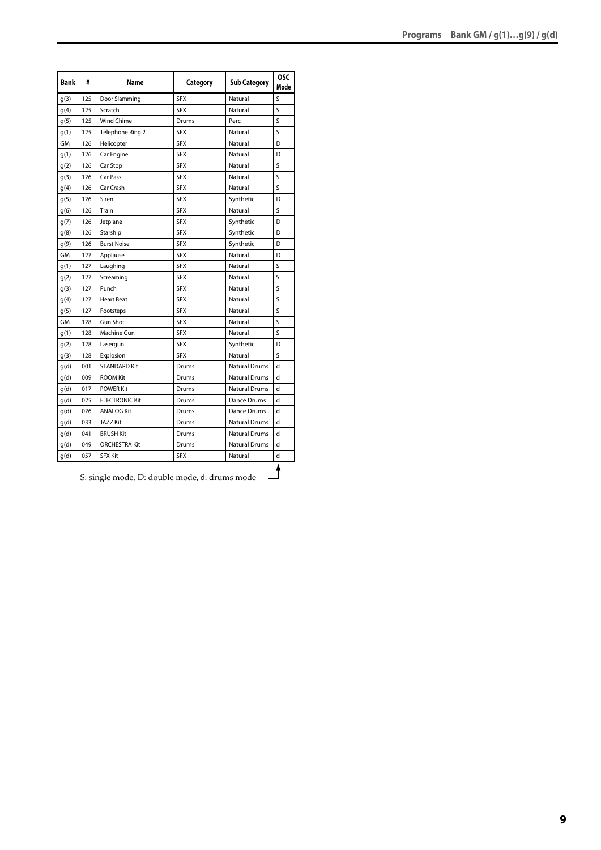| <b>Bank</b> | #   | Name                  | Category   | <b>Sub Category</b>  | <b>OSC</b><br>Mode |
|-------------|-----|-----------------------|------------|----------------------|--------------------|
| q(3)        | 125 | Door Slamming         | <b>SFX</b> | Natural              | S                  |
| g(4)        | 125 | Scratch               | <b>SFX</b> | Natural              | S                  |
| g(5)        | 125 | <b>Wind Chime</b>     | Drums      | Perc                 | S                  |
| g(1)        | 125 | Telephone Ring 2      | <b>SFX</b> | Natural              | S                  |
| GM          | 126 | Helicopter            | <b>SFX</b> | Natural              | D                  |
| q(1)        | 126 | Car Engine            | <b>SFX</b> | Natural              | D                  |
| g(2)        | 126 | Car Stop              | <b>SFX</b> | Natural              | Ś                  |
| g(3)        | 126 | Car Pass              | <b>SFX</b> | Natural              | Ś                  |
| g(4)        | 126 | Car Crash             | <b>SFX</b> | Natural              | Ś                  |
| g(5)        | 126 | Siren                 | <b>SFX</b> | Synthetic            | D                  |
| q(6)        | 126 | Train                 | <b>SFX</b> | Natural              | S                  |
| q(7)        | 126 | Jetplane              | <b>SFX</b> | Synthetic            | D                  |
| q(8)        | 126 | Starship              | <b>SFX</b> | Synthetic            | D                  |
| q(9)        | 126 | <b>Burst Noise</b>    | <b>SFX</b> | Synthetic            | D                  |
| <b>GM</b>   | 127 | Applause              | <b>SFX</b> | Natural              | D                  |
| q(1)        | 127 | Laughing              | <b>SFX</b> | Natural              | S                  |
| g(2)        | 127 | Screaming             | <b>SFX</b> | Natural              | S                  |
| g(3)        | 127 | Punch                 | <b>SFX</b> | Natural              | Ś                  |
| g(4)        | 127 | <b>Heart Beat</b>     | <b>SFX</b> | Natural              | Ś                  |
| g(5)        | 127 | Footsteps             | <b>SFX</b> | Natural              | Ś                  |
| GМ          | 128 | <b>Gun Shot</b>       | <b>SFX</b> | Natural              | S                  |
| q(1)        | 128 | Machine Gun           | <b>SFX</b> | Natural              | S                  |
| q(2)        | 128 | Lasergun              | <b>SFX</b> | Synthetic            | D                  |
| g(3)        | 128 | Explosion             | <b>SFX</b> | Natural              | Ś                  |
| g(d)        | 001 | <b>STANDARD Kit</b>   | Drums      | <b>Natural Drums</b> | H                  |
| q(d)        | 009 | <b>ROOM Kit</b>       | Drums      | <b>Natural Drums</b> | $\mathsf{d}$       |
| g(d)        | 017 | <b>POWER Kit</b>      | Drums      | <b>Natural Drums</b> | d                  |
| g(d)        | 025 | <b>ELECTRONIC Kit</b> | Drums      | Dance Drums          | d                  |
| g(d)        | 026 | <b>ANALOG Kit</b>     | Drums      | Dance Drums          | d                  |
| q(d)        | 033 | <b>JAZZ Kit</b>       | Drums      | <b>Natural Drums</b> | d                  |
| q(d)        | 041 | <b>BRUSH Kit</b>      | Drums      | <b>Natural Drums</b> | d                  |
| q(d)        | 049 | <b>ORCHESTRA Kit</b>  | Drums      | <b>Natural Drums</b> | d                  |
| g(d)        | 057 | <b>SFX Kit</b>        | <b>SFX</b> | Natural              | d                  |
|             |     |                       |            |                      | Δ                  |

S: single mode, D: double mode, d: drums mode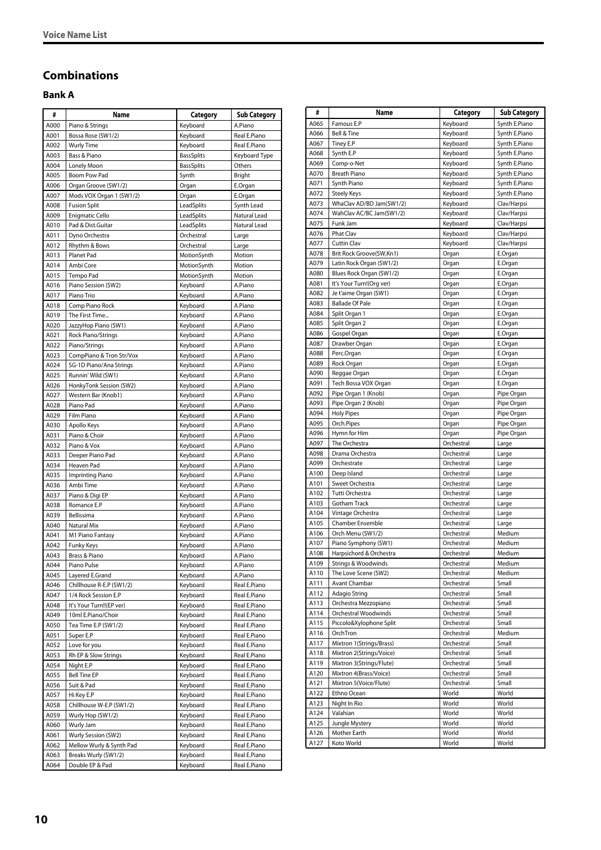# <span id="page-9-0"></span>**Combinations**

# <span id="page-9-1"></span>**Bank A**

| #    | Name                                          | Category          | <b>Sub Category</b> |
|------|-----------------------------------------------|-------------------|---------------------|
| A000 | Piano & Strings                               | Keyboard          | A.Piano             |
| A001 | Bossa Rose (SW1/2)                            | Keyboard          | Real E.Piano        |
| A002 | <b>Wurly Time</b>                             | Keyboard          | Real E.Piano        |
| A003 | Bass & Piano                                  | <b>BassSplits</b> | Keyboard Type       |
| A004 | Lonely Moon                                   | <b>BassSplits</b> | Others              |
| A005 | Boom Pow Pad                                  | Synth             | Bright              |
| A006 | Organ Groove (SW1/2)                          | Organ             | E.Organ             |
| A007 | Mods VOX Organ 1 (SW1/2)                      | Organ             | E.Organ             |
| A008 | <b>Fusion Split</b>                           | LeadSplits        | Synth Lead          |
| A009 | Enigmatic Cello                               | LeadSplits        | Natural Lead        |
| A010 | Pad & Dist.Guitar                             | LeadSplits        | Natural Lead        |
| A011 | Dyno Orchestra                                | Orchestral        | Large               |
| A012 | Rhythm & Bows                                 | Orchestral        | Large               |
| A013 | Planet Pad                                    | MotionSynth       | Motion              |
| A014 | Ambi Core                                     | MotionSynth       | Motion              |
| A015 | Tempo Pad                                     | MotionSynth       | Motion              |
| A016 | Piano Session (SW2)                           | Keyboard          | A.Piano             |
| A017 | Piano Trio                                    | Keyboard          | A.Piano             |
| A018 | Comp Piano Rock                               | Keyboard          | A.Piano             |
| A019 | The First Time                                | Keyboard          | A.Piano             |
| A020 | JazzyHop Piano (SW1)                          | Keyboard          | A.Piano             |
| A021 | Rock Piano/Strings                            | Keyboard          | A.Piano             |
| A022 | Piano/Strings                                 | Keyboard          | A.Piano             |
| A023 | CompPiano & Tron Str/Vox                      |                   | A.Piano             |
|      |                                               | Keyboard          |                     |
| A024 | SG-1D Piano/Ana Strings<br>Runnin' Wild (SW1) | Keyboard          | A.Piano             |
| A025 |                                               | Keyboard          | A.Piano             |
| A026 | HonkyTonk Session (SW2)                       | Keyboard          | A.Piano             |
| A027 | Western Bar (Knob1)                           | Keyboard          | A.Piano             |
| A028 | Piano Pad                                     | Keyboard          | A.Piano             |
| A029 | Film Piano                                    | Keyboard          | A.Piano             |
| A030 | Apollo Keys                                   | Keyboard          | A.Piano             |
| A031 | Piano & Choir                                 | Keyboard          | A.Piano             |
| A032 | Piano & Vox                                   | Keyboard          | A.Piano             |
| A033 | Deeper Piano Pad                              | Keyboard          | A.Piano             |
| A034 | Heaven Pad                                    | Keyboard          | A.Piano             |
| A035 | <b>Imprinting Piano</b>                       | Keyboard          | A.Piano             |
| A036 | Ambi Time                                     | Keyboard          | A.Piano             |
| A037 | Piano & Digi EP                               | Keyboard          | A.Piano             |
| A038 | Romance E.P                                   | Keyboard          | A.Piano             |
| A039 | Bellissima                                    | Keyboard          | A.Piano             |
| A040 | Natural Mix                                   | Keyboard          | A.Piano             |
| A041 | M1 Piano Fantasy                              | Keyboard          | A.Piano             |
| A042 | Funky Keys                                    | Keyboard          | A.Piano             |
| A043 | Brass & Piano                                 | Keyboard          | A.Piano             |
| A044 | Piano Pulse                                   | Keyboard          | A.Piano             |
| A045 | Layered E.Grand                               | Keyboard          | A.Piano             |
| A046 | Chillhouse R-E.P (SW1/2)                      | Keyboard          | Real E.Piano        |
| A047 | 1/4 Rock Session E.P                          | Keyboard          | Real E.Piano        |
| A048 | It's Your Turn!!(EP ver)                      | Keyboard          | Real E.Piano        |
| A049 | 10ml E.Piano/Choir                            | Keyboard          | Real E.Piano        |
| A050 | Tea Time E.P (SW1/2)                          | Keyboard          | Real E.Piano        |
| A051 | Super E.P                                     | Keyboard          | Real E.Piano        |
| A052 | Love for you                                  | Keyboard          | Real E.Piano        |
| A053 | Rh EP & Slow Strings                          | Keyboard          | Real E.Piano        |
| A054 | Night E.P                                     | Keyboard          | Real E.Piano        |
| A055 | <b>Bell Tine EP</b>                           | Keyboard          | Real E.Piano        |
| A056 | Suit & Pad                                    | Keyboard          | Real E.Piano        |
| A057 | Hi Key E.P                                    | Keyboard          | Real E.Piano        |
| A058 | Chillhouse W-E.P (SW1/2)                      | Keyboard          | Real E.Piano        |
| A059 | Wurly Hop (SW1/2)                             | Keyboard          | Real E.Piano        |
| A060 | Wurly Jam                                     | Keyboard          | Real E.Piano        |
| A061 | Wurly Session (SW2)                           | Keyboard          | Real E.Piano        |
| A062 | Mellow Wurly & Synth Pad                      | Keyboard          | Real E.Piano        |
| A063 |                                               |                   | Real E.Piano        |
|      | Breaks Wurly (SW1/2)                          | Keyboard          |                     |
| A064 | Double EP & Pad                               | Keyboard          | Real E.Piano        |

| #            | Name                       | Category       | <b>Sub Category</b>      |
|--------------|----------------------------|----------------|--------------------------|
| A065         | Famous E.P                 | Keyboard       | Synth E.Piano            |
| A066         | Bell & Tine                | Keyboard       | Synth E.Piano            |
| A067         | Tiney E.P                  | Keyboard       | Synth E.Piano            |
| A068         | Synth E.P                  | Keyboard       | Synth E.Piano            |
| A069         | Comp-o-Net                 | Keyboard       | Synth E.Piano            |
| A070         | <b>Breath Piano</b>        | Keyboard       | Synth E.Piano            |
| A071         | Synth Piano                | Keyboard       | Synth E.Piano            |
| A072         | <b>Steely Keys</b>         | Keyboard       | Synth E.Piano            |
| A073         | WhaClav AD/BD Jam(SW1/2)   | Keyboard       | Clav/Harpsi              |
| A074         | WahClav AC/BC Jam(SW1/2)   | Keyboard       | Clav/Harpsi              |
| A075         | Funk Jam                   | Keyboard       | Clav/Harpsi              |
| A076         | Phat Clav                  | Keyboard       | Clav/Harpsi              |
| A077         | Cuttin Clav                | Keyboard       | Clav/Harpsi              |
| A078         | Brit Rock Groove(SW,Kn1)   | Organ          | E.Organ                  |
| A079         | Latin Rock Organ (SW1/2)   | Organ          | E.Organ                  |
| A080         | Blues Rock Organ (SW1/2)   | Organ          | E.Organ                  |
| A081         | It's Your Turn!(Org ver)   | Organ          | E.Organ                  |
| A082         | Je t'aime Organ (SW1)      | Organ          | E.Organ                  |
| A083         | <b>Ballade Of Pale</b>     | Organ          | E.Organ                  |
| A084         | Split Organ 1              | Organ          | E.Organ                  |
| A085         | Split Organ 2              | Organ          | E.Organ                  |
| A086         | Gospel Organ               | Organ          | E.Organ                  |
| A087         | Drawber Organ              | Organ          | E.Organ                  |
| A088         | Perc.Organ                 | Organ          | E.Organ                  |
| A089         | Rock Organ                 | Organ          | E.Organ                  |
| A090         | Reggae Organ               | Organ          | E.Organ                  |
| A091         | Tech Bossa VOX Organ       | Organ          | E.Organ                  |
| A092         | Pipe Organ 1 (Knob)        | Organ          | Pipe Organ               |
| A093<br>A094 | Pipe Organ 2 (Knob)        | Organ          | Pipe Organ               |
| A095         | <b>Holy Pipes</b>          | Organ          | Pipe Organ               |
| A096         | Orch.Pipes<br>Hymn for Him | Organ<br>Organ | Pipe Organ<br>Pipe Organ |
| A097         | The Orchestra              | Orchestral     | Large                    |
| A098         | Drama Orchestra            | Orchestral     | Large                    |
| A099         | Orchestrate                | Orchestral     | Large                    |
| A100         | Deep Island                | Orchestral     | Large                    |
| A101         | Sweet Orchestra            | Orchestral     | Large                    |
| A102         | Tutti Orchestra            | Orchestral     | Large                    |
| A103         | Gotham Track               | Orchestral     | Large                    |
| A104         | Vintage Orchestra          | Orchestral     | Large                    |
| A105         | Chamber Ensemble           | Orchestral     | Large                    |
| A106         | Orch Menu (SW1/2)          | Orchestral     | Medium                   |
| A107         | Piano Symphony (SW1)       | Orchestral     | Medium                   |
| A108         | Harpsichord & Orchestra    | Orchestral     | Medium                   |
| A109         | Strings & Woodwinds        | Orchestral     | Medium                   |
| A110         | The Love Scene (SW2)       | Orchestral     | Medium                   |
| A111         | Avant Chambar              | Orchestral     | Small                    |
| A112         | Adagio String              | Orchestral     | Small                    |
| A113         | Orchestra Mezzopiano       | Orchestral     | Small                    |
| A114         | Orchestral Woodwinds       | Orchestral     | Small                    |
| A115         | Piccolo&Xylophone Split    | Orchestral     | Small                    |
| A116         | OrchTron                   | Orchestral     | Medium                   |
| A117         | Mixtron 1(Strings/Brass)   | Orchestral     | Small                    |
| A118         | Mixtron 2(Strings/Voice)   | Orchestral     | Small                    |
| A119         | Mixtron 3(Strings/Flute)   | Orchestral     | Small                    |
| A120         | Mixtron 4(Brass/Voice)     | Orchestral     | Small                    |
| A121         | Mixtron 5(Voice/Flute)     | Orchestral     | Small                    |
| A122         | Ethno Ocean                | World          | World                    |
| A123         | Night In Rio               | World          | World                    |
| A124         | Valahian                   | World          | World                    |
| A125         | Jungle Mystery             | World          | World                    |
| A126         | Mother Earth               | World          | World                    |
| A127         | Koto World                 | World          | World                    |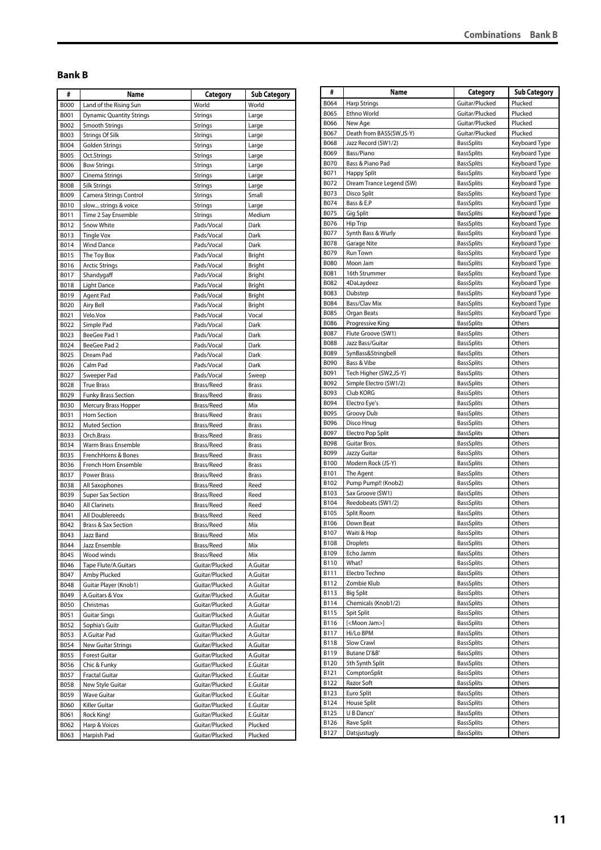#### <span id="page-10-0"></span>**Bank B**

| #            | Name                            | Category       | <b>Sub Category</b> |
|--------------|---------------------------------|----------------|---------------------|
| <b>B000</b>  | Land of the Rising Sun          | World          | World               |
| <b>B001</b>  | <b>Dynamic Quantity Strings</b> | <b>Strings</b> | Large               |
| B002         | Smooth Strings                  | <b>Strings</b> | Large               |
| B003         | Strings Of Silk                 | <b>Strings</b> | Large               |
| B004         | Golden Strings                  | <b>Strings</b> | Large               |
| <b>B005</b>  | Oct.Strings                     | <b>Strings</b> | Large               |
| <b>B006</b>  | <b>Bow Strings</b>              | <b>Strings</b> | Large               |
| B007         | Cinema Strings                  | <b>Strings</b> | Large               |
| <b>B008</b>  | <b>Silk Strings</b>             | <b>Strings</b> | Large               |
| B009         | Camera Strings Control          | Strings        | Small               |
| <b>B010</b>  | slow strings & voice            | Strings        | Large               |
| B011         | Time 2 Say Ensemble             | <b>Strings</b> | Medium              |
| B012         | Snow White                      | Pads/Vocal     | Dark                |
| B013         | <b>Tingle Vox</b>               | Pads/Vocal     | Dark                |
| B014         | <b>Wind Dance</b>               | Pads/Vocal     | Dark                |
| B015         | The Toy Box                     | Pads/Vocal     | <b>Bright</b>       |
| B016         | <b>Arctic Strings</b>           | Pads/Vocal     | Bright              |
| B017         | Shandygaff                      | Pads/Vocal     | Bright              |
| B018         | Light Dance                     | Pads/Vocal     | Bright              |
| B019         | Agent Pad                       | Pads/Vocal     | Bright              |
|              |                                 | Pads/Vocal     |                     |
| B020<br>B021 | Airy Bell<br>Velo.Vox           | Pads/Vocal     | Bright<br>Vocal     |
|              |                                 |                |                     |
| B022         | Simple Pad                      | Pads/Vocal     | Dark                |
| B023         | BeeGee Pad 1                    | Pads/Vocal     | Dark                |
| B024         | BeeGee Pad 2                    | Pads/Vocal     | Dark                |
| B025         | Dream Pad                       | Pads/Vocal     | Dark                |
| B026         | Calm Pad                        | Pads/Vocal     | Dark                |
| B027         | Sweeper Pad                     | Pads/Vocal     | Sweep               |
| B028         | <b>True Brass</b>               | Brass/Reed     | <b>Brass</b>        |
| B029         | <b>Funky Brass Section</b>      | Brass/Reed     | <b>Brass</b>        |
| <b>B030</b>  | Mercury Brass Hopper            | Brass/Reed     | Mix                 |
| B031         | Horn Section                    | Brass/Reed     | <b>Brass</b>        |
| B032         | <b>Muted Section</b>            | Brass/Reed     | <b>Brass</b>        |
| B033         | Orch.Brass                      | Brass/Reed     | <b>Brass</b>        |
| B034         | Warm Brass Ensemble             | Brass/Reed     | <b>Brass</b>        |
| B035         | FrenchHorns & Bones             | Brass/Reed     | <b>Brass</b>        |
| B036         | French Horn Ensemble            | Brass/Reed     | <b>Brass</b>        |
| B037         | Power Brass                     | Brass/Reed     | <b>Brass</b>        |
| B038         | All Saxophones                  | Brass/Reed     | Reed                |
| B039         | <b>Super Sax Section</b>        | Brass/Reed     | Reed                |
| B040         | <b>All Clarinets</b>            | Brass/Reed     | Reed                |
| B041         | All Doublereeds                 | Brass/Reed     | Reed                |
| B042         | <b>Brass &amp; Sax Section</b>  | Brass/Reed     | Mix                 |
| B043         | Jazz Band                       | Brass/Reed     | Mix                 |
| B044         | Jazz Ensemble                   | Brass/Reed     | Mix                 |
| B045         | Wood winds                      | Brass/Reed     | Mix                 |
| B046         | Tape Flute/A.Guitars            | Guitar/Plucked | A.Guitar            |
| B047         | Amby Plucked                    | Guitar/Plucked | A.Guitar            |
| B048         | Guitar Player (Knob1)           | Guitar/Plucked | A.Guitar            |
| B049         | A.Guitars & Vox                 | Guitar/Plucked | A.Guitar            |
| B050         | Christmas                       | Guitar/Plucked | A.Guitar            |
| B051         | <b>Guitar Sings</b>             | Guitar/Plucked | A.Guitar            |
|              | Sophia's Guitr                  | Guitar/Plucked |                     |
| B052         |                                 |                | A.Guitar            |
| B053         | A.Guitar Pad                    | Guitar/Plucked | A.Guitar            |
| B054         | New Guitar Strings              | Guitar/Plucked | A.Guitar            |
| B055         | Forest Guitar                   | Guitar/Plucked | A.Guitar            |
| B056         | Chic & Funky                    | Guitar/Plucked | E.Guitar            |
| B057         | <b>Fractal Guitar</b>           | Guitar/Plucked | E.Guitar            |
| <b>B058</b>  | New Style Guitar                | Guitar/Plucked | E.Guitar            |
| B059         | Wave Guitar                     | Guitar/Plucked | E.Guitar            |
| B060         | Killer Guitar                   | Guitar/Plucked | E.Guitar            |
| B061         | Rock King!                      | Guitar/Plucked | E.Guitar            |
|              |                                 |                | Plucked             |
| B062         | Harp & Voices                   | Guitar/Plucked |                     |

| #                   | Name                                    | Category                               | <b>Sub Category</b>            |
|---------------------|-----------------------------------------|----------------------------------------|--------------------------------|
| B064                | <b>Harp Strings</b>                     | Guitar/Plucked                         | Plucked                        |
| B065                | Ethno World                             | Guitar/Plucked                         | Plucked                        |
| <b>B066</b>         | New Age                                 | Guitar/Plucked                         | Plucked                        |
| B067                | Death from BASS(SW,JS-Y)                | Guitar/Plucked                         | Plucked                        |
| <b>B068</b>         | Jazz Record (SW1/2)                     | <b>BassSplits</b>                      | Keyboard Type                  |
| B069                | Bass/Piano                              | <b>BassSplits</b>                      | Keyboard Type                  |
| <b>B070</b>         | Bass & Piano Pad                        | <b>BassSplits</b>                      | Keyboard Type                  |
| B071                | <b>Happy Split</b>                      | <b>BassSplits</b>                      | Keyboard Type                  |
| B072                | Dream Trance Legend (SW)                | <b>BassSplits</b>                      | Keyboard Type                  |
| B073                | Disco Split                             | <b>BassSplits</b>                      | Keyboard Type                  |
| B074                | Bass & E.P                              | <b>BassSplits</b>                      | Keyboard Type                  |
| B075                | Gig Split                               | <b>BassSplits</b>                      | Keyboard Type                  |
| B076                | Hip Trip                                | <b>BassSplits</b>                      | Keyboard Type                  |
| <b>B077</b>         | Synth Bass & Wurly                      | <b>BassSplits</b>                      | Keyboard Type                  |
| <b>B078</b><br>B079 | Garage Nite<br><b>Run Town</b>          | <b>BassSplits</b><br><b>BassSplits</b> | Keyboard Type<br>Keyboard Type |
| <b>B080</b>         | Moon Jam                                | <b>BassSplits</b>                      | Keyboard Type                  |
| B081                | 16th Strummer                           | <b>BassSplits</b>                      | Keyboard Type                  |
| B082                | 4DaLaydeez                              | <b>BassSplits</b>                      | Keyboard Type                  |
| <b>B083</b>         | Dubstep                                 | <b>BassSplits</b>                      | Keyboard Type                  |
| <b>B084</b>         | Bass/Clav Mix                           | <b>BassSplits</b>                      | Keyboard Type                  |
| <b>B085</b>         | Organ Beats                             | <b>BassSplits</b>                      | Keyboard Type                  |
| <b>B086</b>         | Progressive King                        | <b>BassSplits</b>                      | Others                         |
| <b>B087</b>         | Flute Groove (SW1)                      | <b>BassSplits</b>                      | Others                         |
| <b>B088</b>         | Jazz Bass/Guitar                        | <b>BassSplits</b>                      | Others                         |
| B089                | SynBass&Stringbell                      | <b>BassSplits</b>                      | Others                         |
| B090                | Bass & Vibe                             | <b>BassSplits</b>                      | Others                         |
| B091                | Tech Higher (SW2,JS-Y)                  | <b>BassSplits</b>                      | Others                         |
| B092                | Simple Electro (SW1/2)                  | <b>BassSplits</b>                      | Others                         |
| B093                | Club KORG                               | <b>BassSplits</b>                      | Others                         |
| B094                | Electro Eye's                           | <b>BassSplits</b>                      | Others                         |
| B095                | Groovy Dub                              | <b>BassSplits</b>                      | Others                         |
| <b>B096</b>         | Disco Hnug                              | <b>BassSplits</b>                      | Others                         |
| B097                | Electro Pop Split                       | <b>BassSplits</b>                      | Others                         |
| <b>B098</b>         | Guitar Bros.                            | <b>BassSplits</b>                      | Others                         |
| B099                | Jazzy Guitar                            | <b>BassSplits</b>                      | Others                         |
| <b>B100</b>         | Modern Rock (JS-Y)                      | <b>BassSplits</b>                      | Others                         |
| B101                | The Agent                               | <b>BassSplits</b>                      | Others                         |
| B102<br>B103        | Pump Pump!! (Knob2)<br>Sax Groove (SW1) | <b>BassSplits</b><br><b>BassSplits</b> | Others<br>Others               |
| B104                | Reedobeats (SW1/2)                      | <b>BassSplits</b>                      | Others                         |
| B105                | Split Room                              | <b>BassSplits</b>                      | Others                         |
| B106                | Down Beat                               | <b>BassSplits</b>                      | Others                         |
| B107                | Waiti & Hop                             | <b>BassSplits</b>                      | Others                         |
| B108                | <b>Droplets</b>                         | <b>BassSplits</b>                      | Others                         |
| B109                | Echo Jamm                               | <b>BassSplits</b>                      | Others                         |
| B110                | What?                                   | <b>BassSplits</b>                      | Others                         |
| B111                | Electro Techno                          | <b>BassSplits</b>                      | Others                         |
| B112                | Zombie Klub                             | <b>BassSplits</b>                      | Others                         |
| B113                | <b>Big Split</b>                        | <b>BassSplits</b>                      | Others                         |
| B114                | Chemicals (Knob1/2)                     | <b>BassSplits</b>                      | Others                         |
| B115                | Spit Split                              | <b>BassSplits</b>                      | Others                         |
| B116                | [ <moon jam="">]</moon>                 | <b>BassSplits</b>                      | Others                         |
| B117                | Hi/Lo BPM                               | <b>BassSplits</b>                      | Others                         |
| B118                | Slow Crawl                              | <b>BassSplits</b>                      | Others                         |
| B119                | Butane D'&B'                            | <b>BassSplits</b>                      | Others                         |
| B120                | 5th Synth Split                         | <b>BassSplits</b>                      | Others                         |
| B121                | ComptonSplit                            | BassSplits                             | Others                         |
| B122                | Razor Soft                              | <b>BassSplits</b>                      | Others                         |
| B123                | Euro Split                              | <b>BassSplits</b>                      | Others                         |
| B124                | House Split                             | BassSplits                             | Others                         |
| B125                | U B Dancn'                              | <b>BassSplits</b>                      | Others                         |
| B126                | Rave Split                              | <b>BassSplits</b>                      | Others                         |
| B127                | Datsjustugly                            | <b>BassSplits</b>                      | Others                         |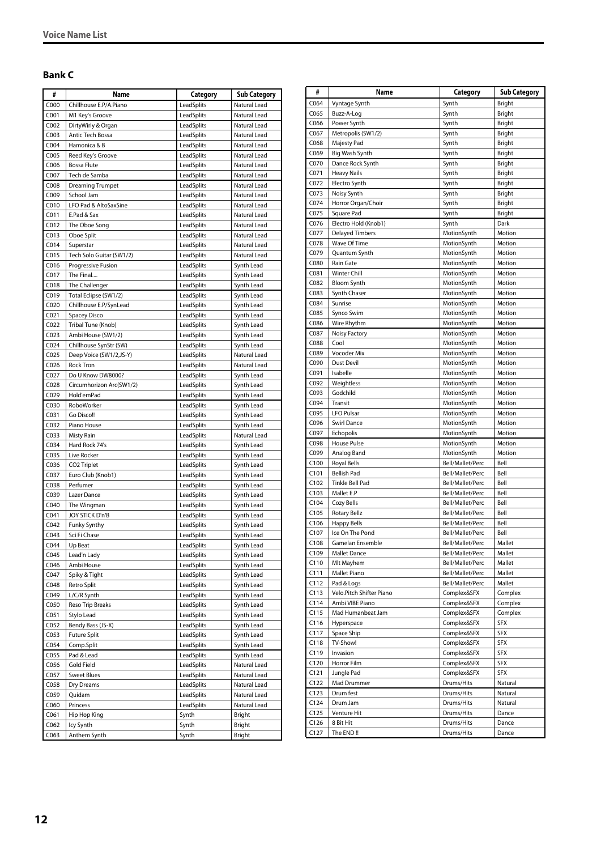# <span id="page-11-0"></span>**Bank C**

| #                | Name                                            | Category                 | <b>Sub Category</b>      |
|------------------|-------------------------------------------------|--------------------------|--------------------------|
| C000             | Chillhouse E.P/A.Piano                          | LeadSplits               | Natural Lead             |
| C001             | M1 Key's Groove                                 | LeadSplits               | Natural Lead             |
| C002             | DirtyWirly & Organ                              | LeadSplits               | Natural Lead             |
| C003             | Antic Tech Bossa                                | LeadSplits               | Natural Lead             |
| C004             | Hamonica & B                                    | LeadSplits               | Natural Lead             |
| C005             | Reed Key's Groove                               | LeadSplits               | Natural Lead             |
| C006             | <b>Bossa Flute</b>                              | LeadSplits               | Natural Lead             |
| C007             | Tech de Samba                                   | LeadSplits               | Natural Lead             |
| C008             | <b>Dreaming Trumpet</b>                         | LeadSplits               | Natural Lead             |
| C009             | School Jam                                      | LeadSplits               | Natural Lead             |
| C010             | LFO Pad & AltoSaxSine                           | LeadSplits               | Natural Lead             |
| C011             | E.Pad & Sax                                     | LeadSplits               | Natural Lead             |
| CO12             | The Oboe Song                                   | LeadSplits               | Natural Lead             |
| C013             | Oboe Split                                      | LeadSplits               | Natural Lead             |
| C014             | Superstar                                       | LeadSplits               | Natural Lead             |
| C015             | Tech Solo Guitar (SW1/2)                        | LeadSplits               | Natural Lead             |
| C016             | Progressive Fusion                              | LeadSplits               | Synth Lead               |
| C017             | The Final                                       | LeadSplits               | Synth Lead<br>Synth Lead |
| C018<br>C019     | The Challenger                                  | LeadSplits<br>LeadSplits |                          |
| C020             | Total Eclipse (SW1/2)<br>Chillhouse E.P/SynLead | LeadSplits               | Synth Lead<br>Synth Lead |
| C021             | Spacey Disco                                    | LeadSplits               | Synth Lead               |
| C022             | Tribal Tune (Knob)                              | LeadSplits               | Synth Lead               |
| C023             | Ambi House (SW1/2)                              | LeadSplits               | Synth Lead               |
| CO <sub>24</sub> | Chillhouse SynStr (SW)                          | LeadSplits               | Synth Lead               |
| C025             | Deep Voice (SW1/2,JS-Y)                         | LeadSplits               | Natural Lead             |
| C026             | <b>Rock Tron</b>                                | LeadSplits               | Natural Lead             |
| C027             | Do U Know DW8000?                               | LeadSplits               | Synth Lead               |
| C028             | Circumhorizon Arc(SW1/2)                        | LeadSplits               | Synth Lead               |
| C029             | Hold'emPad                                      | LeadSplits               | Synth Lead               |
| C030             | RoboWorker                                      | LeadSplits               | Synth Lead               |
| C031             | Go Disco!!                                      | LeadSplits               | Synth Lead               |
| C032             | Piano House                                     | LeadSplits               | Synth Lead               |
| C033             | <b>Misty Rain</b>                               | LeadSplits               | Natural Lead             |
| C034             | Hard Rock 74's                                  | LeadSplits               | Synth Lead               |
| C035             | Live Rocker                                     | LeadSplits               | Synth Lead               |
| C036             | CO <sub>2</sub> Triplet                         | LeadSplits               | Synth Lead               |
| C037             | Euro Club (Knob1)                               | LeadSplits               | Synth Lead               |
| C038             | Perfumer                                        | LeadSplits               | Synth Lead               |
| C039             | Lazer Dance                                     | LeadSplits               | Synth Lead               |
| C040             | The Wingman                                     | LeadSplits               | Synth Lead               |
| CO <sub>41</sub> | JOY STICK D'n'B                                 | LeadSplits               | Synth Lead               |
| CO <sub>42</sub> | Funky Synthy                                    | LeadSplits               | Synth Lead               |
| CO <sub>43</sub> | Sci Fi Chase                                    | LeadSplits               | Synth Lead               |
| C044             | Up Beat                                         | LeadSplits               | Synth Lead               |
| C045<br>C046     | Lead'n Lady<br>Ambi House                       | LeadSplits<br>LeadSplits | Synth Lead<br>Synth Lead |
|                  |                                                 |                          |                          |
| C047<br>C048     | Spiky & Tight<br>Retro Split                    | LeadSplits<br>LeadSplits | Synth Lead<br>Synth Lead |
| C049             | L/C/R Synth                                     | LeadSplits               | Synth Lead               |
| C050             | Reso Trip Breaks                                | LeadSplits               | Synth Lead               |
| C051             | Stylo Lead                                      | LeadSplits               | Synth Lead               |
| C052             | Bendy Bass (JS-X)                               | LeadSplits               | Synth Lead               |
| C053             | Future Split                                    | LeadSplits               | Synth Lead               |
| C054             | Comp.Split                                      | LeadSplits               | Synth Lead               |
| C055             | Pad & Lead                                      | LeadSplits               | Synth Lead               |
| C056             | Gold Field                                      | LeadSplits               | Natural Lead             |
| C057             | Sweet Blues                                     | LeadSplits               | Natural Lead             |
| C058             | Dry Dreams                                      | LeadSplits               | Natural Lead             |
| C059             | Quidam                                          | LeadSplits               | Natural Lead             |
| C060             | Princess                                        | LeadSplits               | Natural Lead             |
| C061             | Hip Hop King                                    | Synth                    | Bright                   |
| C062             | Icy Synth                                       | Synth                    | Bright                   |
| C063             | Anthem Synth                                    | Synth                    | Bright                   |
|                  |                                                 |                          |                          |

| #                                    | Name                          | Category                             | <b>Sub Category</b> |
|--------------------------------------|-------------------------------|--------------------------------------|---------------------|
| C064                                 | Vyntage Synth                 | Synth                                | Bright              |
| C065                                 | Buzz-A-Log                    | Synth                                | Bright              |
| C066                                 | Power Synth                   | Synth                                | Bright              |
| C067                                 | Metropolis (SW1/2)            | Synth                                | Bright              |
| C068                                 | Majesty Pad                   | Synth                                | Bright              |
| C069                                 | Big Wash Synth                | Synth                                | Bright              |
| C070                                 | Dance Rock Synth              | Synth                                | Bright              |
| C <sub>071</sub>                     | <b>Heavy Nails</b>            | Synth                                | Bright              |
| C072                                 | Electro Synth                 | Synth                                | Bright              |
| C073                                 | Noisy Synth                   | Synth                                | Bright              |
| C074                                 | Horror Organ/Choir            | Synth                                | Bright              |
| C075                                 | Square Pad                    | Synth                                | Bright              |
| C076                                 | Electro Hold (Knob1)          | Synth                                | Dark                |
| C077                                 | <b>Delayed Timbers</b>        | MotionSynth                          | Motion              |
| C078<br>C079                         | Wave Of Time<br>Quantum Synth | MotionSynth<br>MotionSynth           | Motion<br>Motion    |
| C080                                 | Rain Gate                     | MotionSynth                          | Motion              |
| C <sub>081</sub>                     | <b>Winter Chill</b>           | MotionSynth                          | Motion              |
| C082                                 | <b>Bloom Synth</b>            | MotionSynth                          | Motion              |
| C083                                 | Synth Chaser                  | MotionSynth                          | Motion              |
| C084                                 | Sunrise                       | MotionSynth                          | Motion              |
| C085                                 | Synco Swim                    | MotionSynth                          | Motion              |
| C086                                 | Wire Rhythm                   | MotionSynth                          | Motion              |
| C087                                 | Noisy Factory                 | MotionSynth                          | Motion              |
| C088                                 | Cool                          | MotionSynth                          | Motion              |
| C089                                 | Vocoder Mix                   | MotionSynth                          | Motion              |
| C090                                 | Dust Devil                    | MotionSynth                          | Motion              |
| C091                                 | Isabelle                      | MotionSynth                          | Motion              |
| C092                                 | Weightless                    | MotionSynth                          | Motion              |
| C093                                 | Godchild                      | MotionSynth                          | Motion              |
| C094                                 | Transit                       | MotionSynth                          | Motion              |
| C095                                 | <b>LFO Pulsar</b>             | MotionSynth                          | Motion              |
| C096                                 | <b>Swirl Dance</b>            | MotionSynth                          | Motion              |
| C097                                 | Echopolis                     | MotionSynth                          | Motion              |
| C098                                 | <b>House Pulse</b>            | MotionSynth                          | Motion              |
| C099                                 | Analog Band                   | MotionSynth                          | Motion              |
| C100                                 | Royal Bells                   | Bell/Mallet/Perc                     | Bell                |
| C <sub>101</sub>                     | Bellish Pad                   | Bell/Mallet/Perc                     | Bell                |
| C <sub>102</sub><br>C <sub>103</sub> | Tinkle Bell Pad<br>Mallet E.P | Bell/Mallet/Perc<br>Bell/Mallet/Perc | Bell<br>Bell        |
| C104                                 | Cozy Bells                    | Bell/Mallet/Perc                     | Bell                |
| C105                                 | <b>Rotary Bellz</b>           | Bell/Mallet/Perc                     | Bell                |
| C106                                 | Happy Bells                   | Bell/Mallet/Perc                     | Bell                |
| C <sub>107</sub>                     | Ice On The Pond               | Bell/Mallet/Perc                     | Bell                |
| C108                                 | Gamelan Ensemble              | Bell/Mallet/Perc                     | Mallet              |
| C109                                 | <b>Mallet Dance</b>           | Bell/Mallet/Perc                     | Mallet              |
| C110                                 | Mlt Mayhem                    | Bell/Mallet/Perc                     | Mallet              |
| C111                                 | Mallet Piano                  | Bell/Mallet/Perc                     | Mallet              |
| C112                                 | Pad & Logs                    | Bell/Mallet/Perc                     | Mallet              |
| C113                                 | Velo.Pitch Shifter Piano      | Complex&SFX                          | Complex             |
| C114                                 | Ambi VIBE Piano               | Complex&SFX                          | Complex             |
| C115                                 | Mad Humanbeat Jam             | Complex&SFX                          | Complex             |
| C116                                 | Hyperspace                    | Complex&SFX                          | SFX                 |
| C117                                 | Space Ship                    | Complex&SFX                          | SFX                 |
| C118                                 | TV-Show!                      | Complex&SFX                          | SFX                 |
| C119                                 | Invasion                      | Complex&SFX                          | SFX                 |
| C120                                 | Horror Film                   | Complex&SFX                          | <b>SFX</b>          |
| C121                                 | Jungle Pad                    | Complex&SFX                          | SFX                 |
| C122                                 | Mad Drummer                   | Drums/Hits                           | Natural             |
| C123                                 | Drum fest                     | Drums/Hits                           | Natural             |
| C124                                 | Drum Jam                      | Drums/Hits                           | Natural             |
| C125                                 | Venture Hit                   | Drums/Hits                           | Dance               |
| C126                                 | 8 Bit Hit                     | Drums/Hits                           | Dance               |
| C127                                 | The END!!                     | Drums/Hits                           | Dance               |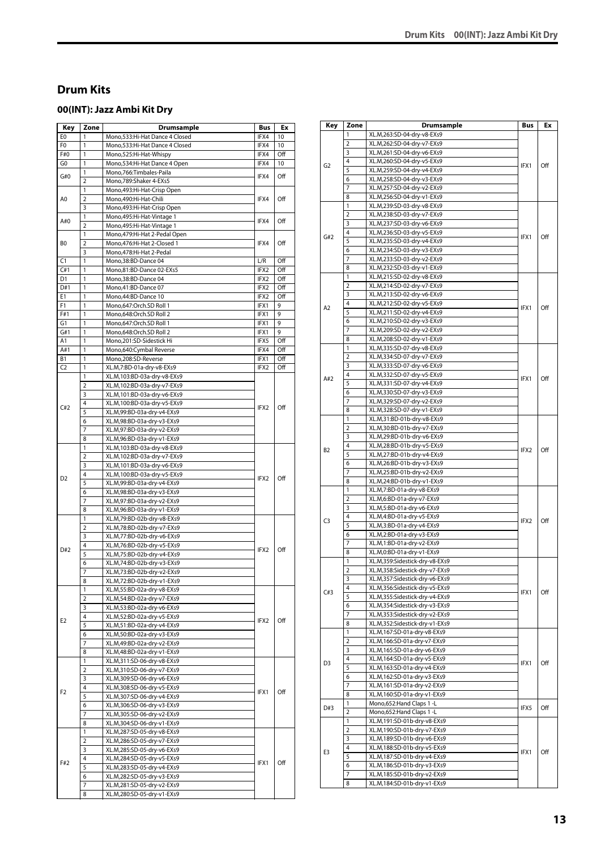# <span id="page-12-0"></span>**Drum Kits**

# <span id="page-12-1"></span>**00(INT): Jazz Ambi Kit Dry**

| Key            | Zone           | <b>Drumsample</b>                                        | Bus              | Ex         |
|----------------|----------------|----------------------------------------------------------|------------------|------------|
| E <sub>0</sub> | 1              | Mono,533:Hi-Hat Dance 4 Closed                           | IFX4             | 10         |
| F0             | 1              | Mono,533:Hi-Hat Dance 4 Closed                           | IFX4             | 10         |
| F#0            | 1              | Mono,525:Hi-Hat-Whispy                                   | IFX4             | Off        |
| G0             | 1              | Mono,534:Hi-Hat Dance 4 Open                             | IFX4             | 10         |
|                | 1              | Mono, 766: Timbales-Paila                                |                  |            |
| G#0            | $\overline{2}$ | Mono,789:Shaker 4-EXs5                                   | IFX4             | Off        |
| A0             | 1              | Mono, 493: Hi-Hat-Crisp Open                             |                  |            |
|                | 2              | Mono,490:Hi-Hat-Chili                                    | IFX4             | Off        |
|                | 3              | Mono, 493: Hi-Hat-Crisp Open                             |                  |            |
| A#0            | 1              | Mono, 495: Hi-Hat-Vintage 1                              | IFX4             | Off        |
|                | $\overline{2}$ | Mono, 495: Hi-Hat-Vintage 1                              |                  |            |
|                | 1              | Mono, 479: Hi-Hat 2-Pedal Open                           |                  |            |
| B <sub>0</sub> | $\overline{2}$ | Mono, 476: Hi-Hat 2-Closed 1                             | IFX4             | Off        |
|                | 3<br>1         | Mono, 478: Hi-Hat 2-Pedal                                |                  |            |
| C1<br>C#1      | 1              | Mono, 38: BD-Dance 04<br>Mono,81:BD-Dance 02-EXs5        | L/R<br>IFX2      | Off<br>Off |
| D <sub>1</sub> | 1              | Mono, 38: BD-Dance 04                                    | IFX2             | Off        |
| D#1            | 1              | Mono, 41: BD-Dance 07                                    | IFX2             | Off        |
| E1             | 1              | Mono, 44: BD-Dance 10                                    | IFX2             | Off        |
| F1             | 1              | Mono,647:Orch.SD Roll 1                                  | IFX1             | 9          |
| F#1            | 1              | Mono,648:Orch.SD Roll 2                                  | IFX1             | 9          |
| G1             | 1              | Mono,647:Orch.SD Roll 1                                  | IFX1             | 9          |
| G#1            | 1              | Mono,648:Orch.SD Roll 2                                  | IFX1             | 9          |
| A1             | 1              | Mono,201:SD-Sidestick Hi                                 | IFX5             | Off        |
| A#1            | 1              | Mono,640:Cymbal Reverse                                  | IFX4             | Off        |
| <b>B1</b>      | 1              | Mono,208:SD-Reverse                                      | IFX1             | Off        |
| C <sub>2</sub> | 1              | XL.M,7:BD-01a-dry-v8-EXs9                                | IFX2             | Off        |
|                | 1              | XL.M,103:BD-03a-dry-v8-EXs9                              |                  |            |
|                | $\overline{2}$ | XL.M,102:BD-03a-dry-v7-EXs9                              |                  |            |
|                | 3              | XL.M,101:BD-03a-dry-v6-EXs9                              |                  |            |
| C#2            | 4<br>5         | XL.M,100:BD-03a-dry-v5-EXs9                              | IFX2             | Off        |
|                | 6              | XL.M,99:BD-03a-dry-v4-EXs9<br>XL.M,98:BD-03a-dry-v3-EXs9 |                  |            |
|                | 7              | XL.M,97:BD-03a-dry-v2-EXs9                               |                  |            |
|                | 8              | XL.M,96:BD-03a-dry-v1-EXs9                               |                  |            |
|                | 1              | XL.M,103:BD-03a-dry-v8-EXs9                              |                  |            |
|                | $\overline{2}$ | XL.M,102:BD-03a-dry-v7-EXs9                              |                  |            |
|                | 3              | XL.M,101:BD-03a-dry-v6-EXs9                              | IFX <sub>2</sub> | Off        |
|                | 4              | XL.M,100:BD-03a-dry-v5-EXs9                              |                  |            |
| D <sub>2</sub> | 5              | XL.M,99:BD-03a-dry-v4-EXs9                               |                  |            |
|                | 6              | XL.M, 98: BD-03a-dry-v3-EXs9                             |                  |            |
|                | 7              | XL.M,97:BD-03a-dry-v2-EXs9                               |                  |            |
|                | 8              | XL.M,96:BD-03a-dry-v1-EXs9                               |                  |            |
|                | 1              | XL.M,79:BD-02b-dry-v8-EXs9                               |                  |            |
|                | $\overline{2}$ | XL.M,78:BD-02b-dry-v7-EXs9                               |                  | Off        |
|                | 3<br>4         | XL.M,77:BD-02b-dry-v6-EXs9<br>XL.M,76:BD-02b-dry-v5-EXs9 |                  |            |
| D#2            | 5              | XL.M,75:BD-02b-dry-v4-EXs9                               | IFX2             |            |
|                | 6              | XL.M,74:BD-02b-dry-v3-EXs9                               |                  |            |
|                | 7              | XL.M.73:BD-02b-drv-v2-EXs9                               |                  |            |
|                | 8              | XL.M,72:BD-02b-dry-v1-EXs9                               |                  |            |
|                | 1              | XL.M,55:BD-02a-dry-v8-EXs9                               |                  |            |
|                | $\overline{2}$ | XL.M,54:BD-02a-dry-v7-EXs9                               |                  |            |
|                | 3              | XL.M,53:BD-02a-dry-v6-EXs9                               |                  |            |
| E <sub>2</sub> | 4              | XL.M,52:BD-02a-dry-v5-EXs9                               | IFX <sub>2</sub> | Off        |
|                | 5              | XL.M,51:BD-02a-dry-v4-EXs9                               |                  |            |
|                | 6              | XL.M,50:BD-02a-dry-v3-EXs9                               |                  |            |
|                | 7              | XL.M,49:BD-02a-dry-v2-EXs9                               |                  |            |
|                | 8              | XL.M,48:BD-02a-dry-v1-EXs9                               |                  |            |
|                | 1              | XL.M,311:SD-06-dry-v8-EXs9                               |                  |            |
|                | $\overline{2}$ | XL.M,310:SD-06-dry-v7-EXs9                               |                  |            |
|                | 3<br>4         | XL.M,309:SD-06-dry-v6-EXs9<br>XL.M,308:SD-06-dry-v5-EXs9 |                  |            |
| F <sub>2</sub> | 5              | XL.M,307:SD-06-dry-v4-EXs9                               | IFX1             | Off        |
|                | 6              | XL.M,306:SD-06-dry-v3-EXs9                               |                  |            |
|                | 7              | XL.M,305:SD-06-dry-v2-EXs9                               |                  |            |
|                | 8              | XL.M,304:SD-06-dry-v1-EXs9                               |                  |            |
|                | 1              | XL.M,287:SD-05-dry-v8-EXs9                               |                  |            |
|                | 2              | XL.M,286:SD-05-dry-v7-EXs9                               |                  |            |
|                | 3              | XL.M,285:SD-05-dry-v6-EXs9                               |                  |            |
| F#2            | 4              | XL.M,284:SD-05-dry-v5-EXs9                               | IFX1             | Off        |
|                | 5              | XL.M,283:SD-05-dry-v4-EXs9                               |                  |            |
|                | 6              | XL.M,282:SD-05-dry-v3-EXs9                               |                  |            |
|                | 7              | XL.M,281:SD-05-dry-v2-EXs9                               |                  |            |
|                | 8              | XL.M,280:SD-05-dry-v1-EXs9                               |                  |            |

| Key            | Zone           | <b>Drumsample</b>                                                | Bus  | Ex  |
|----------------|----------------|------------------------------------------------------------------|------|-----|
|                | 1              | XL.M,263:SD-04-dry-v8-EXs9                                       |      |     |
|                | 2              | XL.M,262:SD-04-dry-v7-EXs9                                       |      |     |
|                | 3              | XL.M,261:SD-04-dry-v6-EXs9                                       |      |     |
| G <sub>2</sub> | 4              | XL.M,260:SD-04-dry-v5-EXs9                                       | IFX1 | Off |
|                | 5              | XL.M,259:SD-04-dry-v4-EXs9                                       |      |     |
|                | 6              | XL.M,258:SD-04-dry-v3-EXs9                                       |      |     |
|                | 7              | XL.M,257:SD-04-dry-v2-EXs9                                       |      |     |
|                | 8              | XL.M,256:SD-04-dry-v1-EXs9                                       |      |     |
|                | 1<br>2         | XL.M,239:SD-03-dry-v8-EXs9                                       |      |     |
|                | 3              | XL.M,238:SD-03-dry-v7-EXs9<br>XL.M,237:SD-03-dry-v6-EXs9         |      |     |
|                | 4              | XL.M,236:SD-03-dry-v5-EXs9                                       |      |     |
| G#2            | 5              | XL.M,235:SD-03-dry-v4-EXs9                                       | IFX1 | Off |
|                | 6              | XL.M,234:SD-03-dry-v3-EXs9                                       |      |     |
|                | 7              | XL.M,233:SD-03-dry-v2-EXs9                                       |      |     |
|                | 8              | XL.M,232:SD-03-dry-v1-EXs9                                       |      |     |
|                | 1              | XL.M,215:SD-02-dry-v8-EXs9                                       |      |     |
|                | $\overline{2}$ | XL.M,214:SD-02-dry-v7-EXs9                                       |      |     |
|                | 3              | XL.M,213:SD-02-dry-v6-EXs9                                       |      |     |
| A2             | 4              | XL.M,212:SD-02-dry-v5-EXs9                                       | IFX1 | Off |
|                | 5              | XL.M,211:SD-02-dry-v4-EXs9                                       |      |     |
|                | 6              | XL.M,210:SD-02-dry-v3-EXs9                                       |      |     |
|                | 7              | XL.M,209:SD-02-dry-v2-EXs9                                       |      |     |
|                | 8<br>1         | XL.M,208:SD-02-dry-v1-EXs9                                       |      |     |
|                | 2              | XL.M,335:SD-07-dry-v8-EXs9<br>XL.M,334:SD-07-dry-v7-EXs9         |      |     |
|                | 3              | XL.M,333:SD-07-dry-v6-EXs9                                       |      |     |
|                | 4              | XL.M,332:SD-07-dry-v5-EXs9                                       |      |     |
| A#2            | 5              | XL.M,331:SD-07-dry-v4-EXs9                                       | IFX1 | Off |
|                | 6              | XL.M,330:SD-07-dry-v3-EXs9                                       |      |     |
|                | 7              | XL.M,329:SD-07-dry-v2-EXs9                                       |      |     |
|                | 8              | XL.M,328:SD-07-dry-v1-EXs9                                       |      |     |
|                | 1              | XL.M,31:BD-01b-dry-v8-EXs9                                       |      |     |
|                | $\overline{2}$ | XL.M,30:BD-01b-dry-v7-EXs9                                       |      |     |
|                | 3              | XL.M,29:BD-01b-dry-v6-EXs9                                       |      |     |
| B <sub>2</sub> | 4              | XL.M,28:BD-01b-dry-v5-EXs9                                       | IFX2 | Off |
|                | 5              | XL.M,27:BD-01b-dry-v4-EXs9                                       |      |     |
|                | 6              | XL.M,26:BD-01b-dry-v3-EXs9                                       |      |     |
|                | 7              | XL.M,25:BD-01b-dry-v2-EXs9                                       |      |     |
|                | 8<br>1         | XL.M,24:BD-01b-dry-v1-EXs9<br>XL.M,7:BD-01a-dry-v8-EXs9          |      |     |
|                | 2              | XL.M,6:BD-01a-dry-v7-EXs9                                        |      |     |
|                | 3              | XL.M,5:BD-01a-dry-v6-EXs9                                        |      |     |
|                | 4              | XL.M,4:BD-01a-dry-v5-EXs9                                        |      |     |
| C3             | 5              | XL.M,3:BD-01a-dry-v4-EXs9                                        | IFX2 | Off |
|                | 6              | XL.M,2:BD-01a-dry-v3-EXs9                                        |      |     |
|                | 7              | XL.M,1:BD-01a-dry-v2-EXs9                                        |      |     |
|                | 8              | XL.M,0:BD-01a-dry-v1-EXs9                                        |      |     |
|                | 1              | XL.M,359:Sidestick-dry-v8-EXs9                                   |      |     |
|                | $\overline{2}$ | XL.M,358:Sidestick-dry-v7-EXs9                                   |      |     |
|                | 3              | XL.M,357:Sidestick-dry-v6-EXs9                                   |      |     |
| C#3            | 4              | XL.M,356:Sidestick-dry-v5-EXs9                                   | IFX1 | Off |
|                | 5<br>6         | XL.M,355:Sidestick-dry-v4-EXs9<br>XL.M,354:Sidestick-dry-v3-EXs9 |      |     |
|                | 7              | XL.M,353:Sidestick-dry-v2-EXs9                                   |      |     |
|                | 8              | XL.M,352:Sidestick-dry-v1-EXs9                                   |      |     |
|                | 1              | XL.M,167:SD-01a-dry-v8-EXs9                                      |      |     |
|                | 2              | XL.M,166:SD-01a-dry-v7-EXs9                                      |      |     |
|                | 3              | XL.M,165:SD-01a-dry-v6-EXs9                                      |      |     |
|                | 4              | XL.M,164:SD-01a-dry-v5-EXs9                                      |      | Off |
| D3             | 5              | XL.M,163:SD-01a-dry-v4-EXs9                                      | IFX1 |     |
|                | 6              | XL.M,162:SD-01a-dry-v3-EXs9                                      |      |     |
|                | 7              | XL.M,161:SD-01a-dry-v2-EXs9                                      |      |     |
|                | 8              | XL.M,160:SD-01a-dry-v1-EXs9                                      |      |     |
| D#3            | 1              | Mono,652:Hand Claps 1 -L                                         | IFX5 | Off |
|                | 2              | Mono,652:Hand Claps 1 -L                                         |      |     |
|                | 1              | XL.M,191:SD-01b-dry-v8-EXs9                                      |      |     |
|                | 2<br>3         | XL.M,190:SD-01b-dry-v7-EXs9<br>XL.M,189:SD-01b-dry-v6-EXs9       |      |     |
|                | 4              | XL.M,188:SD-01b-dry-v5-EXs9                                      |      |     |
| E3             | 5              | XL.M,187:SD-01b-dry-v4-EXs9                                      | IFX1 | Off |
|                | 6              | XL.M,186:SD-01b-dry-v3-EXs9                                      |      |     |
|                | 7              | XL.M,185:SD-01b-dry-v2-EXs9                                      |      |     |
|                | 8              | XL.M,184:SD-01b-dry-v1-EXs9                                      |      |     |
|                |                |                                                                  |      |     |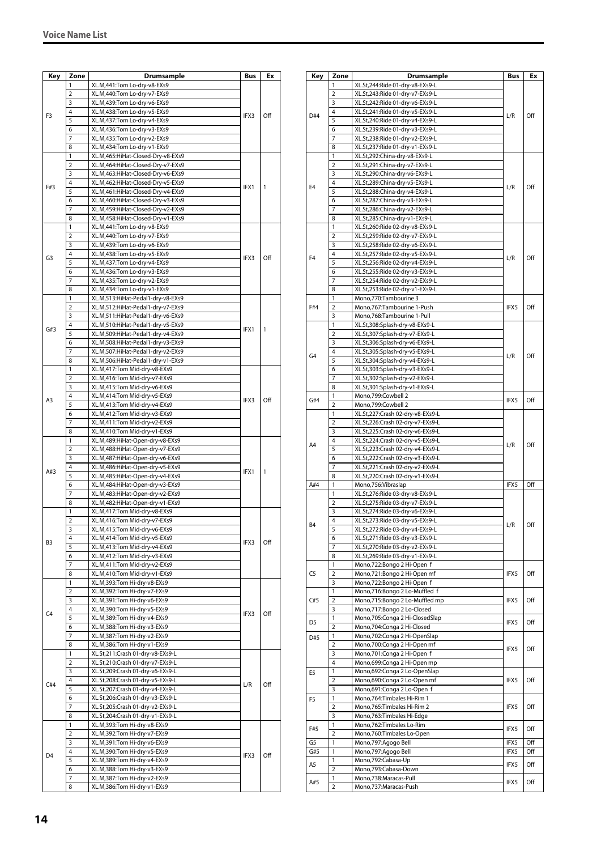| Key            | Zone           | Drumsample                                                             | Bus  | Ex  |
|----------------|----------------|------------------------------------------------------------------------|------|-----|
|                | 1              | XL.M,441:Tom Lo-dry-v8-EXs9                                            |      |     |
|                | 2              | XL.M,440:Tom Lo-dry-v7-EXs9                                            |      |     |
|                | 3              | XL.M,439:Tom Lo-dry-v6-EXs9                                            |      |     |
| F3             | 4              | XL.M,438:Tom Lo-dry-v5-EXs9                                            | IFX3 | Off |
|                | 5              | XL.M,437:Tom Lo-dry-v4-EXs9                                            |      |     |
|                | 6              | XL.M,436:Tom Lo-dry-v3-EXs9                                            |      |     |
|                | 7              | XL.M,435:Tom Lo-dry-v2-EXs9                                            |      |     |
|                | 8              | XL.M,434:Tom Lo-dry-v1-EXs9                                            |      |     |
|                | 1              | XL.M,465:HiHat-Closed-Dry-v8-EXs9                                      |      |     |
|                | 2              | XL.M,464:HiHat-Closed-Dry-v7-EXs9                                      |      |     |
|                | 3              | XL.M,463:HiHat-Closed-Dry-v6-EXs9                                      |      |     |
| F#3            | 4<br>5         | XL.M,462:HiHat-Closed-Dry-v5-EXs9                                      | IFX1 | 1   |
|                | 6              | XL.M,461:HiHat-Closed-Dry-v4-EXs9                                      |      |     |
|                | 7              | XL.M,460:HiHat-Closed-Dry-v3-EXs9<br>XL.M,459:HiHat-Closed-Dry-v2-EXs9 |      |     |
|                | 8              | XL.M,458:HiHat-Closed-Dry-v1-EXs9                                      |      |     |
|                | 1              | XL.M,441:Tom Lo-dry-v8-EXs9                                            |      |     |
|                | 2              | XL.M,440:Tom Lo-dry-v7-EXs9                                            |      |     |
|                | 3              | XL.M,439:Tom Lo-dry-v6-EXs9                                            |      |     |
|                | 4              | XL.M,438:Tom Lo-dry-v5-EXs9                                            |      |     |
| G3             | 5              | XL.M,437:Tom Lo-dry-v4-EXs9                                            | IFX3 | Off |
|                | 6              | XL.M,436:Tom Lo-dry-v3-EXs9                                            |      |     |
|                | 7              | XL.M,435:Tom Lo-dry-v2-EXs9                                            |      |     |
|                | 8              | XL.M,434:Tom Lo-dry-v1-EXs9                                            |      |     |
|                | 1              | XL.M,513:HiHat-Pedal1-dry-v8-EXs9                                      |      |     |
|                | 2              | XL.M,512:HiHat-Pedal1-dry-v7-EXs9                                      |      |     |
|                | 3              | XL.M,511:HiHat-Pedal1-dry-v6-EXs9                                      |      |     |
|                | 4              | XL.M,510:HiHat-Pedal1-dry-v5-EXs9                                      |      |     |
| G#3            | 5              | XL.M,509:HiHat-Pedal1-dry-v4-EXs9                                      | IFX1 | 1   |
|                | 6              | XL.M,508:HiHat-Pedal1-dry-v3-EXs9                                      |      |     |
|                | 7              | XL.M,507:HiHat-Pedal1-dry-v2-EXs9                                      |      |     |
|                | 8              | XL.M,506:HiHat-Pedal1-dry-v1-EXs9                                      |      |     |
|                | 1              | XL.M,417:Tom Mid-dry-v8-EXs9                                           |      |     |
|                | 2              | XL.M,416:Tom Mid-dry-v7-EXs9                                           |      |     |
|                | 3              | XL.M,415:Tom Mid-dry-v6-EXs9                                           |      |     |
| A3             | 4              | XL.M,414:Tom Mid-dry-v5-EXs9                                           | IFX3 | Off |
|                | 5              | XL.M,413:Tom Mid-dry-v4-EXs9                                           |      |     |
|                | 6              | XL.M,412:Tom Mid-dry-v3-EXs9                                           |      |     |
|                | 7              | XL.M,411:Tom Mid-dry-v2-EXs9                                           |      |     |
|                | 8              | XL.M,410:Tom Mid-dry-v1-EXs9                                           |      |     |
|                | 1              | XL.M,489:HiHat-Open-dry-v8-EXs9                                        |      |     |
|                | 2              | XL.M,488:HiHat-Open-dry-v7-EXs9                                        |      |     |
|                | 3<br>4         | XL.M,487:HiHat-Open-dry-v6-EXs9                                        |      |     |
| A#3            |                | XL.M,486:HiHat-Open-dry-v5-EXs9                                        | IFX1 | 1   |
|                | 5<br>6         | XL.M,485:HiHat-Open-dry-v4-EXs9                                        |      |     |
|                | 7              | XL.M,484:HiHat-Open-dry-v3-EXs9<br>XL.M,483:HiHat-Open-dry-v2-EXs9     |      |     |
|                | 8              | XL.M,482:HiHat-Open-dry-v1-EXs9                                        |      |     |
|                | 1              | XL.M,417:Tom Mid-dry-v8-EXs9                                           |      |     |
|                | $\overline{2}$ | XL.M,416:Tom Mid-dry-v7-EXs9                                           |      |     |
|                | 3              | XL.M,415:Tom Mid-dry-v6-EXs9                                           |      |     |
|                | 4              | XL.M,414:Tom Mid-dry-v5-EXs9                                           |      |     |
| B <sub>3</sub> | 5              | XL.M,413:Tom Mid-dry-v4-EXs9                                           | IFX3 | Off |
|                | 6              | XL.M,412:Tom Mid-dry-v3-EXs9                                           |      |     |
|                | 7              | XL.M,411:Tom Mid-dry-v2-EXs9                                           |      |     |
|                | 8              | XL.M,410:Tom Mid-dry-v1-EXs9                                           |      |     |
|                | 1              | XL.M,393:Tom Hi-dry-v8-EXs9                                            |      |     |
|                | 2              | XL.M,392:Tom Hi-dry-v7-EXs9                                            |      |     |
|                | 3              | XL.M,391:Tom Hi-dry-v6-EXs9                                            |      |     |
| C <sub>4</sub> | 4              | XL.M,390:Tom Hi-dry-v5-EXs9                                            |      |     |
|                | 5              | XL.M,389:Tom Hi-dry-v4-EXs9                                            | IFX3 | Off |
|                | 6              | XL.M,388:Tom Hi-dry-v3-EXs9                                            |      |     |
|                | 7              | XL.M,387:Tom Hi-dry-v2-EXs9                                            |      |     |
|                | 8              | XL.M,386:Tom Hi-dry-v1-EXs9                                            |      |     |
|                | 1              | XL.St,211:Crash 01-dry-v8-EXs9-L                                       |      |     |
|                | 2              | XL.St,210:Crash 01-dry-v7-EXs9-L                                       |      |     |
|                | 3              | XL.St,209:Crash 01-dry-v6-EXs9-L                                       |      |     |
| C#4            | 4              | XL.St,208:Crash 01-dry-v5-EXs9-L                                       | L/R  | Off |
|                | 5              | XL.St,207:Crash 01-dry-v4-EXs9-L                                       |      |     |
|                | 6              | XL.St,206:Crash 01-dry-v3-EXs9-L                                       |      |     |
|                | 7              | XL.St,205:Crash 01-dry-v2-EXs9-L                                       |      |     |
|                | 8              | XL.St,204:Crash 01-dry-v1-EXs9-L                                       |      |     |
|                | 1              | XL.M,393:Tom Hi-dry-v8-EXs9                                            |      |     |
|                | 2              | XL.M,392:Tom Hi-dry-v7-EXs9                                            |      |     |
|                | 3              | XL.M,391:Tom Hi-dry-v6-EXs9                                            |      |     |
| D <sub>4</sub> | 4              | XL.M,390:Tom Hi-dry-v5-EXs9                                            | IFX3 | Off |
|                | 5              | XL.M,389:Tom Hi-dry-v4-EXs9                                            |      |     |
|                | 6<br>7         | XL.M,388:Tom Hi-dry-v3-EXs9<br>XL.M,387:Tom Hi-dry-v2-EXs9             |      |     |
|                | 8              | XL.M,386:Tom Hi-dry-v1-EXs9                                            |      |     |
|                |                |                                                                        |      |     |

| Key            | Zone           | Drumsample                                                           | Bus  | Ex  |
|----------------|----------------|----------------------------------------------------------------------|------|-----|
|                | 1              | XL.St,244:Ride 01-dry-v8-EXs9-L                                      |      |     |
|                | 2              | XL.St,243:Ride 01-dry-v7-EXs9-L                                      |      |     |
|                | 3              | XL.St,242:Ride 01-dry-v6-EXs9-L                                      |      |     |
| D#4            | 4              | XL.St,241:Ride 01-dry-v5-EXs9-L                                      | L/R  | Off |
|                | 5              | XL.St,240:Ride 01-dry-v4-EXs9-L                                      |      |     |
|                | 6              | XL.St,239:Ride 01-dry-v3-EXs9-L                                      |      |     |
|                | 7              | XL.St,238:Ride 01-dry-v2-EXs9-L                                      |      |     |
|                | 8              | XL.St,237:Ride 01-dry-v1-EXs9-L                                      |      |     |
|                | 1              | XL.St,292:China-dry-v8-EXs9-L                                        |      |     |
|                | 2              | XL.St,291:China-dry-v7-EXs9-L                                        |      |     |
|                | 3              | XL.St,290:China-dry-v6-EXs9-L                                        |      |     |
| E4             | 4              | XL.St,289:China-dry-v5-EXs9-L                                        | L/R  | Off |
|                | 5              | XL.St,288:China-dry-v4-EXs9-L                                        |      |     |
|                | 6<br>7         | XL.St,287:China-dry-v3-EXs9-L<br>XL.St,286:China-dry-v2-EXs9-L       |      |     |
|                | 8              | XL.St,285:China-dry-v1-EXs9-L                                        |      |     |
|                | 1              | XL.St,260:Ride 02-dry-v8-EXs9-L                                      |      |     |
|                | $\overline{2}$ | XL.St,259:Ride 02-dry-v7-EXs9-L                                      |      |     |
|                | 3              | XL.St,258:Ride 02-dry-v6-EXs9-L                                      |      |     |
|                | 4              | XL.St,257:Ride 02-dry-v5-EXs9-L                                      |      |     |
| F <sub>4</sub> | 5              | XL.St,256:Ride 02-dry-v4-EXs9-L                                      | L/R  | Off |
|                | 6              | XL.St,255:Ride 02-dry-v3-EXs9-L                                      |      |     |
|                | 7              | XL.St,254:Ride 02-dry-v2-EXs9-L                                      |      |     |
|                | 8              | XL.St,253:Ride 02-dry-v1-EXs9-L                                      |      |     |
|                | 1              | Mono, 770: Tambourine 3                                              |      |     |
| F#4            | 2              | Mono,767:Tambourine 1-Push                                           | IFX5 | Off |
|                | 3              | Mono,768:Tambourine 1-Pull                                           |      |     |
|                | 1              | XL.St,308:Splash-dry-v8-EXs9-L                                       |      |     |
|                | 2              | XL.St,307:Splash-dry-v7-EXs9-L                                       |      |     |
|                | 3              | XL.St,306:Splash-dry-v6-EXs9-L                                       |      |     |
| G <sub>4</sub> | 4              | XL.St,305:Splash-dry-v5-EXs9-L                                       | L/R  | Off |
|                | 5              | XL.St,304:Splash-dry-v4-EXs9-L                                       |      |     |
|                | 6              | XL.St,303:Splash-dry-v3-EXs9-L                                       |      |     |
|                | 7              | XL.St,302:Splash-dry-v2-EXs9-L                                       |      |     |
|                | 8              | XL.St,301:Splash-dry-v1-EXs9-L                                       |      |     |
| G#4            | 1              | Mono,799:Cowbell 2                                                   | IFX5 | Off |
|                | $\overline{2}$ | Mono,799:Cowbell 2                                                   |      | Off |
|                | 1              | XL.St,227:Crash 02-dry-v8-EXs9-L                                     | L/R  |     |
|                | $\overline{2}$ | XL.St,226:Crash 02-dry-v7-EXs9-L                                     |      |     |
|                | 3              | XL.St,225:Crash 02-dry-v6-EXs9-L                                     |      |     |
| A4             | 4<br>5         | XL.St,224:Crash 02-dry-v5-EXs9-L                                     |      |     |
|                | 6              | XL.St,223:Crash 02-dry-v4-EXs9-L                                     |      |     |
|                | 7              | XL.St,222:Crash 02-dry-v3-EXs9-L<br>XL.St,221:Crash 02-dry-v2-EXs9-L |      |     |
|                | 8              | XL.St,220:Crash 02-dry-v1-EXs9-L                                     |      |     |
| A#4            | 1              | Mono, 756: Vibraslap                                                 | IFX5 | Off |
|                | 1              | XL.St,276:Ride 03-dry-v8-EXs9-L                                      |      |     |
|                | $\overline{2}$ | XL.St,275:Ride 03-dry-v7-EXs9-L                                      |      |     |
|                | 3              | XL.St,274:Ride 03-dry-v6-EXs9-L                                      |      |     |
|                | 4              | XL.St,273:Ride 03-dry-v5-EXs9-L                                      |      |     |
| B4             | 5              | XL.St,272:Ride 03-dry-v4-EXs9-L                                      | L/R  | Off |
|                | 6              | XL.St,271:Ride 03-dry-v3-EXs9-L                                      |      |     |
|                | 7              | XL.St, 270:Ride 03-dry-v2-EXs9-L                                     |      |     |
|                | 8              | XL.St,269:Ride 03-dry-v1-EXs9-L                                      |      |     |
|                | 1              | Mono,722:Bongo 2 Hi-Open f                                           |      |     |
| C <sub>5</sub> | $\overline{2}$ | Mono,721:Bongo 2 Hi-Open mf                                          | IFX5 | Off |
|                | 3              | Mono,722:Bongo 2 Hi-Open f                                           |      |     |
|                | 1              | Mono,716:Bongo 2 Lo-Muffled f                                        |      |     |
| C#5            | $\overline{2}$ | Mono,715:Bongo 2 Lo-Muffled mp                                       | IFX5 | Off |
|                | 3              | Mono,717:Bongo 2 Lo-Closed                                           |      |     |
| D5             | 1              | Mono,705:Conga 2 Hi-ClosedSlap                                       | IFX5 | Off |
|                | $\overline{2}$ | Mono,704:Conga 2 Hi-Closed                                           |      |     |
| D#5            | 1              | Mono, 702: Conga 2 Hi-OpenSlap                                       |      |     |
|                | 2              | Mono,700:Conga 2 Hi-Open mf                                          | IFX5 | Off |
|                | 3              | Mono,701:Conga 2 Hi-Open f                                           |      |     |
|                | 4              | Mono,699:Conga 2 Hi-Open mp                                          |      |     |
| E5             | 1              | Mono,692:Conga 2 Lo-OpenSlap                                         |      |     |
|                | 2<br>3         | Mono,690:Conga 2 Lo-Open mf                                          | IFX5 | Off |
|                | 1              | Mono,691:Conga 2 Lo-Open f<br>Mono, 764: Timbales Hi-Rim 1           |      |     |
| F5             | $\overline{2}$ | Mono, 765: Timbales Hi-Rim 2                                         | IFX5 | Off |
|                | 3              | Mono,763:Timbales Hi-Edge                                            |      |     |
|                | 1              | Mono,762:Timbales Lo-Rim                                             | IFX5 |     |
| F#5            | $\overline{2}$ | Mono,760:Timbales Lo-Open                                            |      | Off |
| G5             | 1              | Mono, 797: Agogo Bell                                                | IFX5 | Off |
| G#5            | 1              | Mono, 797: Agogo Bell                                                | IFX5 | Off |
|                | 1              | Mono,792:Cabasa-Up                                                   |      |     |
| A5             | $\overline{2}$ | Mono,793:Cabasa-Down                                                 | IFX5 | Off |
|                | 1              | Mono,738:Maracas-Pull                                                |      |     |
| A#5            | $\overline{2}$ | Mono,737: Maracas-Push                                               | IFX5 | Off |
|                |                |                                                                      |      |     |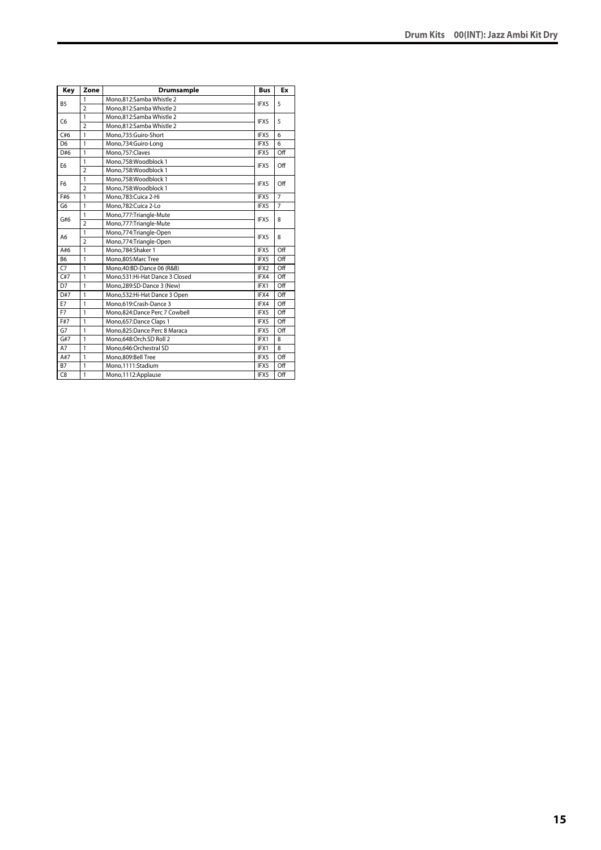| Key            | Zone           | <b>Drumsample</b>              | <b>Bus</b> | Ex             |
|----------------|----------------|--------------------------------|------------|----------------|
| <b>B5</b>      | 1              | Mono,812:Samba Whistle 2       | IFX5       | 5              |
|                | $\overline{2}$ | Mono.812:Samba Whistle 2       |            |                |
| C <sub>6</sub> | $\mathbf{1}$   | Mono,812:Samba Whistle 2       | IFX5       | 5              |
|                | $\overline{2}$ | Mono,812:Samba Whistle 2       |            |                |
| C#6            | $\mathbf{1}$   | Mono.735:Guiro-Short           | IFX5       | 6              |
| D <sub>6</sub> | 1              | Mono,734:Guiro-Long            | IFX5       | 6              |
| D#6            | $\mathbf{1}$   | Mono,757:Claves                | IFX5       | Off            |
| E <sub>6</sub> | $\mathbf{1}$   | Mono.758:Woodblock 1           | IFX5       | Off            |
|                | $\overline{2}$ | Mono,758:Woodblock 1           |            |                |
| F <sub>6</sub> | 1              | Mono.758:Woodblock 1           | IFX5       | Off            |
|                | $\overline{2}$ | Mono.758:Woodblock 1           |            |                |
| F#6            | $\mathbf{1}$   | Mono.783:Cuica 2-Hi            | IFX5       | $\overline{7}$ |
| G <sub>6</sub> | 1              | Mono.782:Cuica 2-Lo            | IFX5       | $\overline{7}$ |
|                | 1              | Mono,777:Triangle-Mute         | IFX5       | 8              |
| G#6            | $\overline{2}$ | Mono,777:Triangle-Mute         |            |                |
| A <sub>6</sub> | $\mathbf{1}$   | Mono,774:Triangle-Open         | IFX5       | 8              |
|                | $\overline{2}$ | Mono,774:Triangle-Open         |            |                |
| A#6            | 1              | Mono.784:Shaker 1              | IFX5       | Off            |
| <b>B6</b>      | $\mathbf{1}$   | Mono.805:Marc Tree             | IFX5       | Off            |
| C7             | $\mathbf{1}$   | Mono,40:BD-Dance 06 (R&B)      | IFX2       | Off            |
| C#7            | 1              | Mono.531:Hi-Hat Dance 3 Closed | IFX4       | Off            |
| D7             | 1              | Mono.289:SD-Dance 3 (New)      | IFX1       | Off            |
| D#7            | $\mathbf{1}$   | Mono,532:Hi-Hat Dance 3 Open   | IFX4       | Off            |
| E7             | $\mathbf{1}$   | Mono.619:Crash-Dance 3         | IFX4       | Off            |
| F7             | 1              | Mono.824:Dance Perc 7 Cowbell  | IFX5       | Off            |
| F#7            | 1              | Mono,657:Dance Claps 1         | IFX5       | Off            |
| G7             | $\mathbf{1}$   | Mono.825:Dance Perc 8 Maraca   | IFX5       | Off            |
| G#7            | $\mathbf{1}$   | Mono,648:Orch.SD Roll 2        | IFX1       | 8              |
| A7             | 1              | Mono.646:Orchestral SD         | IFX1       | 8              |
| A#7            | 1              | Mono,809:Bell Tree             | IFX5       | Off            |
| <b>B7</b>      | $\mathbf{1}$   | Mono.1111:Stadium              | IFX5       | Off            |
| C8             | $\overline{1}$ | Mono,1112:Applause             | IFX5       | Off            |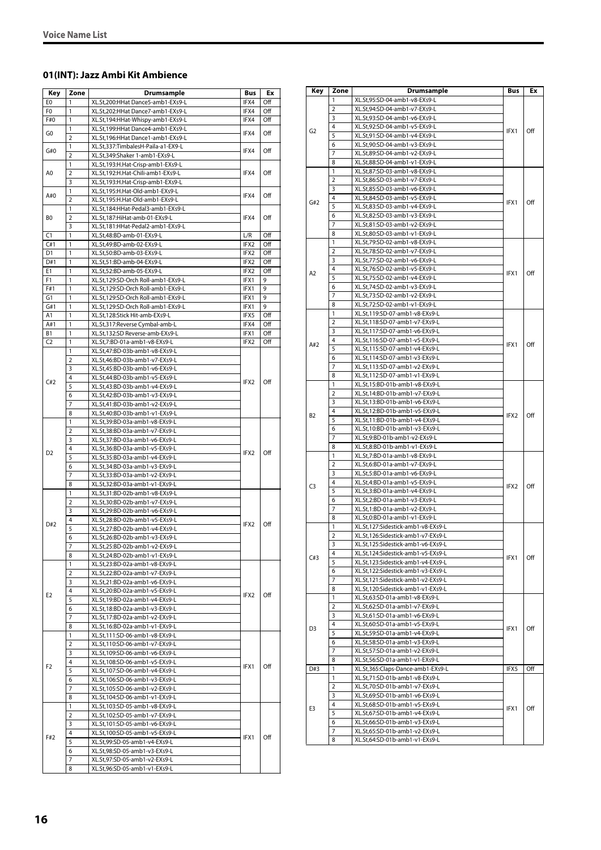# <span id="page-15-0"></span>**01(INT): Jazz Ambi Kit Ambience**

| Key            | Zone           | <b>Drumsample</b>                  | <b>Bus</b> | Ex  |
|----------------|----------------|------------------------------------|------------|-----|
| E <sub>0</sub> | $\mathbf{1}$   | XL.St,200:HHat Dance5-amb1-EXs9-L  | IFX4       | Off |
| F0             | 1              | XL.St,202:HHat Dance7-amb1-EXs9-L  | IFX4       | Off |
| F#0            | 1              | XL.St,194:HHat-Whispy-amb1-EXs9-L  | IFX4       | Off |
|                | $\mathbf{1}$   | XL.St,199:HHat Dance4-amb1-EXs9-L  |            |     |
| G0             | $\overline{2}$ | XL.St,196:HHat Dance1-amb1-EXs9-L  | IFX4       | Off |
|                | 1              | XL.St,337:TimbalesH-Paila-a1-EX9-L |            |     |
| G#0            | $\overline{2}$ | XL.St,349:Shaker 1-amb1-EXs9-L     | IFX4       | Off |
|                | 1              | XL.St,193:H.Hat-Crisp-amb1-EXs9-L  |            |     |
| A <sub>0</sub> | $\overline{2}$ | XL.St,192:H.Hat-Chili-amb1-EXs9-L  | IFX4       | Off |
|                | 3              | XL.St,193:H.Hat-Crisp-amb1-EXs9-L  |            |     |
| A#0            | 1              | XL.St,195:H.Hat-Old-amb1-EXs9-L    | IFX4       | Off |
|                | $\overline{2}$ | XL.St,195:H.Hat-Old-amb1-EXs9-L    |            |     |
|                | 1              | XL.St,184:HHat-Pedal3-amb1-EXs9-L  |            |     |
| B0             | $\overline{2}$ | XL.St,187:HiHat-amb-01-EXs9-L      | IFX4       | Off |
|                | 3              | XL.St,181:HHat-Pedal2-amb1-EXs9-L  |            |     |
| C1             | 1              | XL.St,48:BD-amb-01-EXs9-L          | L/R        | Off |
| C#1            | 1              | XL.St,49:BD-amb-02-EXs9-L          | IFX2       | Off |
| D <sub>1</sub> | $\mathbf{1}$   | XL.St,50:BD-amb-03-EXs9-L          | IFX2       | Off |
| D#1            | $\mathbf{1}$   | XL.St,51:BD-amb-04-EXs9-L          | IFX2       | Off |
| E1             | $\mathbf{1}$   | XL.St,52:BD-amb-05-EXs9-L          | IFX2       | Off |
| F <sub>1</sub> | $\mathbf{1}$   | XL.St,129:SD-Orch Roll-amb1-EXs9-L | IFX1       | 9   |
| F#1            | 1              | XL.St,129:SD-Orch Roll-amb1-EXs9-L | IFX1       | 9   |
| G1             | $\mathbf{1}$   | XL.St,129:SD-Orch Roll-amb1-EXs9-L | IFX1       | 9   |
| G#1            | 1              | XL.St,129:SD-Orch Roll-amb1-EXs9-L | IFX1       | 9   |
| A1             | 1              | XL.St,128:Stick Hit-amb-EXs9-L     | IFX5       | Off |
| A#1            | 1              | XL.St,317:Reverse Cymbal-amb-L     | IFX4       | Off |
| B1             | 1              | XL.St,132:SD Reverse-amb-EXs9-L    | IFX1       | Off |
| C <sub>2</sub> | 1              | XL.St,7:BD-01a-amb1-v8-EXs9-L      | IFX2       | Off |
|                | 1              | XL.St,47:BD-03b-amb1-v8-EXs9-L     |            |     |
|                | 2              | XL.St,46:BD-03b-amb1-v7-EXs9-L     |            |     |
|                | 3              | XL.St,45:BD-03b-amb1-v6-EXs9-L     |            |     |
| C#2            | 4              | XL.St,44:BD-03b-amb1-v5-EXs9-L     | IFX2       | Off |
|                | 5              | XL.St,43:BD-03b-amb1-v4-EXs9-L     |            |     |
|                | 6              | XL.St,42:BD-03b-amb1-v3-EXs9-L     |            |     |
|                | $\overline{7}$ | XL.St,41:BD-03b-amb1-v2-EXs9-L     |            |     |
|                | 8              | XL.St,40:BD-03b-amb1-v1-EXs9-L     |            |     |
|                | 1              | XL.St,39:BD-03a-amb1-v8-EXs9-L     | IFX2       |     |
|                | $\overline{2}$ | XL.St,38:BD-03a-amb1-v7-EXs9-L     |            |     |
|                | 3              | XL.St,37:BD-03a-amb1-v6-EXs9-L     |            | Off |
| D <sub>2</sub> | 4              | XL.St,36:BD-03a-amb1-v5-EXs9-L     |            |     |
|                | 5              | XL.St,35:BD-03a-amb1-v4-EXs9-L     |            |     |
|                | 6              | XL.St,34:BD-03a-amb1-v3-EXs9-L     |            |     |
|                | $\overline{7}$ | XL.St,33:BD-03a-amb1-v2-EXs9-L     |            |     |
|                | 8              | XL.St,32:BD-03a-amb1-v1-EXs9-L     |            |     |
|                | 1              | XL.St,31:BD-02b-amb1-v8-EXs9-L     |            |     |
|                | 2              | XL.St,30:BD-02b-amb1-v7-EXs9-L     |            |     |
|                | 3              | XL.St,29:BD-02b-amb1-v6-EXs9-L     |            |     |
| D#2            | 4              | XL.St,28:BD-02b-amb1-v5-EXs9-L     | IFX2       | Off |
|                | 5              | XL.St,27:BD-02b-amb1-v4-EXs9-L     |            |     |
|                | 6              | XL.St,26:BD-02b-amb1-v3-EXs9-L     |            |     |
|                | $\overline{7}$ | XL.St,25:BD-02b-amb1-v2-EXs9-L     |            |     |
|                | 8              | XL.St,24:BD-02b-amb1-v1-EXs9-L     |            |     |
|                | 1              | XL.St,23:BD-02a-amb1-v8-EXs9-L     |            |     |
|                | $\overline{2}$ | XL.St,22:BD-02a-amb1-v7-EXs9-L     |            |     |
|                | 3              | XL.St,21:BD-02a-amb1-v6-EXs9-L     |            |     |
| E <sub>2</sub> | 4              | XL.St,20:BD-02a-amb1-v5-EXs9-L     | IFX2       | Off |
|                | 5              | XL.St,19:BD-02a-amb1-v4-EXs9-L     |            |     |
|                | 6              | XL.St,18:BD-02a-amb1-v3-EXs9-L     |            |     |
|                | 7              | XL.St,17:BD-02a-amb1-v2-EXs9-L     |            |     |
|                | 8              | XL.St,16:BD-02a-amb1-v1-EXs9-L     |            |     |
|                | 1              | XL.St,111:SD-06-amb1-v8-EXs9-L     |            |     |
|                | 2              | XL.St,110:SD-06-amb1-v7-EXs9-L     |            |     |
|                | 3              | XL.St,109:SD-06-amb1-v6-EXs9-L     |            |     |
| F <sub>2</sub> | 4              | XL.St,108:SD-06-amb1-v5-EXs9-L     | IFX1       | Off |
|                | 5              | XL.St,107:SD-06-amb1-v4-EXs9-L     |            |     |
|                | 6              | XL.St,106:SD-06-amb1-v3-EXs9-L     |            |     |
|                | 7              | XL.St,105:SD-06-amb1-v2-EXs9-L     |            |     |
|                | 8              | XL.St,104:SD-06-amb1-v1-EXs9-L     |            |     |
|                | 1              | XL.St,103:SD-05-amb1-v8-EXs9-L     |            |     |
|                | 2              | XL.St,102:SD-05-amb1-v7-EXs9-L     |            |     |
|                | 3              | XL.St,101:SD-05-amb1-v6-EXs9-L     |            |     |
| F#2            | 4              | XL.St,100:SD-05-amb1-v5-EXs9-L     | IFX1       | Off |
|                | 5              | XL.St,99:SD-05-amb1-v4-EXs9-L      |            |     |
|                | 6              | XL.St,98:SD-05-amb1-v3-EXs9-L      |            |     |
|                | 7              | XL.St,97:SD-05-amb1-v2-EXs9-L      |            |     |
|                | 8              | XL.St,96:SD-05-amb1-v1-EXs9-L      |            |     |

| XL.St,95:SD-04-amb1-v8-EXs9-L<br>1<br>XL.St,94:SD-04-amb1-v7-EXs9-L<br>2<br>3<br>XL.St,93:SD-04-amb1-v6-EXs9-L<br>4<br>XL.St,92:SD-04-amb1-v5-EXs9-L<br>G <sub>2</sub><br>Off<br>IFX1<br>5<br>XL.St,91:SD-04-amb1-v4-EXs9-L<br>XL.St,90:SD-04-amb1-v3-EXs9-L<br>6<br>7<br>XL.St,89:SD-04-amb1-v2-EXs9-L<br>8<br>XL.St,88:SD-04-amb1-v1-EXs9-L<br>XL.St,87:SD-03-amb1-v8-EXs9-L<br>1<br>XL.St,86:SD-03-amb1-v7-EXs9-L<br>2<br>XL.St,85:SD-03-amb1-v6-EXs9-L<br>3<br>4<br>XL.St,84:SD-03-amb1-v5-EXs9-L<br>Off<br>G#2<br>IFX1<br>XL.St,83:SD-03-amb1-v4-EXs9-L<br>5<br>XL.St,82:SD-03-amb1-v3-EXs9-L<br>6<br>7<br>XL.St,81:SD-03-amb1-v2-EXs9-L<br>XL.St,80:SD-03-amb1-v1-EXs9-L<br>8<br>XL.St,79:SD-02-amb1-v8-EXs9-L<br>1<br>XL.St,78:SD-02-amb1-v7-EXs9-L<br>2<br>XL.St,77:SD-02-amb1-v6-EXs9-L<br>3<br>4<br>XL.St,76:SD-02-amb1-v5-EXs9-L<br>IFX1<br>Off<br>A2<br>5<br>XL.St,75:SD-02-amb1-v4-EXs9-L<br>XL.St,74:SD-02-amb1-v3-EXs9-L<br>6<br>7<br>XL.St,73:SD-02-amb1-v2-EXs9-L<br>XL.St,72:SD-02-amb1-v1-EXs9-L<br>8<br>XL.St,119:SD-07-amb1-v8-EXs9-L<br>1<br>XL.St,118:SD-07-amb1-v7-EXs9-L<br>2<br>3<br>XL.St,117:SD-07-amb1-v6-EXs9-L<br>XL.St,116:SD-07-amb1-v5-EXs9-L<br>4<br>A#2<br>IFX1<br>Off<br>XL.St,115:SD-07-amb1-v4-EXs9-L<br>5<br>6<br>XL.St,114:SD-07-amb1-v3-EXs9-L<br>7<br>XL.St,113:SD-07-amb1-v2-EXs9-L<br>XL.St,112:SD-07-amb1-v1-EXs9-L<br>8<br>XL.St,15:BD-01b-amb1-v8-EXs9-L<br>1<br>XL.St,14:BD-01b-amb1-v7-EXs9-L<br>2<br>3<br>XL.St,13:BD-01b-amb1-v6-EXs9-L<br>4<br>XL.St,12:BD-01b-amb1-v5-EXs9-L<br>IFX2<br>Off<br>B2<br>5<br>XL.St,11:BD-01b-amb1-v4-EXs9-L<br>XL.St,10:BD-01b-amb1-v3-EXs9-L<br>6<br>XL.St,9:BD-01b-amb1-v2-EXs9-L<br>7<br>XL.St,8:BD-01b-amb1-v1-EXs9-L<br>8<br>XL.St,7:BD-01a-amb1-v8-EXs9-L<br>1<br>2<br>XL.St,6:BD-01a-amb1-v7-EXs9-L<br>3<br>XL.St,5:BD-01a-amb1-v6-EXs9-L<br>XL.St,4:BD-01a-amb1-v5-EXs9-L<br>4<br>C <sub>3</sub><br>IFX2<br>Off<br>5<br>XL.St,3:BD-01a-amb1-v4-EXs9-L<br>XL.St,2:BD-01a-amb1-v3-EXs9-L<br>6<br>7<br>XL.St,1:BD-01a-amb1-v2-EXs9-L<br>8<br>XL.St,0:BD-01a-amb1-v1-EXs9-L<br>1<br>XL.St,127:Sidestick-amb1-v8-EXs9-L<br>$\overline{2}$<br>XL.St.126:Sidestick-amb1-v7-EXs9-L<br>3<br>XL.St,125:Sidestick-amb1-v6-EXs9-L<br>4<br>XL.St,124:Sidestick-amb1-v5-EXs9-L<br>C#3<br>IFX1<br>Off<br>5<br>XL.St,123:Sidestick-amb1-v4-EXs9-L<br>XL.St,122:Sidestick-amb1-v3-EXs9-L<br>6<br>XL.St,121:Sidestick-amb1-v2-EXs9-L<br>7<br>XL.St,120:Sidestick-amb1-v1-EXs9-L<br>8<br>XL.St,63:SD-01a-amb1-v8-EXs9-L<br>1<br>2<br>XL.St,62:SD-01a-amb1-v7-EXs9-L<br>3<br>XL.St,61:SD-01a-amb1-v6-EXs9-L<br>4<br>XL.St,60:SD-01a-amb1-v5-EXs9-L<br>Off<br>D <sub>3</sub><br>IFX1<br>5<br>XL.St,59:SD-01a-amb1-v4-EXs9-L<br>XL.St,58:SD-01a-amb1-v3-EXs9-L<br>6<br>7<br>XL.St,57:SD-01a-amb1-v2-EXs9-L<br>8<br>XL.St,56:SD-01a-amb1-v1-EXs9-L<br>1<br>IFX5<br>Off<br>D#3<br>XL.St,365:Claps-Dance-amb1-EXs9-L<br>1<br>XL.St,71:SD-01b-amb1-v8-EXs9-L<br>2<br>XL.St,70:SD-01b-amb1-v7-EXs9-L<br>XL.St,69:SD-01b-amb1-v6-EXs9-L<br>3<br>4<br>XL.St,68:SD-01b-amb1-v5-EXs9-L<br>E3<br>IFX1<br>Off<br>XL.St,67:SD-01b-amb1-v4-EXs9-L<br>5<br>6<br>XL.St,66:SD-01b-amb1-v3-EXs9-L<br>XL.St,65:SD-01b-amb1-v2-EXs9-L<br>7<br>8<br>XL.St,64:SD-01b-amb1-v1-EXs9-L | Key | Zone | Drumsample | Bus | Ex |
|-------------------------------------------------------------------------------------------------------------------------------------------------------------------------------------------------------------------------------------------------------------------------------------------------------------------------------------------------------------------------------------------------------------------------------------------------------------------------------------------------------------------------------------------------------------------------------------------------------------------------------------------------------------------------------------------------------------------------------------------------------------------------------------------------------------------------------------------------------------------------------------------------------------------------------------------------------------------------------------------------------------------------------------------------------------------------------------------------------------------------------------------------------------------------------------------------------------------------------------------------------------------------------------------------------------------------------------------------------------------------------------------------------------------------------------------------------------------------------------------------------------------------------------------------------------------------------------------------------------------------------------------------------------------------------------------------------------------------------------------------------------------------------------------------------------------------------------------------------------------------------------------------------------------------------------------------------------------------------------------------------------------------------------------------------------------------------------------------------------------------------------------------------------------------------------------------------------------------------------------------------------------------------------------------------------------------------------------------------------------------------------------------------------------------------------------------------------------------------------------------------------------------------------------------------------------------------------------------------------------------------------------------------------------------------------------------------------------------------------------------------------------------------------------------------------------------------------------------------------------------------------------------------------------------------------------------------------------------------------------------------------------------------------------------------------------------------------------------------------------------------------------------------------------------------------------------------------------------------------|-----|------|------------|-----|----|
|                                                                                                                                                                                                                                                                                                                                                                                                                                                                                                                                                                                                                                                                                                                                                                                                                                                                                                                                                                                                                                                                                                                                                                                                                                                                                                                                                                                                                                                                                                                                                                                                                                                                                                                                                                                                                                                                                                                                                                                                                                                                                                                                                                                                                                                                                                                                                                                                                                                                                                                                                                                                                                                                                                                                                                                                                                                                                                                                                                                                                                                                                                                                                                                                                                     |     |      |            |     |    |
|                                                                                                                                                                                                                                                                                                                                                                                                                                                                                                                                                                                                                                                                                                                                                                                                                                                                                                                                                                                                                                                                                                                                                                                                                                                                                                                                                                                                                                                                                                                                                                                                                                                                                                                                                                                                                                                                                                                                                                                                                                                                                                                                                                                                                                                                                                                                                                                                                                                                                                                                                                                                                                                                                                                                                                                                                                                                                                                                                                                                                                                                                                                                                                                                                                     |     |      |            |     |    |
|                                                                                                                                                                                                                                                                                                                                                                                                                                                                                                                                                                                                                                                                                                                                                                                                                                                                                                                                                                                                                                                                                                                                                                                                                                                                                                                                                                                                                                                                                                                                                                                                                                                                                                                                                                                                                                                                                                                                                                                                                                                                                                                                                                                                                                                                                                                                                                                                                                                                                                                                                                                                                                                                                                                                                                                                                                                                                                                                                                                                                                                                                                                                                                                                                                     |     |      |            |     |    |
|                                                                                                                                                                                                                                                                                                                                                                                                                                                                                                                                                                                                                                                                                                                                                                                                                                                                                                                                                                                                                                                                                                                                                                                                                                                                                                                                                                                                                                                                                                                                                                                                                                                                                                                                                                                                                                                                                                                                                                                                                                                                                                                                                                                                                                                                                                                                                                                                                                                                                                                                                                                                                                                                                                                                                                                                                                                                                                                                                                                                                                                                                                                                                                                                                                     |     |      |            |     |    |
|                                                                                                                                                                                                                                                                                                                                                                                                                                                                                                                                                                                                                                                                                                                                                                                                                                                                                                                                                                                                                                                                                                                                                                                                                                                                                                                                                                                                                                                                                                                                                                                                                                                                                                                                                                                                                                                                                                                                                                                                                                                                                                                                                                                                                                                                                                                                                                                                                                                                                                                                                                                                                                                                                                                                                                                                                                                                                                                                                                                                                                                                                                                                                                                                                                     |     |      |            |     |    |
|                                                                                                                                                                                                                                                                                                                                                                                                                                                                                                                                                                                                                                                                                                                                                                                                                                                                                                                                                                                                                                                                                                                                                                                                                                                                                                                                                                                                                                                                                                                                                                                                                                                                                                                                                                                                                                                                                                                                                                                                                                                                                                                                                                                                                                                                                                                                                                                                                                                                                                                                                                                                                                                                                                                                                                                                                                                                                                                                                                                                                                                                                                                                                                                                                                     |     |      |            |     |    |
|                                                                                                                                                                                                                                                                                                                                                                                                                                                                                                                                                                                                                                                                                                                                                                                                                                                                                                                                                                                                                                                                                                                                                                                                                                                                                                                                                                                                                                                                                                                                                                                                                                                                                                                                                                                                                                                                                                                                                                                                                                                                                                                                                                                                                                                                                                                                                                                                                                                                                                                                                                                                                                                                                                                                                                                                                                                                                                                                                                                                                                                                                                                                                                                                                                     |     |      |            |     |    |
|                                                                                                                                                                                                                                                                                                                                                                                                                                                                                                                                                                                                                                                                                                                                                                                                                                                                                                                                                                                                                                                                                                                                                                                                                                                                                                                                                                                                                                                                                                                                                                                                                                                                                                                                                                                                                                                                                                                                                                                                                                                                                                                                                                                                                                                                                                                                                                                                                                                                                                                                                                                                                                                                                                                                                                                                                                                                                                                                                                                                                                                                                                                                                                                                                                     |     |      |            |     |    |
|                                                                                                                                                                                                                                                                                                                                                                                                                                                                                                                                                                                                                                                                                                                                                                                                                                                                                                                                                                                                                                                                                                                                                                                                                                                                                                                                                                                                                                                                                                                                                                                                                                                                                                                                                                                                                                                                                                                                                                                                                                                                                                                                                                                                                                                                                                                                                                                                                                                                                                                                                                                                                                                                                                                                                                                                                                                                                                                                                                                                                                                                                                                                                                                                                                     |     |      |            |     |    |
|                                                                                                                                                                                                                                                                                                                                                                                                                                                                                                                                                                                                                                                                                                                                                                                                                                                                                                                                                                                                                                                                                                                                                                                                                                                                                                                                                                                                                                                                                                                                                                                                                                                                                                                                                                                                                                                                                                                                                                                                                                                                                                                                                                                                                                                                                                                                                                                                                                                                                                                                                                                                                                                                                                                                                                                                                                                                                                                                                                                                                                                                                                                                                                                                                                     |     |      |            |     |    |
|                                                                                                                                                                                                                                                                                                                                                                                                                                                                                                                                                                                                                                                                                                                                                                                                                                                                                                                                                                                                                                                                                                                                                                                                                                                                                                                                                                                                                                                                                                                                                                                                                                                                                                                                                                                                                                                                                                                                                                                                                                                                                                                                                                                                                                                                                                                                                                                                                                                                                                                                                                                                                                                                                                                                                                                                                                                                                                                                                                                                                                                                                                                                                                                                                                     |     |      |            |     |    |
|                                                                                                                                                                                                                                                                                                                                                                                                                                                                                                                                                                                                                                                                                                                                                                                                                                                                                                                                                                                                                                                                                                                                                                                                                                                                                                                                                                                                                                                                                                                                                                                                                                                                                                                                                                                                                                                                                                                                                                                                                                                                                                                                                                                                                                                                                                                                                                                                                                                                                                                                                                                                                                                                                                                                                                                                                                                                                                                                                                                                                                                                                                                                                                                                                                     |     |      |            |     |    |
|                                                                                                                                                                                                                                                                                                                                                                                                                                                                                                                                                                                                                                                                                                                                                                                                                                                                                                                                                                                                                                                                                                                                                                                                                                                                                                                                                                                                                                                                                                                                                                                                                                                                                                                                                                                                                                                                                                                                                                                                                                                                                                                                                                                                                                                                                                                                                                                                                                                                                                                                                                                                                                                                                                                                                                                                                                                                                                                                                                                                                                                                                                                                                                                                                                     |     |      |            |     |    |
|                                                                                                                                                                                                                                                                                                                                                                                                                                                                                                                                                                                                                                                                                                                                                                                                                                                                                                                                                                                                                                                                                                                                                                                                                                                                                                                                                                                                                                                                                                                                                                                                                                                                                                                                                                                                                                                                                                                                                                                                                                                                                                                                                                                                                                                                                                                                                                                                                                                                                                                                                                                                                                                                                                                                                                                                                                                                                                                                                                                                                                                                                                                                                                                                                                     |     |      |            |     |    |
|                                                                                                                                                                                                                                                                                                                                                                                                                                                                                                                                                                                                                                                                                                                                                                                                                                                                                                                                                                                                                                                                                                                                                                                                                                                                                                                                                                                                                                                                                                                                                                                                                                                                                                                                                                                                                                                                                                                                                                                                                                                                                                                                                                                                                                                                                                                                                                                                                                                                                                                                                                                                                                                                                                                                                                                                                                                                                                                                                                                                                                                                                                                                                                                                                                     |     |      |            |     |    |
|                                                                                                                                                                                                                                                                                                                                                                                                                                                                                                                                                                                                                                                                                                                                                                                                                                                                                                                                                                                                                                                                                                                                                                                                                                                                                                                                                                                                                                                                                                                                                                                                                                                                                                                                                                                                                                                                                                                                                                                                                                                                                                                                                                                                                                                                                                                                                                                                                                                                                                                                                                                                                                                                                                                                                                                                                                                                                                                                                                                                                                                                                                                                                                                                                                     |     |      |            |     |    |
|                                                                                                                                                                                                                                                                                                                                                                                                                                                                                                                                                                                                                                                                                                                                                                                                                                                                                                                                                                                                                                                                                                                                                                                                                                                                                                                                                                                                                                                                                                                                                                                                                                                                                                                                                                                                                                                                                                                                                                                                                                                                                                                                                                                                                                                                                                                                                                                                                                                                                                                                                                                                                                                                                                                                                                                                                                                                                                                                                                                                                                                                                                                                                                                                                                     |     |      |            |     |    |
|                                                                                                                                                                                                                                                                                                                                                                                                                                                                                                                                                                                                                                                                                                                                                                                                                                                                                                                                                                                                                                                                                                                                                                                                                                                                                                                                                                                                                                                                                                                                                                                                                                                                                                                                                                                                                                                                                                                                                                                                                                                                                                                                                                                                                                                                                                                                                                                                                                                                                                                                                                                                                                                                                                                                                                                                                                                                                                                                                                                                                                                                                                                                                                                                                                     |     |      |            |     |    |
|                                                                                                                                                                                                                                                                                                                                                                                                                                                                                                                                                                                                                                                                                                                                                                                                                                                                                                                                                                                                                                                                                                                                                                                                                                                                                                                                                                                                                                                                                                                                                                                                                                                                                                                                                                                                                                                                                                                                                                                                                                                                                                                                                                                                                                                                                                                                                                                                                                                                                                                                                                                                                                                                                                                                                                                                                                                                                                                                                                                                                                                                                                                                                                                                                                     |     |      |            |     |    |
|                                                                                                                                                                                                                                                                                                                                                                                                                                                                                                                                                                                                                                                                                                                                                                                                                                                                                                                                                                                                                                                                                                                                                                                                                                                                                                                                                                                                                                                                                                                                                                                                                                                                                                                                                                                                                                                                                                                                                                                                                                                                                                                                                                                                                                                                                                                                                                                                                                                                                                                                                                                                                                                                                                                                                                                                                                                                                                                                                                                                                                                                                                                                                                                                                                     |     |      |            |     |    |
|                                                                                                                                                                                                                                                                                                                                                                                                                                                                                                                                                                                                                                                                                                                                                                                                                                                                                                                                                                                                                                                                                                                                                                                                                                                                                                                                                                                                                                                                                                                                                                                                                                                                                                                                                                                                                                                                                                                                                                                                                                                                                                                                                                                                                                                                                                                                                                                                                                                                                                                                                                                                                                                                                                                                                                                                                                                                                                                                                                                                                                                                                                                                                                                                                                     |     |      |            |     |    |
|                                                                                                                                                                                                                                                                                                                                                                                                                                                                                                                                                                                                                                                                                                                                                                                                                                                                                                                                                                                                                                                                                                                                                                                                                                                                                                                                                                                                                                                                                                                                                                                                                                                                                                                                                                                                                                                                                                                                                                                                                                                                                                                                                                                                                                                                                                                                                                                                                                                                                                                                                                                                                                                                                                                                                                                                                                                                                                                                                                                                                                                                                                                                                                                                                                     |     |      |            |     |    |
|                                                                                                                                                                                                                                                                                                                                                                                                                                                                                                                                                                                                                                                                                                                                                                                                                                                                                                                                                                                                                                                                                                                                                                                                                                                                                                                                                                                                                                                                                                                                                                                                                                                                                                                                                                                                                                                                                                                                                                                                                                                                                                                                                                                                                                                                                                                                                                                                                                                                                                                                                                                                                                                                                                                                                                                                                                                                                                                                                                                                                                                                                                                                                                                                                                     |     |      |            |     |    |
|                                                                                                                                                                                                                                                                                                                                                                                                                                                                                                                                                                                                                                                                                                                                                                                                                                                                                                                                                                                                                                                                                                                                                                                                                                                                                                                                                                                                                                                                                                                                                                                                                                                                                                                                                                                                                                                                                                                                                                                                                                                                                                                                                                                                                                                                                                                                                                                                                                                                                                                                                                                                                                                                                                                                                                                                                                                                                                                                                                                                                                                                                                                                                                                                                                     |     |      |            |     |    |
|                                                                                                                                                                                                                                                                                                                                                                                                                                                                                                                                                                                                                                                                                                                                                                                                                                                                                                                                                                                                                                                                                                                                                                                                                                                                                                                                                                                                                                                                                                                                                                                                                                                                                                                                                                                                                                                                                                                                                                                                                                                                                                                                                                                                                                                                                                                                                                                                                                                                                                                                                                                                                                                                                                                                                                                                                                                                                                                                                                                                                                                                                                                                                                                                                                     |     |      |            |     |    |
|                                                                                                                                                                                                                                                                                                                                                                                                                                                                                                                                                                                                                                                                                                                                                                                                                                                                                                                                                                                                                                                                                                                                                                                                                                                                                                                                                                                                                                                                                                                                                                                                                                                                                                                                                                                                                                                                                                                                                                                                                                                                                                                                                                                                                                                                                                                                                                                                                                                                                                                                                                                                                                                                                                                                                                                                                                                                                                                                                                                                                                                                                                                                                                                                                                     |     |      |            |     |    |
|                                                                                                                                                                                                                                                                                                                                                                                                                                                                                                                                                                                                                                                                                                                                                                                                                                                                                                                                                                                                                                                                                                                                                                                                                                                                                                                                                                                                                                                                                                                                                                                                                                                                                                                                                                                                                                                                                                                                                                                                                                                                                                                                                                                                                                                                                                                                                                                                                                                                                                                                                                                                                                                                                                                                                                                                                                                                                                                                                                                                                                                                                                                                                                                                                                     |     |      |            |     |    |
|                                                                                                                                                                                                                                                                                                                                                                                                                                                                                                                                                                                                                                                                                                                                                                                                                                                                                                                                                                                                                                                                                                                                                                                                                                                                                                                                                                                                                                                                                                                                                                                                                                                                                                                                                                                                                                                                                                                                                                                                                                                                                                                                                                                                                                                                                                                                                                                                                                                                                                                                                                                                                                                                                                                                                                                                                                                                                                                                                                                                                                                                                                                                                                                                                                     |     |      |            |     |    |
|                                                                                                                                                                                                                                                                                                                                                                                                                                                                                                                                                                                                                                                                                                                                                                                                                                                                                                                                                                                                                                                                                                                                                                                                                                                                                                                                                                                                                                                                                                                                                                                                                                                                                                                                                                                                                                                                                                                                                                                                                                                                                                                                                                                                                                                                                                                                                                                                                                                                                                                                                                                                                                                                                                                                                                                                                                                                                                                                                                                                                                                                                                                                                                                                                                     |     |      |            |     |    |
|                                                                                                                                                                                                                                                                                                                                                                                                                                                                                                                                                                                                                                                                                                                                                                                                                                                                                                                                                                                                                                                                                                                                                                                                                                                                                                                                                                                                                                                                                                                                                                                                                                                                                                                                                                                                                                                                                                                                                                                                                                                                                                                                                                                                                                                                                                                                                                                                                                                                                                                                                                                                                                                                                                                                                                                                                                                                                                                                                                                                                                                                                                                                                                                                                                     |     |      |            |     |    |
|                                                                                                                                                                                                                                                                                                                                                                                                                                                                                                                                                                                                                                                                                                                                                                                                                                                                                                                                                                                                                                                                                                                                                                                                                                                                                                                                                                                                                                                                                                                                                                                                                                                                                                                                                                                                                                                                                                                                                                                                                                                                                                                                                                                                                                                                                                                                                                                                                                                                                                                                                                                                                                                                                                                                                                                                                                                                                                                                                                                                                                                                                                                                                                                                                                     |     |      |            |     |    |
|                                                                                                                                                                                                                                                                                                                                                                                                                                                                                                                                                                                                                                                                                                                                                                                                                                                                                                                                                                                                                                                                                                                                                                                                                                                                                                                                                                                                                                                                                                                                                                                                                                                                                                                                                                                                                                                                                                                                                                                                                                                                                                                                                                                                                                                                                                                                                                                                                                                                                                                                                                                                                                                                                                                                                                                                                                                                                                                                                                                                                                                                                                                                                                                                                                     |     |      |            |     |    |
|                                                                                                                                                                                                                                                                                                                                                                                                                                                                                                                                                                                                                                                                                                                                                                                                                                                                                                                                                                                                                                                                                                                                                                                                                                                                                                                                                                                                                                                                                                                                                                                                                                                                                                                                                                                                                                                                                                                                                                                                                                                                                                                                                                                                                                                                                                                                                                                                                                                                                                                                                                                                                                                                                                                                                                                                                                                                                                                                                                                                                                                                                                                                                                                                                                     |     |      |            |     |    |
|                                                                                                                                                                                                                                                                                                                                                                                                                                                                                                                                                                                                                                                                                                                                                                                                                                                                                                                                                                                                                                                                                                                                                                                                                                                                                                                                                                                                                                                                                                                                                                                                                                                                                                                                                                                                                                                                                                                                                                                                                                                                                                                                                                                                                                                                                                                                                                                                                                                                                                                                                                                                                                                                                                                                                                                                                                                                                                                                                                                                                                                                                                                                                                                                                                     |     |      |            |     |    |
|                                                                                                                                                                                                                                                                                                                                                                                                                                                                                                                                                                                                                                                                                                                                                                                                                                                                                                                                                                                                                                                                                                                                                                                                                                                                                                                                                                                                                                                                                                                                                                                                                                                                                                                                                                                                                                                                                                                                                                                                                                                                                                                                                                                                                                                                                                                                                                                                                                                                                                                                                                                                                                                                                                                                                                                                                                                                                                                                                                                                                                                                                                                                                                                                                                     |     |      |            |     |    |
|                                                                                                                                                                                                                                                                                                                                                                                                                                                                                                                                                                                                                                                                                                                                                                                                                                                                                                                                                                                                                                                                                                                                                                                                                                                                                                                                                                                                                                                                                                                                                                                                                                                                                                                                                                                                                                                                                                                                                                                                                                                                                                                                                                                                                                                                                                                                                                                                                                                                                                                                                                                                                                                                                                                                                                                                                                                                                                                                                                                                                                                                                                                                                                                                                                     |     |      |            |     |    |
|                                                                                                                                                                                                                                                                                                                                                                                                                                                                                                                                                                                                                                                                                                                                                                                                                                                                                                                                                                                                                                                                                                                                                                                                                                                                                                                                                                                                                                                                                                                                                                                                                                                                                                                                                                                                                                                                                                                                                                                                                                                                                                                                                                                                                                                                                                                                                                                                                                                                                                                                                                                                                                                                                                                                                                                                                                                                                                                                                                                                                                                                                                                                                                                                                                     |     |      |            |     |    |
|                                                                                                                                                                                                                                                                                                                                                                                                                                                                                                                                                                                                                                                                                                                                                                                                                                                                                                                                                                                                                                                                                                                                                                                                                                                                                                                                                                                                                                                                                                                                                                                                                                                                                                                                                                                                                                                                                                                                                                                                                                                                                                                                                                                                                                                                                                                                                                                                                                                                                                                                                                                                                                                                                                                                                                                                                                                                                                                                                                                                                                                                                                                                                                                                                                     |     |      |            |     |    |
|                                                                                                                                                                                                                                                                                                                                                                                                                                                                                                                                                                                                                                                                                                                                                                                                                                                                                                                                                                                                                                                                                                                                                                                                                                                                                                                                                                                                                                                                                                                                                                                                                                                                                                                                                                                                                                                                                                                                                                                                                                                                                                                                                                                                                                                                                                                                                                                                                                                                                                                                                                                                                                                                                                                                                                                                                                                                                                                                                                                                                                                                                                                                                                                                                                     |     |      |            |     |    |
|                                                                                                                                                                                                                                                                                                                                                                                                                                                                                                                                                                                                                                                                                                                                                                                                                                                                                                                                                                                                                                                                                                                                                                                                                                                                                                                                                                                                                                                                                                                                                                                                                                                                                                                                                                                                                                                                                                                                                                                                                                                                                                                                                                                                                                                                                                                                                                                                                                                                                                                                                                                                                                                                                                                                                                                                                                                                                                                                                                                                                                                                                                                                                                                                                                     |     |      |            |     |    |
|                                                                                                                                                                                                                                                                                                                                                                                                                                                                                                                                                                                                                                                                                                                                                                                                                                                                                                                                                                                                                                                                                                                                                                                                                                                                                                                                                                                                                                                                                                                                                                                                                                                                                                                                                                                                                                                                                                                                                                                                                                                                                                                                                                                                                                                                                                                                                                                                                                                                                                                                                                                                                                                                                                                                                                                                                                                                                                                                                                                                                                                                                                                                                                                                                                     |     |      |            |     |    |
|                                                                                                                                                                                                                                                                                                                                                                                                                                                                                                                                                                                                                                                                                                                                                                                                                                                                                                                                                                                                                                                                                                                                                                                                                                                                                                                                                                                                                                                                                                                                                                                                                                                                                                                                                                                                                                                                                                                                                                                                                                                                                                                                                                                                                                                                                                                                                                                                                                                                                                                                                                                                                                                                                                                                                                                                                                                                                                                                                                                                                                                                                                                                                                                                                                     |     |      |            |     |    |
|                                                                                                                                                                                                                                                                                                                                                                                                                                                                                                                                                                                                                                                                                                                                                                                                                                                                                                                                                                                                                                                                                                                                                                                                                                                                                                                                                                                                                                                                                                                                                                                                                                                                                                                                                                                                                                                                                                                                                                                                                                                                                                                                                                                                                                                                                                                                                                                                                                                                                                                                                                                                                                                                                                                                                                                                                                                                                                                                                                                                                                                                                                                                                                                                                                     |     |      |            |     |    |
|                                                                                                                                                                                                                                                                                                                                                                                                                                                                                                                                                                                                                                                                                                                                                                                                                                                                                                                                                                                                                                                                                                                                                                                                                                                                                                                                                                                                                                                                                                                                                                                                                                                                                                                                                                                                                                                                                                                                                                                                                                                                                                                                                                                                                                                                                                                                                                                                                                                                                                                                                                                                                                                                                                                                                                                                                                                                                                                                                                                                                                                                                                                                                                                                                                     |     |      |            |     |    |
|                                                                                                                                                                                                                                                                                                                                                                                                                                                                                                                                                                                                                                                                                                                                                                                                                                                                                                                                                                                                                                                                                                                                                                                                                                                                                                                                                                                                                                                                                                                                                                                                                                                                                                                                                                                                                                                                                                                                                                                                                                                                                                                                                                                                                                                                                                                                                                                                                                                                                                                                                                                                                                                                                                                                                                                                                                                                                                                                                                                                                                                                                                                                                                                                                                     |     |      |            |     |    |
|                                                                                                                                                                                                                                                                                                                                                                                                                                                                                                                                                                                                                                                                                                                                                                                                                                                                                                                                                                                                                                                                                                                                                                                                                                                                                                                                                                                                                                                                                                                                                                                                                                                                                                                                                                                                                                                                                                                                                                                                                                                                                                                                                                                                                                                                                                                                                                                                                                                                                                                                                                                                                                                                                                                                                                                                                                                                                                                                                                                                                                                                                                                                                                                                                                     |     |      |            |     |    |
|                                                                                                                                                                                                                                                                                                                                                                                                                                                                                                                                                                                                                                                                                                                                                                                                                                                                                                                                                                                                                                                                                                                                                                                                                                                                                                                                                                                                                                                                                                                                                                                                                                                                                                                                                                                                                                                                                                                                                                                                                                                                                                                                                                                                                                                                                                                                                                                                                                                                                                                                                                                                                                                                                                                                                                                                                                                                                                                                                                                                                                                                                                                                                                                                                                     |     |      |            |     |    |
|                                                                                                                                                                                                                                                                                                                                                                                                                                                                                                                                                                                                                                                                                                                                                                                                                                                                                                                                                                                                                                                                                                                                                                                                                                                                                                                                                                                                                                                                                                                                                                                                                                                                                                                                                                                                                                                                                                                                                                                                                                                                                                                                                                                                                                                                                                                                                                                                                                                                                                                                                                                                                                                                                                                                                                                                                                                                                                                                                                                                                                                                                                                                                                                                                                     |     |      |            |     |    |
|                                                                                                                                                                                                                                                                                                                                                                                                                                                                                                                                                                                                                                                                                                                                                                                                                                                                                                                                                                                                                                                                                                                                                                                                                                                                                                                                                                                                                                                                                                                                                                                                                                                                                                                                                                                                                                                                                                                                                                                                                                                                                                                                                                                                                                                                                                                                                                                                                                                                                                                                                                                                                                                                                                                                                                                                                                                                                                                                                                                                                                                                                                                                                                                                                                     |     |      |            |     |    |
|                                                                                                                                                                                                                                                                                                                                                                                                                                                                                                                                                                                                                                                                                                                                                                                                                                                                                                                                                                                                                                                                                                                                                                                                                                                                                                                                                                                                                                                                                                                                                                                                                                                                                                                                                                                                                                                                                                                                                                                                                                                                                                                                                                                                                                                                                                                                                                                                                                                                                                                                                                                                                                                                                                                                                                                                                                                                                                                                                                                                                                                                                                                                                                                                                                     |     |      |            |     |    |
|                                                                                                                                                                                                                                                                                                                                                                                                                                                                                                                                                                                                                                                                                                                                                                                                                                                                                                                                                                                                                                                                                                                                                                                                                                                                                                                                                                                                                                                                                                                                                                                                                                                                                                                                                                                                                                                                                                                                                                                                                                                                                                                                                                                                                                                                                                                                                                                                                                                                                                                                                                                                                                                                                                                                                                                                                                                                                                                                                                                                                                                                                                                                                                                                                                     |     |      |            |     |    |
|                                                                                                                                                                                                                                                                                                                                                                                                                                                                                                                                                                                                                                                                                                                                                                                                                                                                                                                                                                                                                                                                                                                                                                                                                                                                                                                                                                                                                                                                                                                                                                                                                                                                                                                                                                                                                                                                                                                                                                                                                                                                                                                                                                                                                                                                                                                                                                                                                                                                                                                                                                                                                                                                                                                                                                                                                                                                                                                                                                                                                                                                                                                                                                                                                                     |     |      |            |     |    |
|                                                                                                                                                                                                                                                                                                                                                                                                                                                                                                                                                                                                                                                                                                                                                                                                                                                                                                                                                                                                                                                                                                                                                                                                                                                                                                                                                                                                                                                                                                                                                                                                                                                                                                                                                                                                                                                                                                                                                                                                                                                                                                                                                                                                                                                                                                                                                                                                                                                                                                                                                                                                                                                                                                                                                                                                                                                                                                                                                                                                                                                                                                                                                                                                                                     |     |      |            |     |    |
|                                                                                                                                                                                                                                                                                                                                                                                                                                                                                                                                                                                                                                                                                                                                                                                                                                                                                                                                                                                                                                                                                                                                                                                                                                                                                                                                                                                                                                                                                                                                                                                                                                                                                                                                                                                                                                                                                                                                                                                                                                                                                                                                                                                                                                                                                                                                                                                                                                                                                                                                                                                                                                                                                                                                                                                                                                                                                                                                                                                                                                                                                                                                                                                                                                     |     |      |            |     |    |
|                                                                                                                                                                                                                                                                                                                                                                                                                                                                                                                                                                                                                                                                                                                                                                                                                                                                                                                                                                                                                                                                                                                                                                                                                                                                                                                                                                                                                                                                                                                                                                                                                                                                                                                                                                                                                                                                                                                                                                                                                                                                                                                                                                                                                                                                                                                                                                                                                                                                                                                                                                                                                                                                                                                                                                                                                                                                                                                                                                                                                                                                                                                                                                                                                                     |     |      |            |     |    |
|                                                                                                                                                                                                                                                                                                                                                                                                                                                                                                                                                                                                                                                                                                                                                                                                                                                                                                                                                                                                                                                                                                                                                                                                                                                                                                                                                                                                                                                                                                                                                                                                                                                                                                                                                                                                                                                                                                                                                                                                                                                                                                                                                                                                                                                                                                                                                                                                                                                                                                                                                                                                                                                                                                                                                                                                                                                                                                                                                                                                                                                                                                                                                                                                                                     |     |      |            |     |    |
|                                                                                                                                                                                                                                                                                                                                                                                                                                                                                                                                                                                                                                                                                                                                                                                                                                                                                                                                                                                                                                                                                                                                                                                                                                                                                                                                                                                                                                                                                                                                                                                                                                                                                                                                                                                                                                                                                                                                                                                                                                                                                                                                                                                                                                                                                                                                                                                                                                                                                                                                                                                                                                                                                                                                                                                                                                                                                                                                                                                                                                                                                                                                                                                                                                     |     |      |            |     |    |
|                                                                                                                                                                                                                                                                                                                                                                                                                                                                                                                                                                                                                                                                                                                                                                                                                                                                                                                                                                                                                                                                                                                                                                                                                                                                                                                                                                                                                                                                                                                                                                                                                                                                                                                                                                                                                                                                                                                                                                                                                                                                                                                                                                                                                                                                                                                                                                                                                                                                                                                                                                                                                                                                                                                                                                                                                                                                                                                                                                                                                                                                                                                                                                                                                                     |     |      |            |     |    |
|                                                                                                                                                                                                                                                                                                                                                                                                                                                                                                                                                                                                                                                                                                                                                                                                                                                                                                                                                                                                                                                                                                                                                                                                                                                                                                                                                                                                                                                                                                                                                                                                                                                                                                                                                                                                                                                                                                                                                                                                                                                                                                                                                                                                                                                                                                                                                                                                                                                                                                                                                                                                                                                                                                                                                                                                                                                                                                                                                                                                                                                                                                                                                                                                                                     |     |      |            |     |    |
|                                                                                                                                                                                                                                                                                                                                                                                                                                                                                                                                                                                                                                                                                                                                                                                                                                                                                                                                                                                                                                                                                                                                                                                                                                                                                                                                                                                                                                                                                                                                                                                                                                                                                                                                                                                                                                                                                                                                                                                                                                                                                                                                                                                                                                                                                                                                                                                                                                                                                                                                                                                                                                                                                                                                                                                                                                                                                                                                                                                                                                                                                                                                                                                                                                     |     |      |            |     |    |
|                                                                                                                                                                                                                                                                                                                                                                                                                                                                                                                                                                                                                                                                                                                                                                                                                                                                                                                                                                                                                                                                                                                                                                                                                                                                                                                                                                                                                                                                                                                                                                                                                                                                                                                                                                                                                                                                                                                                                                                                                                                                                                                                                                                                                                                                                                                                                                                                                                                                                                                                                                                                                                                                                                                                                                                                                                                                                                                                                                                                                                                                                                                                                                                                                                     |     |      |            |     |    |
|                                                                                                                                                                                                                                                                                                                                                                                                                                                                                                                                                                                                                                                                                                                                                                                                                                                                                                                                                                                                                                                                                                                                                                                                                                                                                                                                                                                                                                                                                                                                                                                                                                                                                                                                                                                                                                                                                                                                                                                                                                                                                                                                                                                                                                                                                                                                                                                                                                                                                                                                                                                                                                                                                                                                                                                                                                                                                                                                                                                                                                                                                                                                                                                                                                     |     |      |            |     |    |
|                                                                                                                                                                                                                                                                                                                                                                                                                                                                                                                                                                                                                                                                                                                                                                                                                                                                                                                                                                                                                                                                                                                                                                                                                                                                                                                                                                                                                                                                                                                                                                                                                                                                                                                                                                                                                                                                                                                                                                                                                                                                                                                                                                                                                                                                                                                                                                                                                                                                                                                                                                                                                                                                                                                                                                                                                                                                                                                                                                                                                                                                                                                                                                                                                                     |     |      |            |     |    |
|                                                                                                                                                                                                                                                                                                                                                                                                                                                                                                                                                                                                                                                                                                                                                                                                                                                                                                                                                                                                                                                                                                                                                                                                                                                                                                                                                                                                                                                                                                                                                                                                                                                                                                                                                                                                                                                                                                                                                                                                                                                                                                                                                                                                                                                                                                                                                                                                                                                                                                                                                                                                                                                                                                                                                                                                                                                                                                                                                                                                                                                                                                                                                                                                                                     |     |      |            |     |    |
|                                                                                                                                                                                                                                                                                                                                                                                                                                                                                                                                                                                                                                                                                                                                                                                                                                                                                                                                                                                                                                                                                                                                                                                                                                                                                                                                                                                                                                                                                                                                                                                                                                                                                                                                                                                                                                                                                                                                                                                                                                                                                                                                                                                                                                                                                                                                                                                                                                                                                                                                                                                                                                                                                                                                                                                                                                                                                                                                                                                                                                                                                                                                                                                                                                     |     |      |            |     |    |
|                                                                                                                                                                                                                                                                                                                                                                                                                                                                                                                                                                                                                                                                                                                                                                                                                                                                                                                                                                                                                                                                                                                                                                                                                                                                                                                                                                                                                                                                                                                                                                                                                                                                                                                                                                                                                                                                                                                                                                                                                                                                                                                                                                                                                                                                                                                                                                                                                                                                                                                                                                                                                                                                                                                                                                                                                                                                                                                                                                                                                                                                                                                                                                                                                                     |     |      |            |     |    |
|                                                                                                                                                                                                                                                                                                                                                                                                                                                                                                                                                                                                                                                                                                                                                                                                                                                                                                                                                                                                                                                                                                                                                                                                                                                                                                                                                                                                                                                                                                                                                                                                                                                                                                                                                                                                                                                                                                                                                                                                                                                                                                                                                                                                                                                                                                                                                                                                                                                                                                                                                                                                                                                                                                                                                                                                                                                                                                                                                                                                                                                                                                                                                                                                                                     |     |      |            |     |    |
|                                                                                                                                                                                                                                                                                                                                                                                                                                                                                                                                                                                                                                                                                                                                                                                                                                                                                                                                                                                                                                                                                                                                                                                                                                                                                                                                                                                                                                                                                                                                                                                                                                                                                                                                                                                                                                                                                                                                                                                                                                                                                                                                                                                                                                                                                                                                                                                                                                                                                                                                                                                                                                                                                                                                                                                                                                                                                                                                                                                                                                                                                                                                                                                                                                     |     |      |            |     |    |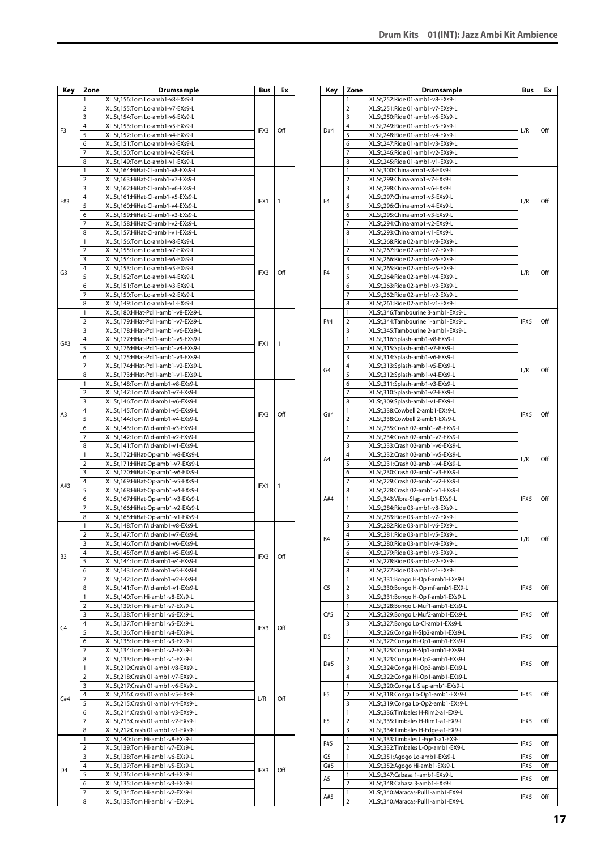| Key            | Zone                | Drumsample                                                             | Bus  | Еx  |
|----------------|---------------------|------------------------------------------------------------------------|------|-----|
|                | 1                   | XL.St,156:Tom Lo-amb1-v8-EXs9-L                                        |      |     |
| F3             | 2                   | XL.St,155:Tom Lo-amb1-v7-EXs9-L                                        |      |     |
|                | 3                   | XL.St,154:Tom Lo-amb1-v6-EXs9-L                                        |      |     |
|                | 4                   | XL.St,153:Tom Lo-amb1-v5-EXs9-L                                        | IFX3 | Off |
|                | 5                   | XL.St,152:Tom Lo-amb1-v4-EXs9-L                                        |      |     |
|                | 6                   | XL.St,151:Tom Lo-amb1-v3-EXs9-L                                        |      |     |
|                | 7                   | XL.St,150:Tom Lo-amb1-v2-EXs9-L                                        |      |     |
|                | 8                   | XL.St,149:Tom Lo-amb1-v1-EXs9-L                                        |      |     |
|                | 1                   | XL.St,164:HiHat-Cl-amb1-v8-EXs9-L                                      |      |     |
|                | 2                   | XL.St,163:HiHat-Cl-amb1-v7-EXs9-L                                      |      |     |
|                | 3<br>4              | XL.St,162:HiHat-Cl-amb1-v6-EXs9-L<br>XL.St,161:HiHat-Cl-amb1-v5-EXs9-L |      |     |
| F#3            | 5                   | XL.St,160:HiHat-Cl-amb1-v4-EXs9-L                                      | IFX1 | 1   |
|                | 6                   | XL.St,159:HiHat-Cl-amb1-v3-EXs9-L                                      |      |     |
|                | $\overline{7}$      | XL.St,158:HiHat-Cl-amb1-v2-EXs9-L                                      |      |     |
|                | 8                   | XL.St,157:HiHat-Cl-amb1-v1-EXs9-L                                      |      |     |
|                | 1                   | XL.St,156:Tom Lo-amb1-v8-EXs9-L                                        |      |     |
|                | 2                   | XL.St,155:Tom Lo-amb1-v7-EXs9-L                                        |      |     |
|                | 3                   | XL.St,154:Tom Lo-amb1-v6-EXs9-L                                        |      |     |
| G <sub>3</sub> | 4                   | XL.St,153:Tom Lo-amb1-v5-EXs9-L                                        | IFX3 | Off |
|                | 5                   | XL.St,152:Tom Lo-amb1-v4-EXs9-L                                        |      |     |
|                | 6                   | XL.St,151:Tom Lo-amb1-v3-EXs9-L                                        |      |     |
|                | 7                   | XL.St,150:Tom Lo-amb1-v2-EXs9-L                                        |      |     |
|                | 8                   | XL.St,149:Tom Lo-amb1-v1-EXs9-L                                        |      |     |
|                | 1                   | XL.St,180:HHat-Pdl1-amb1-v8-EXs9-L                                     |      |     |
|                | $\overline{2}$      | XL.St,179:HHat-Pdl1-amb1-v7-EXs9-L                                     |      |     |
|                | 3                   | XL.St,178:HHat-Pdl1-amb1-v6-EXs9-L                                     |      |     |
| G#3            | 4                   | XL.St,177:HHat-Pdl1-amb1-v5-EXs9-L                                     | IFX1 | 1   |
|                | 5                   | XL.St,176:HHat-Pdl1-amb1-v4-EXs9-L                                     |      |     |
|                | 6                   | XL.St,175:HHat-Pdl1-amb1-v3-EXs9-L                                     |      |     |
|                | 7                   | XL.St,174:HHat-Pdl1-amb1-v2-EXs9-L                                     |      |     |
|                | 8<br>1              | XL.St,173:HHat-Pdl1-amb1-v1-EXs9-L                                     |      |     |
|                | 2                   | XL.St,148:Tom Mid-amb1-v8-EXs9-L<br>XL.St,147:Tom Mid-amb1-v7-EXs9-L   |      |     |
|                | 3                   | XL.St,146:Tom Mid-amb1-v6-EXs9-L                                       |      |     |
|                | 4                   | XL.St,145:Tom Mid-amb1-v5-EXs9-L                                       |      |     |
| A3             | 5                   | XL.St,144:Tom Mid-amb1-v4-EXs9-L                                       | IFX3 | Off |
|                | 6                   | XL.St,143:Tom Mid-amb1-v3-EXs9-L                                       |      |     |
|                | 7                   | XL.St,142:Tom Mid-amb1-v2-EXs9-L                                       |      |     |
|                | 8                   | XL.St,141:Tom Mid-amb1-v1-EXs9-L                                       |      |     |
|                | 1                   | XL.St,172:HiHat-Op-amb1-v8-EXs9-L                                      |      |     |
|                | $\overline{2}$      | XL.St,171:HiHat-Op-amb1-v7-EXs9-L                                      |      |     |
|                | 3                   | XL.St,170:HiHat-Op-amb1-v6-EXs9-L                                      |      |     |
| A#3            | 4                   | XL.St,169:HiHat-Op-amb1-v5-EXs9-L                                      | IFX1 | 1   |
|                | 5                   | XL.St,168:HiHat-Op-amb1-v4-EXs9-L                                      |      |     |
|                | 6                   | XL.St,167:HiHat-Op-amb1-v3-EXs9-L                                      |      |     |
|                | 7                   | XL.St,166:HiHat-Op-amb1-v2-EXs9-L                                      |      |     |
|                | 8                   | XL.St,165:HiHat-Op-amb1-v1-EXs9-L                                      |      |     |
|                | 1<br>$\overline{2}$ | XL.St,148:Tom Mid-amb1-v8-EXs9-L                                       |      |     |
|                | 3                   | XL.St,147:Tom Mid-amb1-v7-EXs9-L<br>XL.St,146:Tom Mid-amb1-v6-EXs9-L   |      |     |
|                | 4                   | XL.St,145:Tom Mid-amb1-v5-EXs9-L                                       |      |     |
| B3             | 5                   | XL.St,144:Tom Mid-amb1-v4-EXs9-L                                       | IFX3 | Off |
|                | 6                   | XL.St,143:Tom Mid-amb1-v3-EXs9-L                                       |      |     |
|                | 7                   | XL.St,142:Tom Mid-amb1-v2-EXs9-L                                       |      |     |
|                | 8                   | XL.St,141:Tom Mid-amb1-v1-EXs9-L                                       |      |     |
|                | 1                   | XL.St,140:Tom Hi-amb1-v8-EXs9-L                                        |      |     |
|                | $\overline{2}$      | XL.St,139:Tom Hi-amb1-v7-EXs9-L                                        |      |     |
|                | 3                   | XL.St,138:Tom Hi-amb1-v6-EXs9-L                                        |      |     |
| C <sub>4</sub> | 4                   | XL.St,137:Tom Hi-amb1-v5-EXs9-L                                        | IFX3 | Off |
|                | 5                   | XL.St,136:Tom Hi-amb1-v4-EXs9-L                                        |      |     |
|                | 6                   | XL.St,135:Tom Hi-amb1-v3-EXs9-L                                        |      |     |
|                | 7                   | XL.St,134:Tom Hi-amb1-v2-EXs9-L                                        |      |     |
|                | 8                   | XL.St,133:Tom Hi-amb1-v1-EXs9-L                                        |      |     |
|                | 1                   | XL.St,219:Crash 01-amb1-v8-EXs9-L                                      |      |     |
|                | 2                   | XL.St,218:Crash 01-amb1-v7-EXs9-L                                      |      |     |
|                | 3<br>4              | XL.St,217:Crash 01-amb1-v6-EXs9-L                                      |      |     |
| C#4            | 5                   | XL.St,216:Crash 01-amb1-v5-EXs9-L<br>XL.St,215:Crash 01-amb1-v4-EXs9-L | L/R  | Off |
|                | 6                   | XL.St,214:Crash 01-amb1-v3-EXs9-L                                      |      |     |
|                | 7                   | XL.St,213:Crash 01-amb1-v2-EXs9-L                                      |      |     |
|                | 8                   | XL.St,212:Crash 01-amb1-v1-EXs9-L                                      |      |     |
|                | 1                   | XL.St,140:Tom Hi-amb1-v8-EXs9-L                                        |      |     |
|                | 2                   | XL.St,139:Tom Hi-amb1-v7-EXs9-L                                        |      |     |
|                | 3                   | XL.St,138:Tom Hi-amb1-v6-EXs9-L                                        |      |     |
|                | 4                   | XL.St,137:Tom Hi-amb1-v5-EXs9-L                                        |      |     |
| D <sub>4</sub> | 5                   | XL.St,136:Tom Hi-amb1-v4-EXs9-L                                        | IFX3 | Off |
|                | 6                   | XL.St,135:Tom Hi-amb1-v3-EXs9-L                                        |      |     |
|                | 7                   | XL.St,134:Tom Hi-amb1-v2-EXs9-L                                        |      |     |
|                | 8                   | XL.St,133:Tom Hi-amb1-v1-EXs9-L                                        |      |     |

| Key            | Zone           | <b>Drumsample</b>                  | Bus              | Ex  |
|----------------|----------------|------------------------------------|------------------|-----|
|                | 1              | XL.St,252:Ride 01-amb1-v8-EXs9-L   |                  |     |
| D#4            | $\overline{2}$ | XL.St,251:Ride 01-amb1-v7-EXs9-L   |                  |     |
|                | 3              | XL.St,250:Ride 01-amb1-v6-EXs9-L   |                  |     |
|                | 4              | XL.St,249:Ride 01-amb1-v5-EXs9-L   |                  |     |
|                | 5              | XL.St,248:Ride 01-amb1-v4-EXs9-L   | L/R              | Off |
|                | 6              | XL.St,247:Ride 01-amb1-v3-EXs9-L   |                  |     |
|                | 7              | XL.St,246:Ride 01-amb1-v2-EXs9-L   |                  |     |
|                | 8              | XL.St,245:Ride 01-amb1-v1-EXs9-L   |                  |     |
|                | 1              | XL.St,300:China-amb1-v8-EXs9-L     |                  |     |
|                | $\overline{2}$ | XL.St,299:China-amb1-v7-EXs9-L     |                  |     |
|                | 3              | XL.St,298:China-amb1-v6-EXs9-L     |                  |     |
|                | 4              | XL.St,297:China-amb1-v5-EXs9-L     |                  |     |
| E <sub>4</sub> | 5              | XL.St,296:China-amb1-v4-EXs9-L     | L/R              | Off |
|                | 6              | XL.St,295:China-amb1-v3-EXs9-L     |                  |     |
|                | 7              | XL.St,294:China-amb1-v2-EXs9-L     |                  |     |
|                | 8              |                                    |                  |     |
|                | 1              | XL.St,293:China-amb1-v1-EXs9-L     |                  |     |
|                |                | XL.St,268:Ride 02-amb1-v8-EXs9-L   |                  |     |
|                | 2              | XL.St,267:Ride 02-amb1-v7-EXs9-L   |                  |     |
|                | 3              | XL.St,266:Ride 02-amb1-v6-EXs9-L   |                  |     |
| F <sub>4</sub> | 4              | XL.St,265:Ride 02-amb1-v5-EXs9-L   | L/R              | Off |
|                | 5              | XL.St,264:Ride 02-amb1-v4-EXs9-L   |                  |     |
|                | 6              | XL.St,263:Ride 02-amb1-v3-EXs9-L   |                  |     |
|                | 7              | XL.St,262:Ride 02-amb1-v2-EXs9-L   |                  |     |
|                | 8              | XL.St,261:Ride 02-amb1-v1-EXs9-L   |                  |     |
|                | 1              | XL.St,346:Tambourine 3-amb1-EXs9-L |                  |     |
| F#4            | 2              | XL.St,344:Tambourine 1-amb1-EXs9-L | IFX5             | Off |
|                | 3              | XL.St,345:Tambourine 2-amb1-EXs9-L |                  |     |
|                | 1              | XL.St,316:Splash-amb1-v8-EXs9-L    |                  |     |
|                | 2              | XL.St,315:Splash-amb1-v7-EXs9-L    |                  |     |
|                | 3              | XL.St,314:Splash-amb1-v6-EXs9-L    |                  |     |
|                | 4              | XL.St,313:Splash-amb1-v5-EXs9-L    |                  |     |
| G4             | 5              | XL.St,312:Splash-amb1-v4-EXs9-L    | L/R              | Off |
|                | 6              | XL.St,311:Splash-amb1-v3-EXs9-L    |                  |     |
|                | 7              | XL.St,310:Splash-amb1-v2-EXs9-L    |                  |     |
|                | 8              | XL.St,309:Splash-amb1-v1-EXs9-L    |                  |     |
|                | 1              | XL.St,338:Cowbell 2-amb1-EXs9-L    |                  |     |
| G#4            | 2              | XL.St,338:Cowbell 2-amb1-EXs9-L    | IFX5             | Off |
|                | 1              | XL.St,235:Crash 02-amb1-v8-EXs9-L  |                  |     |
|                | 2              | XL.St,234:Crash 02-amb1-v7-EXs9-L  |                  |     |
|                | 3              | XL.St,233:Crash 02-amb1-v6-EXs9-L  |                  |     |
|                | 4              | XL.St,232:Crash 02-amb1-v5-EXs9-L  |                  |     |
| A4             | 5              |                                    | L/R              | Off |
|                |                | XL.St,231:Crash 02-amb1-v4-EXs9-L  |                  |     |
|                | 6              | XL.St,230:Crash 02-amb1-v3-EXs9-L  |                  |     |
|                | 7              | XL.St,229:Crash 02-amb1-v2-EXs9-L  |                  |     |
|                | 8              | XL.St,228:Crash 02-amb1-v1-EXs9-L  |                  |     |
| A#4            | 1              | XL.St,343:Vibra-Slap-amb1-EXs9-L   | IFX5             | Off |
|                | 1              | XL.St,284:Ride 03-amb1-v8-EXs9-L   |                  |     |
|                | $\overline{2}$ | XL.St,283:Ride 03-amb1-v7-EXs9-L   |                  |     |
|                | 3              | XL.St,282:Ride 03-amb1-v6-EXs9-L   |                  |     |
| B4             | 4              | XL.St.281:Ride 03-amb1-v5-EXs9-L   | L/R              | Off |
|                | 5              | XL.St,280:Ride 03-amb1-v4-EXs9-L   |                  |     |
|                | 6              | XL.St,279:Ride 03-amb1-v3-EXs9-L   |                  |     |
|                | 7              | XL.St,278:Ride 03-amb1-v2-EXs9-L   |                  |     |
|                | 8              | XL.St,277:Ride 03-amb1-v1-EXs9-L   |                  |     |
|                | 1              | XL.St,331:Bongo H-Op f-amb1-EXs9-L |                  |     |
| C <sub>5</sub> | $\overline{2}$ | XL.St,330:Bongo H-Op mf-amb1-EX9-L | IFX5             | Off |
|                | 3              | XL.St,331:Bongo H-Op f-amb1-EXs9-L |                  |     |
|                | 1              | XL.St,328:Bongo L-Muf1-amb1-EXs9-L |                  |     |
| C#5            | $\overline{2}$ | XL.St,329:Bongo L-Muf2-amb1-EXs9-L | IFX5             | Off |
|                | 3              | XL.St,327:Bongo Lo-Cl-amb1-EXs9-L  |                  |     |
|                | 1              | XL.St,326:Conga H-Slp2-amb1-EXs9-L |                  |     |
| D <sub>5</sub> | 2              | XL.St,322:Conga Hi-Op1-amb1-EXs9-L | IFX5             | Off |
|                | 1              | XL.St,325:Conga H-Slp1-amb1-EXs9-L |                  |     |
|                | 2              | XL.St,323:Conga Hi-Op2-amb1-EXs9-L |                  |     |
| D#5            | 3              | XL.St,324:Conga Hi-Op3-amb1-EXs9-L | IFX5             | Off |
|                | 4              | XL.St,322:Conga Hi-Op1-amb1-EXs9-L |                  |     |
|                | 1              | XL.St,320:Conga L-Slap-amb1-EXs9-L |                  |     |
| E5             | 2              | XL.St,318:Conga Lo-Op1-amb1-EXs9-L | IFX5             | Off |
|                | 3              | XL.St,319:Conga Lo-Op2-amb1-EXs9-L |                  |     |
|                | 1              |                                    |                  |     |
|                |                | XL.St,336:Timbales H-Rim2-a1-EX9-L |                  |     |
| F5             | $\overline{2}$ | XL.St,335:Timbales H-Rim1-a1-EX9-L | IFX5             | Off |
|                | 3              | XL.St,334:Timbales H-Edge-a1-EX9-L |                  |     |
| F#5            | 1              | XL.St,333:Timbales L-Ege1-a1-EX9-L | IFX5             | Off |
|                | $\overline{2}$ | XL.St,332:Timbales L-Op-amb1-EX9-L |                  |     |
| G5             | 1              | XL.St,351:Agogo Lo-amb1-EXs9-L     | IFX5             | Off |
| G#5            | 1              | XL.St,352:Agogo Hi-amb1-EXs9-L     | IFX <sub>5</sub> | Off |
| A5             | 1              | XL.St,347:Cabasa 1-amb1-EXs9-L     | IFX5             | Off |
|                | $\overline{2}$ | XL.St,348:Cabasa 3-amb1-EXs9-L     |                  |     |
|                | 1              | XL.St,340:Maracas-Pull1-amb1-EX9-L | IFX5             | Off |
| A#5            | $\overline{2}$ | XL.St,340:Maracas-Pull1-amb1-EX9-L |                  |     |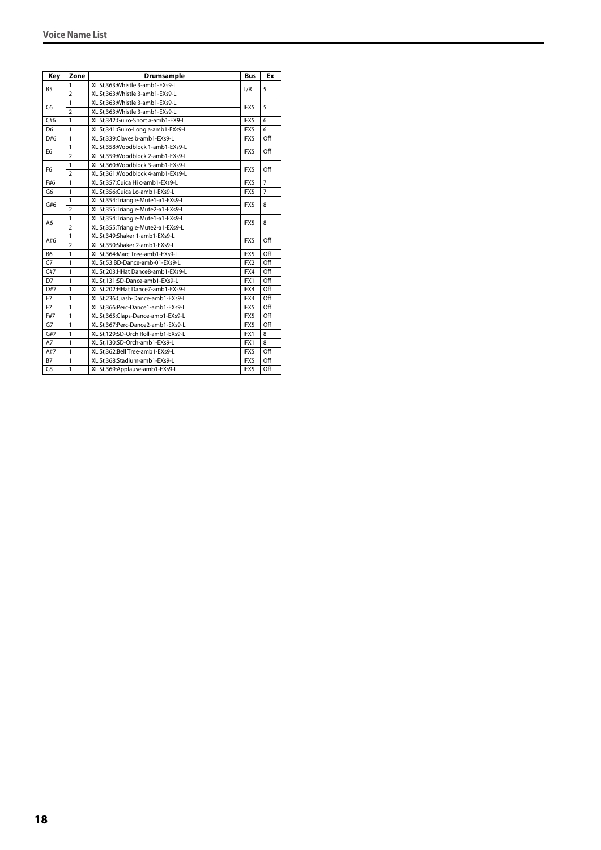| Key            | Zone           | Drumsample                         | <b>Bus</b> | Ex             |
|----------------|----------------|------------------------------------|------------|----------------|
|                | $\mathbf{1}$   | XL.St,363:Whistle 3-amb1-EXs9-L    |            |                |
| <b>B5</b>      | $\overline{2}$ | XL.St,363:Whistle 3-amb1-EXs9-L    | L/R        | 5              |
| C <sub>6</sub> | 1              | XL.St.363: Whistle 3-amb1-EXs9-L   | IFX5       | 5              |
|                | $\overline{2}$ | XL.St,363: Whistle 3-amb1-EXs9-L   |            |                |
| C#6            | $\mathbf{1}$   | XL.St.342:Guiro-Short a-amb1-EX9-L | IFX5       | 6              |
| D <sub>6</sub> | $\mathbf{1}$   | XL.St,341:Guiro-Long a-amb1-EXs9-L | IFX5       | 6              |
| D#6            | $\mathbf{1}$   | XL.St,339:Claves b-amb1-EXs9-L     | IFX5       | Off            |
|                | $\mathbf{1}$   | XL.St.358:Woodblock 1-amb1-EXs9-L  |            |                |
| E <sub>6</sub> | $\overline{2}$ | XL.St,359:Woodblock 2-amb1-EXs9-L  | IFX5       | Off            |
| F <sub>6</sub> | $\mathbf{1}$   | XL.St.360:Woodblock 3-amb1-EXs9-L  | IFX5       | Off            |
|                | $\overline{2}$ | XL.St,361:Woodblock 4-amb1-EXs9-L  |            |                |
| F#6            | $\mathbf{1}$   | XL.St,357:Cuica Hi c-amb1-EXs9-L   | IFX5       | $\overline{7}$ |
| G6             | $\mathbf{1}$   | XL.St.356:Cuica Lo-amb1-EXs9-L     | IFX5       | $\overline{7}$ |
|                | $\mathbf{1}$   | XL.St,354:Triangle-Mute1-a1-EXs9-L | IFX5       | 8              |
| G#6            | $\overline{2}$ | XL.St,355:Triangle-Mute2-a1-EXs9-L |            |                |
|                | $\mathbf{1}$   | XL.St,354:Triangle-Mute1-a1-EXs9-L | IFX5       | 8              |
| A6             | $\overline{2}$ | XL.St,355:Triangle-Mute2-a1-EXs9-L |            |                |
|                | $\mathbf{1}$   | XL.St.349:Shaker 1-amb1-EXs9-L     | IFX5       | Off            |
| A#6            | $\overline{2}$ | XL.St,350:Shaker 2-amb1-EXs9-L     |            |                |
| <b>B6</b>      | $\mathbf{1}$   | XL.St,364:Marc Tree-amb1-EXs9-L    | IFX5       | Off            |
| C7             | $\mathbf{1}$   | XL.St,53:BD-Dance-amb-01-EXs9-L    | IFX2       | Off            |
| C#7            | $\mathbf{1}$   | XL.St,203:HHat Dance8-amb1-EXs9-L  | IFX4       | Off            |
| D7             | $\mathbf{1}$   | XL.St,131:SD-Dance-amb1-EXs9-L     | IFX1       | Off            |
| D#7            | 1              | XL.St.202:HHat Dance7-amb1-EXs9-L  | IFX4       | Off            |
| E7             | $\mathbf{1}$   | XL.St,236:Crash-Dance-amb1-EXs9-L  | IFX4       | Off            |
| F7             | $\mathbf{1}$   | XL.St,366:Perc-Dance1-amb1-EXs9-L  | IFX5       | Off            |
| F#7            | $\mathbf{1}$   | XL.St,365:Claps-Dance-amb1-EXs9-L  | IFX5       | Off            |
| G7             | $\mathbf{1}$   | XL.St,367:Perc-Dance2-amb1-EXs9-L  | IFX5       | Off            |
| G#7            | $\mathbf{1}$   | XL.St,129:SD-Orch Roll-amb1-EXs9-L | IFX1       | 8              |
| A7             | $\mathbf{1}$   | XL.St,130:SD-Orch-amb1-EXs9-L      | IFX1       | 8              |
| A#7            | $\mathbf{1}$   | XL.St,362:Bell Tree-amb1-EXs9-L    | IFX5       | Off            |
| <b>B7</b>      | $\mathbf{1}$   | XL.St,368:Stadium-amb1-EXs9-L      | IFX5       | Off            |
| C <sub>8</sub> | $\mathbf{1}$   | XL.St,369:Applause-amb1-EXs9-L     | IFX5       | Off            |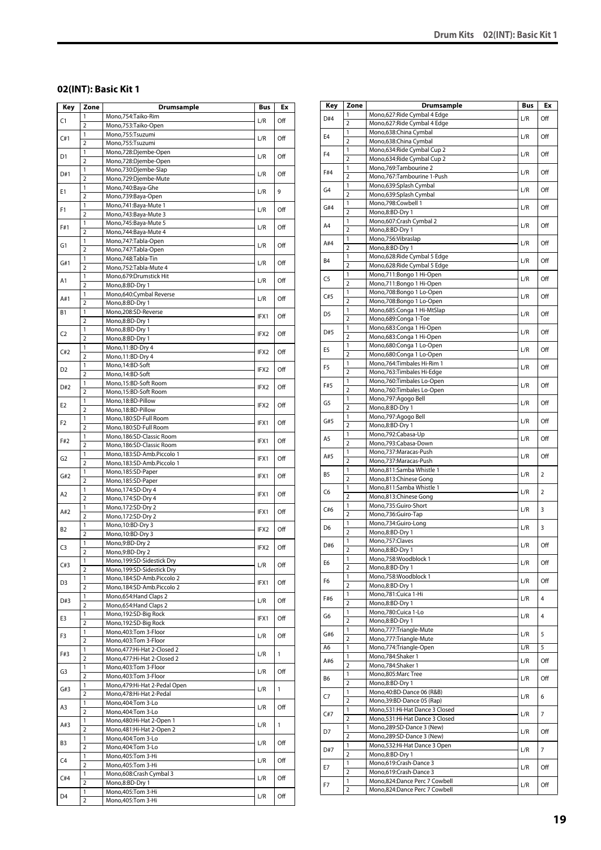# <span id="page-18-0"></span>**02(INT): Basic Kit 1**

| Key            | Zone                | <b>Drumsample</b>                                            | Bus  | Ex           |
|----------------|---------------------|--------------------------------------------------------------|------|--------------|
| C1             | 1                   | Mono,754:Taiko-Rim                                           | L/R  | Off          |
|                | $\overline{2}$      | Mono,753:Taiko-Open                                          |      |              |
| C#1            | 1<br>$\overline{2}$ | Mono,755:Tsuzumi<br>Mono,755:Tsuzumi                         | L/R  | Off          |
|                | 1                   | Mono,728:Djembe-Open                                         |      |              |
| D1             | $\overline{2}$      | Mono,728:Djembe-Open                                         | L/R  | Off          |
| D#1            | 1                   | Mono,730:Djembe-Slap                                         | L/R  | Off          |
|                | $\overline{2}$      | Mono,729:Djembe-Mute                                         |      |              |
| Ε1             | 1                   | Mono,740:Baya-Ghe                                            | L/R  | 9            |
|                | $\overline{2}$<br>1 | Mono,739:Baya-Open<br>Mono, 741: Baya-Mute 1                 |      |              |
| F1             | $\overline{2}$      | Mono, 743: Baya-Mute 3                                       | L/R  | Off          |
|                | 1                   | Mono, 745: Baya-Mute 5                                       |      |              |
| F#1            | $\overline{2}$      | Mono, 744: Baya-Mute 4                                       | L/R  | Off          |
| G1             | 1                   | Mono, 747: Tabla-Open                                        | L/R  | Off          |
|                | $\overline{2}$      | Mono, 747: Tabla-Open                                        |      |              |
| G#1            | 1<br>$\overline{2}$ | Mono, 748: Tabla-Tin<br>Mono, 752: Tabla-Mute 4              | L/R  | Off          |
|                | 1                   | Mono,679:Drumstick Hit                                       |      |              |
| A1             | $\overline{2}$      | Mono,8:BD-Dry 1                                              | L/R  | Off          |
|                | 1                   | Mono,640:Cymbal Reverse                                      |      |              |
| A#1            | $\overline{2}$      | Mono,8:BD-Dry 1                                              | L/R  | Off          |
| <b>B1</b>      | 1                   | Mono,208:SD-Reverse                                          | IFX1 | Off          |
|                | $\overline{2}$      | Mono,8:BD-Dry 1                                              |      |              |
| C <sub>2</sub> | 1<br>$\overline{2}$ | Mono,8:BD-Dry 1<br>Mono,8:BD-Dry 1                           | IFX2 | Off          |
|                | 1                   | Mono, 11:BD-Dry 4                                            |      |              |
| C#2            | $\overline{2}$      | Mono, 11:BD-Dry 4                                            | IFX2 | Off          |
|                | 1                   | Mono, 14:BD-Soft                                             |      |              |
| D2             | $\overline{2}$      | Mono, 14:BD-Soft                                             | IFX2 | Off          |
| D#2            | 1                   | Mono,15:BD-Soft Room                                         | IFX2 | Off          |
|                | $\overline{2}$      | Mono,15:BD-Soft Room                                         |      |              |
| E2             | 1                   | Mono, 18:BD-Pillow                                           | IFX2 | Off          |
|                | $\overline{2}$      | Mono, 18:BD-Pillow                                           |      |              |
| F2             | 1<br>$\overline{2}$ | Mono,180:SD-Full Room                                        | IFX1 | Off          |
|                | 1                   | Mono,180:SD-Full Room<br>Mono, 186: SD-Classic Room          |      |              |
| F#2            | $\overline{2}$      | Mono, 186: SD-Classic Room                                   | IFX1 | Off          |
|                | 1                   | Mono,183:SD-Amb.Piccolo 1                                    |      |              |
| G2             | $\overline{2}$      | Mono, 183: SD-Amb. Piccolo 1                                 | IFX1 | Off          |
| G#2            | 1                   | Mono, 185: SD-Paper                                          | IFX1 | Off          |
|                | $\overline{2}$      | Mono, 185:SD-Paper                                           |      |              |
| A2             | 1                   | Mono, 174: SD-Dry 4                                          | IFX1 | Off          |
|                | $\overline{2}$<br>1 | Mono, 174:SD-Dry 4<br>Mono, 172:SD-Dry 2                     |      |              |
| A#2            | $\overline{2}$      | Mono, 172:SD-Dry 2                                           | IFX1 | Off          |
|                | 1                   | Mono, 10:BD-Dry 3                                            |      |              |
| <b>B2</b>      | $\overline{2}$      | Mono, 10:BD-Dry 3                                            | IFX2 | Off          |
| C3             | 1                   | Mono,9:BD-Dry 2                                              | IFX2 | Off          |
|                | $\overline{2}$      | Mono,9:BD-Dry 2                                              |      |              |
| C#3            | 1                   | Mono, 199: SD-Sidestick Dry                                  | L/R  | Off          |
|                | $\overline{2}$<br>1 | Mono, 199: SD-Sidestick Dry<br>Mono, 184: SD-Amb. Piccolo 2  |      |              |
| D3             | $\overline{2}$      | Mono,184:SD-Amb.Piccolo 2                                    | IFX1 | Off          |
|                | $\mathbf{1}$        | Mono, 654: Hand Claps 2                                      |      |              |
| D#3            | $\overline{2}$      | Mono,654: Hand Claps 2                                       | L/R  | Off          |
| E3             | 1                   | Mono, 192: SD-Big Rock                                       | IFX1 | Off          |
|                | $\overline{2}$      | Mono, 192: SD-Big Rock                                       |      |              |
| F3             | 1                   | Mono, 403: Tom 3-Floor                                       | L/R  | Off          |
|                | $\overline{2}$      | Mono, 403: Tom 3-Floor                                       |      |              |
| F#3            | 1<br>$\overline{2}$ | Mono, 477: Hi-Hat 2-Closed 2<br>Mono, 477: Hi-Hat 2-Closed 2 | L/R  | $\mathbf{1}$ |
|                | 1                   | Mono, 403: Tom 3-Floor                                       |      |              |
| G3             | $\overline{2}$      | Mono, 403: Tom 3-Floor                                       | L/R  | Off          |
|                | 1                   | Mono, 479: Hi-Hat 2-Pedal Open                               | L/R  | $\mathbf{1}$ |
| G#3            | $\overline{2}$      | Mono,478:Hi-Hat 2-Pedal                                      |      |              |
| A3             | 1                   | Mono, 404: Tom 3-Lo                                          | L/R  | Off          |
|                | $\overline{2}$      | Mono, 404: Tom 3-Lo                                          |      |              |
| A#3            | 1<br>$\overline{2}$ | Mono, 480: Hi-Hat 2-Open 1<br>Mono, 481: Hi-Hat 2-Open 2     | L/R  | 1            |
|                | 1                   | Mono, 404: Tom 3-Lo                                          |      |              |
| B3             | $\overline{2}$      | Mono, 404: Tom 3-Lo                                          | L/R  | Off          |
|                | 1                   | Mono, 405: Tom 3-Hi                                          |      |              |
| C4             | $\overline{2}$      | Mono, 405: Tom 3-Hi                                          | L/R  | Off          |
| C#4            | 1                   | Mono,608:Crash Cymbal 3                                      | L/R  | Off          |
|                | $\overline{2}$      | Mono,8:BD-Dry 1                                              |      |              |
| D4             | 1                   | Mono, 405: Tom 3-Hi                                          | L/R  | Off          |
|                | $\overline{2}$      | Mono, 405: Tom 3-Hi                                          |      |              |

| Key            | Zone                | Drumsample                                                   | Bus | Ex  |
|----------------|---------------------|--------------------------------------------------------------|-----|-----|
| D#4            | 1                   | Mono,627: Ride Cymbal 4 Edge                                 | L/R | Off |
|                | $\overline{2}$<br>1 | Mono,627: Ride Cymbal 4 Edge<br>Mono,638:China Cymbal        |     |     |
| E <sub>4</sub> | 2                   | Mono,638:China Cymbal                                        | L/R | Off |
| F <sub>4</sub> | 1                   | Mono,634: Ride Cymbal Cup 2                                  | L/R | Off |
|                | $\overline{2}$      | Mono,634: Ride Cymbal Cup 2                                  |     |     |
| F#4            | 1<br>$\overline{2}$ | Mono, 769: Tambourine 2<br>Mono,767:Tambourine 1-Push        | L/R | Off |
|                | 1                   | Mono,639:Splash Cymbal                                       |     |     |
| G <sub>4</sub> | $\overline{2}$      | Mono,639:Splash Cymbal                                       | L/R | Off |
| G#4            | 1                   | Mono,798:Cowbell 1                                           | L/R | Off |
|                | 2<br>1              | Mono,8:BD-Dry 1<br>Mono,607:Crash Cymbal 2                   |     |     |
| A <sub>4</sub> | $\overline{2}$      | Mono,8:BD-Dry 1                                              | L/R | Off |
| A#4            | 1                   | Mono,756:Vibraslap                                           | L/R | Off |
|                | $\overline{2}$      | Mono,8:BD-Dry 1                                              |     |     |
| B <sub>4</sub> | 1<br>$\overline{2}$ | Mono,628: Ride Cymbal 5 Edge<br>Mono,628: Ride Cymbal 5 Edge | L/R | Off |
|                | 1                   | Mono,711:Bongo 1 Hi-Open                                     |     |     |
| C5             | $\overline{2}$      | Mono,711:Bongo 1 Hi-Open                                     | L/R | Off |
| C#5            | 1                   | Mono,708:Bongo 1 Lo-Open                                     | L/R | Off |
|                | $\overline{2}$<br>1 | Mono,708:Bongo 1 Lo-Open<br>Mono,685:Conga 1 Hi-MtSlap       |     |     |
| D <sub>5</sub> | $\overline{2}$      | Mono,689:Conga 1-Toe                                         | L/R | Off |
| D#5            | 1                   | Mono,683:Conga 1 Hi-Open                                     | L/R | Off |
|                | $\overline{2}$      | Mono,683:Conga 1 Hi-Open                                     |     |     |
| E5             | 1<br>2              | Mono,680:Conga 1 Lo-Open<br>Mono,680:Conga 1 Lo-Open         | L/R | Off |
|                | 1                   | Mono, 764: Timbales Hi-Rim 1                                 |     |     |
| F5             | $\overline{2}$      | Mono, 763: Timbales Hi-Edge                                  | L/R | Off |
| F#5            | 1                   | Mono,760:Timbales Lo-Open                                    | L/R | Off |
|                | $\overline{2}$<br>1 | Mono,760:Timbales Lo-Open<br>Mono,797:Agogo Bell             |     |     |
| G5             | 2                   | Mono,8:BD-Dry 1                                              | L/R | Off |
| G#5            | 1                   | Mono,797:Agogo Bell                                          | L/R | Off |
|                | $\overline{2}$      | Mono,8:BD-Dry 1                                              |     |     |
| A5             | 1<br>$\overline{2}$ | Mono,792:Cabasa-Up<br>Mono,793:Cabasa-Down                   | L/R | Off |
|                | 1                   | Mono,737:Maracas-Push                                        |     | Off |
| A#5            | $\overline{2}$      | Mono,737:Maracas-Push                                        | L/R |     |
| B5             | 1<br>2              | Mono,811:Samba Whistle 1<br>Mono,813:Chinese Gong            | L/R | 2   |
|                | 1                   | Mono,811:Samba Whistle 1                                     |     |     |
| C6             | $\overline{2}$      | Mono,813:Chinese Gong                                        | L/R | 2   |
| C#6            | 1                   | Mono,735:Guiro-Short                                         | L/R | 3   |
|                | $\overline{2}$<br>1 | Mono,736:Guiro-Tap<br>Mono,734:Guiro-Long                    |     |     |
| D <sub>6</sub> | $\overline{2}$      | Mono,8:BD-Dry 1                                              | L/R | 3   |
| D#6            | 1                   | Mono,757:Claves                                              | L/R | Off |
|                | $\overline{2}$      | Mono,8:BD-Dry 1                                              |     |     |
| E6             | 1<br>$\overline{2}$ | Mono,758:Woodblock 1<br>Mono,8:BD-Dry 1                      | L/R | Off |
|                | 1                   | Mono,758:Woodblock 1                                         |     |     |
| F6             | $\overline{2}$      | Mono,8:BD-Dry 1                                              | L/R | Off |
| F#6            | 1<br>$\overline{2}$ | Mono,781:Cuica 1-Hi<br>Mono,8:BD-Dry 1                       | L/R | 4   |
|                | 1                   | Mono,780:Cuica 1-Lo                                          |     |     |
| G6             | 2                   | Mono,8:BD-Dry 1                                              | L/R | 4   |
| G#6            | 1                   | Mono,777:Triangle-Mute                                       | L/R | 5   |
| A6             | $\overline{2}$<br>1 | Mono,777:Triangle-Mute<br>Mono,774:Triangle-Open             | L/R | 5   |
|                | 1                   | Mono, 784: Shaker 1                                          |     |     |
| A#6            | $\overline{2}$      | Mono,784:Shaker 1                                            | L/R | Off |
| B6             | 1                   | Mono,805:Marc Tree                                           | L/R | Off |
|                | $\overline{2}$<br>1 | Mono,8:BD-Dry 1<br>Mono, 40: BD-Dance 06 (R&B)               |     |     |
| C7             | $\overline{2}$      | Mono, 39: BD-Dance 05 (Rap)                                  | L/R | 6   |
| C#7            | 1                   | Mono,531:Hi-Hat Dance 3 Closed                               | L/R | 7   |
|                | $\overline{2}$      | Mono,531:Hi-Hat Dance 3 Closed                               |     |     |
| D7             | 1<br>$\overline{2}$ | Mono,289:SD-Dance 3 (New)<br>Mono,289:SD-Dance 3 (New)       | L/R | Off |
|                | 1                   | Mono,532:Hi-Hat Dance 3 Open                                 |     |     |
| D#7            | 2                   | Mono,8:BD-Dry 1                                              | L/R | 7   |
| Ε7             | 1                   | Mono,619:Crash-Dance 3                                       | L/R | Off |
|                | $\overline{2}$<br>1 | Mono,619:Crash-Dance 3<br>Mono,824:Dance Perc 7 Cowbell      |     |     |
| F7             | $\overline{2}$      | Mono,824:Dance Perc 7 Cowbell                                | L/R | Off |
|                |                     |                                                              |     |     |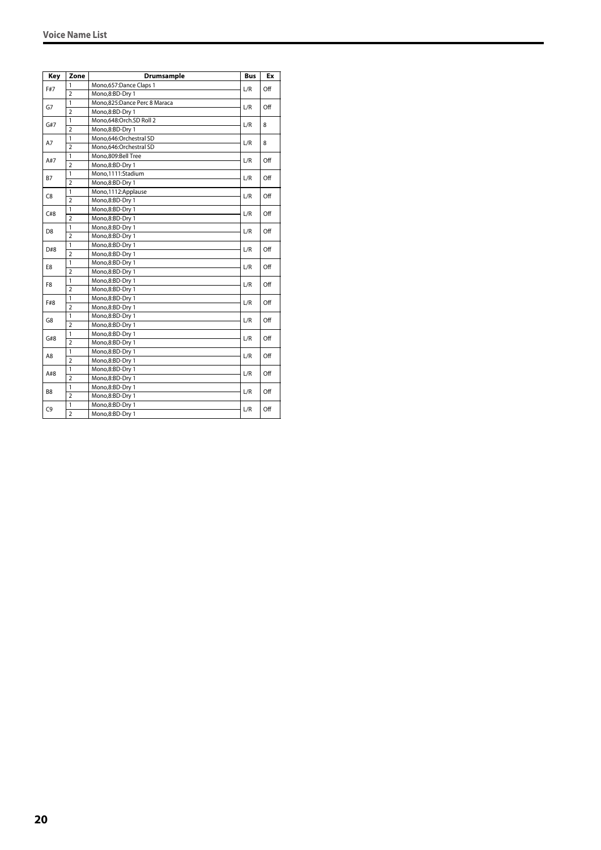| Key            | Zone           | <b>Drumsample</b>            | <b>Bus</b> | Ex  |
|----------------|----------------|------------------------------|------------|-----|
| F#7            | 1              | Mono,657:Dance Claps 1       | L/R        | Off |
|                | $\overline{2}$ | Mono,8:BD-Dry 1              |            |     |
| G7             | $\mathbf{1}$   | Mono,825:Dance Perc 8 Maraca | L/R        | Off |
|                | $\overline{2}$ | Mono,8:BD-Dry 1              |            |     |
| G#7            | $\mathbf{1}$   | Mono,648:Orch.SD Roll 2      | L/R        | 8   |
|                | $\overline{2}$ | Mono,8:BD-Dry 1              |            |     |
| A7             | 1              | Mono,646:Orchestral SD       | L/R        | 8   |
|                | $\overline{2}$ | Mono,646:Orchestral SD       |            |     |
| A#7            | 1              | Mono.809:Bell Tree           | L/R        | Off |
|                | $\overline{2}$ | Mono,8:BD-Dry 1              |            |     |
| B7             | $\mathbf{1}$   | Mono,1111:Stadium            | L/R        | Off |
|                | $\overline{2}$ | Mono,8:BD-Dry 1              |            |     |
| C8             | 1              | Mono, 1112: Applause         | L/R        | Off |
|                | $\overline{2}$ | Mono,8:BD-Dry 1              |            |     |
| C#8            | $\mathbf{1}$   | Mono,8:BD-Dry 1              |            | Off |
|                | $\overline{2}$ | Mono,8:BD-Dry 1              | L/R        |     |
| D <sub>8</sub> | $\mathbf{1}$   | Mono,8:BD-Dry 1              | L/R        | Off |
|                | $\overline{2}$ | Mono,8:BD-Dry 1              |            |     |
| D#8            | $\mathbf{1}$   | Mono,8:BD-Dry 1              | L/R        | Off |
|                | $\overline{2}$ | Mono,8:BD-Dry 1              |            |     |
| E8             | 1              | Mono,8:BD-Dry 1              | L/R        | Off |
|                | $\overline{2}$ | Mono,8:BD-Dry 1              |            |     |
| F8             | 1              | Mono,8:BD-Dry 1              |            | Off |
|                | $\overline{2}$ | Mono,8:BD-Dry 1              | L/R        |     |
|                | $\mathbf{1}$   | Mono,8:BD-Dry 1              | L/R        | Off |
| F#8            | $\overline{2}$ | Mono,8:BD-Dry 1              |            |     |
| G8             | $\mathbf{1}$   | Mono,8:BD-Dry 1              | L/R        | Off |
|                | $\overline{2}$ | Mono,8:BD-Dry 1              |            |     |
| G#8            | $\mathbf{1}$   | Mono,8:BD-Dry 1              | L/R        | Off |
|                | $\overline{2}$ | Mono,8:BD-Dry 1              |            |     |
|                | $\mathbf{1}$   | Mono,8:BD-Dry 1              |            | Off |
| A8             | $\overline{2}$ | Mono,8:BD-Dry 1              | L/R        |     |
| A#8            | 1              | Mono,8:BD-Dry 1              |            | Off |
|                | $\overline{2}$ | Mono,8:BD-Dry 1              | L/R        |     |
|                | 1              | Mono,8:BD-Dry 1              |            |     |
| B <sub>8</sub> | $\overline{2}$ | Mono,8:BD-Dry 1              | L/R        | Off |
|                | $\mathbf{1}$   | Mono,8:BD-Dry 1              |            |     |
| C9             | $\overline{2}$ | Mono,8:BD-Dry 1              | L/R        | Off |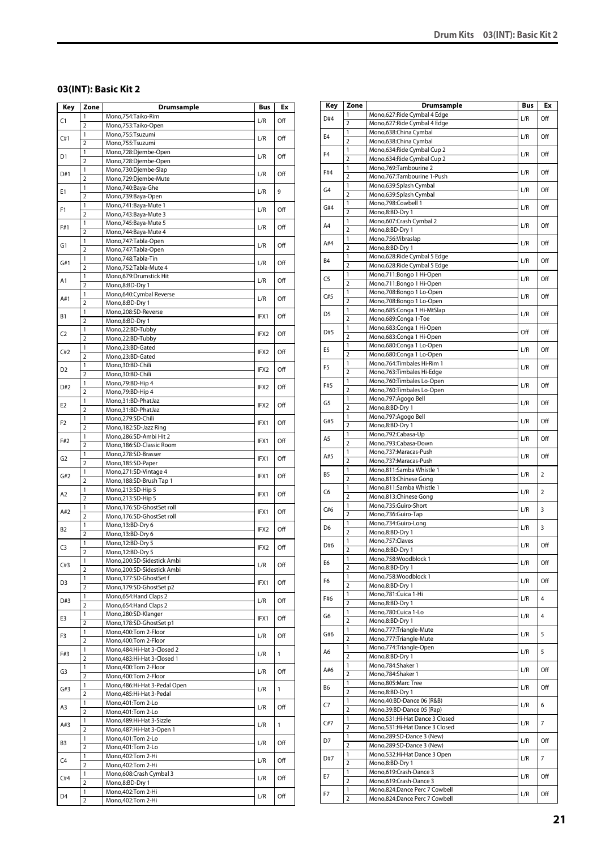# <span id="page-20-0"></span>**03(INT): Basic Kit 2**

| Key            | Zone                           | <b>Drumsample</b>                                  | Bus  | Ex           |
|----------------|--------------------------------|----------------------------------------------------|------|--------------|
| C1             | 1                              | Mono,754:Taiko-Rim                                 | L/R  | Off          |
|                | $\overline{2}$                 | Mono,753:Taiko-Open                                |      |              |
| C#1            | 1                              | Mono,755:Tsuzumi                                   | L/R  | Off          |
|                | $\overline{2}$                 | Mono,755:Tsuzumi                                   |      |              |
| D1             | 1<br>$\overline{2}$            | Mono,728:Djembe-Open<br>Mono,728:Djembe-Open       | L/R  | Off          |
|                | 1                              | Mono,730:Djembe-Slap                               |      |              |
| D#1            | $\overline{2}$                 | Mono,729:Djembe-Mute                               | L/R  | Off          |
|                | 1                              | Mono,740:Baya-Ghe                                  |      |              |
| Ε1             | $\overline{2}$                 | Mono,739:Baya-Open                                 | L/R  | 9            |
| F1             | 1                              | Mono, 741: Baya-Mute 1                             |      |              |
|                | $\overline{2}$                 | Mono, 743: Baya-Mute 3                             | L/R  | Off          |
| F#1            | 1                              | Mono, 745: Baya-Mute 5                             | L/R  | Off          |
|                | $\overline{2}$                 | Mono, 744: Baya-Mute 4                             |      |              |
| G1             | 1                              | Mono, 747: Tabla-Open                              | L/R  | Off          |
|                | $\overline{2}$                 | Mono, 747: Tabla-Open                              |      |              |
| G#1            | 1<br>$\overline{2}$            | Mono, 748: Tabla-Tin<br>Mono, 752: Tabla-Mute 4    | L/R  | Off          |
|                | 1                              | Mono,679:Drumstick Hit                             |      |              |
| A1             | $\overline{2}$                 | Mono,8:BD-Dry 1                                    | L/R  | Off          |
|                | 1                              | Mono,640:Cymbal Reverse                            |      |              |
| A#1            | $\overline{2}$                 | Mono,8:BD-Dry 1                                    | L/R  | Off          |
| В1             | 1                              | Mono,208:SD-Reverse                                | IFX1 | Off          |
|                | $\overline{2}$                 | Mono,8:BD-Dry 1                                    |      |              |
| C <sub>2</sub> | 1                              | Mono,22:BD-Tubby                                   | IFX2 | Off          |
|                | $\overline{2}$                 | Mono,22:BD-Tubby                                   |      |              |
| C#2            | 1                              | Mono,23:BD-Gated                                   | IFX2 | Off          |
|                | $\overline{2}$                 | Mono,23:BD-Gated                                   |      |              |
| D2             | 1<br>$\overline{2}$            | Mono, 30: BD-Chili<br>Mono,30:BD-Chili             | IFX2 | Off          |
|                | 1                              | Mono, 79: BD-Hip 4                                 |      |              |
| D#2            | $\overline{2}$                 | Mono, 79: BD-Hip 4                                 | IFX2 | Off          |
|                | 1                              | Mono,31:BD-PhatJaz                                 |      |              |
| E2             | $\overline{2}$                 | Mono,31:BD-PhatJaz                                 | IFX2 | Off          |
|                | 1                              | Mono,279:SD-Chili                                  |      |              |
| F2             | $\overline{2}$                 | Mono, 182: SD-Jazz Ring                            | IFX1 | Off          |
|                | 1                              | Mono,286:SD-Ambi Hit 2                             | IFX1 | Off          |
| F#2<br>G2      | $\overline{2}$                 | Mono, 186: SD-Classic Room                         |      |              |
|                | 1                              | Mono,278:SD-Brasser                                | IFX1 | Off          |
|                | $\overline{2}$                 | Mono, 185: SD-Paper                                |      |              |
| G#2            | 1                              | Mono,271:SD-Vintage 4                              | IFX1 | Off          |
|                | $\overline{2}$<br>1            | Mono, 188: SD-Brush Tap 1                          |      |              |
| A2             | $\overline{2}$                 | Mono,213:SD-Hip 5<br>Mono,213:SD-Hip 5             | IFX1 | Off          |
|                | 1                              | Mono,176:SD-GhostSet roll                          |      |              |
| A#2            | $\overline{2}$                 | Mono,176:SD-GhostSet roll                          | IFX1 | Off          |
|                | 1                              | Mono, 13:BD-Dry 6                                  |      |              |
| B2             | $\overline{2}$                 | Mono, 13:BD-Dry 6                                  | IFX2 | Off          |
| C3             | 1                              | Mono, 12:BD-Dry 5                                  | IFX2 | Off          |
|                | $\overline{2}$                 | Mono, 12:BD-Dry 5                                  |      |              |
| C#3            | 1                              | Mono,200:SD-Sidestick Ambi                         | L/R  | Off          |
|                | $\overline{2}$                 | Mono,200:SD-Sidestick Ambi                         |      |              |
| D3             | 1                              | Mono,177:SD-GhostSet f                             | IFX1 | Off          |
|                | $\overline{2}$<br>$\mathbf{1}$ | Mono, 179: SD-Ghost Set p2                         |      |              |
| D#3            | $\overline{2}$                 | Mono, 654: Hand Claps 2<br>Mono, 654: Hand Claps 2 | L/R  | Off          |
|                | 1                              | Mono,280:SD-Klanger                                |      |              |
| E3             | $\overline{2}$                 | Mono,178:SD-GhostSet p1                            | IFX1 | Off          |
|                | 1                              | Mono, 400: Tom 2-Floor                             |      |              |
| F3             | $\overline{2}$                 | Mono, 400: Tom 2-Floor                             | L/R  | Off          |
|                | $\mathbf{1}$                   | Mono, 484: Hi-Hat 3-Closed 2                       |      | $\mathbf{1}$ |
| F#3            | $\overline{2}$                 | Mono, 483: Hi-Hat 3-Closed 1                       | L/R  |              |
| G3             | $\mathbf{1}$                   | Mono, 400: Tom 2-Floor                             | L/R  | Off          |
|                | $\overline{2}$                 | Mono, 400: Tom 2-Floor                             |      |              |
| G#3            | 1                              | Mono, 486: Hi-Hat 3-Pedal Open                     | L/R  | $\mathbf{1}$ |
|                | $\overline{2}$                 | Mono, 485: Hi-Hat 3-Pedal                          |      |              |
| A3             | 1                              | Mono, 401: Tom 2-Lo                                | L/R  | Off          |
|                | $\overline{2}$<br>1            | Mono, 401: Tom 2-Lo<br>Mono, 489: Hi-Hat 3-Sizzle  |      |              |
| A#3            | $\overline{2}$                 | Mono, 487: Hi-Hat 3-Open 1                         | L/R  | $\mathbf{1}$ |
|                | 1                              | Mono, 401: Tom 2-Lo                                |      |              |
| B3             | $\overline{2}$                 | Mono, 401: Tom 2-Lo                                | L/R  | Off          |
|                | 1                              | Mono, 402: Tom 2-Hi                                |      |              |
| C4             | $\overline{2}$                 | Mono, 402: Tom 2-Hi                                | L/R  | Off          |
| C#4            | 1                              | Mono,608:Crash Cymbal 3                            | L/R  | Off          |
|                | $\overline{2}$                 | Mono,8:BD-Dry 1                                    |      |              |
| D4             | 1                              | Mono, 402: Tom 2-Hi                                | L/R  | Off          |
|                | $\overline{2}$                 | Mono, 402: Tom 2-Hi                                |      |              |

| Key            | Zone                           | <b>Drumsample</b>                                              | Bus | Ex             |
|----------------|--------------------------------|----------------------------------------------------------------|-----|----------------|
| D#4            | 1                              | Mono,627:Ride Cymbal 4 Edge                                    | L/R | Off            |
|                | 2                              | Mono,627: Ride Cymbal 4 Edge                                   |     |                |
| E <sub>4</sub> | 1                              | Mono,638:China Cymbal                                          | L/R | Off            |
|                | $\overline{2}$<br>$\mathbf{1}$ | Mono,638:China Cymbal<br>Mono,634: Ride Cymbal Cup 2           |     |                |
| F <sub>4</sub> | 2                              | Mono,634: Ride Cymbal Cup 2                                    | L/R | Off            |
|                | 1                              | Mono,769:Tambourine 2                                          |     |                |
| F#4            | $\overline{2}$                 | Mono,767:Tambourine 1-Push                                     | L/R | Off            |
| G4             | 1                              | Mono,639:Splash Cymbal                                         | L/R | Off            |
|                | $\overline{2}$                 | Mono,639:Splash Cymbal                                         |     |                |
| G#4            | 1                              | Mono,798:Cowbell 1                                             | L/R | Off            |
|                | $\overline{2}$                 | Mono,8:BD-Dry 1                                                |     |                |
| A4             | 1<br>2                         | Mono,607:Crash Cymbal 2<br>Mono,8:BD-Dry 1                     | L/R | Off            |
|                | 1                              | Mono,756:Vibraslap                                             |     |                |
| A#4            | $\overline{2}$                 | Mono,8:BD-Dry 1                                                | L/R | Off            |
|                | 1                              | Mono,628: Ride Cymbal 5 Edge                                   |     |                |
| <b>B4</b>      | 2                              | Mono,628:Ride Cymbal 5 Edge                                    | L/R | Off            |
| C5             | 1                              | Mono,711:Bongo 1 Hi-Open                                       | L/R | Off            |
|                | $\overline{2}$                 | Mono,711:Bongo 1 Hi-Open                                       |     |                |
| C#5            | 1                              | Mono,708:Bongo 1 Lo-Open                                       | L/R | Off            |
|                | 2<br>1                         | Mono,708:Bongo 1 Lo-Open<br>Mono,685:Conga 1 Hi-MtSlap         |     |                |
| D <sub>5</sub> | $\overline{2}$                 | Mono,689:Conga 1-Toe                                           | L/R | Off            |
|                | 1                              | Mono,683:Conga 1 Hi-Open                                       |     |                |
| D#5            | 2                              | Mono,683:Conga 1 Hi-Open                                       | Off | Off            |
|                | 1                              | Mono,680:Conga 1 Lo-Open                                       |     |                |
| E5             | $\overline{2}$                 | Mono,680:Conga 1 Lo-Open                                       | L/R | Off            |
| F5             | 1                              | Mono, 764: Timbales Hi-Rim 1                                   | L/R | Off            |
|                | 2                              | Mono,763:Timbales Hi-Edge                                      |     |                |
| F#5            | 1                              | Mono,760:Timbales Lo-Open                                      | L/R | Off            |
|                | 2                              | Mono,760:Timbales Lo-Open                                      |     |                |
| G5             | 1<br>$\overline{2}$            | Mono,797:Agogo Bell<br>Mono,8:BD-Dry 1                         | L/R | Off            |
|                | 1                              | Mono, 797: Agogo Bell                                          |     |                |
| G#5            | 2                              | Mono,8:BD-Dry 1                                                | L/R | Off            |
|                | 1                              | Mono,792:Cabasa-Up                                             |     |                |
| A5             | $\overline{2}$                 | Mono,793:Cabasa-Down                                           | L/R | Off            |
| A#5            | 1                              | Mono,737:Maracas-Push                                          | L/R | Off            |
|                | $\overline{2}$                 | Mono,737:Maracas-Push                                          |     |                |
| B5             | 1<br>$\overline{2}$            | Mono,811:Samba Whistle 1<br>Mono,813:Chinese Gong              | L/R | $\overline{2}$ |
|                | 1                              | Mono,811:Samba Whistle 1                                       |     |                |
| C6             | 2                              | Mono,813:Chinese Gong                                          | L/R | $\overline{2}$ |
|                | 1                              | Mono,735:Guiro-Short                                           |     |                |
| C#6            | $\overline{2}$                 | Mono,736:Guiro-Tap                                             | L/R | 3              |
| D6             | 1                              | Mono,734:Guiro-Long                                            | L/R | 3              |
|                | $\overline{2}$                 | Mono,8:BD-Dry 1                                                |     |                |
| D#6            | 1<br>$\overline{2}$            | Mono,757:Claves                                                | L/R | Off            |
|                | 1                              | Mono,8:BD-Dry 1<br>Mono,758:Woodblock 1                        |     |                |
| E6             | 2                              | Mono,8:BD-Dry 1                                                | L/R | Off            |
|                | 1                              | Mono,758:Woodblock 1                                           |     |                |
| F6             | $\overline{2}$                 | Mono,8:BD-Dry 1                                                | L/R | Off            |
| F#6            | 1                              | Mono,781:Cuica 1-Hi                                            | L/R | $\overline{4}$ |
|                | 2                              | Mono,8:BD-Dry 1                                                |     |                |
| G6             | $\mathbf{1}$                   | Mono,780:Cuica 1-Lo                                            | L/R | $\overline{4}$ |
|                | $\overline{2}$<br>1            | Mono,8:BD-Dry 1<br>Mono,777:Triangle-Mute                      |     |                |
| G#6            | 2                              | Mono,777:Triangle-Mute                                         | L/R | 5              |
|                | 1                              | Mono,774:Triangle-Open                                         |     |                |
| A6             | $\overline{2}$                 | Mono,8:BD-Dry 1                                                | L/R | 5              |
| A#6            | 1                              | Mono, 784: Shaker 1                                            | L/R | Off            |
|                | $\overline{2}$                 | Mono,784:Shaker 1                                              |     |                |
| B6             | $\mathbf{1}$                   | Mono,805:Marc Tree                                             | L/R | Off            |
|                | $\overline{2}$                 | Mono,8:BD-Dry 1                                                |     |                |
| C7             | 1<br>2                         | Mono, 40: BD-Dance 06 (R&B)<br>Mono, 39: BD-Dance 05 (Rap)     | L/R | 6              |
|                | 1                              | Mono,531:Hi-Hat Dance 3 Closed                                 |     |                |
| C#7            | $\overline{2}$                 | Mono,531:Hi-Hat Dance 3 Closed                                 | L/R | $\overline{7}$ |
|                | 1                              | Mono,289:SD-Dance 3 (New)                                      |     |                |
| D7             | $\overline{2}$                 | Mono,289:SD-Dance 3 (New)                                      | L/R | Off            |
| D#7            | 1                              | Mono,532:Hi-Hat Dance 3 Open                                   | L/R | 7              |
|                | $\overline{2}$                 | Mono,8:BD-Dry 1                                                |     |                |
| E7             | 1                              | Mono,619:Crash-Dance 3                                         | L/R | Off            |
|                | $\overline{2}$                 | Mono,619:Crash-Dance 3                                         |     |                |
| F7             | 1<br>2                         | Mono,824:Dance Perc 7 Cowbell<br>Mono,824:Dance Perc 7 Cowbell | L/R | Off            |
|                |                                |                                                                |     |                |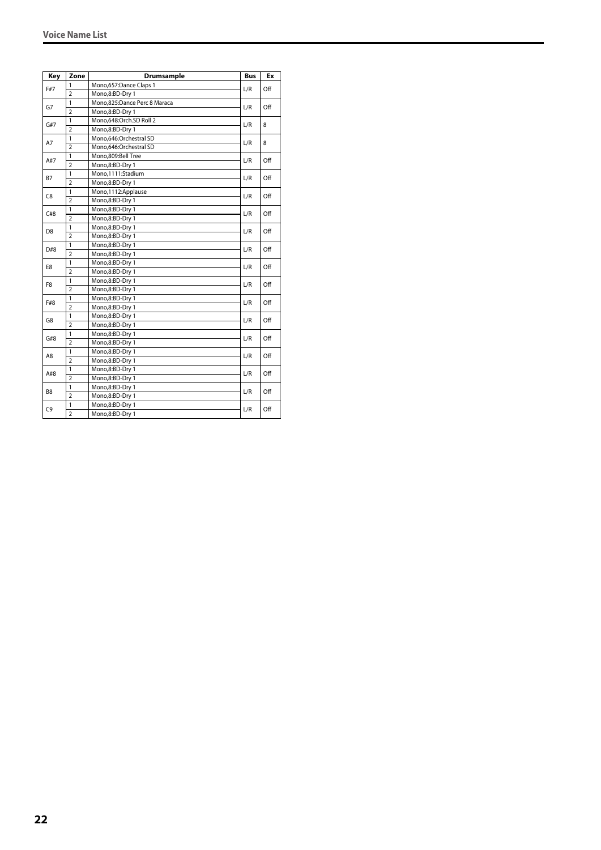| Key            | Zone           | Drumsample                   | <b>Bus</b> | Ex  |
|----------------|----------------|------------------------------|------------|-----|
|                | 1              | Mono,657:Dance Claps 1       |            |     |
| F#7            | $\overline{2}$ | Mono,8:BD-Dry 1              | L/R        | Off |
| G7             | $\mathbf{1}$   | Mono,825:Dance Perc 8 Maraca | L/R        | Off |
|                | $\overline{2}$ | Mono,8:BD-Dry 1              |            |     |
| G#7            | $\mathbf{1}$   | Mono,648:Orch.SD Roll 2      | L/R        | 8   |
|                | $\overline{2}$ | Mono,8:BD-Dry 1              |            |     |
| A7             | $\mathbf{1}$   | Mono.646:Orchestral SD       | L/R        | 8   |
|                | $\overline{2}$ | Mono,646:Orchestral SD       |            |     |
| A#7            | 1              | Mono,809:Bell Tree           |            | Off |
|                | $\overline{2}$ | Mono,8:BD-Dry 1              | L/R        |     |
| <b>B7</b>      | $\mathbf{1}$   | Mono,1111:Stadium            | L/R        | Off |
|                | $\overline{2}$ | Mono,8:BD-Dry 1              |            |     |
| C8             | 1              | Mono,1112:Applause           | L/R        | Off |
|                | $\overline{2}$ | Mono,8:BD-Dry 1              |            |     |
| C#8            | $\overline{1}$ | Mono,8:BD-Dry 1              |            |     |
|                | $\overline{2}$ | Mono,8:BD-Dry 1              | L/R        | Off |
| D <sub>8</sub> | 1              | Mono,8:BD-Dry 1              | L/R        | Off |
|                | $\overline{2}$ | Mono,8:BD-Dry 1              |            |     |
| D#8            | $\mathbf{1}$   | Mono,8:BD-Dry 1              | L/R        |     |
|                | $\overline{2}$ | Mono,8:BD-Dry 1              |            | Off |
|                | 1              | Mono,8:BD-Dry 1              | L/R        | Off |
| E8             | $\overline{2}$ | Mono,8:BD-Dry 1              |            |     |
|                | 1              | Mono,8:BD-Dry 1              |            | Off |
| F8             | $\overline{2}$ | Mono,8:BD-Dry 1              | L/R        |     |
|                | 1              | Mono,8:BD-Dry 1              | L/R        |     |
| F#8            | $\overline{2}$ | Mono,8:BD-Dry 1              |            | Off |
|                | $\mathbf{1}$   | Mono,8:BD-Dry 1              |            |     |
| G8             | $\overline{2}$ | Mono,8:BD-Dry 1              | L/R        | Off |
|                | $\mathbf{1}$   | Mono,8:BD-Dry 1              |            |     |
| G#8            | $\overline{2}$ | Mono,8:BD-Dry 1              | L/R        | Off |
|                | 1              | Mono,8:BD-Dry 1              |            |     |
| A8             | $\overline{2}$ | Mono,8:BD-Dry 1              | L/R        | Off |
|                | 1              | Mono,8:BD-Dry 1              |            |     |
| A#8            | $\overline{2}$ | Mono,8:BD-Dry 1              | L/R        | Off |
|                | $\mathbf{1}$   | Mono,8:BD-Dry 1              |            |     |
| B8             | $\overline{2}$ | Mono,8:BD-Dry 1              | L/R        | Off |
|                | 1              | Mono,8:BD-Dry 1              |            |     |
| C9             | $\overline{2}$ | Mono,8:BD-Dry 1              | L/R        | Off |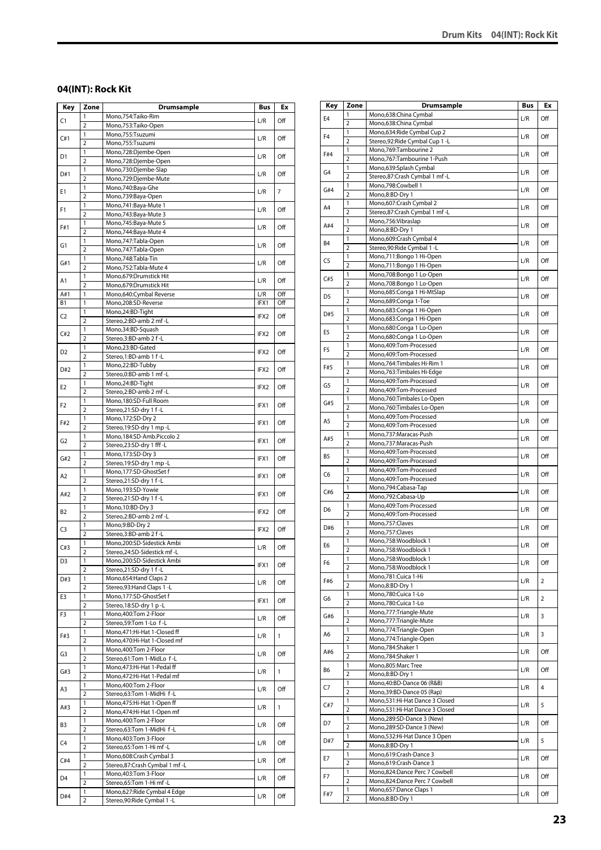# <span id="page-22-0"></span>**04(INT): Rock Kit**

| Key            | Zone                           | <b>Drumsample</b>                                         | Bus              | Ex             |
|----------------|--------------------------------|-----------------------------------------------------------|------------------|----------------|
| C1             | 1                              | Mono,754:Taiko-Rim                                        | L/R              | Off            |
|                | $\overline{2}$                 | Mono,753:Taiko-Open                                       |                  |                |
| C#1            | 1<br>$\overline{2}$            | Mono,755:Tsuzumi<br>Mono,755:Tsuzumi                      | L/R              | Off            |
|                | 1                              | Mono,728:Djembe-Open                                      |                  |                |
| D1             | $\overline{2}$                 | Mono,728:Djembe-Open                                      | L/R              | Off            |
|                | 1                              | Mono,730:Djembe-Slap                                      |                  |                |
| D#1            | $\overline{2}$                 | Mono,729:Djembe-Mute                                      | L/R              | Off            |
| Ε1             | 1                              | Mono,740:Baya-Ghe                                         | L/R              | $\overline{7}$ |
|                | $\overline{2}$                 | Mono,739:Baya-Open                                        |                  |                |
| F1             | 1<br>$\overline{2}$            | Mono, 741: Baya-Mute 1<br>Mono, 743: Baya-Mute 3          | L/R              | Off            |
|                | 1                              | Mono, 745: Baya-Mute 5                                    |                  |                |
| F#1            | $\overline{2}$                 | Mono, 744: Baya-Mute 4                                    | L/R              | Off            |
| G1             | 1                              | Mono, 747: Tabla-Open                                     | L/R              | Off            |
|                | $\overline{2}$                 | Mono, 747: Tabla-Open                                     |                  |                |
| G#1            | 1<br>$\overline{2}$            | Mono, 748: Tabla-Tin<br>Mono, 752: Tabla-Mute 4           | L/R              | Off            |
|                | 1                              | Mono,679:Drumstick Hit                                    |                  |                |
| A1             | $\overline{2}$                 | Mono,679:Drumstick Hit                                    | L/R              | Off            |
| A#1            | 1                              | Mono,640:Cymbal Reverse                                   | L/R              | Off            |
| В1             | 1                              | Mono,208:SD-Reverse                                       | IFX1             | Off            |
| C <sub>2</sub> | 1<br>$\overline{2}$            | Mono,24:BD-Tight<br>Stereo,2:BD-amb 2 mf-L                | IFX2             | Off            |
|                | 1                              | Mono, 34: BD-Squash                                       |                  |                |
| C#2            | $\overline{2}$                 | Stereo, 3:BD-amb 2 f-L                                    | IFX2             | Off            |
|                | 1                              | Mono,23:BD-Gated                                          |                  |                |
| D2             | $\overline{2}$                 | Stereo,1:BD-amb 1 f-L                                     | IFX <sub>2</sub> | Off            |
| D#2            | 1                              | Mono,22:BD-Tubby                                          | IFX2             | Off            |
|                | $\overline{2}$                 | Stereo, 0: BD-amb 1 mf-L                                  |                  |                |
| E2             | 1<br>$\overline{2}$            | Mono,24:BD-Tight                                          | IFX2             | Off            |
|                | 1                              | Stereo,2:BD-amb 2 mf -L<br>Mono, 180: SD-Full Room        |                  |                |
| F2             | $\overline{2}$                 | Stereo,21:SD-dry 1 f-L                                    | IFX1             | Off            |
| F#2            | 1                              | Mono, 172:SD-Dry 2                                        | IFX1             | Off            |
|                | $\overline{2}$                 | Stereo, 19:SD-dry 1 mp -L                                 |                  |                |
| G2             | 1                              | Mono,184:SD-Amb.Piccolo 2                                 | IFX1             | Off            |
|                | $\overline{2}$                 | Stereo,23:SD-dry 1 fff -L                                 |                  |                |
| G#2            | 1<br>$\overline{2}$            | Mono, 173: SD-Dry 3<br>Stereo, 19:SD-dry 1 mp -L          | IFX1             | Off            |
|                | 1                              | Mono,177:SD-GhostSet f                                    |                  |                |
| A2             | $\overline{2}$                 | Stereo,21:SD-dry 1 f-L                                    | IFX1             | Off            |
| A#2            | 1                              | Mono,193:SD-Yowie                                         | IFX1             | Off            |
|                | $\overline{2}$<br>1            | Stereo,21:SD-dry 1 f-L                                    |                  |                |
| B2             | $\overline{2}$                 | Mono, 10:BD-Dry 3<br>Stereo,2:BD-amb 2 mf-L               | IFX2             | Off            |
|                | 1                              | Mono,9:BD-Dry 2                                           |                  |                |
| C3             | $\overline{2}$                 | Stereo, 3:BD-amb 2 f-L                                    | IFX2             | Off            |
| C#3            | 1                              | Mono,200:SD-Sidestick Ambi                                | L/R              | Off            |
|                | $\overline{2}$                 | Stereo, 24: SD-Sidestick mf-L                             |                  |                |
| D3             | 1<br>$\overline{2}$            | Mono,200:SD-Sidestick Ambi<br>Stereo, 21: SD-dry 1 f-L    | IFX1             | Off            |
| D#3            | 1                              | Mono, 654: Hand Claps 2                                   |                  |                |
|                | 2                              | Stereo, 93: Hand Claps 1 - L                              | L/R              | Off            |
| E3             | $\mathbf{1}$                   | Mono,177:SD-GhostSet f                                    | IFX1             | Off            |
|                | $\overline{2}$<br>1            | Stereo, 18:SD-dry 1 p-L<br>Mono, 400: Tom 2-Floor         |                  |                |
| F3             | $\overline{2}$                 | Stereo, 59: Tom 1-Lo f-L                                  | L/R              | Off            |
|                | 1                              | Mono, 471: Hi-Hat 1-Closed ff                             |                  |                |
| F#3            | $\overline{2}$                 | Mono, 470: Hi-Hat 1-Closed mf                             | L/R              | $\mathbf{1}$   |
| G3             | $\mathbf{1}$                   | Mono, 400: Tom 2-Floor                                    | L/R              | Off            |
|                | $\overline{2}$                 | Stereo,61:Tom 1-MidLo f-L<br>Mono, 473: Hi-Hat 1-Pedal ff |                  |                |
| G#3            | $\mathbf{1}$<br>2              | Mono, 472: Hi-Hat 1-Pedal mf                              | L/R              | $\mathbf{1}$   |
|                | $\mathbf{1}$                   | Mono, 400: Tom 2-Floor                                    |                  |                |
| A3             | $\overline{2}$                 | Stereo,63:Tom 1-MidHi f-L                                 | L/R              | Off            |
| A#3            | 1                              | Mono, 475: Hi-Hat 1-Open ff                               | L/R              | $\mathbf{1}$   |
|                | $\overline{2}$                 | Mono, 474: Hi-Hat 1-Open mf                               |                  |                |
| B3             | 1<br>$\overline{2}$            | Mono, 400: Tom 2-Floor<br>Stereo,63:Tom 1-MidHi f-L       | L/R              | Off            |
|                | 1                              | Mono, 403: Tom 3-Floor                                    |                  |                |
| C4             | $\overline{2}$                 | Stereo,65:Tom 1-Hi mf-L                                   | L/R              | Off            |
| C#4            | 1                              | Mono, 608: Crash Cymbal 3                                 | L/R              | Off            |
|                | $\overline{2}$                 | Stereo,87:Crash Cymbal 1 mf-L                             |                  |                |
| D4             | $\mathbf{1}$<br>$\overline{2}$ | Mono, 403: Tom 3-Floor<br>Stereo,65:Tom 1-Hi mf-L         | L/R              | Off            |
|                | 1                              | Mono,627: Ride Cymbal 4 Edge                              |                  |                |
| D#4            | $\overline{\mathbf{2}}$        | Stereo, 90: Ride Cymbal 1 - L                             | L/R              | Off            |

| Key            | Zone                    | <b>Drumsample</b>                                         | <b>Bus</b> | Ex             |
|----------------|-------------------------|-----------------------------------------------------------|------------|----------------|
| E4             | 1                       | Mono,638:China Cymbal                                     | L/R        | Off            |
|                | 2                       | Mono,638:China Cymbal                                     |            |                |
| F <sub>4</sub> | 1                       | Mono,634: Ride Cymbal Cup 2                               | L/R        | Off            |
|                | 2                       | Stereo, 92: Ride Cymbal Cup 1 - L                         |            |                |
| F#4            | 1<br>$\overline{2}$     | Mono, 769: Tambourine 2<br>Mono,767:Tambourine 1-Push     | L/R        | Off            |
|                | 1                       | Mono,639:Splash Cymbal                                    |            |                |
| G4             | $\overline{2}$          | Stereo,87:Crash Cymbal 1 mf-L                             | L/R        | Off            |
|                | 1                       | Mono,798:Cowbell 1                                        |            |                |
| G#4            | 2                       | Mono,8:BD-Dry 1                                           | L/R        | Off            |
| A4             | 1                       | Mono,607:Crash Cymbal 2                                   | L/R        | Off            |
|                | $\overline{2}$          | Stereo,87:Crash Cymbal 1 mf-L                             |            |                |
| A#4            | 1                       | Mono,756:Vibraslap                                        | L/R        | Off            |
|                | 2<br>1                  | Mono,8:BD-Dry 1                                           |            |                |
| B <sub>4</sub> | $\overline{2}$          | Mono,609:Crash Cymbal 4<br>Stereo, 90: Ride Cymbal 1 - L  | L/R        | Off            |
|                | 1                       | Mono,711:Bongo 1 Hi-Open                                  |            |                |
| C <sub>5</sub> | 2                       | Mono,711:Bongo 1 Hi-Open                                  | L/R        | Off            |
| C#5            | 1                       | Mono,708:Bongo 1 Lo-Open                                  | L/R        | Off            |
|                | $\overline{2}$          | Mono,708:Bongo 1 Lo-Open                                  |            |                |
| D <sub>5</sub> | 1                       | Mono,685:Conga 1 Hi-MtSlap                                | L/R        | Off            |
|                | $\overline{2}$          | Mono,689:Conga 1-Toe                                      |            |                |
| D#5            | 1<br>$\overline{2}$     | Mono,683:Conga 1 Hi-Open<br>Mono,683:Conga 1 Hi-Open      | L/R        | Off            |
|                | 1                       | Mono,680:Conga 1 Lo-Open                                  |            |                |
| E5             | 2                       | Mono,680:Conga 1 Lo-Open                                  | L/R        | Off            |
|                | 1                       | Mono,409:Tom-Processed                                    |            |                |
| F5             | $\overline{2}$          | Mono,409:Tom-Processed                                    | L/R        | Off            |
| F#5            | 1                       | Mono, 764: Timbales Hi-Rim 1                              |            | Off            |
|                | $\overline{2}$          | Mono, 763: Timbales Hi-Edge                               | L/R        |                |
| G5             | 1                       | Mono,409:Tom-Processed                                    | L/R        | Off            |
|                | 2                       | Mono,409:Tom-Processed                                    |            |                |
| G#5            | 1<br>2                  | Mono,760:Timbales Lo-Open                                 | L/R        | Off            |
|                | 1                       | Mono,760:Timbales Lo-Open<br>Mono,409:Tom-Processed       |            |                |
| A5             | $\overline{2}$          | Mono,409:Tom-Processed                                    | L/R        | Off            |
|                | 1                       | Mono,737:Maracas-Push                                     |            |                |
| A#5            | $\overline{2}$          | Mono,737: Maracas-Push                                    | L/R        | Off            |
| B5             | 1                       | Mono,409:Tom-Processed                                    | L/R        | Off            |
|                | 2                       | Mono,409:Tom-Processed                                    |            |                |
| C6             | 1                       | Mono,409:Tom-Processed                                    | L/R        | Off            |
|                | $\overline{2}$          | Mono,409:Tom-Processed                                    |            |                |
| C#6            | 1<br>$\overline{2}$     | Mono,794:Cabasa-Tap<br>Mono,792:Cabasa-Up                 | L/R        | Off            |
|                | 1                       | Mono,409:Tom-Processed                                    |            |                |
| D <sub>6</sub> | $\overline{2}$          | Mono,409:Tom-Processed                                    | L/R        | Off            |
| D#6            | 1                       | Mono, 757: Claves                                         | L/R        | Off            |
|                | $\overline{2}$          | Mono, 757: Claves                                         |            |                |
| E6             | 1                       | Mono,758:Woodblock 1                                      | L/R        | Off            |
|                | $\overline{2}$          | Mono,758:Woodblock 1                                      |            |                |
| F6             | 1<br>$\overline{2}$     | Mono,758:Woodblock 1<br>Mono,758:Woodblock 1              | L/R        | Off            |
|                | 1                       | Mono,781:Cuica 1-Hi                                       |            |                |
| F#6            | $\overline{2}$          | Mono,8:BD-Dry 1                                           | L/R        | $\overline{2}$ |
|                | 1                       | Mono,780:Cuica 1-Lo                                       |            |                |
| G6             | $\overline{2}$          | Mono,780:Cuica 1-Lo                                       | L/R        | $\overline{2}$ |
| G#6            | 1                       | Mono,777:Triangle-Mute                                    | L/R        | 3              |
|                | $\overline{2}$          | Mono,777:Triangle-Mute                                    |            |                |
| A6             | 1                       | Mono,774:Triangle-Open                                    | L/R        | 3              |
|                | $\overline{2}$<br>1     | Mono,774:Triangle-Open<br>Mono,784:Shaker 1               |            |                |
| A#6            | $\overline{2}$          | Mono,784:Shaker 1                                         | L/R        | Off            |
|                | 1                       | Mono,805:Marc Tree                                        |            |                |
| B6             | 2                       | Mono,8:BD-Dry 1                                           | L/R        | Off            |
|                | 1                       | Mono,40:BD-Dance 06 (R&B)                                 |            | $\overline{4}$ |
| C7             | 2                       | Mono, 39: BD-Dance 05 (Rap)                               | L/R        |                |
| C#7            | 1                       | Mono,531:Hi-Hat Dance 3 Closed                            | L/R        | 5              |
|                | $\overline{2}$          | Mono,531:Hi-Hat Dance 3 Closed                            |            |                |
| D7             | 1                       | Mono,289:SD-Dance 3 (New)                                 | L/R        | Off            |
|                | $\overline{2}$<br>1     | Mono,289:SD-Dance 3 (New)<br>Mono,532:Hi-Hat Dance 3 Open |            |                |
| D#7            | $\overline{\mathbf{c}}$ | Mono,8:BD-Dry 1                                           | L/R        | 5              |
|                | 1                       | Mono,619:Crash-Dance 3                                    |            |                |
| Е7             | 2                       | Mono,619:Crash-Dance 3                                    | L/R        | Off            |
|                | 1                       | Mono,824:Dance Perc 7 Cowbell                             | L/R        | Off            |
| F7             | $\overline{2}$          | Mono,824:Dance Perc 7 Cowbell                             |            |                |
| F#7            | 1                       | Mono,657:Dance Claps 1                                    | L/R        | Off            |
|                | $\overline{2}$          | Mono,8:BD-Dry 1                                           |            |                |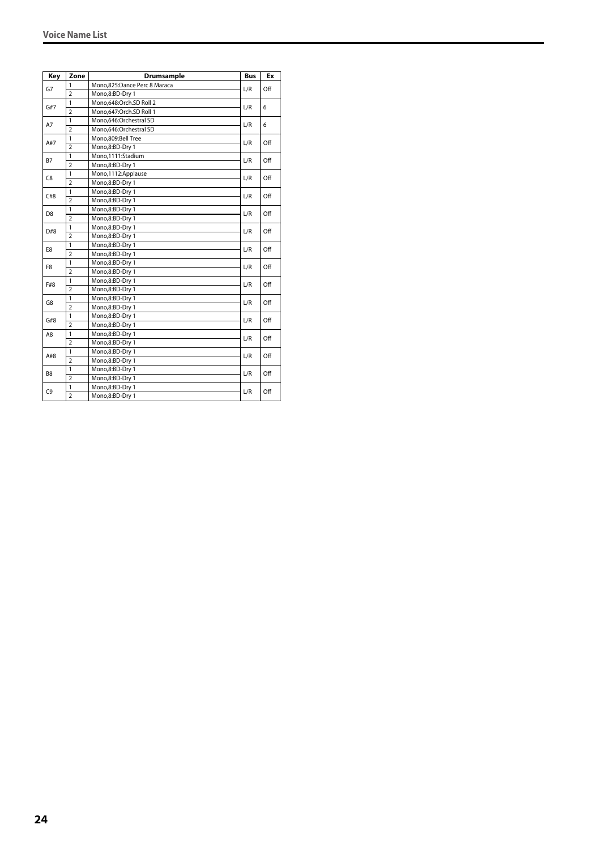| Key            | Zone           | <b>Drumsample</b>            | <b>Bus</b> | Ex  |
|----------------|----------------|------------------------------|------------|-----|
|                | $\mathbf{1}$   | Mono,825:Dance Perc 8 Maraca |            |     |
| G7             | $\overline{2}$ | Mono,8:BD-Dry 1              | L/R        | Off |
| G#7            | 1              | Mono,648:Orch.SD Roll 2      | L/R        |     |
|                | $\overline{2}$ | Mono, 647: Orch. SD Roll 1   |            | 6   |
| A7             | $\mathbf{1}$   | Mono,646:Orchestral SD       | L/R        | 6   |
|                | $\overline{2}$ | Mono,646:Orchestral SD       |            |     |
| A#7            | $\mathbf{1}$   | Mono,809:Bell Tree           | L/R        | Off |
|                | $\overline{2}$ | Mono,8:BD-Dry 1              |            |     |
| B7             | 1              | Mono,1111:Stadium            | L/R        | Off |
|                | $\overline{2}$ | Mono,8:BD-Dry 1              |            |     |
| C8             | 1              | Mono,1112:Applause           | L/R        | Off |
|                | $\overline{2}$ | Mono,8:BD-Dry 1              |            |     |
| C#8            | 1              | Mono,8:BD-Dry 1              | L/R        | Off |
|                | $\overline{2}$ | Mono,8:BD-Dry 1              |            |     |
| D <sub>8</sub> | $\mathbf{1}$   | Mono,8:BD-Dry 1              | L/R        | Off |
|                | $\overline{2}$ | Mono,8:BD-Dry 1              |            |     |
| D#8            | $\mathbf{1}$   | Mono,8:BD-Dry 1              | L/R        | Off |
|                | $\overline{2}$ | Mono,8:BD-Dry 1              |            |     |
| E8             | $\mathbf{1}$   | Mono,8:BD-Dry 1              | L/R        | Off |
|                | $\overline{2}$ | Mono,8:BD-Dry 1              |            |     |
| F <sub>8</sub> | $\mathbf{1}$   | Mono,8:BD-Dry 1              | L/R        | Off |
|                | $\overline{2}$ | Mono,8:BD-Dry 1              |            |     |
| F#8            | 1              | Mono,8:BD-Dry 1              |            | Off |
|                | $\overline{2}$ | Mono,8:BD-Dry 1              | L/R        |     |
| G8             | $\mathbf{1}$   | Mono,8:BD-Dry 1              | L/R        | Off |
|                | $\overline{2}$ | Mono,8:BD-Dry 1              |            |     |
| G#8            | $\mathbf{1}$   | Mono,8:BD-Dry 1              | L/R        | Off |
|                | $\overline{2}$ | Mono,8:BD-Dry 1              |            |     |
| A8             | 1              | Mono,8:BD-Dry 1              | L/R        | Off |
|                | $\overline{2}$ | Mono,8:BD-Dry 1              |            |     |
| A#8            | 1              | Mono,8:BD-Dry 1              | L/R        | Off |
|                | $\overline{2}$ | Mono,8:BD-Dry 1              |            |     |
| B8             | $\mathbf{1}$   | Mono,8:BD-Dry 1              | L/R        | Off |
|                | $\overline{2}$ | Mono,8:BD-Dry 1              |            |     |
| C <sub>9</sub> | 1              | Mono,8:BD-Dry 1              | L/R        | Off |
|                | $\overline{2}$ | Mono,8:BD-Dry 1              |            |     |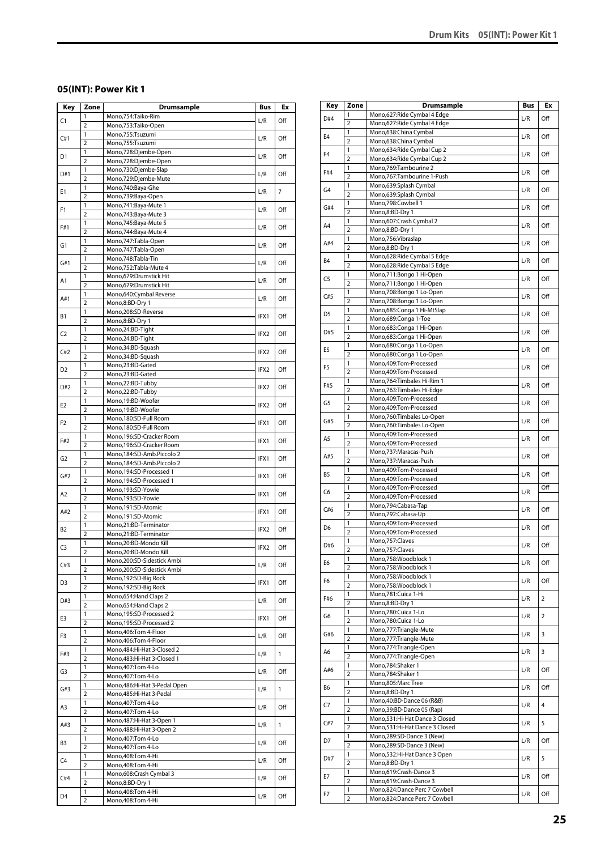# <span id="page-24-0"></span>**05(INT): Power Kit 1**

| Key            | Zone                | <b>Drumsample</b>                                         | Bus  | Еx             |
|----------------|---------------------|-----------------------------------------------------------|------|----------------|
| C1             | 1                   | Mono,754:Taiko-Rim                                        | L/R  | Off            |
|                | $\overline{2}$      | Mono,753:Taiko-Open                                       |      |                |
| C#1            | 1                   | Mono,755:Tsuzumi                                          | L/R  | Off            |
|                | $\overline{2}$<br>1 | Mono,755:Tsuzumi                                          |      |                |
| D1             | $\overline{2}$      | Mono,728:Djembe-Open<br>Mono,728:Djembe-Open              | L/R  | Off            |
|                | 1                   | Mono,730:Djembe-Slap                                      |      |                |
| D#1            | $\overline{2}$      | Mono,729:Djembe-Mute                                      | L/R  | Off            |
|                | 1                   | Mono,740:Baya-Ghe                                         |      |                |
| E1             | $\overline{2}$      | Mono,739:Baya-Open                                        | L/R  | $\overline{7}$ |
| F1             | 1                   | Mono, 741: Baya-Mute 1                                    | L/R  | Off            |
|                | $\overline{2}$      | Mono, 743: Baya-Mute 3                                    |      |                |
| F#1            | 1                   | Mono, 745: Baya-Mute 5                                    | L/R  | Off            |
|                | $\overline{2}$      | Mono, 744: Baya-Mute 4                                    |      |                |
| G1             | 1                   | Mono, 747: Tabla-Open                                     | L/R  | Off            |
|                | $\overline{2}$<br>1 | Mono, 747: Tabla-Open<br>Mono,748:Tabla-Tin               |      |                |
| G#1            | $\overline{2}$      | Mono, 752: Tabla-Mute 4                                   | L/R  | Off            |
|                | 1                   | Mono,679:Drumstick Hit                                    |      |                |
| A1             | $\overline{2}$      | Mono,679:Drumstick Hit                                    | L/R  | Off            |
| A#1            | 1                   | Mono,640:Cymbal Reverse                                   |      |                |
|                | $\overline{2}$      | Mono,8:BD-Dry 1                                           | L/R  | Off            |
| В1             | 1                   | Mono,208:SD-Reverse                                       | IFX1 | Off            |
|                | $\overline{2}$      | Mono,8:BD-Dry 1                                           |      |                |
| C <sub>2</sub> | 1                   | Mono,24:BD-Tight                                          | IFX2 | Off            |
|                | $\overline{2}$      | Mono,24:BD-Tight                                          |      |                |
| C#2            | 1<br>$\overline{2}$ | Mono, 34: BD-Squash<br>Mono, 34: BD-Squash                | IFX2 | Off            |
|                | $\mathbf{1}$        | Mono.23:BD-Gated                                          |      |                |
| D2             | $\overline{2}$      | Mono,23:BD-Gated                                          | IFX2 | Off            |
|                | 1                   | Mono,22:BD-Tubby                                          |      |                |
| D#2            | $\overline{2}$      | Mono,22:BD-Tubby                                          | IFX2 | Off            |
|                | 1                   | Mono,19:BD-Woofer                                         |      |                |
| E2             | $\overline{2}$      | Mono,19:BD-Woofer                                         | IFX2 | Off            |
| F2             | 1                   | Mono,180:SD-Full Room                                     | IFX1 | Off            |
|                | $\overline{2}$      | Mono,180:SD-Full Room                                     |      |                |
| F#2            | 1                   | Mono,196:SD-Cracker Room                                  | IFX1 | Off            |
|                | $\overline{2}$      | Mono,196:SD-Cracker Room                                  |      |                |
| G2             | 1                   | Mono, 184: SD-Amb. Piccolo 2                              | IFX1 | Off            |
|                | 2<br>1              | Mono, 184: SD-Amb. Piccolo 2<br>Mono, 194: SD-Processed 1 |      |                |
| G#2            | $\overline{2}$      | Mono, 194: SD-Processed 1                                 | IFX1 | Off            |
|                | 1                   | Mono,193:SD-Yowie                                         |      |                |
| A <sub>2</sub> | $\overline{2}$      | Mono,193:SD-Yowie                                         | IFX1 | Off            |
| A#2            | 1                   | Mono,191:SD-Atomic                                        | IFX1 | Off            |
|                | $\overline{2}$      | Mono,191:SD-Atomic                                        |      |                |
| B2             | 1                   | Mono,21:BD-Terminator                                     | IFX2 | Off            |
|                | $\overline{2}$      | Mono,21:BD-Terminator                                     |      |                |
| C3             | 1                   | Mono,20:BD-Mondo Kill                                     | IFX2 | Off            |
|                | $\overline{2}$      | Mono,20:BD-Mondo Kill                                     |      |                |
| C#3            | 1<br>$\overline{2}$ | Mono,200:SD-Sidestick Ambi<br>Mono,200:SD-Sidestick Ambi  | L/R  | Off            |
|                | 1                   | Mono, 192: SD-Big Rock                                    |      |                |
| D3             | $\overline{2}$      | Mono, 192: SD-Big Rock                                    | IFX1 | Off            |
|                | 1                   | Mono, 654: Hand Claps 2                                   |      |                |
| D#3            | $\overline{2}$      | Mono, 654: Hand Claps 2                                   | L/R  | Off            |
| E3             | 1                   | Mono, 195:SD-Processed 2                                  | IFX1 | Off            |
|                | $\overline{2}$      | Mono, 195: SD-Processed 2                                 |      |                |
| F3             | 1                   | Mono, 406: Tom 4-Floor                                    | L/R  | Off            |
|                | $\overline{2}$      | Mono, 406: Tom 4-Floor                                    |      |                |
| F#3            | 1                   | Mono, 484: Hi-Hat 3-Closed 2                              | L/R  | $\mathbf{1}$   |
|                | $\overline{2}$<br>1 | Mono, 483: Hi-Hat 3-Closed 1<br>Mono, 407: Tom 4-Lo       |      |                |
| G3             | $\overline{2}$      | Mono, 407: Tom 4-Lo                                       | L/R  | Off            |
|                | 1                   | Mono, 486: Hi-Hat 3-Pedal Open                            |      |                |
| G#3            | $\overline{2}$      | Mono, 485: Hi-Hat 3-Pedal                                 | L/R  | $\mathbf{1}$   |
|                | 1                   | Mono, 407: Tom 4-Lo                                       |      |                |
| A3             | $\overline{2}$      | Mono, 407: Tom 4-Lo                                       | L/R  | Off            |
| A#3            | 1                   | Mono, 487: Hi-Hat 3-Open 1                                | L/R  | $\mathbf{1}$   |
|                | $\overline{2}$      | Mono, 488: Hi-Hat 3-Open 2                                |      |                |
| B3             | 1                   | Mono, 407: Tom 4-Lo                                       | L/R  | Off            |
|                | $\overline{2}$      | Mono, 407: Tom 4-Lo                                       |      |                |
| C4             | 1                   | Mono, 408: Tom 4-Hi                                       | L/R  | Off            |
|                | $\overline{2}$<br>1 | Mono, 408: Tom 4-Hi<br>Mono,608:Crash Cymbal 3            |      |                |
| C#4            | $\overline{2}$      | Mono,8:BD-Dry 1                                           | L/R  | Off            |
|                | 1                   | Mono, 408: Tom 4-Hi                                       |      |                |
| D4             | 2                   | Mono, 408: Tom 4-Hi                                       | L/R  | Off            |

| Key            | Zone                | <b>Drumsample</b>                                     | Bus | Ex             |
|----------------|---------------------|-------------------------------------------------------|-----|----------------|
| D#4            | 1                   | Mono,627: Ride Cymbal 4 Edge                          | L/R | Off            |
|                | $\overline{2}$      | Mono,627: Ride Cymbal 4 Edge                          |     |                |
| E <sub>4</sub> | 1                   | Mono,638:China Cymbal                                 | L/R | Off            |
|                | $\overline{2}$      | Mono,638:China Cymbal                                 |     |                |
| F <sub>4</sub> | 1                   | Mono,634: Ride Cymbal Cup 2                           | L/R | Off            |
|                | $\overline{2}$<br>1 | Mono,634:Ride Cymbal Cup 2<br>Mono, 769: Tambourine 2 |     |                |
| F#4            | $\overline{2}$      | Mono,767:Tambourine 1-Push                            | L/R | Off            |
|                | 1                   | Mono,639:Splash Cymbal                                |     |                |
| G <sub>4</sub> | $\overline{2}$      | Mono,639:Splash Cymbal                                | L/R | Off            |
|                | 1                   | Mono,798:Cowbell 1                                    |     |                |
| G#4            | $\overline{2}$      | Mono,8:BD-Dry 1                                       | L/R | Off            |
|                | 1                   | Mono,607:Crash Cymbal 2                               |     |                |
| A <sub>4</sub> | $\overline{2}$      | Mono,8:BD-Dry 1                                       | L/R | Off            |
|                | 1                   | Mono,756:Vibraslap                                    |     |                |
| A#4            | $\overline{2}$      | Mono,8:BD-Dry 1                                       | L/R | Off            |
| B4             | 1                   | Mono,628: Ride Cymbal 5 Edge                          | L/R | Off            |
|                | $\overline{2}$      | Mono,628:Ride Cymbal 5 Edge                           |     |                |
| C5             | 1                   | Mono,711:Bongo 1 Hi-Open                              | L/R | Off            |
|                | $\overline{2}$      | Mono,711:Bongo 1 Hi-Open                              |     |                |
| C#5            | $\mathbf{1}$        | Mono,708:Bongo 1 Lo-Open                              | L/R | Off            |
|                | $\overline{2}$      | Mono,708:Bongo 1 Lo-Open                              |     |                |
| D <sub>5</sub> | 1                   | Mono,685:Conga 1 Hi-MtSlap                            | L/R | Off            |
|                | $\overline{2}$      | Mono,689:Conga 1-Toe                                  |     |                |
| D#5            | 1                   | Mono,683:Conga 1 Hi-Open                              | L/R | Off            |
|                | $\overline{2}$<br>1 | Mono,683:Conga 1 Hi-Open<br>Mono,680:Conga 1 Lo-Open  |     |                |
| E5             | $\overline{2}$      | Mono,680:Conga 1 Lo-Open                              | L/R | Off            |
|                | $\mathbf{1}$        | Mono,409:Tom-Processed                                |     |                |
| F <sub>5</sub> | $\overline{2}$      | Mono,409:Tom-Processed                                | L/R | Off            |
|                | $\mathbf{1}$        | Mono.764:Timbales Hi-Rim 1                            |     |                |
| F#5            | $\overline{2}$      | Mono, 763: Timbales Hi-Edge                           | L/R | Off            |
|                | $\mathbf{1}$        | Mono,409:Tom-Processed                                |     |                |
| G5             | $\overline{2}$      | Mono,409:Tom-Processed                                | L/R | Off            |
|                | 1                   | Mono,760:Timbales Lo-Open                             |     |                |
| G#5            | $\overline{2}$      | Mono,760:Timbales Lo-Open                             | L/R | Off            |
|                | 1                   | Mono,409:Tom-Processed                                |     |                |
| A5             | $\overline{2}$      | Mono,409:Tom-Processed                                | L/R | Off            |
| A#5            | 1                   | Mono,737:Maracas-Push                                 | L/R | Off            |
|                | $\overline{2}$      | Mono,737:Maracas-Push                                 |     |                |
| B5             | 1                   | Mono,409:Tom-Processed                                | L/R | Off            |
|                | $\overline{2}$      | Mono,409:Tom-Processed                                |     |                |
| C6             | 1                   | Mono,409:Tom-Processed                                | L/R | Off            |
|                | $\overline{2}$      | Mono,409:Tom-Processed                                |     |                |
| C#6            | 1                   | Mono, 794: Cabasa-Tap                                 | L/R | Off            |
|                | $\overline{2}$      | Mono,792:Cabasa-Up                                    |     |                |
| D <sub>6</sub> | 1<br>$\overline{2}$ | Mono,409:Tom-Processed<br>Mono,409:Tom-Processed      | L/R | Off            |
|                | 1                   | Mono, 757: Claves                                     |     |                |
| D#6            | $\overline{2}$      | Mono,757:Claves                                       | L/R | Off            |
|                | 1                   | Mono,758:Woodblock 1                                  |     |                |
| E6             | $\overline{2}$      | Mono,758:Woodblock 1                                  | L/R | Off            |
|                | 1                   | Mono,758:Woodblock 1                                  |     |                |
| F6             | $\overline{2}$      | Mono,758:Woodblock 1                                  | L/R | Off            |
|                | 1                   | Mono,781:Cuica 1-Hi                                   |     |                |
| F#6            | $\overline{2}$      | Mono,8:BD-Dry 1                                       | L/R | $\overline{2}$ |
| G6             | 1                   | Mono,780:Cuica 1-Lo                                   | L/R | $\overline{2}$ |
|                | $\overline{2}$      | Mono,780:Cuica 1-Lo                                   |     |                |
| G#6            | 1                   | Mono,777:Triangle-Mute                                | L/R | 3              |
|                | $\overline{2}$      | Mono,777:Triangle-Mute                                |     |                |
| A6             | $\mathbf{1}$        | Mono,774:Triangle-Open                                | L/R | 3              |
|                | 2                   | Mono,774:Triangle-Open                                |     |                |
| A#6            | 1                   | Mono,784:Shaker 1                                     | L/R | Off            |
|                | $\overline{2}$      | Mono,784:Shaker 1                                     |     |                |
| B6             | 1                   | Mono,805:Marc Tree                                    | L/R | Off            |
|                | $\overline{2}$<br>1 | Mono,8:BD-Dry 1<br>Mono, 40: BD-Dance 06 (R&B)        |     |                |
| C7             | 2                   | Mono, 39: BD-Dance 05 (Rap)                           | L/R | 4              |
|                | 1                   | Mono,531:Hi-Hat Dance 3 Closed                        |     |                |
| C#7            | $\overline{2}$      | Mono,531:Hi-Hat Dance 3 Closed                        | L/R | 5              |
|                | 1                   | Mono,289:SD-Dance 3 (New)                             |     |                |
| D7             | $\overline{2}$      | Mono,289:SD-Dance 3 (New)                             | L/R | Off            |
|                | 1                   | Mono,532:Hi-Hat Dance 3 Open                          |     |                |
| D#7            | $\overline{2}$      | Mono,8:BD-Dry 1                                       | L/R | 5              |
|                | 1                   | Mono,619:Crash-Dance 3                                |     |                |
| E7             | $\overline{2}$      | Mono,619:Crash-Dance 3                                | L/R | Off            |
|                | 1                   | Mono,824:Dance Perc 7 Cowbell                         |     |                |
| F7             | 2                   | Mono,824:Dance Perc 7 Cowbell                         | L/R | Off            |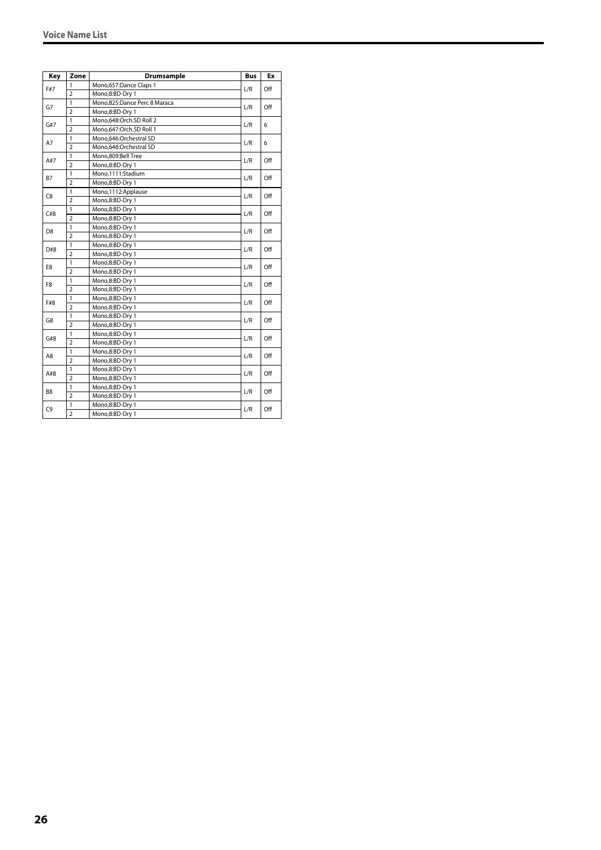| Key            | Zone           | <b>Drumsample</b>            | <b>Bus</b> | Ex  |
|----------------|----------------|------------------------------|------------|-----|
|                | 1              | Mono,657:Dance Claps 1       |            |     |
| F#7            | $\overline{2}$ | Mono,8:BD-Dry 1              | L/R        | Off |
| G7             | 1              | Mono,825:Dance Perc 8 Maraca | L/R        | Off |
|                | $\overline{2}$ | Mono,8:BD-Dry 1              |            |     |
| G#7            | $\mathbf{1}$   | Mono,648:Orch.SD Roll 2      | L/R        | 6   |
|                | $\overline{2}$ | Mono,647:Orch.SD Roll 1      |            |     |
| A7             | 1              | Mono,646:Orchestral SD       | L/R        | 6   |
|                | $\overline{2}$ | Mono,646:Orchestral SD       |            |     |
| A#7            | 1              | Mono,809:Bell Tree           | L/R        | Off |
|                | $\overline{2}$ | Mono,8:BD-Dry 1              |            |     |
| B7             | 1              | Mono,1111:Stadium            | L/R        | Off |
|                | $\overline{2}$ | Mono,8:BD-Dry 1              |            |     |
| C8             | 1              | Mono,1112:Applause           |            | Off |
|                | $\overline{2}$ | Mono,8:BD-Dry 1              | L/R        |     |
| C#8            | 1              | Mono,8:BD-Dry 1              |            | Off |
|                | $\overline{2}$ | Mono,8:BD-Dry 1              | L/R        |     |
| D <sub>8</sub> | 1              | Mono,8:BD-Dry 1              |            | Off |
|                | $\overline{2}$ | Mono,8:BD-Dry 1              | L/R        |     |
| D#8            | 1              | Mono,8:BD-Dry 1              | L/R        | Off |
|                | $\overline{2}$ | Mono,8:BD-Dry 1              |            |     |
| E8             | 1              | Mono,8:BD-Dry 1              | L/R        | Off |
|                | $\overline{2}$ | Mono,8:BD-Dry 1              |            |     |
| F8             | 1              | Mono,8:BD-Dry 1              | L/R        | Off |
|                | $\overline{2}$ | Mono,8:BD-Dry 1              |            |     |
|                | $\overline{1}$ | Mono,8:BD-Dry 1              |            | Off |
| F#8            | $\overline{2}$ | Mono,8:BD-Dry 1              | L/R        |     |
| G8             | 1              | Mono,8:BD-Dry 1              | L/R        | Off |
|                | $\overline{2}$ | Mono,8:BD-Dry 1              |            |     |
| G#8            | 1              | Mono,8:BD-Dry 1              | L/R        | Off |
|                | $\overline{2}$ | Mono,8:BD-Dry 1              |            |     |
|                | $\mathbf{1}$   | Mono,8:BD-Dry 1              |            | Off |
| A8             | $\overline{2}$ | Mono,8:BD-Dry 1              | L/R        |     |
|                | 1              | Mono,8:BD-Dry 1              |            |     |
| A#8            | $\overline{2}$ | Mono,8:BD-Dry 1              | L/R        | Off |
|                | 1              | Mono,8:BD-Dry 1              |            |     |
| B <sub>8</sub> | $\overline{2}$ | Mono,8:BD-Dry 1              | L/R        | Off |
|                | 1              | Mono,8:BD-Dry 1              |            |     |
| C9             | $\overline{2}$ | Mono,8:BD-Dry 1              | L/R        | Off |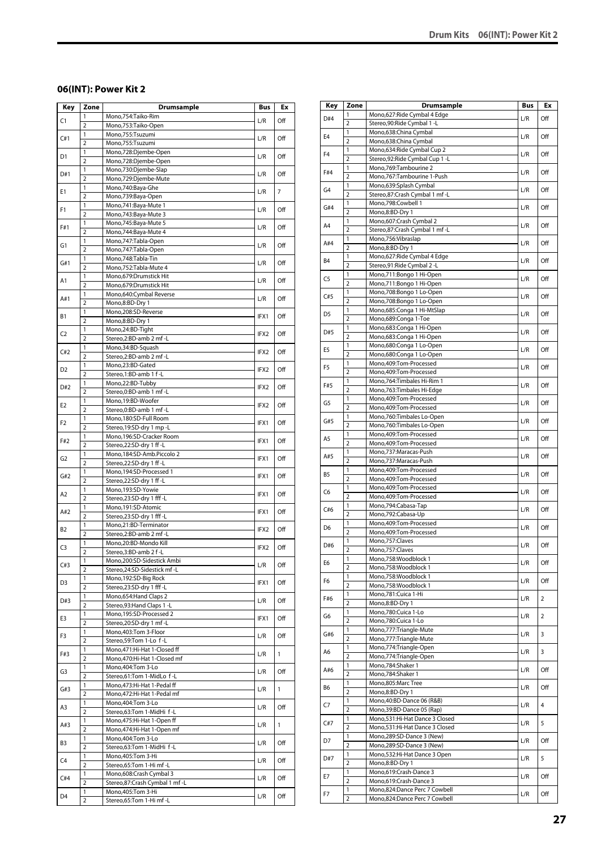# <span id="page-26-0"></span>**06(INT): Power Kit 2**

| Key            | Zone                | <b>Drumsample</b>                                 | Bus  | Ex             |
|----------------|---------------------|---------------------------------------------------|------|----------------|
| C1             | 1                   | Mono,754:Taiko-Rim                                | L/R  | Off            |
|                | $\overline{2}$      | Mono,753:Taiko-Open                               |      |                |
| C#1            | 1                   | Mono,755:Tsuzumi                                  | L/R  | Off            |
|                | $\overline{2}$      | Mono,755:Tsuzumi                                  |      |                |
| D1             | 1                   | Mono,728:Djembe-Open                              | L/R  | Off            |
|                | $\overline{2}$      | Mono,728:Djembe-Open                              |      |                |
| D#1            | 1<br>$\overline{2}$ | Mono,730:Djembe-Slap<br>Mono,729:Djembe-Mute      | L/R  | Off            |
|                | 1                   | Mono,740:Baya-Ghe                                 |      |                |
| Ε1             | $\overline{2}$      | Mono,739:Baya-Open                                | L/R  | $\overline{7}$ |
|                | 1                   | Mono, 741: Baya-Mute 1                            |      |                |
| F1             | $\overline{2}$      | Mono, 743: Baya-Mute 3                            | L/R  | Off            |
| F#1            | 1                   | Mono, 745: Baya-Mute 5                            | L/R  | Off            |
|                | $\overline{2}$      | Mono, 744: Baya-Mute 4                            |      |                |
| G1             | 1                   | Mono, 747: Tabla-Open                             | L/R  | Off            |
|                | $\overline{2}$      | Mono, 747: Tabla-Open                             |      |                |
| G#1            | 1                   | Mono,748:Tabla-Tin                                | L/R  | Off            |
|                | $\overline{2}$      | Mono, 752: Tabla-Mute 4                           |      |                |
| Α1             | 1<br>$\overline{2}$ | Mono,679:Drumstick Hit                            | L/R  | Off            |
|                | 1                   | Mono,679:Drumstick Hit<br>Mono,640:Cymbal Reverse |      |                |
| A#1            | $\overline{2}$      | Mono,8:BD-Dry 1                                   | L/R  | Off            |
|                | 1                   | Mono,208:SD-Reverse                               |      |                |
| В1             | $\overline{2}$      | Mono,8:BD-Dry 1                                   | IFX1 | Off            |
|                | 1                   | Mono,24:BD-Tight                                  |      |                |
| C <sub>2</sub> | $\overline{2}$      | Stereo,2:BD-amb 2 mf -L                           | IFX2 | Off            |
| C#2            | 1                   | Mono,34:BD-Squash                                 | IFX2 | Off            |
|                | $\overline{2}$      | Stereo,2:BD-amb 2 mf -L                           |      |                |
| D2             | 1                   | Mono,23:BD-Gated                                  | IFX2 | Off            |
|                | $\overline{2}$      | Stereo,1:BD-amb 1 f-L                             |      |                |
| D#2            | 1                   | Mono,22:BD-Tubby                                  | IFX2 | Off            |
|                | $\overline{2}$      | Stereo, 0: BD-amb 1 mf - L                        |      |                |
| E2             | 1<br>$\overline{2}$ | Mono,19:BD-Woofer<br>Stereo, 0: BD-amb 1 mf - L   | IFX2 | Off            |
|                | 1                   | Mono,180:SD-Full Room                             |      |                |
| F2             | $\overline{2}$      | Stereo, 19:SD-dry 1 mp -L                         | IFX1 | Off            |
|                | 1                   | Mono,196:SD-Cracker Room                          |      |                |
| F#2            | $\overline{2}$      | Stereo,22:SD-dry 1 ff-L                           | IFX1 | Off            |
|                | 1                   | Mono, 184: SD-Amb. Piccolo 2                      |      |                |
| G2             | $\overline{2}$      | Stereo,22:SD-dry 1 ff-L                           | IFX1 | Off            |
| G#2            | 1                   | Mono, 194: SD-Processed 1                         | IFX1 | Off            |
|                | $\overline{2}$      | Stereo, 22: SD-dry 1 ff-L                         |      |                |
| A2             | 1                   | Mono,193:SD-Yowie                                 | IFX1 | Off            |
|                | $\overline{2}$      | Stereo,23:SD-dry 1 fff -L                         |      |                |
| A#2            | 1<br>$\overline{2}$ | Mono,191:SD-Atomic<br>Stereo,23:SD-dry 1 fff-L    | IFX1 | Off            |
|                | 1                   | Mono,21:BD-Terminator                             |      |                |
| B2             | $\overline{2}$      | Stereo,2:BD-amb 2 mf -L                           | IFX2 | Off            |
|                | 1                   | Mono,20:BD-Mondo Kill                             |      |                |
| C3             | $\overline{2}$      | Stereo, 3:BD-amb 2 f-L                            | IFX2 | Off            |
|                | 1                   | Mono,200:SD-Sidestick Ambi                        |      |                |
| C#3            | $\overline{2}$      | Stereo, 24: SD-Sidestick mf-L                     | L/R  | Off            |
| D3             | 1                   | Mono, 192: SD-Big Rock                            | IFX1 | Off            |
|                | 2                   | Stereo,23:SD-dry 1 fff -L                         |      |                |
| D#3            | 1                   | Mono, 654: Hand Claps 2                           | L/R  | Off            |
|                | $\overline{2}$      | Stereo, 93: Hand Claps 1 - L                      |      |                |
| E3             | $\mathbf{1}$        | Mono, 195:SD-Processed 2                          | IFX1 | Off            |
|                | $\overline{2}$<br>1 | Stereo,20:SD-dry 1 mf-L<br>Mono, 403: Tom 3-Floor |      |                |
| F3             | $\overline{2}$      | Stereo, 59: Tom 1-Lo f-L                          | L/R  | Off            |
|                | 1                   | Mono, 471: Hi-Hat 1-Closed ff                     |      |                |
| F#3            | 2                   | Mono, 470: Hi-Hat 1-Closed mf                     | L/R  | $\mathbf{1}$   |
|                | $\mathbf{1}$        | Mono, 404: Tom 3-Lo                               |      |                |
| G3             | $\overline{2}$      | Stereo,61:Tom 1-MidLo f-L                         | L/R  | Off            |
| G#3            | 1                   | Mono, 473: Hi-Hat 1-Pedal ff                      | L/R  | 1              |
|                | 2                   | Mono, 472: Hi-Hat 1-Pedal mf                      |      |                |
| A3             | $\mathbf{1}$        | Mono, 404: Tom 3-Lo                               | L/R  | Off            |
|                | $\overline{2}$      | Stereo,63:Tom 1-MidHi f-L                         |      |                |
| A#3            | 1                   | Mono, 475: Hi-Hat 1-Open ff                       | L/R  | $\mathbf{1}$   |
|                | $\overline{2}$      | Mono, 474: Hi-Hat 1-Open mf                       |      |                |
| B3             | 1<br>$\overline{2}$ | Mono, 404: Tom 3-Lo<br>Stereo,63:Tom 1-MidHi f-L  | L/R  | Off            |
|                | 1                   | Mono, 405: Tom 3-Hi                               |      |                |
| C4             | $\overline{2}$      | Stereo,65:Tom 1-Hi mf-L                           | L/R  | Off            |
|                | 1                   | Mono,608:Crash Cymbal 3                           |      |                |
| C#4            | $\overline{2}$      | Stereo,87:Crash Cymbal 1 mf-L                     | L/R  | Off            |
|                | 1                   | Mono, 405: Tom 3-Hi                               |      |                |
| D4             | $\overline{2}$      | Stereo,65:Tom 1-Hi mf-L                           | L/R  | Off            |

| Key            | Zone                         | Drumsample                                                | Bus | Ex             |
|----------------|------------------------------|-----------------------------------------------------------|-----|----------------|
| D#4            | 1                            | Mono,627: Ride Cymbal 4 Edge                              | L/R | Off            |
|                | $\overline{2}$               | Stereo, 90: Ride Cymbal 1 - L                             |     |                |
| E <sub>4</sub> | 1                            | Mono,638:China Cymbal                                     | L/R | Off            |
|                | $\overline{2}$<br>1          | Mono,638:China Cymbal<br>Mono,634:Ride Cymbal Cup 2       |     |                |
| F <sub>4</sub> | $\overline{2}$               | Stereo, 92: Ride Cymbal Cup 1 - L                         | L/R | Off            |
|                | 1                            | Mono,769:Tambourine 2                                     |     |                |
| F#4            | 2                            | Mono,767:Tambourine 1-Push                                | L/R | Off            |
| G4             | 1                            | Mono,639:Splash Cymbal                                    | L/R | Off            |
|                | $\overline{2}$               | Stereo,87:Crash Cymbal 1 mf-L                             |     |                |
| G#4            | 1<br>$\overline{2}$          | Mono,798:Cowbell 1<br>Mono,8:BD-Dry 1                     | L/R | Off            |
|                | 1                            | Mono,607:Crash Cymbal 2                                   |     |                |
| A <sub>4</sub> | $\overline{2}$               | Stereo,87:Crash Cymbal 1 mf-L                             | L/R | Off            |
| A#4            | 1                            | Mono, 756: Vibraslap                                      | L/R | Off            |
|                | 2                            | Mono,8:BD-Dry 1                                           |     |                |
| B4             | 1                            | Mono,627: Ride Cymbal 4 Edge                              | L/R | Off            |
|                | $\overline{2}$<br>1          | Stereo, 91: Ride Cymbal 2 - L<br>Mono,711:Bongo 1 Hi-Open |     |                |
| C5             | $\overline{2}$               | Mono,711:Bongo 1 Hi-Open                                  | L/R | Off            |
|                | 1                            | Mono,708:Bongo 1 Lo-Open                                  |     |                |
| C#5            | $\overline{2}$               | Mono,708:Bongo 1 Lo-Open                                  | L/R | Off            |
| D <sub>5</sub> | 1                            | Mono,685:Conga 1 Hi-MtSlap                                | L/R | Off            |
|                | $\overline{2}$               | Mono,689:Conga 1-Toe                                      |     |                |
| D#5            | 1                            | Mono,683:Conga 1 Hi-Open                                  | L/R | Off            |
|                | 2<br>1                       | Mono,683:Conga 1 Hi-Open<br>Mono,680:Conga 1 Lo-Open      |     |                |
| E5             | $\overline{2}$               | Mono,680:Conga 1 Lo-Open                                  | L/R | Off            |
|                | 1                            | Mono,409:Tom-Processed                                    |     |                |
| F5             | 2                            | Mono,409:Tom-Processed                                    | L/R | Off            |
| F#5            | 1                            | Mono, 764: Timbales Hi-Rim 1                              | L/R | Off            |
|                | $\overline{2}$               | Mono, 763: Timbales Hi-Edge                               |     |                |
| G5             | 1                            | Mono,409:Tom-Processed                                    | L/R | Off            |
|                | $\overline{2}$<br>1          | Mono,409:Tom-Processed<br>Mono,760:Timbales Lo-Open       |     |                |
| G#5            | $\overline{2}$               | Mono,760:Timbales Lo-Open                                 | L/R | Off            |
|                | 1                            | Mono,409:Tom-Processed                                    |     |                |
| A5             | 2                            | Mono,409:Tom-Processed                                    | L/R | Off            |
| A#5            | 1                            | Mono,737:Maracas-Push                                     | L/R | Off            |
|                | $\overline{2}$               | Mono,737:Maracas-Push                                     |     |                |
| B5             | 1<br>$\overline{2}$          | Mono,409:Tom-Processed                                    | L/R | Off            |
|                | 1                            | Mono,409:Tom-Processed<br>Mono,409:Tom-Processed          |     |                |
| C6             | $\overline{2}$               | Mono,409:Tom-Processed                                    | L/R | Off            |
| C#6            | 1                            | Mono,794:Cabasa-Tap                                       | L/R | Off            |
|                | $\overline{2}$               | Mono,792:Cabasa-Up                                        |     |                |
| D <sub>6</sub> | 1                            | Mono,409:Tom-Processed                                    | L/R | Off            |
|                | $\overline{2}$               | Mono,409:Tom-Processed                                    |     |                |
| D#6            | 1<br>$\overline{\mathbf{c}}$ | Mono,757:Claves<br>Mono,757:Claves                        | L/R | Off            |
|                | 1                            | Mono,758:Woodblock 1                                      |     |                |
| E6             | $\overline{2}$               | Mono,758:Woodblock 1                                      | L/R | Off            |
| F6             | 1                            | Mono,758:Woodblock 1                                      | L/R | Off            |
|                | 2                            | Mono,758:Woodblock 1                                      |     |                |
| F#6            | 1                            | Mono,781:Cuica 1-Hi                                       | L/R | $\overline{2}$ |
|                | $\overline{2}$<br>1          | Mono,8:BD-Dry 1<br>Mono,780:Cuica 1-Lo                    |     |                |
| G6             | 2                            | Mono,780:Cuica 1-Lo                                       | L/R | $\overline{2}$ |
|                | 1                            | Mono,777:Triangle-Mute                                    |     |                |
| G#6            | $\overline{2}$               | Mono,777:Triangle-Mute                                    | L/R | 3              |
| A6             | 1                            | Mono,774:Triangle-Open                                    | L/R | 3              |
|                | 2                            | Mono,774:Triangle-Open                                    |     |                |
| A#6            | 1                            | Mono,784:Shaker 1                                         | L/R | Off            |
|                | $\overline{2}$<br>1          | Mono, 784: Shaker 1                                       |     |                |
| B6             | $\overline{2}$               | Mono,805:Marc Tree<br>Mono,8:BD-Dry 1                     | L/R | Off            |
|                | 1                            | Mono,40:BD-Dance 06 (R&B)                                 |     |                |
| C7             | $\overline{2}$               | Mono, 39: BD-Dance 05 (Rap)                               | L/R | 4              |
| C#7            | 1                            | Mono,531:Hi-Hat Dance 3 Closed                            | L/R | 5              |
|                | 2                            | Mono,531:Hi-Hat Dance 3 Closed                            |     |                |
| D7             | 1                            | Mono,289:SD-Dance 3 (New)                                 | L/R | Off            |
|                | 2<br>1                       | Mono,289:SD-Dance 3 (New)                                 |     |                |
| D#7            | $\overline{2}$               | Mono,532:Hi-Hat Dance 3 Open<br>Mono,8:BD-Dry 1           | L/R | 5              |
|                | 1                            | Mono,619:Crash-Dance 3                                    |     |                |
| Е7             | $\overline{2}$               | Mono,619:Crash-Dance 3                                    | L/R | Off            |
| F7             | 1                            | Mono,824:Dance Perc 7 Cowbell                             | L/R | Off            |
|                | $\overline{2}$               | Mono,824:Dance Perc 7 Cowbell                             |     |                |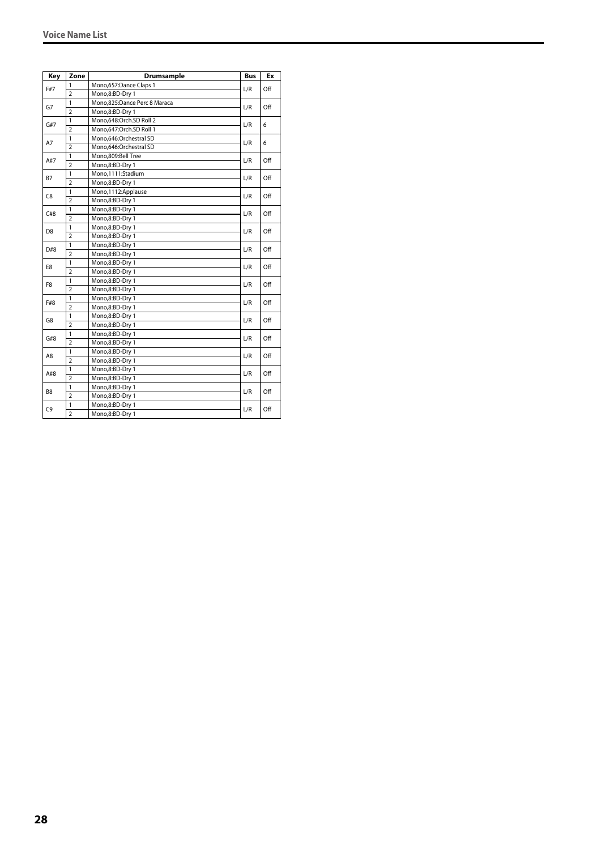| Key            | Zone           | <b>Drumsample</b>            | <b>Bus</b> | Ex  |
|----------------|----------------|------------------------------|------------|-----|
|                | 1              | Mono,657:Dance Claps 1       |            |     |
| F#7            | $\overline{2}$ | Mono,8:BD-Dry 1              | L/R        | Off |
| G7             | $\mathbf{1}$   | Mono,825:Dance Perc 8 Maraca | L/R        | Off |
|                | $\overline{2}$ | Mono,8:BD-Dry 1              |            |     |
| G#7            | $\mathbf{1}$   | Mono,648:Orch.SD Roll 2      | L/R        | 6   |
|                | $\overline{2}$ | Mono,647:Orch.SD Roll 1      |            |     |
| A7             | 1              | Mono,646:Orchestral SD       | L/R        | 6   |
|                | $\overline{2}$ | Mono,646:Orchestral SD       |            |     |
| A#7            | 1              | Mono.809:Bell Tree           | L/R        | Off |
|                | $\overline{2}$ | Mono,8:BD-Dry 1              |            |     |
| B7             | $\mathbf{1}$   | Mono,1111:Stadium            | L/R        | Off |
|                | $\overline{2}$ | Mono,8:BD-Dry 1              |            |     |
| C8             | 1              | Mono, 1112: Applause         | L/R        | Off |
|                | $\overline{2}$ | Mono,8:BD-Dry 1              |            |     |
|                | $\mathbf{1}$   | Mono,8:BD-Dry 1              |            | Off |
| C#8            | $\overline{2}$ | Mono,8:BD-Dry 1              | L/R        |     |
| D <sub>8</sub> | $\mathbf{1}$   | Mono,8:BD-Dry 1              | L/R        | Off |
|                | $\overline{2}$ | Mono,8:BD-Dry 1              |            |     |
| D#8            | $\mathbf{1}$   | Mono,8:BD-Dry 1              | L/R        | Off |
|                | $\overline{2}$ | Mono,8:BD-Dry 1              |            |     |
| E8             | 1              | Mono,8:BD-Dry 1              | L/R        | Off |
|                | $\overline{2}$ | Mono,8:BD-Dry 1              |            |     |
| F8             | 1              | Mono,8:BD-Dry 1              | L/R        | Off |
|                | $\overline{2}$ | Mono,8:BD-Dry 1              |            |     |
|                | $\mathbf{1}$   | Mono,8:BD-Dry 1              |            | Off |
| F#8            | $\overline{2}$ | Mono,8:BD-Dry 1              | L/R        |     |
| G8             | $\mathbf{1}$   | Mono,8:BD-Dry 1              | L/R        | Off |
|                | $\overline{2}$ | Mono,8:BD-Dry 1              |            |     |
| G#8            | $\mathbf{1}$   | Mono,8:BD-Dry 1              | L/R        | Off |
|                | $\overline{2}$ | Mono,8:BD-Dry 1              |            |     |
|                | $\mathbf{1}$   | Mono,8:BD-Dry 1              |            | Off |
| A8             | $\overline{2}$ | Mono,8:BD-Dry 1              | L/R        |     |
| A#8            | 1              | Mono,8:BD-Dry 1              |            | Off |
|                | $\overline{2}$ | Mono,8:BD-Dry 1              | L/R        |     |
|                | 1              | Mono,8:BD-Dry 1              |            |     |
| B <sub>8</sub> | $\overline{2}$ | Mono,8:BD-Dry 1              | L/R        | Off |
|                | $\mathbf{1}$   | Mono,8:BD-Dry 1              |            |     |
| C9             | $\overline{2}$ | Mono,8:BD-Dry 1              | L/R        | Off |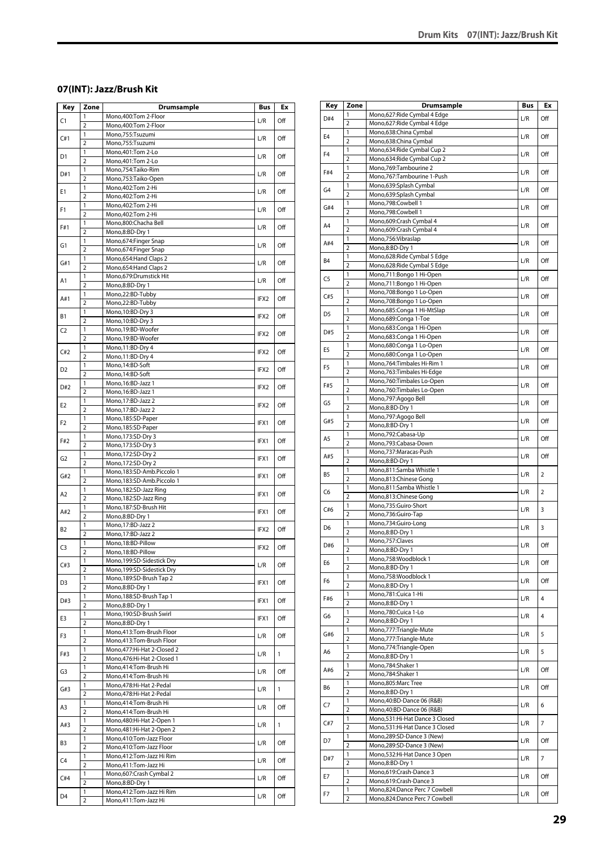# <span id="page-28-0"></span>**07(INT): Jazz/Brush Kit**

| Key            | Zone                           | <b>Drumsample</b>                                        | Bus  | Ex           |
|----------------|--------------------------------|----------------------------------------------------------|------|--------------|
| C1             | 1                              | Mono,400:Tom 2-Floor                                     | L/R  | Off          |
|                | $\overline{2}$                 | Mono, 400: Tom 2-Floor                                   |      |              |
| C#1            | 1                              | Mono,755:Tsuzumi                                         | L/R  | Off          |
|                | $\overline{2}$<br>1            | Mono,755:Tsuzumi<br>Mono, 401: Tom 2-Lo                  |      |              |
| D1             | $\overline{2}$                 | Mono, 401: Tom 2-Lo                                      | L/R  | Off          |
|                | 1                              | Mono,754:Taiko-Rim                                       |      |              |
| D#1            | $\overline{2}$                 | Mono,753:Taiko-Open                                      | L/R  | Off          |
| Ε1             | 1                              | Mono, 402: Tom 2-Hi                                      | L/R  | Off          |
|                | $\overline{2}$                 | Mono, 402: Tom 2-Hi                                      |      |              |
| F1             | 1<br>$\overline{2}$            | Mono, 402: Tom 2-Hi<br>Mono, 402: Tom 2-Hi               | L/R  | Off          |
|                | 1                              | Mono,800:Chacha Bell                                     |      |              |
| F#1            | $\overline{2}$                 | Mono,8:BD-Dry 1                                          | L/R  | Off          |
| G1             | 1                              | Mono,674:Finger Snap                                     | L/R  | Off          |
|                | $\overline{2}$                 | Mono,674:Finger Snap                                     |      |              |
| G#1            | 1<br>$\overline{2}$            | Mono,654: Hand Claps 2<br>Mono, 654: Hand Claps 2        | L/R  | Off          |
|                | 1                              | Mono,679:Drumstick Hit                                   |      |              |
| Α1             | $\overline{2}$                 | Mono,8:BD-Dry 1                                          | L/R  | Off          |
| A#1            | 1                              | Mono,22:BD-Tubby                                         | IFX2 | Off          |
|                | $\overline{2}$                 | Mono,22:BD-Tubby                                         |      |              |
| В1             | 1<br>$\overline{2}$            | Mono, 10:BD-Dry 3<br>Mono, 10:BD-Dry 3                   | IFX2 | Off          |
| C <sub>2</sub> | 1                              | Mono,19:BD-Woofer                                        |      |              |
|                | $\overline{2}$                 | Mono,19:BD-Woofer                                        | IFX2 | Off          |
| C#2            | 1                              | Mono, 11:BD-Dry 4                                        | IFX2 | Off          |
|                | $\overline{2}$                 | Mono, 11:BD-Dry 4                                        |      |              |
| D2             | $\mathbf{1}$<br>$\overline{2}$ | Mono, 14:BD-Soft                                         | IFX2 | Off          |
|                | 1                              | Mono, 14:BD-Soft<br>Mono, 16:BD-Jazz 1                   |      |              |
| D#2            | $\overline{2}$                 | Mono, 16:BD-Jazz 1                                       | IFX2 | Off          |
|                | 1                              | Mono, 17:BD-Jazz 2                                       | IFX2 | Off          |
| E2             | $\overline{2}$                 | Mono, 17:BD-Jazz 2                                       |      |              |
| F2             | 1                              | Mono, 185: SD-Paper                                      | IFX1 | Off          |
|                | $\overline{2}$<br>1            | Mono, 185: SD-Paper<br>Mono, 173: SD-Dry 3               |      |              |
| F#2            | $\overline{2}$                 | Mono, 173: SD-Dry 3                                      | IFX1 | Off          |
| G <sub>2</sub> | 1                              | Mono, 172:SD-Dry 2                                       |      | Off          |
|                | $\overline{2}$                 | Mono, 172:SD-Dry 2                                       | IFX1 |              |
| G#2            | 1                              | Mono,183:SD-Amb.Piccolo 1                                | IFX1 | Off          |
|                | $\overline{2}$<br>1            | Mono,183:SD-Amb.Piccolo 1<br>Mono, 182: SD-Jazz Ring     |      |              |
| A2             | $\overline{2}$                 | Mono, 182: SD-Jazz Ring                                  | IFX1 | Off          |
| A#2            | 1                              | Mono, 187: SD-Brush Hit                                  | IFX1 | Off          |
|                | $\overline{2}$                 | Mono,8:BD-Dry 1                                          |      |              |
| B2             | 1<br>$\overline{2}$            | Mono, 17: BD-Jazz 2                                      | IFX2 | Off          |
|                | 1                              | Mono, 17: BD-Jazz 2<br>Mono, 18: BD-Pillow               |      |              |
| C3             | $\overline{2}$                 | Mono, 18:BD-Pillow                                       | IFX2 | Off          |
| C#3            | 1                              | Mono, 199: SD-Sidestick Dry                              | L/R  | Off          |
|                | $\overline{2}$                 | Mono, 199: SD-Sidestick Dry                              |      |              |
| D3             | 1                              | Mono, 189: SD-Brush Tap 2                                | IFX1 | Off          |
|                | $\overline{2}$<br>1            | Mono,8:BD-Dry 1<br>Mono, 188: SD-Brush Tap 1             |      |              |
| D#3            | $\overline{2}$                 | Mono,8:BD-Dry 1                                          | IFX1 | Off          |
| E3             | 1                              | Mono, 190: SD-Brush Swirl                                | IFX1 | Off          |
|                | $\overline{2}$                 | Mono,8:BD-Dry 1                                          |      |              |
| F3             | 1<br>$\overline{2}$            | Mono,413:Tom-Brush Floor                                 | L/R  | Off          |
|                | 1                              | Mono,413:Tom-Brush Floor<br>Mono, 477: Hi-Hat 2-Closed 2 |      |              |
| F#3            | $\overline{2}$                 | Mono,476:Hi-Hat 2-Closed 1                               | L/R  | 1            |
| G3             | 1                              | Mono,414:Tom-Brush Hi                                    | L/R  | Off          |
|                | $\overline{2}$                 | Mono,414:Tom-Brush Hi                                    |      |              |
| G#3            | 1<br>2                         | Mono, 478: Hi-Hat 2-Pedal<br>Mono, 478: Hi-Hat 2-Pedal   | L/R  | $\mathbf{1}$ |
|                | 1                              | Mono, 414: Tom-Brush Hi                                  |      |              |
| A3             | $\overline{2}$                 | Mono,414:Tom-Brush Hi                                    | L/R  | Off          |
| A#3            | 1                              | Mono, 480: Hi-Hat 2-Open 1                               | L/R  | $\mathbf{1}$ |
|                | $\overline{2}$                 | Mono, 481: Hi-Hat 2-Open 2                               |      |              |
| B3             | 1<br>$\overline{2}$            | Mono,410:Tom-Jazz Floor<br>Mono,410:Tom-Jazz Floor       | L/R  | Off          |
|                | 1                              | Mono, 412: Tom-Jazz Hi Rim                               |      |              |
| C4             | $\overline{2}$                 | Mono, 411: Tom-Jazz Hi                                   | L/R  | Off          |
| C#4            | 1                              | Mono,607:Crash Cymbal 2                                  | L/R  | Off          |
|                | $\overline{2}$                 | Mono,8:BD-Dry 1                                          |      |              |
| D4             | 1<br>$\overline{2}$            | Mono, 412: Tom-Jazz Hi Rim<br>Mono, 411: Tom-Jazz Hi     | L/R  | Off          |
|                |                                |                                                          |      |              |

| Key            | Zone                    | <b>Drumsample</b>                                                | Bus | Ex             |
|----------------|-------------------------|------------------------------------------------------------------|-----|----------------|
| D#4            | 1                       | Mono,627:Ride Cymbal 4 Edge                                      | L/R | Off            |
|                | $\overline{2}$          | Mono,627: Ride Cymbal 4 Edge                                     |     |                |
| E4             | 1<br>$\overline{2}$     | Mono,638:China Cymbal<br>Mono,638:China Cymbal                   | L/R | Off            |
|                | 1                       | Mono,634: Ride Cymbal Cup 2                                      |     |                |
| F <sub>4</sub> | $\overline{2}$          | Mono,634: Ride Cymbal Cup 2                                      | L/R | Off            |
| F#4            | 1                       | Mono,769:Tambourine 2                                            | L/R | Off            |
|                | $\overline{2}$          | Mono,767:Tambourine 1-Push                                       |     |                |
| G <sub>4</sub> | 1                       | Mono,639:Splash Cymbal                                           | L/R | Off            |
|                | $\overline{2}$<br>1     | Mono,639:Splash Cymbal<br>Mono,798:Cowbell 1                     |     |                |
| G#4            | $\overline{2}$          | Mono,798:Cowbell 1                                               | L/R | Off            |
|                | 1                       | Mono,609:Crash Cymbal 4                                          |     |                |
| A4             | 2                       | Mono,609:Crash Cymbal 4                                          | L/R | Off            |
| A#4            | 1                       | Mono,756:Vibraslap                                               | L/R | Off            |
|                | $\overline{2}$          | Mono,8:BD-Dry 1                                                  |     |                |
| <b>B4</b>      | 1                       | Mono,628: Ride Cymbal 5 Edge                                     | L/R | Off            |
|                | 2<br>1                  | Mono,628: Ride Cymbal 5 Edge<br>Mono,711:Bongo 1 Hi-Open         |     |                |
| C5             | $\overline{2}$          | Mono,711:Bongo 1 Hi-Open                                         | L/R | Off            |
|                | 1                       | Mono,708:Bongo 1 Lo-Open                                         |     |                |
| C#5            | 2                       | Mono,708:Bongo 1 Lo-Open                                         | L/R | Off            |
| D <sub>5</sub> | 1                       | Mono,685:Conga 1 Hi-MtSlap                                       | L/R | Off            |
|                | $\overline{2}$          | Mono,689:Conga 1-Toe                                             |     |                |
| D#5            | 1                       | Mono,683:Conga 1 Hi-Open                                         | L/R | Off            |
|                | $\overline{2}$<br>1     | Mono,683:Conga 1 Hi-Open                                         |     |                |
| E5             | $\overline{2}$          | Mono,680:Conga 1 Lo-Open<br>Mono,680:Conga 1 Lo-Open             | L/R | Off            |
|                | 1                       | Mono, 764: Timbales Hi-Rim 1                                     |     |                |
| F5             | $\overline{2}$          | Mono,763:Timbales Hi-Edge                                        | L/R | Off            |
| F#5            | 1                       | Mono,760:Timbales Lo-Open                                        | L/R | Off            |
|                | 2                       | Mono,760:Timbales Lo-Open                                        |     |                |
| G5             | 1                       | Mono,797:Agogo Bell                                              | L/R | Off            |
|                | $\overline{2}$          | Mono,8:BD-Dry 1                                                  |     |                |
| G#5            | 1<br>2                  | Mono,797:Agogo Bell<br>Mono,8:BD-Dry 1                           | L/R | Off            |
|                | 1                       | Mono,792:Cabasa-Up                                               |     |                |
| A5             | $\overline{2}$          | Mono,793:Cabasa-Down                                             | L/R | Off            |
|                | 1                       | Mono,737:Maracas-Push                                            |     |                |
| A#5            | $\overline{2}$          | Mono,8:BD-Dry 1                                                  | L/R | Off            |
| B5             | 1                       | Mono,811:Samba Whistle 1                                         | L/R | 2              |
|                | $\overline{2}$          | Mono,813:Chinese Gong                                            |     |                |
| C6             | 1<br>2                  | Mono,811:Samba Whistle 1<br>Mono,813:Chinese Gong                | L/R | 2              |
|                | 1                       | Mono,735:Guiro-Short                                             |     |                |
| C#6            | $\overline{2}$          | Mono,736:Guiro-Tap                                               | L/R | 3              |
|                | 1                       | Mono,734:Guiro-Long                                              |     | 3              |
| D6             | $\overline{2}$          | Mono,8:BD-Dry 1                                                  | L/R |                |
| D#6            | 1                       | Mono, 757: Claves                                                | L/R | Off            |
|                | $\overline{2}$          | Mono,8:BD-Dry 1                                                  |     |                |
| E6             | 1<br>2                  | Mono,758:Woodblock 1                                             | L/R | Off            |
|                | 1                       | Mono,8:BD-Dry 1<br>Mono,758:Woodblock 1                          |     |                |
| F6             | $\overline{2}$          | Mono,8:BD-Dry 1                                                  | L/R | Off            |
|                | 1                       | Mono,781:Cuica 1-Hi                                              |     |                |
| F#6            | $\overline{2}$          | Mono,8:BD-Dry 1                                                  | L/R | 4              |
| G6             | 1                       | Mono,780:Cuica 1-Lo                                              | L/R | 4              |
|                | $\overline{2}$          | Mono,8:BD-Dry 1                                                  |     |                |
| G#6            | 1<br>$\overline{2}$     | Mono,777:Triangle-Mute                                           | L/R | 5              |
|                | 1                       | Mono, 777: Triangle-Mute<br>Mono,774:Triangle-Open               |     |                |
| A6             | $\overline{\mathbf{c}}$ | Mono,8:BD-Dry 1                                                  | L/R | 5              |
|                | 1                       | Mono,784:Shaker 1                                                |     |                |
| A#6            | $\overline{2}$          | Mono,784:Shaker 1                                                | L/R | Off            |
| B6             | 1                       | Mono,805:Marc Tree                                               | L/R | Off            |
|                | $\overline{2}$          | Mono,8:BD-Dry 1                                                  |     |                |
| C7             | 1                       | Mono, 40: BD-Dance 06 (R&B)                                      | L/R | 6              |
|                | 2                       | Mono, 40: BD-Dance 06 (R&B)                                      |     |                |
| C#7            | 1<br>$\overline{2}$     | Mono,531:Hi-Hat Dance 3 Closed<br>Mono,531:Hi-Hat Dance 3 Closed | L/R | 7              |
|                | 1                       | Mono,289:SD-Dance 3 (New)                                        |     |                |
| D7             | $\overline{2}$          | Mono,289:SD-Dance 3 (New)                                        | L/R | Off            |
|                | 1                       | Mono,532:Hi-Hat Dance 3 Open                                     |     |                |
| D#7            | $\overline{2}$          | Mono,8:BD-Dry 1                                                  | L/R | $\overline{7}$ |
| E7             | 1                       | Mono,619:Crash-Dance 3                                           | L/R | Off            |
|                | $\overline{\mathbf{c}}$ | Mono,619:Crash-Dance 3                                           |     |                |
| F7             | 1                       | Mono,824:Dance Perc 7 Cowbell                                    | L/R | Off            |
|                | 2                       | Mono,824:Dance Perc 7 Cowbell                                    |     |                |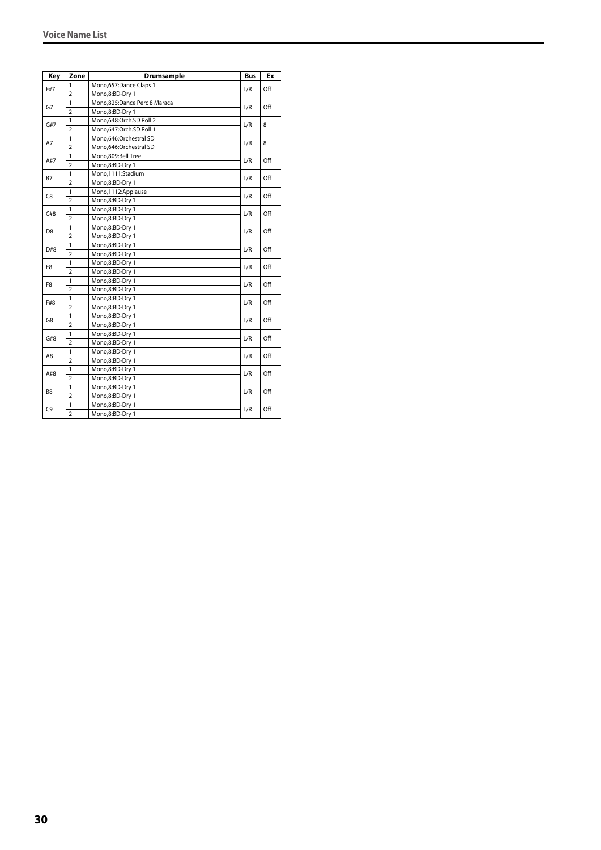| Key            | Zone           | <b>Drumsample</b>            | <b>Bus</b> | Ex  |
|----------------|----------------|------------------------------|------------|-----|
|                | 1              | Mono,657:Dance Claps 1       |            |     |
| F#7            | $\overline{2}$ | Mono,8:BD-Dry 1              | L/R        | Off |
|                | 1              | Mono,825:Dance Perc 8 Maraca | L/R        |     |
| G7             | $\overline{2}$ | Mono,8:BD-Dry 1              |            | Off |
|                | 1              | Mono.648:Orch.SD Roll 2      |            | 8   |
| G#7            | $\overline{2}$ | Mono.647:Orch.SD Roll 1      | L/R        |     |
|                | 1              | Mono,646:Orchestral SD       | L/R        | 8   |
| A7             | $\overline{2}$ | Mono,646:Orchestral SD       |            |     |
|                | $\mathbf{1}$   | Mono,809:Bell Tree           | L/R        | Off |
| A#7            | $\overline{2}$ | Mono,8:BD-Dry 1              |            |     |
|                | 1              | Mono,1111:Stadium            |            | Off |
| <b>B7</b>      | $\overline{2}$ | Mono,8:BD-Dry 1              | L/R        |     |
|                | 1              | Mono,1112:Applause           |            |     |
| C8             | $\overline{2}$ | Mono,8:BD-Dry 1              | L/R        | Off |
|                | $\mathbf{1}$   | Mono,8:BD-Dry 1              |            |     |
| C#8            | $\overline{2}$ | Mono,8:BD-Dry 1              | L/R        | Off |
| D <sub>8</sub> | $\mathbf{1}$   | Mono,8:BD-Dry 1              | L/R        |     |
|                | $\overline{2}$ | Mono,8:BD-Dry 1              |            | Off |
| D#8            | $\mathbf{1}$   | Mono,8:BD-Dry 1              | L/R        | Off |
|                | $\overline{2}$ | Mono,8:BD-Dry 1              |            |     |
|                | 1              | Mono,8:BD-Dry 1              | L/R        | Off |
| E8             | $\overline{2}$ | Mono,8:BD-Dry 1              |            |     |
|                | $\mathbf{1}$   | Mono,8:BD-Dry 1              |            |     |
| F <sub>8</sub> | $\overline{2}$ | Mono,8:BD-Dry 1              | L/R        | Off |
|                | 1              | Mono,8:BD-Dry 1              |            | Off |
| F#8            | $\overline{2}$ | Mono,8:BD-Dry 1              | L/R        |     |
|                | $\mathbf{1}$   | Mono,8:BD-Dry 1              |            |     |
| G8             | $\overline{2}$ | Mono,8:BD-Dry 1              | L/R        | Off |
|                | 1              | Mono,8:BD-Dry 1              |            |     |
| G#8            | $\overline{2}$ | Mono,8:BD-Dry 1              | L/R        | Off |
|                | 1              | Mono,8:BD-Dry 1              |            |     |
| A8             | $\overline{2}$ | Mono,8:BD-Dry 1              | L/R        | Off |
|                | 1              | Mono,8:BD-Dry 1              |            |     |
| A#8            | $\overline{2}$ | Mono,8:BD-Dry 1              | L/R        | Off |
|                | $\mathbf{1}$   | Mono,8:BD-Dry 1              |            |     |
| B <sub>8</sub> | $\overline{2}$ | Mono,8:BD-Dry 1              | L/R        | Off |
|                | 1              | Mono,8:BD-Dry 1              |            |     |
| C9             | $\overline{2}$ | Mono,8:BD-Dry 1              | L/R        | Off |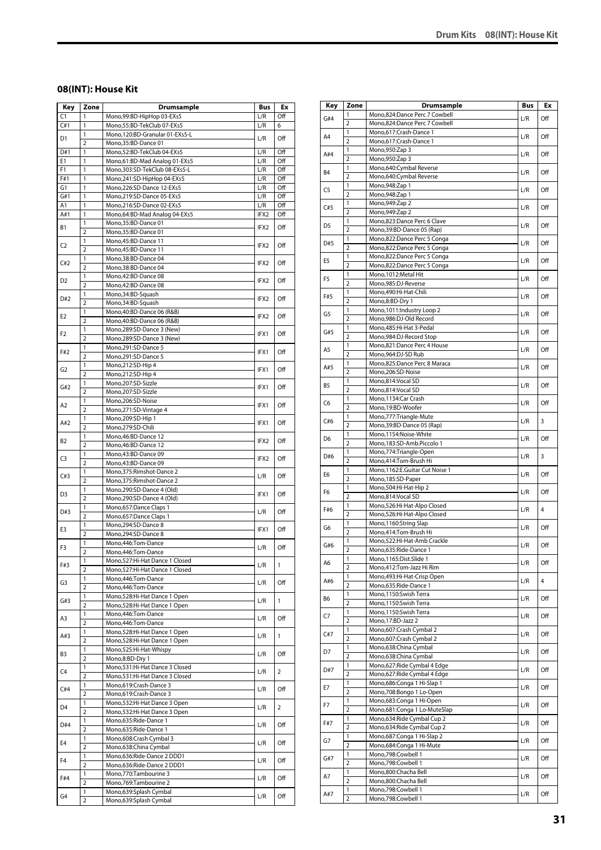# <span id="page-30-0"></span>**08(INT): House Kit**

| Key            | Zone                    | <b>Drumsample</b>                                                  | Bus              | Еx             |
|----------------|-------------------------|--------------------------------------------------------------------|------------------|----------------|
| C1             | 1                       | Mono,99:BD-HipHop 03-EXs5                                          | L/R              | Off            |
| C#1            | 1                       | Mono,55:BD-TekClub 07-EXs5                                         | L/R              | 6              |
| D1             | 1<br>$\overline{2}$     | Mono, 120:BD-Granular 01-EXs5-L<br>Mono,35:BD-Dance 01             | L/R              | Off            |
| D#1            | 1                       | Mono,52:BD-TekClub 04-EXs5                                         | L/R              | Off            |
| E1             | 1                       | Mono,61:BD-Mad Analog 01-EXs5                                      | L/R              | Off            |
| F1             | 1                       | Mono,303:SD-TekClub 08-EXs5-L                                      | L/R              | Off            |
| F#1            | 1                       | Mono,241:SD-HipHop 04-EXs5                                         | L/R              | Off            |
| G1             | 1                       | Mono,226:SD-Dance 12-EXs5                                          | L/R              | Off            |
| G#1            | 1                       | Mono,219:SD-Dance 05-EXs5                                          | L/R              | Off            |
| Α1<br>A#1      | 1<br>1                  | Mono,216:SD-Dance 02-EXs5<br>Mono, 64: BD-Mad Analog 04-EXs5       | L/R<br>IFX2      | Off<br>Off     |
|                | 1                       | Mono,35:BD-Dance 01                                                |                  |                |
| В1             | $\overline{2}$          | Mono,35:BD-Dance 01                                                | IFX2             | Off            |
|                | 1                       | Mono,45:BD-Dance 11                                                |                  |                |
| C2             | $\overline{2}$          | Mono,45:BD-Dance 11                                                | IFX2             | Off            |
| C#2            | 1                       | Mono, 38: BD-Dance 04                                              | IFX2             | Off            |
|                | $\overline{2}$          | Mono, 38: BD-Dance 04                                              |                  |                |
| D2             | 1<br>$\overline{2}$     | Mono, 42: BD-Dance 08                                              | IFX2             | Off            |
|                | 1                       | Mono,42:BD-Dance 08<br>Mono, 34: BD-Squash                         |                  |                |
| D#2            | $\overline{2}$          | Mono, 34: BD-Squash                                                | IFX <sub>2</sub> | Off            |
|                | 1                       | Mono, 40: BD-Dance 06 (R&B)                                        |                  |                |
| E2             | $\overline{2}$          | Mono,40:BD-Dance 06 (R&B)                                          | IFX2             | Off            |
| F2             | 1                       | Mono,289:SD-Dance 3 (New)                                          | IFX1             | Off            |
|                | $\overline{2}$          | Mono,289:SD-Dance 3 (New)                                          |                  |                |
| F#2            | 1                       | Mono,291:SD-Dance 5                                                | IFX1             | Off            |
|                | $\overline{2}$<br>1     | Mono,291:SD-Dance 5<br>Mono,212:SD-Hip 4                           |                  |                |
| G2             | $\overline{2}$          | Mono,212:SD-Hip 4                                                  | IFX1             | Off            |
|                | 1                       | Mono,207:SD-Sizzle                                                 |                  |                |
| G#2            | $\overline{2}$          | Mono,207:SD-Sizzle                                                 | IFX1             | Off            |
| A2             | 1                       | Mono,206:SD-Noise                                                  | IFX1             | Off            |
|                | $\overline{2}$          | Mono,271:SD-Vintage 4                                              |                  |                |
| A#2            | 1                       | Mono,209:SD-Hip 1                                                  | IFX1             | Off            |
|                | $\overline{2}$<br>1     | Mono,279:SD-Chili<br>Mono, 46: BD-Dance 12                         |                  |                |
| B2             | $\overline{2}$          | Mono, 46: BD-Dance 12                                              | IFX2             | Off            |
|                | 1                       | Mono,43:BD-Dance 09                                                |                  |                |
| C <sub>3</sub> | $\overline{2}$          | Mono,43:BD-Dance 09                                                | IFX2             | Off            |
| C#3            | 1                       | Mono, 375: Rimshot-Dance 2                                         | L/R              | Off            |
|                | $\overline{2}$          | Mono, 375: Rimshot-Dance 2                                         |                  |                |
| D3             | 1                       | Mono,290:SD-Dance 4 (Old)                                          | IFX1             | Off            |
|                | $\overline{2}$<br>1     | Mono,290:SD-Dance 4 (Old)<br>Mono,657:Dance Claps 1                |                  |                |
| D#3            | $\overline{2}$          | Mono,657:Dance Claps 1                                             | L/R              | Off            |
|                | 1                       | Mono,294:SD-Dance 8                                                |                  |                |
| E3             | $\overline{2}$          | Mono,294:SD-Dance 8                                                | IFX1             | Off            |
| F3             | 1                       | Mono,446:Tom-Dance                                                 | L/R              | Off            |
|                | $\overline{2}$          | Mono,446:Tom-Dance                                                 |                  |                |
| F#3            | 1<br>2                  | Mono,527:Hi-Hat Dance 1 Closed<br>Mono, 527: Hi-Hat Dance 1 Closed | L/R              | 1              |
|                | 1                       | Mono, 446: Tom-Dance                                               |                  |                |
| G3             | $\overline{2}$          | Mono, 446: Tom-Dance                                               | L/R              | Off            |
| G#3            | $\mathbf{1}$            | Mono,528:Hi-Hat Dance 1 Open                                       | L/R              | 1              |
|                | $\overline{2}$          | Mono,528:Hi-Hat Dance 1 Open                                       |                  |                |
| A3             | 1                       | Mono, 446: Tom-Dance                                               | L/R              | Off            |
|                | $\overline{2}$<br>1     | Mono, 446: Tom-Dance                                               |                  |                |
| A#3            | $\overline{2}$          | Mono,528:Hi-Hat Dance 1 Open<br>Mono,528:Hi-Hat Dance 1 Open       | L/R              | 1              |
|                | 1                       | Mono,525:Hi-Hat-Whispy                                             |                  |                |
| B3             | $\overline{2}$          | Mono,8:BD-Dry 1                                                    | L/R              | Off            |
| C4             | 1                       | Mono,531:Hi-Hat Dance 3 Closed                                     | L/R              | $\overline{2}$ |
|                | 2                       | Mono,531:Hi-Hat Dance 3 Closed                                     |                  |                |
| C#4            | 1                       | Mono,619:Crash-Dance 3                                             | L/R              | Off            |
|                | $\overline{2}$<br>1     | Mono,619:Crash-Dance 3<br>Mono,532:Hi-Hat Dance 3 Open             |                  |                |
| D4             | $\overline{2}$          | Mono,532:Hi-Hat Dance 3 Open                                       | L/R              | $\overline{2}$ |
|                | 1                       | Mono,635:Ride-Dance 1                                              |                  |                |
| D#4            | $\overline{2}$          | Mono,635:Ride-Dance 1                                              | L/R              | Off            |
| E4             | 1                       | Mono, 608: Crash Cymbal 3                                          | L/R              | Off            |
|                | 2                       | Mono,638:China Cymbal                                              |                  |                |
| F4             | 1                       | Mono,636:Ride-Dance 2 DDD1                                         | L/R              | Off            |
|                | $\overline{2}$<br>1     | Mono,636:Ride-Dance 2 DDD1<br>Mono, 770: Tambourine 3              |                  |                |
| F#4            | $\overline{2}$          | Mono, 769: Tambourine 2                                            | L/R              | Off            |
|                | 1                       | Mono,639:Splash Cymbal                                             |                  |                |
| G4             | $\overline{\mathbf{2}}$ | Mono,639:Splash Cymbal                                             | L/R              | Off            |

| Key | Zone                    | <b>Drumsample</b>                                            | Bus | Ex  |
|-----|-------------------------|--------------------------------------------------------------|-----|-----|
| G#4 | 1                       | Mono,824:Dance Perc 7 Cowbell                                | L/R | Off |
|     | $\overline{2}$          | Mono,824:Dance Perc 7 Cowbell                                |     |     |
| A4  | 1                       | Mono,617:Crash-Dance 1                                       | L/R | Off |
|     | $\overline{2}$<br>1     | Mono,617:Crash-Dance 1<br>Mono, 950: Zap 3                   |     |     |
| A#4 | 2                       | Mono, 950: Zap 3                                             | L/R | Off |
|     | 1                       | Mono,640:Cymbal Reverse                                      |     |     |
| B4  | $\overline{2}$          | Mono,640:Cymbal Reverse                                      | L/R | Off |
| C5  | 1                       | Mono, 948: Zap 1                                             | L/R | Off |
|     | 2                       | Mono, 948: Zap 1                                             |     |     |
| C#5 | 1                       | Mono, 949: Zap 2                                             | L/R | Off |
|     | $\overline{2}$          | Mono, 949: Zap 2                                             |     |     |
| D5  | 1<br>2                  | Mono,823:Dance Perc 6 Clave                                  | L/R | Off |
|     | 1                       | Mono, 39: BD-Dance 05 (Rap)<br>Mono,822:Dance Perc 5 Conga   |     |     |
| D#5 | $\overline{2}$          | Mono,822:Dance Perc 5 Conga                                  | L/R | Off |
|     | 1                       | Mono,822:Dance Perc 5 Conga                                  |     |     |
| E5  | $\overline{2}$          | Mono,822:Dance Perc 5 Conga                                  | L/R | Off |
| F5  | 1                       | Mono, 1012: Metal Hit                                        | L/R | Off |
|     | $\overline{2}$          | Mono,985:DJ-Reverse                                          |     |     |
| F#5 | 1                       | Mono,490:Hi-Hat-Chili                                        | L/R | Off |
|     | 2                       | Mono,8:BD-Dry 1                                              |     |     |
| G5  | 1<br>$\overline{2}$     | Mono, 1011: Industry Loop 2<br>Mono,986:DJ-Old Record        | L/R | Off |
|     | 1                       | Mono, 485: Hi-Hat 3-Pedal                                    |     |     |
| G#5 | 2                       | Mono,984:DJ-Record Stop                                      | L/R | Off |
|     | 1                       | Mono,821:Dance Perc 4 House                                  |     |     |
| A5  | $\overline{2}$          | Mono,964:DJ-SD Rub                                           | L/R | Off |
| A#5 | 1                       | Mono,825:Dance Perc 8 Maraca                                 | L/R | Off |
|     | 2                       | Mono,206:SD-Noise                                            |     |     |
| B5  | 1                       | Mono,814:Vocal SD                                            | L/R | Off |
|     | $\overline{2}$          | Mono,814:Vocal SD                                            |     |     |
| C6  | 1<br>$\overline{2}$     | Mono,1134:Car Crash                                          | L/R | Off |
|     | 1                       | Mono,19:BD-Woofer<br>Mono,777:Triangle-Mute                  |     |     |
| C#6 | 2                       | Mono, 39: BD-Dance 05 (Rap)                                  | L/R | 3   |
|     | 1                       | Mono,1154:Noise-White                                        |     |     |
| D6  | $\overline{2}$          | Mono,183:SD-Amb.Piccolo 1                                    | L/R | Off |
| D#6 | 1                       | Mono, 774: Triangle-Open                                     | L/R | 3   |
|     | $\overline{2}$          | Mono,414:Tom-Brush Hi                                        |     |     |
| E6  | 1                       | Mono, 1162: E. Guitar Cut Noise 1                            | L/R | Off |
|     | $\overline{2}$          | Mono, 185:SD-Paper                                           |     |     |
| F6  | 1<br>2                  | Mono,504:Hi-Hat-Hip 2<br>Mono,814:Vocal SD                   | L/R | Off |
|     | 1                       | Mono,526:Hi-Hat-Alpo Closed                                  |     |     |
| F#6 | $\overline{2}$          | Mono,526:Hi-Hat-Alpo Closed                                  | L/R | 4   |
|     | 1                       | Mono,1160:String Slap                                        |     |     |
| G6  | $\overline{2}$          | Mono,414:Tom-Brush Hi                                        | L/R | Off |
| G#6 | 1                       | Mono,522:Hi-Hat-Amb Crackle                                  | L/R | Off |
|     | $\overline{2}$          | Mono,635:Ride-Dance 1                                        |     |     |
| A6  | 1                       | Mono,1165:Dist.Slide 1                                       | L/R | Off |
|     | $\overline{2}$          | Mono,412:Tom-Jazz Hi Rim                                     |     |     |
| A#6 | 1<br>$\overline{2}$     | Mono, 493: Hi-Hat-Crisp Open<br>Mono,635:Ride-Dance 1        | L/R | 4   |
|     | 1                       | Mono,1150:Swish Terra                                        |     |     |
| B6  | $\overline{2}$          | Mono,1150:Swish Terra                                        | L/R | Off |
|     | 1                       | Mono,1150:Swish Terra                                        |     |     |
| C7  | $\overline{2}$          | Mono, 17:BD-Jazz 2                                           | L/R | Off |
| C#7 | 1                       | Mono,607:Crash Cymbal 2                                      | L/R | Off |
|     | 2                       | Mono,607:Crash Cymbal 2                                      |     |     |
| D7  | 1                       | Mono,638:China Cymbal                                        | L/R | Off |
|     | $\overline{2}$<br>1     | Mono,638:China Cymbal                                        |     |     |
| D#7 | $\overline{2}$          | Mono,627: Ride Cymbal 4 Edge<br>Mono,627: Ride Cymbal 4 Edge | L/R | Off |
|     | 1                       | Mono,686:Conga 1 Hi-Slap 1                                   |     |     |
| E7  | $\overline{2}$          | Mono,708:Bongo 1 Lo-Open                                     | L/R | Off |
|     | 1                       | Mono,683:Conga 1 Hi-Open                                     |     |     |
| F7  | $\overline{2}$          | Mono,681:Conga 1 Lo-MuteSlap                                 | L/R | Off |
| F#7 | 1                       | Mono,634: Ride Cymbal Cup 2                                  | L/R | Off |
|     | $\overline{\mathbf{c}}$ | Mono,634: Ride Cymbal Cup 2                                  |     |     |
| G7  | 1                       | Mono,687:Conga 1 Hi-Slap 2                                   | L/R | Off |
|     | $\overline{2}$<br>1     | Mono,684:Conga 1 Hi-Mute                                     |     |     |
| G#7 | $\overline{2}$          | Mono,798:Cowbell 1<br>Mono, 798: Cowbell 1                   | L/R | Off |
|     | 1                       | Mono,800:Chacha Bell                                         |     |     |
| А7  | $\overline{2}$          | Mono,800:Chacha Bell                                         | L/R | Off |
|     | 1                       | Mono,798:Cowbell 1                                           |     |     |
| A#7 | $\overline{2}$          | Mono,798:Cowbell 1                                           | L/R | Off |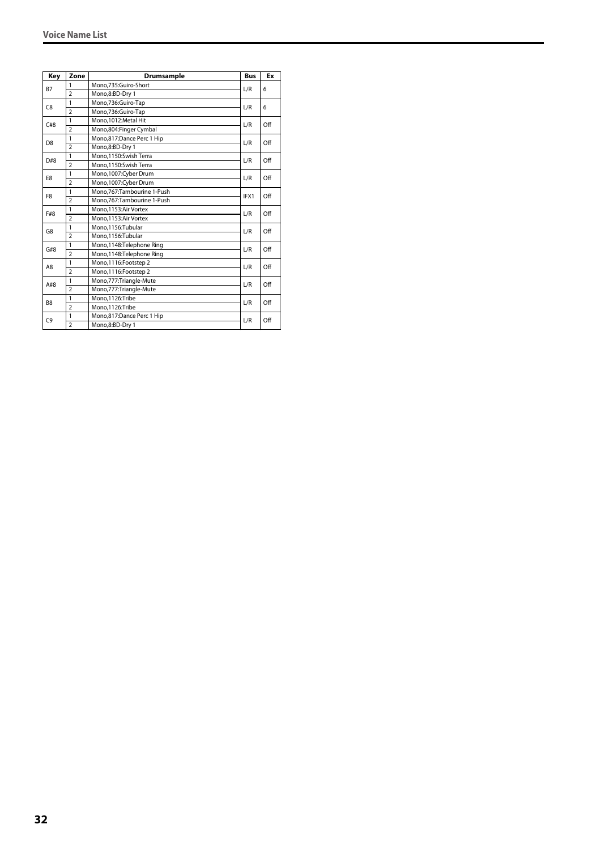| Key            | Zone           | <b>Drumsample</b>          | <b>Bus</b> | Ex  |
|----------------|----------------|----------------------------|------------|-----|
|                | 1              | Mono,735:Guiro-Short       | L/R        | 6   |
| <b>B7</b>      | $\overline{2}$ | Mono,8:BD-Dry 1            |            |     |
| C <sub>8</sub> | 1              | Mono,736:Guiro-Tap         | L/R        | 6   |
|                | $\overline{2}$ | Mono,736:Guiro-Tap         |            |     |
| C#8            | 1              | Mono.1012:Metal Hit        | L/R        | Off |
|                | $\overline{2}$ | Mono,804:Finger Cymbal     |            |     |
| D <sub>8</sub> | 1              | Mono,817:Dance Perc 1 Hip  | L/R        | Off |
|                | $\overline{2}$ | Mono,8:BD-Dry 1            |            |     |
| D#8            | $\mathbf{1}$   | Mono,1150:Swish Terra      | L/R        | Off |
|                | $\overline{2}$ | Mono,1150:Swish Terra      |            |     |
| E8             | 1              | Mono,1007:Cyber Drum       | L/R        | Off |
|                | $\overline{2}$ | Mono,1007:Cyber Drum       |            |     |
|                | 1              | Mono.767:Tambourine 1-Push | IFX1       | Off |
| F <sub>8</sub> | $\overline{2}$ | Mono.767:Tambourine 1-Push |            |     |
| F#8            | 1              | Mono.1153:Air Vortex       |            | Off |
|                | $\overline{2}$ | Mono.1153:Air Vortex       | L/R        |     |
| G8             | 1              | Mono,1156:Tubular          | L/R        | Off |
|                | $\overline{2}$ | Mono,1156:Tubular          |            |     |
| G#8            | 1              | Mono,1148:Telephone Ring   | L/R        | Off |
|                | $\overline{2}$ | Mono,1148:Telephone Ring   |            |     |
| A8             | 1              | Mono,1116:Footstep 2       | L/R        | Off |
|                | $\overline{2}$ | Mono,1116:Footstep 2       |            |     |
| A#8            | 1              | Mono,777:Triangle-Mute     | L/R        | Off |
|                | $\overline{2}$ | Mono,777:Triangle-Mute     |            |     |
| B <sub>8</sub> | $\mathbf{1}$   | Mono.1126:Tribe            | L/R        | Off |
|                | $\overline{2}$ | Mono,1126:Tribe            |            |     |
|                | 1              | Mono,817:Dance Perc 1 Hip  |            | Off |
| C <sub>9</sub> | $\overline{2}$ | Mono.8:BD-Drv 1            | L/R        |     |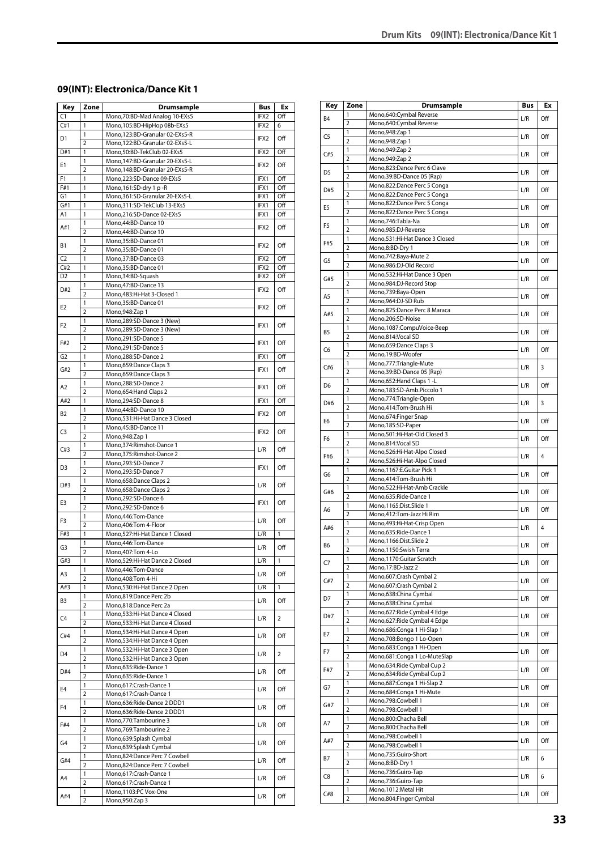#### <span id="page-32-0"></span>**09(INT): Electronica/Dance Kit 1**

| Key            | Zone                           | <b>Drumsample</b>                                              | Bus              | Ex  |
|----------------|--------------------------------|----------------------------------------------------------------|------------------|-----|
| C1             | 1                              | Mono, 70: BD-Mad Analog 10-EXs5                                | IFX2             | Off |
| C#1            | 1                              | Mono, 105: BD-HipHop 08b-EXs5                                  | IFX2             | 6   |
| D1             | 1                              | Mono,123:BD-Granular 02-EXs5-R                                 | IFX2             | Off |
|                | $\overline{2}$                 | Mono,122:BD-Granular 02-EXs5-L                                 |                  |     |
| D#1            | 1<br>1                         | Mono,50:BD-TekClub 02-EXs5<br>Mono, 147: BD-Granular 20-EXs5-L | IFX2             | Off |
| E1             | $\overline{2}$                 | Mono, 148: BD-Granular 20-EXs5-R                               | IFX <sub>2</sub> | Off |
| F1             | 1                              | Mono,223:SD-Dance 09-EXs5                                      | IFX1             | Off |
| F#1            | 1                              | Mono, 161: SD-dry 1 p - R                                      | IFX1             | Off |
| G1             | 1                              | Mono, 361: SD-Granular 20-EXs5-L                               | IFX1             | Off |
| G#1            | 1                              | Mono, 311: SD-TekClub 13-EXs5                                  | IFX1             | Off |
| A1             | $\overline{1}$                 | Mono,216:SD-Dance 02-EXs5                                      | IFX1             | Off |
| A#1            | 1                              | Mono, 44: BD-Dance 10                                          | IFX2             | Off |
|                | $\overline{2}$                 | Mono, 44: BD-Dance 10                                          |                  |     |
| В1             | 1                              | Mono,35:BD-Dance 01                                            | IFX2             | Off |
|                | $\overline{2}$                 | Mono,35:BD-Dance 01                                            |                  |     |
| C <sub>2</sub> | 1                              | Mono, 37: BD-Dance 03                                          | IFX2             | Off |
| C#2            | 1                              | Mono,35:BD-Dance 01                                            | IFX2             | Off |
| D <sub>2</sub> | 1                              | Mono, 34: BD-Squash                                            | IFX2             | Off |
| D#2            | 1<br>$\overline{2}$            | Mono, 47: BD-Dance 13<br>Mono, 483: Hi-Hat 3-Closed 1          | IFX2             | Off |
|                | 1                              | Mono,35:BD-Dance 01                                            |                  |     |
| E <sub>2</sub> | $\overline{2}$                 | Mono, 948: Zap 1                                               | IFX2             | Off |
|                | 1                              | Mono,289:SD-Dance 3 (New)                                      |                  |     |
| F2             | $\overline{2}$                 | Mono,289:SD-Dance 3 (New)                                      | IFX1             | Off |
|                | 1                              | Mono,291:SD-Dance 5                                            |                  |     |
| F#2            | $\overline{2}$                 | Mono,291:SD-Dance 5                                            | IFX1             | Off |
| G <sub>2</sub> | 1                              | Mono,288:SD-Dance 2                                            | IFX1             | Off |
|                | 1                              | Mono,659:Dance Claps 3                                         |                  |     |
| G#2            | $\overline{2}$                 | Mono,659:Dance Claps 3                                         | IFX1             | Off |
| A2             | 1                              | Mono,288:SD-Dance 2                                            | IFX1             | Off |
|                | $\overline{2}$                 | Mono, 654: Hand Claps 2                                        |                  |     |
| A#2            | 1                              | Mono,294:SD-Dance 8                                            | IFX1             | Off |
| B2             | 1                              | Mono, 44: BD-Dance 10                                          | IFX2             | Off |
|                | $\overline{2}$                 | Mono,531:Hi-Hat Dance 3 Closed                                 |                  |     |
| C <sub>3</sub> | 1                              | Mono,45:BD-Dance 11                                            | IFX2             | Off |
|                | $\overline{2}$                 | Mono, 948: Zap 1                                               |                  |     |
| C#3            | 1                              | Mono, 374: Rimshot-Dance 1                                     | L/R              | Off |
|                | $\overline{2}$<br>$\mathbf{1}$ | Mono, 375: Rimshot-Dance 2                                     |                  |     |
| D <sub>3</sub> | $\overline{2}$                 | Mono,293:SD-Dance 7<br>Mono,293:SD-Dance 7                     | IFX1             | Off |
|                | 1                              | Mono, 658: Dance Claps 2                                       |                  |     |
| D#3            | $\overline{2}$                 | Mono, 658: Dance Claps 2                                       | L/R              | Off |
|                | 1                              | Mono,292:SD-Dance 6                                            |                  |     |
| E3             | $\overline{2}$                 | Mono,292:SD-Dance 6                                            | IFX1             | Off |
|                | 1                              | Mono, 446: Tom-Dance                                           |                  |     |
| F3             | $\overline{2}$                 | Mono, 406: Tom 4-Floor                                         | L/R              | Off |
| F#3            | 1                              | Mono,527:Hi-Hat Dance 1 Closed                                 | L/R              | 1   |
| G3             | 1                              | Mono,446:Tom-Dance                                             | L/R              | Off |
|                | $\overline{2}$                 | Mono, 407: Tom 4-Lo                                            |                  |     |
| G#3            | 1                              | Mono,529:Hi-Hat Dance 2 Closed                                 | L/R              | 1   |
| A3             | 1                              | Mono, 446: Tom-Dance                                           | L/R              | Off |
|                | 2                              | Mono, 408: Tom 4-Hi                                            |                  |     |
| A#3            | 1                              | Mono,530:Hi-Hat Dance 2 Open                                   | L/R              | 1   |
| B3             | $\mathbf{1}$<br>$\overline{2}$ | Mono,819:Dance Perc 2b<br>Mono,818:Dance Perc 2a               | L/R              | Off |
|                | 1                              | Mono,533:Hi-Hat Dance 4 Closed                                 |                  |     |
| C4             | $\overline{2}$                 | Mono, 533: Hi-Hat Dance 4 Closed                               | L/R              | 2   |
|                | 1                              | Mono,534:Hi-Hat Dance 4 Open                                   |                  |     |
| C#4            | 2                              | Mono, 534: Hi-Hat Dance 4 Open                                 | L/R              | Off |
|                | 1                              | Mono,532:Hi-Hat Dance 3 Open                                   |                  |     |
| D4             | $\overline{2}$                 | Mono,532:Hi-Hat Dance 3 Open                                   | L/R              | 2   |
|                | $\mathbf{1}$                   | Mono,635:Ride-Dance 1                                          |                  |     |
| D#4            | 2                              | Mono,635:Ride-Dance 1                                          | L/R              | Off |
| E4             | 1                              | Mono, 617: Crash-Dance 1                                       | L/R              | Off |
|                | $\overline{2}$                 | Mono,617:Crash-Dance 1                                         |                  |     |
| F4             | 1                              | Mono,636:Ride-Dance 2 DDD1                                     | L/R              | Off |
|                | $\overline{2}$                 | Mono,636:Ride-Dance 2 DDD1                                     |                  |     |
| F#4            | 1                              | Mono,770:Tambourine 3                                          | L/R              | Off |
|                | $\overline{2}$                 | Mono, 769: Tambourine 2                                        |                  |     |
| G4             | 1                              | Mono,639:Splash Cymbal                                         | L/R              | Off |
|                | $\overline{2}$<br>1            | Mono,639:Splash Cymbal                                         |                  |     |
| G#4            | $\overline{2}$                 | Mono,824:Dance Perc 7 Cowbell<br>Mono,824:Dance Perc 7 Cowbell | L/R              | Off |
|                | 1                              | Mono,617:Crash-Dance 1                                         |                  |     |
| A4             | $\overline{2}$                 | Mono,617:Crash-Dance 1                                         | L/R              | Off |
|                | 1                              | Mono,1103:PC Vox-One                                           |                  |     |
| A#4            | $\overline{\mathbf{c}}$        | Mono, 950: Zap 3                                               | L/R              | Off |
|                |                                |                                                                |                  |     |

| Key            | Zone                | <b>Drumsample</b>                                            | Bus | Ex             |
|----------------|---------------------|--------------------------------------------------------------|-----|----------------|
|                | 1                   | Mono,640:Cymbal Reverse                                      |     |                |
| B4             | 2                   | Mono,640:Cymbal Reverse                                      | L/R | Off            |
| C5             | 1                   | Mono, 948: Zap 1                                             | L/R | Off            |
|                | $\overline{2}$      | Mono, 948: Zap 1                                             |     |                |
| C#5            | 1                   | Mono, 949: Zap 2                                             | L/R | Off            |
|                | $\overline{2}$<br>1 | Mono, 949: Zap 2<br>Mono,823:Dance Perc 6 Clave              |     |                |
| D5             | $\overline{2}$      | Mono, 39: BD-Dance 05 (Rap)                                  | L/R | Off            |
|                | 1                   | Mono,822:Dance Perc 5 Conga                                  |     |                |
| D#5            | $\overline{2}$      | Mono,822:Dance Perc 5 Conga                                  | L/R | Off            |
| E <sub>5</sub> | 1                   | Mono,822:Dance Perc 5 Conga                                  |     | Off            |
|                | $\overline{2}$      | Mono,822:Dance Perc 5 Conga                                  | L/R |                |
| F5             | 1                   | Mono, 746: Tabla-Na                                          | L/R | Off            |
|                | $\overline{2}$      | Mono,985:DJ-Reverse                                          |     |                |
| F#5            | 1<br>2              | Mono,531:Hi-Hat Dance 3 Closed<br>Mono,8:BD-Dry 1            | L/R | Off            |
|                | 1                   | Mono, 742: Baya-Mute 2                                       |     |                |
| G5             | $\overline{2}$      | Mono,986:DJ-Old Record                                       | L/R | Off            |
|                | 1                   | Mono,532:Hi-Hat Dance 3 Open                                 |     |                |
| G#5            | $\overline{2}$      | Mono,984:DJ-Record Stop                                      | L/R | Off            |
| A5             | 1                   | Mono,739:Baya-Open                                           | L/R | Off            |
|                | $\overline{2}$      | Mono,964:DJ-SD Rub                                           |     |                |
| A#5            | 1                   | Mono,825:Dance Perc 8 Maraca                                 | L/R | Off            |
|                | 2                   | Mono.206:SD-Noise                                            |     |                |
| B5             | 1                   | Mono,1087:CompuVoice-Beep                                    | L/R | Off            |
|                | 2<br>1              | Mono,814:Vocal SD                                            |     |                |
| C6             | $\overline{2}$      | Mono,659:Dance Claps 3<br>Mono,19:BD-Woofer                  | L/R | Off            |
|                | 1                   | Mono,777:Triangle-Mute                                       |     |                |
| C#6            | $\overline{2}$      | Mono,39:BD-Dance 05 (Rap)                                    | L/R | 3              |
|                | 1                   | Mono,652: Hand Claps 1-L                                     |     |                |
| D6             | $\overline{2}$      | Mono,183:SD-Amb.Piccolo 1                                    | L/R | Off            |
| D#6            | 1                   | Mono, 774: Triangle-Open                                     | L/R | 3              |
|                | 2                   | Mono,414:Tom-Brush Hi                                        |     |                |
| E6             | 1                   | Mono,674:Finger Snap                                         | L/R | Off            |
|                | $\overline{2}$      | Mono, 185: SD-Paper                                          |     |                |
| F6             | 1<br>$\overline{2}$ | Mono,501:Hi-Hat-Old Closed 3<br>Mono,814:Vocal SD            | L/R | Off            |
|                | 1                   | Mono,526:Hi-Hat-Alpo Closed                                  |     |                |
| F#6            | 2                   | Mono,526:Hi-Hat-Alpo Closed                                  | L/R | 4              |
|                | 1                   | Mono,1167:E.Guitar Pick 1                                    |     |                |
| G6             | $\overline{2}$      | Mono,414:Tom-Brush Hi                                        | L/R | Off            |
| G#6            | 1                   | Mono,522:Hi-Hat-Amb Crackle                                  | L/R | Off            |
|                | $\overline{2}$      | Mono,635:Ride-Dance 1                                        |     |                |
| A6             | 1                   | Mono,1165:Dist.Slide 1                                       | L/R | Off            |
|                | 2                   | Mono, 412: Tom-Jazz Hi Rim                                   |     |                |
| A#6            | 1<br>$\overline{2}$ | Mono, 493: Hi-Hat-Crisp Open<br>Mono,635:Ride-Dance 1        | L/R | $\overline{4}$ |
|                | 1                   | Mono,1166:Dist.Slide 2                                       |     |                |
| B6             | 2                   | Mono,1150:Swish Terra                                        | L/R | Off            |
|                | 1                   | Mono,1170:Guitar Scratch                                     |     |                |
| C7             | $\overline{2}$      | Mono, 17:BD-Jazz 2                                           | L/R | Off            |
| C#7            | 1                   | Mono,607:Crash Cymbal 2                                      | L/R | Off            |
|                | $\overline{2}$      | Mono,607:Crash Cymbal 2                                      |     |                |
| D7             | 1                   | Mono,638:China Cymbal                                        | L/R | Off            |
|                | $\overline{2}$      | Mono,638:China Cymbal                                        |     |                |
| D#7            | 1<br>$\overline{2}$ | Mono,627: Ride Cymbal 4 Edge<br>Mono,627: Ride Cymbal 4 Edge | L/R | Off            |
|                | 1                   | Mono,686:Conga 1 Hi-Slap 1                                   |     |                |
| E7             | $\overline{2}$      | Mono,708:Bongo 1 Lo-Open                                     | L/R | Off            |
|                | 1                   | Mono,683:Conga 1 Hi-Open                                     |     |                |
| F7             | $\overline{2}$      | Mono,681:Conga 1 Lo-MuteSlap                                 | L/R | Off            |
| F#7            | 1                   | Mono,634: Ride Cymbal Cup 2                                  | L/R | Off            |
|                | 2                   | Mono,634: Ride Cymbal Cup 2                                  |     |                |
| G7             | 1                   | Mono, 687: Conga 1 Hi-Slap 2                                 | L/R | Off            |
|                | $\overline{2}$      | Mono,684:Conga 1 Hi-Mute                                     |     |                |
| G#7            | 1<br>2              | Mono,798:Cowbell 1<br>Mono,798:Cowbell 1                     | L/R | Off            |
|                | 1                   | Mono,800:Chacha Bell                                         |     |                |
| Α7             | 2                   | Mono,800:Chacha Bell                                         | L/R | Off            |
|                | 1                   | Mono,798:Cowbell 1                                           |     |                |
| A#7            | $\overline{2}$      | Mono,798:Cowbell 1                                           | L/R | Off            |
|                | 1                   | Mono,735:Guiro-Short                                         |     | 6              |
| B7             | $\overline{2}$      | Mono,8:BD-Dry 1                                              | L/R |                |
| C8             | 1                   | Mono,736:Guiro-Tap                                           | L/R | 6              |
|                | $\overline{2}$      | Mono,736:Guiro-Tap                                           |     |                |
| C#8            | 1                   | Mono, 1012: Metal Hit                                        | L/R | Off            |
|                | 2                   | Mono,804:Finger Cymbal                                       |     |                |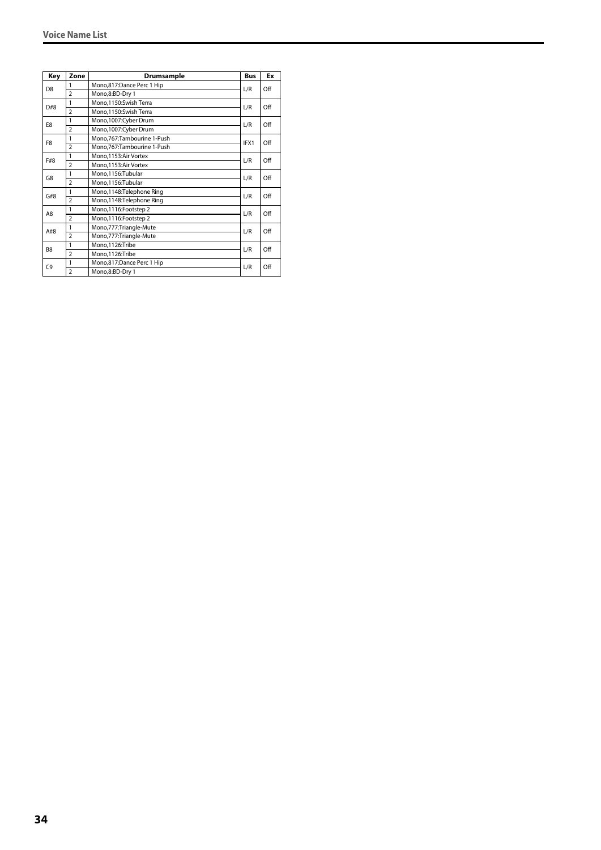| Key            | Zone           | <b>Drumsample</b>          | <b>Bus</b> | Ex  |
|----------------|----------------|----------------------------|------------|-----|
| D <sub>8</sub> | 1              | Mono,817:Dance Perc 1 Hip  | L/R        | Off |
|                | $\overline{2}$ | Mono,8:BD-Dry 1            |            |     |
| D#8            | 1              | Mono,1150:Swish Terra      | L/R        | Off |
|                | $\overline{2}$ | Mono,1150:Swish Terra      |            |     |
| E8             | 1              | Mono,1007:Cyber Drum       | L/R        | Off |
|                | $\overline{2}$ | Mono,1007:Cyber Drum       |            |     |
| F <sub>8</sub> | 1              | Mono,767:Tambourine 1-Push | IFX1       | Off |
|                | $\overline{2}$ | Mono,767:Tambourine 1-Push |            |     |
| F#8            | 1              | Mono, 1153: Air Vortex     | L/R        | Off |
|                | $\overline{2}$ | Mono,1153:Air Vortex       |            |     |
| G8             | 1              | Mono,1156:Tubular          | L/R        | Off |
|                | $\overline{2}$ | Mono,1156:Tubular          |            |     |
| G#8            | 1              | Mono,1148:Telephone Ring   | L/R        | Off |
|                | $\overline{2}$ | Mono,1148:Telephone Ring   |            |     |
| A8             | 1              | Mono,1116:Footstep 2       | L/R        | Off |
|                | $\overline{2}$ | Mono,1116:Footstep 2       |            |     |
| A#8            | 1              | Mono, 777: Triangle-Mute   | L/R        | Off |
|                | $\overline{2}$ | Mono,777:Triangle-Mute     |            |     |
| B <sub>8</sub> | 1              | Mono.1126:Tribe            |            | Off |
|                | $\overline{2}$ | Mono,1126:Tribe            | L/R        |     |
| C <sub>9</sub> | 1              | Mono,817:Dance Perc 1 Hip  | L/R        | Off |
|                | $\overline{2}$ | Mono,8:BD-Dry 1            |            |     |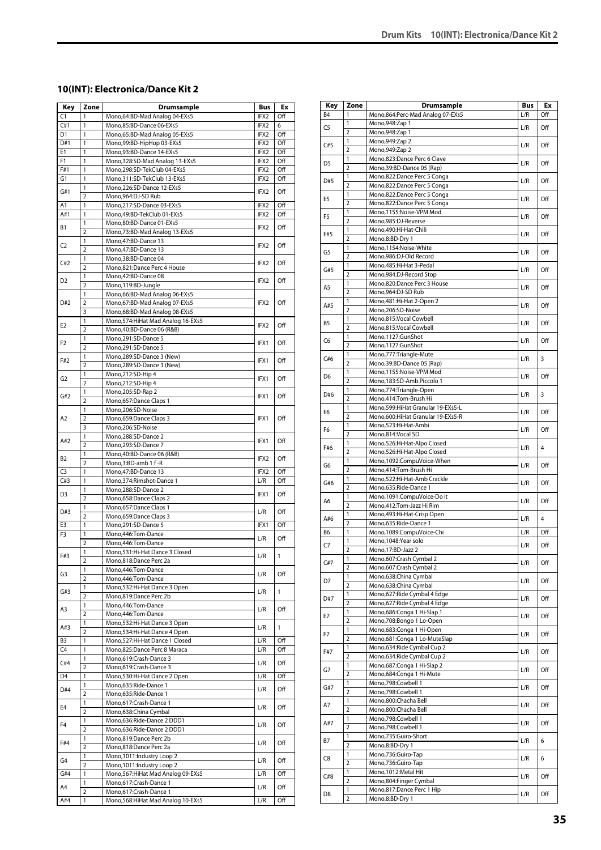#### <span id="page-34-0"></span>**10(INT): Electronica/Dance Kit 2**

| Key                  | Zone                    | Drumsample                                                   | Bus                     | Ex           |
|----------------------|-------------------------|--------------------------------------------------------------|-------------------------|--------------|
| C1                   | 1                       | Mono,64:BD-Mad Analog 04-EXs5                                | IFX2                    | Off          |
| C#1                  | 1                       | Mono,85:BD-Dance 06-EXs5                                     | IFX2                    | 6            |
| D1                   | 1                       | Mono,65:BD-Mad Analog 05-EXs5                                | IFX2                    | Off          |
| D#1                  | 1                       | Mono,99:BD-HipHop 03-EXs5                                    | IFX2                    | Off          |
| E1<br>F <sub>1</sub> | 1<br>1                  | Mono,93:BD-Dance 14-EXs5<br>Mono, 328: SD-Mad Analog 13-EXs5 | IFX2<br>IFX2            | Off<br>Off   |
| F#1                  | 1                       | Mono,298:SD-TekClub 04-EXs5                                  | IFX2                    | Off          |
| G1                   | 1                       | Mono, 311: SD-TekClub 13-EXs5                                | IFX2                    | Off          |
|                      | 1                       | Mono,226:SD-Dance 12-EXs5                                    |                         |              |
| G#1                  | $\overline{2}$          | Mono,964:DJ-SD Rub                                           | IFX2                    | Off          |
| A1                   | 1                       | Mono,217:SD-Dance 03-EXs5                                    | IFX2                    | Off          |
| A#1                  | 1                       | Mono.49:BD-TekClub 01-EXs5                                   | IFX2                    | Off          |
|                      | 1                       | Mono,80:BD-Dance 01-EXs5                                     |                         |              |
| В1                   | $\overline{2}$          | Mono, 73: BD-Mad Analog 13-EXs5                              | IFX2                    | Off          |
|                      | 1                       | Mono, 47: BD-Dance 13                                        |                         |              |
| C2                   | $\overline{2}$          | Mono, 47: BD-Dance 13                                        | IFX2                    | Off          |
| C#2                  | 1                       | Mono,38:BD-Dance 04                                          | IFX2                    | Off          |
|                      | $\overline{2}$          | Mono,821:Dance Perc 4 House                                  |                         |              |
| D <sub>2</sub>       | 1                       | Mono, 42: BD-Dance 08                                        | IFX2                    | Off          |
|                      | $\overline{2}$          | Mono,119:BD-Jungle                                           |                         |              |
|                      | 1                       | Mono, 66: BD-Mad Analog 06-EXs5                              |                         |              |
| D#2                  | $\overline{2}$          | Mono,67:BD-Mad Analog 07-EXs5                                | IFX2                    | Off          |
|                      | 3                       | Mono, 68: BD-Mad Analog 08-EXs5                              |                         |              |
| E2                   | 1                       | Mono, 574: Hi Hat Mad Analog 16-EXs5                         | IFX2                    | Off          |
|                      | $\overline{2}$          | Mono, 40: BD-Dance 06 (R&B)                                  |                         |              |
| F2                   | 1<br>$\overline{2}$     | Mono,291:SD-Dance 5<br>Mono,291:SD-Dance 5                   | IFX1                    | Off          |
|                      | 1                       | Mono,289:SD-Dance 3 (New)                                    |                         |              |
| F#2                  | $\overline{2}$          | Mono,289:SD-Dance 3 (New)                                    | IFX1                    | Off          |
|                      | 1                       | Mono,212:SD-Hip 4                                            |                         |              |
| G <sub>2</sub>       | $\overline{2}$          | Mono,212:SD-Hip 4                                            | IFX1                    | Off          |
|                      | 1                       | Mono,205:SD-Rap 2                                            |                         |              |
| G#2                  | $\overline{2}$          | Mono, 657: Dance Claps 1                                     | IFX1                    | Off          |
|                      | 1                       | Mono,206:SD-Noise                                            |                         |              |
| A2                   | $\overline{2}$          | Mono,659:Dance Claps 3                                       | IFX1                    | Off          |
|                      | 3                       | Mono,206:SD-Noise                                            |                         |              |
| A#2                  | 1                       | Mono,288:SD-Dance 2                                          | IFX1                    | Off          |
|                      | $\overline{2}$          | Mono,293:SD-Dance 7                                          |                         |              |
| B2                   | 1                       | Mono,40:BD-Dance 06 (R&B)                                    | IFX2                    | Off          |
|                      | $\overline{2}$          | Mono,3:BD-amb 1 f-R                                          |                         |              |
| C <sub>3</sub>       | 1                       | Mono, 47: BD-Dance 13                                        | IFX2                    | Off          |
| C#3                  | 1                       | Mono, 374: Rimshot-Dance 1                                   | L/R                     | Off          |
| D3                   | 1                       | Mono,288:SD-Dance 2                                          | IFX1                    | Off          |
|                      | $\overline{2}$<br>1     | Mono,658:Dance Claps 2                                       |                         |              |
| D#3                  | $\overline{2}$          | Mono,657:Dance Claps 1<br>Mono,659:Dance Claps 3             | L/R                     | Off          |
| E3                   | 1                       | Mono,291:SD-Dance 5                                          | IFX1                    | Off          |
| F3                   | 1                       | Mono,446:Tom-Dance                                           |                         |              |
|                      | $\overline{2}$          | Mono, 446: Tom-Dance                                         | L/R                     | Off          |
|                      | 1                       | Mono,531:Hi-Hat Dance 3 Closed                               |                         |              |
| F#3                  | 2                       | Mono,818:Dance Perc 2a                                       | $\mathsf{L}/\mathsf{R}$ | $\mathbf{1}$ |
|                      | 1                       | Mono, 446: Tom-Dance                                         |                         |              |
| G3                   | $\overline{\mathbf{c}}$ | Mono, 446: Tom-Dance                                         | L/R                     | Off          |
| G#3                  | 1                       | Mono, 532: Hi-Hat Dance 3 Open                               | L/R                     | 1            |
|                      | $\overline{2}$          | Mono,819:Dance Perc 2b                                       |                         |              |
| A3                   | 1                       | Mono, 446: Tom-Dance                                         | L/R                     | Off          |
|                      | $\overline{2}$          | Mono, 446: Tom-Dance                                         |                         |              |
| A#3                  | 1                       | Mono,532:Hi-Hat Dance 3 Open                                 | L/R                     | 1            |
|                      | $\overline{2}$          | Mono,534:Hi-Hat Dance 4 Open                                 |                         |              |
| B <sub>3</sub>       | 1                       | Mono,527:Hi-Hat Dance 1 Closed                               | L/R                     | Off          |
| C4                   | 1                       | Mono,825:Dance Perc 8 Maraca                                 | L/R                     | Off          |
| C#4                  | 1<br>$\overline{2}$     | Mono,619:Crash-Dance 3                                       | L/R                     | Off          |
| D4                   | 1                       | Mono,619:Crash-Dance 3<br>Mono,530:Hi-Hat Dance 2 Open       | L/R                     | Off          |
|                      | 1                       | Mono,635:Ride-Dance 1                                        |                         |              |
| D#4                  | $\overline{2}$          | Mono,635:Ride-Dance 1                                        | L/R                     | Off          |
|                      | 1                       | Mono,617:Crash-Dance 1                                       |                         |              |
| E4                   | $\overline{2}$          | Mono,638:China Cymbal                                        | L/R                     | Off          |
|                      | 1                       | Mono,636:Ride-Dance 2 DDD1                                   |                         |              |
| F4                   | 2                       | Mono,636:Ride-Dance 2 DDD1                                   | L/R                     | Off          |
|                      | 1                       | Mono,819:Dance Perc 2b                                       |                         |              |
| F#4                  | $\overline{2}$          | Mono,818:Dance Perc 2a                                       | L/R                     | Off          |
|                      | 1                       | Mono, 1011: Industry Loop 2                                  |                         |              |
| G4                   | $\overline{2}$          | Mono, 1011: Industry Loop 2                                  | L/R                     | Off          |
| G#4                  | 1                       | Mono,567: Hi Hat Mad Analog 09-EXs5                          | L/R                     | Off          |
| A4                   | 1                       | Mono,617:Crash-Dance 1                                       | L/R                     | Off          |
|                      | 2                       | Mono,617:Crash-Dance 1                                       |                         |              |
| A#4                  | 1                       | Mono,568: Hi Hat Mad Analog 10-EXs5                          | L/R                     | Off          |

| Key            | Zone                | <b>Drumsample</b>                                           | Bus | Еx  |
|----------------|---------------------|-------------------------------------------------------------|-----|-----|
| B4             | 1                   | Mono,864:Perc-Mad Analog 07-EXs5                            | L/R | Off |
|                | 1                   | Mono, 948: Zap 1                                            |     |     |
| C5             | $\overline{2}$      | Mono, 948: Zap 1                                            | L/R | Off |
| C#5            | 1                   | Mono, 949: Zap 2                                            | L/R | Off |
|                | $\overline{2}$      | Mono, 949: Zap 2                                            |     |     |
| D5             | 1                   | Mono,823:Dance Perc 6 Clave                                 | L/R | Off |
|                | $\overline{2}$      | Mono, 39: BD-Dance 05 (Rap)                                 |     |     |
| D#5            | 1<br>$\overline{2}$ | Mono,822:Dance Perc 5 Conga                                 | L/R | Off |
|                | 1                   | Mono,822:Dance Perc 5 Conga<br>Mono,822:Dance Perc 5 Conga  |     |     |
| E <sub>5</sub> | $\overline{2}$      | Mono,822:Dance Perc 5 Conga                                 | L/R | Off |
|                | 1                   | Mono,1155:Noise-VPM Mod                                     |     |     |
| F <sub>5</sub> | $\overline{2}$      | Mono,985:DJ-Reverse                                         | L/R | Off |
|                | 1                   | Mono,490:Hi-Hat-Chili                                       |     |     |
| F#5            | $\overline{2}$      | Mono,8:BD-Dry 1                                             | L/R | Off |
| G5             | 1                   | Mono,1154:Noise-White                                       |     | Off |
|                | $\overline{2}$      | Mono,986:DJ-Old Record                                      | L/R |     |
| G#5            | 1                   | Mono,485:Hi-Hat 3-Pedal                                     | L/R | Off |
|                | $\overline{2}$      | Mono,984:DJ-Record Stop                                     |     |     |
| A5             | 1                   | Mono,820:Dance Perc 3 House                                 | L/R | Off |
|                | $\overline{2}$      | Mono,964:DJ-SD Rub                                          |     |     |
| A#5            | 1<br>2              | Mono, 481: Hi-Hat 2-Open 2<br>Mono,206:SD-Noise             | L/R | Off |
|                | 1                   | Mono,815:Vocal Cowbell                                      |     |     |
| B5             | 2                   | Mono,815:Vocal Cowbell                                      | L/R | Off |
|                | 1                   | Mono,1127:GunShot                                           |     |     |
| C6             | $\overline{2}$      | Mono,1127:GunShot                                           | L/R | Off |
|                | 1                   | Mono,777:Triangle-Mute                                      |     |     |
| C#6            | $\overline{2}$      | Mono, 39: BD-Dance 05 (Rap)                                 | L/R | 3   |
| D <sub>6</sub> | 1                   | Mono,1155:Noise-VPM Mod                                     | L/R | Off |
|                | $\overline{2}$      | Mono,183:SD-Amb.Piccolo 1                                   |     |     |
| D#6            | 1                   | Mono,774:Triangle-Open                                      | L/R | 3   |
|                | $\overline{2}$      | Mono,414:Tom-Brush Hi                                       |     |     |
| E6             | 1<br>$\overline{2}$ | Mono,599: HiHat Granular 19-EXs5-L                          | L/R | Off |
|                | 1                   | Mono,600: Hi Hat Granular 19-EXs5-R<br>Mono,523:Hi-Hat-Ambi |     |     |
| F6             | $\overline{2}$      | Mono,814:Vocal SD                                           | L/R | Off |
|                | 1                   | Mono,526:Hi-Hat-Alpo Closed                                 |     |     |
| F#6            | $\overline{2}$      | Mono,526:Hi-Hat-Alpo Closed                                 | L/R | 4   |
|                | 1                   | Mono,1092:CompuVoice-When                                   |     |     |
| G6             | $\overline{2}$      | Mono,414:Tom-Brush Hi                                       | L/R | Off |
| G#6            | 1                   | Mono,522:Hi-Hat-Amb Crackle                                 | L/R | Off |
|                | $\overline{2}$      | Mono,635:Ride-Dance 1                                       |     |     |
| A6             | 1                   | Mono,1091:CompuVoice-Do it                                  | L/R | Off |
|                | $\overline{2}$      | Mono,412:Tom-Jazz Hi Rim                                    |     |     |
| A#6            | 1                   | Mono, 493: Hi-Hat-Crisp Open                                | L/R | 4   |
| B6             | $\overline{2}$<br>1 | Mono,635:Ride-Dance 1<br>Mono,1089:CompuVoice-Chi           | L/R | Off |
|                | 1                   | Mono, 1048: Year solo                                       |     |     |
| C7             | $\overline{a}$      | Mono,17:BD-Jazz 2                                           | L/R | Off |
|                | 1                   | Mono,607:Crash Cymbal 2                                     |     |     |
| C#7            | $\overline{2}$      | Mono,607:Crash Cymbal 2                                     | L/R | Off |
|                | 1                   | Mono,638:China Cymbal                                       |     |     |
| D7             | $\overline{2}$      | Mono,638:China Cymbal                                       | L/R | Off |
| D#7            | 1                   | Mono,627: Ride Cymbal 4 Edge                                | L/R | Off |
|                | 2                   | Mono,627: Ride Cymbal 4 Edge                                |     |     |
| E7             | 1                   | Mono,686:Conga 1 Hi-Slap 1                                  | L/R | Off |
|                | $\overline{2}$      | Mono,708:Bongo 1 Lo-Open                                    |     |     |
| F7             | 1                   | Mono,683:Conga 1 Hi-Open                                    | L/R | Off |
|                | $\overline{2}$<br>1 | Mono,681:Conga 1 Lo-MuteSlap                                |     |     |
| F#7            | 2                   | Mono,634: Ride Cymbal Cup 2<br>Mono,634: Ride Cymbal Cup 2  | L/R | Off |
|                | 1                   | Mono,687:Conga 1 Hi-Slap 2                                  |     |     |
| G7             | 2                   | Mono,684:Conga 1 Hi-Mute                                    | L/R | Off |
|                | $\mathbf{1}$        | Mono,798:Cowbell 1                                          |     |     |
| G#7            | $\overline{2}$      | Mono,798:Cowbell 1                                          | L/R | Off |
| A7             | 1                   | Mono,800:Chacha Bell                                        |     | Off |
|                | $\overline{2}$      | Mono,800:Chacha Bell                                        | L/R |     |
| A#7            | 1                   | Mono,798:Cowbell 1                                          | L/R | Off |
|                | $\overline{2}$      | Mono,798:Cowbell 1                                          |     |     |
| B7             | 1                   | Mono,735:Guiro-Short                                        | L/R | 6   |
|                | $\overline{2}$      | Mono,8:BD-Dry 1                                             |     |     |
| C8             | 1                   | Mono,736:Guiro-Tap                                          | L/R | 6   |
|                | $\overline{2}$      | Mono,736:Guiro-Tap                                          |     |     |
| C#8            | 1<br>$\overline{2}$ | Mono, 1012: Metal Hit<br>Mono,804:Finger Cymbal             | L/R | Off |
|                | 1                   | Mono,817:Dance Perc 1 Hip                                   |     |     |
| D8             | 2                   | Mono,8:BD-Dry 1                                             | L/R | Off |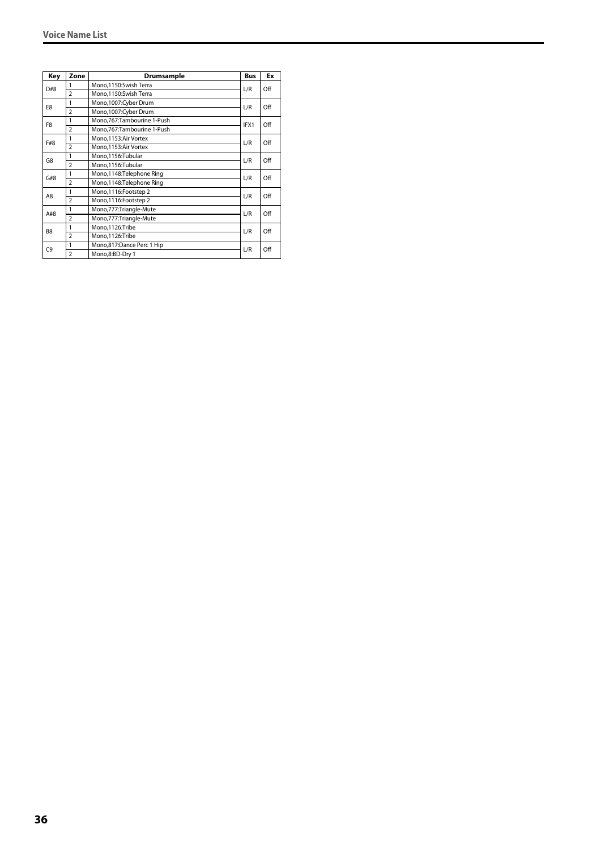| Key            | Zone           | Drumsample                 | <b>Bus</b> | Ex  |
|----------------|----------------|----------------------------|------------|-----|
| D#8            | 1              | Mono.1150:Swish Terra      | L/R        | Off |
|                | $\overline{2}$ | Mono,1150:Swish Terra      |            |     |
| E8             | 1              | Mono,1007:Cyber Drum       | L/R        | Off |
|                | $\overline{2}$ | Mono,1007:Cyber Drum       |            |     |
| F <sub>8</sub> | 1              | Mono,767:Tambourine 1-Push | IFX1       | Off |
|                | $\overline{2}$ | Mono,767:Tambourine 1-Push |            |     |
| F#8            | 1              | Mono, 1153: Air Vortex     | L/R        | Off |
|                | $\overline{2}$ | Mono, 1153: Air Vortex     |            |     |
| G8             | 1              | Mono,1156:Tubular          | L/R        | Off |
|                | $\overline{2}$ | Mono,1156:Tubular          |            |     |
| G#8            | 1              | Mono,1148:Telephone Ring   | L/R        | Off |
|                | $\overline{2}$ | Mono,1148:Telephone Ring   |            |     |
| A8             | 1              | Mono,1116:Footstep 2       | L/R        | Off |
|                | $\overline{2}$ | Mono,1116:Footstep 2       |            |     |
| A#8            | 1              | Mono,777:Triangle-Mute     | L/R        | Off |
|                | $\overline{2}$ | Mono,777: Triangle-Mute    |            |     |
| B <sub>8</sub> | 1              | Mono,1126:Tribe            | L/R        | Off |
|                | $\overline{2}$ | Mono,1126:Tribe            |            |     |
| C <sub>9</sub> | 1              | Mono,817:Dance Perc 1 Hip  | L/R        | Off |
|                | $\overline{2}$ | Mono,8:BD-Dry 1            |            |     |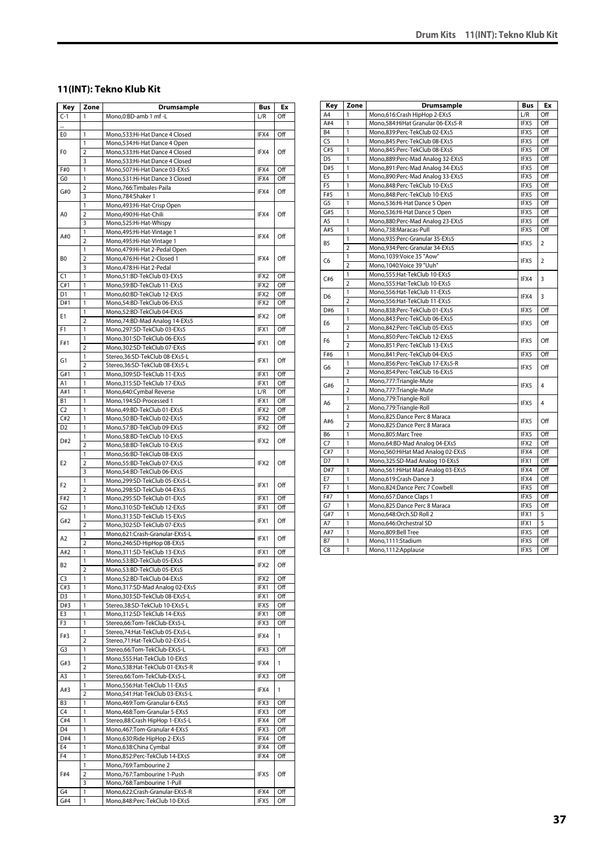### **11(INT): Tekno Klub Kit**

| Key                                                                                                                                                                                                                                                                                                                                                                                                                                             | Zone                | <b>Drumsample</b>                                                | Bus                                                                                                                                                                                                                                                                                                                                                                                                                             | Ex         |
|-------------------------------------------------------------------------------------------------------------------------------------------------------------------------------------------------------------------------------------------------------------------------------------------------------------------------------------------------------------------------------------------------------------------------------------------------|---------------------|------------------------------------------------------------------|---------------------------------------------------------------------------------------------------------------------------------------------------------------------------------------------------------------------------------------------------------------------------------------------------------------------------------------------------------------------------------------------------------------------------------|------------|
|                                                                                                                                                                                                                                                                                                                                                                                                                                                 | 1                   | Mono,0:BD-amb 1 mf -L                                            | L/R                                                                                                                                                                                                                                                                                                                                                                                                                             | Off        |
|                                                                                                                                                                                                                                                                                                                                                                                                                                                 |                     |                                                                  |                                                                                                                                                                                                                                                                                                                                                                                                                                 |            |
|                                                                                                                                                                                                                                                                                                                                                                                                                                                 | 1                   | Mono,533:Hi-Hat Dance 4 Closed                                   |                                                                                                                                                                                                                                                                                                                                                                                                                                 | Off        |
|                                                                                                                                                                                                                                                                                                                                                                                                                                                 | 1                   | Mono, 534: Hi-Hat Dance 4 Open                                   |                                                                                                                                                                                                                                                                                                                                                                                                                                 |            |
| $C-1$<br>E0<br>F <sub>0</sub><br>F#0<br>G <sub>0</sub><br>G#0<br>A0<br>A#0<br>B <sub>0</sub><br>1<br>C1<br>C#1<br>D1<br>D#1<br>Ε1<br>F1<br>F#1<br>G1<br>G#1<br>A1<br>1<br>A#1<br>В1<br>C <sub>2</sub><br>C#2<br>D <sub>2</sub><br>D#2<br>E <sub>2</sub><br>F <sub>2</sub><br>F#2<br>G <sub>2</sub><br>G#2<br>A2<br>A#2<br>B2<br>C3<br>C#3<br>D3<br>D#3<br>E3<br>F3<br>F#3<br>G3<br>G#3<br>A3<br>A#3<br>B3<br>C4<br>C#4<br>D <sub>4</sub><br>D#4 | $\overline{2}$<br>3 | Mono,533:Hi-Hat Dance 4 Closed<br>Mono,533:Hi-Hat Dance 4 Closed |                                                                                                                                                                                                                                                                                                                                                                                                                                 | Off        |
|                                                                                                                                                                                                                                                                                                                                                                                                                                                 | 1                   | Mono, 507: Hi-Hat Dance 03-EXs5                                  |                                                                                                                                                                                                                                                                                                                                                                                                                                 | Off        |
|                                                                                                                                                                                                                                                                                                                                                                                                                                                 | $\overline{1}$      | Mono.531:Hi-Hat Dance 3 Closed                                   |                                                                                                                                                                                                                                                                                                                                                                                                                                 | Off        |
|                                                                                                                                                                                                                                                                                                                                                                                                                                                 | $\overline{2}$      | Mono, 766: Timbales-Paila                                        |                                                                                                                                                                                                                                                                                                                                                                                                                                 |            |
|                                                                                                                                                                                                                                                                                                                                                                                                                                                 | 3                   | Mono, 784: Shaker 1                                              |                                                                                                                                                                                                                                                                                                                                                                                                                                 | Off        |
|                                                                                                                                                                                                                                                                                                                                                                                                                                                 | $\mathbf{1}$        | Mono, 493: Hi-Hat-Crisp Open                                     |                                                                                                                                                                                                                                                                                                                                                                                                                                 |            |
| E4                                                                                                                                                                                                                                                                                                                                                                                                                                              | $\overline{2}$      | Mono,490:Hi-Hat-Chili                                            | IFX4                                                                                                                                                                                                                                                                                                                                                                                                                            | Off        |
|                                                                                                                                                                                                                                                                                                                                                                                                                                                 | 3                   | Mono,525:Hi-Hat-Whispy                                           |                                                                                                                                                                                                                                                                                                                                                                                                                                 |            |
|                                                                                                                                                                                                                                                                                                                                                                                                                                                 | 1                   | Mono, 495: Hi-Hat-Vintage 1                                      | IFX4<br>IFX4<br>IFX4<br>IFX4<br>IFX4<br>IFX4<br>IFX4<br>IFX2<br>IFX2<br>IFX2<br>IFX2<br>IFX <sub>2</sub><br>IFX1<br>IFX1<br>IFX1<br>IFX1<br>IFX1<br>L/R<br>IFX1<br>IFX2<br>IFX2<br>IFX2<br>IFX2<br>IFX2<br>IFX1<br>IFX1<br>IFX1<br>IFX1<br>IFX1<br>IFX1<br>IFX2<br>IFX2<br>IFX1<br>IFX1<br>IFX5<br>IFX1<br>IFX3<br>IFX4<br>IFX3<br>IFX4<br>IFX3<br>IFX4<br>IFX3<br>IFX3<br>IFX4<br>IFX3<br>IFX4<br>IFX4<br>IFX4<br>IFX5<br>IFX4 | Off        |
|                                                                                                                                                                                                                                                                                                                                                                                                                                                 | $\overline{2}$      | Mono, 495: Hi-Hat-Vintage 1                                      |                                                                                                                                                                                                                                                                                                                                                                                                                                 |            |
|                                                                                                                                                                                                                                                                                                                                                                                                                                                 | 1                   | Mono, 479: Hi-Hat 2-Pedal Open                                   |                                                                                                                                                                                                                                                                                                                                                                                                                                 |            |
|                                                                                                                                                                                                                                                                                                                                                                                                                                                 | $\overline{2}$      | Mono, 476: Hi-Hat 2-Closed 1                                     |                                                                                                                                                                                                                                                                                                                                                                                                                                 | Off        |
|                                                                                                                                                                                                                                                                                                                                                                                                                                                 | 3                   | Mono, 478: Hi-Hat 2-Pedal<br>Mono,51:BD-TekClub 03-EXs5          |                                                                                                                                                                                                                                                                                                                                                                                                                                 | Off        |
|                                                                                                                                                                                                                                                                                                                                                                                                                                                 | $\mathbf{1}$        | Mono,59:BD-TekClub 11-EXs5                                       |                                                                                                                                                                                                                                                                                                                                                                                                                                 | Off        |
|                                                                                                                                                                                                                                                                                                                                                                                                                                                 | 1                   | Mono,60:BD-TekClub 12-EXs5                                       |                                                                                                                                                                                                                                                                                                                                                                                                                                 | Off        |
|                                                                                                                                                                                                                                                                                                                                                                                                                                                 | 1                   | Mono,54:BD-TekClub 06-EXs5                                       |                                                                                                                                                                                                                                                                                                                                                                                                                                 | Off        |
|                                                                                                                                                                                                                                                                                                                                                                                                                                                 | $\mathbf{1}$        | Mono,52:BD-TekClub 04-EXs5                                       |                                                                                                                                                                                                                                                                                                                                                                                                                                 |            |
|                                                                                                                                                                                                                                                                                                                                                                                                                                                 | $\overline{2}$      | Mono, 74: BD-Mad Analog 14-EXs5                                  |                                                                                                                                                                                                                                                                                                                                                                                                                                 | Off        |
|                                                                                                                                                                                                                                                                                                                                                                                                                                                 | 1                   | Mono.297:SD-TekClub 03-EXs5                                      |                                                                                                                                                                                                                                                                                                                                                                                                                                 | Off        |
|                                                                                                                                                                                                                                                                                                                                                                                                                                                 | $\mathbf{1}$        | Mono.301:SD-TekClub 06-EXs5                                      |                                                                                                                                                                                                                                                                                                                                                                                                                                 | Off        |
|                                                                                                                                                                                                                                                                                                                                                                                                                                                 | $\overline{2}$      | Mono,302:SD-TekClub 07-EXs5                                      |                                                                                                                                                                                                                                                                                                                                                                                                                                 |            |
|                                                                                                                                                                                                                                                                                                                                                                                                                                                 | 1                   | Stereo, 36: SD-TekClub 08-EXs5-L                                 |                                                                                                                                                                                                                                                                                                                                                                                                                                 | Off        |
|                                                                                                                                                                                                                                                                                                                                                                                                                                                 | $\overline{2}$      | Stereo, 36: SD-TekClub 08-EXs5-L                                 |                                                                                                                                                                                                                                                                                                                                                                                                                                 |            |
|                                                                                                                                                                                                                                                                                                                                                                                                                                                 | $\mathbf{1}$        | Mono,309:SD-TekClub 11-EXs5                                      |                                                                                                                                                                                                                                                                                                                                                                                                                                 | Off        |
|                                                                                                                                                                                                                                                                                                                                                                                                                                                 | 1                   | Mono,315:SD-TekClub 17-EXs5                                      |                                                                                                                                                                                                                                                                                                                                                                                                                                 | Off<br>Off |
|                                                                                                                                                                                                                                                                                                                                                                                                                                                 | 1                   | Mono,640:Cymbal Reverse<br>Mono, 194:SD-Processed 1              |                                                                                                                                                                                                                                                                                                                                                                                                                                 | Off        |
|                                                                                                                                                                                                                                                                                                                                                                                                                                                 | 1                   | Mono,49:BD-TekClub 01-EXs5                                       |                                                                                                                                                                                                                                                                                                                                                                                                                                 | Off        |
|                                                                                                                                                                                                                                                                                                                                                                                                                                                 | 1                   | Mono,50:BD-TekClub 02-EXs5                                       |                                                                                                                                                                                                                                                                                                                                                                                                                                 | Off        |
|                                                                                                                                                                                                                                                                                                                                                                                                                                                 | 1                   | Mono,57:BD-TekClub 09-EXs5                                       |                                                                                                                                                                                                                                                                                                                                                                                                                                 | Off        |
|                                                                                                                                                                                                                                                                                                                                                                                                                                                 | 1                   | Mono,58:BD-TekClub 10-EXs5                                       |                                                                                                                                                                                                                                                                                                                                                                                                                                 |            |
|                                                                                                                                                                                                                                                                                                                                                                                                                                                 | $\overline{2}$      | Mono,58:BD-TekClub 10-EXs5                                       |                                                                                                                                                                                                                                                                                                                                                                                                                                 | Off        |
|                                                                                                                                                                                                                                                                                                                                                                                                                                                 | 1                   | Mono,56:BD-TekClub 08-EXs5                                       |                                                                                                                                                                                                                                                                                                                                                                                                                                 |            |
|                                                                                                                                                                                                                                                                                                                                                                                                                                                 | $\overline{2}$      | Mono,55:BD-TekClub 07-EXs5                                       |                                                                                                                                                                                                                                                                                                                                                                                                                                 | Off        |
|                                                                                                                                                                                                                                                                                                                                                                                                                                                 | 3                   | Mono,54:BD-TekClub 06-EXs5                                       |                                                                                                                                                                                                                                                                                                                                                                                                                                 |            |
|                                                                                                                                                                                                                                                                                                                                                                                                                                                 | 1                   | Mono,299:SD-TekClub 05-EXs5-L                                    |                                                                                                                                                                                                                                                                                                                                                                                                                                 | Off        |
|                                                                                                                                                                                                                                                                                                                                                                                                                                                 | $\overline{2}$      | Mono,298:SD-TekClub 04-EXs5                                      |                                                                                                                                                                                                                                                                                                                                                                                                                                 |            |
|                                                                                                                                                                                                                                                                                                                                                                                                                                                 | 1<br>$\mathbf{1}$   | Mono,295:SD-TekClub 01-EXs5<br>Mono,310:SD-TekClub 12-EXs5       |                                                                                                                                                                                                                                                                                                                                                                                                                                 | Off<br>Off |
|                                                                                                                                                                                                                                                                                                                                                                                                                                                 | $\mathbf{1}$        | Mono, 313: SD-TekClub 15-EXs5                                    |                                                                                                                                                                                                                                                                                                                                                                                                                                 |            |
|                                                                                                                                                                                                                                                                                                                                                                                                                                                 | $\overline{2}$      | Mono,302:SD-TekClub 07-EXs5                                      |                                                                                                                                                                                                                                                                                                                                                                                                                                 | Off        |
|                                                                                                                                                                                                                                                                                                                                                                                                                                                 | 1                   | Mono,621:Crash-Granular-EXs5-L                                   |                                                                                                                                                                                                                                                                                                                                                                                                                                 |            |
|                                                                                                                                                                                                                                                                                                                                                                                                                                                 | $\overline{2}$      | Mono,246:SD-HipHop 08-EXs5                                       |                                                                                                                                                                                                                                                                                                                                                                                                                                 | Off        |
|                                                                                                                                                                                                                                                                                                                                                                                                                                                 | 1                   | Mono, 311: SD-TekClub 13-EXs5                                    |                                                                                                                                                                                                                                                                                                                                                                                                                                 | Off        |
|                                                                                                                                                                                                                                                                                                                                                                                                                                                 | 1                   | Mono,53:BD-TekClub 05-EXs5                                       |                                                                                                                                                                                                                                                                                                                                                                                                                                 | Off        |
|                                                                                                                                                                                                                                                                                                                                                                                                                                                 | $\overline{2}$      | Mono,53:BD-TekClub 05-EXs5                                       |                                                                                                                                                                                                                                                                                                                                                                                                                                 |            |
|                                                                                                                                                                                                                                                                                                                                                                                                                                                 | 1                   | Mono,52:BD-TekClub 04-EXs5                                       |                                                                                                                                                                                                                                                                                                                                                                                                                                 | Off        |
|                                                                                                                                                                                                                                                                                                                                                                                                                                                 | $\mathbf{1}$        | Mono, 317: SD-Mad Analog 02-EXs5                                 |                                                                                                                                                                                                                                                                                                                                                                                                                                 | Off        |
|                                                                                                                                                                                                                                                                                                                                                                                                                                                 | 1                   | Mono,303:SD-TekClub 08-EXs5-L                                    |                                                                                                                                                                                                                                                                                                                                                                                                                                 | Off        |
|                                                                                                                                                                                                                                                                                                                                                                                                                                                 | $\mathbf{1}$<br>1   | Stereo, 38: SD-TekClub 10-EXs5-L                                 |                                                                                                                                                                                                                                                                                                                                                                                                                                 | Off        |
|                                                                                                                                                                                                                                                                                                                                                                                                                                                 | $\mathbf{1}$        | Mono,312:SD-TekClub 14-EXs5<br>Stereo,66:Tom-TekClub-EXs5-L      |                                                                                                                                                                                                                                                                                                                                                                                                                                 | Off<br>Off |
|                                                                                                                                                                                                                                                                                                                                                                                                                                                 | 1                   | Stereo, 74: Hat-TekClub 05-EXs5-L                                |                                                                                                                                                                                                                                                                                                                                                                                                                                 |            |
|                                                                                                                                                                                                                                                                                                                                                                                                                                                 | 2                   | Stereo,71:Hat-TekClub 02-EXs5-L                                  |                                                                                                                                                                                                                                                                                                                                                                                                                                 | 1          |
|                                                                                                                                                                                                                                                                                                                                                                                                                                                 | 1                   | Stereo,66:Tom-TekClub-EXs5-L                                     |                                                                                                                                                                                                                                                                                                                                                                                                                                 | Off        |
|                                                                                                                                                                                                                                                                                                                                                                                                                                                 | 1                   | Mono,555: Hat-TekClub 10-EXs5                                    |                                                                                                                                                                                                                                                                                                                                                                                                                                 |            |
|                                                                                                                                                                                                                                                                                                                                                                                                                                                 | 2                   | Mono,538:Hat-TekClub 01-EXs5-R                                   |                                                                                                                                                                                                                                                                                                                                                                                                                                 | 1          |
|                                                                                                                                                                                                                                                                                                                                                                                                                                                 | 1                   | Stereo,66:Tom-TekClub-EXs5-L                                     |                                                                                                                                                                                                                                                                                                                                                                                                                                 | Off        |
|                                                                                                                                                                                                                                                                                                                                                                                                                                                 | 1                   | Mono,556:Hat-TekClub 11-EXs5                                     |                                                                                                                                                                                                                                                                                                                                                                                                                                 | 1          |
| F <sub>4</sub>                                                                                                                                                                                                                                                                                                                                                                                                                                  | $\overline{2}$      | Mono,541:Hat-TekClub 03-EXs5-L                                   |                                                                                                                                                                                                                                                                                                                                                                                                                                 |            |
|                                                                                                                                                                                                                                                                                                                                                                                                                                                 | 1                   | Mono, 469: Tom-Granular 6-EXs5                                   |                                                                                                                                                                                                                                                                                                                                                                                                                                 | Off        |
|                                                                                                                                                                                                                                                                                                                                                                                                                                                 | 1                   | Mono, 468: Tom-Granular 5-EXs5                                   |                                                                                                                                                                                                                                                                                                                                                                                                                                 | Off        |
|                                                                                                                                                                                                                                                                                                                                                                                                                                                 | $\mathbf{1}$        | Stereo,88:Crash HipHop 1-EXs5-L                                  |                                                                                                                                                                                                                                                                                                                                                                                                                                 | Off        |
|                                                                                                                                                                                                                                                                                                                                                                                                                                                 | 1                   | Mono, 467: Tom-Granular 4-EXs5                                   |                                                                                                                                                                                                                                                                                                                                                                                                                                 | Off        |
|                                                                                                                                                                                                                                                                                                                                                                                                                                                 | $\mathbf{1}$        | Mono,630:Ride HipHop 2-EXs5                                      |                                                                                                                                                                                                                                                                                                                                                                                                                                 | Off        |
|                                                                                                                                                                                                                                                                                                                                                                                                                                                 | 1<br>$\mathbf{1}$   | Mono,638:China Cymbal                                            |                                                                                                                                                                                                                                                                                                                                                                                                                                 | Off        |
|                                                                                                                                                                                                                                                                                                                                                                                                                                                 | $\mathbf{1}$        | Mono,852:Perc-TekClub 14-EXs5                                    |                                                                                                                                                                                                                                                                                                                                                                                                                                 | Off        |
| F#4                                                                                                                                                                                                                                                                                                                                                                                                                                             | 2                   | Mono, 769: Tambourine 2<br>Mono,767:Tambourine 1-Push            |                                                                                                                                                                                                                                                                                                                                                                                                                                 | Off        |
|                                                                                                                                                                                                                                                                                                                                                                                                                                                 | 3                   | Mono,768:Tambourine 1-Pull                                       |                                                                                                                                                                                                                                                                                                                                                                                                                                 |            |
| G4                                                                                                                                                                                                                                                                                                                                                                                                                                              | $\mathbf{1}$        | Mono,622:Crash-Granular-EXs5-R                                   |                                                                                                                                                                                                                                                                                                                                                                                                                                 | Off        |
| G#4                                                                                                                                                                                                                                                                                                                                                                                                                                             | 1                   | Mono,848:Perc-TekClub 10-EXs5                                    | IFX5                                                                                                                                                                                                                                                                                                                                                                                                                            | Off        |
|                                                                                                                                                                                                                                                                                                                                                                                                                                                 |                     |                                                                  |                                                                                                                                                                                                                                                                                                                                                                                                                                 |            |

| Key            | Zone           | Drumsample                           | Bus          | Ex             |
|----------------|----------------|--------------------------------------|--------------|----------------|
| A4             | 1              | Mono,616:Crash HipHop 2-EXs5         | L/R          | Off            |
| A#4            | 1              | Mono, 584: Hi Hat Granular 06-EXs5-R | IFX5         | Off            |
| B <sub>4</sub> | 1              | Mono,839:Perc-TekClub 02-EXs5        | IFX5         | Off            |
| C <sub>5</sub> | $\mathbf{1}$   | Mono,845:Perc-TekClub 08-EXs5        | IFX5         | Off            |
| C#5            | $\mathbf{1}$   | Mono,845:Perc-TekClub 08-EXs5        | IFX5         | Off            |
| D <sub>5</sub> | $\mathbf{1}$   | Mono,889:Perc-Mad Analog 32-EXs5     | IFX5         | Off            |
| D#5            | $\mathbf{1}$   | Mono,891:Perc-Mad Analog 34-EXs5     | IFX5         | Off            |
| E <sub>5</sub> | $\mathbf{1}$   | Mono,890:Perc-Mad Analog 33-EXs5     | IFX5         | Off            |
| F <sub>5</sub> | 1              | Mono,848:Perc-TekClub 10-EXs5        | IFX5         | Off            |
| F#5            | 1              | Mono,848:Perc-TekClub 10-EXs5        | IFX5         | Off            |
| G <sub>5</sub> | 1              | Mono,536:Hi-Hat Dance 5 Open         | IFX5         | Off            |
| G#5            | 1              | Mono, 536: Hi-Hat Dance 5 Open       | IFX5         | Off            |
| A <sub>5</sub> | $\mathbf{1}$   | Mono,880:Perc-Mad Analog 23-EXs5     | IFX5         | Off            |
| A#5            | 1              | Mono,738:Maracas-Pull                | IFX5         | Off            |
| <b>B5</b>      | 1              | Mono,935:Perc-Granular 35-EXs5       | IFX5         | $\overline{2}$ |
|                | $\overline{2}$ | Mono,934:Perc-Granular 34-EXs5       |              |                |
| C <sub>6</sub> | 1              | Mono,1039:Voice 35 "Aow"             | IFX5         | $\overline{2}$ |
|                | $\overline{2}$ | Mono, 1040: Voice 39 "Uuh"           |              |                |
| C#6            | 1              | Mono,555: Hat-TekClub 10-EXs5        | IFX4         | 3              |
|                | $\overline{2}$ | Mono, 555: Hat-TekClub 10-EXs5       |              |                |
| D <sub>6</sub> | 1              | Mono,556:Hat-TekClub 11-EXs5         | IFX4         | 3              |
|                | $\overline{2}$ | Mono, 556: Hat-TekClub 11-EXs5       |              |                |
| D#6            | $\mathbf{1}$   | Mono,838:Perc-TekClub 01-EXs5        | IFX5         | Off            |
| E <sub>6</sub> | 1              | Mono,843:Perc-TekClub 06-EXs5        | IFX5         | Off            |
|                | $\overline{2}$ | Mono,842:Perc-TekClub 05-EXs5        |              |                |
| F6             | 1              | Mono,850:Perc-TekClub 12-EXs5        | IFX5         | Off            |
|                | $\overline{2}$ | Mono,851:Perc-TekClub 13-EXs5        |              |                |
| F#6            | 1              | Mono,841:Perc-TekClub 04-EXs5        | IFX5         | Off            |
| G6             | 1              | Mono,856:Perc-TekClub 17-EXs5-R      |              | Off            |
|                | $\overline{2}$ | Mono,854:Perc-TekClub 16-EXs5        |              |                |
| G#6            | $\mathbf{1}$   | Mono,777:Triangle-Mute               | IFX5<br>IFX5 | $\overline{4}$ |
|                | $\overline{2}$ | Mono,777:Triangle-Mute               |              |                |
| A6             | 1              | Mono,779:Triangle-Roll               | IFX5         | $\overline{4}$ |
|                | $\overline{2}$ | Mono,779:Triangle-Roll               |              |                |
| A#6            | 1              | Mono,825:Dance Perc 8 Maraca         | IFX5         | Off            |
|                | $\overline{2}$ | Mono,825:Dance Perc 8 Maraca         |              |                |
| B <sub>6</sub> | 1              | Mono,805:Marc Tree                   | IFX5         | Off            |
| C <sub>7</sub> | $\mathbf{1}$   | Mono,64:BD-Mad Analog 04-EXs5        | IFX2         | Off            |
| C#7            | $\mathbf{1}$   | Mono, 560: Hi Hat Mad Analog 02-EXs5 | IFX4         | Off            |
| D7             | 1              | Mono, 325: SD-Mad Analog 10-EXs5     | IFX1         | Off            |
| D#7            | $\mathbf{1}$   | Mono, 561: Hi Hat Mad Analog 03-EXs5 | IFX4         | Off            |
| E7             | $\overline{1}$ | Mono,619:Crash-Dance 3               | IFX4         | Off            |
| F7             | 1              | Mono,824:Dance Perc 7 Cowbell        | IFX5         | Off            |
| F#7            | $\mathbf{1}$   | Mono, 657: Dance Claps 1             | IFX5         | Off            |
| G7             | 1              | Mono,825:Dance Perc 8 Maraca         | IFX5         | Off            |
| G#7            | 1              | Mono,648:Orch.SD Roll 2              | IFX1         | 5              |
| A7             | 1              | Mono,646:Orchestral SD               | IFX1         | 5              |
| A#7            | $\mathbf{1}$   | Mono,809:Bell Tree                   | IFX5         | Off            |
| <b>B7</b>      | 1              | Mono,1111:Stadium                    | IFX5         | Off            |
| C <sub>8</sub> | 1              | Mono, 1112: Applause                 | IFX5         | Off            |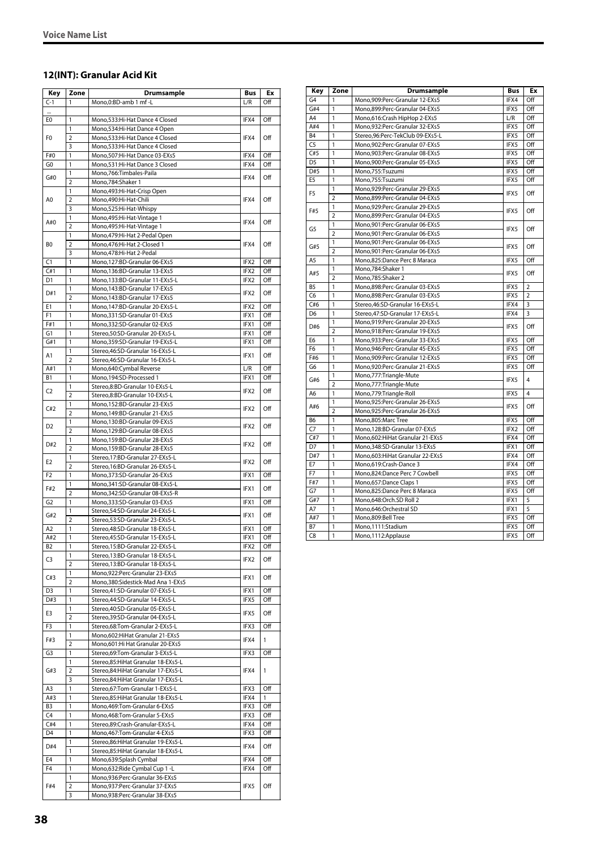### **12(INT): Granular Acid Kit**

| Key            | Zone                | <b>Drumsample</b>                                                    | Bus          | Ex         |
|----------------|---------------------|----------------------------------------------------------------------|--------------|------------|
| $C-1$          | 1                   | Mono,0:BD-amb 1 mf -L                                                | L/R          | Off        |
|                |                     |                                                                      |              |            |
| E0             | 1                   | Mono,533:Hi-Hat Dance 4 Closed                                       | IFX4         | Off        |
|                | 1                   | Mono,534:Hi-Hat Dance 4 Open                                         |              |            |
| F <sub>0</sub> | 2                   | Mono,533:Hi-Hat Dance 4 Closed                                       | IFX4         | Off        |
| F#0            | 3<br>1              | Mono,533:Hi-Hat Dance 4 Closed<br>Mono, 507: Hi-Hat Dance 03-EXs5    | IFX4         | Off        |
| G <sub>0</sub> | 1                   | Mono,531:Hi-Hat Dance 3 Closed                                       | IFX4         | Off        |
|                | 1                   | Mono,766:Timbales-Paila                                              |              |            |
| G#0            | 2                   | Mono,784:Shaker 1                                                    | IFX4         | Off        |
|                | 1                   | Mono,493:Hi-Hat-Crisp Open                                           |              |            |
| A0             | 2                   | Mono,490:Hi-Hat-Chili                                                | IFX4         | Off        |
|                | 3                   | Mono,525:Hi-Hat-Whispy                                               |              |            |
| A#0            | 1<br>$\overline{2}$ | Mono, 495: Hi-Hat-Vintage 1                                          | IFX4         | Off        |
|                | 1                   | Mono, 495: Hi-Hat-Vintage 1<br>Mono, 479: Hi-Hat 2-Pedal Open        |              |            |
| B <sub>0</sub> | $\overline{2}$      | Mono,476:Hi-Hat 2-Closed 1                                           | IFX4         | Off        |
|                | 3                   | Mono,478:Hi-Hat 2-Pedal                                              |              |            |
| C1             | 1                   | Mono,127:BD-Granular 06-EXs5                                         | IFX2         | Off        |
| C#1            | 1                   | Mono,136:BD-Granular 13-EXs5                                         | IFX2         | Off        |
| D1             | 1                   | Mono,133:BD-Granular 11-EXs5-L                                       | IFX2         | Off        |
| D#1            | 1                   | Mono, 143: BD-Granular 17-EXs5                                       | IFX2         | Off        |
| E1             | $\overline{2}$<br>1 | Mono, 143: BD-Granular 17-EXs5<br>Mono, 147: BD-Granular 20-EXs5-L   | IFX2         | Off        |
| F <sub>1</sub> | 1                   | Mono, 331: SD-Granular 01-EXs5                                       | IFX1         | Off        |
| F#1            | 1                   | Mono.332:SD-Granular 02-EXs5                                         | IFX1         | Off        |
| G1             | 1                   | Stereo, 50: SD-Granular 20-EXs5-L                                    | IFX1         | Off        |
| G#1            | 1                   | Mono,359:SD-Granular 19-EXs5-L                                       | IFX1         | Off        |
| A1             | 1                   | Stereo, 46: SD-Granular 16-EXs5-L                                    | IFX1         | Off        |
|                | $\overline{2}$      | Stereo, 46: SD-Granular 16-EXs5-L                                    |              |            |
| A#1            | 1                   | Mono,640:Cymbal Reverse                                              | L/R          | Off        |
| B <sub>1</sub> | 1                   | Mono,194:SD-Processed 1                                              | IFX1         | Off        |
| C <sub>2</sub> | 1<br>2              | Stereo,8:BD-Granular 10-EXs5-L<br>Stereo,8:BD-Granular 10-EXs5-L     | IFX2         | Off        |
|                | 1                   | Mono,152:BD-Granular 23-EXs5                                         |              |            |
| C#2            | $\overline{2}$      | Mono,149:BD-Granular 21-EXs5                                         | IFX2         | Off        |
|                | 1                   | Mono,130:BD-Granular 09-EXs5                                         |              |            |
| D <sub>2</sub> | $\overline{2}$      | Mono,129:BD-Granular 08-EXs5                                         | IFX2         | Off        |
| D#2            | 1                   | Mono,159:BD-Granular 28-EXs5                                         | IFX2         | Off        |
|                | $\overline{2}$      | Mono,159:BD-Granular 28-EXs5                                         |              |            |
| E <sub>2</sub> | 1                   | Stereo, 17:BD-Granular 27-EXs5-L                                     | IFX2         | Off        |
| F <sub>2</sub> | $\overline{2}$<br>1 | Stereo, 16:BD-Granular 26-EXs5-L<br>Mono,373:SD-Granular 26-EXs5     | IFX1         | Off        |
|                | 1                   | Mono,341:SD-Granular 08-EXs5-L                                       |              |            |
| F#2            | $\overline{2}$      | Mono,342:SD-Granular 08-EXs5-R                                       | IFX1         | Off        |
| G <sub>2</sub> | 1                   | Mono,333:SD-Granular 03-EXs5                                         | IFX1         | Off        |
| G#2            | 1                   | Stereo,54:SD-Granular 24-EXs5-L                                      | IFX1         | Off        |
|                | $\overline{2}$      | Stereo,53:SD-Granular 23-EXs5-L                                      |              |            |
| A2             | 1                   | Stereo, 48: SD-Granular 18-EXs5-L                                    | IFX1         | Off        |
| A#2            | 1                   | Stereo.45:SD-Granular 15-EXs5-L                                      | IFX1         | Off        |
| B <sub>2</sub> | 1<br>1              | Stereo, 15:BD-Granular 22-EXs5-L<br>Stereo, 13:BD-Granular 18-EXs5-L | IFX2         | Off        |
| C3             | $\overline{2}$      | Stereo, 13:BD-Granular 18-EXs5-L                                     | IFX2         | Off        |
|                | 1                   | Mono,922:Perc-Granular 23-EXs5                                       |              |            |
| C#3            | $\overline{2}$      | Mono, 380: Sidestick-Mad Ana 1-EXs5                                  | IFX1         | Off        |
| D <sub>3</sub> | 1                   | Stereo,41:SD-Granular 07-EXs5-L                                      | IFX1         | Off        |
| D#3            | 1                   | Stereo, 44: SD-Granular 14-EXs5-L                                    | IFX5         | Off        |
| E3             | 1                   | Stereo, 40: SD-Granular 05-EXs5-L                                    | IFX5         | Off        |
|                | $\overline{2}$<br>1 | Stereo, 39: SD-Granular 04-EXs5-L<br>Stereo,68:Tom-Granular 2-EXs5-L | IFX3         | Off        |
| F3             | 1                   | Mono, 602: HiHat Granular 21-EXs5                                    |              |            |
| F#3            | 2                   | Mono, 601: Hi Hat Granular 20-EXs5                                   | IFX4         | 1          |
| G3             | 1                   | Stereo,69:Tom-Granular 3-EXs5-L                                      | IFX3         | Off        |
|                | 1                   | Stereo, 85: HiHat Granular 18-EXs5-L                                 |              |            |
| G#3            | 2                   | Stereo, 84: Hi Hat Granular 17-EXs5-L                                | IFX4         | 1          |
|                | 3                   | Stereo, 84: HiHat Granular 17-EXs5-L                                 |              |            |
| A3             | 1                   | Stereo,67:Tom-Granular 1-EXs5-L                                      | IFX3         | Off        |
| A#3            | 1<br>1              | Stereo,85:HiHat Granular 18-EXs5-L                                   | IFX4         | 1          |
| B3<br>C4       | 1                   | Mono, 469: Tom-Granular 6-EXs5<br>Mono, 468: Tom-Granular 5-EXs5     | IFX3<br>IFX3 | Off<br>Off |
| C#4            | 1                   | Stereo,89:Crash-Granular-EXs5-L                                      | IFX4         | Off        |
| D4             | 1                   | Mono, 467: Tom-Granular 4-EXs5                                       | IFX3         | Off        |
|                | 1                   | Stereo, 86: Hi Hat Granular 19-EXs5-L                                |              |            |
| D#4            | 1                   | Stereo, 85: HiHat Granular 18-EXs5-L                                 | IFX4         | Off        |
| E4             | 1                   | Mono,639:Splash Cymbal                                               | IFX4         | Off        |
| F4             | 1                   | Mono, 632: Ride Cymbal Cup 1 - L                                     | IFX4         | Off        |
|                | 1                   | Mono, 936: Perc-Granular 36-EXs5                                     |              |            |
| F#4            | 2<br>3              | Mono,937:Perc-Granular 37-EXs5<br>Mono,938:Perc-Granular 38-EXs5     | IFX5         | Off        |
|                |                     |                                                                      |              |            |

| Key            | Zone           | Drumsample                         | <b>Bus</b> | Ex             |
|----------------|----------------|------------------------------------|------------|----------------|
| G4             | 1              | Mono, 909: Perc-Granular 12-EXs5   | IFX4       | Off            |
| G#4            | 1              | Mono,899:Perc-Granular 04-EXs5     | IFX5       | Off            |
| A <sub>4</sub> | 1              | Mono,616:Crash HipHop 2-EXs5       | L/R        | Off            |
| A#4            | 1              | Mono,932:Perc-Granular 32-EXs5     | IFX5       | Off            |
| B <sub>4</sub> | $\mathbf{1}$   | Stereo, 96: Perc-TekClub 09-EXs5-L | IFX5       | Off            |
| C <sub>5</sub> | $\overline{1}$ | Mono, 902: Perc-Granular 07-EXs5   | IFX5       | Off            |
| C#5            | 1              | Mono,903:Perc-Granular 08-EXs5     | IFX5       | Off            |
| D <sub>5</sub> | 1              | Mono, 900: Perc-Granular 05-EXs5   | IFX5       | Off            |
| D#5            | 1              | Mono,755:Tsuzumi                   | IFX5       | Off            |
| E <sub>5</sub> | 1              | Mono,755:Tsuzumi                   | IFX5       | Off            |
|                | 1              | Mono,929:Perc-Granular 29-EXs5     |            |                |
| F <sub>5</sub> | $\overline{2}$ | Mono,899:Perc-Granular 04-EXs5     | IFX5       | Off            |
|                | 1              | Mono,929:Perc-Granular 29-EXs5     |            |                |
| F#5            | $\overline{2}$ | Mono,899:Perc-Granular 04-EXs5     | IFX5       | Off            |
|                | 1              | Mono,901:Perc-Granular 06-EXs5     |            |                |
| G5             | $\overline{2}$ | Mono,901:Perc-Granular 06-EXs5     | IFX5       | Off            |
|                | 1              | Mono,901:Perc-Granular 06-EXs5     |            |                |
| G#5            | $\overline{2}$ | Mono,901:Perc-Granular 06-EXs5     | IFX5       | Off            |
| A5             | 1              | Mono,825:Dance Perc 8 Maraca       | IFX5       | Off            |
|                | 1              | Mono,784:Shaker 1                  |            |                |
| A#5            | $\overline{a}$ | Mono,785:Shaker 2                  | IFX5       | Off            |
| <b>B5</b>      | $\mathbf{1}$   | Mono.898:Perc-Granular 03-EXs5     | IFX5       | $\overline{2}$ |
| C <sub>6</sub> | 1              | Mono,898:Perc-Granular 03-EXs5     | IFX5       | $\overline{2}$ |
| C#6            | 1              | Stereo, 46: SD-Granular 16-EXs5-L  | IFX4       | 3              |
| D <sub>6</sub> | 1              | Stereo, 47: SD-Granular 17-EXs5-L  | IFX4       | 3              |
|                | 1              | Mono,919:Perc-Granular 20-EXs5     |            |                |
| D#6            | $\overline{2}$ | Mono,918:Perc-Granular 19-EXs5     | IFX5       | Off            |
| E6             | 1              | Mono,933:Perc-Granular 33-EXs5     | IFX5       | Off            |
| F <sub>6</sub> | 1              | Mono, 946: Perc-Granular 45-EXs5   | IFX5       | Off            |
| F#6            | 1              | Mono,909:Perc-Granular 12-EXs5     | IFX5       | Off            |
| G6             | 1              | Mono,920:Perc-Granular 21-EXs5     | IFX5       | Off            |
|                | 1              | Mono, 777: Triangle-Mute           |            |                |
| G#6            | $\overline{2}$ | Mono, 777: Triangle-Mute           | IFX5       | 4              |
| A6             | 1              | Mono, 779: Triangle-Roll           | IFX5       | $\overline{4}$ |
|                | 1              | Mono,925:Perc-Granular 26-EXs5     |            |                |
| A#6            | $\overline{2}$ | Mono,925:Perc-Granular 26-EXs5     | IFX5       | Off            |
| B6             | 1              | Mono,805:Marc Tree                 | IFX5       | Off            |
| C7             | 1              | Mono, 128:BD-Granular 07-EXs5      | IFX2       | Off            |
| C#7            | $\mathbf{1}$   | Mono, 602: Hi Hat Granular 21-EXs5 | IFX4       | Off            |
| D7             | 1              | Mono, 348: SD-Granular 13-EXs5     | IFX1       | Off            |
| D#7            | $\mathbf{1}$   | Mono, 603: Hi Hat Granular 22-EXs5 | IFX4       | Off            |
| E7             | 1              | Mono, 619: Crash-Dance 3           | IFX4       | Off            |
| F7             | $\mathbf{1}$   | Mono,824:Dance Perc 7 Cowbell      | IFX5       | Off            |
| F#7            | 1              | Mono, 657: Dance Claps 1           | IFX5       | Off            |
| G7             | 1              | Mono,825:Dance Perc 8 Maraca       | IFX5       | Off            |
| G#7            | 1              | Mono,648:Orch.SD Roll 2            | IFX1       | 5              |
| A7             | 1              | Mono,646:Orchestral SD             | IFX1       | 5              |
| A#7            | $\overline{1}$ | Mono.809:Bell Tree                 | IFX5       | Off            |
| <b>B7</b>      | 1              | Mono, 1111: Stadium                | IFX5       | Off            |
| C <sub>8</sub> | $\overline{1}$ | Mono, 1112: Applause               | IFX5       | Off            |
|                |                |                                    |            |                |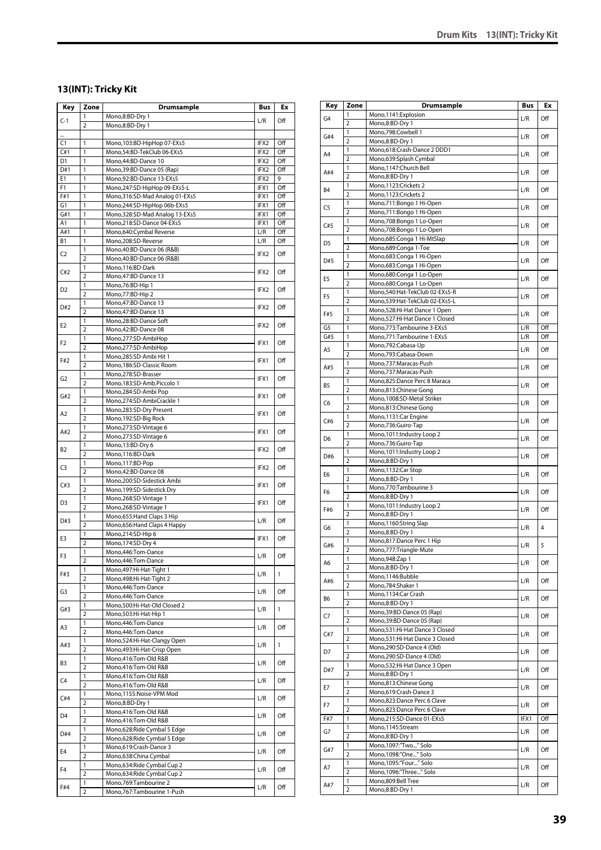# **13(INT): Tricky Kit**

| Key            | Zone                    | Drumsample                                                       | Bus              | Ex         |
|----------------|-------------------------|------------------------------------------------------------------|------------------|------------|
| $C-1$          | 1                       | Mono,8:BD-Dry 1                                                  | L/R              | Off        |
|                | $\overline{2}$          | Mono,8:BD-Dry 1                                                  |                  |            |
| <br>C1         | 1                       | Mono, 103:BD-HipHop 07-EXs5                                      | IFX2             | Off        |
| C#1            | 1                       | Mono,54:BD-TekClub 06-EXs5                                       | IFX2             | Off        |
| D <sub>1</sub> | 1                       | Mono, 44: BD-Dance 10                                            | IFX2             | Off        |
| D#1            | 1                       | Mono, 39: BD-Dance 05 (Rap)                                      | IFX2             | Off        |
| E1             | 1                       | Mono,92:BD-Dance 13-EXs5                                         | IFX2             | 9          |
| F1<br>F#1      | 1<br>1                  | Mono,247:SD-HipHop 09-EXs5-L<br>Mono, 316: SD-Mad Analog 01-EXs5 | IFX1<br>IFX1     | Off<br>Off |
| G1             | 1                       | Mono,244:SD-HipHop 06b-EXs5                                      | IFX1             | Off        |
| G#1            | 1                       | Mono, 328: SD-Mad Analog 13-EXs5                                 | IFX1             | Off        |
| A1             | 1                       | Mono,218:SD-Dance 04-EXs5                                        | IFX1             | Off        |
| A#1            | 1                       | Mono,640:Cymbal Reverse                                          | L/R              | Off        |
| В1             | 1                       | Mono,208:SD-Reverse                                              | L/R              | Off        |
| C2             | 1                       | Mono, 40: BD-Dance 06 (R&B)                                      | IFX2             | Off        |
|                | $\overline{2}$<br>1     | Mono, 40: BD-Dance 06 (R&B)<br>Mono, 116: BD-Dark                |                  |            |
| C#2            | $\overline{2}$          | Mono, 47: BD-Dance 13                                            | IFX2             | Off        |
|                | 1                       | Mono, 76: BD-Hip 1                                               |                  |            |
| D <sub>2</sub> | $\overline{2}$          | Mono,77:BD-Hip 2                                                 | IFX <sub>2</sub> | Off        |
| D#2            | 1                       | Mono, 47: BD-Dance 13                                            | IFX2             | Off        |
|                | $\overline{2}$          | Mono, 47: BD-Dance 13                                            |                  |            |
| E2             | 1<br>$\overline{2}$     | Mono,28:BD-Dance Soft<br>Mono, 42: BD-Dance 08                   | IFX2             | Off        |
|                | 1                       | Mono,277:SD-AmbiHop                                              |                  |            |
| F <sub>2</sub> | $\overline{2}$          | Mono,277:SD-AmbiHop                                              | IFX1             | Off        |
| F#2            | 1                       | Mono,285:SD-Ambi Hit 1                                           |                  | Off        |
|                | $\overline{2}$          | Mono, 186: SD-Classic Room                                       | IFX1             |            |
| G <sub>2</sub> | 1                       | Mono,278:SD-Brasser                                              | IFX1             | Off        |
|                | $\overline{2}$          | Mono,183:SD-Amb.Piccolo 1                                        |                  |            |
| G#2            | 1<br>$\overline{2}$     | Mono,284:SD-Ambi Pop<br>Mono,274:SD-AmbiCrackle 1                | IFX1             | Off        |
|                | 1                       | Mono,283:SD-Dry Present                                          |                  |            |
| A <sub>2</sub> | $\overline{2}$          | Mono, 192: SD-Big Rock                                           | IFX1             | Off        |
| A#2            | 1                       | Mono,273:SD-Vintage 6                                            | IFX1             | Off        |
|                | $\overline{2}$          | Mono,273:SD-Vintage 6                                            |                  |            |
| B2             | 1                       | Mono, 13:BD-Dry 6                                                | IFX2             | Off        |
|                | $\overline{2}$<br>1     | Mono, 116: BD-Dark<br>Mono,117:BD-Pop                            |                  |            |
| C <sub>3</sub> | $\overline{2}$          | Mono, 42: BD-Dance 08                                            | IFX2             | Off        |
|                | 1                       | Mono,200:SD-Sidestick Ambi                                       |                  |            |
| C#3            | $\overline{2}$          | Mono, 199: SD-Sidestick Dry                                      | IFX1             | Off        |
| D3             | 1                       | Mono,268:SD-Vintage 1                                            | IFX1             | Off        |
|                | $\overline{2}$          | Mono,268:SD-Vintage 1                                            |                  |            |
| D#3            | 1<br>$\overline{2}$     | Mono, 655: Hand Claps 3 Hip<br>Mono, 656: Hand Claps 4 Happy     | L/R              | Off        |
|                | 1                       | Mono,214:SD-Hip 6                                                |                  |            |
| E3             | $\overline{2}$          | Mono, 174:SD-Dry 4                                               | IFX1             | Off        |
| F3             | 1                       | Mono, 446: Tom-Dance                                             | L/R              | Off        |
|                | 2                       | Mono, 446: Tom-Dance                                             |                  |            |
| F#3            | 1                       | Mono, 497: Hi-Hat-Tight 1                                        | L/R              | 1          |
|                | $\overline{2}$<br>1     | Mono, 498: Hi-Hat-Tight 2<br>Mono, 446: Tom-Dance                |                  |            |
| G3             | $\overline{2}$          | Mono, 446: Tom-Dance                                             | L/R              | Off        |
|                | 1                       | Mono,500:Hi-Hat-Old Closed 2                                     |                  |            |
| G#3            | $\overline{2}$          | Mono,503:Hi-Hat-Hip 1                                            | L/R              | 1          |
| A3             | 1                       | Mono, 446: Tom-Dance                                             | L/R              | Off        |
|                | $\overline{2}$          | Mono, 446: Tom-Dance                                             |                  |            |
| A#3            | 1<br>$\overline{2}$     | Mono,524:Hi-Hat-Clangy Open<br>Mono, 493: Hi-Hat-Crisp Open      | L/R              | 1          |
|                | 1                       | Mono,416:Tom-Old R&B                                             |                  |            |
| B3             | $\overline{\mathbf{2}}$ | Mono,416:Tom-Old R&B                                             | L/R              | Off        |
| C4             | 1                       | Mono,416:Tom-Old R&B                                             | L/R              | Off        |
|                | $\overline{2}$          | Mono,416:Tom-Old R&B                                             |                  |            |
| C#4            | 1                       | Mono,1155:Noise-VPM Mod                                          | L/R              | Off        |
|                | $\overline{2}$<br>1     | Mono,8:BD-Dry 1<br>Mono,416:Tom-Old R&B                          |                  |            |
| D4             | $\overline{2}$          | Mono,416:Tom-Old R&B                                             | L/R              | Off        |
|                | 1                       | Mono,628:Ride Cymbal 5 Edge                                      |                  |            |
| D#4            | $\overline{2}$          | Mono,628: Ride Cymbal 5 Edge                                     | L/R              | Off        |
| E4             | 1                       | Mono,619:Crash-Dance 3                                           | L/R              | Off        |
|                | $\overline{2}$          | Mono,638:China Cymbal                                            |                  |            |
| F4             | 1                       | Mono,634: Ride Cymbal Cup 2                                      | L/R              | Off        |
|                | $\overline{2}$          | Mono,634: Ride Cymbal Cup 2                                      |                  |            |
| F#4            | 1<br>2                  | Mono, 769: Tambourine 2<br>Mono,767:Tambourine 1-Push            | L/R              | Off        |
|                |                         |                                                                  |                  |            |

| Key            | Zone                    | Drumsample                                               | Bus        | Еx         |
|----------------|-------------------------|----------------------------------------------------------|------------|------------|
| G4             | 1                       | Mono,1141:Explosion                                      | L/R        | Off        |
|                | $\overline{2}$          | Mono,8:BD-Dry 1                                          |            |            |
| G#4            | 1                       | Mono,798:Cowbell 1                                       | L/R        | Off        |
|                | 2                       | Mono,8:BD-Dry 1                                          |            |            |
| A4             | 1<br>$\overline{2}$     | Mono,618:Crash-Dance 2 DDD1<br>Mono,639:Splash Cymbal    | L/R        | Off        |
|                | 1                       | Mono,1147:Church Bell                                    |            |            |
| A#4            | 2                       | Mono,8:BD-Dry 1                                          | L/R        | Off        |
|                | 1                       | Mono,1123:Crickets 2                                     |            |            |
| B <sub>4</sub> | $\overline{2}$          | Mono,1123:Crickets 2                                     | L/R        | Off        |
| C5             | 1                       | Mono,711:Bongo 1 Hi-Open                                 | L/R        | Off        |
|                | $\overline{2}$          | Mono,711:Bongo 1 Hi-Open                                 |            |            |
| C#5            | 1                       | Mono,708:Bongo 1 Lo-Open                                 | L/R        | Off        |
|                | $\overline{2}$<br>1     | Mono,708:Bongo 1 Lo-Open                                 |            |            |
| D5             | $\overline{2}$          | Mono,685:Conga 1 Hi-MtSlap<br>Mono,689:Conga 1-Toe       | L/R        | Off        |
|                | 1                       | Mono,683:Conga 1 Hi-Open                                 |            |            |
| D#5            | $\overline{2}$          | Mono,683:Conga 1 Hi-Open                                 | L/R        | Off        |
|                | 1                       | Mono,680:Conga 1 Lo-Open                                 |            |            |
| E5             | 2                       | Mono,680:Conga 1 Lo-Open                                 | L/R        | Off        |
| F5             | 1                       | Mono,540:Hat-TekClub 02-EXs5-R                           | L/R        | Off        |
|                | 2                       | Mono,539:Hat-TekClub 02-EXs5-L                           |            |            |
| F#5            | 1                       | Mono,528:Hi-Hat Dance 1 Open                             | L/R        | Off        |
|                | $\overline{2}$<br>1     | Mono,527:Hi-Hat Dance 1 Closed                           |            |            |
| G5<br>G#5      | 1                       | Mono,773:Tambourine 3-EXs5<br>Mono,771:Tambourine 1-EXs5 | L/R<br>L/R | Off<br>Off |
|                | 1                       | Mono,792:Cabasa-Up                                       |            |            |
| A5             | 2                       | Mono,793:Cabasa-Down                                     | L/R        | Off        |
|                | 1                       | Mono,737:Maracas-Push                                    |            |            |
| A#5            | $\overline{2}$          | Mono,737:Maracas-Push                                    | L/R        | Off        |
| B5             | 1                       | Mono,825:Dance Perc 8 Maraca                             | L/R        | Off        |
|                | $\overline{2}$          | Mono,813:Chinese Gong                                    |            |            |
| C6             | 1                       | Mono,1008:SD-Metal Striker                               | L/R        | Off        |
|                | $\overline{2}$          | Mono,813:Chinese Gong                                    |            |            |
| C#6            | 1<br>$\overline{2}$     | Mono,1131:Car Engine<br>Mono,736:Guiro-Tap               | L/R        | Off        |
|                | 1                       | Mono, 1011: Industry Loop 2                              |            |            |
| D <sub>6</sub> | 2                       | Mono,736:Guiro-Tap                                       | L/R        | Off        |
|                | 1                       | Mono, 1011: Industry Loop 2                              |            |            |
| D#6            | $\overline{2}$          | Mono,8:BD-Dry 1                                          | L/R        | Off        |
| E6             | 1                       | Mono,1132:Car Stop                                       | L/R        | Off        |
|                | 2                       | Mono,8:BD-Dry 1                                          |            |            |
| F6             | 1                       | Mono,770:Tambourine 3                                    | L/R        | Off        |
|                | $\overline{2}$<br>1     | Mono,8:BD-Dry 1<br>Mono, 1011: Industry Loop 2           |            |            |
| F#6            | $\overline{2}$          | Mono,8:BD-Dry 1                                          | L/R        | Off        |
|                | 1                       | Mono,1160:String Slap                                    |            |            |
| G6             | $\overline{2}$          | Mono,8:BD-Dry 1                                          | L/R        | 4          |
| G#6            | 1                       | Mono,817:Dance Perc 1 Hip                                | L/R        | 5          |
|                | $\overline{\mathbf{c}}$ | Mono,777:Triangle-Mute                                   |            |            |
| A6             | 1                       | Mono, 948: Zap 1                                         | L/R        | Off        |
|                | $\overline{2}$          | Mono,8:BD-Dry 1                                          |            |            |
| A#6            | 1<br>2                  | Mono,1146:Bubble                                         | L/R        | Off        |
|                | 1                       | Mono,784:Shaker 1<br>Mono, 1134: Car Crash               |            |            |
| B6             | $\overline{2}$          | Mono,8:BD-Dry 1                                          | L/R        | Off        |
|                | 1                       | Mono, 39: BD-Dance 05 (Rap)                              |            |            |
| C7             | 2                       | Mono, 39: BD-Dance 05 (Rap)                              | L/R        | Off        |
| C#7            | 1                       | Mono,531:Hi-Hat Dance 3 Closed                           | L/R        | Off        |
|                | $\overline{2}$          | Mono,531:Hi-Hat Dance 3 Closed                           |            |            |
| D7             | 1                       | Mono,290:SD-Dance 4 (Old)                                | L/R        | Off        |
|                | $\overline{2}$          | Mono,290:SD-Dance 4 (Old)                                |            |            |
| D#7            | 1                       | Mono,532:Hi-Hat Dance 3 Open                             | L/R        | Off        |
|                | $\overline{2}$<br>1     | Mono,8:BD-Dry 1<br>Mono,813:Chinese Gong                 |            |            |
| E7             | $\overline{2}$          | Mono,619:Crash-Dance 3                                   | L/R        | Off        |
|                | 1                       | Mono,823:Dance Perc 6 Clave                              |            |            |
| F7             | $\overline{\mathbf{c}}$ | Mono,823:Dance Perc 6 Clave                              | L/R        | Off        |
| F#7            | 1                       | Mono,215:SD-Dance 01-EXs5                                | IFX1       | Off        |
| G7             | 1                       | Mono,1145:Stream                                         | L/R        | Off        |
|                | $\overline{2}$          | Mono,8:BD-Dry 1                                          |            |            |
| G#7            | 1                       | Mono,1097:"Two" Solo                                     | L/R        | Off        |
|                | $\overline{2}$<br>1     | Mono,1098:"One" Solo<br>Mono,1095:"Four" Solo            |            |            |
| A7             | $\overline{2}$          | Mono,1096:"Three" Solo                                   | L/R        | Off        |
|                | 1                       | Mono,809:Bell Tree                                       |            |            |
| A#7            | $\overline{\mathbf{c}}$ | Mono,8:BD-Dry 1                                          | L/R        | Off        |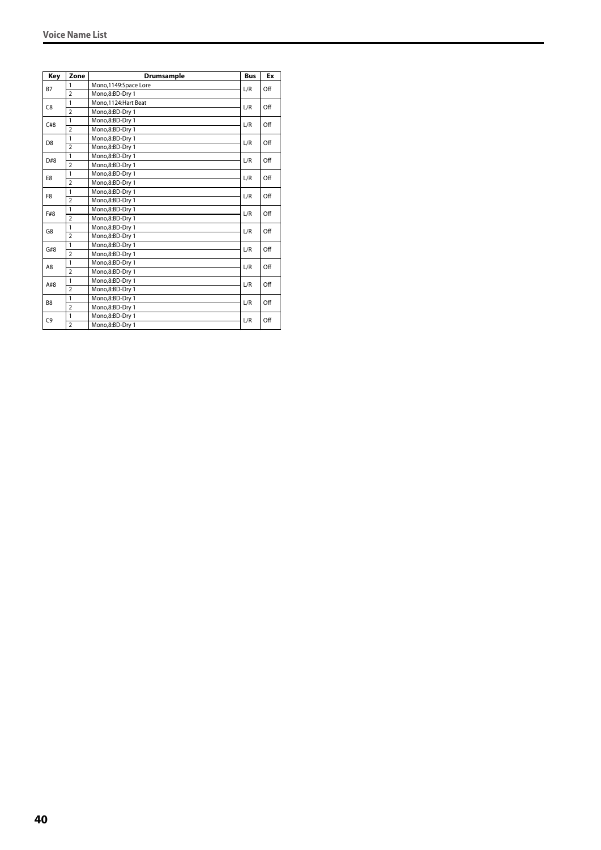| Key            | Zone           | <b>Drumsample</b>    | <b>Bus</b> | Ex  |
|----------------|----------------|----------------------|------------|-----|
| <b>B7</b>      | 1              | Mono,1149:Space Lore | L/R        | Off |
|                | $\overline{2}$ | Mono,8:BD-Dry 1      |            |     |
| C8             | $\mathbf{1}$   | Mono.1124: Hart Beat | L/R        | Off |
|                | $\overline{2}$ | Mono,8:BD-Dry 1      |            |     |
| C#8            | $\mathbf{1}$   | Mono,8:BD-Dry 1      | L/R        | Off |
|                | $\overline{2}$ | Mono,8:BD-Dry 1      |            |     |
| D <sub>8</sub> | $\mathbf{1}$   | Mono,8:BD-Dry 1      | L/R        | Off |
|                | $\overline{2}$ | Mono,8:BD-Dry 1      |            |     |
| D#8            | $\mathbf{1}$   | Mono,8:BD-Dry 1      | L/R        | Off |
|                | $\overline{2}$ | Mono,8:BD-Dry 1      |            |     |
| E8             | 1              | Mono,8:BD-Dry 1      | L/R        | Off |
|                | $\overline{2}$ | Mono,8:BD-Dry 1      |            |     |
| F8             | 1              | Mono,8:BD-Dry 1      | L/R        | Off |
|                | $\overline{2}$ | Mono,8:BD-Dry 1      |            |     |
| F#8            | $\mathbf{1}$   | Mono,8:BD-Dry 1      | L/R        | Off |
|                | $\overline{2}$ | Mono,8:BD-Dry 1      |            |     |
| G8             | $\mathbf{1}$   | Mono,8:BD-Dry 1      | L/R        | Off |
|                | $\overline{2}$ | Mono.8:BD-Drv 1      |            |     |
| G#8            | $\mathbf{1}$   | Mono,8:BD-Dry 1      | L/R        | Off |
|                | $\overline{2}$ | Mono.8:BD-Drv 1      |            |     |
| A8             | $\mathbf{1}$   | Mono.8:BD-Drv 1      | L/R        | Off |
|                | $\overline{2}$ | Mono,8:BD-Dry 1      |            |     |
| A#8            | $\mathbf{1}$   | Mono,8:BD-Dry 1      | L/R        | Off |
|                | $\overline{2}$ | Mono,8:BD-Dry 1      |            |     |
| B <sub>8</sub> | $\mathbf{1}$   | Mono,8:BD-Dry 1      | L/R        | Off |
|                | $\overline{2}$ | Mono,8:BD-Dry 1      |            |     |
| C <sub>9</sub> | $\mathbf{1}$   | Mono,8:BD-Dry 1      | L/R        | Off |
|                | $\overline{2}$ | Mono,8:BD-Dry 1      |            |     |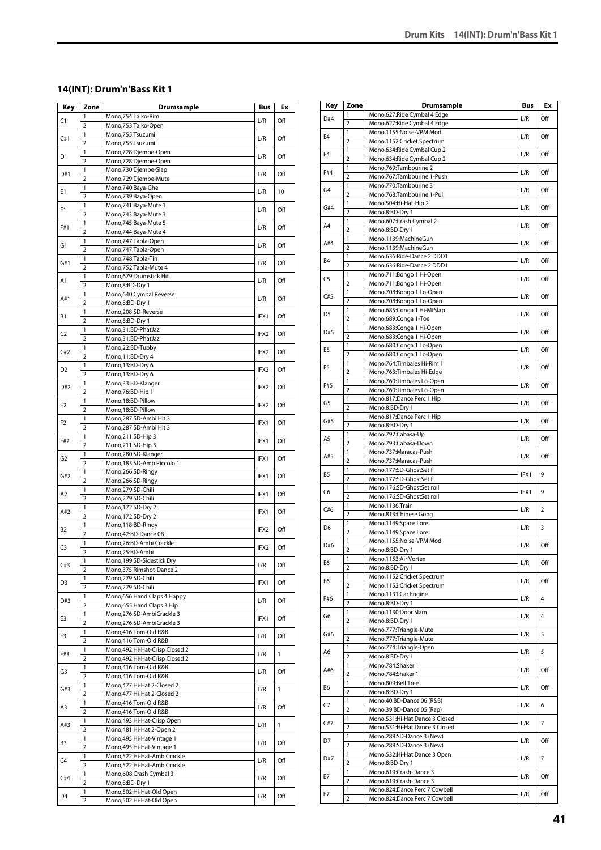#### **14(INT): Drum'n'Bass Kit 1**

| Key            | Zone                | <b>Drumsample</b>                                          | <b>Bus</b> | Ex  |
|----------------|---------------------|------------------------------------------------------------|------------|-----|
| C1             | 1                   | Mono,754:Taiko-Rim                                         | L/R        | Off |
|                | $\overline{2}$      | Mono,753:Taiko-Open                                        |            |     |
| C#1            | 1<br>$\overline{2}$ | Mono,755:Tsuzumi<br>Mono,755:Tsuzumi                       | L/R        | Off |
|                | 1                   | Mono,728:Djembe-Open                                       |            |     |
| D1             | $\overline{2}$      | Mono,728:Djembe-Open                                       | L/R        | Off |
| D#1            | 1                   | Mono,730:Djembe-Slap                                       | L/R        | Off |
|                | $\overline{2}$      | Mono,729:Djembe-Mute                                       |            |     |
| Ε1             | 1                   | Mono,740:Baya-Ghe                                          | L/R        | 10  |
|                | $\overline{2}$<br>1 | Mono,739:Baya-Open<br>Mono, 741: Baya-Mute 1               |            |     |
| F1             | $\overline{2}$      | Mono, 743: Baya-Mute 3                                     | L/R        | Off |
|                | 1                   | Mono, 745: Baya-Mute 5                                     |            |     |
| F#1            | $\overline{2}$      | Mono, 744: Baya-Mute 4                                     | L/R        | Off |
| G1             | $\mathbf{1}$        | Mono, 747: Tabla-Open                                      | L/R        | Off |
|                | $\overline{2}$      | Mono, 747: Tabla-Open                                      |            |     |
| G#1            | 1<br>$\overline{2}$ | Mono,748:Tabla-Tin<br>Mono, 752: Tabla-Mute 4              | L/R        | Off |
|                | 1                   | Mono,679:Drumstick Hit                                     |            |     |
| A1             | $\overline{2}$      | Mono,8:BD-Dry 1                                            | L/R        | Off |
| A#1            | 1                   | Mono,640:Cymbal Reverse                                    | L/R        | Off |
|                | $\overline{2}$      | Mono,8:BD-Dry 1                                            |            |     |
| В1             | 1                   | Mono,208:SD-Reverse                                        | IFX1       | Off |
|                | $\overline{2}$<br>1 | Mono,8:BD-Dry 1<br>Mono,31:BD-PhatJaz                      |            |     |
| C <sub>2</sub> | $\overline{2}$      | Mono,31:BD-PhatJaz                                         | IFX2       | Off |
|                | $\mathbf{1}$        | Mono,22:BD-Tubby                                           |            |     |
| C#2            | $\overline{2}$      | Mono, 11:BD-Dry 4                                          | IFX2       | Off |
| D2             | $\mathbf{1}$        | Mono, 13:BD-Dry 6                                          | IFX2       | Off |
|                | $\overline{2}$      | Mono, 13:BD-Dry 6                                          |            |     |
| D#2            | 1                   | Mono, 33: BD-Klanger                                       | IFX2       | Off |
|                | $\overline{2}$<br>1 | Mono, 76: BD-Hip 1                                         |            |     |
| E2             | $\overline{2}$      | Mono, 18:BD-Pillow<br>Mono, 18:BD-Pillow                   | IFX2       | Off |
|                | $\mathbf{1}$        | Mono,287:SD-Ambi Hit 3                                     |            |     |
| F <sub>2</sub> | $\overline{2}$      | Mono,287:SD-Ambi Hit 3                                     | IFX1       | Off |
| F#2            | 1                   | Mono,211:SD-Hip 3                                          | IFX1       | Off |
|                | $\overline{2}$      | Mono, 211: SD-Hip 3                                        |            |     |
| G2             | 1                   | Mono,280:SD-Klanger                                        | IFX1       | Off |
|                | $\overline{2}$      | Mono,183:SD-Amb.Piccolo 1                                  |            |     |
| G#2            | 1<br>$\overline{2}$ | Mono,266:SD-Ringy<br>Mono,266:SD-Ringy                     | IFX1       | Off |
|                | 1                   | Mono,279:SD-Chili                                          |            |     |
| A <sub>2</sub> | $\overline{2}$      | Mono,279:SD-Chili                                          | IFX1       | Off |
| A#2            | 1                   | Mono, 172:SD-Dry 2                                         | IFX1       | Off |
|                | $\overline{2}$      | Mono, 172:SD-Dry 2                                         |            |     |
| B2             | 1                   | Mono, 118: BD-Ringy                                        | IFX2       | Off |
|                | $\overline{2}$<br>1 | Mono,42:BD-Dance 08<br>Mono,26:BD-Ambi Crackle             |            |     |
| C3             | $\overline{2}$      | Mono,25:BD-Ambi                                            | IFX2       | Off |
|                | 1                   | Mono, 199: SD-Sidestick Dry                                |            |     |
| C#3            | $\overline{2}$      | Mono, 375: Rimshot-Dance 2                                 | L/R        | Off |
| D3             | 1                   | Mono,279:SD-Chili                                          | IFX1       | Off |
|                | $\overline{2}$      | Mono,279:SD-Chili                                          |            |     |
| D#3            | 1                   | Mono, 656: Hand Claps 4 Happy                              | L/R        | Off |
|                | $\overline{2}$<br>1 | Mono, 655: Hand Claps 3 Hip<br>Mono,276:SD-AmbiCrackle 3   |            |     |
| E3             | $\overline{2}$      | Mono,276:SD-AmbiCrackle 3                                  | IFX1       | Off |
|                | 1                   | Mono,416:Tom-Old R&B                                       |            |     |
| F3             | $\overline{2}$      | Mono,416:Tom-Old R&B                                       | L/R        | Off |
| F#3            | 1                   | Mono, 492: Hi-Hat-Crisp Closed 2                           | L/R        | 1   |
|                | $\overline{2}$      | Mono, 492: Hi-Hat-Crisp Closed 2                           |            |     |
| G3             | 1                   | Mono,416:Tom-Old R&B                                       | L/R        | Off |
|                | $\overline{2}$<br>1 | Mono,416:Tom-Old R&B<br>Mono, 477: Hi-Hat 2-Closed 2       |            |     |
| G#3            | $\overline{2}$      | Mono, 477: Hi-Hat 2-Closed 2                               | L/R        | 1   |
|                | 1                   | Mono,416:Tom-Old R&B                                       |            |     |
| A3             | $\overline{2}$      | Mono,416:Tom-Old R&B                                       | L/R        | Off |
| A#3            | 1                   | Mono, 493: Hi-Hat-Crisp Open                               | L/R        | 1   |
|                | $\overline{2}$      | Mono, 481: Hi-Hat 2-Open 2                                 |            |     |
| B3             | 1                   | Mono, 495: Hi-Hat-Vintage 1                                | L/R        | Off |
|                | $\overline{2}$<br>1 | Mono, 495: Hi-Hat-Vintage 1<br>Mono,522:Hi-Hat-Amb Crackle |            |     |
| C4             | $\overline{2}$      | Mono,522:Hi-Hat-Amb Crackle                                | L/R        | Off |
|                | 1                   | Mono,608:Crash Cymbal 3                                    |            |     |
| C#4            | $\overline{2}$      | Mono,8:BD-Dry 1                                            | L/R        | Off |
| D4             | 1                   | Mono,502:Hi-Hat-Old Open                                   | L/R        | Off |
|                | $\overline{2}$      | Mono,502:Hi-Hat-Old Open                                   |            |     |

| Key            | Zone                    | Drumsample                                             | Bus  | Ex             |
|----------------|-------------------------|--------------------------------------------------------|------|----------------|
| D#4            | 1                       | Mono,627:Ride Cymbal 4 Edge                            | L/R  | Off            |
|                | 2                       | Mono,627:Ride Cymbal 4 Edge                            |      |                |
| E <sub>4</sub> | 1                       | Mono,1155:Noise-VPM Mod                                | L/R  | Off            |
|                | 2                       | Mono,1152:Cricket Spectrum                             |      |                |
| F <sub>4</sub> | 1<br>$\overline{2}$     | Mono,634: Ride Cymbal Cup 2                            | L/R  | Off            |
|                | $\mathbf{1}$            | Mono,634: Ride Cymbal Cup 2<br>Mono,769:Tambourine 2   |      |                |
| F#4            | $\overline{2}$          | Mono,767:Tambourine 1-Push                             | L/R  | Off            |
|                | 1                       | Mono,770:Tambourine 3                                  |      |                |
| G <sub>4</sub> | 2                       | Mono,768:Tambourine 1-Pull                             | L/R  | Off            |
| G#4            | 1                       | Mono,504:Hi-Hat-Hip 2                                  | L/R  | Off            |
|                | $\overline{2}$          | Mono,8:BD-Dry 1                                        |      |                |
| A4             | 1                       | Mono, 607: Crash Cymbal 2                              | L/R  | Off            |
|                | 2                       | Mono,8:BD-Dry 1                                        |      |                |
| A#4            | 1                       | Mono,1139:MachineGun                                   | L/R  | Off            |
|                | $\overline{2}$          | Mono,1139:MachineGun                                   |      |                |
| B4             | 1<br>2                  | Mono,636:Ride-Dance 2 DDD1                             | L/R  | Off            |
|                | 1                       | Mono,636:Ride-Dance 2 DDD1<br>Mono,711:Bongo 1 Hi-Open |      |                |
| C5             | $\overline{2}$          | Mono,711:Bongo 1 Hi-Open                               | L/R  | Off            |
|                | 1                       | Mono,708:Bongo 1 Lo-Open                               |      |                |
| C#5            | $\overline{2}$          | Mono,708:Bongo 1 Lo-Open                               | L/R  | Off            |
|                | 1                       | Mono,685:Conga 1 Hi-MtSlap                             |      |                |
| D5             | $\overline{2}$          | Mono,689:Conga 1-Toe                                   | L/R  | Off            |
|                | 1                       | Mono,683:Conga 1 Hi-Open                               |      |                |
| D#5            | 2                       | Mono,683:Conga 1 Hi-Open                               | L/R  | Off            |
| E5             | 1                       | Mono,680:Conga 1 Lo-Open                               | L/R  | Off            |
|                | 2                       | Mono,680:Conga 1 Lo-Open                               |      |                |
| F5             | 1                       | Mono, 764: Timbales Hi-Rim 1                           | L/R  | Off            |
|                | $\overline{2}$          | Mono,763:Timbales Hi-Edge                              |      |                |
| F#5            | 1                       | Mono,760:Timbales Lo-Open                              | L/R  | Off            |
|                | 2                       | Mono,760:Timbales Lo-Open                              |      |                |
| G5             | 1<br>2                  | Mono,817:Dance Perc 1 Hip                              | L/R  | Off            |
|                | 1                       | Mono,8:BD-Dry 1<br>Mono,817:Dance Perc 1 Hip           |      |                |
| G#5            | $\overline{2}$          | Mono,8:BD-Dry 1                                        | L/R  | Off            |
|                | 1                       | Mono,792:Cabasa-Up                                     |      |                |
| A5             | $\overline{2}$          | Mono,793:Cabasa-Down                                   | L/R  | Off            |
|                | 1                       | Mono,737:Maracas-Push                                  |      |                |
| A#5            | 2                       | Mono,737:Maracas-Push                                  | L/R  | Off            |
|                | 1                       | Mono,177:SD-GhostSet f                                 |      |                |
| B5             | $\overline{2}$          | Mono,177:SD-GhostSet f                                 | IFX1 | 9              |
| C6             | 1                       | Mono,176:SD-GhostSet roll                              | IFX1 | 9              |
|                | $\overline{2}$          | Mono,176:SD-GhostSet roll                              |      |                |
| C#6            | 1                       | Mono,1136:Train                                        | L/R  | $\overline{2}$ |
|                | $\overline{2}$          | Mono,813:Chinese Gong                                  |      |                |
| D6             | 1                       | Mono, 1149: Space Lore                                 | L/R  | 3              |
|                | $\overline{2}$          | Mono,1149:Space Lore                                   |      |                |
| D#6            | 1<br>$\overline{2}$     | Mono,1155:Noise-VPM Mod<br>Mono.8:BD-Drv 1             | L/R  | Off            |
|                | 1                       | Mono, 1153: Air Vortex                                 |      |                |
| E6             | $\overline{2}$          | Mono,8:BD-Dry 1                                        | L/R  | Off            |
|                | 1                       | Mono,1152:Cricket Spectrum                             |      |                |
| F6             | $\overline{2}$          | Mono,1152:Cricket Spectrum                             | L/R  | Off            |
|                | 1                       | Mono, 1131: Car Engine                                 |      | $\overline{4}$ |
| F#6            | $\overline{2}$          | Mono,8:BD-Dry 1                                        | L/R  |                |
| G6             | 1                       | Mono,1130:Door Slam                                    | L/R  | 4              |
|                | $\overline{\mathbf{c}}$ | Mono,8:BD-Dry 1                                        |      |                |
| G#6            | 1                       | Mono,777:Triangle-Mute                                 | L/R  | 5              |
|                | $\overline{2}$          | Mono,777:Triangle-Mute                                 |      |                |
| A6             | 1                       | Mono,774:Triangle-Open                                 | L/R  | 5              |
|                | $\overline{2}$          | Mono,8:BD-Dry 1                                        |      |                |
| A#6            | 1<br>2                  | Mono,784:Shaker 1<br>Mono,784:Shaker 1                 | L/R  | Off            |
|                | 1                       | Mono,809:Bell Tree                                     |      |                |
| B6             | $\overline{2}$          | Mono,8:BD-Dry 1                                        | L/R  | Off            |
|                | $\mathbf{1}$            | Mono,40:BD-Dance 06 (R&B)                              |      |                |
| C7             | $\overline{2}$          | Mono, 39: BD-Dance 05 (Rap)                            | L/R  | 6              |
|                | 1                       | Mono,531:Hi-Hat Dance 3 Closed                         |      |                |
| C#7            | $\overline{2}$          | Mono,531:Hi-Hat Dance 3 Closed                         | L/R  | $\overline{7}$ |
|                | 1                       | Mono,289:SD-Dance 3 (New)                              |      |                |
| D7             | $\overline{\mathbf{c}}$ | Mono,289:SD-Dance 3 (New)                              | L/R  | Off            |
|                | 1                       | Mono,532:Hi-Hat Dance 3 Open                           |      | 7              |
| D#7            | 2                       | Mono,8:BD-Dry 1                                        | L/R  |                |
|                | 1                       | Mono,619:Crash-Dance 3                                 | L/R  | Off            |
| Е7             | $\overline{2}$          | Mono,619:Crash-Dance 3                                 |      |                |
| F7             | 1                       | Mono,824:Dance Perc 7 Cowbell                          | L/R  | Off            |
|                | $\overline{2}$          | Mono,824:Dance Perc 7 Cowbell                          |      |                |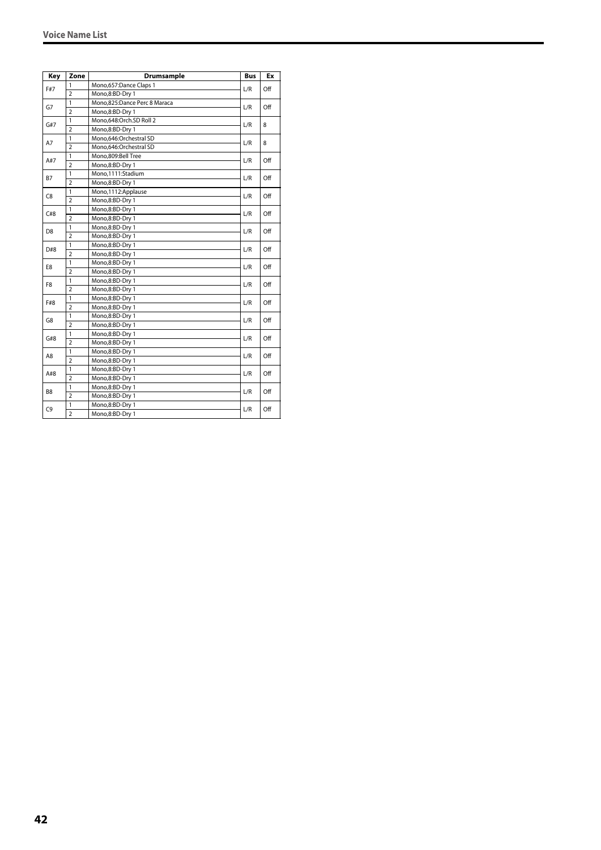| Key            | Zone           | <b>Drumsample</b>            | <b>Bus</b> | Ex  |
|----------------|----------------|------------------------------|------------|-----|
|                | 1              | Mono,657:Dance Claps 1       |            |     |
| F#7            | $\overline{2}$ | Mono,8:BD-Dry 1              | L/R        | Off |
| G7             | 1              | Mono,825:Dance Perc 8 Maraca | L/R        |     |
|                | $\overline{2}$ | Mono,8:BD-Dry 1              |            | Off |
|                | 1              | Mono,648:Orch.SD Roll 2      |            | 8   |
| G#7            | $\overline{2}$ | Mono,8:BD-Dry 1              | L/R        |     |
|                | 1              | Mono,646:Orchestral SD       | L/R        | 8   |
| A7             | $\overline{2}$ | Mono,646:Orchestral SD       |            |     |
|                | $\mathbf{1}$   | Mono,809:Bell Tree           | L/R        | Off |
| A#7            | $\overline{2}$ | Mono,8:BD-Dry 1              |            |     |
|                | 1              | Mono,1111:Stadium            |            | Off |
| <b>B7</b>      | $\overline{2}$ | Mono,8:BD-Dry 1              | L/R        |     |
| C8             | 1              | Mono,1112:Applause           |            |     |
|                | $\overline{2}$ | Mono,8:BD-Dry 1              | L/R        | Off |
| C#8            | $\mathbf{1}$   | Mono,8:BD-Dry 1              |            |     |
|                | $\overline{2}$ | Mono,8:BD-Dry 1              | L/R        | Off |
| D <sub>8</sub> | $\mathbf{1}$   | Mono,8:BD-Dry 1              | L/R        | Off |
|                | $\overline{2}$ | Mono,8:BD-Dry 1              |            |     |
| D#8            | $\mathbf{1}$   | Mono,8:BD-Dry 1              | L/R        | Off |
|                | $\overline{2}$ | Mono,8:BD-Dry 1              |            |     |
|                | 1              | Mono,8:BD-Dry 1              | L/R        | Off |
| E8             | $\overline{2}$ | Mono,8:BD-Dry 1              |            |     |
|                | $\mathbf{1}$   | Mono,8:BD-Dry 1              |            | Off |
| F <sub>8</sub> | $\overline{2}$ | Mono,8:BD-Dry 1              | L/R        |     |
|                | 1              | Mono,8:BD-Dry 1              |            |     |
| F#8            | $\overline{2}$ | Mono,8:BD-Dry 1              | L/R        | Off |
|                | $\mathbf{1}$   | Mono,8:BD-Dry 1              |            |     |
| G8             | $\overline{2}$ | Mono,8:BD-Dry 1              | L/R        | Off |
|                | 1              | Mono,8:BD-Dry 1              |            |     |
| G#8            | $\overline{2}$ | Mono,8:BD-Dry 1              | L/R        | Off |
|                | 1              | Mono,8:BD-Dry 1              |            |     |
| A8             | $\overline{2}$ | Mono,8:BD-Dry 1              | L/R        | Off |
|                | 1              | Mono,8:BD-Dry 1              |            |     |
| A#8            | $\overline{2}$ | Mono,8:BD-Dry 1              | L/R        | Off |
|                | 1              | Mono,8:BD-Dry 1              |            |     |
| B <sub>8</sub> | $\overline{2}$ | Mono,8:BD-Dry 1              | L/R        | Off |
|                | 1              | Mono,8:BD-Dry 1              |            |     |
| C9             | $\overline{2}$ | Mono,8:BD-Dry 1              | L/R        | Off |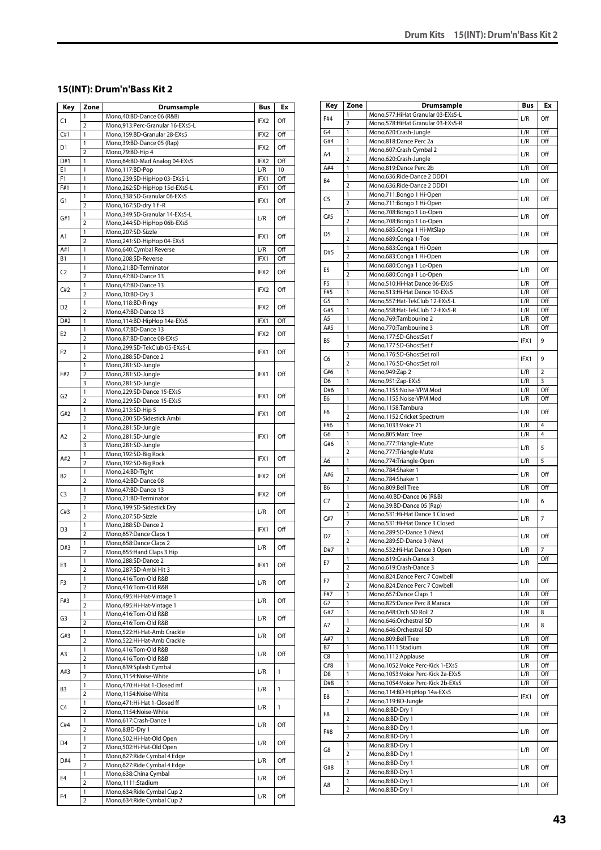#### **15(INT): Drum'n'Bass Kit 2**

| Key            | Zone                           | <b>Drumsample</b>                                           | Bus              | Ex           |
|----------------|--------------------------------|-------------------------------------------------------------|------------------|--------------|
| C1             | 1                              | Mono, 40: BD-Dance 06 (R&B)                                 | IFX2             | Off          |
| C#1            | $\overline{2}$<br>$\mathbf{1}$ | Mono,913:Perc-Granular 16-EXs5-L                            |                  |              |
|                | 1                              | Mono,159:BD-Granular 28-EXs5<br>Mono, 39: BD-Dance 05 (Rap) | IFX2             | Off          |
| D1             | $\overline{2}$                 | Mono, 79: BD-Hip 4                                          | IFX2             | Off          |
| D#1            | 1                              | Mono,64:BD-Mad Analog 04-EXs5                               | IFX2             | Off          |
| E1             | 1                              | Mono, 117: BD-Pop                                           | L/R              | 10           |
| F <sub>1</sub> | $\mathbf{1}$                   | Mono,239:SD-HipHop 03-EXs5-L                                | IFX1             | Off          |
| F#1            | 1<br>1                         | Mono,262:SD-HipHop 15d-EXs5-L                               | IFX1             | Off          |
| G1             | $\overline{2}$                 | Mono,338:SD-Granular 06-EXs5<br>Mono, 167: SD-dry 1 f-R     | IFX1             | Off          |
|                | 1                              | Mono, 349: SD-Granular 14-EXs5-L                            |                  |              |
| G#1            | $\overline{2}$                 | Mono,244:SD-HipHop 06b-EXs5                                 | L/R              | Off          |
| A1             | 1                              | Mono,207:SD-Sizzle                                          | IFX1             | Off          |
|                | $\overline{2}$                 | Mono, 241: SD-HipHop 04-EXs5                                |                  |              |
| A#1            | 1                              | Mono,640:Cymbal Reverse                                     | L/R              | Off          |
| В1             | 1<br>1                         | Mono,208:SD-Reverse<br>Mono,21:BD-Terminator                | IFX1             | Off          |
| C <sub>2</sub> | $\overline{2}$                 | Mono, 47: BD-Dance 13                                       | IFX <sub>2</sub> | Off          |
|                | 1                              | Mono, 47: BD-Dance 13                                       |                  |              |
| C#2            | $\overline{2}$                 | Mono, 10:BD-Dry 3                                           | IFX2             | Off          |
| D2             | 1                              | Mono, 118: BD-Ringy                                         | IFX2             | Off          |
|                | $\overline{2}$                 | Mono, 47: BD-Dance 13                                       |                  |              |
| D#2            | 1<br>1                         | Mono, 114: BD-HipHop 14a-EXs5<br>Mono, 47: BD-Dance 13      | IFX1             | Off          |
| E2             | $\overline{2}$                 | Mono,87:BD-Dance 08-EXs5                                    | IFX <sub>2</sub> | Off          |
|                | 1                              | Mono,299:SD-TekClub 05-EXs5-L                               |                  |              |
| F <sub>2</sub> | $\overline{2}$                 | Mono,288:SD-Dance 2                                         | IFX1             | Off          |
|                | 1                              | Mono,281:SD-Jungle                                          |                  |              |
| F#2            | $\overline{2}$                 | Mono,281:SD-Jungle                                          | IFX1             | Off          |
|                | 3<br>1                         | Mono,281:SD-Jungle                                          |                  |              |
| G2             | $\overline{2}$                 | Mono,229:SD-Dance 15-EXs5<br>Mono,229:SD-Dance 15-EXs5      | IFX1             | Off          |
|                | 1                              | Mono, 213: SD-Hip 5                                         |                  |              |
| G#2            | $\overline{2}$                 | Mono,200:SD-Sidestick Ambi                                  | IFX1             | Off          |
|                | $\mathbf{1}$                   | Mono,281:SD-Jungle                                          |                  |              |
| A <sub>2</sub> | $\overline{2}$                 | Mono,281:SD-Jungle                                          | IFX1             | Off          |
|                | 3<br>1                         | Mono,281:SD-Jungle                                          |                  |              |
| A#2            | $\overline{2}$                 | Mono,192:SD-Big Rock<br>Mono, 192: SD-Big Rock              | IFX1             | Off          |
|                | 1                              | Mono,24:BD-Tight                                            |                  |              |
| B2             | $\overline{2}$                 | Mono, 42: BD-Dance 08                                       | IFX <sub>2</sub> | Off          |
| C <sub>3</sub> | 1                              | Mono, 47: BD-Dance 13                                       | IFX2             | Off          |
|                | $\overline{2}$                 | Mono,21:BD-Terminator                                       |                  |              |
| C#3            | 1<br>$\overline{2}$            | Mono, 199: SD-Sidestick Dry<br>Mono,207:SD-Sizzle           | L/R              | Off          |
|                | 1                              | Mono,288:SD-Dance 2                                         |                  |              |
| D3             | $\overline{2}$                 | Mono,657:Dance Claps 1                                      | IFX1             | Off          |
| D#3            | 1                              | Mono,658:Dance Claps 2                                      | L/R              | Off          |
|                | $\overline{2}$                 | Mono, 655: Hand Claps 3 Hip                                 |                  |              |
| E3             | 1                              | Mono,288:SD-Dance 2                                         | IFX1             | Off          |
|                | $\overline{2}$<br>1            | Mono,287:SD-Ambi Hit 3<br>Mono,416:Tom-Old R&B              |                  |              |
| F3             | $\overline{2}$                 | Mono,416:Tom-Old R&B                                        | L/R              | Off          |
|                | 1                              | Mono, 495: Hi-Hat-Vintage 1                                 |                  |              |
| F#3            | 2                              | Mono, 495: Hi-Hat-Vintage 1                                 | L/R              | Off          |
| G3             | 1                              | Mono,416:Tom-Old R&B                                        | L/R              | Off          |
|                | $\overline{2}$                 | Mono,416:Tom-Old R&B                                        |                  |              |
| G#3            | $\mathbf{1}$<br>$\overline{2}$ | Mono,522:Hi-Hat-Amb Crackle<br>Mono,522:Hi-Hat-Amb Crackle  | L/R              | Off          |
|                | 1                              | Mono,416:Tom-Old R&B                                        |                  |              |
| A3             | $\overline{2}$                 | Mono,416:Tom-Old R&B                                        | L/R              | Off          |
| A#3            | 1                              | Mono,639:Splash Cymbal                                      | L/R              | 1            |
|                | $\overline{2}$                 | Mono,1154:Noise-White                                       |                  |              |
| B3             | 1                              | Mono, 470: Hi-Hat 1-Closed mf                               | L/R              | $\mathbf{1}$ |
|                | $\overline{2}$<br>1            | Mono,1154:Noise-White<br>Mono, 471: Hi-Hat 1-Closed ff      |                  |              |
| C4             | 2                              | Mono,1154:Noise-White                                       | L/R              | 1            |
|                | 1                              | Mono,617:Crash-Dance 1                                      |                  |              |
| C#4            | $\overline{2}$                 | Mono,8:BD-Dry 1                                             | L/R              | Off          |
| D4             | 1                              | Mono,502:Hi-Hat-Old Open                                    | L/R              | Off          |
|                | $\overline{2}$                 | Mono,502:Hi-Hat-Old Open                                    |                  |              |
| D#4            | 1                              | Mono, 627: Ride Cymbal 4 Edge                               | L/R              | Off          |
|                | $\overline{2}$<br>1            | Mono,627:Ride Cymbal 4 Edge<br>Mono,638:China Cymbal        |                  |              |
| E4             | $\overline{2}$                 | Mono,1111:Stadium                                           | L/R              | Off          |
|                | 1                              | Mono,634: Ride Cymbal Cup 2                                 |                  |              |
| F <sub>4</sub> | $\overline{2}$                 | Mono,634: Ride Cymbal Cup 2                                 | L/R              | Off          |

| Key            | Zone                | Drumsample                                                | Bus  | Ex  |
|----------------|---------------------|-----------------------------------------------------------|------|-----|
| F#4            | 1                   | Mono,577: Hi Hat Granular 03-EXs5-L                       | L/R  | Off |
|                | 2                   | Mono,578: Hi Hat Granular 03-EXs5-R                       |      |     |
| G4             | 1                   | Mono,620:Crash-Jungle                                     | L/R  | Off |
| G#4            | 1                   | Mono,818:Dance Perc 2a                                    | L/R  | Off |
| A4             | 1                   | Mono,607:Crash Cymbal 2                                   | L/R  | Off |
|                | $\overline{2}$      | Mono,620:Crash-Jungle                                     |      |     |
| A#4            | $\mathbf{1}$<br>1   | Mono,819:Dance Perc 2b                                    | L/R  | Off |
| <b>B4</b>      | $\overline{2}$      | Mono,636:Ride-Dance 2 DDD1<br>Mono,636:Ride-Dance 2 DDD1  | L/R  | Off |
|                | 1                   | Mono,711:Bongo 1 Hi-Open                                  |      |     |
| C <sub>5</sub> | $\overline{2}$      | Mono,711:Bongo 1 Hi-Open                                  | L/R  | Off |
|                | 1                   | Mono,708:Bongo 1 Lo-Open                                  |      |     |
| C#5            | $\overline{2}$      | Mono,708:Bongo 1 Lo-Open                                  | L/R  | Off |
|                | 1                   | Mono,685:Conga 1 Hi-MtSlap                                |      |     |
| D <sub>5</sub> | $\overline{2}$      | Mono,689:Conga 1-Toe                                      | L/R  | Off |
| D#5            | 1                   | Mono,683:Conga 1 Hi-Open                                  | L/R  | Off |
|                | $\overline{2}$      | Mono,683:Conga 1 Hi-Open                                  |      |     |
| E5             | 1                   | Mono,680:Conga 1 Lo-Open                                  | L/R  | Off |
|                | $\overline{2}$      | Mono,680:Conga 1 Lo-Open                                  |      |     |
| F <sub>5</sub> | 1                   | Mono,510:Hi-Hat Dance 06-EXs5                             | L/R  | Off |
| F#5            | 1                   | Mono, 513: Hi-Hat Dance 10-EXs5                           | L/R  | Off |
| G5             | 1                   | Mono,557:Hat-TekClub 12-EXs5-L                            | L/R  | Off |
| G#5            | 1                   | Mono,558:Hat-TekClub 12-EXs5-R                            | L/R  | Off |
| A5             | 1                   | Mono, 769: Tambourine 2                                   | L/R  | Off |
| A#5            | 1                   | Mono,770:Tambourine 3                                     | L/R  | Off |
| B5             | 1<br>$\overline{2}$ | Mono,177:SD-GhostSet f<br>Mono,177:SD-GhostSet f          | IFX1 | 9   |
|                | 1                   | Mono,176:SD-GhostSet roll                                 |      |     |
| C6             | $\overline{2}$      | Mono,176:SD-GhostSet roll                                 | IFX1 | 9   |
| C#6            | 1                   | Mono, 949: Zap 2                                          | L/R  | 2   |
| D <sub>6</sub> | 1                   | Mono,951:Zap-EXs5                                         | L/R  | 3   |
| D#6            | 1                   | Mono,1155:Noise-VPM Mod                                   | L/R  | Off |
| E <sub>6</sub> | 1                   | Mono,1155:Noise-VPM Mod                                   | L/R  | Off |
|                | 1                   | Mono,1158:Tambura                                         |      |     |
| F6             | $\overline{2}$      | Mono,1152:Cricket Spectrum                                | L/R  | Off |
| F#6            | 1                   | Mono, 1033: Voice 21                                      | L/R  | 4   |
| G6             | 1                   | Mono,805:Marc Tree                                        | L/R  | 4   |
| G#6            | 1                   | Mono,777:Triangle-Mute                                    |      | 5   |
|                | $\overline{2}$      | Mono,777:Triangle-Mute                                    | L/R  |     |
| A6             | 1                   | Mono,774:Triangle-Open                                    | L/R  | 5   |
| A#6            | 1                   | Mono,784:Shaker 1                                         | L/R  | Off |
|                | $\overline{2}$      | Mono,784:Shaker 1                                         |      |     |
| B6             | 1                   | Mono,809:Bell Tree                                        | L/R  | Off |
| C7             | 1                   | Mono,40:BD-Dance 06 (R&B)                                 | L/R  | 6   |
|                | $\overline{2}$      | Mono, 39: BD-Dance 05 (Rap)                               |      |     |
| C#7            | 1<br>$\overline{2}$ | Mono,531:Hi-Hat Dance 3 Closed                            | L/R  | 7   |
|                | 1                   | Mono,531:Hi-Hat Dance 3 Closed                            |      |     |
| D7             | 2                   | Mono,289:SD-Dance 3 (New)                                 | L/R  | Off |
| D#7            | 1                   | Mono,289:SD-Dance 3 (New)<br>Mono,532:Hi-Hat Dance 3 Open | L/R  | 7   |
|                | 1                   | Mono,619:Crash-Dance 3                                    |      | Off |
| Е7             | $\overline{2}$      | Mono,619:Crash-Dance 3                                    | L/R  |     |
|                | 1                   | Mono,824:Dance Perc 7 Cowbell                             |      |     |
| F7             | $\overline{2}$      | Mono,824:Dance Perc 7 Cowbell                             | L/R  | Off |
| F#7            | 1                   | Mono,657:Dance Claps 1                                    | L/R  | Off |
| G7             | 1                   | Mono,825:Dance Perc 8 Maraca                              | L/R  | Off |
| G#7            | 1                   | Mono,648:Orch.SD Roll 2                                   | L/R  | 8   |
|                | $\mathbf{1}$        | Mono,646:Orchestral SD                                    |      | 8   |
| Α7             | $\overline{2}$      | Mono,646:Orchestral SD                                    | L/R  |     |
| A#7            | 1                   | Mono,809:Bell Tree                                        | L/R  | Off |
| <b>B7</b>      | 1                   | Mono,1111:Stadium                                         | L/R  | Off |
| C8             | 1                   | Mono, 1112: Applause                                      | L/R  | Off |
| C#8            | 1                   | Mono, 1052: Voice Perc-Kick 1-EXs5                        | L/R  | Off |
| D8             | 1                   | Mono, 1053: Voice Perc-Kick 2a-EXs5                       | L/R  | Off |
| D#8            | 1                   | Mono, 1054: Voice Perc-Kick 2b-EXs5                       | L/R  | Off |
| E8             | 1                   | Mono, 114: BD-HipHop 14a-EXs5                             | IFX1 | Off |
|                | $\overline{2}$      | Mono,119:BD-Jungle                                        |      |     |
| F8             | 1                   | Mono,8:BD-Dry 1                                           | L/R  | Off |
|                | $\overline{2}$      | Mono,8:BD-Dry 1                                           |      |     |
| F#8            | 1                   | Mono,8:BD-Dry 1                                           | L/R  | Off |
|                | $\overline{2}$      | Mono,8:BD-Dry 1                                           |      |     |
| G8             | 1<br>$\mathbf 2$    | Mono,8:BD-Dry 1                                           | L/R  | Off |
|                | 1                   | Mono,8:BD-Dry 1<br>Mono,8:BD-Dry 1                        |      |     |
| G#8            | $\overline{2}$      | Mono,8:BD-Dry 1                                           | L/R  | Off |
|                | 1                   | Mono,8:BD-Dry 1                                           |      |     |
| A8             | $\overline{2}$      | Mono,8:BD-Dry 1                                           | L/R  | Off |
|                |                     |                                                           |      |     |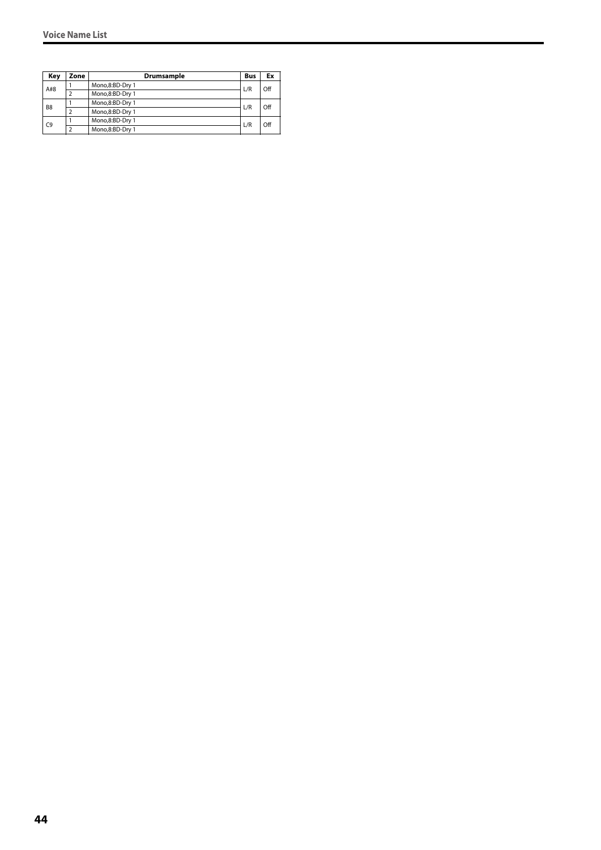| Key            | Zone | Drumsample      | <b>Bus</b> | Ex  |
|----------------|------|-----------------|------------|-----|
| A#8            |      | Mono,8:BD-Dry 1 | L/R        | Off |
|                |      | Mono,8:BD-Dry 1 |            |     |
| B <sub>8</sub> |      | Mono,8:BD-Dry 1 | L/R        | Off |
|                |      | Mono,8:BD-Dry 1 |            |     |
| C <sub>9</sub> |      | Mono,8:BD-Dry 1 | L/R        | Off |
|                |      | Mono,8:BD-Dry 1 |            |     |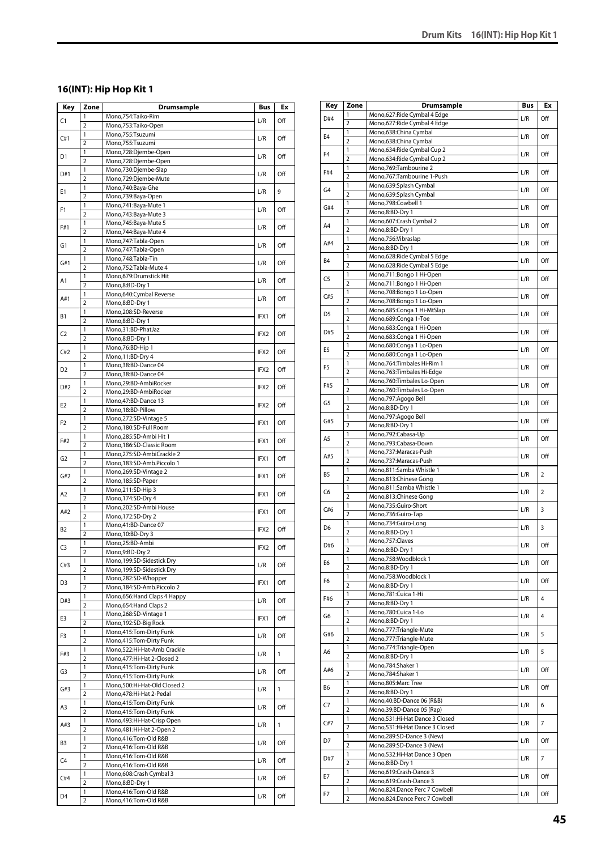# **16(INT): Hip Hop Kit 1**

| Key            | Zone                | <b>Drumsample</b>                                         | Bus              | Ex           |
|----------------|---------------------|-----------------------------------------------------------|------------------|--------------|
| C1             | 1                   | Mono,754:Taiko-Rim                                        | L/R              | Off          |
|                | $\overline{2}$      | Mono,753:Taiko-Open                                       |                  |              |
| C#1            | 1                   | Mono,755:Tsuzumi                                          | L/R              | Off          |
|                | $\overline{2}$<br>1 | Mono,755:Tsuzumi<br>Mono,728:Djembe-Open                  |                  |              |
| D1             | $\overline{2}$      | Mono,728:Djembe-Open                                      | L/R              | Off          |
| D#1            | 1                   | Mono,730:Djembe-Slap                                      | L/R              | Off          |
|                | $\overline{2}$      | Mono,729:Djembe-Mute                                      |                  |              |
| E1             | 1                   | Mono,740:Baya-Ghe                                         | L/R              | 9            |
|                | $\overline{2}$<br>1 | Mono,739:Baya-Open<br>Mono, 741: Baya-Mute 1              |                  |              |
| F1             | $\overline{2}$      | Mono, 743: Baya-Mute 3                                    | L/R              | Off          |
|                | 1                   | Mono, 745: Baya-Mute 5                                    |                  |              |
| F#1            | $\overline{2}$      | Mono, 744: Baya-Mute 4                                    | L/R              | Off          |
| G1             | 1                   | Mono, 747: Tabla-Open                                     | L/R              | Off          |
|                | $\overline{2}$      | Mono, 747: Tabla-Open                                     |                  |              |
| G#1            | 1<br>$\overline{2}$ | Mono, 748: Tabla-Tin<br>Mono, 752: Tabla-Mute 4           | L/R              | Off          |
|                | 1                   | Mono,679:Drumstick Hit                                    |                  |              |
| A1             | $\overline{2}$      | Mono,8:BD-Dry 1                                           | L/R              | Off          |
| A#1            | 1                   | Mono,640:Cymbal Reverse                                   | L/R              | Off          |
|                | $\overline{2}$      | Mono,8:BD-Dry 1                                           |                  |              |
| В1             | 1                   | Mono,208:SD-Reverse                                       | IFX1             | Off          |
|                | $\overline{2}$<br>1 | Mono,8:BD-Dry 1<br>Mono,31:BD-PhatJaz                     |                  |              |
| C <sub>2</sub> | $\overline{2}$      | Mono,8:BD-Dry 1                                           | IFX2             | Off          |
|                | 1                   | Mono, 76: BD-Hip 1                                        |                  |              |
| C#2            | $\overline{2}$      | Mono, 11:BD-Dry 4                                         | IFX2             | Off          |
| D2             | 1                   | Mono, 38: BD-Dance 04                                     | IFX <sub>2</sub> | Off          |
|                | $\overline{2}$      | Mono, 38: BD-Dance 04                                     |                  |              |
| D#2            | 1                   | Mono,29:BD-AmbiRocker                                     | IFX <sub>2</sub> | Off          |
|                | 2<br>1              | Mono,29:BD-AmbiRocker<br>Mono, 47: BD-Dance 13            |                  |              |
| E2             | $\overline{2}$      | Mono, 18:BD-Pillow                                        | IFX2             | Off          |
|                | 1                   | Mono,272:SD-Vintage 5                                     |                  |              |
| F2             | $\overline{2}$      | Mono,180:SD-Full Room                                     | IFX1             | Off          |
| F#2            | 1                   | Mono,285:SD-Ambi Hit 1                                    | IFX1             | Off          |
|                | $\overline{2}$      | Mono, 186: SD-Classic Room                                |                  |              |
| G2             | 1<br>$\overline{2}$ | Mono,275:SD-AmbiCrackle 2<br>Mono, 183: SD-Amb. Piccolo 1 | IFX1             | Off          |
|                | 1                   | Mono,269:SD-Vintage 2                                     |                  |              |
| G#2            | $\overline{2}$      | Mono, 185:SD-Paper                                        | IFX1             | Off          |
| A2             | 1                   | Mono,211:SD-Hip 3                                         | IFX1             | Off          |
|                | $\overline{2}$      | Mono, 174:SD-Dry 4                                        |                  |              |
| A#2            | 1<br>$\overline{2}$ | Mono,202:SD-Ambi House<br>Mono, 172:SD-Dry 2              | IFX1             | Off          |
|                | 1                   | Mono,41:BD-Dance 07                                       |                  |              |
| <b>B2</b>      | $\overline{2}$      | Mono, 10:BD-Dry 3                                         | IFX2             | Off          |
| C3             | 1                   | Mono,25:BD-Ambi                                           | IFX2             | Off          |
|                | $\overline{2}$      | Mono,9:BD-Dry 2                                           |                  |              |
| C#3            | 1                   | Mono, 199: SD-Sidestick Dry                               | L/R              | Off          |
|                | $\overline{2}$<br>1 | Mono, 199: SD-Sidestick Dry<br>Mono,282:SD-Whopper        |                  |              |
| D3             | 2                   | Mono,184:SD-Amb.Piccolo 2                                 | IFX1             | Off          |
|                | 1                   | Mono,656: Hand Claps 4 Happy                              |                  |              |
| D#3            | $\overline{2}$      | Mono, 654: Hand Claps 2                                   | L/R              | Off          |
| E3             | 1                   | Mono,268:SD-Vintage 1                                     | IFX1             | Off          |
|                | $\overline{2}$      | Mono, 192: SD-Big Rock                                    |                  |              |
| F3             | 1<br>$\overline{2}$ | Mono,415:Tom-Dirty Funk<br>Mono,415:Tom-Dirty Funk        | L/R              | Off          |
|                | 1                   | Mono,522:Hi-Hat-Amb Crackle                               |                  |              |
| F#3            | 2                   | Mono, 477: Hi-Hat 2-Closed 2                              | L/R              | $\mathbf{1}$ |
| G3             | 1                   | Mono,415:Tom-Dirty Funk                                   | L/R              | Off          |
|                | $\overline{2}$      | Mono, 415: Tom-Dirty Funk                                 |                  |              |
| G#3            | 1                   | Mono,500:Hi-Hat-Old Closed 2                              | L/R              | $\mathbf{1}$ |
|                | 2<br>1              | Mono, 478: Hi-Hat 2-Pedal<br>Mono, 415: Tom-Dirty Funk    |                  |              |
| A3             | $\overline{2}$      | Mono,415:Tom-Dirty Funk                                   | L/R              | Off          |
|                | 1                   | Mono, 493: Hi-Hat-Crisp Open                              |                  |              |
| A#3            | $\overline{2}$      | Mono, 481: Hi-Hat 2-Open 2                                | L/R              | 1            |
| B3             | 1                   | Mono,416:Tom-Old R&B                                      | L/R              | Off          |
|                | $\overline{2}$      | Mono,416:Tom-Old R&B                                      |                  |              |
| C4             | 1                   | Mono,416:Tom-Old R&B                                      | L/R              | Off          |
|                | $\overline{2}$<br>1 | Mono,416:Tom-Old R&B                                      |                  |              |
| C#4            | $\overline{2}$      | Mono,608:Crash Cymbal 3<br>Mono,8:BD-Dry 1                | L/R              | Off          |
|                | 1                   | Mono,416:Tom-Old R&B                                      |                  |              |
| D4             | 2                   | Mono,416:Tom-Old R&B                                      | L/R              | Off          |

| Key            | Zone                | <b>Drumsample</b>                                         | Bus | Ex             |
|----------------|---------------------|-----------------------------------------------------------|-----|----------------|
| D#4            | 1                   | Mono,627:Ride Cymbal 4 Edge                               | L/R | Off            |
|                | 2                   | Mono,627: Ride Cymbal 4 Edge                              |     |                |
| E <sub>4</sub> | 1<br>$\overline{2}$ | Mono,638:China Cymbal                                     | L/R | Off            |
|                | 1                   | Mono,638:China Cymbal<br>Mono,634: Ride Cymbal Cup 2      |     |                |
| F <sub>4</sub> | $\overline{2}$      | Mono,634: Ride Cymbal Cup 2                               | L/R | Off            |
| F#4            | 1                   | Mono,769:Tambourine 2                                     |     |                |
|                | $\overline{2}$      | Mono,767:Tambourine 1-Push                                | L/R | Off            |
| G <sub>4</sub> | 1                   | Mono,639:Splash Cymbal                                    | L/R | Off            |
|                | $\overline{2}$      | Mono,639:Splash Cymbal                                    |     |                |
| G#4            | 1<br>$\overline{2}$ | Mono,798:Cowbell 1<br>Mono,8:BD-Dry 1                     | L/R | Off            |
|                | 1                   | Mono,607:Crash Cymbal 2                                   |     |                |
| A4             | $\overline{2}$      | Mono,8:BD-Dry 1                                           | L/R | Off            |
| A#4            | 1                   | Mono,756:Vibraslap                                        | L/R | Off            |
|                | $\overline{2}$      | Mono,8:BD-Dry 1                                           |     |                |
| <b>B4</b>      | 1                   | Mono,628: Ride Cymbal 5 Edge                              | L/R | Off            |
|                | $\overline{2}$<br>1 | Mono,628: Ride Cymbal 5 Edge<br>Mono,711:Bongo 1 Hi-Open  |     |                |
| C5             | $\overline{2}$      | Mono,711:Bongo 1 Hi-Open                                  | L/R | Off            |
|                | 1                   | Mono,708:Bongo 1 Lo-Open                                  |     |                |
| C#5            | 2                   | Mono,708:Bongo 1 Lo-Open                                  | L/R | Off            |
| D <sub>5</sub> | 1                   | Mono,685:Conga 1 Hi-MtSlap                                | L/R | Off            |
|                | 2                   | Mono,689:Conga 1-Toe                                      |     |                |
| D#5            | 1                   | Mono,683:Conga 1 Hi-Open                                  | L/R | Off            |
|                | 2<br>1              | Mono,683:Conga 1 Hi-Open                                  |     |                |
| E <sub>5</sub> | $\overline{2}$      | Mono,680:Conga 1 Lo-Open<br>Mono,680:Conga 1 Lo-Open      | L/R | Off            |
|                | 1                   | Mono, 764: Timbales Hi-Rim 1                              |     |                |
| F <sub>5</sub> | $\overline{2}$      | Mono,763:Timbales Hi-Edge                                 | L/R | Off            |
|                | 1                   | Mono,760:Timbales Lo-Open                                 |     |                |
| F#5            | $\overline{2}$      | Mono,760:Timbales Lo-Open                                 | L/R | Off            |
| G5             | 1                   | Mono,797:Agogo Bell                                       | L/R | Off            |
|                | $\overline{2}$      | Mono,8:BD-Dry 1                                           |     |                |
| G#5            | 1<br>2              | Mono,797:Agogo Bell                                       | L/R | Off            |
|                | 1                   | Mono,8:BD-Dry 1<br>Mono, 792: Cabasa-Up                   |     |                |
| A5             | $\overline{2}$      | Mono,793:Cabasa-Down                                      | L/R | Off            |
|                | 1                   | Mono,737:Maracas-Push                                     |     |                |
| A#5            | $\overline{2}$      | Mono,737:Maracas-Push                                     | L/R | Off            |
| B5             | 1                   | Mono,811:Samba Whistle 1                                  | L/R | 2              |
|                | $\overline{2}$      | Mono,813:Chinese Gong                                     |     |                |
| C6             | 1                   | Mono,811:Samba Whistle 1                                  | L/R | 2              |
|                | 2                   | Mono,813:Chinese Gong                                     |     |                |
| C#6            | 1<br>$\overline{2}$ | Mono,735:Guiro-Short<br>Mono,736:Guiro-Tap                | L/R | 3              |
|                | 1                   | Mono,734:Guiro-Long                                       |     |                |
| D6             | $\overline{2}$      | Mono,8:BD-Dry 1                                           | L/R | 3              |
| D#6            | 1                   | Mono, 757: Claves                                         | L/R | Off            |
|                | $\overline{2}$      | Mono,8:BD-Dry 1                                           |     |                |
| E6             | 1                   | Mono,758:Woodblock 1                                      | L/R | Off            |
|                | 2                   | Mono,8:BD-Dry 1                                           |     |                |
| F6             | 1<br>2              | Mono,758:Woodblock 1                                      | L/R | Off            |
|                | 1                   | Mono,8:BD-Dry 1<br>Mono,781:Cuica 1-Hi                    |     |                |
| F#6            | $\overline{2}$      | Mono,8:BD-Dry 1                                           | L/R | $\overline{4}$ |
|                | 1                   | Mono,780:Cuica 1-Lo                                       |     |                |
| G6             | $\overline{2}$      | Mono,8:BD-Dry 1                                           | L/R | 4              |
| G#6            | 1                   | Mono,777:Triangle-Mute                                    | L/R | 5              |
|                | $\overline{2}$      | Mono,777:Triangle-Mute                                    |     |                |
| A6             | 1                   | Mono,774:Triangle-Open                                    | L/R | 5              |
|                | 2<br>1              | Mono,8:BD-Dry 1<br>Mono, 784: Shaker 1                    |     |                |
| A#6            | $\overline{2}$      | Mono,784:Shaker 1                                         | L/R | Off            |
|                | 1                   | Mono,805:Marc Tree                                        |     |                |
| В6             | $\overline{2}$      | Mono,8:BD-Dry 1                                           | L/R | Off            |
| C7             | 1                   | Mono,40:BD-Dance 06 (R&B)                                 | L/R | 6              |
|                | $\overline{2}$      | Mono, 39: BD-Dance 05 (Rap)                               |     |                |
| C#7            | 1                   | Mono,531:Hi-Hat Dance 3 Closed                            | L/R | 7              |
|                | $\overline{2}$      | Mono,531:Hi-Hat Dance 3 Closed                            |     |                |
| D7             | 1<br>$\overline{2}$ | Mono,289:SD-Dance 3 (New)                                 | L/R | Off            |
|                | 1                   | Mono,289:SD-Dance 3 (New)<br>Mono,532:Hi-Hat Dance 3 Open |     |                |
| D#7            | $\overline{2}$      | Mono,8:BD-Dry 1                                           | L/R | $\overline{7}$ |
|                | 1                   | Mono,619:Crash-Dance 3                                    |     |                |
| E7             | 2                   | Mono,619:Crash-Dance 3                                    | L/R | Off            |
|                | 1                   | Mono,824:Dance Perc 7 Cowbell                             |     |                |
| F7             | 2                   | Mono,824:Dance Perc 7 Cowbell                             | L/R | Off            |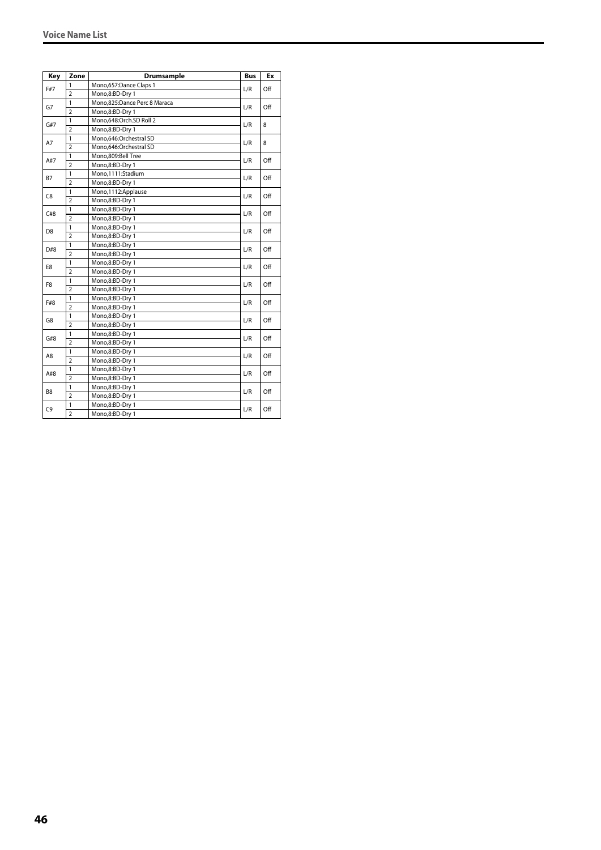| Key            | Zone           | <b>Drumsample</b>            | <b>Bus</b> | Ex  |
|----------------|----------------|------------------------------|------------|-----|
| F#7            | 1              | Mono,657:Dance Claps 1       | L/R        | Off |
|                | $\overline{2}$ | Mono,8:BD-Dry 1              |            |     |
| G7             | $\mathbf{1}$   | Mono,825:Dance Perc 8 Maraca | L/R        | Off |
|                | $\overline{2}$ | Mono,8:BD-Dry 1              |            |     |
| G#7            | $\mathbf{1}$   | Mono,648:Orch.SD Roll 2      | L/R        | 8   |
|                | $\overline{2}$ | Mono,8:BD-Dry 1              |            |     |
| A7             | 1              | Mono,646:Orchestral SD       | L/R        |     |
|                | $\overline{2}$ | Mono,646:Orchestral SD       |            | 8   |
| A#7            | 1              | Mono.809:Bell Tree           | L/R        | Off |
|                | $\overline{2}$ | Mono,8:BD-Dry 1              |            |     |
| B7             | $\mathbf{1}$   | Mono,1111:Stadium            | L/R        | Off |
|                | $\overline{2}$ | Mono,8:BD-Dry 1              |            |     |
|                | 1              | Mono, 1112: Applause         | L/R        | Off |
| C8             | $\overline{2}$ | Mono,8:BD-Dry 1              |            |     |
| C#8            | $\mathbf{1}$   | Mono,8:BD-Dry 1              |            | Off |
|                | $\overline{2}$ | Mono,8:BD-Dry 1              | L/R        |     |
|                | $\mathbf{1}$   | Mono,8:BD-Dry 1              | L/R        | Off |
| D <sub>8</sub> | $\overline{2}$ | Mono,8:BD-Dry 1              |            |     |
| D#8            | $\mathbf{1}$   | Mono,8:BD-Dry 1              | L/R        | Off |
|                | $\overline{2}$ | Mono,8:BD-Dry 1              |            |     |
| E8             | 1              | Mono,8:BD-Dry 1              | L/R        | Off |
|                | $\overline{2}$ | Mono,8:BD-Dry 1              |            |     |
| F8             | 1              | Mono,8:BD-Dry 1              |            | Off |
|                | $\overline{2}$ | Mono,8:BD-Dry 1              | L/R        |     |
|                | $\mathbf{1}$   | Mono,8:BD-Dry 1              |            | Off |
| F#8            | $\overline{2}$ | Mono,8:BD-Dry 1              | L/R        |     |
| G8             | $\mathbf{1}$   | Mono,8:BD-Dry 1              | L/R        | Off |
|                | $\overline{2}$ | Mono,8:BD-Dry 1              |            |     |
| G#8            | $\mathbf{1}$   | Mono,8:BD-Dry 1              | L/R        | Off |
|                | $\overline{2}$ | Mono,8:BD-Dry 1              |            |     |
|                | $\mathbf{1}$   | Mono,8:BD-Dry 1              |            | Off |
| A8             | $\overline{2}$ | Mono,8:BD-Dry 1              | L/R        |     |
| A#8            | 1              | Mono,8:BD-Dry 1              |            | Off |
|                | $\overline{2}$ | Mono,8:BD-Dry 1              | L/R        |     |
|                | 1              | Mono,8:BD-Dry 1              |            |     |
| B <sub>8</sub> | $\overline{2}$ | Mono,8:BD-Dry 1              | L/R        | Off |
|                | $\mathbf{1}$   | Mono,8:BD-Dry 1              |            |     |
| C9             | $\overline{2}$ | Mono,8:BD-Dry 1              | L/R        | Off |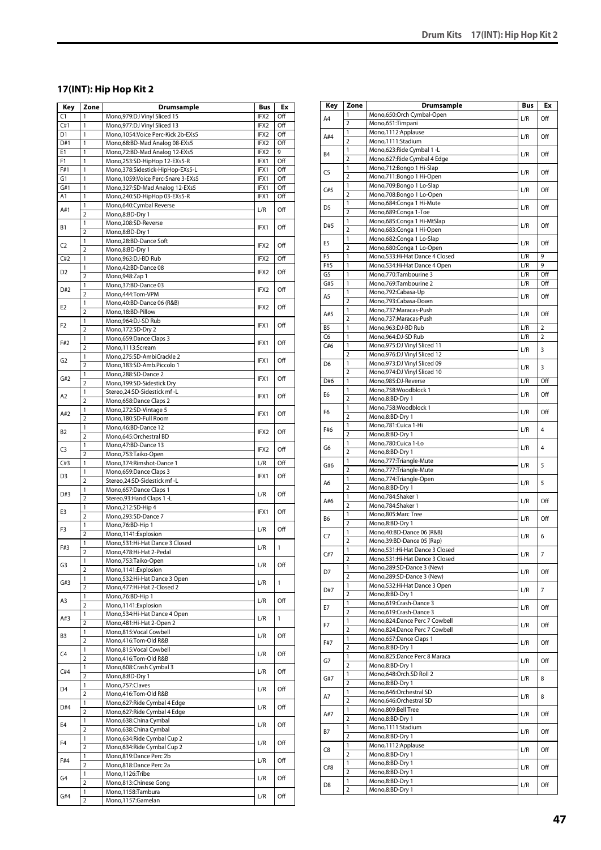# **17(INT): Hip Hop Kit 2**

| Key            | Zone                           | <b>Drumsample</b>                                                    | Bus              | Ex           |
|----------------|--------------------------------|----------------------------------------------------------------------|------------------|--------------|
| C <sub>1</sub> | 1                              | Mono, 979: DJ Vinyl Sliced 15                                        | IFX2             | Off          |
| C#1            | 1                              | Mono, 977: DJ Vinyl Sliced 13                                        | IFX2             | Off          |
| D1<br>D#1      | 1<br>1                         | Mono, 1054: Voice Perc-Kick 2b-EXs5<br>Mono,68:BD-Mad Analog 08-EXs5 | IFX2<br>IFX2     | Off<br>Off   |
| E1             | 1                              | Mono,72:BD-Mad Analog 12-EXs5                                        | IFX2             | 9            |
| F1             | 1                              | Mono,253:SD-HipHop 12-EXs5-R                                         | IFX1             | Off          |
| F#1            | 1                              | Mono,378:Sidestick-HipHop-EXs5-L                                     | IFX1             | Off          |
| G <sub>1</sub> | $\overline{1}$                 | Mono, 1059: Voice Perc-Snare 3-EXs5                                  | IFX1             | Off          |
| G#1            | 1                              | Mono, 327: SD-Mad Analog 12-EXs5                                     | IFX1             | Off          |
| A1             | 1                              | Mono,240:SD-HipHop 03-EXs5-R                                         | IFX1             | Off          |
| A#1            | 1                              | Mono,640:Cymbal Reverse                                              | L/R              | Off          |
|                | $\overline{2}$<br>$\mathbf{1}$ | Mono,8:BD-Dry 1<br>Mono,208:SD-Reverse                               |                  |              |
| В1             | $\overline{2}$                 | Mono,8:BD-Dry 1                                                      | IFX1             | Off          |
|                | 1                              | Mono,28:BD-Dance Soft                                                |                  |              |
| C <sub>2</sub> | $\overline{2}$                 | Mono,8:BD-Dry 1                                                      | IFX2             | Off          |
| C#2            | $\mathbf{1}$                   | Mono,963:DJ-BD Rub                                                   | IFX2             | Off          |
| D <sub>2</sub> | 1                              | Mono, 42: BD-Dance 08                                                | IFX2             | Off          |
|                | $\overline{2}$                 | Mono, 948: Zap 1                                                     |                  |              |
| D#2            | 1                              | Mono, 37: BD-Dance 03                                                | IFX2             | Off          |
|                | $\overline{2}$<br>1            | Mono, 444: Tom-VPM<br>Mono, 40: BD-Dance 06 (R&B)                    |                  |              |
| E2             | $\overline{2}$                 | Mono, 18:BD-Pillow                                                   | IFX2             | Off          |
|                | 1                              | Mono,964:DJ-SD Rub                                                   |                  |              |
| F <sub>2</sub> | $\overline{2}$                 | Mono, 172:SD-Dry 2                                                   | IFX1             | Off          |
| F#2            | 1                              | Mono,659:Dance Claps 3                                               | IFX1             | Off          |
|                | $\overline{2}$                 | Mono,1113:Scream                                                     |                  |              |
| G <sub>2</sub> | 1                              | Mono,275:SD-AmbiCrackle 2                                            | IFX1             | Off          |
|                | $\overline{2}$                 | Mono, 183: SD-Amb. Piccolo 1                                         |                  |              |
| G#2            | 1<br>$\overline{2}$            | Mono,288:SD-Dance 2<br>Mono, 199: SD-Sidestick Dry                   | IFX1             | Off          |
|                | 1                              | Stereo, 24: SD-Sidestick mf-L                                        |                  |              |
| A <sub>2</sub> | $\overline{2}$                 | Mono, 658: Dance Claps 2                                             | IFX1             | Off          |
|                | 1                              | Mono,272:SD-Vintage 5                                                |                  |              |
| A#2            | $\overline{2}$                 | Mono,180:SD-Full Room                                                | IFX1             | Off          |
| B2             | 1                              | Mono, 46: BD-Dance 12                                                | IFX2             | Off          |
|                | $\overline{2}$                 | Mono,645:Orchestral BD                                               |                  |              |
| C3             | 1                              | Mono, 47: BD-Dance 13                                                | IFX <sub>2</sub> | Off          |
| C#3            | $\overline{2}$<br>1            | Mono,753:Taiko-Open<br>Mono, 374: Rimshot-Dance 1                    | L/R              | Off          |
|                | 1                              | Mono,659:Dance Claps 3                                               |                  |              |
| D <sub>3</sub> | $\overline{2}$                 | Stereo, 24: SD-Sidestick mf-L                                        | IFX1             | Off          |
|                | 1                              | Mono,657:Dance Claps 1                                               |                  |              |
| D#3            | $\overline{2}$                 | Stereo, 93: Hand Claps 1 - L                                         | L/R              | Off          |
| E3             | 1                              | Mono,212:SD-Hip 4                                                    | IFX1             | Off          |
|                | $\overline{2}$                 | Mono,293:SD-Dance 7                                                  |                  |              |
| F3             | 1<br>$\overline{2}$            | Mono, 76: BD-Hip 1<br>Mono, 1141: Explosion                          | L/R              | Off          |
|                | 1                              | Mono,531:Hi-Hat Dance 3 Closed                                       |                  |              |
| F#3            | $\overline{2}$                 | Mono, 478: Hi-Hat 2-Pedal                                            | L/R              | $\mathbf{1}$ |
|                | 1                              | Mono,753:Taiko-Open                                                  |                  | Off          |
| G3             | $\overline{2}$                 | Mono, 1141: Explosion                                                | L/R              |              |
| G#3            | 1                              | Mono, 532: Hi-Hat Dance 3 Open                                       | L/R              | 1            |
|                | $\overline{2}$                 | Mono, 477: Hi-Hat 2-Closed 2                                         |                  |              |
| A3             | 1<br>$\overline{2}$            | Mono, 76: BD-Hip 1<br>Mono, 1141: Explosion                          | L/R              | Off          |
|                | 1                              | Mono,534:Hi-Hat Dance 4 Open                                         |                  |              |
| A#3            | $\overline{2}$                 | Mono, 481: Hi-Hat 2-Open 2                                           | L/R              | 1            |
|                | 1                              | Mono,815:Vocal Cowbell                                               |                  |              |
| B3             | 2                              | Mono,416:Tom-Old R&B                                                 | L/R              | Off          |
| C4             | 1                              | Mono,815:Vocal Cowbell                                               | L/R              | Off          |
|                | $\overline{2}$                 | Mono,416:Tom-Old R&B                                                 |                  |              |
| C#4            | 1<br>$\overline{2}$            | Mono, 608: Crash Cymbal 3<br>Mono,8:BD-Dry 1                         | L/R              | Off          |
|                | 1                              | Mono, 757: Claves                                                    |                  |              |
| D4             | $\overline{2}$                 | Mono,416:Tom-Old R&B                                                 | L/R              | Off          |
|                | 1                              | Mono,627: Ride Cymbal 4 Edge                                         |                  |              |
| D#4            | $\overline{2}$                 | Mono,627:Ride Cymbal 4 Edge                                          | L/R              | Off          |
| E4             | 1                              | Mono,638:China Cymbal                                                | L/R              | Off          |
|                | $\overline{2}$                 | Mono,638:China Cymbal                                                |                  |              |
| F4             | 1                              | Mono,634: Ride Cymbal Cup 2                                          | L/R              | Off          |
|                | $\overline{2}$<br>1            | Mono,634: Ride Cymbal Cup 2<br>Mono,819:Dance Perc 2b                |                  |              |
| F#4            | $\overline{2}$                 | Mono,818:Dance Perc 2a                                               | L/R              | Off          |
|                | 1                              | Mono, 1126: Tribe                                                    |                  |              |
| G4             | $\overline{2}$                 | Mono,813:Chinese Gong                                                | L/R              | Off          |
| G#4            | 1                              | Mono,1158:Tambura                                                    | L/R              | Off          |
|                | 2                              | Mono,1157:Gamelan                                                    |                  |              |

| Key            | Zone                | Drumsample                                                     | <b>Bus</b> | Ex             |
|----------------|---------------------|----------------------------------------------------------------|------------|----------------|
| A4             | 1                   | Mono,650:Orch Cymbal-Open                                      | L/R        | Off            |
|                | $\overline{2}$      | Mono,651:Timpani                                               |            |                |
| A#4            | 1                   | Mono,1112:Applause                                             | L/R        | Off            |
|                | $\overline{2}$      | Mono,1111:Stadium                                              |            |                |
| <b>B4</b>      | 1<br>$\overline{2}$ | Mono,623: Ride Cymbal 1 - L<br>Mono,627: Ride Cymbal 4 Edge    | L/R        | Off            |
|                | 1                   | Mono,712:Bongo 1 Hi-Slap                                       |            |                |
| C5             | $\overline{2}$      | Mono,711:Bongo 1 Hi-Open                                       | L/R        | Off            |
|                | 1                   | Mono,709:Bongo 1 Lo-Slap                                       |            |                |
| C#5            | $\overline{2}$      | Mono,708:Bongo 1 Lo-Open                                       | L/R        | Off            |
| D <sub>5</sub> | 1                   | Mono,684:Conga 1 Hi-Mute                                       | L/R        | Off            |
|                | $\overline{2}$      | Mono,689:Conga 1-Toe                                           |            |                |
| D#5            | 1                   | Mono,685:Conga 1 Hi-MtSlap                                     | L/R        | Off            |
|                | $\overline{2}$      | Mono,683:Conga 1 Hi-Open                                       |            |                |
| E5             | 1<br>$\overline{2}$ | Mono, 682: Conga 1 Lo-Slap<br>Mono,680:Conga 1 Lo-Open         | L/R        | Off            |
| F <sub>5</sub> | 1                   | Mono,533:Hi-Hat Dance 4 Closed                                 | L/R        | 9              |
| F#5            | 1                   | Mono,534:Hi-Hat Dance 4 Open                                   | L/R        | 9              |
| G5             | 1                   | Mono,770:Tambourine 3                                          | L/R        | Off            |
| G#5            | 1                   | Mono, 769: Tambourine 2                                        | L/R        | Off            |
| A <sub>5</sub> | 1                   | Mono,792:Cabasa-Up                                             | L/R        | Off            |
|                | $\overline{2}$      | Mono,793:Cabasa-Down                                           |            |                |
| A#5            | 1                   | Mono,737:Maracas-Push                                          | L/R        | Off            |
|                | $\overline{2}$      | Mono.737:Maracas-Push                                          |            |                |
| B <sub>5</sub> | 1                   | Mono,963:DJ-BD Rub                                             | L/R        | $\overline{2}$ |
| C6             | 1                   | Mono,964:DJ-SD Rub                                             | L/R        | 2              |
| C#6            | 1<br>$\overline{2}$ | Mono, 975: DJ Vinyl Sliced 11<br>Mono, 976: DJ Vinyl Sliced 12 | L/R        | 3              |
| D <sub>6</sub> | 1                   | Mono,973:DJ Vinyl Sliced 09                                    |            |                |
|                | $\overline{2}$      | Mono, 974: DJ Vinyl Sliced 10                                  | L/R        | 3              |
| D#6            | 1                   | Mono,985:DJ-Reverse                                            | L/R        | Off            |
|                | 1                   | Mono,758:Woodblock 1                                           |            |                |
| E6             | $\overline{2}$      | Mono,8:BD-Dry 1                                                | L/R        | Off            |
| F <sub>6</sub> | 1                   | Mono,758:Woodblock 1                                           | L/R        | Off            |
|                | $\overline{2}$      | Mono,8:BD-Dry 1                                                |            |                |
| F#6            | 1                   | Mono,781:Cuica 1-Hi                                            | L/R        | 4              |
|                | $\overline{2}$<br>1 | Mono,8:BD-Dry 1                                                |            |                |
| G6             | $\overline{2}$      | Mono,780:Cuica 1-Lo<br>Mono,8:BD-Dry 1                         | L/R        | $\overline{4}$ |
|                | 1                   | Mono,777:Triangle-Mute                                         |            |                |
| G#6            | $\overline{2}$      | Mono,777:Triangle-Mute                                         | L/R        | 5              |
|                | 1                   | Mono,774:Triangle-Open                                         |            |                |
| A6             | $\overline{2}$      | Mono,8:BD-Dry 1                                                | L/R        | 5              |
| A#6            | 1                   | Mono,784:Shaker 1                                              | L/R        | Off            |
|                | $\overline{2}$      | Mono,784:Shaker 1                                              |            |                |
| B6             | 1                   | Mono,805:Marc Tree                                             | L/R        | Off            |
|                | $\overline{2}$<br>1 | Mono,8:BD-Dry 1                                                |            |                |
| C7             | $\overline{2}$      | Mono,40:BD-Dance 06 (R&B)<br>Mono, 39: BD-Dance 05 (Rap)       | L/R        | 6              |
|                | 1                   | Mono,531:Hi-Hat Dance 3 Closed                                 |            |                |
| C#7            | $\overline{2}$      | Mono,531:Hi-Hat Dance 3 Closed                                 | L/R        | $\overline{7}$ |
|                | $\mathbf{1}$        | Mono,289:SD-Dance 3 (New)                                      |            |                |
| D7             | $\overline{2}$      | Mono,289:SD-Dance 3 (New)                                      | L/R        | Off            |
| D#7            | 1                   | Mono,532:Hi-Hat Dance 3 Open                                   | L/R        | $\overline{7}$ |
|                | $\overline{2}$      | Mono,8:BD-Dry 1                                                |            |                |
| E7             | $\mathbf{1}$        | Mono,619:Crash-Dance 3                                         | L/R        | Off            |
|                | $\overline{2}$      | Mono,619:Crash-Dance 3                                         |            |                |
| F7             | 1<br>$\overline{2}$ | Mono,824:Dance Perc 7 Cowbell<br>Mono,824:Dance Perc 7 Cowbell | L/R        | Off            |
|                | 1                   | Mono,657:Dance Claps 1                                         |            |                |
| F#7            | 2                   | Mono,8:BD-Dry 1                                                | L/R        | Off            |
|                | 1                   | Mono,825:Dance Perc 8 Maraca                                   |            |                |
| G7             | $\overline{2}$      | Mono,8:BD-Dry 1                                                | L/R        | Off            |
| G#7            | 1                   | Mono,648:Orch.SD Roll 2                                        | L/R        | 8              |
|                | 2                   | Mono,8:BD-Dry 1                                                |            |                |
| A7             | 1                   | Mono,646:Orchestral SD                                         | L/R        | 8              |
|                | $\overline{2}$      | Mono,646:Orchestral SD                                         |            |                |
| A#7            | $\mathbf{1}$        | Mono,809:Bell Tree                                             | L/R        | Off            |
|                | 2<br>1              | Mono,8:BD-Dry 1<br>Mono,1111:Stadium                           |            |                |
| Β7             | $\overline{2}$      | Mono,8:BD-Dry 1                                                | L/R        | Off            |
|                | $\mathbf{1}$        | Mono, 1112: Applause                                           |            |                |
| C8             | 2                   | Mono,8:BD-Dry 1                                                | L/R        | Off            |
| C#8            | 1                   | Mono,8:BD-Dry 1                                                | L/R        | Off            |
|                | $\overline{2}$      | Mono,8:BD-Dry 1                                                |            |                |
| D <sub>8</sub> | 1                   | Mono,8:BD-Dry 1                                                | L/R        | Off            |
|                | 2                   | Mono,8:BD-Dry 1                                                |            |                |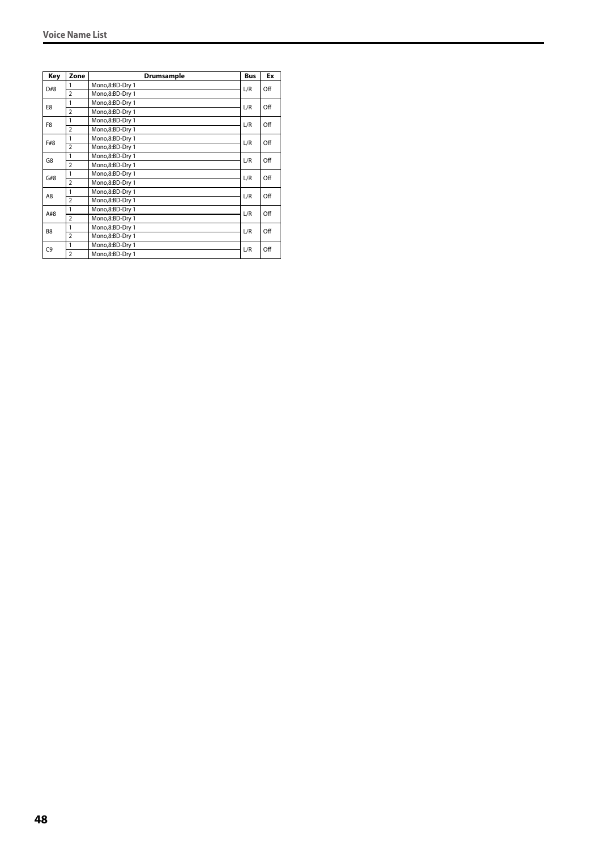| Key            | Zone           | Drumsample      | <b>Bus</b> | Ex  |
|----------------|----------------|-----------------|------------|-----|
| D#8            | 1              | Mono,8:BD-Dry 1 | L/R        | Off |
|                | $\overline{2}$ | Mono,8:BD-Dry 1 |            |     |
| E8             | 1              | Mono,8:BD-Dry 1 | L/R        | Off |
|                | $\overline{2}$ | Mono,8:BD-Dry 1 |            |     |
| F <sub>8</sub> | 1              | Mono,8:BD-Dry 1 | L/R        | Off |
|                | $\overline{2}$ | Mono,8:BD-Dry 1 |            |     |
| F#8            | 1              | Mono,8:BD-Dry 1 | L/R        | Off |
|                | $\overline{2}$ | Mono,8:BD-Dry 1 |            |     |
| G8             | 1              | Mono,8:BD-Dry 1 | L/R        | Off |
|                | $\overline{2}$ | Mono,8:BD-Dry 1 |            |     |
| G#8            | 1              | Mono,8:BD-Dry 1 | L/R        | Off |
|                | $\overline{2}$ | Mono,8:BD-Dry 1 |            |     |
| A8             | 1              | Mono,8:BD-Dry 1 | L/R        | Off |
|                | $\overline{2}$ | Mono,8:BD-Dry 1 |            |     |
| A#8            | 1              | Mono,8:BD-Dry 1 | L/R        | Off |
|                | $\overline{2}$ | Mono,8:BD-Dry 1 |            |     |
| B <sub>8</sub> | 1              | Mono,8:BD-Dry 1 | L/R        | Off |
|                | $\overline{2}$ | Mono,8:BD-Dry 1 |            |     |
| C9             | 1              | Mono,8:BD-Dry 1 | L/R        | Off |
|                | $\overline{2}$ | Mono,8:BD-Dry 1 |            |     |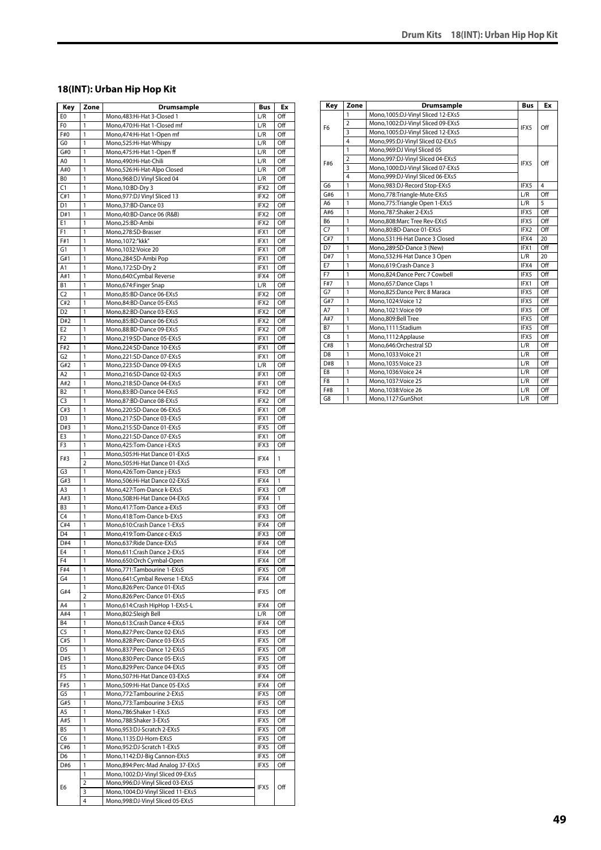# **18(INT): Urban Hip Hop Kit**

| Key              | Zone           | <b>Drumsample</b>                                    | Bus          | Ex           |
|------------------|----------------|------------------------------------------------------|--------------|--------------|
| E0               | 1              | Mono, 483: Hi-Hat 3-Closed 1                         | L/R          | Off          |
| F <sub>0</sub>   | 1              | Mono, 470: Hi-Hat 1-Closed mf                        | L/R          | Off          |
| F#0              | 1              | Mono, 474: Hi-Hat 1-Open mf                          | L/R          | Off          |
| G <sub>0</sub>   | 1              | Mono,525:Hi-Hat-Whispy                               | L/R          | Off          |
| G#0              | 1              | Mono, 475: Hi-Hat 1-Open ff                          | L/R          | Off          |
| A0               | 1              | Mono,490:Hi-Hat-Chili                                | L/R          | Off          |
| A#0              | 1              | Mono,526:Hi-Hat-Alpo Closed                          | L/R          | Off          |
| B <sub>0</sub>   | 1              | Mono, 968: DJ Vinyl Sliced 04                        | L/R          | Off          |
| C1               | 1              | Mono, 10:BD-Dry 3                                    | IFX2         | Off          |
| C#1              | 1              | Mono, 977: DJ Vinyl Sliced 13                        | IFX2         | Off          |
| D <sub>1</sub>   | 1              | Mono, 37: BD-Dance 03                                | IFX2         | Off          |
| D#1              | 1              | Mono, 40: BD-Dance 06 (R&B)                          | IFX2         | Off          |
| E <sub>1</sub>   | 1              | Mono,25:BD-Ambi                                      | IFX2         | Off          |
| F1               | 1              | Mono,278:SD-Brasser                                  | IFX1         | Off          |
| F#1              | 1              | Mono, 1072:"kkk"                                     | IFX1         | Off          |
| G1               | 1              | Mono, 1032: Voice 20                                 | IFX1         | Off          |
| G#1<br>Α1        | 1<br>1         | Mono,284:SD-Ambi Pop                                 | IFX1<br>IFX1 | Off<br>Off   |
|                  | 1              | Mono, 172:SD-Dry 2                                   |              | Off          |
| A#1<br><b>B1</b> | 1              | Mono,640:Cymbal Reverse                              | IFX4         | Off          |
| C <sub>2</sub>   | 1              | Mono,674:Finger Snap                                 | L/R          | Off          |
| C#2              | 1              | Mono,85:BD-Dance 06-EXs5<br>Mono.84:BD-Dance 05-EXs5 | IFX2<br>IFX2 | Off          |
| D <sub>2</sub>   | 1              | Mono,82:BD-Dance 03-EXs5                             | IFX2         | Off          |
| D#2              | 1              | Mono,85:BD-Dance 06-EXs5                             | IFX2         | Off          |
| E <sub>2</sub>   | 1              | Mono,88:BD-Dance 09-EXs5                             | IFX2         | Off          |
| F <sub>2</sub>   | 1              | Mono,219:SD-Dance 05-EXs5                            | IFX1         | Off          |
| F#2              | 1              | Mono,224:SD-Dance 10-EXs5                            | IFX1         | Off          |
| G <sub>2</sub>   | 1              | Mono.221:SD-Dance 07-EXs5                            | IFX1         | Off          |
| G#2              | 1              | Mono.223:SD-Dance 09-EXs5                            | L/R          | Off          |
| A <sub>2</sub>   | 1              | Mono,216:SD-Dance 02-EXs5                            | IFX1         | Off          |
| A#2              | 1              | Mono.218:SD-Dance 04-EXs5                            | IFX1         | Off          |
| <b>B2</b>        | 1              | Mono,83:BD-Dance 04-EXs5                             | IFX2         | Off          |
| C <sub>3</sub>   | 1              | Mono,87:BD-Dance 08-EXs5                             | IFX2         | Off          |
| C#3              | 1              | Mono,220:SD-Dance 06-EXs5                            | IFX1         | Off          |
| D <sub>3</sub>   | 1              | Mono,217:SD-Dance 03-EXs5                            | IFX1         | Off          |
| D#3              | $\mathbf{1}$   | Mono,215:SD-Dance 01-EXs5                            | IFX5         | Off          |
| E3               | 1              | Mono,221:SD-Dance 07-EXs5                            | IFX1         | Off          |
| F3               | 1              | Mono, 425: Tom-Dance i-EXs5                          | IFX3         | Off          |
|                  | 1              | Mono,505:Hi-Hat Dance 01-EXs5                        |              |              |
| F#3              | $\overline{2}$ | Mono,505:Hi-Hat Dance 01-EXs5                        | IFX4         | $\mathbf{1}$ |
| G <sub>3</sub>   | 1              | Mono, 426: Tom-Dance j-EXs5                          | IFX3         | Off          |
| G#3              | 1              | Mono,506:Hi-Hat Dance 02-EXs5                        | IFX4         | 1            |
| A3               | 1              | Mono, 427: Tom-Dance k-EXs5                          | IFX3         | Off          |
| A#3              | 1              | Mono, 508: Hi-Hat Dance 04-EXs5                      | IFX4         | 1            |
| B <sub>3</sub>   | 1              | Mono, 417: Tom-Dance a-EXs5                          | IFX3         | Off          |
| C4               | 1              | Mono,418:Tom-Dance b-EXs5                            | IFX3         | Off          |
| C#4              | 1              | Mono,610:Crash Dance 1-EXs5                          | IFX4         | Off          |
| $\overline{D4}$  | 1              | Mono,419:Tom-Dance c-EXs5                            | IFX3         | Off          |
| D#4              | 1              | Mono,637:Ride Dance-EXs5                             | IFX4         | Off          |
| E <sub>4</sub>   | $\overline{1}$ | Mono,611:Crash Dance 2-EXs5                          | IFX4         | Off          |
| F4               | 1              | Mono,650:Orch Cymbal-Open                            | IFX4         | Off          |
| F#4              | 1              | Mono,771:Tambourine 1-EXs5                           | IFX5         | Off          |
| G4               | 1              | Mono,641:Cymbal Reverse 1-EXs5                       | IFX4         | Off          |
|                  | 1              | Mono,826:Perc-Dance 01-EXs5                          |              |              |
| G#4              | $\overline{2}$ | Mono,826:Perc-Dance 01-EXs5                          | IFX5         | Off          |
| A4               | 1              | Mono,614:Crash HipHop 1-EXs5-L                       | IFX4         | Off          |
| A#4              | 1              | Mono,802:Sleigh Bell                                 | L/R          | Off          |
| <b>B4</b>        | 1              | Mono,613:Crash Dance 4-EXs5                          | IFX4         | Off          |
| C <sub>5</sub>   | 1              | Mono,827:Perc-Dance 02-EXs5                          | IFX5         | Off          |
| C#5              | 1              | Mono,828:Perc-Dance 03-EXs5                          | IFX5         | Off          |
| D <sub>5</sub>   | 1              | Mono,837:Perc-Dance 12-EXs5                          | IFX5         | Off          |
| D#5              | 1              | Mono,830:Perc-Dance 05-EXs5                          | IFX5         | Off          |
| E5               | 1              | Mono,829:Perc-Dance 04-EXs5                          | IFX5         | Off          |
| F5               | 1              | Mono,507:Hi-Hat Dance 03-EXs5                        | IFX4         | Off          |
| F#5              | 1              | Mono,509:Hi-Hat Dance 05-EXs5                        | IFX4         | Off          |
| G5               | 1              | Mono,772:Tambourine 2-EXs5                           | IFX5         | Off          |
| G#5              | 1              | Mono,773:Tambourine 3-EXs5                           | IFX5         | Off          |
| A5               | 1              | Mono,786:Shaker 1-EXs5                               | IFX5         | Off          |
| A#5              | 1              | Mono,788:Shaker 3-EXs5                               | IFX5         | Off          |
| <b>B5</b>        | 1              | Mono,953:DJ-Scratch 2-EXs5                           | IFX5         | Off          |
| C6               | 1              | Mono,1135:DJ-Horn-EXs5                               | IFX5         | Off          |
| C#6              | 1              | Mono,952:DJ-Scratch 1-EXs5                           | IFX5         | Off          |
| D <sub>6</sub>   | 1              | Mono, 1142: DJ-Big Cannon-EXs5                       | IFX5         | Off          |
| D#6              | 1              | Mono,894:Perc-Mad Analog 37-EXs5                     | IFX5         | Off          |
|                  | 1              | Mono, 1002: DJ-Vinyl Sliced 09-EXs5                  |              |              |
|                  | $\overline{2}$ | Mono,996:DJ-Vinyl Sliced 03-EXs5                     |              |              |
| E6               | 3              | Mono, 1004: DJ-Vinyl Sliced 11-EXs5                  | IFX5         | Off          |
|                  | 4              | Mono,998:DJ-Vinyl Sliced 05-EXs5                     |              |              |

| Key            | Zone           | Drumsample                          | <b>Bus</b> | Ex  |
|----------------|----------------|-------------------------------------|------------|-----|
|                | 1              | Mono, 1005: DJ-Vinyl Sliced 12-EXs5 |            |     |
| F <sub>6</sub> | $\overline{2}$ | Mono, 1002: DJ-Vinyl Sliced 09-EXs5 | IFX5       | Off |
|                | 3              | Mono, 1005: DJ-Vinyl Sliced 12-EXs5 |            |     |
|                | 4              | Mono,995:DJ-Vinyl Sliced 02-EXs5    |            |     |
| F#6            | 1              | Mono, 969: DJ Vinyl Sliced 05       |            |     |
|                | $\overline{2}$ | Mono,997:DJ-Vinyl Sliced 04-EXs5    | IFX5       | Off |
|                | $\overline{3}$ | Mono, 1000: DJ-Vinyl Sliced 07-EXs5 |            |     |
|                | $\overline{4}$ | Mono,999:DJ-Vinyl Sliced 06-EXs5    |            |     |
| G <sub>6</sub> | 1              | Mono, 983: DJ-Record Stop-EXs5      | IFX5       | 4   |
| G#6            | $\mathbf{1}$   | Mono,778:Triangle-Mute-EXs5         | L/R        | Off |
| A6             | $\mathbf{1}$   | Mono, 775: Triangle Open 1-EXs5     | L/R        | 5   |
| A#6            | 1              | Mono,787:Shaker 2-EXs5              | IFX5       | Off |
| <b>B6</b>      | 1              | Mono,808:Marc Tree Rev-EXs5         | IFX5       | Off |
| C7             | 1              | Mono.80:BD-Dance 01-EXs5            | IFX2       | Off |
| C#7            | 1              | Mono, 531: Hi-Hat Dance 3 Closed    | IFX4       | 20  |
| D7             | $\mathbf{1}$   | Mono,289:SD-Dance 3 (New)           | IFX1       | Off |
| D#7            | 1              | Mono, 532: Hi-Hat Dance 3 Open      | L/R        | 20  |
| E7             | $\mathbf{1}$   | Mono.619:Crash-Dance 3              | IFX4       | Off |
| F7             | $\mathbf{1}$   | Mono,824:Dance Perc 7 Cowbell       | IFX5       | Off |
| F#7            | $\mathbf{1}$   | Mono, 657: Dance Claps 1            | IFX1       | Off |
| G7             | $\mathbf{1}$   | Mono,825:Dance Perc 8 Maraca        | IFX5       | Off |
| G#7            | 1              | Mono, 1024: Voice 12                | IFX5       | Off |
| A7             | 1              | Mono, 1021: Voice 09                | IFX5       | Off |
| A#7            | 1              | Mono.809:Bell Tree                  | IFX5       | Off |
| <b>B7</b>      | $\mathbf{1}$   | Mono,1111:Stadium                   | IFX5       | Off |
| C <sub>8</sub> | 1              | Mono,1112:Applause                  | IFX5       | Off |
| C#8            | 1              | Mono.646:Orchestral SD              | L/R        | Off |
| D <sub>8</sub> | 1              | Mono.1033: Voice 21                 | L/R        | Off |
| D#8            | 1              | Mono.1035: Voice 23                 | L/R        | Off |
| E8             | $\mathbf{1}$   | Mono, 1036: Voice 24                | L/R        | Off |
| F <sub>8</sub> | $\mathbf{1}$   | Mono.1037: Voice 25                 | L/R        | Off |
| F#8            | 1              | Mono, 1038: Voice 26                | L/R        | Off |
| G8             | 1              | Mono.1127:GunShot                   | L/R        | Off |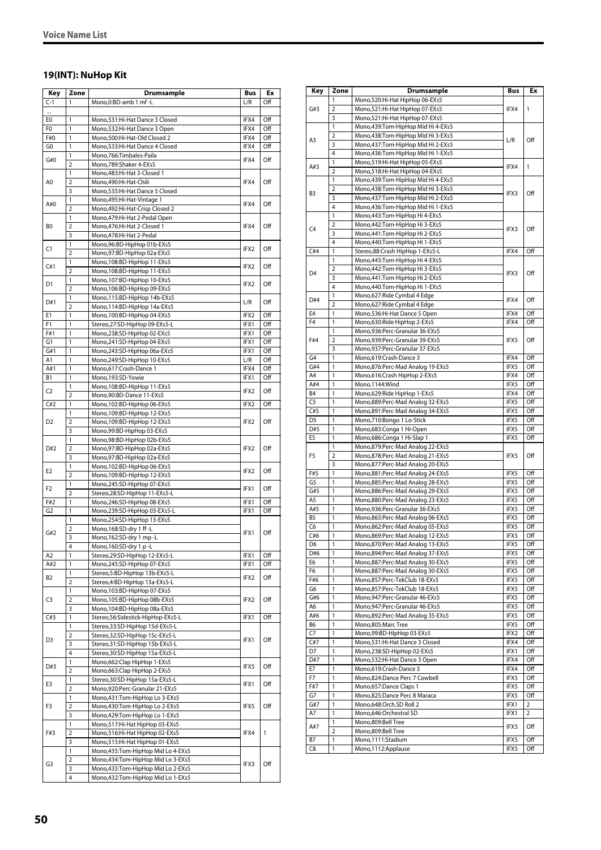### **19(INT): NuHop Kit**

| Key            | Zone                | Drumsample                                                    | Bus          | Ex         |
|----------------|---------------------|---------------------------------------------------------------|--------------|------------|
| $C-1$          | 1                   | Mono, 0: BD-amb 1 mf-L                                        | L/R          | Off        |
|                |                     |                                                               |              |            |
| E0             | 1                   | Mono,531:Hi-Hat Dance 3 Closed                                | IFX4         | Off        |
| F0             | 1                   | Mono,532:Hi-Hat Dance 3 Open                                  | IFX4         | Off        |
| F#0            | 1                   | Mono,500:Hi-Hat-Old Closed 2                                  | IFX4         | Off        |
| G0             | 1                   | Mono,533:Hi-Hat Dance 4 Closed                                | IFX4         | Off        |
| G#0            | 1                   | Mono,766:Timbales-Paila                                       | IFX4         | Off        |
|                | $\overline{2}$      | Mono,789:Shaker 4-EXs5                                        |              |            |
| A0             | 1<br>$\overline{2}$ | Mono,483:Hi-Hat 3-Closed 1                                    | IFX4         |            |
|                | 3                   | Mono,490:Hi-Hat-Chili<br>Mono,535:Hi-Hat Dance 5 Closed       |              | Off        |
|                | 1                   | Mono, 495: Hi-Hat-Vintage 1                                   |              |            |
| A#0            | $\overline{2}$      | Mono, 492: Hi-Hat-Crisp Closed 2                              | IFX4         | Off        |
|                | 1                   | Mono, 479: Hi-Hat 2-Pedal Open                                |              |            |
| B <sub>0</sub> | $\overline{2}$      | Mono, 476: Hi-Hat 2-Closed 1                                  | IFX4         | Off        |
|                | 3                   | Mono,478:Hi-Hat 2-Pedal                                       |              |            |
|                | 1                   | Mono,96:BD-HipHop 01b-EXs5                                    |              |            |
| C1             | $\overline{2}$      | Mono,97:BD-HipHop 02a-EXs5                                    | IFX2         | Off        |
| C#1            | 1                   | Mono, 108: BD-HipHop 11-EXs5                                  | IFX2         | Off        |
|                | $\overline{2}$      | Mono, 108: BD-HipHop 11-EXs5                                  |              |            |
| D1             | 1                   | Mono, 107: BD-HipHop 10-EXs5                                  | IFX2         | Off        |
|                | $\overline{2}$      | Mono, 106: BD-HipHop 09-EXs5                                  |              |            |
| D#1            | 1                   | Mono,115:BD-HipHop 14b-EXs5                                   | L/R          | Off        |
|                | $\overline{2}$      | Mono, 114: BD-HipHop 14a-EXs5                                 |              |            |
| E1             | 1                   | Mono,100:BD-HipHop 04-EXs5                                    | IFX2         | Off        |
| F1             | 1<br>1              | Stereo,27:SD-HipHop 09-EXs5-L                                 | IFX1         | Off        |
| F#1            | 1                   | Mono,238:SD-HipHop 02-EXs5                                    | IFX1<br>IFX1 | Off<br>Off |
| G1<br>G#1      | 1                   | Mono,241:SD-HipHop 04-EXs5<br>Mono,243:SD-HipHop 06a-EXs5     | IFX1         | Off        |
| A1             | 1                   | Mono,249:SD-HipHop 10-EXs5                                    | L/R          | Off        |
| A#1            | 1                   | Mono,617:Crash-Dance 1                                        | IFX4         | Off        |
| B1             | 1                   | Mono,193:SD-Yowie                                             | IFX1         | Off        |
|                | 1                   | Mono, 108: BD-HipHop 11-EXs5                                  |              |            |
| C <sub>2</sub> | $\overline{2}$      | Mono,90:BD-Dance 11-EXs5                                      | IFX2         | Off        |
| C#2            | 1                   | Mono,102:BD-HipHop 06-EXs5                                    | IFX2         | Off        |
|                | 1                   | Mono, 109: BD-HipHop 12-EXs5                                  |              |            |
| D <sub>2</sub> | $\overline{2}$      | Mono, 109: BD-HipHop 12-EXs5                                  | IFX2         | Off        |
|                | 3                   | Mono,99:BD-HipHop 03-EXs5                                     |              |            |
|                | 1                   | Mono,98:BD-HipHop 02b-EXs5                                    |              |            |
| D#2            | 2                   | Mono,97:BD-HipHop 02a-EXs5                                    | IFX2         | Off        |
|                | 3                   | Mono,97:BD-HipHop 02a-EXs5                                    |              |            |
| E2             | 1                   | Mono, 102: BD-HipHop 06-EXs5                                  | IFX2         | Off        |
|                | $\overline{2}$      | Mono, 109: BD-HipHop 12-EXs5                                  |              |            |
| F <sub>2</sub> | 1                   | Mono,245:SD-HipHop 07-EXs5                                    | IFX1         | Off        |
|                | $\overline{2}$      | Stereo, 28: SD-HipHop 11-EXs5-L                               |              |            |
| F#2            | 1                   | Mono,246:SD-HipHop 08-EXs5                                    | IFX1         | Off        |
| G <sub>2</sub> | 1                   | Mono,239:SD-HipHop 03-EXs5-L                                  | IFX1         | Off        |
|                | 1                   | Mono,254:SD-HipHop 13-EXs5                                    |              |            |
| G#2            | $\overline{2}$      | Mono,168:SD-dry 1 ff-L                                        | IFX1         | Off        |
|                | 3                   | Mono.162:SD-drv 1 mp -L                                       |              |            |
|                | $\overline{4}$      | Mono,160:SD-dry 1 p-L                                         |              |            |
| A2             | 1                   | Stereo, 29: SD-HipHop 12-EXs5-L<br>Mono,245:SD-HipHop 07-EXs5 | IFX1         | Off        |
| A#2            | 1<br>1              | Stereo,5:BD-HipHop 13b-EXs5-L                                 | IFX1         | Off        |
| B2             | $\overline{2}$      | Stereo, 4: BD-HipHop 13a-EXs5-L                               | IFX2         | Off        |
|                | 1                   | Mono, 103: BD-HipHop 07-EXs5                                  |              |            |
| C3             | 2                   | Mono, 105: BD-HipHop 08b-EXs5                                 | IFX2         | Off        |
|                | 3                   | Mono, 104: BD-HipHop 08a-EXs5                                 |              |            |
| C#3            | $\mathbf{1}$        | Stereo, 56: Sidestick-HipHop-EXs5-L                           | IFX1         | Off        |
|                | 1                   | Stereo, 33: SD-HipHop 15d-EXs5-L                              |              |            |
|                | 2                   | Stereo, 32: SD-HipHop 15c-EXs5-L                              |              |            |
| D3             | 3                   | Stereo, 31: SD-HipHop 15b-EXs5-L                              | IFX1         | Off        |
|                | 4                   | Stereo, 30: SD-HipHop 15a-EXs5-L                              |              |            |
|                | 1                   | Mono, 662: Clap HipHop 1-EXs5                                 |              | Off        |
| D#3            | 2                   | Mono, 663: Clap HipHop 2-EXs5                                 | IFX5         |            |
| E3             | 1                   | Stereo, 30: SD-HipHop 15a-EXs5-L                              | IFX1         | Off        |
|                | 2                   | Mono,920:Perc-Granular 21-EXs5                                |              |            |
| F3             | 1                   | Mono, 431: Tom-HipHop Lo 3-EXs5                               |              |            |
|                | 2                   | Mono,430:Tom-HipHop Lo 2-EXs5                                 | IFX5         | Off        |
|                | 3                   | Mono,429:Tom-HipHop Lo 1-EXs5                                 |              |            |
|                | 1                   | Mono,517:Hi-Hat HipHop 03-EXs5                                |              |            |
| F#3            | 2                   | Mono,516:Hi-Hat HipHop 02-EXs5                                | IFX4         | 1          |
|                | 3                   | Mono,515:Hi-Hat HipHop 01-EXs5                                |              |            |
|                | 1                   | Mono,435:Tom-HipHop Mid Lo 4-EXs5                             |              |            |
| G3             | 2                   | Mono,434:Tom-HipHop Mid Lo 3-EXs5                             | IFX3         | Off        |
|                | 3<br>4              | Mono,433:Tom-HipHop Mid Lo 2-EXs5                             |              |            |
|                |                     | Mono,432:Tom-HipHop Mid Lo 1-EXs5                             |              |            |

| Key            |           | <b>Drumsample</b>                                                | Bus  | Ex           |
|----------------|-----------|------------------------------------------------------------------|------|--------------|
|                | Zone<br>1 | Mono,520:Hi-Hat HipHop 06-EXs5                                   |      |              |
| G#3            | 2         | Mono,521:Hi-Hat HipHop 07-EXs5                                   | IFX4 | 1            |
|                | 3         | Mono,521:Hi-Hat HipHop 07-EXs5                                   |      |              |
|                | 1         | Mono,439:Tom-HipHop Mid Hi 4-EXs5                                |      |              |
|                | 2         | Mono,438:Tom-HipHop Mid Hi 3-EXs5                                |      |              |
| A3             | 3         | Mono,437:Tom-HipHop Mid Hi 2-EXs5                                | L/R  | Off          |
|                | 4         | Mono,436:Tom-HipHop Mid Hi 1-EXs5                                |      |              |
|                | 1         | Mono,519:Hi-Hat HipHop 05-EXs5                                   |      |              |
| A#3            | 2         | Mono,518:Hi-Hat HipHop 04-EXs5                                   | IFX4 | $\mathbf{1}$ |
|                | 1         | Mono,439:Tom-HipHop Mid Hi 4-EXs5                                |      |              |
|                | 2         | Mono,438:Tom-HipHop Mid Hi 3-EXs5                                |      | Off          |
| B3             | 3         | Mono,437:Tom-HipHop Mid Hi 2-EXs5                                | IFX3 |              |
|                | 4         | Mono,436:Tom-HipHop Mid Hi 1-EXs5                                |      |              |
|                | 1         | Mono,443:Tom-HipHop Hi 4-EXs5                                    |      |              |
| C4             | 2         | Mono,442:Tom-HipHop Hi 3-EXs5                                    | IFX3 | Off          |
|                | 3         | Mono, 441: Tom-HipHop Hi 2-EXs5                                  |      |              |
|                | 4         | Mono, 440: Tom-HipHop Hi 1-EXs5                                  |      |              |
| C#4            | 1         | Stereo, 88: Crash HipHop 1-EXs5-L                                | IFX4 | Off          |
|                | 1         | Mono, 443: Tom-HipHop Hi 4-EXs5                                  |      |              |
| D <sub>4</sub> | 2         | Mono, 442: Tom-HipHop Hi 3-EXs5                                  | IFX3 | Off          |
|                | 3         | Mono, 441: Tom-HipHop Hi 2-EXs5                                  |      |              |
|                | 4         | Mono,440:Tom-HipHop Hi 1-EXs5                                    |      |              |
| D#4            | 1         | Mono,627: Ride Cymbal 4 Edge                                     | IFX4 | Off          |
|                | 2         | Mono,627:Ride Cymbal 4 Edge                                      |      |              |
| E4             | 1         | Mono,536:Hi-Hat Dance 5 Open                                     | IFX4 | Off          |
| F4             | 1         | Mono,630:Ride HipHop 2-EXs5                                      | IFX4 | Off          |
|                | 1         | Mono,936:Perc-Granular 36-EXs5                                   |      |              |
| F#4            | 2<br>3    | Mono,939:Perc-Granular 39-EXs5<br>Mono,937:Perc-Granular 37-EXs5 | IFX5 | Off          |
| G4             | 1         |                                                                  | IFX4 | Off          |
| G#4            | 1         | Mono,619:Crash-Dance 3<br>Mono,876:Perc-Mad Analog 19-EXs5       | IFX5 | Off          |
| A4             | 1         | Mono,616:Crash HipHop 2-EXs5                                     | IFX4 | Off          |
| A#4            | 1         | Mono,1144:Wind                                                   | IFX5 | Off          |
| <b>B4</b>      | 1         | Mono,629: Ride HipHop 1-EXs5                                     | IFX4 | Off          |
| C <sub>5</sub> | 1         | Mono,889:Perc-Mad Analog 32-EXs5                                 | IFX5 | Off          |
| C#5            | 1         | Mono,891:Perc-Mad Analog 34-EXs5                                 | IFX5 | Off          |
| D <sub>5</sub> | 1         | Mono,710:Bongo 1 Lo-Stick                                        | IFX5 | Off          |
| D#5            | 1         | Mono,683:Conga 1 Hi-Open                                         | IFX5 | Off          |
| E5             | 1         | Mono,686:Conga 1 Hi-Slap 1                                       | IFX5 | Off          |
|                | 1         | Mono,879:Perc-Mad Analog 22-EXs5                                 |      |              |
| F5             | 2         | Mono,878:Perc-Mad Analog 21-EXs5                                 | IFX5 | Off          |
|                | 3         | Mono,877:Perc-Mad Analog 20-EXs5                                 |      |              |
| F#5            | 1         | Mono,881:Perc-Mad Analog 24-EXs5                                 | IFX5 | Off          |
| G5             | 1         | Mono,885:Perc-Mad Analog 28-EXs5                                 | IFX5 | Off          |
| G#5            | 1         | Mono,886:Perc-Mad Analog 29-EXs5                                 | IFX5 | Off          |
| A5             | 1         | Mono,880:Perc-Mad Analog 23-EXs5                                 | IFX5 | Off          |
| A#5            | 1         | Mono,936:Perc-Granular 36-EXs5                                   | IFX5 | Off          |
| B5             | 1         | Mono,863:Perc-Mad Analog 06-EXs5                                 | IFX5 | Off          |
| C6             | 1         | Mono,862:Perc-Mad Analog 05-EXs5                                 | IFX5 | Off          |
| C#6            | 1         | Mono,869:Perc-Mad Analog 12-EXs5                                 | IFX5 | Off          |
| D6             | 1         | Mono,870:Perc-Mad Analog 13-EXs5                                 | IFX5 | Off          |
| D#6            | 1         | Mono,894:Perc-Mad Analog 37-EXs5                                 | IFX5 | Off          |
| E6             | 1         | Mono, 887: Perc-Mad Analog 30-EXs5                               | IFX5 | Off          |
| F6             | 1         | Mono,887:Perc-Mad Analog 30-EXs5                                 | IFX5 | Off          |
| F#6            | 1         | Mono,857:Perc-TekClub 18-EXs5                                    | IFX5 | Off          |
| G6             | 1         | Mono,857:Perc-TekClub 18-EXs5                                    | IFX5 | Off          |
| G#6            | 1         | Mono,947:Perc-Granular 46-EXs5                                   | IFX5 | Off          |
| A6             | 1         | Mono, 947: Perc-Granular 46-EXs5                                 | IFX5 | Off          |
| A#6            | 1         | Mono,892:Perc-Mad Analog 35-EXs5                                 | IFX5 | Off          |
| B6             | 1         | Mono,805:Marc Tree                                               | IFX5 | Off          |
| C7             | 1         | Mono,99:BD-HipHop 03-EXs5                                        | IFX2 | Off          |
| C#7            | 1         | Mono,531:Hi-Hat Dance 3 Closed                                   | IFX4 | Off          |
| D7             | 1         | Mono,238:SD-HipHop 02-EXs5                                       | IFX1 | Off          |
| D#7            | 1<br>1    | Mono,532:Hi-Hat Dance 3 Open                                     | IFX4 | Off          |
| Ε7             |           | Mono,619:Crash-Dance 3                                           | IFX4 | Off          |
| F7             | 1         | Mono,824:Dance Perc 7 Cowbell                                    | IFX5 | Off          |
| F#7            | 1         | Mono, 657: Dance Claps 1                                         | IFX5 | Off          |
| G7             | 1         | Mono,825:Dance Perc 8 Maraca                                     | IFX5 | Off          |
| G#7            | 1         | Mono,648:Orch.SD Roll 2                                          | IFX1 | 2            |
| Α7             | 1<br>1    | Mono,646:Orchestral SD<br>Mono,809:Bell Tree                     | IFX1 | 2            |
| A#7            | 2         |                                                                  | IFX5 | Off          |
| В7             | 1         | Mono,809:Bell Tree<br>Mono, 1111: Stadium                        | IFX5 | Off          |
| C8             | 1         |                                                                  | IFX5 | Off          |
|                |           | Mono, 1112: Applause                                             |      |              |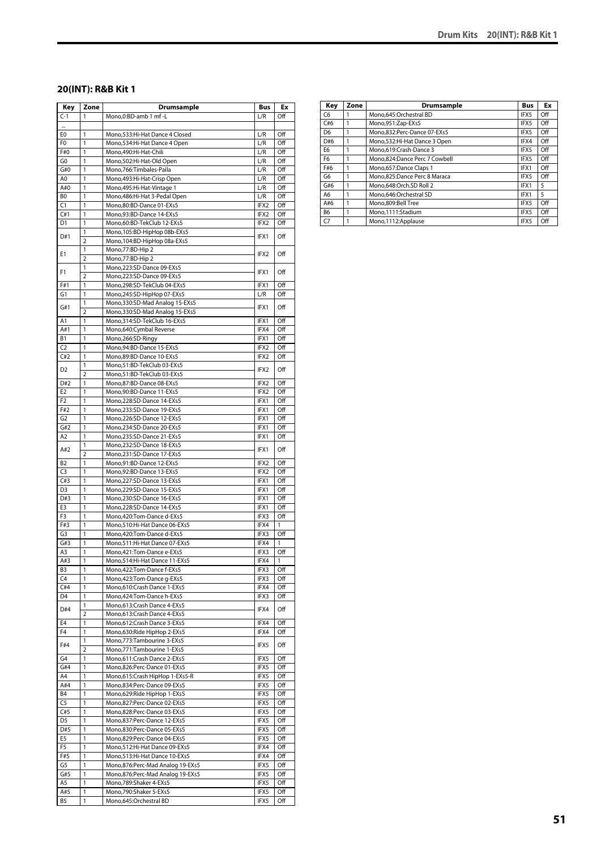### **20(INT): R&B Kit 1**

| Key            | Zone           | <b>Drumsample</b>                                          | Bus              | Ex           |
|----------------|----------------|------------------------------------------------------------|------------------|--------------|
| $C-1$          | 1              | Mono,0:BD-amb 1 mf -L                                      | L/R              | Off          |
|                |                |                                                            |                  |              |
| E0             | 1              | Mono,533:Hi-Hat Dance 4 Closed                             | L/R              | Off          |
| F0             | 1              | Mono,534:Hi-Hat Dance 4 Open                               | L/R              | Off          |
| F#0            | 1              | Mono, 490: Hi-Hat-Chili                                    | L/R              | Off          |
| G <sub>0</sub> | 1              | Mono,502:Hi-Hat-Old Open                                   | L/R              | Off          |
| G#0            | 1              | Mono,766:Timbales-Paila                                    | L/R              | Off          |
| A0<br>A#0      | 1<br>1         | Mono, 493: Hi-Hat-Crisp Open                               | L/R              | Off<br>Off   |
| B <sub>0</sub> | 1              | Mono, 495: Hi-Hat-Vintage 1                                | L/R<br>L/R       | Off          |
| C1             | 1              | Mono, 486: Hi-Hat 3-Pedal Open<br>Mono,80:BD-Dance 01-EXs5 | IFX2             | Off          |
| C#1            | 1              | Mono,93:BD-Dance 14-EXs5                                   | IFX2             | Off          |
| D1             | 1              | Mono,60:BD-TekClub 12-EXs5                                 | IFX2             | Off          |
|                | 1              | Mono,105:BD-HipHop 08b-EXs5                                |                  |              |
| D#1            | 2              | Mono, 104: BD-HipHop 08a-EXs5                              | IFX1             | Off          |
|                | 1              | Mono, 77: BD-Hip 2                                         |                  |              |
| E1             | 2              | Mono, 77: BD-Hip 2                                         | IFX <sub>2</sub> | Off          |
|                | 1              | Mono,223:SD-Dance 09-EXs5                                  |                  |              |
| F1             | $\overline{2}$ | Mono,223:SD-Dance 09-EXs5                                  | IFX1             | Off          |
| F#1            | 1              | Mono,298:SD-TekClub 04-EXs5                                | IFX1             | Off          |
| G1             | 1              | Mono,245:SD-HipHop 07-EXs5                                 | L/R              | Off          |
|                | 1              | Mono, 330: SD-Mad Analog 15-EXs5                           |                  |              |
| G#1            | $\overline{2}$ | Mono, 330: SD-Mad Analog 15-EXs5                           | IFX1             | Off          |
| A1             | 1              | Mono, 314: SD-TekClub 16-EXs5                              | IFX1             | Off          |
| A#1            | 1              | Mono,640:Cymbal Reverse                                    | IFX4             | Off          |
| B1             | 1              | Mono,266:SD-Ringy                                          | IFX1             | Off          |
| C <sub>2</sub> | 1              | Mono, 94: BD-Dance 15-EXs5                                 | IFX2             | Off          |
| C#2            | 1              | Mono,89:BD-Dance 10-EXs5                                   | IFX2             | Off          |
|                | 1              | Mono,51:BD-TekClub 03-EXs5                                 |                  |              |
| D <sub>2</sub> | $\overline{2}$ | Mono,51:BD-TekClub 03-EXs5                                 | IFX2             | Off          |
| D#2            | 1              | Mono,87:BD-Dance 08-EXs5                                   | IFX2             | Off          |
| E <sub>2</sub> | 1              | Mono,90:BD-Dance 11-EXs5                                   | IFX2             | Off          |
| F <sub>2</sub> | 1              | Mono,228:SD-Dance 14-EXs5                                  | IFX1             | Off          |
| F#2            | 1              | Mono,233:SD-Dance 19-EXs5                                  | IFX1             | Off          |
| G <sub>2</sub> | 1              | Mono,226:SD-Dance 12-EXs5                                  | IFX1             | Off          |
| G#2            | 1              | Mono,234:SD-Dance 20-EXs5                                  | IFX1             | Off          |
| A2             | 1              | Mono,235:SD-Dance 21-EXs5                                  | IFX1             | Off          |
|                | 1              | Mono,232:SD-Dance 18-EXs5                                  |                  |              |
| A#2            | $\overline{2}$ | Mono,231:SD-Dance 17-EXs5                                  | IFX1             | Off          |
| B2             | 1              | Mono,91:BD-Dance 12-EXs5                                   | IFX2             | Off          |
| C <sub>3</sub> | 1              | Mono,92:BD-Dance 13-EXs5                                   | IFX2             | Off          |
| C#3            | 1              | Mono,227:SD-Dance 13-EXs5                                  | IFX1             | Off          |
| D <sub>3</sub> | 1              | Mono,229:SD-Dance 15-EXs5                                  | IFX1             | Off          |
| D#3            | 1              | Mono,230:SD-Dance 16-EXs5                                  | IFX1             | Off          |
| E3             | 1              | Mono,228:SD-Dance 14-EXs5                                  | IFX1             | Off          |
| F3             | 1              | Mono,420:Tom-Dance d-EXs5                                  | IFX3             | Off          |
| F#3            | 1              | Mono, 510: Hi-Hat Dance 06-EXs5                            | IFX4             | 1            |
| G3             | 1              | Mono,420:Tom-Dance d-EXs5                                  | IFX3             | Off          |
| G#3            | 1              | Mono, 511: Hi-Hat Dance 07-EXs5                            | IFX4             | $\mathbf{1}$ |
| A3             | 1              | Mono, 421: Tom-Dance e-EXs5                                | IFX3             | Off          |
| A#3            | 1              | Mono,514:Hi-Hat Dance 11-EXs5                              | IFX4             | 1            |
| B <sub>3</sub> | 1              | Mono, 422: Tom-Dance f-EXs5                                | IFX3             | Off          |
| C4             | 1              | Mono, 423: Tom-Dance q-EXs5                                | IFX3             | Off          |
| C#4            | 1              | Mono,610:Crash Dance 1-EXs5                                | IFX4             | Off          |
| D4             | 1              | Mono, 424: Tom-Dance h-EXs5                                | IFX3             | Off          |
| D#4            | 1              | Mono,613:Crash Dance 4-EXs5                                | IFX4             | Off          |
|                | $\overline{2}$ | Mono,613:Crash Dance 4-EXs5                                |                  |              |
| E4             | 1              | Mono,612:Crash Dance 3-EXs5                                | IFX4             | Off          |
| F4             | 1              | Mono,630:Ride HipHop 2-EXs5                                | IFX4             | Off          |
| F#4            | 1              | Mono,773:Tambourine 3-EXs5                                 | IFX5             | Off          |
|                | 2              | Mono, 771: Tambourine 1-EXs5                               |                  |              |
| G4             | 1              | Mono, 611: Crash Dance 2-EXs5                              | IFX5             | Off          |
| G#4            | 1              | Mono,826:Perc-Dance 01-EXs5                                | IFX5             | Off          |
| A4             | 1              | Mono,615:Crash HipHop 1-EXs5-R                             | IFX5             | Off          |
| A#4            | 1              | Mono,834:Perc-Dance 09-EXs5                                | IFX5             | Off          |
| B4             | 1              | Mono,629:Ride HipHop 1-EXs5                                | IFX5             | Off          |
| C <sub>5</sub> | 1              | Mono,827:Perc-Dance 02-EXs5                                | IFX5             | Off          |
| C#5            | 1              | Mono,828:Perc-Dance 03-EXs5                                | IFX5             | Off          |
| D <sub>5</sub> | 1              | Mono,837:Perc-Dance 12-EXs5                                | IFX5             | Off          |
| D#5            | 1              | Mono,830:Perc-Dance 05-EXs5                                | IFX5             | Off          |
| E5             | 1              | Mono,829:Perc-Dance 04-EXs5                                | IFX5             | Off          |
| F5             | 1              | Mono,512:Hi-Hat Dance 09-EXs5                              | IFX4             | Off          |
| F#5            | 1              | Mono,513:Hi-Hat Dance 10-EXs5                              | IFX4             | Off          |
| G5             | 1              | Mono,876:Perc-Mad Analog 19-EXs5                           | IFX5             | Off          |
| G#5            | 1              | Mono,876:Perc-Mad Analog 19-EXs5                           | IFX5             | Off          |
| A5             | 1              | Mono,789:Shaker 4-EXs5                                     | IFX5             | Off          |
| A#5            | 1              | Mono,790:Shaker 5-EXs5                                     | IFX5             | Off          |
| B5             | 1              | Mono,645:Orchestral BD                                     | IFX5             | Off          |

| Key            | Zone | Drumsample                     | <b>Bus</b> | Ex  |
|----------------|------|--------------------------------|------------|-----|
| C6             |      | Mono,645:Orchestral BD         | IFX5       | Off |
| C#6            |      | Mono,951:Zap-EXs5              | IFX5       | Off |
| D <sub>6</sub> |      | Mono.832:Perc-Dance 07-EXs5    | IFX5       | Off |
| D#6            |      | Mono, 532: Hi-Hat Dance 3 Open | IFX4       | Off |
| E6             |      | Mono.619:Crash-Dance 3         | IFX5       | Off |
| F <sub>6</sub> |      | Mono,824:Dance Perc 7 Cowbell  | IFX5       | Off |
| F#6            |      | Mono,657:Dance Claps 1         | IFX1       | Off |
| G6             |      | Mono.825:Dance Perc 8 Maraca   | IFX5       | Off |
| G#6            |      | Mono.648:Orch.SD Roll 2        | IFX1       | 5   |
| A <sub>6</sub> |      | Mono.646:Orchestral SD         | IFX1       | 5   |
| A#6            |      | Mono.809:Bell Tree             | IFX5       | Off |
| B <sub>6</sub> |      | Mono,1111:Stadium              | IFX5       | Off |
| C7             |      | Mono,1112:Applause             | IFX5       | Off |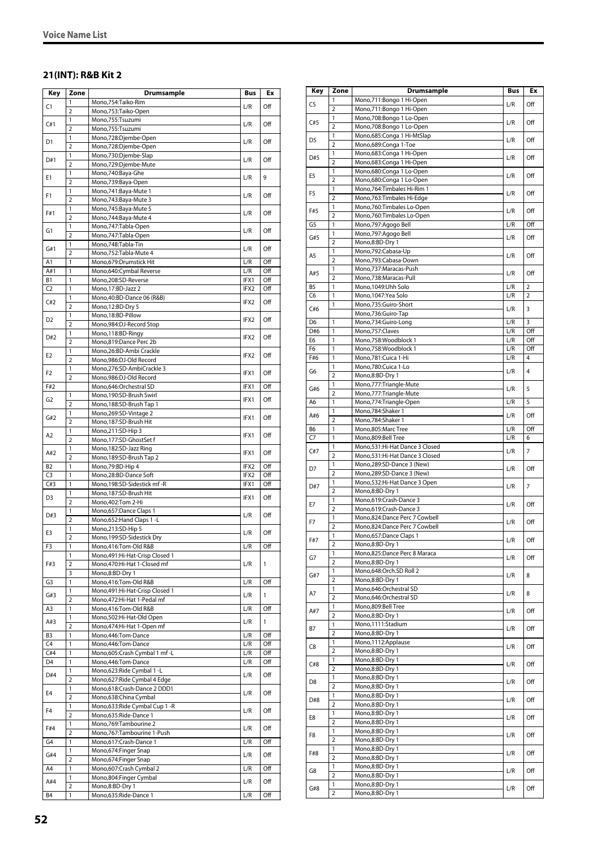### **21(INT): R&B Kit 2**

| Key            | Zone                           | <b>Drumsample</b>                                       | Bus  | Ex  |
|----------------|--------------------------------|---------------------------------------------------------|------|-----|
| C1             | $\mathbf{1}$                   | Mono,754:Taiko-Rim                                      | L/R  | Off |
|                | $\overline{2}$                 | Mono,753:Taiko-Open                                     |      |     |
| C#1            | 1                              | Mono,755:Tsuzumi                                        | L/R  | Off |
|                | $\overline{2}$                 | Mono,755:Tsuzumi                                        |      |     |
| D1             | 1                              | Mono,728:Djembe-Open                                    | L/R  | Off |
|                | $\overline{2}$<br>1            | Mono,728:Djembe-Open<br>Mono,730:Djembe-Slap            |      |     |
| D#1            | $\overline{2}$                 | Mono,729:Djembe-Mute                                    | L/R  | Off |
|                | 1                              | Mono,740:Baya-Ghe                                       |      |     |
| E1             | $\overline{2}$                 | Mono,739:Baya-Open                                      | L/R  | 9   |
|                | 1                              | Mono, 741: Baya-Mute 1                                  |      |     |
| F1             | $\overline{2}$                 | Mono,743:Baya-Mute 3                                    | L/R  | Off |
| F#1            | 1                              | Mono,745:Baya-Mute 5                                    | L/R  | Off |
|                | $\overline{2}$                 | Mono, 744: Baya-Mute 4                                  |      |     |
| G1             | 1                              | Mono, 747: Tabla-Open                                   | L/R  | Off |
|                | $\overline{2}$<br>1            | Mono, 747: Tabla-Open<br>Mono,748:Tabla-Tin             |      |     |
| G#1            | $\overline{2}$                 | Mono,752:Tabla-Mute 4                                   | L/R  | Off |
| A <sub>1</sub> | $\mathbf{1}$                   | Mono,679:Drumstick Hit                                  | L/R  | Off |
| A#1            | 1                              | Mono,640:Cymbal Reverse                                 | L/R  | Off |
| B1             | 1                              | Mono,208:SD-Reverse                                     | IFX1 | Off |
| C <sub>2</sub> | 1                              | Mono, 17:BD-Jazz 2                                      | IFX2 | Off |
| C#2            | 1                              | Mono,40:BD-Dance 06 (R&B)                               | IFX2 | Off |
|                | $\overline{2}$                 | Mono,12:BD-Dry 5                                        |      |     |
| D2             | 1                              | Mono, 18: BD-Pillow                                     | IFX2 | Off |
|                | $\overline{2}$                 | Mono,984:DJ-Record Stop                                 |      |     |
| D#2            | 1<br>$\overline{2}$            | Mono,118:BD-Ringy                                       | IFX2 | Off |
|                | 1                              | Mono,819:Dance Perc 2b<br>Mono,26:BD-Ambi Crackle       |      |     |
| E <sub>2</sub> | $\overline{2}$                 | Mono,986:DJ-Old Record                                  | IFX2 | Off |
|                | 1                              | Mono,276:SD-AmbiCrackle 3                               |      |     |
| F <sub>2</sub> | $\overline{2}$                 | Mono,986:DJ-Old Record                                  | IFX1 | Off |
| F#2            |                                | Mono,646:Orchestral SD                                  | IFX1 | Off |
| G2             | 1                              | Mono,190:SD-Brush Swirl                                 | IFX1 | Off |
|                | $\overline{2}$                 | Mono, 188: SD-Brush Tap 1                               |      |     |
| G#2            | 1                              | Mono,269:SD-Vintage 2                                   | IFX1 | Off |
|                | $\overline{2}$                 | Mono,187:SD-Brush Hit                                   |      |     |
| A2             | 1<br>$\overline{2}$            | Mono,211:SD-Hip 3<br>Mono,177:SD-GhostSet f             | IFX1 | Off |
|                | $\mathbf{1}$                   | Mono, 182: SD-Jazz Ring                                 |      |     |
| A#2            | $\overline{2}$                 | Mono, 189: SD-Brush Tap 2                               | IFX1 | Off |
| <b>B2</b>      | 1                              | Mono, 79: BD-Hip 4                                      | IFX2 | Off |
| C3             | 1                              | Mono,28:BD-Dance Soft                                   | IFX2 | Off |
| C#3            | 1                              | Mono,198:SD-Sidestick mf-R                              | IFX1 | Off |
| D <sub>3</sub> | 1                              | Mono,187:SD-Brush Hit                                   | IFX1 | Off |
|                | $\overline{2}$                 | Mono, 402: Tom 2-Hi                                     |      |     |
| D#3            | 1                              | Mono,657:Dance Claps 1                                  | L/R  | Off |
|                | $\overline{2}$                 | Mono,652: Hand Claps 1 - L                              |      |     |
| E3             | $\mathbf{1}$<br>$\overline{2}$ | Mono,213:SD-Hip 5<br>Mono, 199: SD-Sidestick Dry        | L/R  | Off |
| F3             | 1                              | Mono,416:Tom-Old R&B                                    | L/R  | Off |
|                | 1                              | Mono, 491: Hi-Hat-Crisp Closed 1                        |      |     |
| F#3            | 2                              | Mono,470:Hi-Hat 1-Closed mf                             | L/R  | 1   |
|                | 3                              | Mono,8:BD-Dry 1                                         |      |     |
| G3             | 1                              | Mono,416:Tom-Old R&B                                    | L/R  | Off |
| G#3            | 1                              | Mono, 491: Hi-Hat-Crisp Closed 1                        | L/R  | 1   |
|                | $\overline{2}$                 | Mono, 472: Hi-Hat 1-Pedal mf                            |      |     |
| A3             | 1                              | Mono,416:Tom-Old R&B                                    | L/R  | Off |
| A#3            | 1<br>$\overline{2}$            | Mono,502:Hi-Hat-Old Open<br>Mono, 474: Hi-Hat 1-Open mf | L/R  | 1   |
| B <sub>3</sub> | 1                              | Mono,446:Tom-Dance                                      | L/R  | Off |
| C4             | 1                              | Mono,446:Tom-Dance                                      | L/R  | Off |
| C#4            | 1                              | Mono,605:Crash Cymbal 1 mf-L                            | L/R  | Off |
| D4             | $\mathbf{1}$                   | Mono,446:Tom-Dance                                      | L/R  | Off |
| D#4            | 1                              | Mono,623: Ride Cymbal 1 - L                             | L/R  | Off |
|                | $\overline{2}$                 | Mono,627: Ride Cymbal 4 Edge                            |      |     |
| E4             | 1                              | Mono,618:Crash-Dance 2 DDD1                             | L/R  | Off |
|                | $\overline{2}$                 | Mono,638:China Cymbal                                   |      |     |
| F4             | 1                              | Mono,633: Ride Cymbal Cup 1 - R                         | L/R  | Off |
|                | $\overline{2}$                 | Mono,635:Ride-Dance 1                                   |      |     |
| F#4            | 1<br>$\overline{2}$            | Mono, 769: Tambourine 2                                 | L/R  | Off |
| G4             | 1                              | Mono,767:Tambourine 1-Push<br>Mono,617:Crash-Dance 1    | L/R  | Off |
|                | 1                              | Mono,674:Finger Snap                                    |      |     |
| G#4            | $\overline{2}$                 | Mono,674:Finger Snap                                    | L/R  | Off |
| A4             | 1                              | Mono,607:Crash Cymbal 2                                 | L/R  | Off |
|                | 1                              | Mono,804:Finger Cymbal                                  |      |     |
| A#4            | $\overline{2}$                 | Mono,8:BD-Dry 1                                         | L/R  | Off |
| Β4             | 1                              | Mono,635: Ride-Dance 1                                  | L/R  | Off |

| Key                  | Zone                | <b>Drumsample</b>                                                | <b>Bus</b>  | Ex             |
|----------------------|---------------------|------------------------------------------------------------------|-------------|----------------|
|                      | 1                   | Mono,711:Bongo 1 Hi-Open                                         |             |                |
| C5                   | $\overline{2}$      | Mono,711:Bongo 1 Hi-Open                                         | L/R         | Off            |
| C#5                  | 1                   | Mono,708:Bongo 1 Lo-Open                                         | L/R         | Off            |
|                      | $\overline{2}$      | Mono,708:Bongo 1 Lo-Open                                         |             |                |
| D5                   | 1                   | Mono,685:Conga 1 Hi-MtSlap                                       | L/R         | Off            |
|                      | $\overline{2}$      | Mono,689:Conga 1-Toe                                             |             |                |
| D#5                  | 1<br>$\overline{2}$ | Mono,683:Conga 1 Hi-Open<br>Mono,683:Conga 1 Hi-Open             | L/R         | Off            |
|                      | 1                   | Mono,680:Conga 1 Lo-Open                                         |             |                |
| E5                   | $\overline{2}$      | Mono,680:Conga 1 Lo-Open                                         | L/R         | Off            |
|                      | 1                   | Mono, 764: Timbales Hi-Rim 1                                     |             |                |
| F <sub>5</sub>       | $\overline{2}$      | Mono,763:Timbales Hi-Edge                                        | L/R         | Off            |
| F#5                  | 1                   | Mono,760:Timbales Lo-Open                                        | L/R         | Off            |
|                      | $\overline{2}$      | Mono,760:Timbales Lo-Open                                        |             |                |
| G5                   | $\mathbf{1}$        | Mono, 797: Agogo Bell                                            | L/R         | Off            |
| G#5                  | 1                   | Mono,797:Agogo Bell                                              | L/R         | Off            |
|                      | $\overline{2}$      | Mono,8:BD-Dry 1                                                  |             |                |
| A5                   | 1<br>$\overline{2}$ | Mono,792:Cabasa-Up<br>Mono,793:Cabasa-Down                       | L/R         | Off            |
|                      | 1                   | Mono,737:Maracas-Push                                            |             |                |
| A#5                  | $\overline{2}$      | Mono,738:Maracas-Pull                                            | L/R         | Off            |
| <b>B5</b>            | $\mathbf{1}$        | Mono, 1049: Uhh Solo                                             | L/R         | $\overline{2}$ |
| C6                   | 1                   | Mono, 1047: Yea Solo                                             | L/R         | $\overline{2}$ |
| C#6                  | 1                   | Mono,735:Guiro-Short                                             |             | 3              |
|                      |                     | Mono,736:Guiro-Tap                                               | L/R         |                |
| D <sub>6</sub>       | 1                   | Mono,734:Guiro-Long                                              | L/R         | 3              |
| D#6                  | 1                   | Mono,757:Claves                                                  | L/R         | Off            |
| E6<br>F <sub>6</sub> | 1<br>1              | Mono,758:Woodblock 1<br>Mono,758:Woodblock 1                     | L/R<br>L/R  | Off<br>Off     |
| F#6                  | $\mathbf{1}$        | Mono, 781: Cuica 1-Hi                                            | L/R         | 4              |
|                      | 1                   | Mono,780:Cuica 1-Lo                                              |             |                |
| G6                   | $\overline{2}$      | Mono,8:BD-Dry 1                                                  | L/R         | $\overline{4}$ |
|                      | 1                   | Mono, 777: Triangle-Mute                                         |             |                |
| G#6                  | $\overline{2}$      | Mono, 777: Triangle-Mute                                         | ${\sf L/R}$ | 5              |
| A6                   | 1                   | Mono, 774: Triangle-Open                                         | L/R         | 5              |
| A#6                  | 1                   | Mono,784:Shaker 1                                                | L/R         | Off            |
|                      | $\overline{2}$      | Mono,784:Shaker 1                                                |             |                |
| B6                   | 1                   | Mono,805:Marc Tree                                               | L/R         | Off            |
| C7                   | 1<br>1              | Mono,809:Bell Tree                                               | L/R         | 6              |
| C#7                  | $\overline{2}$      | Mono,531:Hi-Hat Dance 3 Closed<br>Mono,531:Hi-Hat Dance 3 Closed | L/R         | $\overline{7}$ |
|                      | 1                   | Mono,289:SD-Dance 3 (New)                                        |             |                |
| D7                   | $\overline{2}$      | Mono,289:SD-Dance 3 (New)                                        | L/R         | Off            |
|                      | 1                   | Mono,532:Hi-Hat Dance 3 Open                                     |             |                |
| D#7                  | $\overline{2}$      | Mono,8:BD-Dry 1                                                  | L/R         | $\overline{7}$ |
| E7                   | 1                   | Mono,619:Crash-Dance 3                                           | L/R         | Off            |
|                      | $\overline{2}$      | Mono,619:Crash-Dance 3                                           |             |                |
| F7                   | 1                   | Mono,824:Dance Perc 7 Cowbell                                    | L/R         | Off            |
|                      | $\overline{2}$<br>1 | Mono,824:Dance Perc 7 Cowbell                                    |             |                |
| F#7                  | 2                   | Mono,657:Dance Claps 1<br>Mono,8:BD-Dry 1                        | L/R         | Off            |
|                      | 1                   | Mono,825:Dance Perc 8 Maraca                                     |             |                |
| G7                   | 2                   | Mono,8:BD-Dry 1                                                  | L/R         | Off            |
|                      | 1                   | Mono,648:Orch.SD Roll 2                                          |             |                |
| G#7                  | 2                   | Mono,8:BD-Dry 1                                                  | L/R         | 8              |
| A7                   | 1                   | Mono,646:Orchestral SD                                           | L/R         | 8              |
|                      | 2                   | Mono,646:Orchestral SD                                           |             |                |
| A#7                  | 1                   | Mono,809:Bell Tree                                               | L/R         | Off            |
|                      | 2<br>1              | Mono,8:BD-Dry 1<br>Mono,1111:Stadium                             |             |                |
| В7                   | 2                   | Mono,8:BD-Dry 1                                                  | L/R         | Off            |
|                      | 1                   | Mono,1112:Applause                                               |             |                |
| C8                   | 2                   | Mono,8:BD-Dry 1                                                  | L/R         | Off            |
|                      | 1                   | Mono,8:BD-Dry 1                                                  |             |                |
| C#8                  | 2                   | Mono,8:BD-Dry 1                                                  | L/R         | Off            |
| D8                   | 1                   | Mono,8:BD-Dry 1                                                  | L/R         | Off            |
|                      | 2                   | Mono,8:BD-Dry 1                                                  |             |                |
| D#8                  | 1                   | Mono,8:BD-Dry 1                                                  | L/R         | Off            |
|                      | 2                   | Mono,8:BD-Dry 1                                                  |             |                |
| E8                   | 1<br>$\overline{2}$ | Mono,8:BD-Dry 1                                                  | L/R         | Off            |
|                      | 1                   | Mono,8:BD-Dry 1<br>Mono,8:BD-Dry 1                               |             |                |
| F8                   | 2                   | Mono,8:BD-Dry 1                                                  | L/R         | Off            |
|                      | 1                   | Mono,8:BD-Dry 1                                                  |             |                |
| F#8                  | $\overline{2}$      | Mono,8:BD-Dry 1                                                  | L/R         | Off            |
|                      | 1                   | Mono,8:BD-Dry 1                                                  |             |                |
| G8                   | 2                   | Mono,8:BD-Dry 1                                                  | L/R         | Off            |
| G#8                  | 1                   | Mono,8:BD-Dry 1                                                  | L/R         | Off            |
|                      | 2                   | Mono,8:BD-Dry 1                                                  |             |                |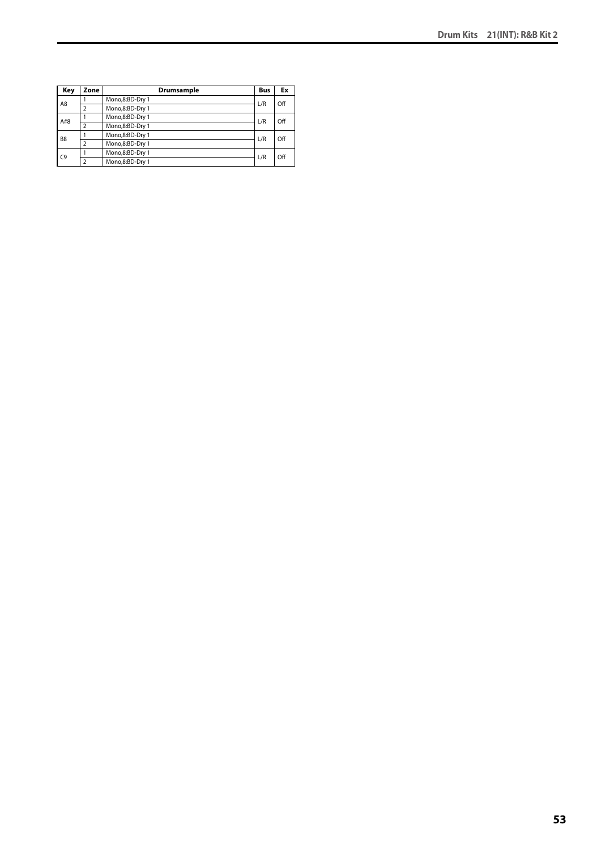| Key            | Zone | <b>Drumsample</b> | <b>Bus</b> | Ex  |
|----------------|------|-------------------|------------|-----|
| A8             |      | Mono,8:BD-Dry 1   | L/R        | Off |
|                |      | Mono,8:BD-Dry 1   |            |     |
| A#8            |      | Mono,8:BD-Dry 1   | L/R        | Off |
|                |      | Mono,8:BD-Dry 1   |            |     |
| B <sub>8</sub> |      | Mono,8:BD-Dry 1   | L/R        | Off |
|                | າ    | Mono,8:BD-Dry 1   |            |     |
| C9             |      | Mono,8:BD-Dry 1   | L/R        | Off |
|                |      | Mono,8:BD-Dry 1   |            |     |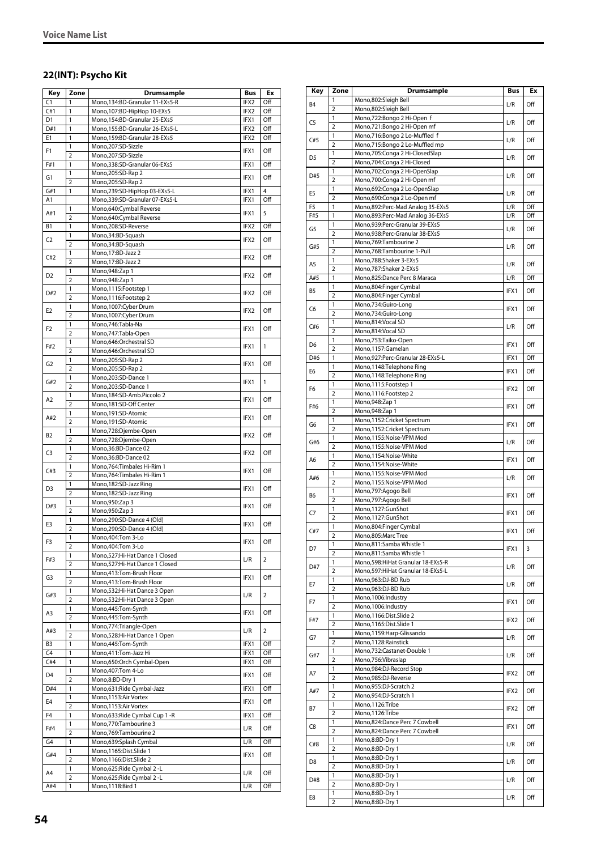### **22(INT): Psycho Kit**

| Key            | Zone           | Drumsample                       | Bus              | Ex             |
|----------------|----------------|----------------------------------|------------------|----------------|
| C1             | 1              | Mono,134:BD-Granular 11-EXs5-R   | IFX2             | Off            |
| C#1            | 1              | Mono, 107: BD-HipHop 10-EXs5     | IFX2             | Off            |
| D1             | $\mathbf{1}$   | Mono.154:BD-Granular 25-EXs5     | IFX1             | Off            |
| D#1            | 1              | Mono,155:BD-Granular 26-EXs5-L   | IFX2             | Off            |
| E1             | 1              | Mono,159:BD-Granular 28-EXs5     | IFX2             | Off            |
|                | 1              | Mono,207:SD-Sizzle               |                  |                |
| F1             | $\overline{2}$ | Mono,207:SD-Sizzle               | IFX1             | Off            |
| F#1            | 1              | Mono,338:SD-Granular 06-EXs5     | IFX1             | Off            |
|                |                |                                  |                  |                |
| G1             | 1              | Mono,205:SD-Rap 2                | IFX1             | Off            |
|                | $\overline{2}$ | Mono,205:SD-Rap 2                |                  |                |
| G#1            | 1              | Mono,239:SD-HipHop 03-EXs5-L     | IFX1             | 4              |
| A1             |                | Mono, 339: SD-Granular 07-EXs5-L | IFX1             | Off            |
| A#1            | 1              | Mono,640:Cymbal Reverse          | IFX1             | 5              |
|                | $\overline{2}$ | Mono,640:Cymbal Reverse          |                  |                |
| B <sub>1</sub> | $\mathbf{1}$   | Mono,208:SD-Reverse              | IFX2             | Off            |
| C2             | 1              | Mono,34:BD-Squash                | IFX2             | Off            |
|                | $\overline{2}$ | Mono,34:BD-Squash                |                  |                |
| C#2            | 1              | Mono, 17:BD-Jazz 2               | IFX2             | Off            |
|                | $\overline{2}$ | Mono, 17:BD-Jazz 2               |                  |                |
| D <sub>2</sub> | 1              | Mono, 948: Zap 1                 | IFX <sub>2</sub> | Off            |
|                | $\overline{2}$ | Mono, 948: Zap 1                 |                  |                |
| D#2            | 1              | Mono,1115:Footstep 1             | IFX <sub>2</sub> | Off            |
|                | $\overline{2}$ | Mono, 1116: Footstep 2           |                  |                |
|                | 1              | Mono,1007:Cyber Drum             |                  | Off            |
| E <sub>2</sub> | $\overline{2}$ | Mono,1007:Cyber Drum             | IFX2             |                |
|                | 1              | Mono, 746: Tabla-Na              |                  |                |
| F <sub>2</sub> | $\overline{2}$ | Mono, 747: Tabla-Open            | IFX1             | Off            |
|                | 1              | Mono,646:Orchestral SD           |                  |                |
| F#2            | $\overline{2}$ | Mono,646:Orchestral SD           | IFX1             | 1              |
|                | 1              | Mono,205:SD-Rap 2                |                  |                |
| G2             | $\overline{2}$ | Mono,205:SD-Rap 2                | IFX1             | Off            |
|                | 1              | Mono,203:SD-Dance 1              |                  |                |
| G#2            | $\overline{2}$ | Mono,203:SD-Dance 1              | IFX1             | $\mathbf{1}$   |
|                | 1              | Mono, 184: SD-Amb. Piccolo 2     |                  |                |
| A2             | $\overline{2}$ | Mono,181:SD-Off Center           | IFX1             | Off            |
|                | 1              |                                  |                  |                |
| A#2            | $\overline{2}$ | Mono,191:SD-Atomic               | IFX1             | Off            |
|                |                | Mono,191:SD-Atomic               |                  |                |
| В2             | 1              | Mono,728:Djembe-Open             | IFX2             | Off            |
|                | $\overline{2}$ | Mono,728:Djembe-Open             |                  |                |
| C3             | 1              | Mono,36:BD-Dance 02              | IFX2             | Off            |
|                | $\overline{2}$ | Mono,36:BD-Dance 02              |                  |                |
| C#3            | 1              | Mono, 764: Timbales Hi-Rim 1     | IFX1             | Off            |
|                | $\overline{2}$ | Mono, 764: Timbales Hi-Rim 1     |                  |                |
| D3             | 1              | Mono, 182: SD-Jazz Ring          | IFX1             | Off            |
|                | $\overline{2}$ | Mono, 182: SD-Jazz Ring          |                  |                |
| D#3            | 1              | Mono, 950: Zap 3                 | IFX1             | Off            |
|                | $\overline{2}$ | Mono, 950: Zap 3                 |                  |                |
| E3             | 1              | Mono,290:SD-Dance 4 (Old)        | IFX1             | Off            |
|                | $\overline{2}$ | Mono,290:SD-Dance 4 (Old)        |                  |                |
| F3             | $\mathbf{1}$   | Mono, 404: Tom 3-Lo              |                  |                |
|                | 2              | Mono, 404: Tom 3-Lo              | IFX1             | Off            |
|                | 1              | Mono,527:Hi-Hat Dance 1 Closed   |                  |                |
| F#3            | $\overline{2}$ | Mono,527:Hi-Hat Dance 1 Closed   | L/R              | 2              |
|                | 1              | Mono,413:Tom-Brush Floor         |                  |                |
| G3             | 2              | Mono,413:Tom-Brush Floor         | IFX1             | Off            |
|                | 1              | Mono,532:Hi-Hat Dance 3 Open     |                  |                |
| G#3            | $\overline{2}$ | Mono,532:Hi-Hat Dance 3 Open     | L/R              | $\overline{2}$ |
|                | 1              | Mono,445:Tom-Synth               |                  |                |
| A3             | $\overline{2}$ | Mono,445:Tom-Synth               | IFX1             | Off            |
|                | 1              | Mono,774:Triangle-Open           |                  |                |
| A#3            | $\overline{2}$ | Mono,528:Hi-Hat Dance 1 Open     | L/R              | $\overline{2}$ |
| B <sub>3</sub> | 1              | Mono, 445: Tom-Synth             | IFX1             | Off            |
| C4             | 1              | Mono,411:Tom-Jazz Hi             | IFX1             | Off            |
| C#4            | $\mathbf{1}$   | Mono,650:Orch Cymbal-Open        | IFX1             | Off            |
|                | 1              | Mono, 407: Tom 4-Lo              |                  |                |
| D4             | $\overline{2}$ | Mono,8:BD-Dry 1                  | IFX1             | Off            |
| D#4            | 1              | Mono,631:Ride Cymbal-Jazz        | IFX1             | Off            |
|                | 1              |                                  |                  |                |
| E4             |                | Mono,1153:Air Vortex             | IFX1             | Off            |
|                | 2              | Mono,1153:Air Vortex             |                  |                |
| F4             | 1              | Mono,633: Ride Cymbal Cup 1 - R  | IFX1             | Off            |
| F#4            | 1              | Mono,770:Tambourine 3            | L/R              | Off            |
|                | $\overline{2}$ | Mono, 769: Tambourine 2          |                  |                |
| G4             | 1              | Mono,639:Splash Cymbal           | L/R              | Off            |
| G#4            | 1              | Mono,1165:Dist.Slide 1           | IFX1             | Off            |
|                | $\overline{2}$ | Mono,1166:Dist.Slide 2           |                  |                |
| A4             | 1              | Mono,625: Ride Cymbal 2 - L      | L/R              | Off            |
|                | $\overline{2}$ | Mono,625: Ride Cymbal 2 - L      |                  |                |
| A#4            | 1              | Mono, 1118: Bird 1               | L/R              | Off            |

| Key            | Zone                           | Drumsample                                                       | <b>Bus</b> | Ex  |
|----------------|--------------------------------|------------------------------------------------------------------|------------|-----|
| B <sub>4</sub> | 1                              | Mono,802:Sleigh Bell                                             | L/R        | Off |
|                | $\overline{2}$                 | Mono,802:Sleigh Bell                                             |            |     |
| C <sub>5</sub> | 1<br>$\overline{2}$            | Mono,722:Bongo 2 Hi-Open f<br>Mono,721:Bongo 2 Hi-Open mf        | L/R        | Off |
|                | 1                              | Mono,716:Bongo 2 Lo-Muffled f                                    |            |     |
| C#5            | $\overline{2}$                 | Mono,715:Bongo 2 Lo-Muffled mp                                   | L/R        | Off |
| D <sub>5</sub> | 1                              | Mono,705:Conga 2 Hi-ClosedSlap                                   | L/R        | Off |
|                | $\overline{2}$                 | Mono,704:Conga 2 Hi-Closed                                       |            |     |
| D#5            | 1<br>$\overline{2}$            | Mono,702:Conga 2 Hi-OpenSlap<br>Mono,700:Conga 2 Hi-Open mf      | L/R        | Off |
|                | 1                              | Mono,692:Conga 2 Lo-OpenSlap                                     |            |     |
| E <sub>5</sub> | $\overline{2}$                 | Mono,690:Conga 2 Lo-Open mf                                      | L/R        | Off |
| F <sub>5</sub> | 1                              | Mono,892:Perc-Mad Analog 35-EXs5                                 | L/R        | Off |
| F#5            | 1                              | Mono,893:Perc-Mad Analog 36-EXs5                                 | L/R        | Off |
| G5             | 1<br>$\overline{2}$            | Mono,939:Perc-Granular 39-EXs5<br>Mono,938:Perc-Granular 38-EXs5 | L/R        | Off |
|                | 1                              | Mono, 769: Tambourine 2                                          |            |     |
| G#5            | $\overline{2}$                 | Mono, 768: Tambourine 1-Pull                                     | L/R        | Off |
| A5             | 1                              | Mono,788:Shaker 3-EXs5                                           | L/R        | Off |
|                | $\overline{2}$                 | Mono,787:Shaker 2-EXs5                                           |            |     |
| A#5            | 1<br>1                         | Mono,825:Dance Perc 8 Maraca<br>Mono,804:Finger Cymbal           | L/R        | Off |
| <b>B5</b>      | $\overline{2}$                 | Mono,804:Finger Cymbal                                           | IFX1       | Off |
|                | 1                              | Mono,734:Guiro-Long                                              |            |     |
| C6             | $\overline{2}$                 | Mono,734:Guiro-Long                                              | IFX1       | Off |
| C#6            | 1                              | Mono,814:Vocal SD                                                | L/R        | Off |
|                | $\overline{2}$<br>1            | Mono,814:Vocal SD                                                |            |     |
| D6             | $\overline{2}$                 | Mono,753:Taiko-Open<br>Mono,1157:Gamelan                         | IFX1       | Off |
| D#6            | 1                              | Mono,927:Perc-Granular 28-EXs5-L                                 | IFX1       | Off |
| E6             | 1                              | Mono,1148:Telephone Ring                                         | IFX1       | Off |
|                | $\overline{2}$                 | Mono,1148:Telephone Ring                                         |            |     |
| F6             | 1<br>$\overline{2}$            | Mono,1115:Footstep 1                                             | IFX2       | Off |
|                | 1                              | Mono, 1116: Footstep 2<br>Mono, 948: Zap 1                       |            |     |
| F#6            | $\overline{2}$                 | Mono, 948: Zap 1                                                 | IFX1       | Off |
| G6             | 1                              | Mono,1152:Cricket Spectrum                                       | IFX1       | Off |
|                | $\overline{2}$                 | Mono,1152:Cricket Spectrum                                       |            |     |
| G#6            | 1<br>$\overline{2}$            | Mono,1155:Noise-VPM Mod<br>Mono,1155:Noise-VPM Mod               | L/R        | Off |
|                | 1                              | Mono,1154:Noise-White                                            |            |     |
| A6             | $\overline{2}$                 | Mono,1154:Noise-White                                            | IFX1       | Off |
| A#6            | 1                              | Mono,1155:Noise-VPM Mod                                          | L/R        | Off |
|                | $\overline{2}$                 | Mono,1155:Noise-VPM Mod                                          |            |     |
| B6             | $\mathbf{1}$<br>$\overline{2}$ | Mono,797:Agogo Bell<br>Mono, 797: Agogo Bell                     | IFX1       | Off |
|                | 1                              | Mono,1127:GunShot                                                |            |     |
| C7             | $\overline{2}$                 | Mono,1127:GunShot                                                | IFX1       | Off |
| C#7            | 1                              | Mono,804:Finger Cymbal                                           | IFX1       | Off |
|                | $\overline{2}$                 | Mono,805:Marc Tree                                               |            |     |
| D7             | 1<br>$\overline{2}$            | Mono,811:Samba Whistle 1<br>Mono,811:Samba Whistle 1             | IFX1       | 3   |
|                | 1                              | Mono,598: Hi Hat Granular 18-EXs5-R                              |            |     |
| D#7            | $\overline{2}$                 | Mono,597: Hi Hat Granular 18-EXs5-L                              | L/R        | Off |
| E7             | 1                              | Mono,963:DJ-BD Rub                                               | L/R        | Off |
|                | $\overline{2}$                 | Mono,963:DJ-BD Rub                                               |            |     |
| F7             | 1<br>$\overline{2}$            | Mono, 1006: Industry<br>Mono, 1006: Industry                     | IFX1       | Off |
|                | 1                              | Mono, 1166: Dist. Slide 2                                        |            |     |
| F#7            | $\overline{2}$                 | Mono,1165:Dist.Slide 1                                           | IFX2       | Off |
| G7             | 1                              | Mono, 1159: Harp-Glissando                                       | L/R        | Off |
|                | $\overline{2}$                 | Mono, 1128: Rainstick                                            |            |     |
| G#7            | 1<br>2                         | Mono, 732: Castanet-Double 1<br>Mono, 756: Vibraslap             | L/R        | Off |
|                | 1                              | Mono,984:DJ-Record Stop                                          |            |     |
| Α7             | 2                              | Mono,985:DJ-Reverse                                              | IFX2       | Off |
| A#7            | 1                              | Mono, 955: DJ-Scratch 2                                          | IFX2       | Off |
|                | $\overline{2}$                 | Mono,954:DJ-Scratch 1                                            |            |     |
| B7             | 1<br>2                         | Mono, 1126: Tribe<br>Mono, 1126: Tribe                           | IFX2       | Off |
|                | 1                              | Mono,824:Dance Perc 7 Cowbell                                    |            |     |
| C8             | 2                              | Mono,824:Dance Perc 7 Cowbell                                    | IFX1       | Off |
| C#8            | 1                              | Mono,8:BD-Dry 1                                                  | L/R        | Off |
|                | $\overline{2}$                 | Mono,8:BD-Dry 1                                                  |            |     |
| D8             | 1                              | Mono,8:BD-Dry 1                                                  | L/R        | Off |
|                | $\overline{2}$<br>1            | Mono,8:BD-Dry 1<br>Mono,8:BD-Dry 1                               |            |     |
| D#8            | $\overline{2}$                 | Mono,8:BD-Dry 1                                                  | L/R        | Off |
| E8             | 1                              | Mono,8:BD-Dry 1                                                  | L/R        | Off |
|                | 2                              | Mono,8:BD-Dry 1                                                  |            |     |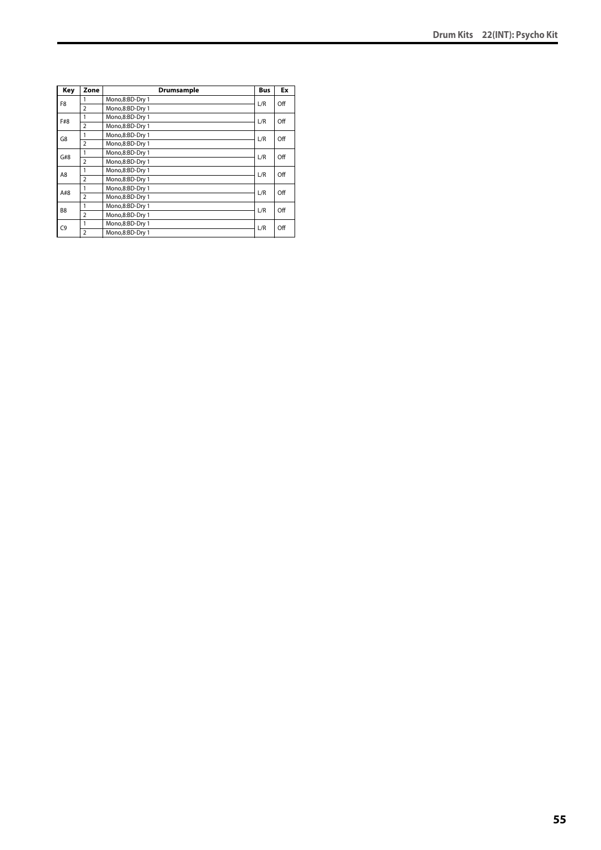| Key            | Zone           | Drumsample      | <b>Bus</b> | Ex  |
|----------------|----------------|-----------------|------------|-----|
| F <sub>8</sub> |                | Mono,8:BD-Dry 1 | L/R        | Off |
|                | $\overline{2}$ | Mono,8:BD-Dry 1 |            |     |
| F#8            | 1              | Mono,8:BD-Dry 1 | L/R        | Off |
|                | $\overline{2}$ | Mono,8:BD-Dry 1 |            |     |
| G8             | 1              | Mono,8:BD-Dry 1 | L/R        | Off |
|                | $\overline{2}$ | Mono,8:BD-Dry 1 |            |     |
| G#8            | 1              | Mono,8:BD-Dry 1 | L/R        | Off |
|                | $\overline{2}$ | Mono,8:BD-Dry 1 |            |     |
| A8             | 1              | Mono,8:BD-Dry 1 | L/R        | Off |
|                | $\overline{2}$ | Mono,8:BD-Dry 1 |            |     |
| A#8            | 1              | Mono,8:BD-Dry 1 | L/R        | Off |
|                | $\overline{2}$ | Mono,8:BD-Dry 1 |            |     |
|                | 1              | Mono,8:BD-Dry 1 | L/R        | Off |
| B <sub>8</sub> | $\overline{2}$ | Mono,8:BD-Dry 1 |            |     |
| C <sub>9</sub> | 1              | Mono,8:BD-Dry 1 | L/R        | Off |
|                | $\overline{2}$ | Mono,8:BD-Dry 1 |            |     |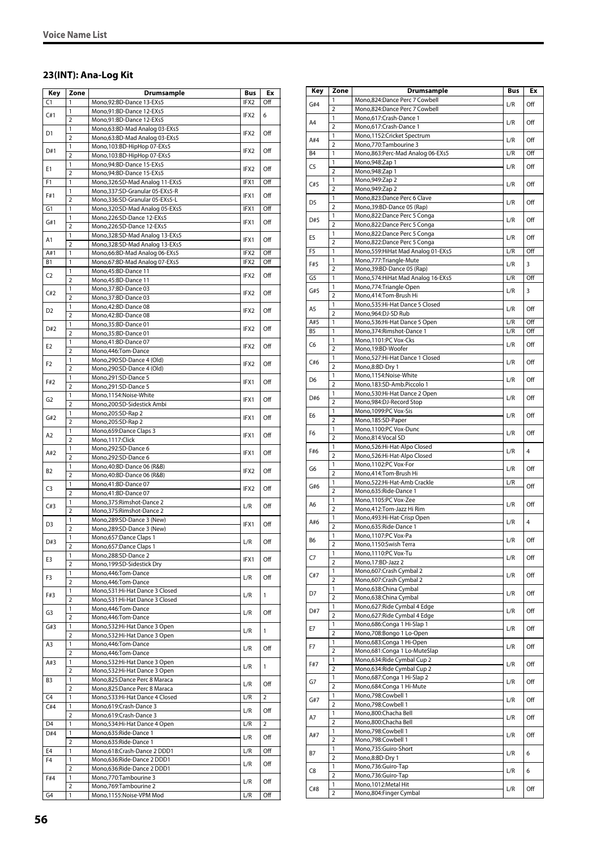# **23(INT): Ana-Log Kit**

| Key            | Zone                | Drumsample                                          | Bus              | Ex             |
|----------------|---------------------|-----------------------------------------------------|------------------|----------------|
| C1             | $\mathbf{1}$        | Mono,92:BD-Dance 13-EXs5                            | IFX2             | Off            |
|                | 1                   | Mono,91:BD-Dance 12-EXs5                            |                  |                |
| C#1            | $\overline{2}$      | Mono,91:BD-Dance 12-EXs5                            | IFX <sub>2</sub> | 6              |
|                | 1                   | Mono,63:BD-Mad Analog 03-EXs5                       |                  |                |
| D1             | $\overline{2}$      | Mono,63:BD-Mad Analog 03-EXs5                       | IFX2             | Off            |
| D#1            | 1                   | Mono,103:BD-HipHop 07-EXs5                          | IFX2             | Off            |
|                | $\overline{2}$      | Mono,103:BD-HipHop 07-EXs5                          |                  |                |
| Е1             | 1                   | Mono,94:BD-Dance 15-EXs5                            | IFX2             | Off            |
|                | $\overline{2}$      | Mono,94:BD-Dance 15-EXs5                            |                  |                |
| F1             | 1                   | Mono, 326: SD-Mad Analog 11-EXs5                    | IFX1             | Off            |
| F#1            | 1                   | Mono,337:SD-Granular 05-EXs5-R                      | IFX1             | Off            |
|                | $\overline{2}$      | Mono,336:SD-Granular 05-EXs5-L                      |                  |                |
| G1             | 1                   | Mono,320:SD-Mad Analog 05-EXs5                      | IFX1             | Off            |
| G#1            | 1                   | Mono,226:SD-Dance 12-EXs5                           | IFX1             | Off            |
|                | $\overline{2}$      | Mono,226:SD-Dance 12-EXs5                           |                  |                |
| A1             | 1                   | Mono,328:SD-Mad Analog 13-EXs5                      | IFX1             | Off            |
|                | $\overline{2}$      | Mono,328:SD-Mad Analog 13-EXs5                      |                  |                |
| A#1            | $\mathbf{1}$        | Mono,66:BD-Mad Analog 06-EXs5                       | IFX2             | Off            |
| <b>B1</b>      | 1                   | Mono,67:BD-Mad Analog 07-EXs5                       | IFX2             | Off            |
| C2             | 1                   | Mono,45:BD-Dance 11                                 | IFX2             | Off            |
|                | 2                   | Mono,45:BD-Dance 11                                 |                  |                |
| C#2            | 1                   | Mono, 37: BD-Dance 03                               | IFX2             | Off            |
|                | $\overline{2}$      | Mono, 37: BD-Dance 03                               |                  |                |
| D <sub>2</sub> | 1                   | Mono,42:BD-Dance 08                                 | IFX <sub>2</sub> | Off            |
|                | $\overline{2}$      | Mono,42:BD-Dance 08                                 |                  |                |
| D#2            | 1                   | Mono,35:BD-Dance 01                                 | IFX2             | Off            |
|                | $\overline{2}$      | Mono,35:BD-Dance 01                                 |                  |                |
| E <sub>2</sub> | 1                   | Mono,41:BD-Dance 07                                 | IFX2             | Off            |
|                | $\overline{2}$      | Mono,446:Tom-Dance                                  |                  |                |
| F <sub>2</sub> | 1                   | Mono,290:SD-Dance 4 (Old)                           | IFX2             | Off            |
|                | $\overline{2}$      | Mono,290:SD-Dance 4 (Old)                           |                  |                |
| F#2            | 1<br>$\overline{2}$ | Mono,291:SD-Dance 5<br>Mono,291:SD-Dance 5          | IFX1             | Off            |
|                | 1                   |                                                     |                  |                |
| G <sub>2</sub> | $\overline{2}$      | Mono,1154:Noise-White<br>Mono,200:SD-Sidestick Ambi | IFX1             | Off            |
|                | 1                   | Mono,205:SD-Rap 2                                   |                  |                |
| G#2            | $\overline{2}$      | Mono,205:SD-Rap 2                                   | IFX1             | Off            |
|                | 1                   | Mono,659:Dance Claps 3                              |                  |                |
| A2             | $\overline{2}$      | Mono,1117:Click                                     | IFX1             | Off            |
|                | 1                   | Mono,292:SD-Dance 6                                 |                  |                |
| A#2            | $\overline{2}$      | Mono,292:SD-Dance 6                                 | IFX1             | Off            |
|                | 1                   | Mono,40:BD-Dance 06 (R&B)                           |                  |                |
| B <sub>2</sub> | $\overline{2}$      | Mono,40:BD-Dance 06 (R&B)                           | IFX2             | Off            |
|                | 1                   | Mono,41:BD-Dance 07                                 |                  |                |
| C3             | $\overline{2}$      | Mono,41:BD-Dance 07                                 | IFX2             | Off            |
|                | 1                   | Mono, 375: Rimshot-Dance 2                          |                  |                |
| C#3            | $\overline{2}$      | Mono, 375: Rimshot-Dance 2                          | L/R              | Off            |
|                | 1                   | Mono,289:SD-Dance 3 (New)                           |                  |                |
| D3             | $\overline{2}$      | Mono,289:SD-Dance 3 (New)                           | IFX1             | Off            |
|                | $\mathbf{1}$        | Mono,657:Dance Claps 1                              |                  |                |
| D#3            | $\overline{2}$      | Mono,657:Dance Claps 1                              | L/R              | Off            |
|                | 1                   | Mono,288:SD-Dance 2                                 | IFX1             | Off            |
| E3             | $\overline{2}$      | Mono,199:SD-Sidestick Dry                           |                  |                |
| F3             | $\mathbf{1}$        | Mono,446:Tom-Dance                                  | L/R              | Off            |
|                | 2                   | Mono,446:Tom-Dance                                  |                  |                |
| F#3            | 1                   | Mono,531:Hi-Hat Dance 3 Closed                      | L/R              | 1              |
|                | $\overline{2}$      | Mono,531:Hi-Hat Dance 3 Closed                      |                  |                |
| G3             | 1                   | Mono, 446: Tom-Dance                                | L/R              | Off            |
|                | 2                   | Mono,446:Tom-Dance                                  |                  |                |
| G#3            | 1                   | Mono,532:Hi-Hat Dance 3 Open                        | L/R              | 1              |
|                | $\overline{2}$      | Mono,532:Hi-Hat Dance 3 Open                        |                  |                |
| A3             | 1                   | Mono,446:Tom-Dance                                  | L/R              | Off            |
|                | 2                   | Mono, 446: Tom-Dance                                |                  |                |
| A#3            | 1                   | Mono,532:Hi-Hat Dance 3 Open                        | L/R              | 1              |
|                | $\overline{2}$      | Mono,532:Hi-Hat Dance 3 Open                        |                  |                |
| B3             | 1                   | Mono,825:Dance Perc 8 Maraca                        | L/R              | Off            |
|                | $\overline{2}$      | Mono,825:Dance Perc 8 Maraca                        |                  |                |
| C4             | $\mathbf{1}$        | Mono,533:Hi-Hat Dance 4 Closed                      | L/R              | $\overline{2}$ |
| C#4            | 1                   | Mono,619:Crash-Dance 3                              | L/R              | Off            |
|                | $\overline{2}$      | Mono,619:Crash-Dance 3                              |                  |                |
| D4             | 1                   | Mono,534:Hi-Hat Dance 4 Open                        | L/R              | 2              |
| D#4            | 1                   | Mono,635:Ride-Dance 1                               | L/R              | Off            |
|                | $\overline{2}$      | Mono,635:Ride-Dance 1                               |                  |                |
| E4             | 1                   | Mono,618:Crash-Dance 2 DDD1                         | L/R              | Off            |
| F <sub>4</sub> | 1                   | Mono,636:Ride-Dance 2 DDD1                          | L/R              | Off            |
|                | $\overline{2}$      | Mono,636:Ride-Dance 2 DDD1                          |                  |                |
| F#4            | 1                   | Mono,770:Tambourine 3                               | L/R              | Off            |
| G4             | 2<br>1              | Mono, 769: Tambourine 2                             |                  | Off            |
|                |                     | Mono,1155:Noise-VPM Mod                             | L/R              |                |

| Key            | Zone                    | Drumsample                                                 | Bus | Ex  |
|----------------|-------------------------|------------------------------------------------------------|-----|-----|
| G#4            | 1                       | Mono,824:Dance Perc 7 Cowbell                              | L/R | Off |
|                | $\overline{2}$          | Mono,824:Dance Perc 7 Cowbell                              |     |     |
| A4             | 1<br>$\overline{2}$     | Mono,617:Crash-Dance 1<br>Mono,617:Crash-Dance 1           | L/R | Off |
|                | 1                       | Mono,1152:Cricket Spectrum                                 |     |     |
| A#4            | $\overline{2}$          | Mono, 770: Tambourine 3                                    | L/R | Off |
| B4             | 1                       | Mono, 863: Perc-Mad Analog 06-EXs5                         | L/R | Off |
| C <sub>5</sub> | 1<br>$\overline{2}$     | Mono, 948: Zap 1<br>Mono, 948: Zap 1                       | L/R | Off |
|                | 1                       | Mono, 949: Zap 2                                           |     |     |
| C#5            | $\overline{2}$          | Mono, 949: Zap 2                                           | L/R | Off |
| D <sub>5</sub> | 1                       | Mono,823:Dance Perc 6 Clave                                | L/R | Off |
|                | 2                       | Mono, 39: BD-Dance 05 (Rap)                                |     |     |
| D#5            | 1<br>$\overline{2}$     | Mono,822:Dance Perc 5 Conga<br>Mono,822:Dance Perc 5 Conga | L/R | Off |
|                | 1                       | Mono,822:Dance Perc 5 Conga                                |     |     |
| E5             | $\overline{2}$          | Mono,822:Dance Perc 5 Conga                                | L/R | Off |
| F5             | 1                       | Mono, 559: Hi Hat Mad Analog 01-EXs5                       | L/R | Off |
| F#5            | 1<br>$\overline{2}$     | Mono, 777: Triangle-Mute<br>Mono, 39: BD-Dance 05 (Rap)    | L/R | 3   |
| G5             | 1                       | Mono, 574: Hi Hat Mad Analog 16-EXs5                       | L/R | Off |
| G#5            | 1                       | Mono,774:Triangle-Open                                     |     |     |
|                | $\overline{2}$          | Mono,414:Tom-Brush Hi                                      | L/R | 3   |
| A5             | 1                       | Mono,535:Hi-Hat Dance 5 Closed                             | L/R | Off |
| A#5            | $\overline{2}$<br>1     | Mono,964:DJ-SD Rub<br>Mono, 536: Hi-Hat Dance 5 Open       | L/R | Off |
| <b>B5</b>      | 1                       | Mono, 374: Rimshot-Dance 1                                 | L/R | Off |
| C6             | 1                       | Mono,1101:PC Vox-Cks                                       | L/R | Off |
|                | $\overline{2}$          | Mono,19:BD-Woofer                                          |     |     |
| C#6            | 1<br>$\overline{2}$     | Mono,527:Hi-Hat Dance 1 Closed<br>Mono,8:BD-Dry 1          | L/R | Off |
|                | 1                       | Mono,1154:Noise-White                                      |     |     |
| D6             | $\overline{2}$          | Mono,183:SD-Amb.Piccolo 1                                  | L/R | Off |
| D#6            | 1                       | Mono,530:Hi-Hat Dance 2 Open                               | L/R | Off |
|                | $\overline{2}$          | Mono,984:DJ-Record Stop                                    |     |     |
| E6             | 1<br>$\overline{2}$     | Mono, 1099:PC Vox-Sis<br>Mono,185:SD-Paper                 | L/R | Off |
|                | 1                       | Mono,1100:PC Vox-Dunc                                      |     |     |
| F <sub>6</sub> | $\overline{2}$          | Mono,814: Vocal SD                                         | L/R | Off |
| F#6            | 1                       | Mono,526:Hi-Hat-Alpo Closed                                | L/R | 4   |
|                | $\overline{2}$<br>1     | Mono,526:Hi-Hat-Alpo Closed                                |     |     |
| G6             | $\overline{2}$          | Mono,1102:PC Vox-For<br>Mono,414:Tom-Brush Hi              | L/R | Off |
|                | 1                       | Mono,522:Hi-Hat-Amb Crackle                                | L/R | Off |
| G#6            | 2                       | Mono,635:Ride-Dance 1                                      |     |     |
| A6             | 1                       | Mono,1105:PC Vox-Zee                                       | L/R | Off |
|                | $\overline{2}$<br>1     | Mono,412:Tom-Jazz Hi Rim<br>Mono,493:Hi-Hat-Crisp Open     |     |     |
| A#6            | $\overline{2}$          | Mono,635:Ride-Dance 1                                      | L/R | 4   |
| В6             | 1                       | Mono, 1107:PC Vox-Pa                                       | L/R | Off |
|                | $\overline{\mathbf{c}}$ | Mono,1150:Swish Terra                                      |     |     |
| C7             | 1<br>2                  | Mono,1110:PC Vox-Tu<br>Mono,17:BD-Jazz 2                   | L/R | Off |
|                | 1                       | Mono,607:Crash Cymbal 2                                    |     |     |
| C#7            | $\overline{2}$          | Mono,607:Crash Cymbal 2                                    | L/R | Off |
| D7             | 1                       | Mono,638:China Cymbal                                      | L/R | Off |
|                | $\overline{2}$<br>1     | Mono,638:China Cymbal<br>Mono,627: Ride Cymbal 4 Edge      |     |     |
| D#7            | 2                       | Mono,627: Ride Cymbal 4 Edge                               | L/R | Off |
|                | 1                       | Mono,686:Conga 1 Hi-Slap 1                                 |     | Off |
| E7             | $\overline{2}$          | Mono,708:Bongo 1 Lo-Open                                   | L/R |     |
| F7             | 1<br>$\overline{2}$     | Mono,683:Conga 1 Hi-Open<br>Mono, 681: Conga 1 Lo-MuteSlap | L/R | Off |
|                | 1                       | Mono,634: Ride Cymbal Cup 2                                |     |     |
| F#7            | $\overline{2}$          | Mono,634: Ride Cymbal Cup 2                                | L/R | Off |
| G7             | 1                       | Mono,687:Conga 1 Hi-Slap 2                                 | L/R | Off |
|                | 2                       | Mono,684:Conga 1 Hi-Mute                                   |     |     |
| G#7            | 1<br>$\overline{2}$     | Mono,798:Cowbell 1<br>Mono, 798: Cowbell 1                 | L/R | Off |
|                | 1                       | Mono,800:Chacha Bell                                       |     |     |
| A7             | 2                       | Mono,800:Chacha Bell                                       | L/R | Off |
| A#7            | 1                       | Mono,798:Cowbell 1                                         | L/R | Off |
|                | $\overline{2}$          | Mono,798:Cowbell 1                                         |     |     |
| Β7             | 1<br>2                  | Mono,735:Guiro-Short<br>Mono,8:BD-Dry 1                    | L/R | 6   |
|                | 1                       | Mono, 736: Guiro-Tap                                       |     |     |
| C8             | $\overline{2}$          | Mono, 736: Guiro-Tap                                       | L/R | 6   |
| C#8            | 1                       | Mono, 1012: Metal Hit                                      | L/R | Off |
|                | $\overline{2}$          | Mono,804:Finger Cymbal                                     |     |     |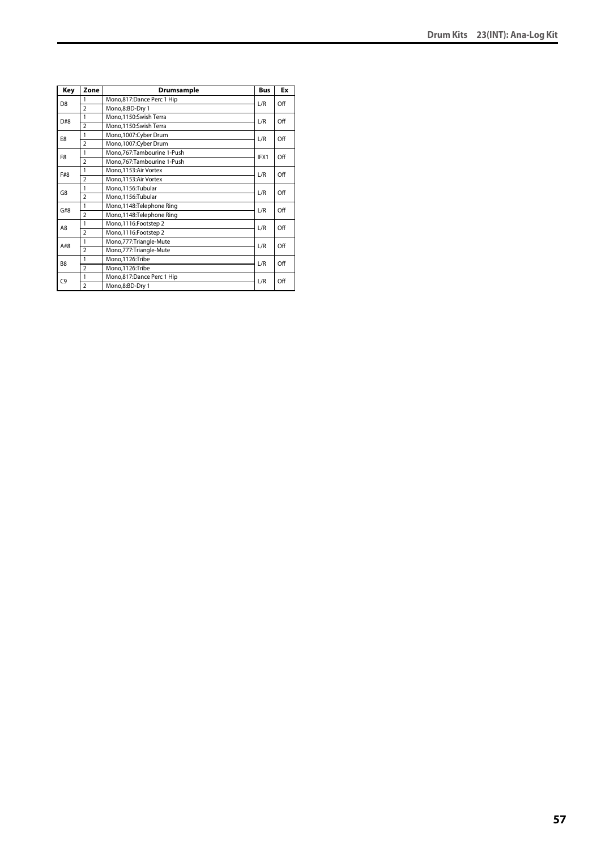| Key            | Zone                     | Drumsample                   | <b>Bus</b> | Ex  |
|----------------|--------------------------|------------------------------|------------|-----|
| D <sub>8</sub> | 1                        | Mono,817:Dance Perc 1 Hip    | L/R        | Off |
|                | $\overline{2}$           | Mono,8:BD-Dry 1              |            |     |
| D#8            | 1                        | Mono,1150:Swish Terra        | L/R        | Off |
|                | $\overline{2}$           | Mono,1150:Swish Terra        |            |     |
| E8             | 1                        | Mono, 1007: Cyber Drum       | L/R        | Off |
|                | $\overline{\phantom{a}}$ | Mono,1007:Cyber Drum         |            |     |
| F <sub>8</sub> | 1                        | Mono, 767: Tambourine 1-Push | IFX1       | Off |
|                | $\overline{2}$           | Mono,767:Tambourine 1-Push   |            |     |
| F#8            | 1                        | Mono, 1153: Air Vortex       | L/R        | Off |
|                | $\overline{2}$           | Mono, 1153: Air Vortex       |            |     |
| G8             | 1                        | Mono,1156:Tubular            | L/R        | Off |
|                | $\overline{2}$           | Mono,1156:Tubular            |            |     |
| G#8            | 1                        | Mono,1148:Telephone Ring     | L/R        | Off |
|                | $\overline{2}$           | Mono,1148:Telephone Ring     |            |     |
| A8             | 1                        | Mono, 1116: Footstep 2       | L/R        | Off |
|                | $\overline{\phantom{a}}$ | Mono,1116:Footstep 2         |            |     |
| A#8            | 1                        | Mono, 777: Triangle-Mute     | L/R        | Off |
|                | $\overline{2}$           | Mono,777:Triangle-Mute       |            |     |
| B <sub>8</sub> | 1                        | Mono,1126:Tribe              | L/R        | Off |
|                | $\overline{2}$           | Mono,1126:Tribe              |            |     |
| C9             | 1                        | Mono,817:Dance Perc 1 Hip    | L/R        | Off |
|                | $\overline{\phantom{a}}$ | Mono,8:BD-Dry 1              |            |     |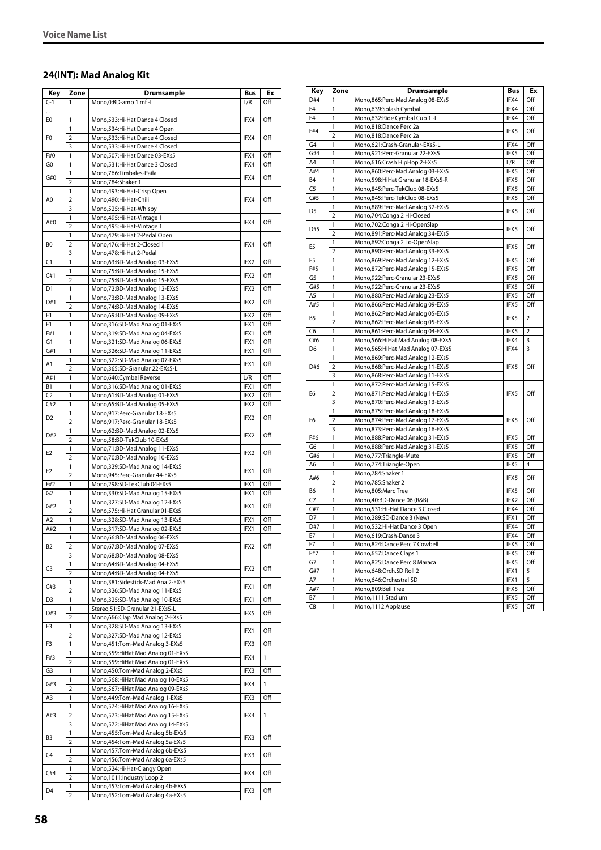### **24(INT): Mad Analog Kit**

| Key            | Zone                    | Drumsample                          | <b>Bus</b> | Ex  |
|----------------|-------------------------|-------------------------------------|------------|-----|
| $C-1$          | 1                       | Mono.0:BD-amb 1 mf -L               | L/R        | Off |
|                |                         |                                     |            |     |
| E0             | 1                       | Mono,533:Hi-Hat Dance 4 Closed      | IFX4       | Off |
|                | 1                       | Mono, 534: Hi-Hat Dance 4 Open      |            |     |
| F <sub>0</sub> | $\overline{2}$          | Mono,533:Hi-Hat Dance 4 Closed      | IFX4       | Off |
|                | 3                       | Mono,533:Hi-Hat Dance 4 Closed      |            |     |
| F#0            | 1                       | Mono,507:Hi-Hat Dance 03-EXs5       | IFX4       | Off |
| G0             | 1                       | Mono,531:Hi-Hat Dance 3 Closed      | IFX4       | Off |
|                | 1                       | Mono,766:Timbales-Paila             |            |     |
| G#0            | $\overline{2}$          | Mono,784:Shaker 1                   | IFX4       | Off |
|                | 1                       | Mono, 493: Hi-Hat-Crisp Open        |            |     |
| A0             | $\overline{2}$          | Mono,490:Hi-Hat-Chili               | IFX4       | Off |
|                | 3                       | Mono,525:Hi-Hat-Whispy              |            |     |
|                | 1                       | Mono, 495: Hi-Hat-Vintage 1         |            |     |
| A#0            | $\overline{2}$          |                                     | IFX4       | Off |
|                | $\mathbf{1}$            | Mono, 495: Hi-Hat-Vintage 1         |            |     |
|                | $\overline{2}$          | Mono, 479: Hi-Hat 2-Pedal Open      |            |     |
| B <sub>0</sub> |                         | Mono, 476: Hi-Hat 2-Closed 1        | IFX4       | Off |
|                | 3                       | Mono,478:Hi-Hat 2-Pedal             |            |     |
| C1             | 1                       | Mono,63:BD-Mad Analog 03-EXs5       | IFX2       | Off |
| C#1            | 1                       | Mono,75:BD-Mad Analog 15-EXs5       | IFX2       | Off |
|                | $\overline{2}$          | Mono,75:BD-Mad Analog 15-EXs5       |            |     |
| D1             | 1                       | Mono,72:BD-Mad Analog 12-EXs5       | IFX2       | Off |
| D#1            | 1                       | Mono, 73: BD-Mad Analog 13-EXs5     | IFX2       | Off |
|                | $\overline{2}$          | Mono,74:BD-Mad Analog 14-EXs5       |            |     |
| E1             | 1                       | Mono,69:BD-Mad Analog 09-EXs5       | IFX2       | Off |
| F1             | 1                       | Mono,316:SD-Mad Analog 01-EXs5      | IFX1       | Off |
| F#1            | 1                       | Mono, 319: SD-Mad Analog 04-EXs5    | IFX1       | Off |
| G1             | 1                       | Mono, 321: SD-Mad Analog 06-EXs5    | IFX1       | Off |
| G#1            | 1                       | Mono, 326: SD-Mad Analog 11-EXs5    | IFX1       | Off |
| Α1             | 1                       | Mono,322:SD-Mad Analog 07-EXs5      | IFX1       | Off |
|                | $\overline{2}$          | Mono,365:SD-Granular 22-EXs5-L      |            |     |
| A#1            | 1                       | Mono,640:Cymbal Reverse             | L/R        | Off |
| <b>B1</b>      | 1                       | Mono, 316: SD-Mad Analog 01-EXs5    | IFX1       | Off |
| C2             | 1                       | Mono,61:BD-Mad Analog 01-EXs5       | IFX2       | Off |
| C#2            | 1                       | Mono,65:BD-Mad Analog 05-EXs5       | IFX2       | Off |
| D <sub>2</sub> | 1                       | Mono,917:Perc-Granular 18-EXs5      | IFX2       | Off |
|                | $\overline{2}$          | Mono,917:Perc-Granular 18-EXs5      |            |     |
| D#2            | 1                       | Mono,62:BD-Mad Analog 02-EXs5       | IFX2       | Off |
|                | $\overline{2}$          | Mono,58:BD-TekClub 10-EXs5          |            |     |
|                | 1                       | Mono,71:BD-Mad Analog 11-EXs5       |            | Off |
| E2             | $\overline{2}$          | Mono,70:BD-Mad Analog 10-EXs5       | IFX2       |     |
|                | 1                       | Mono, 329: SD-Mad Analog 14-EXs5    |            |     |
| F <sub>2</sub> | $\overline{2}$          | Mono,945:Perc-Granular 44-EXs5      | IFX1       | Off |
| F#2            | 1                       | Mono,298:SD-TekClub 04-EXs5         | IFX1       | Off |
| G2             | 1                       | Mono, 330: SD-Mad Analog 15-EXs5    | IFX1       | Off |
|                | 1                       | Mono, 327: SD-Mad Analog 12-EXs5    |            | Off |
| G#2            | $\overline{2}$          | Mono,575:Hi-Hat Granular 01-EXs5    | IFX1       |     |
| A2             | 1                       | Mono, 328: SD-Mad Analog 13-EXs5    | IFX1       | Off |
| A#2            | 1                       | Mono, 317: SD-Mad Analog 02-EXs5    | IFX1       | Off |
|                | 1                       | Mono,66:BD-Mad Analog 06-EXs5       |            |     |
| B2             | $\overline{\mathbf{c}}$ | Mono,67:BD-Mad Analog 07-EXs5       | IFX2       | Off |
|                | 3                       | Mono,68:BD-Mad Analog 08-EXs5       |            |     |
|                | 1                       | Mono,64:BD-Mad Analog 04-EXs5       |            |     |
| C3             | 2                       | Mono,64:BD-Mad Analog 04-EXs5       | IFX2       | Off |
|                | 1                       | Mono, 381: Sidestick-Mad Ana 2-EXs5 |            |     |
| C#3            | $\overline{2}$          | Mono, 326: SD-Mad Analog 11-EXs5    | IFX1       | Off |
| D3             | 1                       | Mono, 325: SD-Mad Analog 10-EXs5    | IFX1       | Off |
|                | 1                       | Stereo, 51: SD-Granular 21-EXs5-L   |            |     |
| D#3            | $\overline{2}$          | Mono,666:Clap Mad Analog 2-EXs5     | IFX5       | Off |
| E3             | 1                       | Mono, 328: SD-Mad Analog 13-EXs5    |            |     |
|                | 2                       | Mono, 327: SD-Mad Analog 12-EXs5    | IFX1       | Off |
| F3             | 1                       | Mono, 451: Tom-Mad Analog 3-EXs5    | IFX3       | Off |
|                | 1                       | Mono,559: HiHat Mad Analog 01-EXs5  |            |     |
| F#3            | 2                       | Mono, 59: HiHat Mad Analog 01-EXs5  | IFX4       | 1   |
| G3             | $\mathbf{1}$            | Mono,450:Tom-Mad Analog 2-EXs5      | IFX3       | Off |
|                | $\mathbf{1}$            | Mono, 568: HiHat Mad Analog 10-EXs5 |            |     |
| G#3            | 2                       | Mono, 567: HiHat Mad Analog 09-EXs5 | IFX4       | 1   |
| A3             | 1                       | Mono, 449: Tom-Mad Analog 1-EXs5    | IFX3       | Off |
|                | 1                       | Mono, 574: HiHat Mad Analog 16-EXs5 |            |     |
| A#3            | $\overline{2}$          | Mono,573: Hi Hat Mad Analog 15-EXs5 | IFX4       | 1   |
|                | 3                       | Mono, 572: HiHat Mad Analog 14-EXs5 |            |     |
|                | 1                       | Mono,455:Tom-Mad Analog 5b-EXs5     |            |     |
| B3             | 2                       | Mono, 454: Tom-Mad Analog 5a-EXs5   | IFX3       | Off |
|                | $\mathbf{1}$            | Mono, 457: Tom-Mad Analog 6b-EXs5   |            |     |
| C4             | $\overline{2}$          |                                     | IFX3       | Off |
|                |                         | Mono, 456: Tom-Mad Analog 6a-EXs5   |            |     |
| C#4            | 1<br>$\overline{2}$     | Mono,524:Hi-Hat-Clangy Open         | IFX4       | Off |
|                |                         | Mono, 1011: Industry Loop 2         |            |     |
| D4             | 1                       | Mono,453:Tom-Mad Analog 4b-EXs5     | IFX3       | Off |
|                | 2                       | Mono,452:Tom-Mad Analog 4a-EXs5     |            |     |

| Key            | Zone                    | Drumsample                           | Bus  | Ex             |
|----------------|-------------------------|--------------------------------------|------|----------------|
| D#4            | 1                       | Mono,865:Perc-Mad Analog 08-EXs5     | IFX4 | Off            |
| E <sub>4</sub> | 1                       | Mono,639:Splash Cymbal               | IFX4 | Off            |
| F4             | 1                       | Mono, 632: Ride Cymbal Cup 1 - L     | IFX4 | Off            |
|                | 1                       | Mono,818:Dance Perc 2a               |      |                |
| F#4            | $\overline{2}$          | Mono,818:Dance Perc 2a               | IFX5 | Off            |
| G4             | 1                       | Mono,621:Crash-Granular-EXs5-L       | IFX4 | Off            |
| G#4            | 1                       | Mono,921:Perc-Granular 22-EXs5       | IFX5 | Off            |
| A4             | $\overline{1}$          | Mono,616:Crash HipHop 2-EXs5         | L/R  | Off            |
| A#4            | 1                       | Mono,860:Perc-Mad Analog 03-EXs5     | IFX5 | Off            |
| <b>B4</b>      | 1                       | Mono, 598: Hi Hat Granular 18-EXs5-R | IFX5 | Off            |
| C <sub>5</sub> | $\mathbf{1}$            | Mono,845:Perc-TekClub 08-EXs5        | IFX5 | Off            |
| C#5            | 1                       | Mono,845:Perc-TekClub 08-EXs5        | IFX5 | Off            |
|                | 1                       | Mono,889:Perc-Mad Analog 32-EXs5     |      |                |
| D5             | $\overline{\mathbf{c}}$ | Mono,704:Conga 2 Hi-Closed           | IFX5 | Off            |
|                | 1                       | Mono, 702: Conga 2 Hi-OpenSlap       |      |                |
| D#5            | $\overline{\mathbf{c}}$ | Mono,891:Perc-Mad Analog 34-EXs5     | IFX5 | Off            |
|                | 1                       | Mono,692:Conga 2 Lo-OpenSlap         |      |                |
| E5             | $\overline{2}$          | Mono,890:Perc-Mad Analog 33-EXs5     | IFX5 | Off            |
| F <sub>5</sub> | 1                       | Mono,869:Perc-Mad Analog 12-EXs5     | IFX5 | Off            |
| F#5            | 1                       | Mono,872:Perc-Mad Analog 15-EXs5     | IFX5 | Off            |
| G <sub>5</sub> | $\overline{1}$          | Mono,922:Perc-Granular 23-EXs5       | IFX5 | Off            |
| G#5            | 1                       | Mono,922:Perc-Granular 23-EXs5       | IFX5 | Off            |
| A5             | $\overline{1}$          | Mono,880:Perc-Mad Analog 23-EXs5     | IFX5 | Off            |
| A#5            | $\mathbf{1}$            | Mono,866:Perc-Mad Analog 09-EXs5     | IFX5 | Off            |
|                | 1                       | Mono,862:Perc-Mad Analog 05-EXs5     |      |                |
| B5             | $\overline{2}$          | Mono,862:Perc-Mad Analog 05-EXs5     | IFX5 | $\overline{2}$ |
| C <sub>6</sub> | 1                       | Mono,861:Perc-Mad Analog 04-EXs5     | IFX5 | $\overline{2}$ |
| C#6            | 1                       | Mono, 566: HiHat Mad Analog 08-EXs5  | IFX4 | 3              |
| D6             | 1                       | Mono, 565: HiHat Mad Analog 07-EXs5  | IFX4 | 3              |
|                | 1                       | Mono,869:Perc-Mad Analog 12-EXs5     | IFX5 |                |
| D#6            | $\overline{2}$          | Mono,868:Perc-Mad Analog 11-EXs5     |      | Off            |
|                | 3                       | Mono,868:Perc-Mad Analog 11-EXs5     |      |                |
|                | 1                       | Mono,872:Perc-Mad Analog 15-EXs5     |      |                |
| E6             | $\overline{2}$          | Mono,871:Perc-Mad Analog 14-EXs5     | IFX5 | Off            |
|                | 3                       | Mono,870:Perc-Mad Analog 13-EXs5     |      |                |
|                | $\mathbf{1}$            | Mono,875:Perc-Mad Analog 18-EXs5     |      |                |
| F6             | $\overline{2}$          | Mono,874:Perc-Mad Analog 17-EXs5     | IFX5 | Off            |
|                | 3                       | Mono,873:Perc-Mad Analog 16-EXs5     |      |                |
| F#6            | 1                       | Mono,888:Perc-Mad Analog 31-EXs5     | IFX5 | Off            |
| G <sub>6</sub> | $\overline{1}$          | Mono,888:Perc-Mad Analog 31-EXs5     | IFX5 | Off            |
| G#6            | 1                       | Mono, 777: Triangle-Mute             | IFX5 | Off            |
| A6             | 1                       | Mono, 774: Triangle-Open             | IFX5 | 4              |
|                | 1                       | Mono,784:Shaker 1                    |      |                |
| A#6            | $\overline{2}$          | Mono,785:Shaker 2                    | IFX5 | Off            |
| B6             | 1                       |                                      | IFX5 | Off            |
| C <sub>7</sub> | 1                       | Mono,805:Marc Tree                   | IFX2 | Off            |
| C#7            | 1                       | Mono, 40: BD-Dance 06 (R&B)          |      | Off            |
|                | 1                       | Mono,531:Hi-Hat Dance 3 Closed       | IFX4 |                |
| D7             |                         | Mono,289:SD-Dance 3 (New)            | IFX1 | Off            |
| D#7            | $\overline{1}$          | Mono,532:Hi-Hat Dance 3 Open         | IFX4 | Off            |
| E7             | 1                       | Mono,619:Crash-Dance 3               | IFX4 | Off            |
| F7             | 1                       | Mono,824:Dance Perc 7 Cowbell        | IFX5 | Off            |
| F#7            | 1                       | Mono, 657: Dance Claps 1             | IFX5 | Off            |
| G7             | 1                       | Mono,825:Dance Perc 8 Maraca         | IFX5 | Off            |
| G#7            | 1                       | Mono,648:Orch.SD Roll 2              | IFX1 | 5              |
| A7             | 1                       | Mono,646:Orchestral SD               | IFX1 | 5              |
| A#7            | 1                       | Mono,809:Bell Tree                   | IFX5 | Off            |
| <b>B7</b>      | $\mathbf{1}$            | Mono, 1111: Stadium                  | IFX5 | Off            |
| C <sub>8</sub> | 1                       | Mono, 1112: Applause                 | IFX5 | Off            |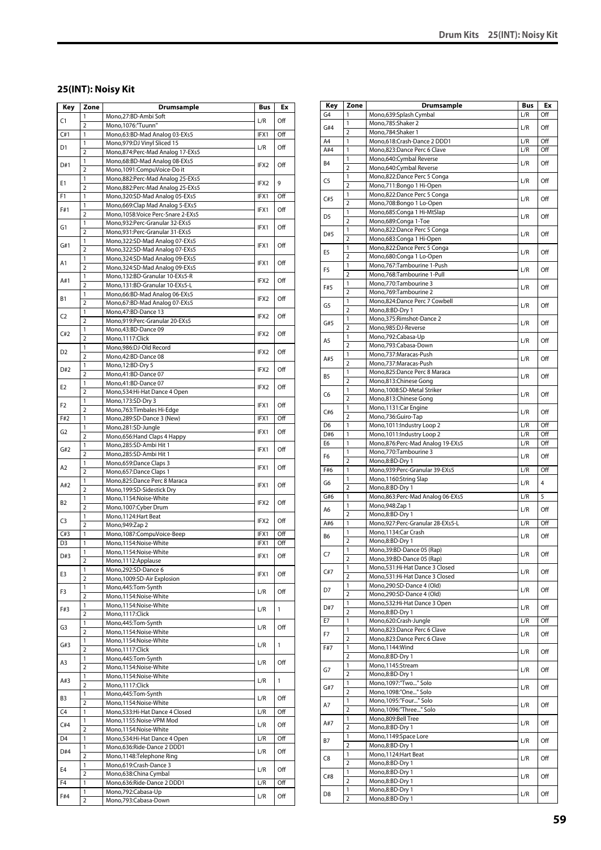# **25(INT): Noisy Kit**

| Key            | Zone                         | <b>Drumsample</b>                                                      | Bus              | Ex           |
|----------------|------------------------------|------------------------------------------------------------------------|------------------|--------------|
| C1             | 1                            | Mono.27:BD-Ambi Soft                                                   | L/R              | Off          |
|                | $\overline{2}$               | Mono, 1076:"Tuunn"                                                     |                  |              |
| C#1            | 1<br>1                       | Mono,63:BD-Mad Analog 03-EXs5<br>Mono, 979: DJ Vinyl Sliced 15         | IFX1             | Off          |
| D1             | $\overline{2}$               | Mono,874:Perc-Mad Analog 17-EXs5                                       | L/R              | Off          |
|                | 1                            | Mono, 68: BD-Mad Analog 08-EXs5                                        |                  |              |
| D#1            | $\overline{2}$               | Mono,1091:CompuVoice-Do it                                             | IFX2             | Off          |
| Ε1             | 1                            | Mono,882:Perc-Mad Analog 25-EXs5                                       | IFX2             | 9            |
|                | $\overline{2}$               | Mono,882:Perc-Mad Analog 25-EXs5                                       |                  |              |
| F1             | 1                            | Mono,320:SD-Mad Analog 05-EXs5                                         | IFX1             | Off          |
| F#1            | 1<br>$\overline{2}$          | Mono,669:Clap Mad Analog 5-EXs5<br>Mono, 1058: Voice Perc-Snare 2-EXs5 | IFX1             | Off          |
|                | 1                            | Mono,932:Perc-Granular 32-EXs5                                         |                  |              |
| G1             | $\overline{2}$               | Mono,931:Perc-Granular 31-EXs5                                         | IFX1             | Off          |
| G#1            | 1                            | Mono, 322: SD-Mad Analog 07-EXs5                                       | IFX1             | Off          |
|                | $\overline{2}$               | Mono, 322: SD-Mad Analog 07-EXs5                                       |                  |              |
| Α1             | 1<br>$\overline{2}$          | Mono, 324: SD-Mad Analog 09-EXs5<br>Mono, 324: SD-Mad Analog 09-EXs5   | IFX1             | Off          |
|                | 1                            | Mono,132:BD-Granular 10-EXs5-R                                         |                  |              |
| A#1            | $\overline{2}$               | Mono, 131:BD-Granular 10-EXs5-L                                        | IFX2             | Off          |
| В1             | 1                            | Mono, 66: BD-Mad Analog 06-EXs5                                        | IFX2             | Off          |
|                | $\overline{2}$               | Mono,67:BD-Mad Analog 07-EXs5                                          |                  |              |
| C <sub>2</sub> | 1                            | Mono, 47: BD-Dance 13                                                  | IFX2             | Off          |
|                | $\overline{2}$<br>1          | Mono,919:Perc-Granular 20-EXs5                                         |                  |              |
| C#2            | $\overline{2}$               | Mono,43:BD-Dance 09<br>Mono, 1117: Click                               | IFX2             | Off          |
|                | 1                            | Mono,986:DJ-Old Record                                                 |                  |              |
| D2             | $\overline{2}$               | Mono,42:BD-Dance 08                                                    | IFX2             | Off          |
| D#2            | 1                            | Mono, 12:BD-Dry 5                                                      | IFX2             | Off          |
|                | $\overline{2}$               | Mono,41:BD-Dance 07                                                    |                  |              |
| E2             | 1                            | Mono,41:BD-Dance 07                                                    | IFX <sub>2</sub> | Off          |
|                | $\overline{2}$<br>1          | Mono, 534: Hi-Hat Dance 4 Open<br>Mono, 173: SD-Dry 3                  |                  |              |
| F2             | 2                            | Mono, 763: Timbales Hi-Edge                                            | IFX1             | Off          |
| F#2            | 1                            | Mono,289:SD-Dance 3 (New)                                              | IFX1             | Off          |
| G <sub>2</sub> | 1                            | Mono,281:SD-Jungle                                                     | IFX1             | Off          |
|                | $\overline{2}$               | Mono, 656: Hand Claps 4 Happy                                          |                  |              |
| G#2            | 1                            | Mono,285:SD-Ambi Hit 1                                                 | IFX1             | Off          |
|                | $\overline{2}$<br>1          | Mono,285:SD-Ambi Hit 1<br>Mono, 659: Dance Claps 3                     |                  |              |
| A2             | $\overline{2}$               | Mono,657:Dance Claps 1                                                 | IFX1             | Off          |
|                | 1                            | Mono,825:Dance Perc 8 Maraca                                           |                  |              |
| A#2            | $\overline{2}$               | Mono, 199: SD-Sidestick Dry                                            | IFX1             | Off          |
| B2             | 1                            | Mono,1154:Noise-White                                                  | IFX2             | Off          |
|                | $\overline{2}$<br>1          | Mono, 1007: Cyber Drum                                                 |                  |              |
| C3             | $\overline{2}$               | Mono, 1124: Hart Beat<br>Mono, 949: Zap 2                              | IFX2             | Off          |
| C#3            | 1                            | Mono,1087:CompuVoice-Beep                                              | IFX1             | Off          |
| D <sub>3</sub> | 1                            | Mono,1154:Noise-White                                                  | IFX1             | Off          |
| D#3            | 1                            | Mono,1154:Noise-White                                                  | IFX1             | Off          |
|                | $\overline{2}$               | Mono, 1112: Applause                                                   |                  |              |
| E3             | 1                            | Mono,292:SD-Dance 6                                                    | IFX1             | Off          |
|                | 2<br>1                       | Mono, 1009: SD-Air Explosion<br>Mono, 445: Tom-Synth                   |                  |              |
| F3             | $\overline{2}$               | Mono,1154:Noise-White                                                  | L/R              | Off          |
|                | 1                            | Mono,1154:Noise-White                                                  |                  |              |
| F#3            | $\overline{2}$               | Mono,1117:Click                                                        | L/R              | $\mathbf{1}$ |
| G3             | 1                            | Mono,445:Tom-Synth                                                     | L/R              | Off          |
|                | $\overline{2}$               | Mono,1154:Noise-White                                                  |                  |              |
| G#3            | 1<br>$\overline{2}$          | Mono,1154:Noise-White<br>Mono, 1117: Click                             | L/R              | $\mathbf{1}$ |
|                | 1                            | Mono, 445: Tom-Synth                                                   |                  |              |
| A3             | $\overline{2}$               | Mono,1154:Noise-White                                                  | L/R              | Off          |
| A#3            | 1                            | Mono,1154:Noise-White                                                  | L/R              | 1            |
|                | $\overline{\mathbf{2}}$      | Mono,1117:Click                                                        |                  |              |
| B3             | 1                            | Mono, 445: Tom-Synth                                                   | L/R              | Off          |
| C4             | $\overline{\mathbf{2}}$<br>1 | Mono,1154:Noise-White<br>Mono,533:Hi-Hat Dance 4 Closed                | L/R              | Off          |
|                | 1                            | Mono,1155:Noise-VPM Mod                                                |                  |              |
| C#4            | $\overline{2}$               | Mono,1154:Noise-White                                                  | L/R              | Off          |
| D4             | 1                            | Mono,534:Hi-Hat Dance 4 Open                                           | L/R              | Off          |
| D#4            | 1                            | Mono,636:Ride-Dance 2 DDD1                                             | L/R              | Off          |
|                | $\overline{2}$               | Mono,1148:Telephone Ring                                               |                  |              |
| E4             | 1                            | Mono,619:Crash-Dance 3                                                 | L/R              | Off          |
| F4             | $\overline{2}$<br>1          | Mono,638:China Cymbal<br>Mono,636:Ride-Dance 2 DDD1                    | L/R              | Off          |
|                | 1                            | Mono,792:Cabasa-Up                                                     |                  |              |
| F#4            | $\overline{2}$               | Mono,793:Cabasa-Down                                                   | L/R              | Off          |
|                |                              |                                                                        |                  |              |

| Key            | Zone                    | Drumsample                                               | Bus | Ex  |
|----------------|-------------------------|----------------------------------------------------------|-----|-----|
| G4             | 1                       | Mono,639:Splash Cymbal                                   | L/R | Off |
| G#4            | 1                       | Mono,785:Shaker 2                                        |     |     |
|                | $\overline{2}$          | Mono,784:Shaker 1                                        | L/R | Off |
| A4             | 1                       | Mono,618:Crash-Dance 2 DDD1                              | L/R | Off |
| A#4            | 1                       | Mono,823:Dance Perc 6 Clave                              | L/R | Off |
| B4             | 1                       | Mono,640:Cymbal Reverse                                  | L/R | Off |
|                | $\overline{2}$          | Mono,640:Cymbal Reverse                                  |     |     |
| C5             | 1<br>$\overline{2}$     | Mono,822:Dance Perc 5 Conga<br>Mono,711:Bongo 1 Hi-Open  | L/R | Off |
|                | 1                       | Mono,822:Dance Perc 5 Conga                              |     |     |
| C#5            | $\overline{2}$          | Mono,708:Bongo 1 Lo-Open                                 | L/R | Off |
|                | 1                       | Mono,685:Conga 1 Hi-MtSlap                               |     |     |
| D <sub>5</sub> | $\overline{2}$          | Mono,689:Conga 1-Toe                                     | L/R | Off |
|                | 1                       | Mono,822:Dance Perc 5 Conga                              |     |     |
| D#5            | $\overline{2}$          | Mono,683:Conga 1 Hi-Open                                 | L/R | Off |
| E5             | 1                       | Mono,822:Dance Perc 5 Conga                              | L/R | Off |
|                | $\overline{2}$          | Mono,680:Conga 1 Lo-Open                                 |     |     |
| F5             | 1                       | Mono,767:Tambourine 1-Push                               | L/R | Off |
|                | $\overline{2}$          | Mono,768:Tambourine 1-Pull                               |     |     |
| F#5            | 1<br>$\overline{2}$     | Mono,770:Tambourine 3                                    | L/R | Off |
|                | 1                       | Mono, 769: Tambourine 2<br>Mono,824:Dance Perc 7 Cowbell |     |     |
| G5             | $\overline{2}$          | Mono,8:BD-Dry 1                                          | L/R | Off |
|                | 1                       | Mono, 375: Rimshot-Dance 2                               |     |     |
| G#5            | $\overline{2}$          | Mono,985:DJ-Reverse                                      | L/R | Off |
|                | 1                       | Mono,792:Cabasa-Up                                       |     |     |
| A5             | 2                       | Mono,793:Cabasa-Down                                     | L/R | Off |
| A#5            | 1                       | Mono,737:Maracas-Push                                    | L/R | Off |
|                | $\overline{2}$          | Mono,737:Maracas-Push                                    |     |     |
| B5             | 1                       | Mono,825:Dance Perc 8 Maraca                             | L/R | Off |
|                | $\overline{2}$          | Mono,813:Chinese Gong                                    |     |     |
| C6             | 1                       | Mono,1008:SD-Metal Striker                               | L/R | Off |
|                | $\overline{2}$<br>1     | Mono,813:Chinese Gong                                    |     |     |
| C#6            | $\overline{2}$          | Mono,1131:Car Engine<br>Mono,736:Guiro-Tap               | L/R | Off |
| D <sub>6</sub> | 1                       | Mono, 1011: Industry Loop 2                              | L/R | Off |
| D#6            | 1                       | Mono, 1011: Industry Loop 2                              | L/R | Off |
| E6             | 1                       | Mono,876:Perc-Mad Analog 19-EXs5                         | L/R | Off |
|                | 1                       | Mono,770:Tambourine 3                                    |     |     |
| F6             | $\overline{2}$          | Mono,8:BD-Dry 1                                          | L/R | Off |
| F#6            | 1                       | Mono,939:Perc-Granular 39-EXs5                           | L/R | Off |
| G6             | 1                       | Mono,1160:String Slap                                    | L/R | 4   |
|                | $\overline{2}$          | Mono,8:BD-Dry 1                                          |     |     |
| G#6            | 1                       | Mono,863:Perc-Mad Analog 06-EXs5                         | L/R | 5   |
| A6             | 1<br>$\overline{2}$     | Mono, 948: Zap 1                                         | L/R | Off |
| A#6            | 1                       | Mono,8:BD-Dry 1<br>Mono,927:Perc-Granular 28-EXs5-L      | L/R | Off |
|                | 1                       | Mono,1134:Car Crash                                      |     |     |
| B6             | 2                       | Mono,8:BD-Dry 1                                          | L/R | Off |
|                | 1                       | Mono.39:BD-Dance 05 (Rap)                                |     |     |
| C7             | $\overline{2}$          | Mono, 39: BD-Dance 05 (Rap)                              | L/R | Off |
|                | 1                       | Mono,531:Hi-Hat Dance 3 Closed                           |     |     |
| C#7            | $\overline{2}$          | Mono,531:Hi-Hat Dance 3 Closed                           | L/R | Off |
| D7             | 1                       | Mono,290:SD-Dance 4 (Old)                                | L/R | Off |
|                | $\overline{2}$          | Mono,290:SD-Dance 4 (Old)                                |     |     |
| D#7            | 1                       | Mono,532:Hi-Hat Dance 3 Open                             | L/R | Off |
|                | $\overline{2}$          | Mono,8:BD-Dry 1                                          |     |     |
| E7             | 1<br>1                  | Mono,620:Crash-Jungle<br>Mono,823:Dance Perc 6 Clave     | L/R | Off |
| F7             | $\overline{2}$          | Mono,823:Dance Perc 6 Clave                              | L/R | Off |
| F#7            | 1                       | Mono,1144:Wind                                           |     |     |
|                | $\overline{2}$          | Mono,8:BD-Dry 1                                          | L/R | Off |
|                | 1                       | Mono,1145:Stream                                         |     |     |
| G7             | $\overline{2}$          | Mono,8:BD-Dry 1                                          | L/R | Off |
| G#7            | 1                       | Mono,1097:"Two" Solo                                     | L/R | Off |
|                | $\overline{2}$          | Mono,1098:"One" Solo                                     |     |     |
| A7             | 1                       | Mono,1095:"Four" Solo                                    | L/R | Off |
|                | $\overline{2}$          | Mono,1096:"Three" Solo                                   |     |     |
| A#7            | 1                       | Mono,809:Bell Tree                                       | L/R | Off |
|                | $\overline{2}$          | Mono,8:BD-Dry 1                                          |     |     |
| В7             | 1<br>$\overline{2}$     | Mono, 1149: Space Lore                                   | L/R | Off |
|                | 1                       | Mono,8:BD-Dry 1                                          |     |     |
| C8             | $\overline{\mathbf{c}}$ | Mono,1124: Hart Beat<br>Mono,8:BD-Dry 1                  | L/R | Off |
|                | 1                       | Mono,8:BD-Dry 1                                          |     |     |
| C#8            | $\overline{2}$          | Mono,8:BD-Dry 1                                          | L/R | Off |
|                | 1                       | Mono,8:BD-Dry 1                                          |     |     |
| D8             | $\overline{2}$          | Mono,8:BD-Dry 1                                          | L/R | Off |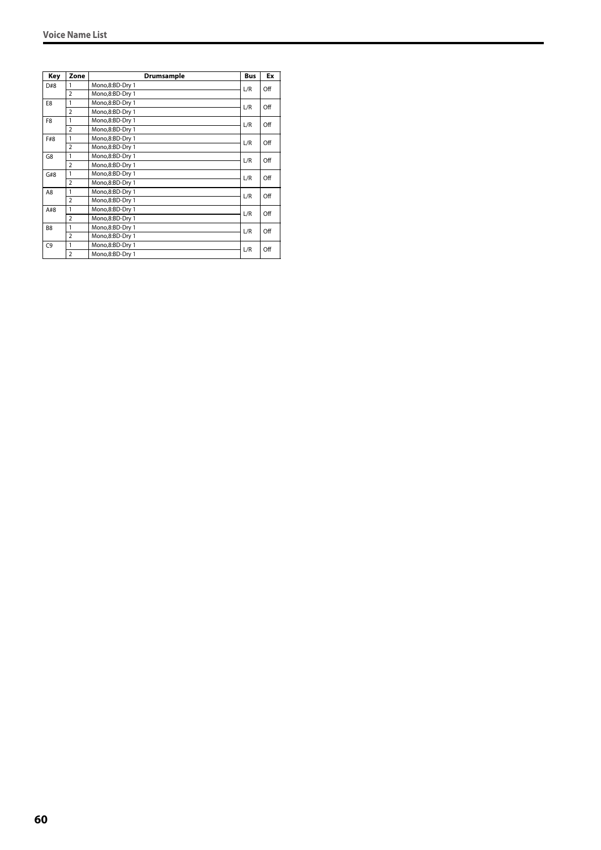| Key            | Zone           | Drumsample      | <b>Bus</b> | Ex  |
|----------------|----------------|-----------------|------------|-----|
| D#8            | 1              | Mono,8:BD-Dry 1 | L/R        | Off |
|                | $\overline{2}$ | Mono,8:BD-Dry 1 |            |     |
| E8             | 1              | Mono,8:BD-Dry 1 | L/R        | Off |
|                | $\overline{2}$ | Mono,8:BD-Dry 1 |            |     |
| F <sub>8</sub> | 1              | Mono,8:BD-Dry 1 | L/R        | Off |
|                | $\overline{2}$ | Mono,8:BD-Dry 1 |            |     |
| F#8            | 1              | Mono,8:BD-Dry 1 | L/R        | Off |
|                | $\overline{2}$ | Mono,8:BD-Dry 1 |            |     |
| G8             | 1              | Mono,8:BD-Dry 1 | L/R        | Off |
|                | $\overline{2}$ | Mono,8:BD-Dry 1 |            |     |
| G#8            | 1              | Mono,8:BD-Dry 1 | L/R        | Off |
|                | $\overline{2}$ | Mono,8:BD-Dry 1 |            |     |
| A8             | 1              | Mono,8:BD-Dry 1 | L/R        | Off |
|                | $\overline{2}$ | Mono,8:BD-Dry 1 |            |     |
| A#8            | 1              | Mono,8:BD-Dry 1 | L/R        | Off |
|                | $\overline{2}$ | Mono,8:BD-Dry 1 |            |     |
| B <sub>8</sub> | 1              | Mono,8:BD-Dry 1 | L/R        | Off |
|                | $\overline{2}$ | Mono,8:BD-Dry 1 |            |     |
| C <sub>9</sub> | 1              | Mono,8:BD-Dry 1 | L/R        | Off |
|                | $\overline{2}$ | Mono,8:BD-Dry 1 |            |     |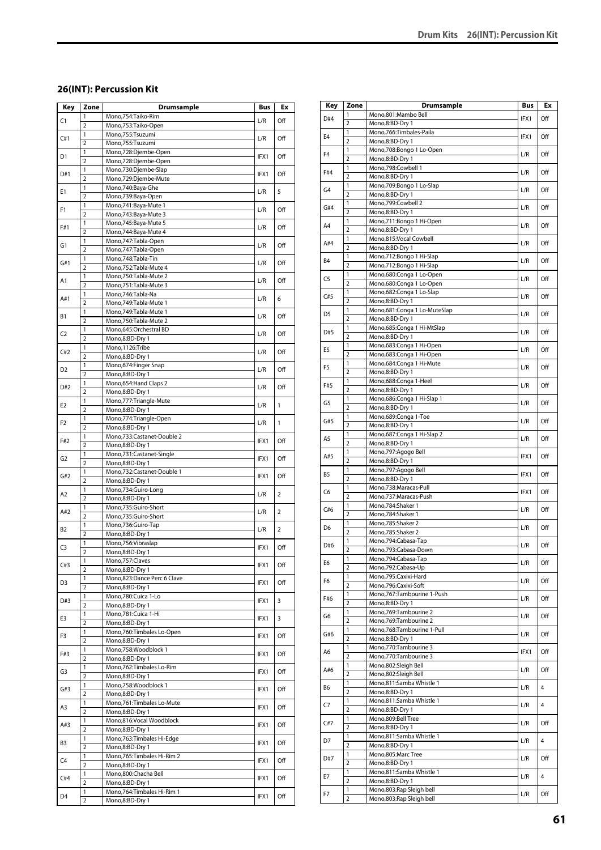#### **26(INT): Percussion Kit**

| Key            | Zone                | <b>Drumsample</b>                                  | Bus  | Ex             |
|----------------|---------------------|----------------------------------------------------|------|----------------|
| C1             | 1                   | Mono,754:Taiko-Rim                                 | L/R  | Off            |
|                | $\overline{2}$      | Mono,753:Taiko-Open                                |      |                |
| C#1            | 1                   | Mono,755:Tsuzumi                                   | L/R  | Off            |
|                | $\overline{2}$<br>1 | Mono,755:Tsuzumi                                   |      |                |
| D1             | $\overline{2}$      | Mono,728:Djembe-Open<br>Mono,728:Djembe-Open       | IFX1 | Off            |
|                | 1                   | Mono,730:Djembe-Slap                               |      |                |
| D#1            | $\overline{2}$      | Mono,729:Djembe-Mute                               | IFX1 | Off            |
| Ε1             | 1                   | Mono,740:Baya-Ghe                                  | L/R  | 5              |
|                | $\overline{2}$      | Mono,739:Baya-Open                                 |      |                |
| F1             | 1                   | Mono, 741: Baya-Mute 1                             | L/R  | Off            |
|                | $\overline{2}$      | Mono, 743: Baya-Mute 3                             |      |                |
| F#1            | 1<br>$\overline{2}$ | Mono, 745: Baya-Mute 5<br>Mono, 744: Baya-Mute 4   | L/R  | Off            |
|                | 1                   | Mono, 747: Tabla-Open                              |      |                |
| G1             | $\overline{2}$      | Mono,747:Tabla-Open                                | L/R  | Off            |
|                | 1                   | Mono,748:Tabla-Tin                                 |      |                |
| G#1            | $\overline{2}$      | Mono, 752: Tabla-Mute 4                            | L/R  | Off            |
| A1             | 1                   | Mono,750:Tabla-Mute 2                              | L/R  | Off            |
|                | $\overline{2}$      | Mono, 751: Tabla-Mute 3                            |      |                |
| A#1            | 1<br>$\overline{2}$ | Mono, 746: Tabla-Na                                | L/R  | 6              |
|                | 1                   | Mono, 749: Tabla-Mute 1<br>Mono, 749: Tabla-Mute 1 |      |                |
| <b>B1</b>      | $\overline{2}$      | Mono,750:Tabla-Mute 2                              | L/R  | Off            |
|                | 1                   | Mono,645:Orchestral BD                             |      |                |
| C <sub>2</sub> | $\overline{2}$      | Mono,8:BD-Dry 1                                    | L/R  | Off            |
| C#2            | 1                   | Mono,1126:Tribe                                    | L/R  | Off            |
|                | $\overline{2}$      | Mono,8:BD-Dry 1                                    |      |                |
| D2             | 1                   | Mono, 674: Finger Snap                             | L/R  | Off            |
|                | $\overline{2}$<br>1 | Mono,8:BD-Dry 1                                    |      |                |
| D#2            | $\overline{2}$      | Mono, 654: Hand Claps 2<br>Mono,8:BD-Dry 1         | L/R  | Off            |
|                | 1                   | Mono,777:Triangle-Mute                             |      |                |
| E2             | $\overline{2}$      | Mono,8:BD-Dry 1                                    | L/R  | 1              |
| F <sub>2</sub> | 1                   | Mono,774:Triangle-Open                             | L/R  | 1              |
|                | $\overline{2}$      | Mono,8:BD-Dry 1                                    |      |                |
| F#2            | 1                   | Mono,733:Castanet-Double 2                         | IFX1 | Off            |
|                | $\overline{2}$      | Mono,8:BD-Dry 1                                    |      |                |
| G2             | 1<br>$\overline{2}$ | Mono,731:Castanet-Single<br>Mono,8:BD-Dry 1        | IFX1 | Off            |
|                | 1                   | Mono,732:Castanet-Double 1                         |      |                |
| G#2            | $\overline{2}$      | Mono,8:BD-Dry 1                                    | IFX1 | Off            |
| A <sub>2</sub> | 1                   | Mono,734:Guiro-Long                                |      | $\overline{2}$ |
|                | $\overline{2}$      | Mono,8:BD-Dry 1                                    | L/R  |                |
| A#2            | 1                   | Mono,735:Guiro-Short                               | L/R  | $\overline{2}$ |
|                | $\overline{2}$      | Mono,735:Guiro-Short                               |      |                |
| B2             | 1<br>$\overline{2}$ | Mono,736:Guiro-Tap<br>Mono,8:BD-Dry 1              | L/R  | $\overline{2}$ |
|                | 1                   | Mono,756:Vibraslap                                 |      |                |
| C <sub>3</sub> | $\overline{2}$      | Mono,8:BD-Dry 1                                    | IFX1 | Off            |
| C#3            | 1                   | Mono, 757: Claves                                  | IFX1 | Off            |
|                | $\overline{2}$      | Mono,8:BD-Dry 1                                    |      |                |
| D3             | 1                   | Mono,823:Dance Perc 6 Clave                        | IFX1 | Off            |
|                | $\overline{2}$<br>1 | Mono,8:BD-Dry 1<br>Mono,780:Cuica 1-Lo             |      |                |
| D#3            | $\overline{2}$      | Mono,8:BD-Dry 1                                    | IFX1 | 3              |
|                | $\mathbf{1}$        | Mono,781:Cuica 1-Hi                                |      |                |
| E3             | 2                   | Mono,8:BD-Dry 1                                    | IFX1 | 3              |
| F3             | 1                   | Mono,760:Timbales Lo-Open                          | IFX1 | Off            |
|                | $\overline{2}$      | Mono,8:BD-Dry 1                                    |      |                |
| F#3            | 1                   | Mono,758:Woodblock 1                               | IFX1 | Off            |
|                | $\overline{2}$<br>1 | Mono,8:BD-Dry 1<br>Mono, 762: Timbales Lo-Rim      |      |                |
| G3             | $\overline{2}$      | Mono,8:BD-Dry 1                                    | IFX1 | Off            |
|                | 1                   | Mono,758:Woodblock 1                               |      |                |
| G#3            | $\overline{2}$      | Mono,8:BD-Dry 1                                    | IFX1 | Off            |
| A3             | 1                   | Mono,761:Timbales Lo-Mute                          | IFX1 | Off            |
|                | $\overline{2}$      | Mono,8:BD-Dry 1                                    |      |                |
| A#3            | 1                   | Mono,816:Vocal Woodblock                           | IFX1 | Off            |
|                | $\overline{2}$      | Mono,8:BD-Dry 1<br>Mono, 763: Timbales Hi-Edge     |      |                |
| B3             | 1<br>$\overline{2}$ | Mono,8:BD-Dry 1                                    | IFX1 | Off            |
|                | 1                   | Mono, 765: Timbales Hi-Rim 2                       |      |                |
| C4             | $\overline{2}$      | Mono,8:BD-Dry 1                                    | IFX1 | Off            |
| C#4            | 1                   | Mono,800:Chacha Bell                               | IFX1 | Off            |
|                | $\overline{2}$      | Mono,8:BD-Dry 1                                    |      |                |
| D4             | 1                   | Mono, 764: Timbales Hi-Rim 1                       | IFX1 | Off            |
|                | 2                   | Mono,8:BD-Dry 1                                    |      |                |

| Key            | Zone                    | <b>Drumsample</b>                                    | Bus  | Ex             |
|----------------|-------------------------|------------------------------------------------------|------|----------------|
| D#4            | 1                       | Mono,801:Mambo Bell                                  | IFX1 | Off            |
|                | $\overline{2}$          | Mono,8:BD-Dry 1                                      |      |                |
| E <sub>4</sub> | 1<br>$\overline{2}$     | Mono,766:Timbales-Paila                              | IFX1 | Off            |
|                | 1                       | Mono,8:BD-Dry 1<br>Mono,708:Bongo 1 Lo-Open          |      |                |
| F <sub>4</sub> | $\overline{2}$          | Mono,8:BD-Dry 1                                      | L/R  | Off            |
|                | 1                       | Mono,798:Cowbell 1                                   |      |                |
| F#4            | $\overline{2}$          | Mono,8:BD-Dry 1                                      | L/R  | Off            |
| G4             | 1                       | Mono,709:Bongo 1 Lo-Slap                             | L/R  | Off            |
|                | $\overline{2}$          | Mono,8:BD-Dry 1                                      |      |                |
| G#4            | 1<br>$\overline{2}$     | Mono,799:Cowbell 2<br>Mono,8:BD-Dry 1                | L/R  | Off            |
|                | 1                       | Mono,711:Bongo 1 Hi-Open                             |      |                |
| A4             | 2                       | Mono,8:BD-Dry 1                                      | L/R  | Off            |
|                | 1                       | Mono,815:Vocal Cowbell                               |      |                |
| A#4            | $\overline{2}$          | Mono,8:BD-Dry 1                                      | L/R  | Off            |
| B4             | 1                       | Mono,712:Bongo 1 Hi-Slap                             | L/R  | Off            |
|                | $\overline{2}$          | Mono,712:Bongo 1 Hi-Slap                             |      |                |
| C5             | 1                       | Mono,680:Conga 1 Lo-Open                             | L/R  | Off            |
|                | $\overline{2}$<br>1     | Mono,680:Conga 1 Lo-Open<br>Mono,682:Conga 1 Lo-Slap |      |                |
| C#5            | 2                       | Mono,8:BD-Dry 1                                      | L/R  | Off            |
|                | 1                       | Mono,681:Conga 1 Lo-MuteSlap                         |      |                |
| D <sub>5</sub> | $\overline{2}$          | Mono,8:BD-Dry 1                                      | L/R  | Off            |
| D#5            | 1                       | Mono,685:Conga 1 Hi-MtSlap                           | L/R  | Off            |
|                | $\overline{2}$          | Mono,8:BD-Dry 1                                      |      |                |
| E5             | 1                       | Mono,683:Conga 1 Hi-Open                             | L/R  | Off            |
|                | $\overline{2}$          | Mono,683:Conga 1 Hi-Open                             |      |                |
| F5             | 1<br>$\overline{2}$     | Mono,684:Conga 1 Hi-Mute                             | L/R  | Off            |
|                | 1                       | Mono,8:BD-Dry 1<br>Mono,688:Conga 1-Heel             |      |                |
| F#5            | 2                       | Mono,8:BD-Dry 1                                      | L/R  | Off            |
|                | 1                       | Mono,686:Conga 1 Hi-Slap 1                           |      |                |
| G5             | $\overline{2}$          | Mono,8:BD-Dry 1                                      | L/R  | Off            |
| G#5            | 1                       | Mono,689:Conga 1-Toe                                 | L/R  | Off            |
|                | $\overline{2}$          | Mono,8:BD-Dry 1                                      |      |                |
| A5             | 1                       | Mono,687:Conga 1 Hi-Slap 2                           | L/R  | Off            |
|                | 2<br>1                  | Mono,8:BD-Dry 1                                      |      |                |
| A#5            | $\overline{2}$          | Mono,797:Agogo Bell<br>Mono,8:BD-Dry 1               | IFX1 | Off            |
|                | 1                       | Mono,797:Agogo Bell                                  |      |                |
| B5             | $\overline{2}$          | Mono,8:BD-Dry 1                                      | IFX1 | Off            |
| C6             | 1                       | Mono,738:Maracas-Pull                                | IFX1 | Off            |
|                | $\overline{2}$          | Mono,737:Maracas-Push                                |      |                |
| C#6            | 1                       | Mono,784:Shaker 1                                    | L/R  | Off            |
|                | $\overline{2}$          | Mono,784:Shaker 1                                    |      |                |
| D6             | 1<br>$\overline{2}$     | Mono,785:Shaker 2<br>Mono,785:Shaker 2               | L/R  | Off            |
|                | 1                       | Mono,794:Cabasa-Tap                                  |      |                |
| D#6            | $\overline{2}$          | Mono,793:Cabasa-Down                                 | L/R  | Off            |
|                | 1                       | Mono, 794: Cabasa-Tap                                | L/R  | Off            |
| E6             | 2                       | Mono,792:Cabasa-Up                                   |      |                |
| F6             | 1                       | Mono,795:Caxixi-Hard                                 | L/R  | Off            |
|                | $\overline{2}$          | Mono,796:Caxixi-Soft                                 |      |                |
| F#6            | 1<br>$\overline{2}$     | Mono,767:Tambourine 1-Push<br>Mono,8:BD-Dry 1        | L/R  | Off            |
|                | 1                       | Mono, 769: Tambourine 2                              |      |                |
| G6             | $\overline{2}$          | Mono, 769: Tambourine 2                              | L/R  | Off            |
|                | 1                       | Mono,768:Tambourine 1-Pull                           |      |                |
| G#6            | $\overline{2}$          | Mono,8:BD-Dry 1                                      | L/R  | Off            |
| A6             | 1                       | Mono,770:Tambourine 3                                | IFX1 | Off            |
|                | $\overline{\mathbf{c}}$ | Mono,770:Tambourine 3                                |      |                |
| A#6            | 1                       | Mono,802:Sleigh Bell                                 | L/R  | Off            |
|                | 2                       | Mono,802:Sleigh Bell                                 |      |                |
| В6             | 1<br>2                  | Mono,811:Samba Whistle 1<br>Mono,8:BD-Dry 1          | L/R  | $\overline{4}$ |
|                | 1                       | Mono,811:Samba Whistle 1                             |      |                |
| С7             | 2                       | Mono,8:BD-Dry 1                                      | L/R  | 4              |
|                | 1                       | Mono,809:Bell Tree                                   |      |                |
| C#7            | 2                       | Mono,8:BD-Dry 1                                      | L/R  | Off            |
| D7             | 1                       | Mono,811:Samba Whistle 1                             | L/R  | 4              |
|                | $\overline{2}$          | Mono,8:BD-Dry 1                                      |      |                |
| D#7            | 1<br>$\overline{2}$     | Mono,805:Marc Tree<br>Mono,8:BD-Dry 1                | L/R  | Off            |
|                | 1                       | Mono,811:Samba Whistle 1                             |      |                |
| E7             | 2                       | Mono,8:BD-Dry 1                                      | L/R  | 4              |
|                | 1                       | Mono,803:Rap Sleigh bell                             |      |                |
| F7             | 2                       | Mono,803:Rap Sleigh bell                             | L/R  | Off            |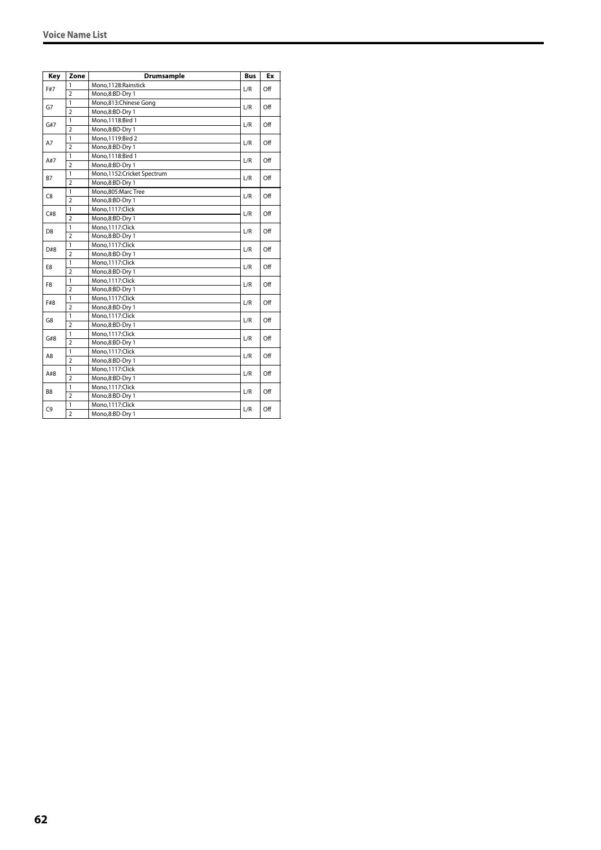| Key            | Zone           | <b>Drumsample</b>          | <b>Bus</b> | Ex  |
|----------------|----------------|----------------------------|------------|-----|
|                | 1              | Mono,1128: Rainstick       |            |     |
| F#7            | $\overline{2}$ | Mono,8:BD-Dry 1            | L/R        | Off |
|                | 1              | Mono,813:Chinese Gong      | L/R        | Off |
| G7             | $\overline{2}$ | Mono,8:BD-Dry 1            |            |     |
|                | $\mathbf{1}$   | Mono, 1118: Bird 1         |            |     |
| G#7            | $\overline{2}$ | Mono,8:BD-Dry 1            | L/R        | Off |
| A7             | 1              | Mono, 1119: Bird 2         |            | Off |
|                | $\overline{2}$ | Mono,8:BD-Dry 1            | L/R        |     |
| A#7            | 1              | Mono, 1118: Bird 1         | L/R        |     |
|                | $\overline{2}$ | Mono,8:BD-Dry 1            |            | Off |
| <b>B7</b>      | 1              | Mono,1152:Cricket Spectrum |            | Off |
|                | $\overline{2}$ | Mono,8:BD-Dry 1            | L/R        |     |
| C8             | 1              | Mono.805:Marc Tree         |            |     |
|                | $\overline{2}$ | Mono,8:BD-Dry 1            | L/R        | Off |
| C#8            | 1              | Mono,1117:Click            |            |     |
|                | $\overline{2}$ | Mono,8:BD-Dry 1            | L/R        | Off |
| D <sub>8</sub> | $\mathbf{1}$   | Mono,1117:Click            | L/R        |     |
|                | $\overline{2}$ | Mono,8:BD-Dry 1            |            | Off |
| D#8            | $\mathbf{1}$   | Mono,1117:Click            | L/R        | Off |
|                | $\overline{2}$ | Mono,8:BD-Dry 1            |            |     |
|                | 1              | Mono,1117:Click            |            | Off |
| E8             | $\overline{2}$ | Mono,8:BD-Dry 1            | L/R        |     |
|                | 1              | Mono,1117:Click            |            |     |
| F8             | $\overline{2}$ | Mono,8:BD-Dry 1            | L/R        | Off |
|                | $\mathbf{1}$   | Mono,1117:Click            |            |     |
| F#8            | $\overline{2}$ | Mono,8:BD-Dry 1            | L/R        | Off |
|                | $\mathbf{1}$   | Mono,1117:Click            |            |     |
| G8             | $\overline{2}$ | Mono,8:BD-Dry 1            | L/R        | Off |
|                | 1              | Mono,1117:Click            |            |     |
| G#8            | $\overline{2}$ | Mono,8:BD-Dry 1            | L/R        | Off |
|                | 1              | Mono,1117:Click            |            |     |
| A8             | $\overline{2}$ | Mono,8:BD-Dry 1            | L/R        | Off |
|                | $\mathbf{1}$   | Mono,1117:Click            |            |     |
| A#8            | $\overline{2}$ | Mono,8:BD-Dry 1            | L/R        | Off |
|                | 1              | Mono, 1117: Click          |            |     |
| B <sub>8</sub> | $\overline{2}$ | Mono,8:BD-Dry 1            | L/R        | Off |
|                | 1              | Mono,1117:Click            |            |     |
| C <sub>9</sub> | $\overline{2}$ | Mono,8:BD-Dry 1            | L/R        | Off |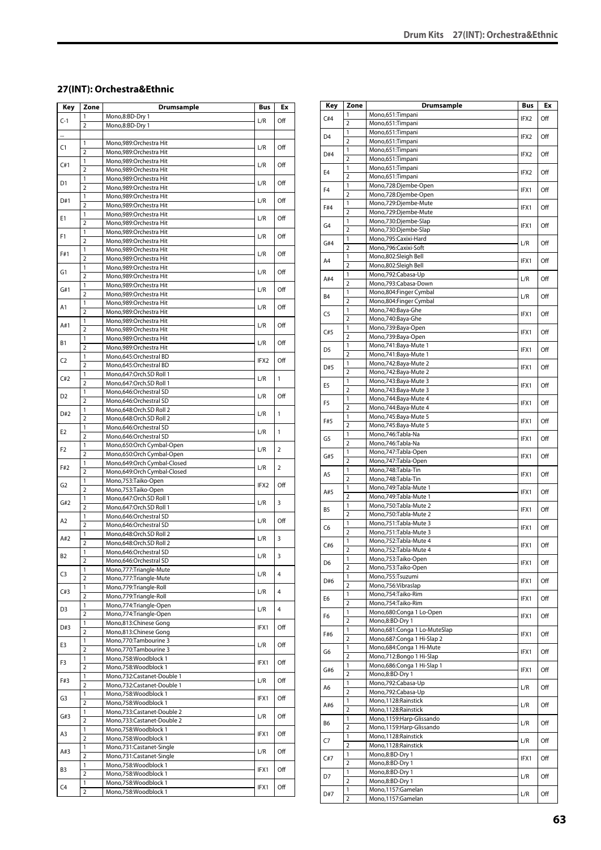#### **27(INT): Orchestra&Ethnic**

| Key            | Zone                           | <b>Drumsample</b>                                    | Bus  | Еx             |
|----------------|--------------------------------|------------------------------------------------------|------|----------------|
| $C-1$          | 1                              | Mono,8:BD-Dry 1                                      | L/R  | Off            |
|                | $\overline{2}$                 | Mono,8:BD-Dry 1                                      |      |                |
|                | 1                              | Mono,989:Orchestra Hit                               |      |                |
| C1             | $\overline{2}$                 | Mono,989:Orchestra Hit                               | L/R  | Off            |
|                | 1                              | Mono,989:Orchestra Hit                               |      |                |
| C#1            | $\overline{2}$                 | Mono,989:Orchestra Hit                               | L/R  | Off            |
| D1             | 1                              | Mono,989:Orchestra Hit                               | L/R  | Off            |
|                | $\overline{2}$                 | Mono,989:Orchestra Hit                               |      |                |
| D#1            | $\mathbf{1}$<br>$\overline{2}$ | Mono, 989: Orchestra Hit<br>Mono,989:Orchestra Hit   | L/R  | Off            |
|                | $\mathbf{1}$                   | Mono,989:Orchestra Hit                               |      |                |
| Ε1             | $\overline{2}$                 | Mono,989:Orchestra Hit                               | L/R  | Off            |
|                | 1                              | Mono,989:Orchestra Hit                               |      |                |
| F1             | $\overline{2}$                 | Mono,989:Orchestra Hit                               | L/R  | Off            |
| F#1            | 1                              | Mono,989:Orchestra Hit                               | L/R  | Off            |
|                | $\overline{2}$                 | Mono,989:Orchestra Hit                               |      |                |
| G1             | 1<br>$\overline{2}$            | Mono,989:Orchestra Hit<br>Mono,989:Orchestra Hit     | L/R  | Off            |
|                | 1                              | Mono,989:Orchestra Hit                               |      |                |
| G#1            | $\overline{2}$                 | Mono,989:Orchestra Hit                               | L/R  | Off            |
| Α1             | 1                              | Mono,989:Orchestra Hit                               | L/R  | Off            |
|                | $\overline{2}$                 | Mono,989:Orchestra Hit                               |      |                |
| A#1            | 1                              | Mono,989:Orchestra Hit                               | L/R  | Off            |
|                | $\overline{2}$<br>$\mathbf{1}$ | Mono,989:Orchestra Hit                               |      |                |
| Β1             | $\overline{2}$                 | Mono,989:Orchestra Hit<br>Mono,989:Orchestra Hit     | L/R  | Off            |
|                | 1                              | Mono,645:Orchestral BD                               |      |                |
| C <sub>2</sub> | $\overline{2}$                 | Mono,645:Orchestral BD                               | IFX2 | Off            |
| C#2            | 1                              | Mono,647:Orch.SD Roll 1                              | L/R  | 1              |
|                | $\overline{2}$                 | Mono,647:Orch.SD Roll 1                              |      |                |
| D <sub>2</sub> | 1                              | Mono,646:Orchestral SD                               | L/R  | Off            |
|                | $\overline{2}$<br>1            | Mono,646:Orchestral SD<br>Mono,648:Orch.SD Roll 2    |      |                |
| D#2            | $\overline{2}$                 | Mono,648:Orch.SD Roll 2                              | L/R  | 1              |
|                | 1                              | Mono,646:Orchestral SD                               |      |                |
| E2             | $\overline{2}$                 | Mono,646:Orchestral SD                               | L/R  | $\mathbf{1}$   |
| F2             | 1                              | Mono,650:Orch Cymbal-Open                            | L/R  | $\overline{2}$ |
|                | $\overline{2}$                 | Mono,650:Orch Cymbal-Open                            |      |                |
| F#2            | 1                              | Mono,649:Orch Cymbal-Closed                          | L/R  | 2              |
|                | $\overline{2}$<br>1            | Mono,649:Orch Cymbal-Closed<br>Mono,753:Taiko-Open   |      |                |
| G2             | $\overline{2}$                 | Mono,753:Taiko-Open                                  | IFX2 | Off            |
|                | 1                              | Mono,647:Orch.SD Roll 1                              |      |                |
| G#2            | $\overline{2}$                 | Mono,647:Orch.SD Roll 1                              | L/R  | 3              |
| A2             | 1                              | Mono,646:Orchestral SD                               | L/R  | Off            |
|                | $\overline{2}$                 | Mono,646:Orchestral SD                               |      |                |
| A#2            | 1<br>$\overline{2}$            | Mono,648:Orch.SD Roll 2<br>Mono,648:Orch.SD Roll 2   | L/R  | 3              |
|                | 1                              | Mono,646:Orchestral SD                               |      |                |
| <b>B2</b>      | 2                              | Mono,646:Orchestral SD                               | L/R  | 3              |
| C3             | 1                              | Mono,777:Triangle-Mute                               | L/R  | 4              |
|                | $\overline{2}$                 | Mono,777:Triangle-Mute                               |      |                |
| C#3            | 1                              | Mono,779:Triangle-Roll                               | L/R  | 4              |
|                | $\overline{2}$<br>1            | Mono, 779: Triangle-Roll<br>Mono, 774: Triangle-Open |      |                |
| D3             | $\overline{2}$                 | Mono, 774: Triangle-Open                             | L/R  | 4              |
|                | 1                              | Mono,813:Chinese Gong                                |      |                |
| D#3            | $\overline{2}$                 | Mono,813:Chinese Gong                                | IFX1 | Off            |
| E3             | 1                              | Mono,770:Tambourine 3                                | L/R  | Off            |
|                | $\overline{2}$                 | Mono,770:Tambourine 3                                |      |                |
| F3             | 1                              | Mono,758:Woodblock 1                                 | IFX1 | Off            |
|                | $\overline{2}$<br>1            | Mono,758:Woodblock 1<br>Mono,732:Castanet-Double 1   |      |                |
| F#3            | $\overline{2}$                 | Mono,732:Castanet-Double 1                           | L/R  | Off            |
|                | 1                              | Mono,758:Woodblock 1                                 |      |                |
| G3             | $\overline{2}$                 | Mono,758:Woodblock 1                                 | IFX1 | Off            |
| G#3            | 1                              | Mono,733:Castanet-Double 2                           | L/R  | Off            |
|                | $\overline{2}$                 | Mono,733:Castanet-Double 2                           |      |                |
| A3             | 1                              | Mono,758:Woodblock 1                                 | IFX1 | Off            |
|                | $\overline{2}$<br>1            | Mono,758:Woodblock 1<br>Mono,731:Castanet-Single     |      |                |
| A#3            | $\overline{2}$                 | Mono,731:Castanet-Single                             | L/R  | Off            |
|                | 1                              | Mono,758:Woodblock 1                                 |      |                |
| B3             | $\overline{2}$                 | Mono,758:Woodblock 1                                 | IFX1 | Off            |
| C4             | $\mathbf{1}$                   | Mono,758:Woodblock 1                                 | IFX1 | Off            |
|                | $\overline{2}$                 | Mono,758:Woodblock 1                                 |      |                |

| Key            | Zone                         | <b>Drumsample</b>                                            | Bus              | Ex  |
|----------------|------------------------------|--------------------------------------------------------------|------------------|-----|
| C#4            | 1                            | Mono,651:Timpani                                             | IFX2             | Off |
|                | $\overline{2}$               | Mono,651:Timpani                                             |                  |     |
| D <sub>4</sub> | 1                            | Mono,651:Timpani                                             | IFX <sub>2</sub> | Off |
|                | $\overline{2}$               | Mono,651:Timpani                                             |                  |     |
| D#4            | 1<br>2                       | Mono,651:Timpani                                             | IFX2             | Off |
|                | 1                            | Mono,651:Timpani<br>Mono,651:Timpani                         |                  |     |
| E <sub>4</sub> | $\overline{2}$               | Mono,651:Timpani                                             | IFX2             | Off |
|                | 1                            | Mono,728:Djembe-Open                                         |                  |     |
| F <sub>4</sub> | $\overline{2}$               | Mono,728:Djembe-Open                                         | IFX1             | Off |
| F#4            | 1                            | Mono,729:Djembe-Mute                                         | IFX1             | Off |
|                | $\overline{2}$               | Mono,729:Djembe-Mute                                         |                  |     |
| G <sub>4</sub> | 1<br>2                       | Mono,730:Djembe-Slap<br>Mono,730:Djembe-Slap                 | IFX1             | Off |
|                | 1                            | Mono,795:Caxixi-Hard                                         |                  |     |
| G#4            | $\overline{2}$               | Mono,796:Caxixi-Soft                                         | L/R              | Off |
| A4             | 1                            | Mono,802:Sleigh Bell                                         | IFX1             | Off |
|                | 2                            | Mono,802:Sleigh Bell                                         |                  |     |
| A#4            | 1                            | Mono,792:Cabasa-Up                                           | L/R              | Off |
|                | $\overline{2}$               | Mono,793:Cabasa-Down                                         |                  |     |
| B4             | 1<br>2                       | Mono,804:Finger Cymbal<br>Mono,804:Finger Cymbal             | L/R              | Off |
|                | 1                            | Mono,740:Baya-Ghe                                            |                  |     |
| C5             | 2                            | Mono,740:Baya-Ghe                                            | IFX1             | Off |
| C#5            | 1                            | Mono,739:Baya-Open                                           | IFX1             | Off |
|                | 2                            | Mono,739:Baya-Open                                           |                  |     |
| D5             | 1                            | Mono, 741: Baya-Mute 1                                       | IFX1             | Off |
|                | $\overline{2}$               | Mono, 741: Baya-Mute 1                                       |                  |     |
| D#5            | 1<br>$\overline{2}$          | Mono, 742: Baya-Mute 2<br>Mono, 742: Baya-Mute 2             | IFX1             | Off |
|                | 1                            | Mono, 743: Baya-Mute 3                                       |                  |     |
| E5             | 2                            | Mono, 743: Baya-Mute 3                                       | IFX1             | Off |
| F <sub>5</sub> | 1                            | Mono, 744: Baya-Mute 4                                       | IFX1             | Off |
|                | $\overline{2}$               | Mono, 744: Baya-Mute 4                                       |                  |     |
| F#5            | 1                            | Mono, 745: Baya-Mute 5                                       | IFX1             | Off |
|                | 2                            | Mono, 745: Baya-Mute 5                                       |                  |     |
| G5             | 1<br>2                       | Mono,746:Tabla-Na<br>Mono, 746: Tabla-Na                     | IFX1             | Off |
|                | 1                            | Mono, 747: Tabla-Open                                        |                  |     |
| G#5            | $\overline{2}$               | Mono, 747: Tabla-Open                                        | IFX1             | Off |
| A5             | 1                            | Mono,748:Tabla-Tin                                           | IFX1             | Off |
|                | $\overline{2}$               | Mono,748:Tabla-Tin                                           |                  |     |
| A#5            | 1                            | Mono,749:Tabla-Mute 1                                        | IFX1             | Off |
|                | 2<br>1                       | Mono, 749: Tabla-Mute 1<br>Mono,750:Tabla-Mute 2             |                  |     |
| B5             | $\overline{2}$               | Mono,750:Tabla-Mute 2                                        | IFX1             | Off |
|                | 1                            | Mono, 751: Tabla-Mute 3                                      |                  | Off |
| C6             | $\overline{2}$               | Mono, 751: Tabla-Mute 3                                      | IFX1             |     |
| C#6            | 1                            | Mono,752:Tabla-Mute 4                                        | IFX1             | Off |
|                | $\overline{2}$               | Mono,752:Tabla-Mute 4                                        |                  |     |
| D6             | 1<br>2                       | Mono,753:Taiko-Open<br>Mono,753:Taiko-Open                   | IFX1             | Off |
|                | 1                            | Mono,755:Tsuzumi                                             |                  |     |
| D#6            | $\overline{2}$               | Mono,756:Vibraslap                                           | IFX1             | Off |
| E6             | 1                            | Mono,754:Taiko-Rim                                           | IFX1             | Off |
|                | $\overline{2}$               | Mono,754:Taiko-Rim                                           |                  |     |
| F6             | 1                            | Mono,680:Conga 1 Lo-Open                                     | IFX1             | Off |
|                | $\overline{2}$<br>1          | Mono,8:BD-Dry 1                                              |                  |     |
| F#6            | $\overline{2}$               | Mono,681:Conga 1 Lo-MuteSlap<br>Mono, 687: Conga 1 Hi-Slap 2 | IFX1             | Off |
|                | 1                            | Mono,684:Conga 1 Hi-Mute                                     |                  |     |
| G6             | $\overline{\mathbf{c}}$      | Mono,712:Bongo 1 Hi-Slap                                     | IFX1             | Off |
| G#6            | 1                            | Mono, 686: Conga 1 Hi-Slap 1                                 | IFX1             | Off |
|                | 2                            | Mono,8:BD-Dry 1                                              |                  |     |
| A6             | 1                            | Mono,792:Cabasa-Up                                           | L/R              | Off |
|                | $\overline{2}$<br>1          | Mono,792:Cabasa-Up                                           |                  |     |
| A#6            | 2                            | Mono,1128:Rainstick<br>Mono, 1128: Rainstick                 | L/R              | Off |
|                | 1                            | Mono, 1159: Harp-Glissando                                   |                  |     |
| B6             | 2                            | Mono, 1159: Harp-Glissando                                   | L/R              | Off |
| C7             | 1                            | Mono,1128:Rainstick                                          | L/R              | Off |
|                | $\overline{2}$               | Mono,1128:Rainstick                                          |                  |     |
|                | 1<br>$\overline{2}$          | Mono,8:BD-Dry 1                                              | IFX1             | Off |
| C#7            |                              | Mono,8:BD-Dry 1                                              |                  |     |
|                |                              |                                                              |                  |     |
| D7             | 1                            | Mono,8:BD-Dry 1                                              | L/R              | Off |
| D#7            | $\overline{\mathbf{c}}$<br>1 | Mono,8:BD-Dry 1<br>Mono,1157:Gamelan                         | L/R              | Off |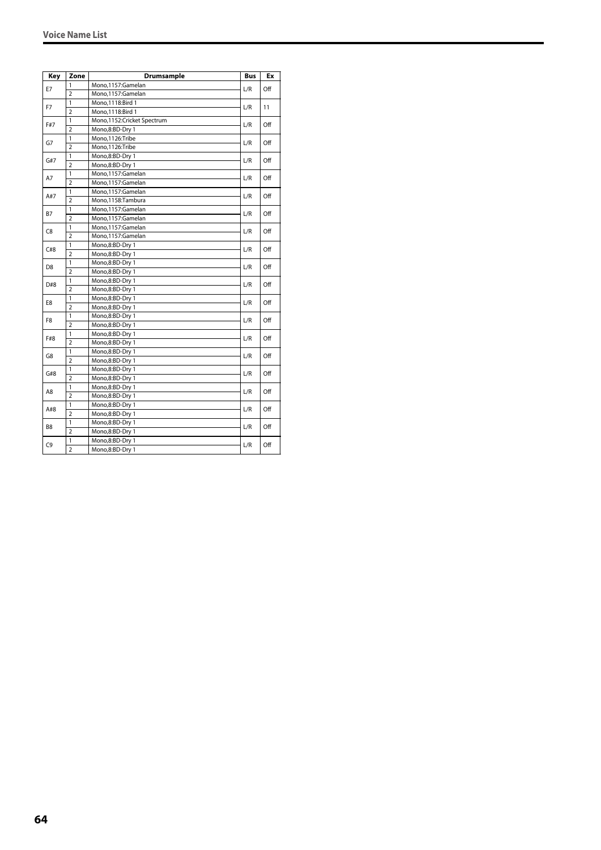| Key            | Zone           | Drumsample                 | <b>Bus</b> | Ex  |
|----------------|----------------|----------------------------|------------|-----|
|                | 1              | Mono,1157:Gamelan          | L/R        |     |
| E7             | $\overline{2}$ | Mono,1157:Gamelan          |            | Off |
| F7             | 1              | Mono, 1118: Bird 1         | L/R        | 11  |
|                | $\overline{2}$ | Mono, 1118: Bird 1         |            |     |
| F#7            | 1              | Mono,1152:Cricket Spectrum | L/R        | Off |
|                | $\overline{2}$ | Mono,8:BD-Dry 1            |            |     |
|                | 1              | Mono,1126:Tribe            | L/R        | Off |
| G7             | $\overline{2}$ | Mono,1126:Tribe            |            |     |
| G#7            | 1              | Mono,8:BD-Dry 1            | L/R        | Off |
|                | $\overline{2}$ | Mono,8:BD-Dry 1            |            |     |
| A7             | 1              | Mono,1157:Gamelan          | L/R        | Off |
|                | $\overline{2}$ | Mono,1157:Gamelan          |            |     |
| A#7            | 1              | Mono,1157:Gamelan          | L/R        | Off |
|                | $\overline{2}$ | Mono,1158:Tambura          |            |     |
| B7             | 1              | Mono,1157:Gamelan          | L/R        | Off |
|                | $\overline{2}$ | Mono,1157:Gamelan          |            |     |
| C8             | 1              | Mono,1157:Gamelan          | L/R        | Off |
|                | $\overline{2}$ | Mono,1157:Gamelan          |            |     |
| C#8            | 1              | Mono,8:BD-Dry 1            | L/R        | Off |
|                | $\overline{2}$ | Mono,8:BD-Dry 1            |            |     |
|                | 1              | Mono,8:BD-Dry 1            | L/R        | Off |
| D <sub>8</sub> | $\overline{2}$ | Mono,8:BD-Dry 1            |            |     |
| D#8            | 1              | Mono,8:BD-Dry 1            | L/R        | Off |
|                | $\overline{2}$ | Mono,8:BD-Dry 1            |            |     |
| E8             | 1              | Mono,8:BD-Dry 1            | L/R        | Off |
|                | $\overline{2}$ | Mono,8:BD-Dry 1            |            |     |
| F8             | 1              | Mono,8:BD-Dry 1            |            | Off |
|                | $\overline{2}$ | Mono,8:BD-Dry 1            | L/R        |     |
| F#8            | 1              | Mono,8:BD-Dry 1            | L/R        | Off |
|                | $\overline{2}$ | Mono,8:BD-Dry 1            |            |     |
| G8             | 1              | Mono,8:BD-Dry 1            | L/R        | Off |
|                | $\overline{2}$ | Mono,8:BD-Dry 1            |            |     |
| G#8            | 1              | Mono,8:BD-Dry 1            | L/R        | Off |
|                | 2              | Mono,8:BD-Dry 1            |            |     |
| A8             | 1              | Mono,8:BD-Dry 1            | L/R        | Off |
|                | $\overline{2}$ | Mono,8:BD-Dry 1            |            |     |
| A#8            | 1              | Mono,8:BD-Dry 1            | L/R        | Off |
|                | $\overline{2}$ | Mono,8:BD-Dry 1            |            |     |
| B <sub>8</sub> | 1              | Mono,8:BD-Dry 1            | L/R        | Off |
|                | $\overline{2}$ | Mono,8:BD-Dry 1            |            |     |
|                | 1              | Mono,8:BD-Dry 1            | L/R        | Off |
| C9             | $\overline{2}$ | Mono,8:BD-Dry 1            |            |     |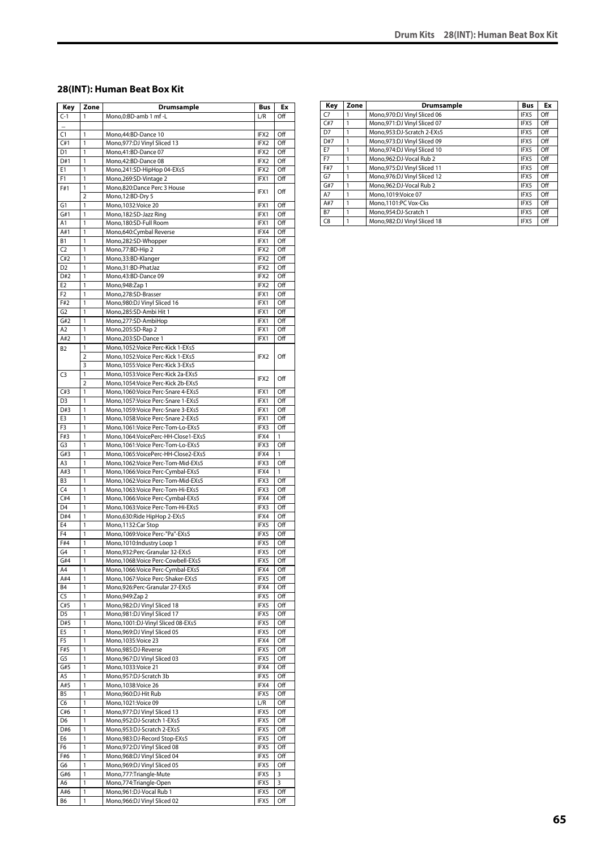#### **28(INT): Human Beat Box Kit**

| Key            | Zone           | Drumsample                           | Bus              | Ex  |
|----------------|----------------|--------------------------------------|------------------|-----|
| $C-1$          | 1              | Mono,0:BD-amb 1 mf -L                | L/R              | Off |
| u.             |                |                                      |                  |     |
| C <sub>1</sub> | 1              | Mono, 44: BD-Dance 10                | IFX2             | Off |
| C#1            | 1              | Mono, 977: DJ Vinyl Sliced 13        | IFX <sub>2</sub> | Off |
| D <sub>1</sub> | 1              | Mono,41:BD-Dance 07                  | IFX2             | Off |
| D#1            | 1              | Mono, 42: BD-Dance 08                | IFX2             | Off |
| E1             | 1              | Mono,241:SD-HipHop 04-EXs5           | IFX2             | Off |
| F1             | 1              |                                      | IFX1             | Off |
|                |                | Mono,269:SD-Vintage 2                |                  |     |
| F#1            | 1              | Mono,820:Dance Perc 3 House          | IFX1             | Off |
|                | $\overline{2}$ | Mono, 12:BD-Dry 5                    |                  |     |
| G1             | 1              | Mono, 1032: Voice 20                 | IFX1             | Off |
| G#1            | 1              | Mono, 182: SD-Jazz Ring              | IFX1             | Off |
| A1             | 1              | Mono.180:SD-Full Room                | IFX1             | Off |
| A#1            | 1              | Mono,640:Cymbal Reverse              | IFX4             | Off |
| <b>B1</b>      | 1              | Mono,282:SD-Whopper                  | IFX1             | Off |
| C <sub>2</sub> | 1              | Mono,77:BD-Hip 2                     | IFX2             | Off |
| C#2            | 1              | Mono, 33: BD-Klanger                 | IFX2             | Off |
| D <sub>2</sub> | 1              | Mono,31:BD-PhatJaz                   | IFX2             | Off |
| D#2            | 1              | Mono,43:BD-Dance 09                  | IFX2             | Off |
| E <sub>2</sub> | 1              |                                      |                  | Off |
|                |                | Mono, 948: Zap 1                     | IFX2             |     |
| F <sub>2</sub> | 1              | Mono,278:SD-Brasser                  | IFX1             | Off |
| F#2            | 1              | Mono, 980: DJ Vinyl Sliced 16        | IFX1             | Off |
| G <sub>2</sub> | 1              | Mono,285:SD-Ambi Hit 1               | IFX1             | Off |
| G#2            | 1              | Mono,277:SD-AmbiHop                  | IFX1             | Off |
| A <sub>2</sub> | 1              | Mono,205:SD-Rap 2                    | IFX1             | Off |
| A#2            | 1              | Mono,203:SD-Dance 1                  | IFX1             | Off |
| <b>B2</b>      | 1              | Mono, 1052: Voice Perc-Kick 1-EXs5   |                  |     |
|                | 2              | Mono, 1052: Voice Perc-Kick 1-EXs5   | IFX2             | Off |
|                | 3              | Mono, 1055: Voice Perc-Kick 3-EXs5   |                  |     |
| C <sub>3</sub> | 1              | Mono, 1053: Voice Perc-Kick 2a-EXs5  |                  |     |
|                | $\overline{2}$ | Mono, 1054: Voice Perc-Kick 2b-EXs5  | IFX2             | Off |
| C#3            | 1              | Mono, 1060: Voice Perc-Snare 4-EXs5  | IFX1             | Off |
| D <sub>3</sub> | 1              |                                      | IFX1             | Off |
|                |                | Mono, 1057: Voice Perc-Snare 1-EXs5  |                  |     |
| D#3            | 1              | Mono, 1059: Voice Perc-Snare 3-EXs5  | IFX1             | Off |
| E3             | 1              | Mono, 1058: Voice Perc-Snare 2-EXs5  | IFX1             | Off |
| F <sub>3</sub> | 1              | Mono,1061:Voice Perc-Tom-Lo-EXs5     | IFX3             | Off |
| F#3            | 1              | Mono, 1064: VoicePerc-HH-Close1-EXs5 | IFX4             | 1   |
| G3             | 1              | Mono, 1061: Voice Perc-Tom-Lo-EXs5   | IFX3             | Off |
| G#3            | 1              | Mono, 1065: VoicePerc-HH-Close2-EXs5 | IFX4             | 1   |
| A3             | 1              | Mono, 1062: Voice Perc-Tom-Mid-EXs5  | IFX3             | Off |
| A#3            | 1              | Mono, 1066: Voice Perc-Cymbal-EXs5   | IFX4             | 1   |
| B <sub>3</sub> | 1              | Mono, 1062: Voice Perc-Tom-Mid-EXs5  | IFX3             | Off |
| C <sub>4</sub> | 1              | Mono, 1063: Voice Perc-Tom-Hi-EXs5   | IFX3             | Off |
| C#4            | 1              | Mono, 1066: Voice Perc-Cymbal-EXs5   | IFX4             | Off |
| D <sub>4</sub> | 1              | Mono, 1063: Voice Perc-Tom-Hi-EXs5   | IFX3             | Off |
| D#4            | 1              |                                      | IFX4             | Off |
|                |                | Mono,630:Ride HipHop 2-EXs5          |                  |     |
| E <sub>4</sub> | 1              | Mono, 1132: Car Stop                 | IFX5             | Off |
| F <sub>4</sub> | 1              | Mono, 1069: Voice Perc-"Pa"-EXs5     | IFX5             | Off |
| F#4            | 1              | Mono, 1010: Industry Loop 1          | IFX5             | Off |
| G4             | 1              | Mono,932:Perc-Granular 32-EXs5       | IFX5             | Off |
| G#4            | 1              | Mono,1068:Voice Perc-Cowbell-EXs5    | IFX5             | Off |
| A4             | 1              | Mono, 1066: Voice Perc-Cymbal-EXs5   | IFX4             | Off |
| A#4            | 1              | Mono, 1067: Voice Perc-Shaker-EXs5   | IFX5             | Off |
| Β4             | 1              | Mono,926:Perc-Granular 27-EXs5       | IFX4             | Off |
| C5             | 1              | Mono, 949: Zap 2                     | IFX5             | Off |
| C#5            | 1              | Mono,982:DJ Vinyl Sliced 18          | IFX5             | Off |
| D <sub>5</sub> | 1              | Mono, 981: DJ Vinyl Sliced 17        | IFX5             | Off |
| D#5            | 1              | Mono, 1001:DJ-Vinyl Sliced 08-EXs5   | IFX5             | Off |
|                |                |                                      |                  |     |
| E5             | 1              | Mono,969:DJ Vinyl Sliced 05          | IFX5             | Off |
| F <sub>5</sub> | 1              | Mono, 1035: Voice 23                 | IFX4             | Off |
| F#5            | 1              | Mono,985:DJ-Reverse                  | IFX5             | Off |
| G5             | 1              | Mono, 967: DJ Vinyl Sliced 03        | IFX5             | Off |
| G#5            | 1              | Mono, 1033: Voice 21                 | IFX4             | Off |
| A5             | 1              | Mono,957:DJ-Scratch 3b               | IFX5             | Off |
| A#5            | 1              | Mono, 1038: Voice 26                 | IFX4             | Off |
| <b>B5</b>      | 1              | Mono,960:DJ-Hit Rub                  | IFX5             | Off |
| C6             | 1              | Mono, 1021: Voice 09                 | L/R              | Off |
| C#6            | 1              | Mono, 977: DJ Vinyl Sliced 13        | IFX5             | Off |
|                | 1              | Mono,952:DJ-Scratch 1-EXs5           | IFX5             | Off |
| D6             |                |                                      |                  |     |
| D#6            | 1              | Mono,953:DJ-Scratch 2-EXs5           | IFX5             | Off |
| E6             | 1              | Mono,983:DJ-Record Stop-EXs5         | IFX5             | Off |
| F6             | 1              | Mono,972:DJ Vinyl Sliced 08          | IFX5             | Off |
| F#6            | 1              | Mono,968:DJ Vinyl Sliced 04          | IFX5             | Off |
| G6             | 1              | Mono,969:DJ Vinyl Sliced 05          | IFX5             | Off |
| G#6            | 1              | Mono,777:Triangle-Mute               | IFX5             | 3   |
| A6             | 1              | Mono, 774: Triangle-Open             | IFX5             | 3   |
| A#6            | 1              | Mono,961:DJ-Vocal Rub 1              | IFX5             | Off |
| B6             | 1              | Mono,966:DJ Vinyl Sliced 02          | IFX5             | Off |
|                |                |                                      |                  |     |

| Key            | Zone | <b>Drumsample</b>             | <b>Bus</b> | Ex  |
|----------------|------|-------------------------------|------------|-----|
| C <sub>7</sub> |      | Mono, 970: DJ Vinyl Sliced 06 | IFX5       | Off |
| C#7            |      | Mono, 971: DJ Vinyl Sliced 07 | IFX5       | Off |
| D7             |      | Mono.953:DJ-Scratch 2-EXs5    | IFX5       | Off |
| D#7            | 1    | Mono, 973: DJ Vinyl Sliced 09 | IFX5       | Off |
| E7             |      | Mono, 974: DJ Vinyl Sliced 10 | IFX5       | Off |
| F7             |      | Mono.962:DJ-Vocal Rub 2       | IFX5       | Off |
| F#7            |      | Mono, 975: DJ Vinyl Sliced 11 | IFX5       | Off |
| G7             | 1    | Mono, 976: DJ Vinyl Sliced 12 | IFX5       | Off |
| G#7            |      | Mono.962:DJ-Vocal Rub 2       | IFX5       | Off |
| A7             |      | Mono.1019: Voice 07           | IFX5       | Off |
| A#7            |      | Mono.1101:PC Vox-Cks          | IFX5       | Off |
| <b>B7</b>      |      | Mono.954:DJ-Scratch 1         | IFX5       | Off |
| C <sub>8</sub> |      | Mono, 982: DJ Vinyl Sliced 18 | IFX5       | Off |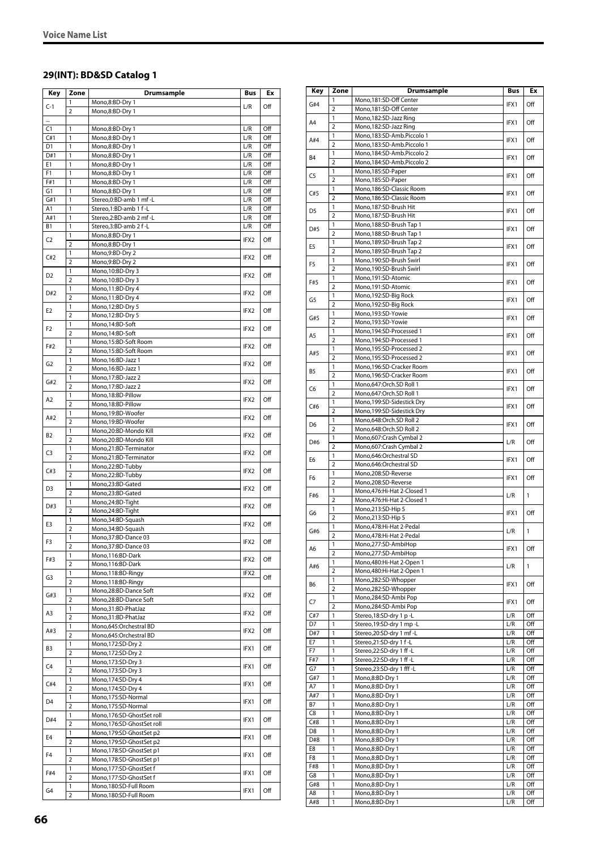### **29(INT): BD&SD Catalog 1**

| Key            | Zone                           | Drumsample                                           | Bus              | Ex         |
|----------------|--------------------------------|------------------------------------------------------|------------------|------------|
| $C-1$          | 1                              | Mono,8:BD-Dry 1                                      | L/R              | Off        |
|                | 2                              | Mono,8:BD-Dry 1                                      |                  |            |
|                |                                |                                                      |                  |            |
| C1<br>C#1      | 1<br>1                         | Mono,8:BD-Dry 1<br>Mono,8:BD-Dry 1                   | L/R<br>L/R       | Off<br>Off |
| D1             | 1                              | Mono,8:BD-Dry 1                                      | L/R              | Off        |
| D#1            | 1                              | Mono,8:BD-Dry 1                                      | L/R              | Off        |
| E1             | 1                              | Mono,8:BD-Dry 1                                      | L/R              | Off        |
| F1             | 1                              | Mono,8:BD-Dry 1                                      | L/R              | Off        |
| F#1            | 1                              | Mono,8:BD-Dry 1                                      | L/R              | Off        |
| G1             | 1                              | Mono,8:BD-Dry 1                                      | L/R              | Off        |
| G#1            | 1                              | Stereo,0:BD-amb 1 mf -L<br>Stereo,1:BD-amb 1 f-L     | L/R              | Off        |
| A1<br>A#1      | 1<br>1                         | Stereo,2:BD-amb 2 mf -L                              | L/R<br>L/R       | Off<br>Off |
| B1             | 1                              | Stereo, 3:BD-amb 2 f-L                               | L/R              | Off        |
|                | 1                              | Mono,8:BD-Dry 1                                      |                  |            |
| C2             | 2                              | Mono,8:BD-Dry 1                                      | IFX2             | Off        |
| C#2            | 1                              | Mono,9:BD-Dry 2                                      | IFX2             | Off        |
|                | $\overline{2}$                 | Mono,9:BD-Dry 2                                      |                  |            |
| D2             | 1                              | Mono, 10:BD-Dry 3                                    | IFX2             | Off        |
|                | $\overline{2}$<br>1            | Mono, 10:BD-Dry 3<br>Mono, 11:BD-Dry 4               |                  |            |
| D#2            | $\overline{2}$                 | Mono, 11:BD-Dry 4                                    | IFX2             | Off        |
|                | 1                              | Mono, 12:BD-Dry 5                                    |                  |            |
| E2             | $\overline{2}$                 | Mono,12:BD-Dry 5                                     | IFX2             | Off        |
| F2             | 1                              | Mono, 14:BD-Soft                                     | IFX2             | Off        |
|                | $\overline{2}$                 | Mono, 14:BD-Soft                                     |                  |            |
| F#2            | 1                              | Mono,15:BD-Soft Room                                 | IFX2             | Off        |
|                | $\overline{2}$<br>1            | Mono,15:BD-Soft Room                                 |                  |            |
| G2             | $\overline{2}$                 | Mono, 16:BD-Jazz 1<br>Mono, 16:BD-Jazz 1             | IFX2             | Off        |
|                | 1                              | Mono, 17:BD-Jazz 2                                   |                  |            |
| G#2            | $\overline{2}$                 | Mono, 17:BD-Jazz 2                                   | IFX2             | Off        |
| A2             | $\mathbf{1}$                   | Mono, 18:BD-Pillow                                   | IFX2             | Off        |
|                | $\overline{2}$                 | Mono, 18:BD-Pillow                                   |                  |            |
| A#2            | 1                              | Mono,19:BD-Woofer                                    | IFX2             | Off        |
|                | $\overline{2}$                 | Mono,19:BD-Woofer                                    |                  |            |
| B <sub>2</sub> | $\mathbf{1}$<br>$\overline{2}$ | Mono,20:BD-Mondo Kill<br>Mono,20:BD-Mondo Kill       | IFX2             | Off        |
|                | 1                              | Mono,21:BD-Terminator                                |                  |            |
| C3             | $\overline{2}$                 | Mono,21:BD-Terminator                                | IFX2             | Off        |
|                | 1                              | Mono,22:BD-Tubby                                     |                  | Off        |
| C#3            | $\overline{2}$                 | Mono,22:BD-Tubby                                     | IFX2             |            |
| D <sub>3</sub> | 1                              | Mono,23:BD-Gated                                     | IFX2             | Off        |
|                | $\overline{2}$                 | Mono,23:BD-Gated<br>Mono,24:BD-Tight                 |                  |            |
| D#3            | 1<br>$\overline{2}$            | Mono,24:BD-Tight                                     | IFX2             | Off        |
|                | 1                              | Mono,34:BD-Squash                                    |                  |            |
| E3             | $\overline{2}$                 | Mono,34:BD-Squash                                    | IFX2             | Off        |
|                | 1                              | Mono,37:BD-Dance 03                                  |                  | Off        |
| F3             | $\overline{2}$                 | Mono,37:BD-Dance 03                                  | IFX2             |            |
| F#3            | 1                              | Mono,116:BD-Dark                                     | IFX2             | Off        |
|                | $\overline{2}$                 | Mono, 116:BD-Dark                                    |                  |            |
| G3             | 1<br>2                         | Mono,118:BD-Ringy<br>Mono,118:BD-Ringy               | IFX2             | Off        |
|                | 1                              | Mono,28:BD-Dance Soft                                |                  |            |
| G#3            | $\overline{2}$                 | Mono,28:BD-Dance Soft                                | IFX2             | Off        |
| A3             | 1                              | Mono,31:BD-PhatJaz                                   | IFX <sub>2</sub> | Off        |
|                | 2                              | Mono,31:BD-PhatJaz                                   |                  |            |
| A#3            | 1                              | Mono,645:Orchestral BD                               | IFX2             | Off        |
|                | $\overline{2}$                 | Mono,645:Orchestral BD                               |                  |            |
| B3             | 1<br>$\overline{2}$            | Mono, 172: SD-Dry 2<br>Mono, 172: SD-Dry 2           | IFX1             | Off        |
|                | 1                              | Mono, 173: SD-Dry 3                                  |                  |            |
| C4             | $\overline{2}$                 | Mono, 173: SD-Dry 3                                  | IFX1             | Off        |
|                | 1                              | Mono, 174: SD-Dry 4                                  |                  |            |
| C#4            | $\overline{2}$                 | Mono, 174: SD-Dry 4                                  | IFX1             | Off        |
| D4             | 1                              | Mono,175:SD-Normal                                   | IFX1             | Off        |
|                | 2                              | Mono,175:SD-Normal                                   |                  |            |
| D#4            | 1                              | Mono,176:SD-GhostSet roll                            | IFX1             | Off        |
|                | 2<br>1                         | Mono,176:SD-GhostSet roll<br>Mono,179:SD-GhostSet p2 |                  |            |
| E4             | $\overline{2}$                 | Mono,179:SD-GhostSet p2                              | IFX1             | Off        |
|                | 1                              | Mono,178:SD-GhostSet p1                              |                  |            |
| F4             | $\overline{2}$                 | Mono,178:SD-GhostSet p1                              | IFX1             | Off        |
| F#4            | $\mathbf{1}$                   | Mono,177:SD-GhostSet f                               | IFX1             | Off        |
|                | 2                              | Mono,177:SD-GhostSet f                               |                  |            |
| G4             | 1<br>$\overline{\mathbf{c}}$   | Mono, 180: SD-Full Room<br>Mono,180:SD-Full Room     | IFX1             | Off        |
|                |                                |                                                      |                  |            |

| Key                   | Zone                | <b>Drumsample</b>                                    | Bus        | Ex           |
|-----------------------|---------------------|------------------------------------------------------|------------|--------------|
| G#4                   | 1                   | Mono,181:SD-Off Center                               | IFX1       | Off          |
|                       | 2<br>1              | Mono,181:SD-Off Center<br>Mono,182:SD-Jazz Ring      |            |              |
| A4                    | 2                   | Mono,182:SD-Jazz Ring                                | IFX1       | Off          |
| A#4                   | 1                   | Mono,183:SD-Amb.Piccolo 1                            | IFX1       | Off          |
|                       | $\overline{2}$      | Mono,183:SD-Amb.Piccolo 1                            |            |              |
| <b>B4</b>             | 1<br>$\overline{2}$ | Mono, 184: SD-Amb. Piccolo 2                         | IFX1       | Off          |
|                       | 1                   | Mono, 184: SD-Amb. Piccolo 2<br>Mono,185:SD-Paper    |            |              |
| C <sub>5</sub>        | 2                   | Mono,185:SD-Paper                                    | IFX1       | Off          |
| C#5                   | 1                   | Mono, 186: SD-Classic Room                           | IFX1       | Off          |
|                       | $\overline{2}$      | Mono, 186: SD-Classic Room                           |            |              |
| D <sub>5</sub>        | 1<br>$\overline{2}$ | Mono,187:SD-Brush Hit<br>Mono,187:SD-Brush Hit       | IFX1       | Off          |
|                       | 1                   | Mono,188:SD-Brush Tap 1                              |            |              |
| D#5                   | $\overline{2}$      | Mono, 188: SD-Brush Tap 1                            | IFX1       | Off          |
| E5                    | 1                   | Mono, 189: SD-Brush Tap 2                            | IFX1       | Off          |
|                       | $\overline{2}$      | Mono, 189: SD-Brush Tap 2                            |            |              |
| F5                    | 1<br>2              | Mono,190:SD-Brush Swirl<br>Mono,190:SD-Brush Swirl   | IFX1       | Off          |
|                       | 1                   | Mono,191:SD-Atomic                                   |            |              |
| F#5                   | $\overline{2}$      | Mono,191:SD-Atomic                                   | IFX1       | Off          |
| G5                    | 1                   | Mono,192:SD-Big Rock                                 | IFX1       | Off          |
|                       | $\overline{2}$      | Mono,192:SD-Big Rock                                 |            |              |
| G#5                   | 1<br>$\overline{2}$ | Mono,193:SD-Yowie<br>Mono.193:SD-Yowie               | IFX1       | Off          |
|                       | 1                   | Mono,194:SD-Processed 1                              |            |              |
| A5                    | $\overline{2}$      | Mono,194:SD-Processed 1                              | IFX1       | Off          |
| A#5                   | 1                   | Mono,195:SD-Processed 2                              | IFX1       | Off          |
|                       | $\overline{2}$      | Mono,195:SD-Processed 2                              |            |              |
| B5                    | 1<br>$\overline{2}$ | Mono,196:SD-Cracker Room<br>Mono,196:SD-Cracker Room | IFX1       | Off          |
|                       | 1                   | Mono,647:Orch.SD Roll 1                              |            |              |
| C6                    | $\overline{2}$      | Mono,647:Orch.SD Roll 1                              | IFX1       | Off          |
| C#6                   | 1                   | Mono,199:SD-Sidestick Dry                            | IFX1       | Off          |
|                       | $\overline{2}$      | Mono,199:SD-Sidestick Dry                            |            |              |
| D <sub>6</sub>        | 1<br>$\overline{2}$ | Mono,648:Orch.SD Roll 2<br>Mono,648:Orch.SD Roll 2   | IFX1       | Off          |
|                       | 1                   | Mono,607:Crash Cymbal 2                              |            |              |
| D#6                   | $\overline{2}$      | Mono,607:Crash Cymbal 2                              | L/R        | Off          |
| E6                    | 1                   | Mono,646:Orchestral SD                               | IFX1       | Off          |
|                       | $\overline{2}$<br>1 | Mono,646:Orchestral SD                               |            |              |
| F <sub>6</sub>        | $\overline{2}$      | Mono,208:SD-Reverse<br>Mono,208:SD-Reverse           | IFX1       | Off          |
|                       | 1                   | Mono, 476: Hi-Hat 2-Closed 1                         |            |              |
| F#6                   | $\overline{2}$      | Mono, 476: Hi-Hat 2-Closed 1                         | L/R        | 1            |
| G6                    | 1                   | Mono, 213: SD-Hip 5                                  | IFX1       | Off          |
|                       | $\overline{2}$<br>1 | Mono, 213: SD-Hip 5<br>Mono,478:Hi-Hat 2-Pedal       |            |              |
| G#6                   | $\overline{a}$      | Mono, 478: Hi-Hat 2-Pedal                            | L/R        | $\mathbf{1}$ |
| A6                    | 1                   | Mono,277:SD-AmbiHop                                  | IFX1       | Off          |
|                       | $\overline{2}$      | Mono,277:SD-AmbiHop                                  |            |              |
| A#6                   | 1<br>$\overline{2}$ | Mono, 480: Hi-Hat 2-Open 1                           | L/R        | $\mathbf{1}$ |
|                       | 1                   | Mono, 480: Hi-Hat 2-Open 1<br>Mono,282:SD-Whopper    |            |              |
| B6                    | $\overline{2}$      | Mono,282:SD-Whopper                                  | IFX1       | Off          |
| C7                    | 1                   | Mono,284:SD-Ambi Pop                                 | IFX1       | Off          |
|                       | $\overline{2}$      | Mono,284:SD-Ambi Pop                                 |            |              |
| C#7<br>D7             | 1<br>1              | Stereo, 18:SD-dry 1 p-L<br>Stereo, 19:SD-dry 1 mp -L | L/R<br>L/R | Off<br>Off   |
| D#7                   | 1                   | Stereo, 20: SD-dry 1 mf-L                            | L/R        | Off          |
| E7                    | 1                   | Stereo, 21:SD-dry 1 f-L                              | L/R        | Off          |
| F7                    | 1                   | Stereo, 22: SD-dry 1 ff - L                          | L/R        | Off          |
| F#7                   | 1                   | Stereo, 22: SD-dry 1 ff-L                            | L/R        | Off          |
| G7<br>G#7             | 1<br>1              | Stereo, 23: SD-dry 1 fff-L<br>Mono,8:BD-Dry 1        | L/R<br>L/R | Off<br>Off   |
| A7                    | 1                   | Mono,8:BD-Dry 1                                      | L/R        | Off          |
| A#7                   | 1                   | Mono,8:BD-Dry 1                                      | L/R        | Off          |
| <b>B7</b>             | 1                   | Mono,8:BD-Dry 1                                      | L/R        | Off          |
| C8                    | 1                   | Mono,8:BD-Dry 1                                      | L/R        | Off          |
| C#8<br>D <sub>8</sub> | 1<br>1              | Mono,8:BD-Dry 1<br>Mono,8:BD-Dry 1                   | L/R<br>L/R | Off<br>Off   |
| D#8                   | 1                   | Mono,8:BD-Dry 1                                      | L/R        | Off          |
| E8                    | 1                   | Mono,8:BD-Dry 1                                      | L/R        | Off          |
| F8                    | 1                   | Mono,8:BD-Dry 1                                      | L/R        | Off          |
| F#8                   | 1<br>1              | Mono,8:BD-Dry 1                                      | L/R        | Off          |
| G8<br>G#8             | 1                   | Mono,8:BD-Dry 1<br>Mono,8:BD-Dry 1                   | L/R<br>L/R | Off<br>Off   |
| A8                    | 1                   | Mono,8:BD-Dry 1                                      | L/R        | Off          |
| A#8                   | 1                   | Mono,8:BD-Dry 1                                      | L/R        | Off          |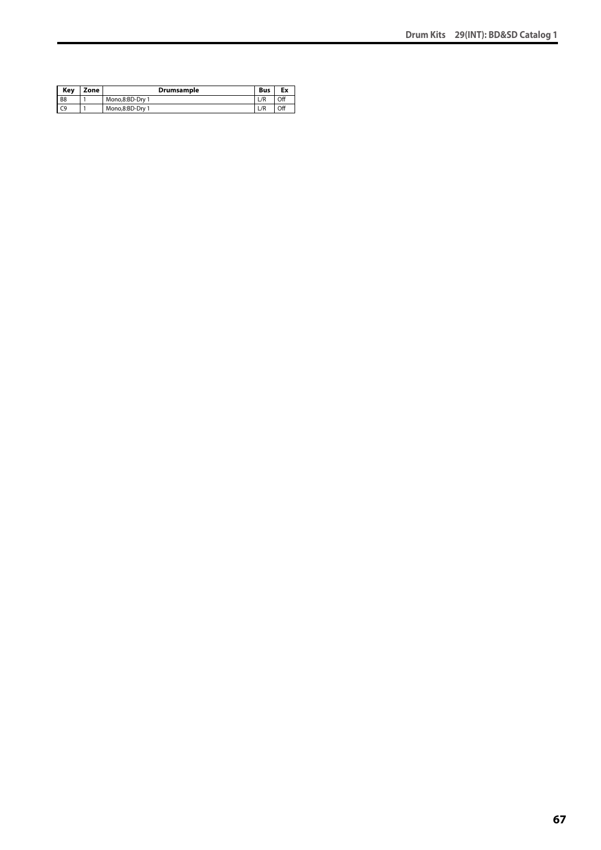| Kev            | Zone | <b>Drumsample</b> | <b>Bus</b> | Ex  |
|----------------|------|-------------------|------------|-----|
| B <sub>8</sub> |      | Mono.8:BD-Drv 1   | L/R        | Off |
| C <sub>9</sub> |      | Mono.8:BD-Drv 1   | L/R        | Off |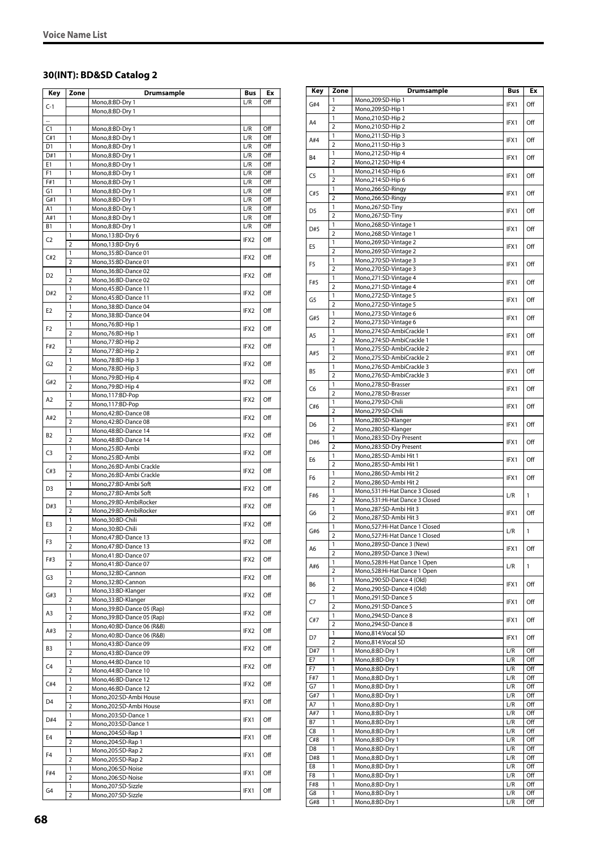### **30(INT): BD&SD Catalog 2**

| Key            | Zone                    | <b>Drumsample</b>                                 | Bus              | Ex         |
|----------------|-------------------------|---------------------------------------------------|------------------|------------|
| $C-1$          |                         | Mono,8:BD-Dry 1                                   | L/R              | Off        |
|                |                         | Mono,8:BD-Dry 1                                   |                  |            |
|                |                         |                                                   |                  |            |
| C1<br>C#1      | $\mathbf{1}$<br>1       | Mono,8:BD-Dry 1<br>Mono,8:BD-Dry 1                | L/R<br>L/R       | Off<br>Off |
| D <sub>1</sub> | 1                       | Mono,8:BD-Dry 1                                   | L/R              | Off        |
| D#1            | 1                       | Mono,8:BD-Dry 1                                   | L/R              | Off        |
| E1             | 1                       | Mono,8:BD-Dry 1                                   | L/R              | Off        |
| F1             | 1                       | Mono,8:BD-Dry 1                                   | L/R              | Off        |
| F#1<br>G1      | 1<br>1                  | Mono,8:BD-Dry 1<br>Mono,8:BD-Dry 1                | L/R<br>L/R       | Off<br>Off |
| G#1            | 1                       | Mono,8:BD-Dry 1                                   | L/R              | Off        |
| A1             | 1                       | Mono,8:BD-Dry 1                                   | L/R              | Off        |
| A#1            | 1                       | Mono,8:BD-Dry 1                                   | L/R              | Off        |
| Β1             | 1                       | Mono,8:BD-Dry 1                                   | L/R              | Off        |
| C <sub>2</sub> | 1<br>$\overline{2}$     | Mono, 13:BD-Dry 6<br>Mono, 13:BD-Dry 6            | IFX2             | Off        |
|                | 1                       | Mono,35:BD-Dance 01                               |                  |            |
| C#2            | $\overline{2}$          | Mono,35:BD-Dance 01                               | IFX2             | Off        |
| D <sub>2</sub> | 1                       | Mono,36:BD-Dance 02                               | IFX2             | Off        |
|                | $\overline{2}$          | Mono,36:BD-Dance 02                               |                  |            |
| D#2            | 1<br>$\overline{2}$     | Mono,45:BD-Dance 11<br>Mono,45:BD-Dance 11        | IFX2             | Off        |
|                | 1                       | Mono,38:BD-Dance 04                               |                  |            |
| E2             | $\overline{2}$          | Mono,38:BD-Dance 04                               | IFX2             | Off        |
| F2             | 1                       | Mono,76:BD-Hip 1                                  | IFX2             | Off        |
|                | $\overline{2}$          | Mono,76:BD-Hip 1                                  |                  |            |
| F#2            | 1<br>$\overline{2}$     | Mono,77:BD-Hip 2<br>Mono,77:BD-Hip 2              | IFX <sub>2</sub> | Off        |
|                | 1                       | Mono,78:BD-Hip 3                                  |                  |            |
| G2             | $\overline{2}$          | Mono,78:BD-Hip 3                                  | IFX2             | Off        |
| G#2            | 1                       | Mono, 79: BD-Hip 4                                | IFX2             | Off        |
|                | $\overline{2}$          | Mono, 79: BD-Hip 4                                |                  |            |
| A2             | 1<br>$\overline{2}$     | Mono,117:BD-Pop<br>Mono,117:BD-Pop                | IFX2             | Off        |
|                | 1                       | Mono,42:BD-Dance 08                               |                  |            |
| A#2            | $\overline{2}$          | Mono,42:BD-Dance 08                               | IFX2             | Off        |
| B <sub>2</sub> | 1                       | Mono, 48: BD-Dance 14                             | IFX2             | Off        |
|                | $\overline{2}$          | Mono, 48: BD-Dance 14                             |                  |            |
| C3             | 1<br>$\overline{2}$     | Mono,25:BD-Ambi<br>Mono,25:BD-Ambi                | IFX2             | Off        |
|                | 1                       | Mono,26:BD-Ambi Crackle                           |                  |            |
| C#3            | $\overline{2}$          | Mono,26:BD-Ambi Crackle                           | IFX2             | Off        |
| D <sub>3</sub> | 1                       | Mono,27:BD-Ambi Soft                              | IFX2             | Off        |
|                | $\overline{2}$<br>1     | Mono,27:BD-Ambi Soft<br>Mono.29:BD-AmbiRocker     |                  |            |
| D#3            | $\overline{2}$          | Mono,29:BD-AmbiRocker                             | IFX2             | Off        |
| E3             | 1                       | Mono,30:BD-Chili                                  | IFX2             | Off        |
|                | $\overline{2}$          | Mono,30:BD-Chili                                  |                  |            |
| F3             | 1                       | Mono,47:BD-Dance 13                               | IFX2             | Off        |
|                | $\overline{2}$<br>1     | Mono, 47: BD-Dance 13<br>Mono.41:BD-Dance 07      |                  |            |
| F#3            | 2                       | Mono,41:BD-Dance 07                               | IFX2             | Off        |
| G3             | 1                       | Mono,32:BD-Cannon                                 | IFX2             | Off        |
|                | $\overline{2}$          | Mono,32:BD-Cannon                                 |                  |            |
| G#3            | 1                       | Mono,33:BD-Klanger                                | IFX2             | Off        |
|                | 2<br>1                  | Mono,33:BD-Klanger<br>Mono, 39: BD-Dance 05 (Rap) |                  |            |
| A3             | $\overline{2}$          | Mono, 39: BD-Dance 05 (Rap)                       | IFX2             | Off        |
| A#3            | 1                       | Mono,40:BD-Dance 06 (R&B)                         | IFX <sub>2</sub> | Off        |
|                | 2                       | Mono,40:BD-Dance 06 (R&B)                         |                  |            |
| B3             | 1<br>$\overline{2}$     | Mono,43:BD-Dance 09<br>Mono,43:BD-Dance 09        | IFX2             | Off        |
|                | 1                       | Mono, 44: BD-Dance 10                             |                  |            |
| C4             | $\overline{2}$          | Mono, 44: BD-Dance 10                             | IFX2             | Off        |
| C#4            | 1                       | Mono, 46: BD-Dance 12                             | IFX2             | Off        |
|                | $\overline{2}$          | Mono, 46: BD-Dance 12                             |                  |            |
| D4             | 1<br>$\overline{2}$     | Mono,202:SD-Ambi House<br>Mono,202:SD-Ambi House  | IFX1             | Off        |
|                | $\mathbf{1}$            | Mono,203:SD-Dance 1                               |                  |            |
| D#4            | $\overline{\mathbf{c}}$ | Mono,203:SD-Dance 1                               | IFX1             | Off        |
| E4             | 1                       | Mono,204:SD-Rap 1                                 | IFX1             | Off        |
|                | $\overline{2}$          | Mono,204:SD-Rap 1                                 |                  |            |
| F4             | 1<br>$\overline{2}$     | Mono,205:SD-Rap 2<br>Mono,205:SD-Rap 2            | IFX1             | Off        |
|                | 1                       | Mono,206:SD-Noise                                 |                  |            |
| F#4            | $\overline{2}$          | Mono,206:SD-Noise                                 | IFX1             | Off        |
| G4             | $\mathbf{1}$            | Mono,207:SD-Sizzle                                | IFX1             | Off        |
|                | $\overline{2}$          | Mono,207:SD-Sizzle                                |                  |            |

| Key            | Zone                | <b>Drumsample</b>                                             | Bus        | Ex           |
|----------------|---------------------|---------------------------------------------------------------|------------|--------------|
|                | 1                   | Mono,209:SD-Hip 1                                             |            |              |
| G#4            | $\overline{2}$      | Mono,209:SD-Hip 1                                             | IFX1       | Off          |
| A4             | 1                   | Mono,210:SD-Hip 2                                             | IFX1       | Off          |
|                | $\overline{2}$      | Mono,210:SD-Hip 2                                             |            |              |
| A#4            | 1<br>$\overline{2}$ | Mono,211:SD-Hip 3<br>Mono,211:SD-Hip 3                        | IFX1       | Off          |
|                | 1                   | Mono,212:SD-Hip 4                                             |            |              |
| <b>B4</b>      | $\overline{2}$      | Mono,212:SD-Hip 4                                             | IFX1       | Off          |
| C <sub>5</sub> | 1                   | Mono,214:SD-Hip 6                                             |            | Off          |
|                | $\overline{2}$      | Mono,214:SD-Hip 6                                             | IFX1       |              |
| C#5            | 1                   | Mono,266:SD-Ringy                                             | IFX1       | Off          |
|                | $\overline{2}$      | Mono,266:SD-Ringy                                             |            |              |
| D <sub>5</sub> | 1<br>$\overline{2}$ | Mono,267:SD-Tiny<br>Mono,267:SD-Tiny                          | IFX1       | Off          |
|                | 1                   | Mono,268:SD-Vintage 1                                         |            |              |
| D#5            | 2                   | Mono,268:SD-Vintage 1                                         | IFX1       | Off          |
| E <sub>5</sub> | 1                   | Mono,269:SD-Vintage 2                                         | IFX1       | Off          |
|                | 2                   | Mono,269:SD-Vintage 2                                         |            |              |
| F5             | 1                   | Mono,270:SD-Vintage 3                                         | IFX1       | Off          |
|                | $\overline{2}$<br>1 | Mono,270:SD-Vintage 3<br>Mono,271:SD-Vintage 4                |            |              |
| F#5            | $\overline{2}$      | Mono,271:SD-Vintage 4                                         | IFX1       | Off          |
|                | 1                   | Mono,272:SD-Vintage 5                                         |            |              |
| G5             | $\overline{2}$      | Mono,272:SD-Vintage 5                                         | IFX1       | Off          |
| G#5            | 1                   | Mono,273:SD-Vintage 6                                         | IFX1       | Off          |
|                | $\overline{2}$      | Mono,273:SD-Vintage 6                                         |            |              |
| A5             | 1                   | Mono,274:SD-AmbiCrackle 1                                     | IFX1       | Off          |
|                | $\overline{2}$<br>1 | Mono,274:SD-AmbiCrackle 1<br>Mono,275:SD-AmbiCrackle 2        |            |              |
| A#5            | $\overline{2}$      | Mono.275:SD-AmbiCrackle 2                                     | IFX1       | Off          |
|                | 1                   | Mono,276:SD-AmbiCrackle 3                                     |            |              |
| B5             | 2                   | Mono,276:SD-AmbiCrackle 3                                     | IFX1       | Off          |
| C6             | 1                   | Mono,278:SD-Brasser                                           | IFX1       | Off          |
|                | $\overline{2}$      | Mono,278:SD-Brasser                                           |            |              |
| C#6            | 1                   | Mono,279:SD-Chili                                             | IFX1       | Off          |
|                | $\overline{2}$<br>1 | Mono,279:SD-Chili<br>Mono,280:SD-Klanger                      |            |              |
| D6             | $\overline{2}$      | Mono,280:SD-Klanger                                           | IFX1       | Off          |
|                | 1                   | Mono,283:SD-Dry Present                                       |            |              |
| D#6            | $\overline{2}$      | Mono, 283: SD-Dry Present                                     | IFX1       | Off          |
| E6             | 1                   | Mono,285:SD-Ambi Hit 1                                        | IFX1       | Off          |
|                | $\overline{2}$      | Mono,285:SD-Ambi Hit 1                                        |            |              |
| F6             | 1<br>$\overline{2}$ | Mono,286:SD-Ambi Hit 2<br>Mono,286:SD-Ambi Hit 2              | IFX1       | Off          |
|                | 1                   | Mono,531:Hi-Hat Dance 3 Closed                                |            |              |
| F#6            | 2                   | Mono,531:Hi-Hat Dance 3 Closed                                | L/R        | $\mathbf{1}$ |
| G6             | 1                   | Mono,287:SD-Ambi Hit 3                                        | IFX1       | Off          |
|                | 2                   | Mono,287:SD-Ambi Hit 3                                        |            |              |
| G#6            | 1                   | Mono,527:Hi-Hat Dance 1 Closed                                | L/R        | $\mathbf{1}$ |
|                | 2<br>1              | Mono, 527: Hi-Hat Dance 1 Closed<br>Mono,289:SD-Dance 3 (New) |            |              |
| A6             | 2                   | Mono,289:SD-Dance 3 (New)                                     | IFX1       | Off          |
|                | 1                   | Mono,528:Hi-Hat Dance 1 Open                                  |            |              |
| A#6            | $\overline{2}$      | Mono,528:Hi-Hat Dance 1 Open                                  | L/R        | $\mathbf{1}$ |
| В6             | 1                   | Mono,290:SD-Dance 4 (Old)                                     | IFX1       | Off          |
|                | $\overline{2}$      | Mono,290:SD-Dance 4 (Old)                                     |            |              |
| C7             | 1<br>$\overline{2}$ | Mono,291:SD-Dance 5                                           | IFX1       | Off          |
|                | 1                   | Mono,291:SD-Dance 5<br>Mono,294:SD-Dance 8                    |            |              |
| C#7            | $\overline{2}$      | Mono,294:SD-Dance 8                                           | IFX1       | Off          |
|                | 1                   | Mono,814:Vocal SD                                             |            |              |
| D7             | $\overline{2}$      | Mono,814:Vocal SD                                             | IFX1       | Off          |
| D#7            | 1                   | Mono,8:BD-Dry 1                                               | L/R        | Off          |
| E7             | 1                   | Mono,8:BD-Dry 1                                               | L/R        | Off          |
| F7<br>F#7      | 1<br>1              | Mono,8:BD-Dry 1<br>Mono,8:BD-Dry 1                            | L/R<br>L/R | Off<br>Off   |
| G7             | 1                   | Mono,8:BD-Dry 1                                               | L/R        | Off          |
| G#7            | 1                   | Mono,8:BD-Dry 1                                               | L/R        | Off          |
| Α7             | 1                   | Mono,8:BD-Dry 1                                               | L/R        | Off          |
| A#7            | 1                   | Mono,8:BD-Dry 1                                               | L/R        | Off          |
| Β7             | 1                   | Mono,8:BD-Dry 1                                               | L/R        | Off          |
| C8<br>C#8      | 1<br>1              | Mono,8:BD-Dry 1<br>Mono,8:BD-Dry 1                            | L/R<br>L/R | Off<br>Off   |
| D8             | 1                   | Mono,8:BD-Dry 1                                               | L/R        | Off          |
| D#8            | 1                   | Mono,8:BD-Dry 1                                               | L/R        | Off          |
| E8             | 1                   | Mono,8:BD-Dry 1                                               | L/R        | Off          |
| F8             | 1                   | Mono,8:BD-Dry 1                                               | L/R        | Off          |
| F#8            | 1                   | Mono,8:BD-Dry 1                                               | L/R        | Off          |
| G8             | 1                   | Mono,8:BD-Dry 1                                               | L/R        | Off          |
| G#8            | 1                   | Mono,8:BD-Dry 1                                               | L/R        | Off          |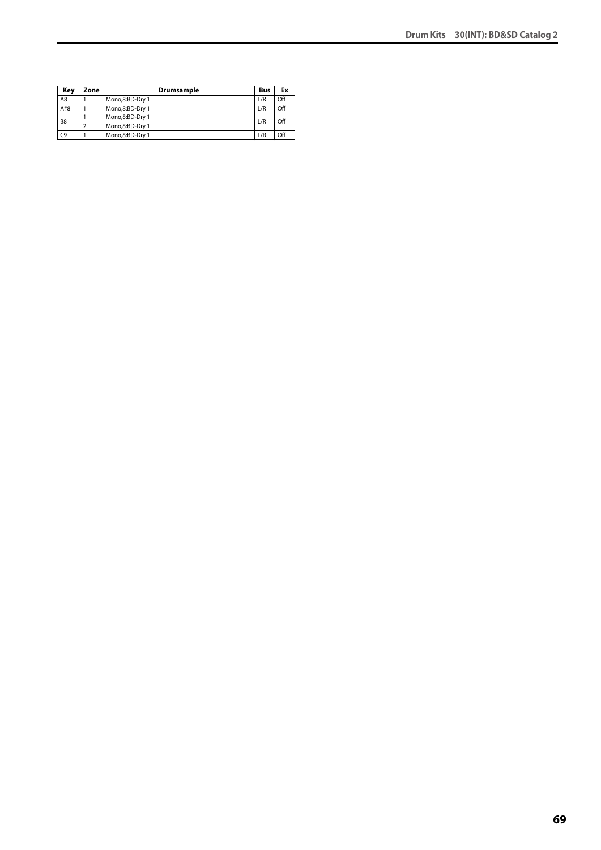| Key            | Zone | Drumsample      | Bus | Ex  |
|----------------|------|-----------------|-----|-----|
| A <sub>8</sub> |      | Mono,8:BD-Dry 1 | L/R | Off |
| A#8            |      | Mono,8:BD-Dry 1 | L/R | Off |
| B <sub>8</sub> |      | Mono,8:BD-Dry 1 | L/R | Off |
|                |      | Mono,8:BD-Dry 1 |     |     |
| C <sub>9</sub> |      | Mono,8:BD-Dry 1 | L/R | Off |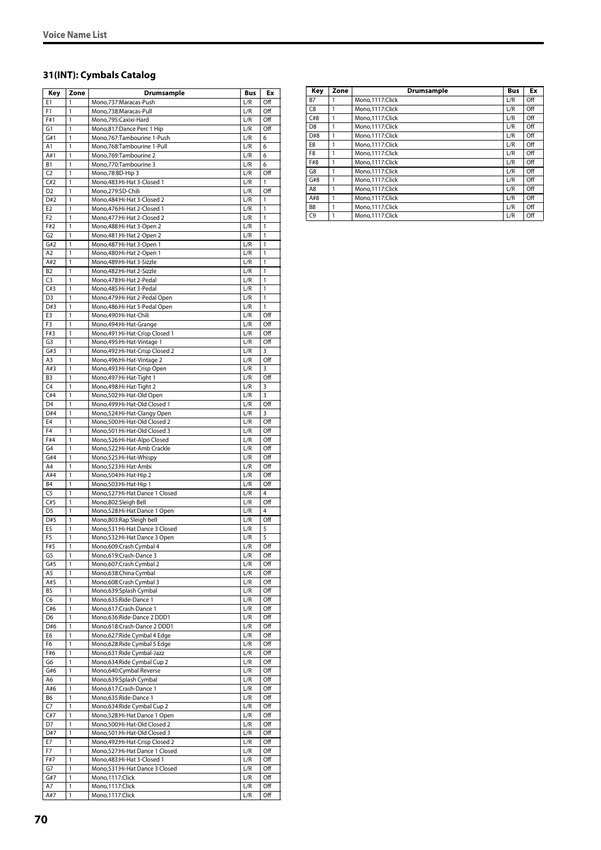# **31(INT): Cymbals Catalog**

| Key                   | Zone                         | <b>Drumsample</b>                                                | Bus        | Ex           |
|-----------------------|------------------------------|------------------------------------------------------------------|------------|--------------|
| E1                    | 1                            | Mono,737:Maracas-Push                                            | L/R        | Off          |
| F <sub>1</sub>        | 1                            | Mono,738:Maracas-Pull                                            | L/R        | Off          |
| F#1                   | 1                            | Mono,795:Caxixi-Hard                                             | L/R        | Off          |
| G <sub>1</sub>        | 1                            | Mono,817:Dance Perc 1 Hip                                        | L/R        | Off          |
| G#1<br>A1             | 1<br>1                       | Mono,767:Tambourine 1-Push<br>Mono,768:Tambourine 1-Pull         | L/R<br>L/R | 6<br>6       |
| A#1                   | 1                            | Mono, 769: Tambourine 2                                          | L/R        | 6            |
| <b>B1</b>             | 1                            | Mono.770:Tambourine 3                                            | L/R        | 6            |
| C <sub>2</sub>        | 1                            | Mono,78:BD-Hip 3                                                 | L/R        | Off          |
| C#2                   | 1                            | Mono, 483: Hi-Hat 3-Closed 1                                     | L/R        | $\mathbf{1}$ |
| D <sub>2</sub>        | 1                            | Mono,279:SD-Chili                                                | L/R        | Off          |
| D#2                   | 1                            | Mono, 484: Hi-Hat 3-Closed 2                                     | L/R        | 1            |
| E <sub>2</sub>        | 1                            | Mono,476:Hi-Hat 2-Closed 1                                       | L/R        | $\mathbf{1}$ |
| F <sub>2</sub>        | 1                            | Mono, 477: Hi-Hat 2-Closed 2                                     | L/R        | 1            |
| F#2                   | 1                            | Mono, 488: Hi-Hat 3-Open 2                                       | L/R        | 1            |
| G <sub>2</sub>        | $\mathbf{1}$                 | Mono, 481: Hi-Hat 2-Open 2                                       | L/R        | 1            |
| G#2                   | 1                            | Mono, 487: Hi-Hat 3-Open 1                                       | L/R        | 1            |
| A <sub>2</sub>        | 1                            | Mono, 480: Hi-Hat 2-Open 1                                       | L/R        | 1            |
| A#2                   | 1                            | Mono, 489: Hi-Hat 3-Sizzle                                       | L/R        | 1            |
| B <sub>2</sub>        | 1                            | Mono, 482: Hi-Hat 2-Sizzle                                       | L/R        | 1            |
| C <sub>3</sub>        | 1<br>1                       | Mono, 478: Hi-Hat 2-Pedal                                        | L/R        | 1<br>1       |
| C#3<br>D <sub>3</sub> | 1                            | Mono, 485: Hi-Hat 3-Pedal                                        | L/R<br>L/R | 1            |
| D#3                   | 1                            | Mono, 479: Hi-Hat 2-Pedal Open<br>Mono, 486: Hi-Hat 3-Pedal Open | L/R        | 1            |
| E3                    | 1                            | Mono,490:Hi-Hat-Chili                                            | L/R        | Off          |
| F3                    | 1                            | Mono, 494: Hi-Hat-Grange                                         | L/R        | Off          |
| F#3                   | 1                            | Mono, 491: Hi-Hat-Crisp Closed 1                                 | L/R        | Off          |
| G3                    | 1                            | Mono, 495: Hi-Hat-Vintage 1                                      | L/R        | Off          |
| G#3                   | 1                            | Mono,492:Hi-Hat-Crisp Closed 2                                   | L/R        | 3            |
| A <sub>3</sub>        | 1                            | Mono, 496: Hi-Hat-Vintage 2                                      | L/R        | Off          |
| A#3                   | $\mathbf{1}$                 | Mono, 493: Hi-Hat-Crisp Open                                     | L/R        | 3            |
| B <sub>3</sub>        | 1                            | Mono, 497: Hi-Hat-Tight 1                                        | L/R        | Off          |
| C <sub>4</sub>        | 1                            | Mono, 498: Hi-Hat-Tight 2                                        | L/R        | 3            |
| C#4                   | 1                            | Mono,502:Hi-Hat-Old Open                                         | L/R        | 3            |
| D4                    | 1                            | Mono,499:Hi-Hat-Old Closed 1                                     | L/R        | Off          |
| D#4                   | 1                            | Mono,524:Hi-Hat-Clangy Open                                      | L/R        | 3            |
| E4                    | 1                            | Mono,500:Hi-Hat-Old Closed 2                                     | L/R        | Off          |
| F <sub>4</sub>        | $\mathbf{1}$                 | Mono, 501: Hi-Hat-Old Closed 3                                   | L/R        | Off          |
| F#4                   | 1                            | Mono,526:Hi-Hat-Alpo Closed                                      | L/R        | Off          |
| G4<br>G#4             | 1<br>1                       | Mono,522:Hi-Hat-Amb Crackle<br>Mono,525:Hi-Hat-Whispy            | L/R<br>L/R | Off<br>Off   |
| A4                    | 1                            | Mono,523:Hi-Hat-Ambi                                             | L/R        | Off          |
| A#4                   | 1                            | Mono,504:Hi-Hat-Hip 2                                            | L/R        | Off          |
| B4                    | 1                            | Mono,503:Hi-Hat-Hip 1                                            | L/R        | Off          |
| C <sub>5</sub>        | 1                            | Mono,527:Hi-Hat Dance 1 Closed                                   | L/R        | 4            |
| C#5                   | 1                            | Mono,802:Sleigh Bell                                             | L/R        | Off          |
| D <sub>5</sub>        | $\mathbf{1}$                 | Mono,528:Hi-Hat Dance 1 Open                                     | L/R        | 4            |
| D#5                   | 1                            | Mono,803:Rap Sleigh bell                                         | L/R        | Off          |
| E5                    | 1                            | Mono,531:Hi-Hat Dance 3 Closed                                   | L/R        | 5            |
| F <sub>5</sub>        | 1                            | Mono,532:Hi-Hat Dance 3 Open                                     | L/R        | 5            |
| F#5                   | 1                            | Mono,609:Crash Cymbal 4                                          | L/R        | Off          |
| G5                    | 1                            | Mono,619:Crash-Dance 3                                           | L/R        | Off          |
| G#5                   | 1                            | Mono,607:Crash Cymbal 2                                          | L/R        | Off          |
| A5                    | $\mathbf{1}$                 | Mono, 638: China Cymbal                                          | L/R        | Off          |
| A#5                   | $\mathbf{1}$                 | Mono,608:Crash Cymbal 3                                          | L/R        | Off          |
| B <sub>5</sub>        | 1<br>1                       | Mono,639:Splash Cymbal<br>Mono,635: Ride-Dance 1                 | L/R<br>L/R | Off          |
| C6<br>C#6             | 1                            | Mono,617:Crash-Dance 1                                           | L/R        | Off<br>Off   |
| D6                    | $\mathbf{1}$                 | Mono,636:Ride-Dance 2 DDD1                                       | L/R        | Off          |
| D#6                   | $\mathbf{1}$                 | Mono,618:Crash-Dance 2 DDD1                                      | L/R        | Off          |
| E6                    | $\mathbf{1}$                 | Mono,627: Ride Cymbal 4 Edge                                     | L/R        | Off          |
| F6                    | $\overline{1}$               | Mono,628: Ride Cymbal 5 Edge                                     | L/R        | Off          |
| F#6                   | 1                            | Mono,631:Ride Cymbal-Jazz                                        | L/R        | Off          |
| G6                    | 1                            | Mono, 634: Ride Cymbal Cup 2                                     | L/R        | Off          |
| G#6                   | 1                            | Mono,640:Cymbal Reverse                                          | L/R        | Off          |
| A6                    | 1                            | Mono,639:Splash Cymbal                                           | L/R        | Off          |
| A#6                   | $\mathbf{1}$                 | Mono,617:Crash-Dance 1                                           | L/R        | Off          |
| B6                    | 1                            | Mono,635:Ride-Dance 1                                            | L/R        | Off          |
| C <sub>7</sub>        | $\mathbf{1}$                 | Mono,634: Ride Cymbal Cup 2                                      | L/R        | Off          |
| C#7                   | $\mathbf{1}$                 | Mono,528:Hi-Hat Dance 1 Open                                     | L/R        | Off          |
| D7                    | 1                            | Mono,500:Hi-Hat-Old Closed 2                                     | L/R        | Off          |
| D#7                   | 1                            | Mono,501:Hi-Hat-Old Closed 3                                     | L/R        | Off          |
| E7                    | 1                            | Mono, 492: Hi-Hat-Crisp Closed 2                                 | L/R        | Off          |
| F7                    | $\mathbf{1}$<br>$\mathbf{1}$ | Mono,527:Hi-Hat Dance 1 Closed                                   | L/R        | Off          |
| F#7<br>G7             | 1                            | Mono, 483: Hi-Hat 3-Closed 1<br>Mono,531:Hi-Hat Dance 3 Closed   | L/R<br>L/R | Off<br>Off   |
| G#7                   | $\mathbf{1}$                 | Mono, 1117: Click                                                | L/R        | Off          |
| A7                    | 1                            | Mono, 1117: Click                                                | L/R        | Off          |
| A#7                   | 1                            | Mono, 1117: Click                                                | L/R        | Off          |
|                       |                              |                                                                  |            |              |

| Key            | Zone | Drumsample      | <b>Bus</b> | Ex  |
|----------------|------|-----------------|------------|-----|
| <b>B7</b>      | 1    | Mono.1117:Click | L/R        | Off |
| C <sub>8</sub> | 1    | Mono,1117:Click | L/R        | Off |
| C#8            | 1    | Mono.1117:Click | L/R        | Off |
| D8             | 1    | Mono.1117:Click | L/R        | Off |
| D#8            | 1    | Mono.1117:Click | L/R        | Off |
| E8             | 1    | Mono.1117:Click | L/R        | Off |
| F8             | 1    | Mono.1117:Click | L/R        | Off |
| F#8            | 1    | Mono.1117:Click | L/R        | Off |
| G8             | 1    | Mono.1117:Click | L/R        | Off |
| G#8            | 1    | Mono.1117:Click | L/R        | Off |
| A8             | 1    | Mono.1117:Click | L/R        | Off |
| A#8            | 1    | Mono.1117:Click | L/R        | Off |
| B <sub>8</sub> | 1    | Mono.1117:Click | L/R        | Off |
| C <sub>9</sub> | 1    | Mono.1117:Click | L/R        | Off |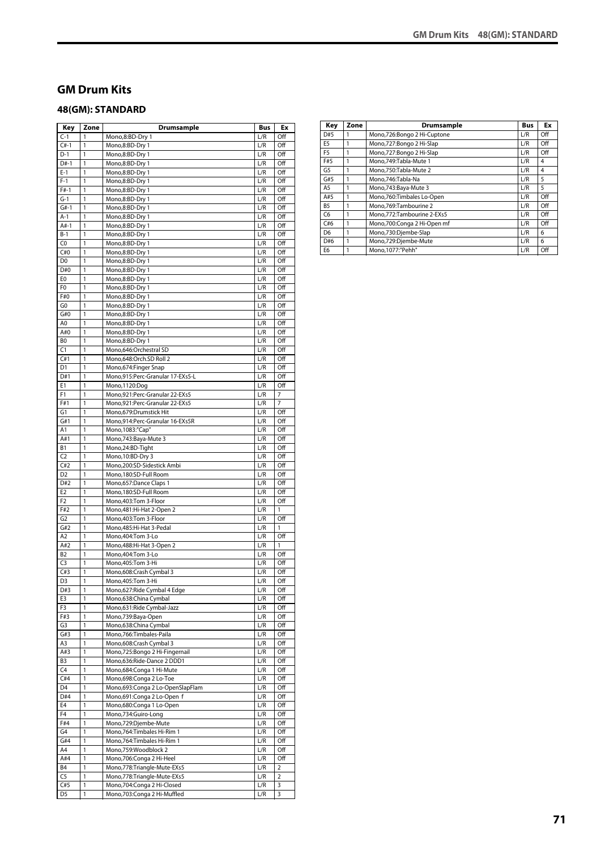### **GM Drum Kits**

### **48(GM): STANDARD**

| Key                   | Zone                         | <b>Drumsample</b>                                           | <b>Bus</b> | Ex         |
|-----------------------|------------------------------|-------------------------------------------------------------|------------|------------|
| $C-1$                 | 1                            | Mono,8:BD-Dry 1                                             | L/R        | Off        |
| $C#-1$                | 1                            | Mono,8:BD-Dry 1                                             | L/R        | Off        |
| D-1                   | 1                            | Mono,8:BD-Dry 1                                             | L/R        | Off        |
| $D#-1$                | 1                            | Mono,8:BD-Dry 1                                             | L/R        | Off        |
| $E-1$                 | 1                            | Mono,8:BD-Dry 1                                             | L/R        | Off        |
| $F-1$<br>$F#-1$       | 1<br>1                       | Mono,8:BD-Dry 1                                             | L/R        | Off        |
| $G-1$                 | 1                            | Mono,8:BD-Dry 1<br>Mono,8:BD-Dry 1                          | L/R<br>L/R | Off<br>Off |
| $G#-1$                | 1                            | Mono,8:BD-Dry 1                                             | L/R        | Off        |
| $A-1$                 | 1                            | Mono,8:BD-Dry 1                                             | L/R        | Off        |
| $A#-1$                | 1                            | Mono,8:BD-Dry 1                                             | L/R        | Off        |
| $B-1$                 | 1                            | Mono,8:BD-Dry 1                                             | L/R        | Off        |
| C <sub>0</sub>        | 1                            | Mono,8:BD-Dry 1                                             | L/R        | Off        |
| C#0                   | 1                            | Mono,8:BD-Dry 1                                             | L/R        | Off        |
| D <sub>0</sub>        | 1                            | Mono,8:BD-Dry 1                                             | L/R        | Off        |
| D#0                   | 1                            | Mono,8:BD-Dry 1                                             | L/R        | Off        |
| E0                    | 1                            | Mono,8:BD-Dry 1                                             | L/R        | Off        |
| F0                    | 1                            | Mono,8:BD-Dry 1                                             | L/R        | Off        |
| F#0<br>G0             | 1<br>1                       | Mono,8:BD-Dry 1<br>Mono,8:BD-Dry 1                          | L/R<br>L/R | Off<br>Off |
| G#0                   | 1                            | Mono,8:BD-Dry 1                                             | L/R        | Off        |
| A0                    | 1                            | Mono,8:BD-Dry 1                                             | L/R        | Off        |
| A#0                   | 1                            | Mono,8:BD-Dry 1                                             | L/R        | Off        |
| B0                    | 1                            | Mono,8:BD-Dry 1                                             | L/R        | Off        |
| C1                    | 1                            | Mono,646:Orchestral SD                                      | L/R        | Off        |
| C#1                   | 1                            | Mono,648:Orch.SD Roll 2                                     | L/R        | Off        |
| D <sub>1</sub>        | 1                            | Mono, 674: Finger Snap                                      | L/R        | Off        |
| D#1                   | 1                            | Mono,915:Perc-Granular 17-EXs5-L                            | L/R        | Off        |
| E1                    | 1                            | Mono,1120:Dog                                               | L/R        | Off        |
| F <sub>1</sub>        | 1                            | Mono,921:Perc-Granular 22-EXs5                              | L/R        | 7          |
| F#1                   | 1                            | Mono,921:Perc-Granular 22-EXs5                              | L/R        | 7          |
| G1                    | 1                            | Mono,679:Drumstick Hit                                      | L/R        | Off        |
| G#1<br>Α1             | 1<br>1                       | Mono,914:Perc-Granular 16-EXs5R<br>Mono, 1083:"Cap"         | L/R<br>L/R | Off<br>Off |
| A#1                   | 1                            | Mono, 743: Baya-Mute 3                                      | L/R        | Off        |
| В1                    | 1                            | Mono,24:BD-Tight                                            | L/R        | Off        |
| C <sub>2</sub>        | 1                            | Mono, 10:BD-Dry 3                                           | L/R        | Off        |
| C#2                   | 1                            | Mono,200:SD-Sidestick Ambi                                  | L/R        | Off        |
| D <sub>2</sub>        | 1                            | Mono,180:SD-Full Room                                       | L/R        | Off        |
| D#2                   | 1                            | Mono, 657: Dance Claps 1                                    | L/R        | Off        |
| E <sub>2</sub>        | 1                            | Mono,180:SD-Full Room                                       | L/R        | Off        |
| F <sub>2</sub>        | 1                            | Mono, 403: Tom 3-Floor                                      | L/R        | Off        |
| F#2                   | 1                            | Mono, 481: Hi-Hat 2-Open 2                                  | L/R        | 1          |
| G <sub>2</sub><br>G#2 | 1<br>1                       | Mono, 403: Tom 3-Floor                                      | L/R<br>L/R | Off<br>1   |
| A <sub>2</sub>        | 1                            | Mono, 485: Hi-Hat 3-Pedal<br>Mono.404:Tom 3-Lo              | L/R        | Off        |
| A#2                   | 1                            | Mono, 488: Hi-Hat 3-Open 2                                  | L/R        | 1          |
| B <sub>2</sub>        | 1                            | Mono, 404: Tom 3-Lo                                         | L/R        | Off        |
| C <sub>3</sub>        | 1                            | Mono, 405: Tom 3-Hi                                         | L/R        | Off        |
| C#3                   | $\mathbf{1}$                 | Mono,608:Crash Cymbal 3                                     | L/R        | Off        |
| D3                    | 1                            | Mono, 405: Tom 3-Hi                                         | L/R        | Off        |
| D#3                   | 1                            | Mono,627:Ride Cymbal 4 Edge                                 | L/R        | Off        |
| E3                    | $\mathbf{1}$                 | Mono,638:China Cymbal                                       | L/R        | Off        |
| F3                    | 1                            | Mono,631:Ride Cymbal-Jazz                                   | L/R        | Off        |
| F#3                   | 1                            | Mono,739:Baya-Open                                          | L/R        | Off        |
| G3                    | 1                            | Mono,638:China Cymbal                                       | L/R        | Off        |
| G#3                   | 1                            | Mono, 766: Timbales-Paila                                   | L/R        | Off        |
| A3<br>A#3             | $\mathbf{1}$<br>$\mathbf{1}$ | Mono,608:Crash Cymbal 3<br>Mono, 725: Bongo 2 Hi-Fingernail | L/R<br>L/R | Off<br>Off |
| B3                    | $\mathbf{1}$                 | Mono,636:Ride-Dance 2 DDD1                                  | L/R        | Off        |
| C <sub>4</sub>        | $\mathbf{1}$                 | Mono, 684: Conga 1 Hi-Mute                                  | L/R        | Off        |
| C#4                   | 1                            | Mono,698:Conga 2 Lo-Toe                                     | L/R        | Off        |
| D4                    | 1                            | Mono,693:Conga 2 Lo-OpenSlapFlam                            | L/R        | Off        |
| D#4                   | $\mathbf{1}$                 | Mono,691:Conga 2 Lo-Open f                                  | L/R        | Off        |
| E4                    | $\mathbf{1}$                 | Mono,680:Conga 1 Lo-Open                                    | L/R        | Off        |
| F <sub>4</sub>        | 1                            | Mono,734:Guiro-Long                                         | L/R        | Off        |
| F#4                   | 1                            | Mono,729:Djembe-Mute                                        | L/R        | Off        |
| G4                    | 1                            | Mono, 764: Timbales Hi-Rim 1                                | L/R        | Off        |
| G#4                   | 1                            | Mono, 764: Timbales Hi-Rim 1                                | L/R        | Off        |
| A4                    | 1                            | Mono,759:Woodblock 2                                        | L/R        | Off        |
| A#4<br><b>B4</b>      | 1<br>1                       | Mono,706:Conga 2 Hi-Heel<br>Mono,778:Triangle-Mute-EXs5     | L/R<br>L/R | Off<br>2   |
| C5                    | $\mathbf{1}$                 | Mono,778:Triangle-Mute-EXs5                                 | L/R        | 2          |
| C#5                   | 1                            | Mono, 704: Conga 2 Hi-Closed                                | L/R        | 3          |
| D5                    | 1                            | Mono,703:Conga 2 Hi-Muffled                                 | L/R        | 3          |
|                       |                              |                                                             |            |            |

| Key            | Zone | Drumsample                  | <b>Bus</b> | Ex  |
|----------------|------|-----------------------------|------------|-----|
| D#5            |      | Mono,726:Bongo 2 Hi-Cuptone | L/R        | Off |
| E <sub>5</sub> |      | Mono,727:Bongo 2 Hi-Slap    | L/R        | Off |
| F <sub>5</sub> |      | Mono,727:Bongo 2 Hi-Slap    | L/R        | Off |
| F#5            |      | Mono.749:Tabla-Mute 1       | L/R        | 4   |
| G <sub>5</sub> |      | Mono.750:Tabla-Mute 2       | L/R        | 4   |
| G#5            |      | Mono.746:Tabla-Na           | L/R        | 5   |
| A <sub>5</sub> |      | Mono, 743: Baya-Mute 3      | L/R        | 5   |
| A#5            |      | Mono, 760: Timbales Lo-Open | L/R        | Off |
| B <sub>5</sub> | 1    | Mono, 769: Tambourine 2     | L/R        | Off |
| C <sub>6</sub> |      | Mono.772:Tambourine 2-EXs5  | L/R        | Off |
| C#6            |      | Mono,700:Conga 2 Hi-Open mf | L/R        | Off |
| D <sub>6</sub> |      | Mono,730:Djembe-Slap        | L/R        | 6   |
| D#6            |      | Mono,729:Djembe-Mute        | L/R        | 6   |
| E <sub>6</sub> |      | Mono.1077:"Pehh"            | L/R        | Off |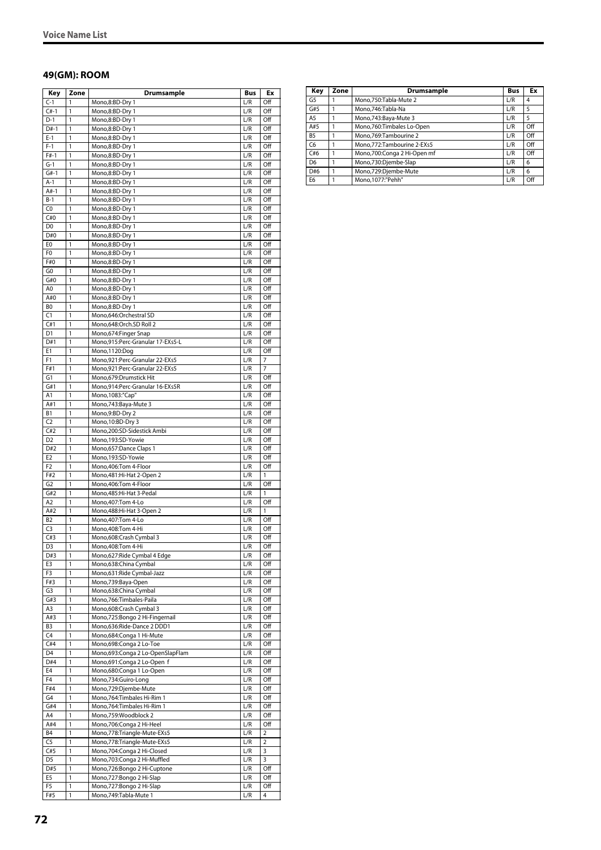### **49(GM): ROOM**

| Key            | Zone                         | <b>Drumsample</b>                                         | Bus        | Ex             |
|----------------|------------------------------|-----------------------------------------------------------|------------|----------------|
| $C-1$          | $\mathbf{1}$                 | Mono,8:BD-Dry 1                                           | L/R        | Off            |
| $C#-1$         | $\mathbf{1}$                 | Mono,8:BD-Dry 1                                           | L/R        | Off            |
| $D-1$          | $\mathbf{1}$                 | Mono,8:BD-Dry 1                                           | L/R        | Off            |
| $D#-1$         | 1                            | Mono,8:BD-Dry 1                                           | L/R        | Off            |
| $E-1$          | 1                            | Mono,8:BD-Dry 1                                           | L/R        | Off            |
| $F-1$          | $\mathbf{1}$                 | Mono,8:BD-Dry 1                                           | L/R        | Off            |
| $F#-1$         | 1                            | Mono,8:BD-Dry 1                                           | L/R        | Off            |
| $G-1$          | $\mathbf{1}$                 | Mono,8:BD-Dry 1                                           | L/R        | Off            |
| $G#-1$         | $\mathbf{1}$                 | Mono,8:BD-Dry 1                                           | L/R        | Off            |
| $A-1$          | $\mathbf{1}$                 | Mono,8:BD-Dry 1                                           | L/R        | Off            |
| $A#-1$         | 1                            | Mono,8:BD-Dry 1                                           | L/R        | Off            |
| $B-1$          | 1                            | Mono,8:BD-Dry 1                                           | L/R        | Off            |
| C0             | 1                            | Mono,8:BD-Dry 1                                           | L/R        | Off            |
| C#0            | 1                            | Mono,8:BD-Dry 1                                           | L/R        | Off            |
| D <sub>0</sub> | 1                            | Mono,8:BD-Dry 1                                           | L/R        | Off            |
| D#0            | $\overline{1}$               | Mono,8:BD-Dry 1                                           | L/R        | Off            |
| E <sub>0</sub> | $\mathbf{1}$                 | Mono,8:BD-Dry 1                                           | L/R        | Off            |
| F0             | 1                            | Mono,8:BD-Dry 1                                           | L/R        | Off            |
| F#0            | 1                            | Mono,8:BD-Dry 1                                           | L/R        | Off            |
| G <sub>0</sub> | 1                            | Mono,8:BD-Dry 1                                           | L/R        | Off            |
| G#0            | $\mathbf{1}$                 | Mono,8:BD-Dry 1                                           | L/R        | Off            |
| A0             | 1                            | Mono,8:BD-Dry 1                                           | L/R        | Off            |
| A#0            | 1                            | Mono,8:BD-Dry 1                                           | L/R        | Off            |
| B <sub>0</sub> | $\mathbf{1}$                 | Mono,8:BD-Dry 1                                           | L/R        | Off            |
| C1             | 1                            | Mono,646:Orchestral SD                                    | L/R        | Off            |
| C#1            | 1                            | Mono,648:Orch.SD Roll 2                                   | L/R        | Off            |
| D <sub>1</sub> | $\mathbf{1}$                 | Mono,674:Finger Snap                                      | L/R        | Off            |
| D#1            | 1                            | Mono,915:Perc-Granular 17-EXs5-L                          | L/R        | Off            |
| E1             | 1                            | Mono, 1120: Dog                                           | L/R        | Off            |
| F1             | 1                            | Mono,921:Perc-Granular 22-EXs5                            | L/R        | $\overline{7}$ |
| F#1            | $\overline{1}$               | Mono, 921: Perc-Granular 22-EXs5                          | L/R        | 7              |
| G1             | $\mathbf{1}$<br>1            | Mono,679:Drumstick Hit                                    | L/R        | Off            |
| G#1<br>A1      | 1                            | Mono,914:Perc-Granular 16-EXs5R<br>Mono, 1083: "Cap"      | L/R<br>L/R | Off<br>Off     |
| A#1            | 1                            | Mono, 743: Baya-Mute 3                                    | L/R        | Off            |
| B1             | $\mathbf{1}$                 | Mono,9:BD-Dry 2                                           | L/R        | Off            |
| C <sub>2</sub> | 1                            | Mono, 10:BD-Dry 3                                         | L/R        | Off            |
| C#2            | 1                            | Mono,200:SD-Sidestick Ambi                                | L/R        | Off            |
| D <sub>2</sub> | $\mathbf{1}$                 | Mono,193:SD-Yowie                                         | L/R        | Off            |
| D#2            | 1                            | Mono,657:Dance Claps 1                                    | L/R        | Off            |
| E <sub>2</sub> | 1                            | Mono,193:SD-Yowie                                         | L/R        | Off            |
| F <sub>2</sub> | 1                            | Mono,406:Tom 4-Floor                                      | L/R        | Off            |
| F#2            | 1                            | Mono, 481: Hi-Hat 2-Open 2                                | L/R        | 1              |
| G <sub>2</sub> | 1                            | Mono, 406: Tom 4-Floor                                    | L/R        | Off            |
| G#2            | 1                            | Mono, 485: Hi-Hat 3-Pedal                                 | L/R        | 1              |
| A <sub>2</sub> | $\mathbf{1}$                 | Mono, 407: Tom 4-Lo                                       | L/R        | Off            |
| A#2            | 1                            | Mono, 488: Hi-Hat 3-Open 2                                | L/R        | 1              |
| B <sub>2</sub> | 1                            | Mono, 407: Tom 4-Lo                                       | L/R        | Off            |
| C <sub>3</sub> | 1                            | Mono, 408: Tom 4-Hi                                       | L/R        | Off            |
| C#3            | $\mathbf{1}$                 | Mono,608:Crash Cymbal 3                                   | L/R        | Off            |
| D3             | 1                            | Mono, 408: Tom 4-Hi                                       | L/R        | Off            |
| D#3<br>E3      | $\mathbf{1}$<br>$\mathbf{1}$ | Mono,627: Ride Cymbal 4 Edge<br>Mono,638:China Cymbal     | L/R        | Off<br>Off     |
| F3             | $\mathbf{1}$                 | Mono,631:Ride Cymbal-Jazz                                 | L/R<br>L/R | Off            |
| F#3            | $\mathbf{1}$                 | Mono,739:Baya-Open                                        | L/R        | Off            |
| G3             | 1                            | Mono,638:China Cymbal                                     | L/R        | Off            |
| G#3            | $\mathbf{1}$                 | Mono,766:Timbales-Paila                                   | L/R        | Off            |
| A3             | $\mathbf{1}$                 | Mono,608:Crash Cymbal 3                                   | L/R        | Off            |
| A#3            | $\mathbf{1}$                 | Mono,725:Bongo 2 Hi-Fingernail                            | L/R        | Off            |
| B3             | 1                            | Mono,636:Ride-Dance 2 DDD1                                | L/R        | Off            |
| C4             | $\mathbf{1}$                 | Mono,684:Conga 1 Hi-Mute                                  | L/R        | Off            |
| C#4            | $\mathbf{1}$                 | Mono,698:Conga 2 Lo-Toe                                   | L/R        | Off            |
| D <sub>4</sub> | $\mathbf{1}$                 | Mono,693:Conga 2 Lo-OpenSlapFlam                          | L/R        | Off            |
| D#4            | $\mathbf{1}$                 | Mono,691:Conga 2 Lo-Open f                                | L/R        | Off            |
| E4             | $\mathbf{1}$                 | Mono,680:Conga 1 Lo-Open                                  | L/R        | Off            |
| F <sub>4</sub> | $\mathbf{1}$                 | Mono,734:Guiro-Long                                       | L/R        | Off            |
| F#4            | $\mathbf{1}$                 | Mono,729:Djembe-Mute                                      | L/R        | Off            |
| G4             | $\mathbf{1}$                 | Mono, 764: Timbales Hi-Rim 1                              | L/R        | Off            |
| G#4            | $\mathbf{1}$                 | Mono, 764: Timbales Hi-Rim 1                              | L/R        | Off            |
| A4             | 1                            | Mono,759:Woodblock 2                                      | L/R        | Off            |
| A#4            | $\mathbf{1}$                 | Mono,706:Conga 2 Hi-Heel                                  | L/R        | Off            |
| B4             | $\mathbf{1}$                 | Mono,778:Triangle-Mute-EXs5                               | L/R        | 2              |
| C5<br>C#5      | 1<br>$\mathbf{1}$            | Mono,778:Triangle-Mute-EXs5<br>Mono,704:Conga 2 Hi-Closed | L/R<br>L/R | 2<br>3         |
| D5             | 1                            | Mono,703:Conga 2 Hi-Muffled                               | L/R        | 3              |
| D#5            | $\mathbf{1}$                 | Mono,726:Bongo 2 Hi-Cuptone                               | L/R        | Off            |
| E5             |                              |                                                           |            |                |
|                | $\mathbf{1}$                 |                                                           |            |                |
| F5             | $\mathbf{1}$                 | Mono,727:Bongo 2 Hi-Slap<br>Mono,727:Bongo 2 Hi-Slap      | L/R<br>L/R | Off<br>Off     |

| Key            | Zone | Drumsample                   | <b>Bus</b> | Ex  |
|----------------|------|------------------------------|------------|-----|
| G5             |      | Mono, 750: Tabla-Mute 2      | L/R        | 4   |
| G#5            |      | Mono, 746: Tabla-Na          | L/R        | 5   |
| A <sub>5</sub> |      | Mono, 743: Baya-Mute 3       | L/R        | 5   |
| A#5            |      | Mono, 760: Timbales Lo-Open  | L/R        | Off |
| B <sub>5</sub> |      | Mono, 769: Tambourine 2      | L/R        | Off |
| C <sub>6</sub> |      | Mono, 772: Tambourine 2-EXs5 | L/R        | Off |
| C#6            |      | Mono,700:Conga 2 Hi-Open mf  | L/R        | Off |
| D <sub>6</sub> |      | Mono,730:Djembe-Slap         | L/R        | 6   |
| D#6            |      | Mono,729:Djembe-Mute         | L/R        | 6   |
| E <sub>6</sub> |      | Mono, 1077:"Pehh"            | L/R        | Off |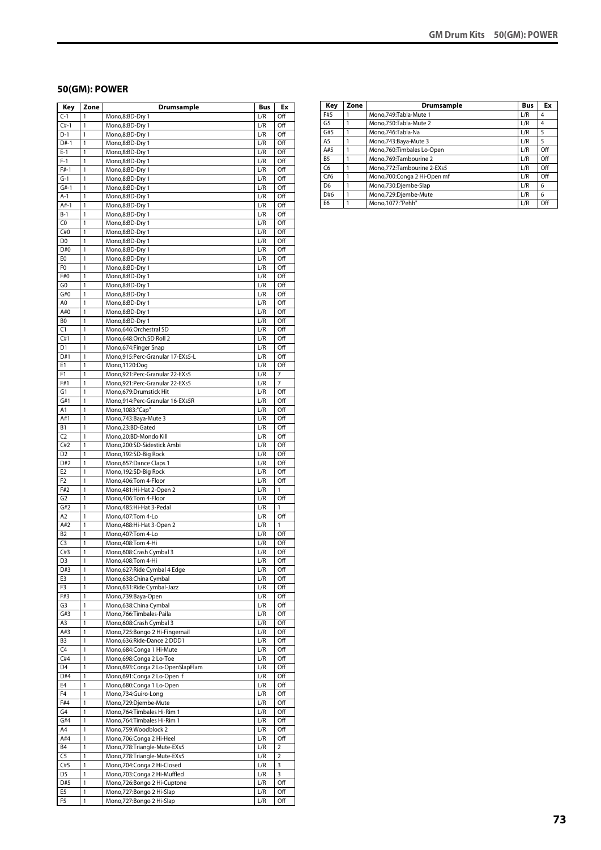#### **50(GM): POWER**

| Key                   | Zone         | <b>Drumsample</b>                                       | Bus              | Ex                    |
|-----------------------|--------------|---------------------------------------------------------|------------------|-----------------------|
| $C-1$                 | 1            | Mono,8:BD-Dry 1                                         | L/R              | Off                   |
| $C#-1$                | 1            | Mono,8:BD-Dry 1                                         | L/R              | Off                   |
| $D-1$                 | 1            | Mono,8:BD-Dry 1                                         | L/R              | Off                   |
| D#-1                  | 1            | Mono,8:BD-Dry 1                                         | L/R              | Off                   |
| $E-1$                 | 1            | Mono,8:BD-Dry 1                                         | L/R              | Off                   |
| $F-1$                 | 1            | Mono,8:BD-Dry 1                                         | L/R              | Off                   |
| $F#-1$<br>$G-1$       | 1<br>1       | Mono,8:BD-Dry 1<br>Mono,8:BD-Dry 1                      | L/R<br>L/R       | Off<br>Off            |
| $G#-1$                | 1            | Mono,8:BD-Dry 1                                         | L/R              | Off                   |
| $A-1$                 | 1            | Mono,8:BD-Dry 1                                         | L/R              | Off                   |
| $A#-1$                | 1            | Mono,8:BD-Dry 1                                         | L/R              | Off                   |
| $B-1$                 | 1            | Mono,8:BD-Dry 1                                         | L/R              | Off                   |
| C0                    | 1            | Mono,8:BD-Dry 1                                         | L/R              | Off                   |
| C#0                   | 1            | Mono,8:BD-Dry 1                                         | L/R              | Off                   |
| D <sub>0</sub>        | 1            | Mono,8:BD-Dry 1                                         | L/R              | Off                   |
| D#0                   | 1            | Mono,8:BD-Dry 1                                         | L/R              | Off                   |
| E0                    | 1            | Mono,8:BD-Dry 1                                         | L/R              | Off                   |
| F0                    | 1            | Mono,8:BD-Dry 1                                         | L/R              | Off                   |
| F#0                   | 1            | Mono,8:BD-Dry 1                                         | L/R              | Off                   |
| G0                    | 1            | Mono,8:BD-Dry 1                                         | L/R              | Off                   |
| G#0                   | 1            | Mono,8:BD-Dry 1                                         | L/R              | Off                   |
| A0                    | 1            | Mono,8:BD-Dry 1                                         | L/R              | Off                   |
| A#0                   | 1            | Mono,8:BD-Dry 1                                         | L/R              | Off                   |
| BO<br>$\overline{C}$  | 1<br>1       | Mono,8:BD-Dry 1                                         | L/R<br>L/R       | Off                   |
| C#1                   | 1            | Mono,646:Orchestral SD<br>Mono,648:Orch.SD Roll 2       | L/R              | Off<br>Off            |
| D1                    | 1            | Mono,674:Finger Snap                                    | L/R              | Off                   |
| D#1                   | 1            | Mono,915:Perc-Granular 17-EXs5-L                        | L/R              | Off                   |
| E1                    | 1            | Mono,1120:Dog                                           | L/R              | Off                   |
| F1                    | 1            | Mono,921:Perc-Granular 22-EXs5                          | L/R              | 7                     |
| F#1                   | 1            | Mono,921:Perc-Granular 22-EXs5                          | L/R              | 7                     |
| G1                    | 1            | Mono,679:Drumstick Hit                                  | L/R              | Off                   |
| G#1                   | 1            | Mono,914:Perc-Granular 16-EXs5R                         | L/R              | Off                   |
| Α1                    | 1            | Mono, 1083:"Cap"                                        | L/R              | Off                   |
| A#1                   | 1            | Mono,743:Baya-Mute 3                                    | L/R              | Off                   |
| <b>B1</b>             | 1            | Mono,23:BD-Gated                                        | L/R              | Off                   |
| C <sub>2</sub>        | 1            | Mono,20:BD-Mondo Kill                                   | L/R              | Off                   |
| C#2                   | 1            | Mono,200:SD-Sidestick Ambi                              | L/R              | Off                   |
| D <sub>2</sub>        | 1            | Mono, 192: SD-Big Rock                                  | L/R              | Off                   |
| D#2                   | 1            | Mono,657:Dance Claps 1                                  | L/R              | Off                   |
| E <sub>2</sub>        | 1            | Mono, 192: SD-Big Rock                                  | L/R              | Off                   |
| F <sub>2</sub><br>F#2 | 1<br>1       | Mono,406:Tom 4-Floor                                    | L/R<br>L/R       | Off<br>1              |
| G <sub>2</sub>        | 1            | Mono, 481: Hi-Hat 2-Open 2<br>Mono.406:Tom 4-Floor      | L/R              | Off                   |
| G#2                   | 1            | Mono, 485: Hi-Hat 3-Pedal                               | L/R              | 1                     |
| A2                    | 1            | Mono, 407: Tom 4-Lo                                     | L/R              | Off                   |
| A#2                   | 1            | Mono, 488: Hi-Hat 3-Open 2                              | L/R              | 1                     |
| <b>B2</b>             | 1            | Mono, 407: Tom 4-Lo                                     | L/R              | Off                   |
| C <sub>3</sub>        | 1            | Mono, 408: Tom 4-Hi                                     | L/R              | Off                   |
| C#3                   | 1            | Mono,608:Crash Cymbal 3                                 | L/R              | Off                   |
| D3                    | 1            | Mono, 408: Tom 4-Hi                                     | L/R              | Off                   |
| D#3                   | 1            | Mono,627:Ride Cymbal 4 Edge                             | L/R              | Off                   |
| E3                    | 1            | Mono,638:China Cymbal                                   | L/R              | Off                   |
| F3                    | 1            | Mono,631:Ride Cymbal-Jazz                               | L/R              | Off                   |
| F#3<br>G3             | 1<br>1       | Mono,739:Baya-Open<br>Mono,638:China Cymbal             | $\overline{L/R}$ | Off<br>Off            |
| G#3                   | 1            | Mono,766:Timbales-Paila                                 | L/R<br>L/R       | Off                   |
| A3                    | 1            | Mono,608:Crash Cymbal 3                                 | L/R              | Off                   |
| A#3                   | 1            | Mono,725:Bongo 2 Hi-Fingernail                          | L/R              | Off                   |
| B3                    | $\mathbf{1}$ | Mono,636:Ride-Dance 2 DDD1                              | L/R              | Off                   |
| C4                    | 1            | Mono,684:Conga 1 Hi-Mute                                | L/R              | Off                   |
| C#4                   | 1            | Mono,698:Conga 2 Lo-Toe                                 | L/R              | Off                   |
| D4                    | 1            | Mono,693:Conga 2 Lo-OpenSlapFlam                        | L/R              | Off                   |
| D#4                   | 1            | Mono,691:Conga 2 Lo-Open f                              | L/R              | Off                   |
| E4                    | 1            | Mono,680:Conga 1 Lo-Open                                | L/R              | Off                   |
| F4                    | 1            | Mono,734:Guiro-Long                                     | L/R              | Off                   |
| F#4                   | 1            | Mono,729:Djembe-Mute                                    | L/R              | Off                   |
| G4                    | 1            | Mono, 764: Timbales Hi-Rim 1                            | L/R              | Off                   |
| G#4                   | 1            | Mono, 764: Timbales Hi-Rim 1                            | L/R              | Off                   |
| A4                    | 1            | Mono,759:Woodblock 2                                    | L/R              | Off                   |
| A#4<br><b>B4</b>      | 1<br>1       | Mono,706:Conga 2 Hi-Heel<br>Mono,778:Triangle-Mute-EXs5 | L/R<br>L/R       | Off<br>$\overline{2}$ |
| C5                    | 1            | Mono,778:Triangle-Mute-EXs5                             | L/R              | $\overline{2}$        |
| C#5                   | 1            | Mono,704:Conga 2 Hi-Closed                              | L/R              | 3                     |
| D5                    | $\mathbf{1}$ | Mono,703:Conga 2 Hi-Muffled                             | L/R              | 3                     |
| D#5                   | $\mathbf{1}$ | Mono,726:Bongo 2 Hi-Cuptone                             | L/R              | Off                   |
| E5                    | $\mathbf{1}$ | Mono, 727: Bongo 2 Hi-Slap                              | L/R              | Off                   |
| F5                    | 1            | Mono, 727: Bongo 2 Hi-Slap                              | L/R              | Off                   |

| Key            | Zone | Drumsample                   | <b>Bus</b> | Ex  |
|----------------|------|------------------------------|------------|-----|
| F#5            |      | Mono, 749: Tabla-Mute 1      | L/R        | 4   |
| G <sub>5</sub> |      | Mono,750:Tabla-Mute 2        | L/R        | 4   |
| G#5            |      | Mono.746:Tabla-Na            | L/R        | 5   |
| A <sub>5</sub> |      | Mono, 743: Baya-Mute 3       | L/R        | 5   |
| A#5            |      | Mono,760:Timbales Lo-Open    | L/R        | Off |
| B <sub>5</sub> |      | Mono,769:Tambourine 2        | L/R        | Off |
| C <sub>6</sub> |      | Mono, 772: Tambourine 2-EXs5 | L/R        | Off |
| C#6            |      | Mono,700:Conga 2 Hi-Open mf  | L/R        | Off |
| D <sub>6</sub> |      | Mono,730:Djembe-Slap         | L/R        | 6   |
| D#6            |      | Mono,729:Djembe-Mute         | L/R        | 6   |
| E <sub>6</sub> |      | Mono, 1077: "Pehh"           | L/R        | Off |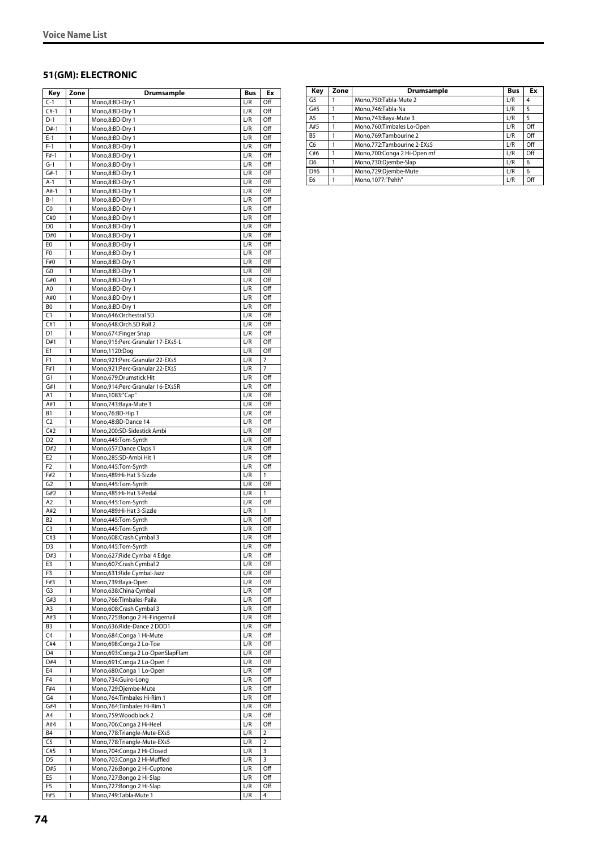#### **51(GM): ELECTRONIC**

| Key                              | Zone         | Drumsample                                                       | Bus                            | Ex             |
|----------------------------------|--------------|------------------------------------------------------------------|--------------------------------|----------------|
| $C-1$                            | 1            | Mono,8:BD-Dry 1                                                  | L/R                            | Off            |
| $C#-1$                           | 1            | Mono,8:BD-Dry 1                                                  | L/R                            | Off            |
| $D-1$                            | 1            | Mono,8:BD-Dry 1                                                  | L/R                            | Off            |
| $D#-1$<br>$E-1$                  | 1<br>1       | Mono,8:BD-Dry 1<br>Mono,8:BD-Dry 1                               | L/R<br>L/R                     | Off<br>Off     |
| $F-1$                            | 1            | Mono,8:BD-Dry 1                                                  | L/R                            | Off            |
| $F#-1$                           | 1            | Mono,8:BD-Dry 1                                                  | L/R                            | Off            |
| $G-1$                            | 1            | Mono,8:BD-Dry 1                                                  | L/R                            | Off            |
| $G#-1$                           | 1            | Mono,8:BD-Dry 1                                                  | L/R                            | Off            |
| $A-1$                            | 1            | Mono,8:BD-Dry 1                                                  | L/R                            | Off            |
| $A#-1$                           | 1            | Mono,8:BD-Dry 1                                                  | L/R                            | Off            |
| $B-1$<br>C0                      | 1<br>1       | Mono,8:BD-Dry 1                                                  | L/R<br>L/R                     | Off<br>Off     |
| C#0                              | 1            | Mono,8:BD-Dry 1<br>Mono,8:BD-Dry 1                               | L/R                            | Off            |
| D0                               | 1            | Mono,8:BD-Dry 1                                                  | L/R                            | Off            |
| D#0                              | 1            | Mono,8:BD-Dry 1                                                  | L/R                            | Off            |
| E0                               | 1            | Mono,8:BD-Dry 1                                                  | L/R                            | Off            |
| F <sub>0</sub>                   | 1            | Mono,8:BD-Dry 1                                                  | L/R                            | Off            |
| F#0                              | 1            | Mono,8:BD-Dry 1                                                  | L/R                            | Off            |
| G <sub>0</sub><br>G#0            | 1<br>1       | Mono,8:BD-Dry 1                                                  | L/R<br>L/R                     | Off<br>Off     |
| A0                               | 1            | Mono,8:BD-Dry 1<br>Mono,8:BD-Dry 1                               | L/R                            | Off            |
| A#0                              | 1            | Mono,8:BD-Dry 1                                                  | L/R                            | Off            |
| BO                               | 1            | Mono,8:BD-Dry 1                                                  | L/R                            | Off            |
| C1                               | 1            | Mono,646:Orchestral SD                                           | L/R                            | Off            |
| C#1                              | 1            | Mono,648:Orch.SD Roll 2                                          | L/R                            | Off            |
| D <sub>1</sub>                   | 1            | Mono,674: Finger Snap                                            | L/R                            | Off            |
| D#1                              | 1            | Mono,915:Perc-Granular 17-EXs5-L                                 | L/R                            | Off            |
| E1                               | 1            | Mono,1120:Dog                                                    | L/R                            | Off            |
| F1<br>F#1                        | 1<br>1       | Mono,921:Perc-Granular 22-EXs5<br>Mono,921:Perc-Granular 22-EXs5 | L/R<br>L/R                     | 7<br>7         |
| G1                               | 1            | Mono,679:Drumstick Hit                                           | L/R                            | Off            |
| G#1                              | 1            | Mono,914:Perc-Granular 16-EXs5R                                  | L/R                            | Off            |
| A1                               | 1            | Mono, 1083:"Cap"                                                 | L/R                            | Off            |
| A#1                              | 1            | Mono, 743: Baya-Mute 3                                           | L/R                            | Off            |
| B <sub>1</sub>                   | 1            | Mono,76:BD-Hip 1                                                 | L/R                            | Off            |
| C <sub>2</sub>                   | 1            | Mono, 48: BD-Dance 14                                            | L/R                            | Off            |
| C#2                              | 1            | Mono,200:SD-Sidestick Ambi                                       | L/R                            | Off            |
| D <sub>2</sub><br>D#2            | 1<br>1       | Mono,445:Tom-Synth<br>Mono,657:Dance Claps 1                     | L/R<br>L/R                     | Off<br>Off     |
| E <sub>2</sub>                   | 1            | Mono,285:SD-Ambi Hit 1                                           | L/R                            | Off            |
| F <sub>2</sub>                   | 1            | Mono,445:Tom-Synth                                               | L/R                            | Off            |
| F#2                              | 1            | Mono,489:Hi-Hat 3-Sizzle                                         | L/R                            | 1              |
| G <sub>2</sub>                   | 1            | Mono,445:Tom-Synth                                               | L/R                            | Off            |
| G#2                              | 1            | Mono, 485: Hi-Hat 3-Pedal                                        | L/R                            | 1              |
| A2                               | 1            | Mono,445:Tom-Synth                                               | L/R                            | Off            |
| A#2                              | 1            | Mono,489:Hi-Hat 3-Sizzle                                         | L/R                            | 1              |
| B <sub>2</sub><br>C <sub>3</sub> | 1<br>1       | Mono,445:Tom-Synth<br>Mono,445:Tom-Synth                         | L/R<br>L/R                     | Off<br>Off     |
| C#3                              | 1            | Mono,608:Crash Cymbal 3                                          | L/R                            | Off            |
| D <sub>3</sub>                   | 1            | Mono,445:Tom-Synth                                               | L/R                            | Off            |
| D#3                              | 1            | Mono,627: Ride Cymbal 4 Edge                                     | L/R                            | Off            |
| E3                               | 1            | Mono,607:Crash Cymbal 2                                          | L/R                            | Off            |
| F3                               | 1            | Mono,631:Ride Cymbal-Jazz                                        | L/R                            | Off            |
| F#3                              | 1<br>1       | Mono,739:Baya-Open                                               | L/R                            | Off            |
| G3<br>G#3                        | 1            | Mono,638:China Cymbal<br>Mono,766:Timbales-Paila                 | L/R<br>L/R                     | Off<br>Off     |
| A3                               | 1            | Mono,608:Crash Cymbal 3                                          | L/R                            | Off            |
| A#3                              | 1            | Mono,725:Bongo 2 Hi-Fingernail                                   | L/R                            | Off            |
| B3                               | 1            | Mono,636:Ride-Dance 2 DDD1                                       | L/R                            | Off            |
| C4                               | 1            | Mono,684:Conga 1 Hi-Mute                                         | L/R                            | Off            |
| C#4                              | $\mathbf{1}$ | Mono,698:Conga 2 Lo-Toe                                          | L/R                            | Off            |
| D4                               | $\mathbf{1}$ | Mono,693:Conga 2 Lo-OpenSlapFlam                                 | L/R                            | Off            |
| D#4<br>E4                        | 1<br>1       | Mono,691:Conga 2 Lo-Open f<br>Mono,680:Conga 1 Lo-Open           | L/R<br>$\mathsf{L}/\mathsf{R}$ | Off<br>Off     |
| F <sub>4</sub>                   | 1            | Mono,734:Guiro-Long                                              | L/R                            | Off            |
| F#4                              | 1            | Mono,729:Djembe-Mute                                             | L/R                            | Off            |
| G4                               | 1            | Mono, 764: Timbales Hi-Rim 1                                     | L/R                            | Off            |
| G#4                              | 1            | Mono, 764: Timbales Hi-Rim 1                                     | L/R                            | Off            |
| A4                               | $\mathbf{1}$ | Mono,759:Woodblock 2                                             | $\mathsf{L}/\mathsf{R}$        | Off            |
| A#4                              | $\mathbf{1}$ | Mono,706:Conga 2 Hi-Heel                                         | L/R                            | Off            |
| B4                               | 1            | Mono,778:Triangle-Mute-EXs5                                      | L/R                            | $\overline{2}$ |
| C5<br>C#5                        | 1<br>1       | Mono,778:Triangle-Mute-EXs5<br>Mono,704:Conga 2 Hi-Closed        | L/R<br>L/R                     | 2<br>3         |
| D5                               | 1            | Mono,703:Conga 2 Hi-Muffled                                      | L/R                            | 3              |
| D#5                              | 1            | Mono,726:Bongo 2 Hi-Cuptone                                      | L/R                            | Off            |
| E5                               | $\mathbf{1}$ | Mono,727:Bongo 2 Hi-Slap                                         | L/R                            | Off            |
| F5                               | $\mathbf{1}$ | Mono,727:Bongo 2 Hi-Slap                                         | L/R                            | Off            |
| F#5                              | 1            | Mono,749:Tabla-Mute 1                                            | L/R                            | 4              |

| Key            | Zone | Drumsample                   | <b>Bus</b> | Ex  |
|----------------|------|------------------------------|------------|-----|
| G5             |      | Mono, 750: Tabla-Mute 2      | L/R        | 4   |
| G#5            |      | Mono, 746: Tabla-Na          | L/R        | 5   |
| A <sub>5</sub> |      | Mono, 743: Baya-Mute 3       | L/R        | 5   |
| A#5            | 1    | Mono, 760: Timbales Lo-Open  | L/R        | Off |
| <b>B5</b>      |      | Mono.769:Tambourine 2        | L/R        | Off |
| C6             |      | Mono, 772: Tambourine 2-EXs5 | L/R        | Off |
| C#6            |      | Mono,700:Conga 2 Hi-Open mf  | L/R        | Off |
| D <sub>6</sub> |      | Mono,730:Djembe-Slap         | L/R        | 6   |
| D#6            |      | Mono,729:Djembe-Mute         | L/R        | 6   |
| E <sub>6</sub> |      | Mono, 1077:"Pehh"            | L/R        | Off |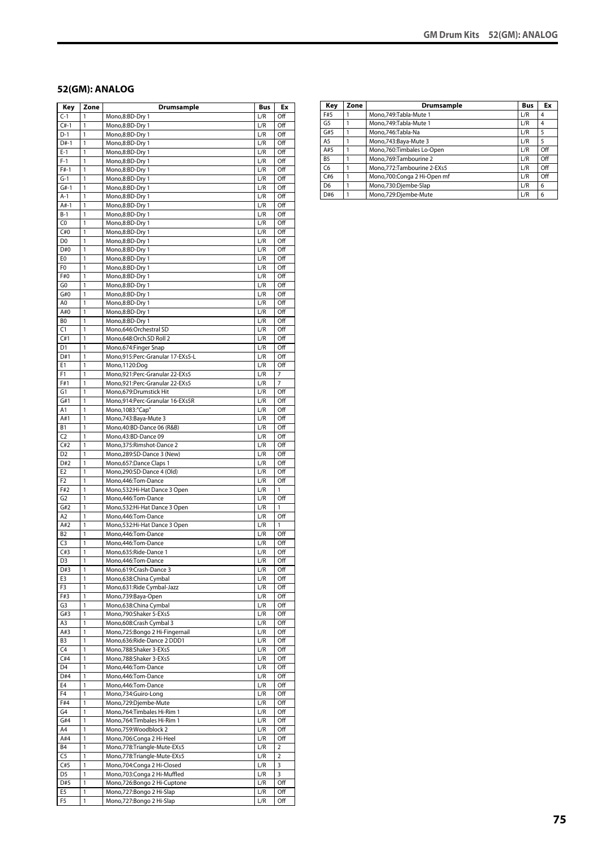#### **52(GM): ANALOG**

| Key                         | Zone         | <b>Drumsample</b>                                                | Bus                            | Ex                               |
|-----------------------------|--------------|------------------------------------------------------------------|--------------------------------|----------------------------------|
| $C-1$                       | 1            | Mono,8:BD-Dry 1                                                  | L/R                            | Off                              |
| $C#-1$                      | 1            | Mono,8:BD-Dry 1                                                  | L/R                            | Off                              |
| $D-1$                       | 1            | Mono,8:BD-Dry 1                                                  | L/R                            | Off                              |
| $D#-1$                      | 1            | Mono,8:BD-Dry 1                                                  | L/R                            | Off                              |
| $E-1$                       | 1            | Mono,8:BD-Dry 1                                                  | L/R                            | Off                              |
| $F-1$                       | 1            | Mono,8:BD-Dry 1                                                  | L/R                            | Off                              |
| $F#-1$<br>$G-1$             | 1<br>1       | Mono,8:BD-Dry 1<br>Mono,8:BD-Dry 1                               | L/R<br>L/R                     | Off<br>Off                       |
| $G#-1$                      | 1            | Mono,8:BD-Dry 1                                                  | L/R                            | Off                              |
| $A-1$                       | 1            | Mono,8:BD-Dry 1                                                  | L/R                            | Off                              |
| $A#-1$                      | 1            | Mono,8:BD-Dry 1                                                  | L/R                            | Off                              |
| $B-1$                       | 1            | Mono,8:BD-Dry 1                                                  | L/R                            | Off                              |
| C <sub>0</sub>              | 1            | Mono,8:BD-Dry 1                                                  | L/R                            | Off                              |
| C#0                         | 1            | Mono,8:BD-Dry 1                                                  | L/R                            | Off                              |
| D <sub>0</sub>              | 1            | Mono,8:BD-Dry 1                                                  | L/R                            | Off                              |
| D#0                         | 1            | Mono,8:BD-Dry 1                                                  | L/R                            | Off                              |
| E0                          | 1            | Mono,8:BD-Dry 1                                                  | L/R                            | Off                              |
| F0                          | 1            | Mono,8:BD-Dry 1                                                  | L/R                            | Off                              |
| F#0                         | 1            | Mono,8:BD-Dry 1                                                  | L/R                            | Off                              |
| G0                          | 1            | Mono,8:BD-Dry 1                                                  | L/R                            | Off                              |
| G#0                         | 1            | Mono,8:BD-Dry 1                                                  | L/R                            | Off                              |
| A0                          | 1            | Mono,8:BD-Dry 1                                                  | L/R                            | Off                              |
| A#0                         | 1            | Mono,8:BD-Dry 1                                                  | L/R                            | Off                              |
| BO                          | 1            | Mono,8:BD-Dry 1                                                  | L/R                            | Off                              |
| C1                          | 1            | Mono,646:Orchestral SD                                           | L/R                            | Off                              |
| C#1                         | 1            | Mono,648:Orch.SD Roll 2                                          | L/R                            | Off                              |
| D <sub>1</sub>              | 1            | Mono,674:Finger Snap                                             | L/R                            | Off                              |
| D#1<br>E1                   | 1<br>1       | Mono,915:Perc-Granular 17-EXs5-L                                 | L/R<br>L/R                     | Off<br>Off                       |
| F1                          | 1            | Mono,1120:Dog                                                    | L/R                            | $\overline{7}$                   |
| F#1                         | 1            | Mono,921:Perc-Granular 22-EXs5<br>Mono,921:Perc-Granular 22-EXs5 | L/R                            | 7                                |
| G1                          | 1            | Mono,679:Drumstick Hit                                           | L/R                            | Off                              |
| G#1                         | 1            | Mono,914:Perc-Granular 16-EXs5R                                  | L/R                            | Off                              |
| Α1                          | 1            | Mono, 1083:"Cap"                                                 | L/R                            | Off                              |
| A#1                         | 1            | Mono, 743: Baya-Mute 3                                           | L/R                            | Off                              |
| <b>B1</b>                   | 1            | Mono,40:BD-Dance 06 (R&B)                                        | L/R                            | Off                              |
| C2                          | 1            | Mono,43:BD-Dance 09                                              | L/R                            | Off                              |
| C#2                         | 1            | Mono, 375: Rimshot-Dance 2                                       | L/R                            | Off                              |
| D <sub>2</sub>              | 1            | Mono,289:SD-Dance 3 (New)                                        | L/R                            | Off                              |
| D#2                         | 1            | Mono, 657: Dance Claps 1                                         | L/R                            | Off                              |
| E <sub>2</sub>              | 1            | Mono,290:SD-Dance 4 (Old)                                        | L/R                            | Off                              |
| F <sub>2</sub>              | 1            | Mono, 446: Tom-Dance                                             | L/R                            | Off                              |
| F#2                         | 1            | Mono,532:Hi-Hat Dance 3 Open                                     | L/R                            | 1                                |
| G <sub>2</sub>              | 1            | Mono, 446: Tom-Dance                                             | L/R                            | Off                              |
| G#2                         | 1            | Mono,532:Hi-Hat Dance 3 Open                                     | L/R                            | 1                                |
| A <sub>2</sub>              | 1            | Mono,446:Tom-Dance                                               | L/R                            | Off                              |
| A#2                         | 1            | Mono,532:Hi-Hat Dance 3 Open                                     | L/R                            | 1                                |
| <b>B2</b>                   | 1            | Mono,446:Tom-Dance                                               | L/R                            | Off                              |
| C <sub>3</sub><br>C#3       | 1            | Mono,446:Tom-Dance                                               | L/R                            | Off                              |
|                             | 1            | Mono,635:Ride-Dance 1                                            | L/R                            | Off                              |
| D3<br>D#3                   | 1<br>1       | Mono,446:Tom-Dance<br>Mono,619:Crash-Dance 3                     | L/R<br>L/R                     | Off<br>Off                       |
| E3                          | 1            | Mono,638:China Cymbal                                            | L/R                            | Off                              |
| F3                          | $\mathbf{1}$ | Mono,631:Ride Cymbal-Jazz                                        | L/R                            | Off                              |
| F#3                         | $\mathbf{1}$ | Mono,739:Baya-Open                                               | L/R                            | Off                              |
| G3                          | 1            | Mono,638:China Cymbal                                            | L/R                            | Off                              |
| G#3                         | 1            | Mono,790:Shaker 5-EXs5                                           | L/R                            | Off                              |
| A3                          | 1            | Mono,608:Crash Cymbal 3                                          | L/R                            | Off                              |
| A#3                         | 1            | Mono,725:Bongo 2 Hi-Fingernail                                   | L/R                            | Off                              |
| B3                          | 1            | Mono,636:Ride-Dance 2 DDD1                                       | L/R                            | Off                              |
| C4                          | 1            | Mono,788:Shaker 3-EXs5                                           | L/R                            | Off                              |
| C#4                         | 1            | Mono,788:Shaker 3-EXs5                                           | L/R                            | Off                              |
| D4                          | $\mathbf{1}$ | Mono, 446: Tom-Dance                                             | $\mathsf{L}/\mathsf{R}$        | Off                              |
| D#4                         | 1            | Mono, 446: Tom-Dance                                             | L/R                            | Off                              |
| E4                          | 1            | Mono, 446: Tom-Dance                                             | L/R                            | Off                              |
| F <sub>4</sub>              | 1            | Mono,734:Guiro-Long                                              | L/R                            | Off                              |
| F#4                         | 1            | Mono,729:Djembe-Mute                                             | L/R                            | Off                              |
| G4                          | 1            | Mono, 764: Timbales Hi-Rim 1                                     | L/R                            | Off                              |
| G#4                         | $\mathbf{1}$ | Mono, 764: Timbales Hi-Rim 1                                     | L/R                            | Off                              |
| A4                          | $\mathbf{1}$ | Mono,759:Woodblock 2                                             | L/R                            | Off                              |
| A#4                         | 1            | Mono,706:Conga 2 Hi-Heel                                         | L/R                            | Off                              |
| <b>B4</b><br>C <sub>5</sub> | 1<br>1       | Mono,778:Triangle-Mute-EXs5                                      | $\mathsf{L}/\mathsf{R}$<br>L/R | $\overline{2}$<br>$\overline{2}$ |
| C#5                         | 1            | Mono,778:Triangle-Mute-EXs5<br>Mono,704:Conga 2 Hi-Closed        | L/R                            | 3                                |
| D5                          | 1            | Mono,703:Conga 2 Hi-Muffled                                      | L/R                            | 3                                |
| D#5                         | 1            | Mono,726:Bongo 2 Hi-Cuptone                                      | L/R                            | Off                              |
| E5                          | $\mathbf{1}$ | Mono,727:Bongo 2 Hi-Slap                                         | L/R                            | Off                              |
| F5                          | 1            | Mono,727:Bongo 2 Hi-Slap                                         | L/R                            | Off                              |
|                             |              |                                                                  |                                |                                  |

| Key            | Zone | Drumsample                  | <b>Bus</b> | Ex  |
|----------------|------|-----------------------------|------------|-----|
| F#5            |      | Mono, 749: Tabla-Mute 1     | L/R        | 4   |
| G5             |      | Mono.749:Tabla-Mute 1       | L/R        | 4   |
| G#5            |      | Mono.746:Tabla-Na           | L/R        | 5   |
| A <sub>5</sub> |      | Mono, 743: Baya-Mute 3      | L/R        | 5   |
| A#5            |      | Mono,760:Timbales Lo-Open   | L/R        | Off |
| B <sub>5</sub> |      | Mono.769:Tambourine 2       | L/R        | Off |
| C <sub>6</sub> |      | Mono,772:Tambourine 2-EXs5  | L/R        | Off |
| C#6            |      | Mono,700:Conga 2 Hi-Open mf | L/R        | Off |
| D <sub>6</sub> |      | Mono,730:Djembe-Slap        | L/R        | 6   |
| D#6            |      | Mono,729:Djembe-Mute        | L/R        | 6   |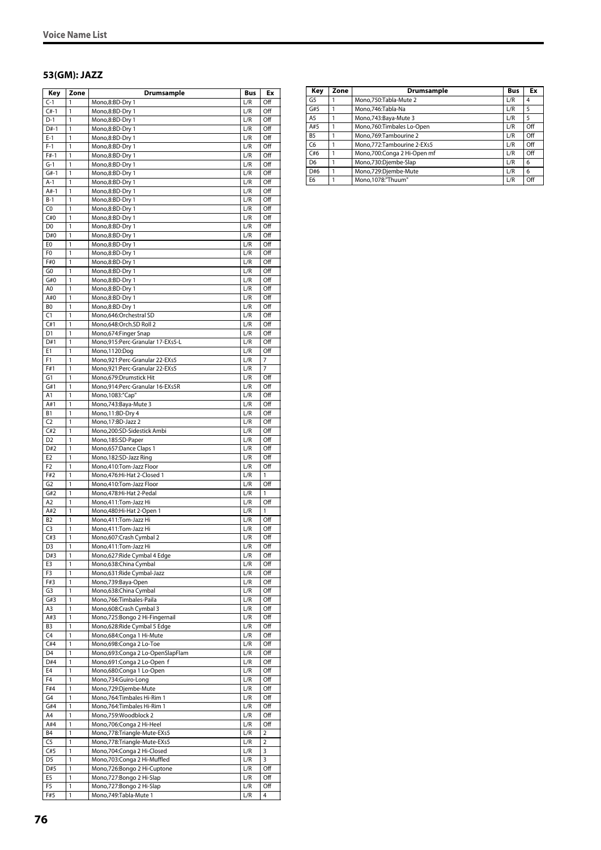#### **53(GM): JAZZ**

| Key                   | Zone         | Drumsample                                                       | Bus                     | Ex                    |
|-----------------------|--------------|------------------------------------------------------------------|-------------------------|-----------------------|
| $C-1$                 | 1            | Mono,8:BD-Dry 1                                                  | L/R                     | Off                   |
| $C#-1$                | 1            | Mono,8:BD-Dry 1                                                  | L/R                     | Off                   |
| $D-1$                 | 1            | Mono,8:BD-Dry 1                                                  | L/R                     | Off                   |
| $D#-1$<br>$E-1$       | 1<br>1       | Mono,8:BD-Dry 1<br>Mono,8:BD-Dry 1                               | L/R<br>L/R              | Off<br>Off            |
| $F-1$                 | 1            | Mono,8:BD-Dry 1                                                  | L/R                     | Off                   |
| $F#-1$                | 1            | Mono,8:BD-Dry 1                                                  | L/R                     | Off                   |
| $G-1$                 | 1            | Mono,8:BD-Dry 1                                                  | L/R                     | Off                   |
| $G#-1$                | 1            | Mono,8:BD-Dry 1                                                  | L/R                     | Off                   |
| $A-1$                 | 1            | Mono,8:BD-Dry 1                                                  | L/R                     | Off                   |
| $A#-1$                | 1            | Mono,8:BD-Dry 1                                                  | L/R                     | Off                   |
| $B-1$<br>C0           | 1<br>1       | Mono,8:BD-Dry 1<br>Mono,8:BD-Dry 1                               | L/R<br>L/R              | Off<br>Off            |
| C#0                   | 1            | Mono,8:BD-Dry 1                                                  | L/R                     | Off                   |
| D <sub>0</sub>        | 1            | Mono,8:BD-Dry 1                                                  | L/R                     | Off                   |
| D#0                   | 1            | Mono,8:BD-Dry 1                                                  | L/R                     | Off                   |
| E <sub>0</sub>        | 1            | Mono,8:BD-Dry 1                                                  | L/R                     | Off                   |
| F0                    | 1            | Mono,8:BD-Dry 1                                                  | L/R                     | Off                   |
| F#0                   | 1            | Mono,8:BD-Dry 1                                                  | L/R                     | Off                   |
| G0                    | 1<br>1       | Mono,8:BD-Dry 1                                                  | L/R                     | Off                   |
| G#0<br>A0             | 1            | Mono,8:BD-Dry 1<br>Mono,8:BD-Dry 1                               | L/R<br>L/R              | Off<br>Off            |
| A#0                   | 1            | Mono,8:BD-Dry 1                                                  | L/R                     | Off                   |
| B <sub>0</sub>        | 1            | Mono,8:BD-Dry 1                                                  | L/R                     | Off                   |
| C1                    | 1            | Mono,646:Orchestral SD                                           | L/R                     | Off                   |
| C#1                   | 1            | Mono,648:Orch.SD Roll 2                                          | L/R                     | Off                   |
| D <sub>1</sub>        | 1            | Mono,674:Finger Snap                                             | L/R                     | Off                   |
| D#1                   | 1            | Mono,915:Perc-Granular 17-EXs5-L                                 | L/R                     | Off                   |
| E1<br>F1              | 1<br>1       | Mono,1120:Dog                                                    | L/R                     | Off<br>$\overline{7}$ |
| F#1                   | 1            | Mono,921:Perc-Granular 22-EXs5<br>Mono,921:Perc-Granular 22-EXs5 | L/R<br>L/R              | $\overline{7}$        |
| G <sub>1</sub>        | 1            | Mono,679:Drumstick Hit                                           | L/R                     | Off                   |
| G#1                   | 1            | Mono,914:Perc-Granular 16-EXs5R                                  | L/R                     | Off                   |
| A1                    | 1            | Mono, 1083:"Cap"                                                 | L/R                     | Off                   |
| A#1                   | 1            | Mono,743:Baya-Mute 3                                             | L/R                     | Off                   |
| B1                    | 1            | Mono, 11:BD-Dry 4                                                | L/R                     | Off                   |
| C <sub>2</sub>        | 1            | Mono, 17:BD-Jazz 2                                               | L/R                     | Off                   |
| C#2<br>D <sub>2</sub> | 1<br>1       | Mono,200:SD-Sidestick Ambi<br>Mono,185:SD-Paper                  | L/R<br>L/R              | Off<br>Off            |
| D#2                   | 1            | Mono,657:Dance Claps 1                                           | L/R                     | Off                   |
| E <sub>2</sub>        | 1            | Mono, 182: SD-Jazz Ring                                          | L/R                     | Off                   |
| F <sub>2</sub>        | 1            | Mono,410:Tom-Jazz Floor                                          | L/R                     | Off                   |
| F#2                   | 1            | Mono, 476: Hi-Hat 2-Closed 1                                     | L/R                     | 1                     |
| G <sub>2</sub>        | 1            | Mono,410:Tom-Jazz Floor                                          | L/R                     | Off                   |
| G#2                   | 1            | Mono,478:Hi-Hat 2-Pedal                                          | L/R                     | 1                     |
| A <sub>2</sub><br>A#2 | 1<br>1       | Mono,411:Tom-Jazz Hi                                             | L/R<br>L/R              | Off<br>1              |
| B <sub>2</sub>        | 1            | Mono, 480: Hi-Hat 2-Open 1<br>Mono,411:Tom-Jazz Hi               | L/R                     | Off                   |
| C <sub>3</sub>        | 1            | Mono,411:Tom-Jazz Hi                                             | L/R                     | Off                   |
| C#3                   | 1            | Mono,607:Crash Cymbal 2                                          | L/R                     | Off                   |
| D <sub>3</sub>        | $\mathbf{1}$ | Mono,411:Tom-Jazz Hi                                             | L/R                     | Off                   |
| D#3                   | $\mathbf{1}$ | Mono,627: Ride Cymbal 4 Edge                                     | L/R                     | Off                   |
| E3                    | 1            | Mono,638:China Cymbal                                            | L/R                     | Off                   |
| F3                    | 1            | Mono,631:Ride Cymbal-Jazz                                        | L/R                     | Off                   |
| F#3<br>G3             | 1<br>1       | Mono,739:Baya-Open<br>Mono,638:China Cymbal                      | L/R<br>L/R              | Off<br>Off            |
| G#3                   | 1            | Mono,766:Timbales-Paila                                          | L/R                     | Off                   |
| A3                    | $\mathbf{1}$ | Mono,608:Crash Cymbal 3                                          | L/R                     | Off                   |
| A#3                   | $\mathbf{1}$ | Mono,725:Bongo 2 Hi-Fingernail                                   | L/R                     | Off                   |
| B3                    | 1            | Mono,628: Ride Cymbal 5 Edge                                     | L/R                     | Off                   |
| C <sub>4</sub>        | 1            | Mono,684:Conga 1 Hi-Mute                                         | L/R                     | Off                   |
| C#4                   | 1            | Mono,698:Conga 2 Lo-Toe                                          | L/R                     | Off                   |
| D <sub>4</sub><br>D#4 | 1<br>1       | Mono,693:Conga 2 Lo-OpenSlapFlam<br>Mono,691:Conga 2 Lo-Open f   | L/R<br>L/R              | Off<br>Off            |
| E4                    | 1            | Mono,680:Conga 1 Lo-Open                                         | L/R                     | Off                   |
| F <sub>4</sub>        | 1            | Mono,734:Guiro-Long                                              | L/R                     | Off                   |
| F#4                   | $\mathbf{1}$ | Mono,729:Djembe-Mute                                             | $\mathsf{L}/\mathsf{R}$ | Off                   |
| G4                    | 1            | Mono, 764: Timbales Hi-Rim 1                                     | L/R                     | Off                   |
| G#4                   | 1            | Mono, 764: Timbales Hi-Rim 1                                     | L/R                     | Off                   |
| A4                    | 1            | Mono,759:Woodblock 2                                             | L/R                     | Off                   |
| A#4                   | 1            | Mono,706:Conga 2 Hi-Heel                                         | L/R                     | Off                   |
| B4<br>C <sub>5</sub>  | 1<br>1       | Mono,778:Triangle-Mute-EXs5<br>Mono,778:Triangle-Mute-EXs5       | L/R<br>L/R              | 2<br>2                |
| C#5                   | $\mathbf{1}$ | Mono,704:Conga 2 Hi-Closed                                       | L/R                     | 3                     |
| D <sub>5</sub>        | $\mathbf{1}$ | Mono,703:Conga 2 Hi-Muffled                                      | L/R                     | 3                     |
| D#5                   | 1            | Mono,726:Bongo 2 Hi-Cuptone                                      | L/R                     | Off                   |
| E5                    | 1            | Mono,727:Bongo 2 Hi-Slap                                         | L/R                     | Off                   |
| F5                    | $\mathbf{1}$ | Mono,727:Bongo 2 Hi-Slap                                         | L/R                     | Off                   |
| F#5                   | 1            | Mono, 749: Tabla-Mute 1                                          | L/R                     | 4                     |

| Key            | Zone | Drumsample                  | <b>Bus</b> | Ex  |
|----------------|------|-----------------------------|------------|-----|
| G5             |      | Mono.750:Tabla-Mute 2       | L/R        | 4   |
| G#5            | 1    | Mono, 746: Tabla-Na         | L/R        | 5   |
| A <sub>5</sub> |      | Mono, 743: Baya-Mute 3      | L/R        | 5   |
| A#5            |      | Mono, 760: Timbales Lo-Open | L/R        | Off |
| <b>B5</b>      |      | Mono.769:Tambourine 2       | L/R        | Off |
| C <sub>6</sub> |      | Mono.772:Tambourine 2-EXs5  | L/R        | Off |
| C#6            |      | Mono,700:Conga 2 Hi-Open mf | L/R        | Off |
| D <sub>6</sub> |      | Mono,730:Djembe-Slap        | L/R        | 6   |
| D#6            |      | Mono,729:Djembe-Mute        | L/R        | 6   |
| E <sub>6</sub> |      | Mono.1078:"Thuum"           | L/R        | Off |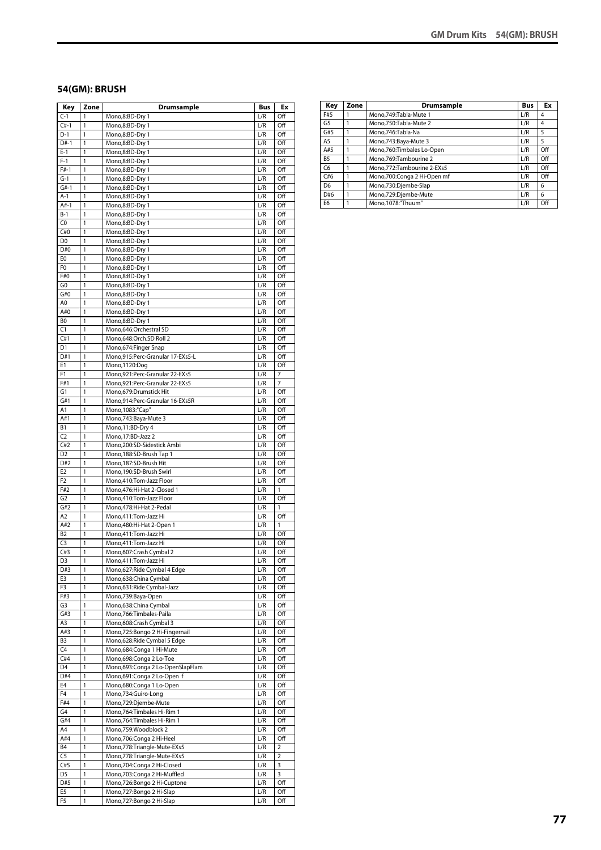#### **54(GM): BRUSH**

| Key                   | Zone   | <b>Drumsample</b>                                       | <b>Bus</b> | Ex             |
|-----------------------|--------|---------------------------------------------------------|------------|----------------|
| $C-1$                 | 1      | Mono,8:BD-Dry 1                                         | L/R        | Off            |
| $C#-1$                | 1      | Mono,8:BD-Dry 1                                         | L/R        | Off            |
| $D-1$                 | 1      | Mono,8:BD-Dry 1                                         | L/R        | Off            |
| $D#-1$                | 1      | Mono,8:BD-Dry 1                                         | L/R        | Off            |
| $E-1$                 | 1      | Mono,8:BD-Dry 1                                         | L/R        | Off            |
| $F-1$                 | 1      | Mono,8:BD-Dry 1                                         | L/R        | Off            |
| $F#-1$                | 1      | Mono,8:BD-Dry 1                                         | L/R        | Off            |
| $G-1$                 | 1      | Mono,8:BD-Dry 1                                         | L/R        | Off            |
| $G#-1$<br>$A-1$       | 1<br>1 | Mono,8:BD-Dry 1<br>Mono,8:BD-Dry 1                      | L/R<br>L/R | Off<br>Off     |
| $A#-1$                | 1      | Mono,8:BD-Dry 1                                         | L/R        | Off            |
| $B-1$                 | 1      | Mono,8:BD-Dry 1                                         | L/R        | Off            |
| C <sub>0</sub>        | 1      | Mono,8:BD-Dry 1                                         | L/R        | Off            |
| C#0                   | 1      | Mono,8:BD-Dry 1                                         | L/R        | Off            |
| D <sub>0</sub>        | 1      | Mono,8:BD-Dry 1                                         | L/R        | Off            |
| D#0                   | 1      | Mono,8:BD-Dry 1                                         | L/R        | Off            |
| E0                    | 1      | Mono,8:BD-Dry 1                                         | L/R        | Off            |
| F <sub>0</sub>        | 1      | Mono,8:BD-Dry 1                                         | L/R        | Off            |
| F#0                   | 1      | Mono,8:BD-Dry 1                                         | L/R        | Off            |
| G <sub>0</sub>        | 1      | Mono,8:BD-Dry 1                                         | L/R        | Off            |
| G#0                   | 1      | Mono,8:BD-Dry 1                                         | L/R        | Off            |
| A0                    | 1      | Mono,8:BD-Dry 1                                         | L/R        | Off            |
| A#0                   | 1      | Mono,8:BD-Dry 1                                         | L/R        | Off            |
| B0                    | 1      | Mono,8:BD-Dry 1                                         | L/R        | Off            |
| C1                    | 1      | Mono,646:Orchestral SD                                  | L/R        | Off            |
| C#1                   | 1      | Mono,648:Orch.SD Roll 2                                 | L/R        | Off            |
| D <sub>1</sub>        | 1      | Mono, 674: Finger Snap                                  | L/R        | Off            |
| D#1                   | 1      | Mono,915:Perc-Granular 17-EXs5-L                        | L/R        | Off            |
| E1                    | 1      | Mono,1120:Dog                                           | L/R        | Off            |
| F <sub>1</sub>        | 1      | Mono,921:Perc-Granular 22-EXs5                          | L/R        | 7              |
| F#1                   | 1      | Mono,921:Perc-Granular 22-EXs5                          | L/R        | 7              |
| G1<br>G#1             | 1<br>1 | Mono,679:Drumstick Hit                                  | L/R<br>L/R | Off            |
| Α1                    | 1      | Mono,914:Perc-Granular 16-EXs5R<br>Mono, 1083:"Cap"     | L/R        | Off<br>Off     |
| A#1                   | 1      | Mono, 743: Baya-Mute 3                                  | L/R        | Off            |
| В1                    | 1      | Mono, 11:BD-Dry 4                                       | L/R        | Off            |
| C <sub>2</sub>        | 1      | Mono, 17:BD-Jazz 2                                      | L/R        | Off            |
| C#2                   | 1      | Mono,200:SD-Sidestick Ambi                              | L/R        | Off            |
| D <sub>2</sub>        | 1      | Mono, 188: SD-Brush Tap 1                               | L/R        | Off            |
| D#2                   | 1      | Mono,187:SD-Brush Hit                                   | L/R        | Off            |
| E <sub>2</sub>        | 1      | Mono,190:SD-Brush Swirl                                 | L/R        | Off            |
| F <sub>2</sub>        | 1      | Mono,410:Tom-Jazz Floor                                 | L/R        | Off            |
| F#2                   | 1      | Mono, 476: Hi-Hat 2-Closed 1                            | L/R        | 1              |
| G <sub>2</sub>        | 1      | Mono,410:Tom-Jazz Floor                                 | L/R        | Off            |
| G#2                   | 1      | Mono, 478: Hi-Hat 2-Pedal                               | L/R        | 1              |
| A <sub>2</sub>        | 1      | Mono,411:Tom-Jazz Hi                                    | L/R        | Off            |
| A#2                   | 1      | Mono, 480: Hi-Hat 2-Open 1                              | L/R        | 1              |
| B <sub>2</sub>        | 1      | Mono, 411: Tom-Jazz Hi                                  | L/R        | Off            |
| C <sub>3</sub>        | 1      | Mono, 411: Tom-Jazz Hi                                  | L/R        | Off            |
| C#3                   | 1      | Mono, 607: Crash Cymbal 2                               | L/R        | Off            |
| D3                    | 1      | Mono, 411: Tom-Jazz Hi                                  | L/R        | Off            |
| D#3                   | 1      | Mono,627: Ride Cymbal 4 Edge                            | L/R        | Off            |
| E3                    | 1      | Mono,638:China Cymbal                                   | L/R        | Off            |
| F3<br>F#3             | 1<br>1 | Mono,631:Ride Cymbal-Jazz<br>Mono,739:Baya-Open         | L/R<br>L/R | Off<br>Off     |
| G3                    | 1      | Mono,638:China Cymbal                                   | L/R        | Off            |
| G#3                   | 1      | Mono, 766: Timbales-Paila                               | L/R        | Off            |
| A3                    | 1      | Mono,608:Crash Cymbal 3                                 | L/R        | Off            |
| A#3                   | 1      | Mono,725:Bongo 2 Hi-Fingernail                          | L/R        | Off            |
| B <sub>3</sub>        | 1      | Mono,628: Ride Cymbal 5 Edge                            | L/R        | Off            |
| C4                    | 1      | Mono,684:Conga 1 Hi-Mute                                | L/R        | Off            |
| C#4                   | 1      | Mono,698:Conga 2 Lo-Toe                                 | L/R        | Off            |
| D <sub>4</sub>        | 1      | Mono,693:Conga 2 Lo-OpenSlapFlam                        | L/R        | Off            |
| D#4                   | 1      | Mono,691:Conga 2 Lo-Open f                              | L/R        | Off            |
| E4                    | 1      | Mono,680:Conga 1 Lo-Open                                | L/R        | Off            |
| F4                    | 1      | Mono,734:Guiro-Long                                     | L/R        | Off            |
| F#4                   | 1      | Mono,729:Djembe-Mute                                    | L/R        | Off            |
| G4                    | 1      | Mono, 764: Timbales Hi-Rim 1                            | L/R        | Off            |
| G#4                   | 1      | Mono, 764: Timbales Hi-Rim 1                            | L/R        | Off            |
| A4                    | 1      | Mono,759:Woodblock 2                                    | L/R        | Off            |
| A#4                   | 1      | Mono,706:Conga 2 Hi-Heel                                | L/R        | Off            |
| <b>B4</b>             | 1      | Mono,778:Triangle-Mute-EXs5                             | L/R        | 2              |
| C <sub>5</sub>        | 1      | Mono,778:Triangle-Mute-EXs5                             | L/R        | $\overline{2}$ |
| C#5                   | 1      | Mono,704:Conga 2 Hi-Closed                              | L/R        | 3              |
| D <sub>5</sub><br>D#5 | 1<br>1 | Mono,703:Conga 2 Hi-Muffled                             | L/R<br>L/R | 3<br>Off       |
| E5                    | 1      | Mono,726:Bongo 2 Hi-Cuptone<br>Mono,727:Bongo 2 Hi-Slap | L/R        | Off            |
| F5                    | 1      | Mono,727:Bongo 2 Hi-Slap                                | L/R        | Off            |
|                       |        |                                                         |            |                |

| Key            | Zone | Drumsample                  | <b>Bus</b> | Ex  |
|----------------|------|-----------------------------|------------|-----|
| F#5            |      | Mono.749:Tabla-Mute 1       | L/R        | 4   |
| G <sub>5</sub> |      | Mono,750:Tabla-Mute 2       | L/R        | 4   |
| G#5            |      | Mono,746:Tabla-Na           | L/R        | 5   |
| A <sub>5</sub> |      | Mono, 743: Baya-Mute 3      | L/R        | 5   |
| A#5            |      | Mono,760:Timbales Lo-Open   | L/R        | Off |
| B <sub>5</sub> |      | Mono, 769: Tambourine 2     | L/R        | Off |
| C <sub>6</sub> |      | Mono,772:Tambourine 2-EXs5  | L/R        | Off |
| C#6            |      | Mono,700:Conga 2 Hi-Open mf | L/R        | Off |
| D <sub>6</sub> |      | Mono,730:Djembe-Slap        | L/R        | 6   |
| D#6            |      | Mono,729:Djembe-Mute        | L/R        | 6   |
| E <sub>6</sub> |      | Mono,1078:"Thuum"           | L/R        | Off |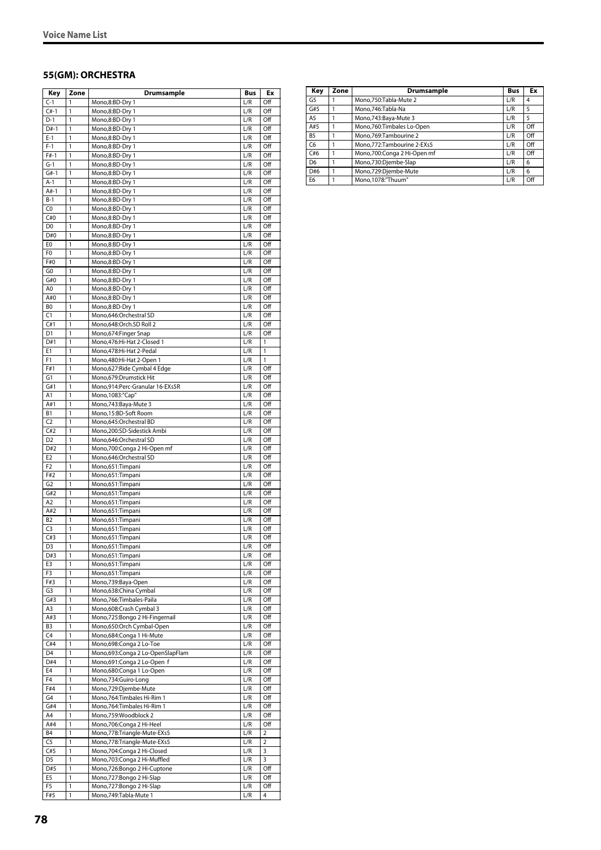#### **55(GM): ORCHESTRA**

| Key                   | Zone                         | <b>Drumsample</b>                                           | Bus              | Ex                    |
|-----------------------|------------------------------|-------------------------------------------------------------|------------------|-----------------------|
| $C-1$                 | 1                            | Mono,8:BD-Dry 1                                             | L/R              | Off                   |
| $C#-1$                | 1                            | Mono,8:BD-Dry 1                                             | L/R              | Off                   |
| $D-1$                 | 1                            | Mono,8:BD-Dry 1                                             | L/R              | Off                   |
| $D#-1$<br>$E-1$       | 1<br>1                       | Mono,8:BD-Dry 1                                             | L/R              | Off<br>Off            |
| $F-1$                 | 1                            | Mono,8:BD-Dry 1                                             | L/R<br>L/R       | Off                   |
| $F#-1$                | 1                            | Mono,8:BD-Dry 1<br>Mono,8:BD-Dry 1                          | L/R              | Off                   |
| $G-1$                 | 1                            | Mono,8:BD-Dry 1                                             | L/R              | Off                   |
| $G#-1$                | 1                            | Mono,8:BD-Dry 1                                             | L/R              | Off                   |
| $A-1$                 | 1                            | Mono,8:BD-Dry 1                                             | L/R              | Off                   |
| $A#-1$                | 1                            | Mono,8:BD-Dry 1                                             | L/R              | Off                   |
| $B-1$                 | $\mathbf{1}$                 | Mono,8:BD-Dry 1                                             | L/R              | Off                   |
| C0                    | 1                            | Mono,8:BD-Dry 1                                             | L/R              | Off                   |
| C#0                   | 1                            | Mono,8:BD-Dry 1                                             | L/R              | Off                   |
| D <sub>0</sub>        | 1<br>$\mathbf{1}$            | Mono,8:BD-Dry 1                                             | L/R              | Off                   |
| D#0<br>E <sub>0</sub> | 1                            | Mono,8:BD-Dry 1<br>Mono,8:BD-Dry 1                          | L/R<br>L/R       | Off<br>Off            |
| F <sub>0</sub>        | 1                            | Mono,8:BD-Dry 1                                             | L/R              | Off                   |
| F#0                   | 1                            | Mono,8:BD-Dry 1                                             | L/R              | Off                   |
| G <sub>0</sub>        | 1                            | Mono,8:BD-Dry 1                                             | L/R              | Off                   |
| G#0                   | 1                            | Mono,8:BD-Dry 1                                             | L/R              | Off                   |
| A <sub>0</sub>        | 1                            | Mono,8:BD-Dry 1                                             | L/R              | Off                   |
| A#0                   | 1                            | Mono,8:BD-Dry 1                                             | L/R              | Off                   |
| B <sub>0</sub>        | 1                            | Mono,8:BD-Dry 1                                             | L/R              | Off                   |
| C1                    | $\mathbf{1}$                 | Mono,646:Orchestral SD                                      | L/R              | Off                   |
| C#1                   | 1                            | Mono,648:Orch.SD Roll 2                                     | L/R              | Off                   |
| D <sub>1</sub><br>D#1 | 1<br>1                       | Mono,674:Finger Snap<br>Mono, 476: Hi-Hat 2-Closed 1        | L/R<br>L/R       | Off<br>1              |
| E1                    | 1                            | Mono, 478: Hi-Hat 2-Pedal                                   | L/R              | 1                     |
| F1                    | 1                            | Mono, 480: Hi-Hat 2-Open 1                                  | L/R              | 1                     |
| F#1                   | 1                            | Mono,627: Ride Cymbal 4 Edge                                | L/R              | Off                   |
| G1                    | 1                            | Mono,679:Drumstick Hit                                      | L/R              | Off                   |
| G#1                   | 1                            | Mono,914:Perc-Granular 16-EXs5R                             | L/R              | Off                   |
| A1                    | 1                            | Mono, 1083:"Cap"                                            | L/R              | Off                   |
| A#1                   | 1                            | Mono, 743: Baya-Mute 3                                      | L/R              | Off                   |
| <b>B1</b>             | 1                            | Mono,15:BD-Soft Room                                        | L/R              | Off                   |
| C <sub>2</sub><br>C#2 | 1<br>1                       | Mono,645:Orchestral BD                                      | L/R<br>L/R       | Off<br>Off            |
| D <sub>2</sub>        | 1                            | Mono,200:SD-Sidestick Ambi<br>Mono,646:Orchestral SD        | L/R              | Off                   |
| D#2                   | $\mathbf{1}$                 | Mono,700:Conga 2 Hi-Open mf                                 | L/R              | Off                   |
| E <sub>2</sub>        | 1                            | Mono,646:Orchestral SD                                      | L/R              | Off                   |
| F <sub>2</sub>        | 1                            | Mono,651:Timpani                                            | L/R              | Off                   |
| F#2                   | 1                            | Mono,651:Timpani                                            | L/R              | Off                   |
| G <sub>2</sub>        | 1                            | Mono,651:Timpani                                            | L/R              | Off                   |
| G#2                   | 1                            | Mono,651:Timpani                                            | L/R              | Off                   |
| A2                    | 1                            | Mono,651:Timpani                                            | L/R              | Off                   |
| A#2                   | 1                            | Mono,651:Timpani                                            | L/R              | Off                   |
| B <sub>2</sub><br>C3  | 1<br>1                       | Mono,651:Timpani                                            | L/R<br>L/R       | Off<br>Off            |
| C#3                   | 1                            | Mono,651:Timpani<br>Mono,651:Timpani                        | L/R              | Off                   |
| D <sub>3</sub>        | 1                            | Mono,651:Timpani                                            | L/R              | Off                   |
| D#3                   | $\mathbf{1}$                 | Mono,651:Timpani                                            | L/R              | Off                   |
| E3                    | $\mathbf{1}$                 | Mono,651:Timpani                                            | L/R              | Off                   |
| F3                    | $\mathbf{1}$                 | Mono,651: Timpani                                           | L/R              | Off                   |
| F#3                   | $\mathbf{1}$                 | Mono,739:Baya-Open                                          | L/R              | Off                   |
| G3                    | $\mathbf{1}$                 | Mono,638:China Cymbal                                       | L/R              | Off                   |
| G#3                   | $\mathbf{1}$                 | Mono,766:Timbales-Paila                                     | L/R              | Off                   |
| A3                    | $\mathbf{1}$                 | Mono,608:Crash Cymbal 3                                     | L/R              | Off                   |
| A#3<br>B3             | $\mathbf{1}$<br>1            | Mono,725:Bongo 2 Hi-Fingernail<br>Mono,650:Orch Cymbal-Open | L/R<br>L/R       | Off<br>Off            |
| C4                    | 1                            | Mono,684:Conga 1 Hi-Mute                                    | L/R              | Off                   |
| C#4                   | 1                            | Mono,698:Conga 2 Lo-Toe                                     | L/R              | Off                   |
| D4                    | $\mathbf{1}$                 | Mono,693:Conga 2 Lo-OpenSlapFlam                            | L/R              | Off                   |
| D#4                   | 1                            | Mono,691:Conga 2 Lo-Open f                                  | L/R              | Off                   |
| E4                    | $\mathbf{1}$                 | Mono,680:Conga 1 Lo-Open                                    | $\overline{L}/R$ | Off                   |
| F <sub>4</sub>        | 1                            | Mono,734:Guiro-Long                                         | L/R              | Off                   |
| F#4                   | 1                            | Mono,729:Djembe-Mute                                        | L/R              | Off                   |
| G4                    | $\mathbf{1}$                 | Mono, 764: Timbales Hi-Rim 1                                | L/R              | Off                   |
| G#4                   | $\mathbf{1}$                 | Mono, 764: Timbales Hi-Rim 1                                | L/R              | Off                   |
| A4                    | $\mathbf{1}$<br>$\mathbf{1}$ | Mono,759:Woodblock 2                                        | L/R              | Off                   |
| A#4<br>B4             | $\mathbf{1}$                 | Mono,706:Conga 2 Hi-Heel<br>Mono,778:Triangle-Mute-EXs5     | L/R<br>L/R       | Off<br>$\overline{2}$ |
| C5                    | $\mathbf{1}$                 | Mono,778:Triangle-Mute-EXs5                                 | L/R              | $\overline{2}$        |
| C#5                   | $\mathbf{1}$                 | Mono,704:Conga 2 Hi-Closed                                  | L/R              | 3                     |
| D5                    | 1                            | Mono,703:Conga 2 Hi-Muffled                                 | L/R              | 3                     |
| D#5                   | $\mathbf{1}$                 | Mono,726:Bongo 2 Hi-Cuptone                                 | L/R              | Off                   |
| E5                    | $\mathbf{1}$                 | Mono, 727: Bongo 2 Hi-Slap                                  | L/R              | Off                   |
| F5                    | $\mathbf{1}$                 | Mono,727:Bongo 2 Hi-Slap                                    | L/R              | Off                   |
| F#5                   | 1                            | Mono, 749: Tabla-Mute 1                                     | L/R              | 4                     |

| Key            | Zone | Drumsample                   | <b>Bus</b> | Ex  |
|----------------|------|------------------------------|------------|-----|
| G5             |      | Mono, 750: Tabla-Mute 2      | L/R        | 4   |
| G#5            |      | Mono, 746: Tabla-Na          | L/R        | 5   |
| A <sub>5</sub> |      | Mono, 743: Baya-Mute 3       | L/R        | 5   |
| A#5            |      | Mono, 760: Timbales Lo-Open  | L/R        | Off |
| B <sub>5</sub> |      | Mono.769:Tambourine 2        | L/R        | Off |
| C <sub>6</sub> |      | Mono, 772: Tambourine 2-EXs5 | L/R        | Off |
| C#6            |      | Mono,700:Conga 2 Hi-Open mf  | L/R        | Off |
| D <sub>6</sub> |      | Mono,730:Djembe-Slap         | L/R        | 6   |
| D#6            |      | Mono,729:Djembe-Mute         | L/R        | 6   |
| E6             |      | Mono.1078:"Thuum"            | L/R        | Off |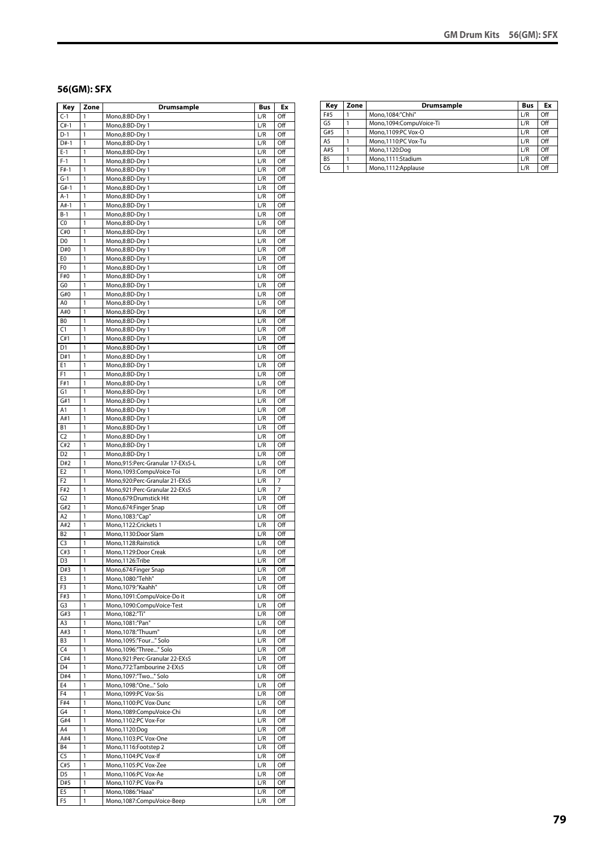#### **56(GM): SFX**

| Key                   | Zone   | <b>Drumsample</b>                                   | Bus        | Ex         |
|-----------------------|--------|-----------------------------------------------------|------------|------------|
| $C-1$                 | 1      | Mono,8:BD-Dry 1                                     | L/R        | Off        |
| $C#-1$                | 1      | Mono,8:BD-Dry 1                                     | L/R        | Off        |
| $D-1$                 | 1      | Mono,8:BD-Dry 1                                     | L/R        | Off        |
| $D#-1$                | 1      | Mono,8:BD-Dry 1                                     | L/R        | Off        |
| $E-1$                 | 1      | Mono,8:BD-Dry 1                                     | L/R        | Off        |
| $F-1$                 | 1      | Mono,8:BD-Dry 1                                     | L/R        | Off        |
| $F#-1$                | 1      | Mono,8:BD-Dry 1                                     | L/R        | Off        |
| $G-1$                 | 1      | Mono,8:BD-Dry 1                                     | L/R        | Off        |
| $G#-1$<br>$A-1$       | 1<br>1 | Mono,8:BD-Dry 1                                     | L/R        | Off        |
| $A#-1$                | 1      | Mono,8:BD-Dry 1                                     | L/R<br>L/R | Off<br>Off |
| $B-1$                 | 1      | Mono,8:BD-Dry 1<br>Mono,8:BD-Dry 1                  | L/R        | Off        |
| C0                    | 1      | Mono,8:BD-Dry 1                                     | L/R        | Off        |
| C#0                   | 1      | Mono,8:BD-Dry 1                                     | L/R        | Off        |
| D <sub>0</sub>        | 1      | Mono,8:BD-Dry 1                                     | L/R        | Off        |
| D#0                   | 1      | Mono,8:BD-Dry 1                                     | L/R        | Off        |
| E0                    | 1      | Mono,8:BD-Dry 1                                     | L/R        | Off        |
| F0                    | 1      | Mono,8:BD-Dry 1                                     | L/R        | Off        |
| F#0                   | 1      | Mono,8:BD-Dry 1                                     | L/R        | Off        |
| G0                    | 1      | Mono,8:BD-Dry 1                                     | L/R        | Off        |
| G#0                   | 1      | Mono,8:BD-Dry 1                                     | L/R        | Off        |
| A0                    | 1      | Mono,8:BD-Dry 1                                     | L/R        | Off        |
| A#0                   | 1      | Mono,8:BD-Dry 1                                     | L/R        | Off        |
| BO                    | 1      | Mono,8:BD-Dry 1                                     | L/R        | Off        |
| $\overline{C}$        | 1      | Mono,8:BD-Dry 1                                     | L/R        | Off        |
| C#1                   | 1      | Mono,8:BD-Dry 1                                     | L/R        | Off        |
| D1                    | 1      | Mono,8:BD-Dry 1                                     | L/R        | Off        |
| D#1                   | 1      | Mono,8:BD-Dry 1                                     | L/R        | Off        |
| E1                    | 1      | Mono,8:BD-Dry 1                                     | L/R        | Off        |
| F1                    | 1      | Mono,8:BD-Dry 1                                     | L/R        | Off        |
| F#1                   | 1      | Mono,8:BD-Dry 1                                     | L/R        | Off        |
| G1                    | 1      | Mono,8:BD-Dry 1                                     | L/R        | Off        |
| G#1                   | 1      | Mono,8:BD-Dry 1                                     | L/R        | Off        |
| A1                    | 1      | Mono,8:BD-Dry 1                                     | L/R        | Off        |
| A#1                   | 1      | Mono,8:BD-Dry 1                                     | L/R        | Off        |
| В1                    | 1      | Mono,8:BD-Dry 1                                     | L/R        | Off        |
| C <sub>2</sub>        | 1      | Mono,8:BD-Dry 1                                     | L/R        | Off        |
| C#2                   | 1      | Mono,8:BD-Dry 1                                     | L/R        | Off        |
| D <sub>2</sub><br>D#2 | 1<br>1 | Mono,8:BD-Dry 1<br>Mono,915:Perc-Granular 17-EXs5-L | L/R<br>L/R | Off<br>Off |
| E <sub>2</sub>        | 1      | Mono,1093:CompuVoice-Toi                            | L/R        | Off        |
| F2                    | 1      | Mono,920:Perc-Granular 21-EXs5                      | L/R        | 7          |
| F#2                   | 1      | Mono,921:Perc-Granular 22-EXs5                      | L/R        | 7          |
| G <sub>2</sub>        | 1      | Mono.679:Drumstick Hit                              | L/R        | Off        |
| G#2                   | 1      | Mono,674:Finger Snap                                | L/R        | Off        |
| A2                    | 1      | Mono, 1083:"Cap"                                    | L/R        | Off        |
| A#2                   | 1      | Mono,1122:Crickets 1                                | L/R        | Off        |
| <b>B2</b>             | 1      | Mono,1130:Door Slam                                 | L/R        | Off        |
| C <sub>3</sub>        | 1      | Mono,1128: Rainstick                                | L/R        | Off        |
| C#3                   | 1      | Mono,1129:Door Creak                                | L/R        | Off        |
| D3                    | 1      | Mono,1126:Tribe                                     | L/R        | Off        |
| D#3                   | 1      | Mono,674:Finger Snap                                | L/R        | Off        |
| E3                    | 1      | Mono, 1080:"Tehh"                                   | L/R        | Off        |
| F3                    | 1      | Mono, 1079:"Kaahh"                                  | L/R        | Off        |
| F#3                   | 1      | Mono,1091:CompuVoice-Do it                          | L/R        | Off        |
| G3                    | 1      | Mono,1090:CompuVoice-Test                           | L/R        | Off        |
| G#3                   | 1      | Mono, 1082:"Ti"                                     | L/R        | Off        |
| A3                    | 1      | Mono, 1081:"Pan"                                    | L/R        | Off        |
| A#3<br>B3             | 1<br>1 | Mono.1078:"Thuum"<br>Mono,1095:"Four" Solo          | L/R        | Off<br>Off |
|                       |        | Mono,1096:"Three" Solo                              | L/R        |            |
| C4<br>C#4             | 1<br>1 | Mono,921:Perc-Granular 22-EXs5                      | L/R<br>L/R | Off<br>Off |
| D4                    | 1      | Mono,772:Tambourine 2-EXs5                          | L/R        | Off        |
| D#4                   | 1      | Mono, 1097: "Two  " Solo                            | L/R        | Off        |
| E4                    | 1      | Mono,1098:"One" Solo                                | L/R        | Off        |
| F4                    | 1      | Mono, 1099:PC Vox-Sis                               | L/R        | Off        |
| F#4                   | 1      | Mono,1100:PC Vox-Dunc                               | L/R        | Off        |
| G4                    | 1      | Mono,1089:CompuVoice-Chi                            | L/R        | Off        |
| G#4                   | 1      | Mono,1102:PC Vox-For                                | L/R        | Off        |
| A4                    | 1      | Mono,1120:Dog                                       | L/R        | Off        |
| A#4                   | 1      | Mono,1103:PC Vox-One                                | L/R        | Off        |
| <b>B4</b>             | 1      | Mono, 1116: Footstep 2                              | L/R        | Off        |
| C <sub>5</sub>        | 1      | Mono, 1104:PC Vox-If                                | L/R        | Off        |
| C#5                   | 1      | Mono,1105:PC Vox-Zee                                | L/R        | Off        |
| D5                    | 1      | Mono, 1106:PC Vox-Ae                                | L/R        | Off        |
| D#5                   | 1      | Mono, 1107:PC Vox-Pa                                | L/R        | Off        |
| E5                    | 1      | Mono, 1086:"Haaa"                                   | L/R        | Off        |
| F5                    | 1      | Mono,1087:CompuVoice-Beep                           | L/R        | Off        |

| Key            | Zone | <b>Drumsample</b>       | <b>Bus</b> | Ex  |
|----------------|------|-------------------------|------------|-----|
| F#5            |      | Mono.1084:"Chhi"        | L/R        | Off |
| G <sub>5</sub> |      | Mono.1094:CompuVoice-Ti | L/R        | Off |
| G#5            |      | Mono.1109:PC Vox-O      | L/R        | Off |
| A <sub>5</sub> |      | Mono.1110:PC Vox-Tu     | L/R        | Off |
| A#5            |      | Mono,1120:Dog           | L/R        | Off |
| <b>B5</b>      |      | Mono.1111:Stadium       | L/R        | Off |
| C6             |      | Mono,1112:Applause      | L/R        | Off |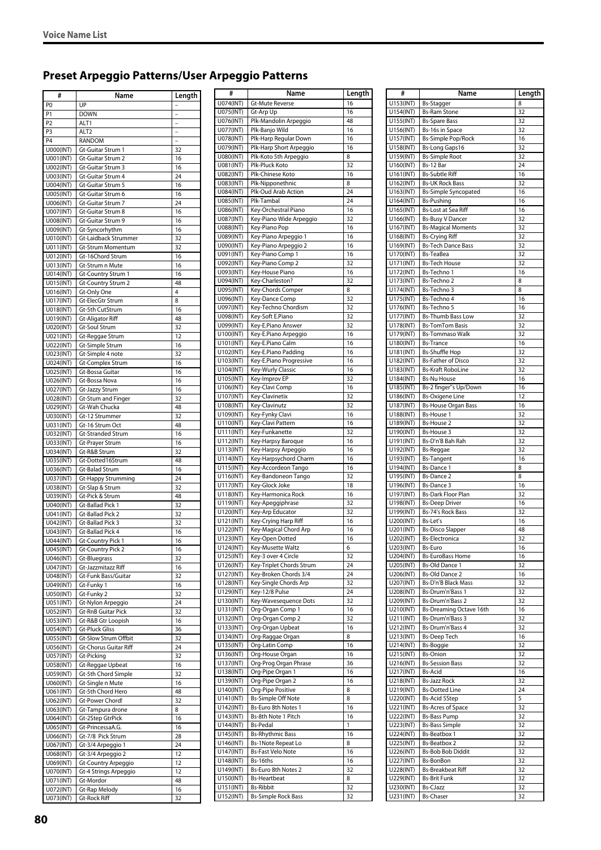# **Preset Arpeggio Patterns/User Arpeggio Patterns**

| #                                | Name                                            | Length         |
|----------------------------------|-------------------------------------------------|----------------|
| P <sub>0</sub>                   | UP                                              |                |
| P <sub>1</sub>                   | <b>DOWN</b>                                     |                |
| P <sub>2</sub>                   | ALT1                                            |                |
| P <sub>3</sub><br>P <sub>4</sub> | ALT2<br><b>RANDOM</b>                           | $\overline{a}$ |
| U000(INT)                        | Gt-Guitar Strum 1                               | 32             |
| U001(INT)                        | Gt-Guitar Strum 2                               | 16             |
| U002(INT)                        | Gt-Guitar Strum 3                               | 16             |
| U003(INT)                        | Gt-Guitar Strum 4                               | 24             |
| U004(INT)                        | Gt-Guitar Strum 5                               | 16             |
| <b>U005(INT)</b><br>U006(INT)    | Gt-Guitar Strum 6<br>Gt-Guitar Strum 7          | 16<br>24       |
| U007(INT)                        | Gt-Guitar Strum 8                               | 16             |
| U008(INT)                        | Gt-Guitar Strum 9                               | 16             |
| U009(INT)                        | Gt-Syncorhythm                                  | 16             |
| U010(INT)                        | Gt-Laidback Strummer                            | 32             |
| U011(INT)                        | Gt-Strum Momentum                               | 32             |
| U012(INT)<br>U013(INT)           | Gt-16Chord Strum<br>Gt-Strum n Mute             | 16<br>16       |
| U014(INT)                        | Gt-Country Strum 1                              | 16             |
| U015(INT)                        | Gt-Country Strum 2                              | 48             |
| U016(INT)                        | Gt-Only One                                     | 4              |
| U017(INT)                        | Gt-ElecGtr Strum                                | 8              |
| U018(INT)                        | Gt-5th CutStrum                                 | 16             |
| U019(INT)<br>U020(INT)           | <b>Gt-Aligator Riff</b><br>Gt-Soul Strum        | 48<br>32       |
| U021(INT)                        | Gt-Reggae Strum                                 | 12             |
| U022(INT)                        | Gt-Simple Strum                                 | 16             |
| U023(INT)                        | Gt-Simple 4 note                                | 32             |
| U024(INT)                        | Gt-Complex Strum                                | 16             |
| U025(INT)<br>U026(INT)           | Gt-Bossa Guitar<br>Gt-Bossa Nova                | 16<br>16       |
| U027(INT)                        | Gt-Jazzy Strum                                  | 16             |
| U028(INT)                        | Gt-Stum and Finger                              | 32             |
| U029(INT)                        | Gt-Wah Chucka                                   | 48             |
| U030(INT)                        | Gt-12 Strummer                                  | 32             |
| U031(INT)<br>U032(INT)           | Gt-16 Strum Oct<br>Gt-Stranded Strum            | 48<br>16       |
| U033(INT)                        | Gt-Prayer Strum                                 | 16             |
| U034(INT)                        | Gt-R&B Strum                                    | 32             |
| U035(INT)                        | Gt-Dotted16Strum                                | 48             |
| U036(INT)<br>U037(INT)           | Gt-Balad Strum                                  | 16<br>24       |
| U038(INT)                        | Gt-Happy Strumming<br>Gt-Slap & Strum           | 32             |
| U039(INT)                        | Gt-Pick & Strum                                 | 48             |
| U040(INT)                        | Gt-Ballad Pick 1                                | 32             |
| U041(INT)                        | Gt-Ballad Pick 2                                | 32             |
| U042(INT)                        | Gt-Ballad Pick 3                                | 32             |
| U043(INT)<br>U044(INT)           | Gt-Ballad Pick 4<br><b>Gt-Country Pick 1</b>    | 16<br>16       |
| U045(INT)                        | <b>Gt-Country Pick 2</b>                        | 16             |
| U046(INT)                        | Gt-Bluegrass                                    | 32             |
| U047(INT)                        | Gt-Jazzmitazz Riff                              | 16             |
| U048(INT)                        | Gt-Funk Bass/Guitar                             | 32             |
| U049(INT)<br>U050(INT)           | Gt-Funky 1<br>Gt-Funky 2                        | 16<br>32       |
| U051(INT)                        | Gt-Nylon Arpeggio                               | 24             |
| U052(INT)                        | <b>Gt-RnB Guitar Pick</b>                       | 32             |
| U053(INT)                        | Gt-R&B Gtr Loopish                              | 16             |
| U054(INT)                        | <b>Gt-Pluck Gliss</b>                           | 36             |
| U055(INT)                        | Gt-Slow Strum Offbit                            | 32             |
| U056(INT)<br>U057(INT)           | Gt-Chorus Guitar Riff<br>Gt-Picking             | 24<br>32       |
| U058(INT)                        | Gt-Reggae Upbeat                                | 16             |
| U059(INT)                        | Gt-5th Chord Simple                             | 32             |
| U060(INT)                        | Gt-Single n Mute                                | 16             |
| U061(INT)                        | Gt-5th Chord Hero                               | 48             |
| U062(INT)<br>U063(INT)           | Gt-Power Chord!<br>Gt-Tampura drone             | 32<br>8        |
| U064(INT)                        | Gt-2Step GtrPick                                | 16             |
| U065(INT)                        | Gt-PrincessaA.G.                                | 16             |
| U066(INT)                        | Gt-7/8 Pick Strum                               | 28             |
| U067(INT)                        | Gt-3/4 Arpeggio 1                               | 24             |
| U068(INT)<br>U069(INT)           | Gt-3/4 Arpeggio 2<br><b>Gt-Country Arpeggio</b> | 12<br>12       |
| U070(INT)                        | Gt-4 Strings Arpeggio                           | 12             |
| U071(INT)                        | Gt-Mordor                                       | 48             |
| U072(INT)                        | Gt-Rap Melody                                   | 16             |
| U073(INT)                        | <b>Gt-Rock Riff</b>                             | 32             |

| #                      | Name                                           | Length   |
|------------------------|------------------------------------------------|----------|
| U074(INT)              | <b>Gt-Mute Reverse</b>                         | 16       |
| U075(INT)<br>U076(INT) | Gt-Arp Up<br>Plk-Mandolin Arpeggio             | 16<br>48 |
| U077(INT)              | Plk-Banjo Wild                                 | 16       |
| U078(INT)              | Plk-Harp Regular Down                          | 16       |
| U079(INT)              | Plk-Harp Short Arpeggio                        | 16       |
| U080(INT)              | Plk-Koto 5th Arpeggio                          | 8        |
| U081(INT)<br>U082(INT) | Plk-Pluck Koto<br>Plk-Chinese Koto             | 32<br>16 |
| U083(INT)              | Plk-Nipponethnic                               | 8        |
| U084(INT)              | Plk-Oud Arab Action                            | 24       |
| U085(INT)              | Plk-Tambal                                     | 24       |
| U086(INT)              | Key-Orchestral Piano                           | 16       |
| U087(INT)              | Key-Piano Wide Arpeggio                        | 32       |
| U088(INT)<br>U089(INT) | Key-Piano Pop<br>Key-Piano Arpeggio 1          | 16<br>16 |
| U090(INT)              | Key-Piano Arpeggio 2                           | 16       |
| U091(INT)              | Key-Piano Comp 1                               | 16       |
| U092(INT)              | Key-Piano Comp 2                               | 32       |
| U093(INT)              | Key-House Piano                                | 16       |
| U094(INT)              | Key-Charleston?<br>Key-Chords Comper           | 32<br>8  |
| U095(INT)<br>U096(INT) | Key-Dance Comp                                 | 32       |
| U097(INT)              | Key-Techno Chordism                            | 32       |
| U098(INT)              | Key-Soft E.Piano                               | 32       |
| U099(INT)              | Key-E.Piano Answer                             | 32       |
| U100(INT)              | Key-E.Piano Arpeggio                           | 16       |
| U101(INT)<br>U102(INT) | Key-E.Piano Calm<br>Key-E.Piano Padding        | 16<br>16 |
| U103(INT)              | Key-E.Piano Progressive                        | 16       |
| U104(INT)              | Key-Wurly Classic                              | 16       |
| U105(INT)              | Key-Improv EP                                  | 32       |
| U106(INT)              | Key-Clavi Comp                                 | 16       |
| U107(INT)<br>U108(INT) | Key-Clavinetix<br>Key-Clavinutz                | 32<br>32 |
| U109(INT)              | Key-Fynky Clavi                                | 16       |
| U110(INT)              | Key-Clavi Pattern                              | 16       |
| U111(INT)              | Key-Funkanette                                 | 32       |
| U112(INT)              | Key-Harpsy Baroque                             | 16       |
| U113(INT)              | Key-Harpsy Arpeggio                            | 16       |
| U114(INT)<br>U115(INT) | Key-Harpsychord Charm<br>Key-Accordeon Tango   | 16<br>16 |
| U116(INT)              | Key-Bandoneon Tango                            | 32       |
| U117(INT)              | Key-Glock Joke                                 | 18       |
| U118(INT)              | Key-Harmonica Rock                             | 16       |
| U119(INT)              | Key-Apeggiphrase                               | 32       |
| U120(INT)<br>U121(INT) | Key-Arp Educator<br>Key-Crying Harp Riff       | 32<br>16 |
| U122(INT)              | Key-Magical Chord Arp                          | 16       |
| U123(INT)              | Key-Open Dotted                                | 16       |
| U124(INT)              | Key-Musette Waltz                              | 6        |
| U125(INT)              | Key-3 over 4 Circle                            | 32       |
| U126(INT)              | Key-Triplet Chords Strum                       | 24       |
| U127(INT)<br>U128(INT) | Key-Broken Chords 3/4<br>Key-Single Chords Arp | 24<br>32 |
| U129(INT)              | Key-12/8 Pulse                                 | 24       |
| U130(INT)              | Key-Wavesequence Dots                          | 32       |
| U131(INT)              | Org-Organ Comp 1                               | 16       |
| U132(INT)              | Org-Organ Comp 2                               | 32       |
| U133(INT)<br>U134(INT) | Org-Organ Upbeat<br>Org-Raggae Organ           | 16<br>8  |
| U135(INT)              | Org-Latin Comp                                 | 16       |
| U136(INT)              | Org-House Organ                                | 16       |
| U137(INT)              | Org-Prog Organ Phrase                          | 36       |
| U138(INT)              | Org-Pipe Organ 1                               | 16       |
| U139(INT)<br>U140(INT) | Org-Pipe Organ 2<br>Org-Pipe Positive          | 16<br>8  |
| U141(INT)              | <b>Bs-Simple Off Note</b>                      | 8        |
| U142(INT)              | Bs-Euro 8th Notes 1                            | 16       |
| U143(INT)              | Bs-8th Note 1 Pitch                            | 16       |
| U144(INT)              | <b>Bs-Pedal</b>                                | 1        |
| U145(INT)<br>U146(INT) | <b>Bs-Rhythmic Bass</b><br>Bs-1Note Repeat Lo  | 16<br>8  |
| U147(INT)              | <b>Bs-Fast Velo Note</b>                       | 16       |
| U148(INT)              | Bs-16ths                                       | 16       |
| U149(INT)              | Bs-Euro 8th Notes 2                            | 32       |
| U150(INT)              | <b>Bs-Heartbeat</b>                            | 8        |
| U151(INT)              | <b>Bs-Ribbit</b>                               | 32       |
| U152(INT)              | <b>Bs-Simple Rock Bass</b>                     | 32       |

| #                                    | Name                                                  | Length   |
|--------------------------------------|-------------------------------------------------------|----------|
| U153(INT)                            | Bs-Stagger                                            | 8        |
| U154(INT)                            | <b>Bs-Ram Stone</b>                                   | 32       |
| $\overline{U}$ 155(INT)              | <b>Bs-Spare Bass</b>                                  | 32       |
| U156(INT)<br>U157(INT)               | Bs-16s in Space<br><b>Bs-Simple Pop/Rock</b>          | 32<br>16 |
| U158(INT)                            | Bs-Long Gaps16                                        | 32       |
| U159(INT)                            | <b>Bs-Simple Root</b>                                 | 32       |
| U160(INT)                            | Bs-12 Bar                                             | 24       |
| U161(INT)<br>U162(INT)               | <b>Bs-Subtle Riff</b><br><b>Bs-UK Rock Bass</b>       | 16<br>32 |
| U163(INT)                            | <b>Bs-Simple Syncopated</b>                           | 16       |
| U164(INT)                            | <b>Bs-Pushing</b>                                     | 16       |
| U165(INT)                            | Bs-Lost at Sea Riff                                   | 16       |
| U166(INT)                            | <b>Bs-Busy V Dancer</b><br><b>Bs-Magical Moments</b>  | 32<br>32 |
| U167(INT)<br>U168(INT)               | <b>Bs-Crying Riff</b>                                 | 32       |
| U169(INT)                            | <b>Bs-Tech Dance Bass</b>                             | 32       |
| U170(INT)                            | <b>Bs-TeaBea</b>                                      | 32       |
| U171(INT)<br>$U172$ (INT)            | <b>Bs-Tech House</b><br>Bs-Techno 1                   | 32       |
| U173(INT)                            | Bs-Techno 2                                           | 16<br>8  |
| U174(INT)                            | Bs-Techno 3                                           | 8        |
| U175(INT)                            | Bs-Techno 4                                           | 16       |
| U176(INT)                            | Bs-Techno 5<br><b>Bs-Thumb Bass Low</b>               | 16       |
| U177(INT)<br>U178(INT)               | <b>Bs-TomTom Basis</b>                                | 32<br>32 |
| U179(INT)                            | <b>Bs-Tommaso Walk</b>                                | 32       |
| U180(INT)                            | <b>Bs-Trance</b>                                      | 16       |
| U181(INT)                            | <b>Bs-Shuffle Hop</b>                                 | 32       |
| U182(INT)<br>U183(INT)               | <b>Bs-Father of Disco</b><br><b>Bs-Kraft RoboLine</b> | 32<br>32 |
| U184(INT)                            | Bs-Nu House                                           | 16       |
| $\overline{U1}85$ (INT)              | Bs-2 finger"s Up/Down                                 | 16       |
| U186(INT)                            | <b>Bs-Oxigene Line</b>                                | 12       |
| U187(INT)                            | <b>Bs-House Organ Bass</b>                            | 16       |
| U188(INT)<br>U189(INT)               | <b>Bs-House 1</b><br><b>Bs-House 2</b>                | 32<br>32 |
| U190(INT)                            | <b>Bs-House 3</b>                                     | 32       |
| U191(INT)                            | Bs-D'n'B Bah Rah                                      | 32       |
| U192(INT)                            | Bs-Reggae                                             | 32       |
| U193(INT)<br>U194(INT)               | <b>Bs-Tangent</b><br><b>Bs-Dance 1</b>                | 16<br>8  |
| U195(INT)                            | <b>Bs-Dance 2</b>                                     | 8        |
| U196(INT)                            | <b>Bs-Dance 3</b>                                     | 16       |
| U197(INT)                            | <b>Bs-Dark Floor Plan</b>                             | 32       |
| U198(INT)<br>U199(INT)               | <b>Bs-Deep Driver</b><br>Bs-74's Rock Bass            | 16<br>32 |
| U200(INT)                            | <b>Bs-Let's</b>                                       | 16       |
| U201(INT)                            | <b>Bs-Disco Slapper</b>                               | 48       |
| U202(INT)                            | <b>Bs-Electronica</b>                                 | 32       |
| U203(INT)<br>U204(INT)               | <b>Bs-Euro</b><br><b>Bs-EuroBass Home</b>             | 16<br>16 |
| U205(INT)                            | <b>Bs-Old Dance 1</b>                                 | 32       |
| U206(INT)                            | <b>Bs-Old Dance 2</b>                                 | 16       |
| U207(INT)                            | Bs-D'n'B Black Mass                                   | 32       |
| U208(INT)<br>U209(INT)               | Bs-Drum'n'Bass 1<br>Bs-Drum'n'Bass 2                  | 32<br>32 |
| U210(INT)                            | Bs-Dreaming Octave 16th                               | 16       |
| U211(INT)                            | Bs-Drum'n'Bass 3                                      | 32       |
| U212(INT)                            | Bs-Drum'n'Bass 4                                      | 32       |
| U213(INT)<br>U214(INT)               | <b>Bs-Deep Tech</b><br><b>Bs-Boggie</b>               | 16<br>32 |
| U215(INT)                            | <b>Bs-Onion</b>                                       | 32       |
| U216(INT)                            | <b>Bs-Session Bass</b>                                | 32       |
| U217(INT)                            | <b>Bs-Acid</b>                                        | 16       |
| U218(INT)<br>U219(INT)               | <b>Bs-Jazz Rock</b><br><b>Bs-Dotted Line</b>          | 32<br>24 |
| U220(INT)                            | <b>Bs-Acid 5Step</b>                                  | 5        |
| U221(INT)                            | <b>Bs-Acres of Space</b>                              | 32       |
| U222(INT)                            | <b>Bs-Bass Pump</b>                                   | 32       |
| U223(INT)                            | <b>Bs-Bass Simple</b>                                 | 32       |
| U224(INT)<br>$\overline{U2}25$ (INT) | <b>Bs-Beatbox 1</b><br><b>Bs-Beatbox 2</b>            | 32<br>32 |
| U226(INT)                            | <b>Bs-Bob Bob Diddit</b>                              | 32       |
| U227(INT)                            | Bs-BonBon                                             | 32       |
| U228(INT)                            | <b>Bs-Breakbeat Riff</b>                              | 32       |
| U229(INT)<br>U230(INT)               | <b>Bs-Brit Funk</b><br><b>Bs-CJazz</b>                | 32<br>32 |
| U231(INT)                            | <b>Bs-Chaser</b>                                      | 32       |
|                                      |                                                       |          |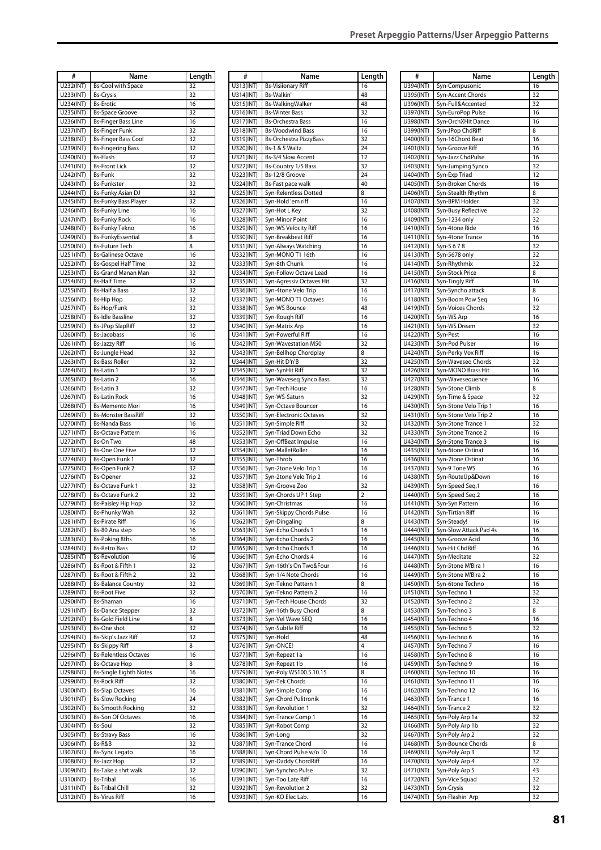| #                      | Name                                                    | Length   |
|------------------------|---------------------------------------------------------|----------|
| U232(INT)              | <b>Bs-Cool with Space</b>                               | 32       |
| U233(INT)<br>U234(INT) | <b>Bs-Crysis</b>                                        | 32<br>16 |
| U235(INT)              | <b>Bs-Erotic</b><br><b>Bs-Space Groove</b>              | 32       |
| U236(INT)              | <b>Bs-Finger Bass Line</b>                              | 16       |
| U237(INT)              | <b>Bs-Finger Funk</b>                                   | 32       |
| U238(INT)              | <b>Bs-Finger Bass Cool</b>                              | 32       |
| U239(INT)<br>U240(INT) | <b>Bs-Fingering Bass</b><br><b>Bs-Flash</b>             | 32<br>32 |
| U241(INT)              | <b>Bs-Front Lick</b>                                    | 32       |
| U242(INT)              | <b>Bs-Funk</b>                                          | 32       |
| U243(INT)              | <b>Bs-Funkster</b>                                      | 32       |
| U244(INT)<br>U245(INT) | <b>Bs-Funky Asian DJ</b><br><b>Bs-Funky Bass Player</b> | 32<br>32 |
| U246(INT)              | <b>Bs-Funky Line</b>                                    | 16       |
| U247(INT)              | <b>Bs-Funky Rock</b>                                    | 16       |
| U248(INT)              | <b>Bs-Funky Tekno</b>                                   | 16       |
| U249(INT)              | <b>Bs-FunkyEssential</b>                                | 8        |
| U250(INT)<br>U251(INT) | <b>Bs-Future Tech</b><br><b>Bs-Galinese Octave</b>      | 8<br>16  |
| U252(INT)              | <b>Bs-Gospel Half Time</b>                              | 32       |
| U253(INT)              | <b>Bs-Grand Manan Man</b>                               | 32       |
| U254(INT)              | <b>Bs-Half Time</b>                                     | 32       |
| U255(INT)              | <b>Bs-Half a Bass</b>                                   | 32       |
| U256(INT)<br>U257(INT) | <b>Bs-Hip Hop</b><br>Bs-Hop/Funk                        | 32<br>32 |
| U258(INT)              | <b>Bs-Idle Bassline</b>                                 | 32       |
| U259(INT)              | <b>Bs-JPop SlapRiff</b>                                 | 32       |
| U260(INT)              | <b>Bs-Jacobass</b>                                      | 16       |
| U261(INT)              | <b>Bs-Jazzy Riff</b>                                    | 16       |
| U262(INT)<br>U263(INT) | <b>Bs-Jungle Head</b><br><b>Bs-Bass Roller</b>          | 32<br>32 |
| U264(INT)              | Bs-Latin 1                                              | 32       |
| U265(INT)              | <b>Bs-Latin 2</b>                                       | 16       |
| U266(INT)              | Bs-Latin 3                                              | 32       |
| U267(INT)              | <b>Bs-Latin Rock</b>                                    | 16       |
| U268(INT)<br>U269(INT) | <b>Bs-Memento Mori</b><br><b>Bs-Monster BassRiff</b>    | 16<br>32 |
| U270(INT)              | <b>Bs-Nanda Bass</b>                                    | 16       |
| U271(INT)              | <b>Bs-Octave Pattern</b>                                | 16       |
| U272(INT)              | <b>Bs-On Two</b>                                        | 48       |
| U273(INT)              | <b>Bs-One One Five</b>                                  | 32<br>32 |
| U274(INT)<br>U275(INT) | <b>Bs-Open Funk 1</b><br><b>Bs-Open Funk 2</b>          | 32       |
| U276(INT)              | <b>Bs-Opener</b>                                        | 32       |
| U277(INT)              | <b>Bs-Octave Funk 1</b>                                 | 32       |
| U278(INT)              | <b>Bs-Octave Funk 2</b>                                 | 32       |
| U279(INT)<br>U280(INT) | <b>Bs-Paisley Hip Hop</b><br>Bs-Phunky Wah              | 32<br>32 |
| U281(INT)              | <b>Bs-Pirate Riff</b>                                   | 16       |
| U282(INT)              | Bs-80 Ana step                                          | 16       |
| U283(INT)              | <b>Bs-Poking 8ths</b>                                   | 16       |
| U284(INT)              | <b>Bs-Retro Bass</b>                                    | 32       |
| U285(INT)<br>U286(INT) | <b>Bs-Revolution</b><br>Bs-Root & Fifth 1               | 16<br>32 |
| U287(INT)              | Bs-Root & Fifth 2                                       | 32       |
| U288(INT)              | <b>Bs-Balance Country</b>                               | 32       |
| U289(INT)              | <b>Bs-Root Five</b>                                     | 32       |
| U290(INT)<br>U291(INT) | Bs-Shaman<br><b>Bs-Dance Stepper</b>                    | 16<br>32 |
| U292(INT)              | <b>Bs-Gold Field Line</b>                               | 8        |
| U293(INT)              | Bs-One shot                                             | 32       |
| U294(INT)              | Bs-Skip's Jazz Riff                                     | 32       |
| U295(INT)              | <b>Bs-Skippy Riff</b>                                   | 8        |
| U296(INT)<br>U297(INT) | <b>Bs-Relentless Octaves</b><br><b>Bs-Octave Hop</b>    | 16<br>8  |
| U298(INT)              | <b>Bs-Single Eighth Notes</b>                           | 16       |
| U299(INT)              | <b>Bs-Rock Riff</b>                                     | 32       |
| U300(INT)              | <b>Bs-Slap Octaves</b>                                  | 16       |
| U301(INT)              | <b>Bs-Slow Rocking</b>                                  | 24       |
| U302(INT)<br>U303(INT) | <b>Bs-Smooth Rocking</b><br><b>Bs-Son Of Octaves</b>    | 32<br>16 |
| U304(INT)              | Bs-Soul                                                 | 32       |
| U305(INT)              | <b>Bs-Stravy Bass</b>                                   | 16       |
| U306(INT)              | Bs-R&B                                                  | 32       |
| U307(INT)              | <b>Bs-Sync Legato</b>                                   | 16       |
| U308(INT)<br>U309(INT) | <b>Bs-Jazz Hop</b><br>Bs-Take a shrt walk               | 32<br>32 |
| U310(INT)              | <b>Bs-Tribal</b>                                        | 16       |
| U311(INT)              | <b>Bs-Tribal Chill</b>                                  | 32       |
| U312(INT)              | <b>Bs-Virus Riff</b>                                    | 16       |

| #                      | Name                                     | Length         |
|------------------------|------------------------------------------|----------------|
| U313(INT)              | <b>Bs-Visiionary Riff</b>                | 16             |
| U314(INT)              | Bs-Walkin'                               | 48             |
| U315(INT)              | Bs-WalkingWalker                         | 48             |
| U316(INT)              | <b>Bs-Winter Bass</b>                    | 32             |
| U317(INT)              | <b>Bs-Orchestra Bass</b>                 | 16             |
| U318(INT)              | <b>Bs-Woodwind Bass</b>                  | 16             |
| U319(INT)              | <b>Bs-Orchestra PizzyBass</b>            | 32             |
| U320(INT)              | Bs-1 & 5 Waltz                           | 24             |
| U321(INT)              | Bs-3/4 Slow Accent                       | 12             |
| U322(INT)              | Bs-Country 1/5 Bass                      | 32             |
| U323(INT)              | Bs-12/8 Groove                           | 24             |
| U324(INT)              | Bs-Fast pace walk                        | 40<br>8        |
| U325(INT)              | Syn-Relentless Dotted                    | 16             |
| U326(INT)<br>U327(INT) | Syn-Hold 'em riff<br>Syn-Hot L Key       | 32             |
| U328(INT)              | Syn-Minor Point                          | 16             |
| U329(INT)              | Syn-WS Velocity Riff                     | 16             |
| U330(INT)              | Syn-Breakbeat Riff                       | 16             |
| U331(INT)              | Syn-Always Watching                      | 16             |
| U332(INT)              | Syn-MONO T1 16th                         | 16             |
| U333(INT)              | Syn-8th Chunk                            | 16             |
| U334(INT)              | Syn-Follow Octave Lead                   | 16             |
| U335(INT)              | Syn-Agressiv Octaves Hit                 | 32             |
| U336(INT)              | Syn-4tone Velo Trip                      | 16             |
| U337(INT)              | Syn-MONO T1 Octaves                      | 16             |
| U338(INT)              | Syn-WS Bounce                            | 48             |
| U339(INT)              | Syn-Rough Riff                           | 16             |
| U340(INT)              | Syn-Matrix Arp                           | 16             |
| U341(INT)              | Syn-Powerful Riff                        | 16             |
| U342(INT)              | Syn-Wavestation M50                      | 32             |
| U343(INT)              | Syn-Bellhop Chordplay<br>Syn-Hit D'n'B   | 8<br>32        |
| U344(INT)<br>U345(INT) | Syn-SynHit Riff                          | 32             |
| U346(INT)              | Syn-Waveseq Synco Bass                   | 32             |
| U347(INT)              | Syn-Tech House                           | 16             |
| U348(INT)              | Syn-WS-Saturn                            | 32             |
| U349(INT)              | Syn-Octave Bouncer                       | 16             |
| U350(INT)              | Syn-Electronic Octaves                   | 32             |
| U351(INT)              | Syn-Simple Riff                          | 32             |
| U352(INT)              | Syn-Triad Down Echo                      | 32             |
| U353(INT)              | Syn-OffBeat Impulse                      | 16             |
| U354(INT)              | Syn-MalletRoller                         | 16             |
| U355(INT)              | Syn-Throb                                | 16             |
| U356(INT)              | Syn-2tone Velo Trip 1                    | 16             |
| U357(INT)              | Syn-2tone Velo Trip 2                    | 16             |
| U358(INT)              | Syn-Groove Zoo                           | 32             |
| U359(INT)              | Syn-Chords UP 1 Step                     | $\overline{2}$ |
| U360(INT)              | Syn-Christmas                            | 16             |
| U361(INT)              | Syn-Skippy Chords Pulse                  | 16             |
| U362(INT)              | Syn-Dingaling<br>Syn-Echo Chords 1       | 8<br>16        |
| U363(INT)<br>U364(INT) | Syn-Echo Chords 2                        | 16             |
| U365(INT)              | Syn-Echo Chords 3                        | 16             |
| U366(INT)              | Syn-Echo Chords 4                        | 16             |
| U367(INT)              | Syn-16th's On Two&Four                   | 16             |
| U368(INT)              | Syn-1/4 Note Chords                      | 16             |
| U369(INT)              | Syn-Tekno Pattern 1                      | 8              |
| U370(INT)              | Syn-Tekno Pattern 2                      | 16             |
| U371(INT)              | Syn-Tech House Chords                    | 32             |
| U372(INT)              | Syn-16th Busy Chord                      | 8              |
| U373(INT)              | Syn-Vel Wave SEQ                         | 16             |
| U374(INT)              | Syn-Subtle Riff                          | 16             |
| U375(INT)              | Syn-Hold                                 | 48             |
| U376(INT)              | Syn-ONCE!                                | 4              |
| U377(INT)              | Syn-Repeat 1a                            | 16             |
| U378(INT)<br>U379(INT) | Syn-Repeat 1b                            | 16<br>8        |
| U380(INT)              | Syn-Poly WS100.5.10.15<br>Syn-Tek Chords | 16             |
| U381(INT)              | Syn-Simple Comp                          | 16             |
| U382(INT)              | Syn-Chord Pulitronik                     | 16             |
| U383(INT)              | Syn-Revolution 1                         | 32             |
| U384(INT)              | Syn-Trance Comp 1                        | 16             |
| U385(INT)              | Syn-Robot Comp                           | 32             |
| U386(INT)              | Syn-Long                                 | 32             |
| U387(INT)              | Syn-Trance Chord                         | 16             |
| U388(INT)              | Syn-Chord Pulse w/o T0                   | 16             |
| U389(INT)              | Syn-Daddy ChordRiff                      | 16             |
| U390(INT)              | Syn-Synchro Pulse                        | 32             |
| U391(INT)              | Syn-Too Late Riff                        | 16             |
| U392(INT)              | Syn-Revolution 2                         | 32             |
| U393(INT)              | Syn-KO Elec Lab.                         | 16             |

| #                      | Name                                    | Length   |
|------------------------|-----------------------------------------|----------|
| U394(INT)              | Syn-Compusonic                          | 16       |
| U395(INT)<br>U396(INT) | Syn-Accent Chords<br>Syn-Full&Accented  | 32<br>32 |
| U397(INT)              | Syn-EuroPop Pulse                       | 16       |
| U398(INT)              | Syn-OrchXHit Dance                      | 16       |
| U399(INT)              | Syn-JPop ChdRiff                        | 8        |
| U400(INT)              | Syn-16Chord Beat                        | 16       |
| U401(INT)              | Syn-Groove Riff                         | 16       |
| U402(INT)<br>U403(INT) | Syn-Jazz ChdPulse                       | 16<br>32 |
| U404(INT)              | Syn-Jumping Synco<br>Syn-Exp Triad      | 12       |
| U405(INT)              | Syn-Broken Chords                       | 16       |
| U406(INT)              | Syn-Stealth Rhythm                      | 8        |
| U407(INT)              | Syn-BPM Holder                          | 32       |
| U408(INT)              | Syn-Busy Reflective                     | 32       |
| U409(INT)<br>U410(INT) | Syn-1234 only<br>Syn-4tone Ride         | 32<br>16 |
| U411(INT)              | Syn-4tone Trance                        | 16       |
| U412(INT)              | Syn-5678                                | 32       |
| U413(INT)              | Syn-5678 only                           | 32       |
| U414(INT)              | Syn-Rhythmix                            | 32       |
| U415(INT)<br>U416(INT) | Syn-Stock Price<br>Syn-Tingly Riff      | 8<br>16  |
| U417(INT)              | Syn-Syncho attack                       | 8        |
| U418(INT)              | Syn-Boom Pow Seq                        | 16       |
| U419(INT)              | Syn-Voices Chords                       | 32       |
| U420(INT)              | Syn-WS Arp                              | 16       |
| U421(INT)              | Syn-WS Dream                            | 32       |
| U422(INT)<br>U423(INT) | Syn-Pest<br>Syn-Pod Pulser              | 16<br>16 |
| U424(INT)              | Syn-Perky Vox Riff                      | 16       |
| U425(INT)              | Syn-Waveseq Chords                      | 32       |
| U426(INT)              | Syn-MONO Brass Hit                      | 16       |
| U427(INT)              | Syn-Wavesequence                        | 16       |
| U428(INT)<br>U429(INT) | Syn-5tone Climb<br>Syn-Time & Space     | 8<br>32  |
| U430(INT)              | Syn-5tone Velo Trip 1                   | 16       |
| U431(INT)              | Syn-5tone Velo Trip 2                   | 16       |
| U432(INT)              | Syn-5tone Trance 1                      | 32       |
| U433(INT)              | Syn-5tone Trance 2                      | 16       |
| U434(INT)              | Syn-5tone Trance 3<br>Syn-6tone Ostinat | 16<br>16 |
| U435(INT)<br>U436(INT) | Syn-7tone Ostinat                       | 16       |
| U437(INT)              | Syn-9 Tone WS                           | 16       |
| U438(INT)              | Syn-RouteUp&Down                        | 16       |
| U439(INT)              | Syn-Speed Seq.1                         | 16       |
| U440(INT)<br>U441(INT) | Syn-Speed Seq.2<br>Syn-Syn Pattern      | 16<br>16 |
| U442(INT)              | Syn-Tirtian Riff                        | 16       |
| U443(INT)              | Svn-Steadv!                             | 16       |
| U444(INT)              | Syn-Slow Attack Pad 4s                  | 16       |
| U445(INT)              | Syn-Groove Acid                         | 16       |
| U446(INT)              | Syn-Hit ChdRiff<br>Syn-Meditate         | 16<br>32 |
| U447(INT)<br>U448(INT) | Syn-5tone M'Bira 1                      | 16       |
| U449(INT)              | Syn-5tone M'Bira 2                      | 16       |
| U450(INT)              | Syn-6tone Techno                        | 16       |
| U451(INT)              | Syn-Techno 1                            | 32       |
| U452(INT)              | Syn-Techno 2                            | 32       |
| U453(INT)<br>U454(INT) | Syn-Techno 3<br>Syn-Techno 4            | 8<br>16  |
| U455(INT)              | Syn-Techno 5                            | 32       |
| U456(INT)              | Syn-Techno 6                            | 16       |
| U457(INT)              | Syn-Techno 7                            | 16       |
| U458(INT)              | Syn-Techno 8                            | 16       |
| U459(INT)<br>U460(INT) | Syn-Techno 9<br>Syn-Techno 10           | 16<br>16 |
| U461(INT)              | Syn-Techno 11                           | 16       |
| U462(INT)              | Syn-Techno 12                           | 16       |
| U463(INT)              | Syn-Trance 1                            | 16       |
| U464(INT)              | Syn-Trance 2                            | 32       |
| U465(INT)<br>U466(INT) | Syn-Poly Arp 1a<br>Syn-Poly Arp 1b      | 32<br>32 |
| U467(INT)              | Syn-Poly Arp 2                          | 32       |
| U468(INT)              | Syn-Bounce Chords                       | 8        |
| U469(INT)              | Syn-Poly Arp 3                          | 32       |
| U470(INT)              | Syn-Poly Arp 4                          | 32       |
| U471(INT)              | Syn-Poly Arp 5                          | 43<br>32 |
| U472(INT)<br>U473(INT) | Syn-Vice Squad<br>Syn-Crysis            | 32       |
| U474(INT)              | Syn-Flashin' Arp                        | 32       |
|                        |                                         |          |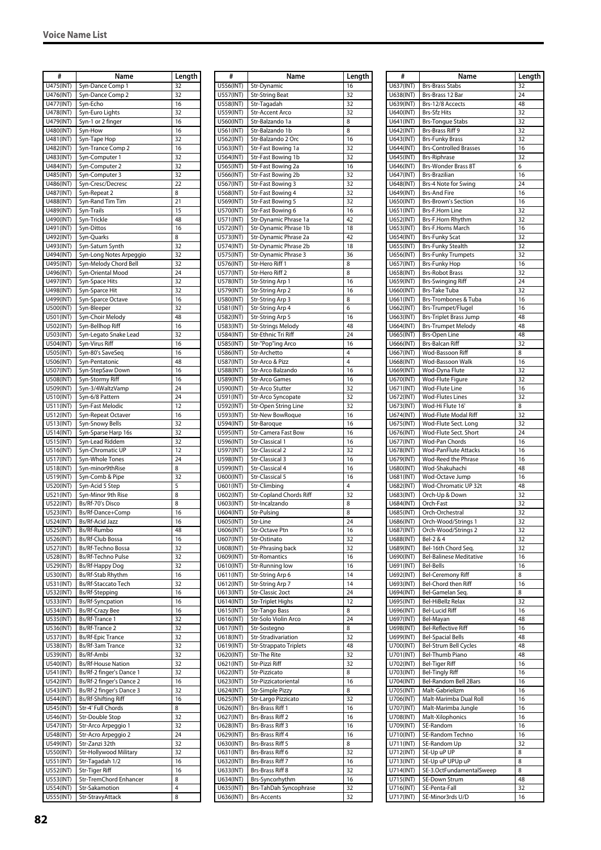| #                      | Name                                                   | Length   |
|------------------------|--------------------------------------------------------|----------|
| U475(INT)              | Syn-Dance Comp 1                                       | 32       |
| U476(INT)              | Syn-Dance Comp 2                                       | 32       |
| U477(INT)              | Syn-Echo                                               | 16       |
| U478(INT)<br>U479(INT) | Syn-Euro Lights<br>Syn-1 or 2 finger                   | 32<br>16 |
| U480(INT)              | Syn-How                                                | 16       |
| U481(INT)              | Syn-Tape Hop                                           | 32       |
| U482(INT)              | Syn-Trance Comp 2                                      | 16       |
| U483(INT)              | Syn-Computer 1                                         | 32       |
| U484(INT)              | Syn-Computer 2                                         | 32       |
| U485(INT)<br>U486(INT) | Syn-Computer 3<br>Syn-Cresc/Decresc                    | 32<br>22 |
| U487(INT)              | Syn-Repeat 2                                           | 8        |
| U488(INT)              | Syn-Rand Tim Tim                                       | 21       |
| U489(INT)              | Syn-Trails                                             | 15       |
| U490(INT)              | Syn-Trickle                                            | 48       |
| U491(INT)              | Syn-Dittos                                             | 16       |
| U492(INT)<br>U493(INT) | Syn-Quarks<br>Syn-Saturn Synth                         | 8<br>32  |
| U494(INT)              | Syn-Long Notes Arpeggio                                | 32       |
| U495(INT)              | Syn-Melody Chord Bell                                  | 32       |
| U496(INT)              | Syn-Oriental Mood                                      | 24       |
| U497(INT)              | Syn-Space Hits                                         | 32       |
| U498(INT)<br>U499(INT) | Syn-Sparce Hit<br>Syn-Sparce Octave                    | 32<br>16 |
| U500(INT)              | Syn-Bleeper                                            | 32       |
| U501(INT)              | Syn-Choir Melody                                       | 48       |
| U502(INT)              | Syn-Bellhop Riff                                       | 16       |
| U503(INT)              | Syn-Legato Snake Lead                                  | 32       |
| U504(INT)              | Syn-Virus Riff                                         | 16       |
| U505(INT)<br>U506(INT) | Syn-80's SaveSeq<br>Syn-Pentatonic                     | 16<br>48 |
| U507(INT)              | Syn-StepSaw Down                                       | 16       |
| U508(INT)              | Syn-Stormy Riff                                        | 16       |
| U509(INT)              | Syn-3/4WaltzVamp                                       | 24       |
| U510(INT)              | Syn-6/8 Pattern                                        | 24       |
| U511(INT)              | Syn-Fast Melodic                                       | 12       |
| U512(INT)<br>U513(INT) | Syn-Repeat Octaver<br>Syn-Snowy Bells                  | 16<br>32 |
| U514(INT)              | Syn-Sparse Harp 16s                                    | 32       |
| U515(INT)              | Syn-Lead Riddem                                        | 32       |
| U516(INT)              | Syn-Chromatic UP                                       | 12       |
| U517(INT)              | Syn-Whole Tones                                        | 24       |
| U518(INT)<br>U519(INT) | Syn-minor9thRise<br>Syn-Comb & Pipe                    | 8<br>32  |
| U520(INT)              | Syn-Acid 5 Step                                        | 5        |
| U521(INT)              | Syn-Minor 9th Rise                                     | 8        |
| U522(INT)              | Bs/Rf-70's Disco                                       | 8        |
| U523(INT)              | Bs/Rf-Dance+Comp                                       | 16       |
| U524(INT)<br>U525(INT) | <b>Bs/Rf-Acid Jazz</b><br>Bs/Rf-Rumbo                  | 16<br>48 |
| U526(INT)              | Bs/Rf-Club Bossa                                       | 16       |
| U527(INT)              | Bs/Rf-Techno Bossa                                     | 32       |
| U528(INT)              | Bs/Rf-Techno Pulse                                     | 32       |
| U529(INT)              | Bs/Rf-Happy Dog                                        | 32       |
| U530(INT)<br>U531(INT) | Bs/Rf-Stab Rhythm<br>Bs/Rf-Staccato Tech               | 16<br>32 |
| U532(INT)              | Bs/Rf-Stepping                                         | 16       |
| U533(INT)              | <b>Bs/Rf-Syncpation</b>                                | 16       |
| U534(INT)              | Bs/Rf-Crazy Bee                                        | 16       |
| U535(INT)              | Bs/Rf-Trance 1                                         | 32       |
| U536(INT)              | Bs/Rf-Trance 2                                         | 32       |
| U537(INT)<br>U538(INT) | <b>Bs/Rf-Epic Trance</b><br>Bs/Rf-3am Trance           | 32<br>32 |
| U539(INT)              | Bs/Rf-Ambi                                             | 32       |
| U540(INT)              | <b>Bs/Rf-House Nation</b>                              | 32       |
| U541(INT)              | Bs/Rf-2 finger's Dance 1                               | 32       |
| U542(INT)              | Bs/Rf-2 finger's Dance 2                               | 16       |
| U543(INT)<br>U544(INT) | Bs/Rf-2 finger's Dance 3<br><b>Bs/Rf-Shifting Riff</b> | 32<br>16 |
| U545(INT)              | Str-4' Full Chords                                     | 8        |
| U546(INT)              | Str-Double Stop                                        | 32       |
| U547(INT)              | Str-Arco Arpeggio 1                                    | 32       |
| U548(INT)              | Str-Acro Arpeggio 2                                    | 24       |
| U549(INT)              | Str-Zanzi 32th                                         | 32<br>32 |
| U550(INT)<br>U551(INT) | Str-Hollywood Military<br>Str-Tagadah 1/2              | 16       |
| U552(INT)              | Str-Tiger Riff                                         | 16       |
| U553(INT)              | Str-TremChord Enhancer                                 | 8        |
| U554(INT)              | Str-Sakamotion                                         | 4        |
| U555(INT)              | Str-StravyAttack                                       | 8        |

| #                      | Name                                           | Length   |
|------------------------|------------------------------------------------|----------|
| U556(INT)              | Str-Dynamic                                    | 16       |
| U557(INT)              | <b>Str-String Beat</b>                         | 32       |
| U558(INT)              | Str-Tagadah                                    | 32       |
| U559(INT)              | Str-Accent Arco                                | 32       |
| U560(INT)              | Str-Balzando 1a                                | 8        |
| U561(INT)              | Str-Balzando 1b                                | 8        |
| U562(INT)              | Str-Balzando 2 Orc                             | 16       |
| U563(INT)              | Str-Fast Bowing 1a                             | 32       |
| U564(INT)              | Str-Fast Bowing 1b                             | 32<br>16 |
| U565(INT)<br>U566(INT) | Str-Fast Bowing 2a<br>Str-Fast Bowing 2b       | 32       |
| U567(INT)              | Str-Fast Bowing 3                              | 32       |
| U568(INT)              | Str-Fast Bowing 4                              | 32       |
| U569(INT)              | Str-Fast Bowing 5                              | 32       |
| U570(INT)              | Str-Fast Bowing 6                              | 16       |
| U571(INT)              | Str-Dynamic Phrase 1a                          | 42       |
| U572(INT)              | Str-Dynamic Phrase 1b                          | 18       |
| U573(INT)              | Str-Dynamic Phrase 2a                          | 42       |
| U574(INT)              | Str-Dynamic Phrase 2b                          | 18       |
| U575(INT)              | Str-Dynamic Phrase 3                           | 36       |
| U576(INT)              | Str-Hero Riff 1                                | 8        |
| U577(INT)              | Str-Hero Riff 2                                | 8        |
| U578(INT)              | Str-String Arp 1                               | 16       |
| U579(INT)              | Str-String Arp 2                               | 16       |
| U580(INT)              | Str-String Arp 3                               | 8        |
| U581(INT)              | Str-String Arp 4                               | 6        |
| U582(INT)              | Str-String Arp 5                               | 16       |
| U583(INT)              | <b>Str-Strings Melody</b>                      | 48       |
| U584(INT)              | Str-Ethnic Tri Riff                            | 24       |
| U585(INT)              | Str-"Pop"ing Arco                              | 16       |
| U586(INT)              | Str-Archetto                                   | 4        |
| U587(INT)              | Str-Arco & Pizz                                | 4        |
| U588(INT)              | Str-Arco Balzando                              | 16       |
| U589(INT)              | <b>Str-Arco Games</b>                          | 16       |
| U590(INT)              | Str-Arco Stutter                               | 32       |
| U591(INT)              | Str-Arco Syncopate                             | 32       |
| U592(INT)              | Str-Open String Line                           | 32       |
| U593(INT)              | Str-New BowRoque                               | 16       |
| U594(INT)              | Str-Baroque                                    | 16       |
| U595(INT)              | <b>Str-Camera Fast Bow</b>                     | 16       |
| U596(INT)              | Str-Classical 1                                | 16       |
| U597(INT)              | <b>Str-Classical 2</b>                         | 32       |
| U598(INT)              | Str-Classical 3                                | 16       |
| U599(INT)              | Str-Classical 4                                | 16       |
| U600(INT)              | Str-Classical 5                                | 16       |
| U601(INT)              | Str-Climbing<br><b>Str-Copland Chords Riff</b> | 4<br>32  |
| U602(INT)<br>U603(INT) | Str-Incalzando                                 | 8        |
| U604(INT)              | Str-Pulsing                                    | 8        |
|                        | Str-Line                                       |          |
| U605(INT)<br>U606(INT) | Str-Octave Ptn                                 | 24<br>16 |
| U607(INT)              | Str-Ostinato                                   | 32       |
| U608(INT)              | Str-Phrasing back                              | 32       |
| U609(INT)              | <b>Str-Romantics</b>                           | 16       |
| U610(INT)              | Str-Running low                                | 16       |
| U611(INT)              | Str-String Arp 6                               | 14       |
| U612(INT)              | Str-String Arp 7                               | 14       |
| U613(INT)              | Str-Classic 2oct                               | 24       |
| U614(INT)              | <b>Str-Triplet Highs</b>                       | 12       |
| U615(INT)              | <b>Str-Tango Bass</b>                          | 8        |
| U616(INT)              | Str-Solo Violin Arco                           | 24       |
| U617(INT)              | Str-Sostegno                                   | 8        |
| U618(INT)              | Str-Stradivariation                            | 32       |
| U619(INT)              | <b>Str-Strappato Triplets</b>                  | 48       |
| U620(INT)              | Str-The Rite                                   | 32       |
| U621(INT)              | Str-Pizzi Riff                                 | 32       |
| U622(INT)              | Str-Pizzicato                                  | 8        |
| U623(INT)              | Str-Pizzicatoriental                           | 16       |
| U624(INT)              | Str-Simple Pizzy                               | 8        |
| U625(INT)              | Str-Largo Pizzicato                            | 32       |
| U626(INT)              | Brs-Brass Riff 1                               | 16       |
| U627(INT)              | Brs-Brass Riff 2                               | 16       |
| U628(INT)              | Brs-Brass Riff 3                               | 16       |
| U629(INT)              | Brs-Brass Riff 4                               | 16       |
| U630(INT)              | Brs-Brass Riff 5                               | 8        |
| U631(INT)              | Brs-Brass Riff 6                               | 32       |
| U632(INT)              | Brs-Brass Riff 7                               | 16       |
| U633(INT)              | <b>Brs-Brass Riff 8</b>                        | 32       |
| U634(INT)<br>U635(INT) | Brs-Syncorhythm<br>Brs-TahDah Syncophrase      | 16<br>32 |
| U636(INT)              | <b>Brs-Accents</b>                             | 32       |
|                        |                                                |          |

| #                      | Name                                            | Length   |
|------------------------|-------------------------------------------------|----------|
| U637(INT)              | <b>Brs-Brass Stabs</b>                          | 32       |
| U638(INT)              | Brs-Brass 12 Bar                                | 24       |
| U639(INT)              | Brs-12/8 Accects                                | 48       |
| U640(INT)              | Brs-Sfz Hits                                    | 32       |
| U641(INT)              | <b>Brs-Tongue Stabs</b>                         | 32       |
| U642(INT)              | Brs-Brass Riff 9                                | 32       |
| U643(INT)              | <b>Brs-Funky Brass</b>                          | 32       |
| U644(INT)              | <b>Brs-Controlled Brasses</b>                   | 16       |
| U645(INT)              | <b>Brs-Riphrase</b>                             | 32       |
| U646(INT)<br>U647(INT) | Brs-Wonder Brass 8T<br>Brs-Brazilian            | 6<br>16  |
| U648(INT)              | Brs-4 Note for Swing                            | 24       |
| U649(INT)              | <b>Brs-And Fire</b>                             | 16       |
| U650(INT)              | <b>Brs-Brown's Section</b>                      | 16       |
| U651(INT)              | Brs-F.Horn Line                                 | 32       |
| U652(INT)              | Brs-F.Horn Rhythm                               | 32       |
| U653(INT)              | Brs-F.Horns March                               | 16       |
| U654(INT)              | <b>Brs-Funky Scat</b>                           | 32       |
| U655(INT)              | <b>Brs-Funky Stealth</b>                        | 32       |
| U656(INT)              | <b>Brs-Funky Trumpets</b>                       | 32       |
| U657(INT)<br>U658(INT) | <b>Brs-Funky Hop</b><br><b>Brs-Robot Brass</b>  | 16<br>32 |
| U659(INT)              | <b>Brs-Swinging Riff</b>                        | 24       |
| U660(INT)              | Brs-Take Tuba                                   | 32       |
| U661(INT)              | Brs-Trombones & Tuba                            | 16       |
| U662(INT)              | Brs-Trumpet/Flugel                              | 16       |
| U663(INT)              | Brs-Triplet Brass Jump                          | 48       |
| U664(INT)              | <b>Brs-Trumpet Melody</b>                       | 48       |
| U665(INT)              | <b>Brs-Open Line</b>                            | 48       |
| U666(INT)              | <b>Brs-Balcan Riff</b>                          | 32       |
| U667(INT)              | Wod-Bassoon Riff                                | 8        |
| U668(INT)              | Wod-Bassoon Walk                                | 16       |
| U669(INT)<br>U670(INT) | Wod-Dyna Flute<br>Wod-Flute Figure              | 32<br>32 |
| U671(INT)              | Wod-Flute Line                                  | 16       |
| U672(INT)              | <b>Wod-Flutes Lines</b>                         | 32       |
| U673(INT)              | Wod-Hi Flute 16'                                | 8        |
| U674(INT)              | Wod-Flute Modal Riff                            | 32       |
| U675(INT)              | Wod-Flute Sect. Long                            | 32       |
| U676(INT)              | Wod-Flute Sect. Short                           | 24       |
| U677(INT)              | Wod-Pan Chords                                  | 16       |
| U678(INT)              | <b>Wod-PanFlute Attacks</b>                     | 16       |
| U679(INT)              | Wod-Reed the Phrase                             | 16       |
| U680(INT)<br>U681(INT) | Wod-Shakuhachi<br>Wod-Octave Jump               | 48<br>16 |
| U682(INT)              | Wod-Chromatic UP 32t                            | 48       |
| U683(INT)              | Orch-Up & Down                                  | 32       |
| U684(INT)              | Orch-Fast                                       | 32       |
| U685(INT)              | Orch-Orchestral                                 | 32       |
| U686(INT)              | Orch-Wood/Strings 1                             | 32       |
| U687(INT)              | Orch-Wood/Strings 2                             | 32       |
| U688(INT)              | Bel-2 & 4                                       | 32       |
| U689(INT)              | Bel-16th Chord Seq.                             | 32       |
| U690(INT)              | <b>Bel-Balinese Meditative</b>                  | 16       |
| U691(INT)              | <b>Bel-Bells</b>                                | 16       |
| U692(INT)<br>U693(INT) | <b>Bel-Ceremony Riff</b><br>Bel-Chord then Riff | 8<br>16  |
| U694(INT)              | Bel-Gamelan Seq.                                | 8        |
| U695(INT)              | Bel-HiBellz Relax                               | 32       |
| U696(INT)              | <b>Bel-Lucid Riff</b>                           | 16       |
| U697(INT)              | Bel-Mayan                                       | 48       |
| U698(INT)              | <b>Bel-Reflective Riff</b>                      | 16       |
| U699(INT)              | <b>Bel-Spacial Bells</b>                        | 48       |
| U700(INT)              | Bel-Strum Bell Cycles                           | 48       |
| U701(INT)              | Bel-Thumb Piano                                 | 48       |
| U702(INT)              | <b>Bel-Tiger Riff</b>                           | 16       |
| U703(INT)<br>U704(INT) | <b>Bel-Tingly Riff</b><br>Bel-Random Bell 2Bars | 16<br>16 |
| U705(INT)              | Malt-Gabrielizm                                 | 16       |
| U706(INT)              | Malt-Marimba Dual Roll                          | 16       |
| U707(INT)              | Malt-Marimba Jungle                             | 16       |
| U708(INT)              | Malt-Xilophonics                                | 16       |
| U709(INT)              | SE-Random                                       | 16       |
| U710(INT)              | SE-Random Techno                                | 16       |
| U711(INT)              | SE-Random Up                                    | 32       |
| U712(INT)              | SE-Up uP UP                                     | 8        |
| U713(INT)              | SE-Up uP UPUp uP                                | 8        |
| U714(INT)<br>U715(INT) | SE-3.OctFundamentalSweep<br>SE-Down Strum       | 8<br>48  |
| U716(INT)              | SE-Penta-Fall                                   | 32       |
| U717(INT)              | SE-Minor3rds U/D                                | 16       |
|                        |                                                 |          |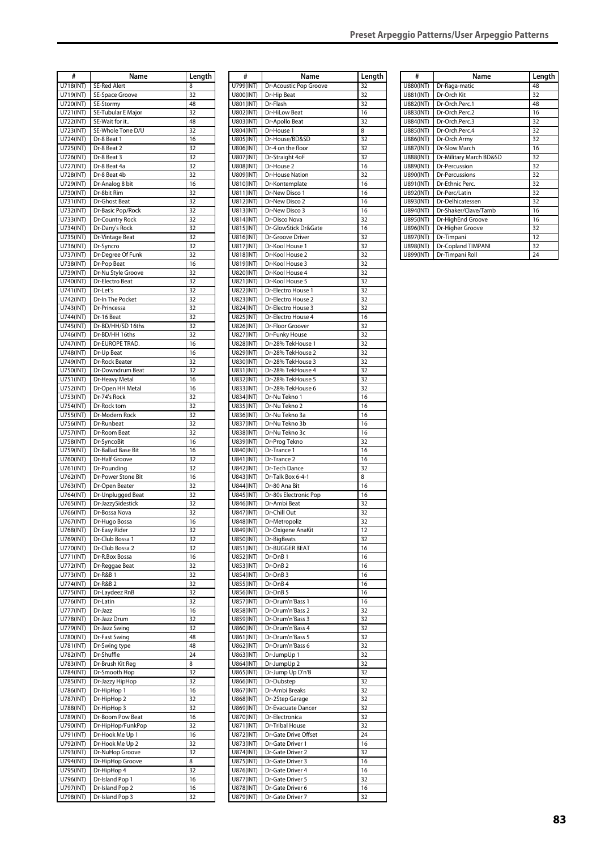| #                      | Name                                  | Length   |
|------------------------|---------------------------------------|----------|
| U718(INT)              | <b>SE-Red Alert</b>                   | 8        |
| U719(INT)              | SE-Space Groove                       | 32       |
| U720(INT)              | SE-Stormy                             | 48       |
| U721(INT)<br>U722(INT) | SE-Tubular E Major<br>SE-Wait for it  | 32<br>48 |
| U723(INT)              | SE-Whole Tone D/U                     | 32       |
| U724(INT)              | Dr-8 Beat 1                           | 16       |
| U725(INT)              | Dr-8 Beat 2                           | 32       |
| U726(INT)              | Dr-8 Beat 3                           | 32       |
| U727(INT)              | Dr-8 Beat 4a                          | 32       |
| U728(INT)              | Dr-8 Beat 4b                          | 32       |
| U729(INT)              | Dr-Analog 8 bit                       | 16       |
| U730(INT)              | Dr-8bit Rim<br>Dr-Ghost Beat          | 32<br>32 |
| U731(INT)<br>U732(INT) | Dr-Basic Pop/Rock                     | 32       |
| U733(INT)              | Dr-Country Rock                       | 32       |
| U734(INT)              | Dr-Dany's Rock                        | 32       |
| U735(INT)              | Dr-Vintage Beat                       | 32       |
| U736(INT)              | Dr-Syncro                             | 32       |
| U737(INT)              | Dr-Degree Of Funk                     | 32       |
| U738(INT)              | Dr-Pop Beat                           | 16       |
| U739(INT)<br>U740(INT) | Dr-Nu Style Groove<br>Dr-Electro Beat | 32<br>32 |
| U741(INT)              | Dr-Let's                              | 32       |
| U742(INT)              | Dr-In The Pocket                      | 32       |
| U743(INT)              | Dr-Princessa                          | 32       |
| U744(INT)              | Dr-16 Beat                            | 32       |
| U745(INT)              | Dr-BD/HH/SD 16ths                     | 32       |
| U746(INT)              | Dr-BD/HH 16ths                        | 32       |
| U747(INT)              | Dr-EUROPE TRAD.                       | 16       |
| U748(INT)              | Dr-Up Beat                            | 16       |
| U749(INT)              | Dr-Rock Beater                        | 32       |
| U750(INT)              | Dr-Downdrum Beat                      | 32       |
| U751(INT)<br>U752(INT) | Dr-Heavy Metal<br>Dr-Open HH Metal    | 16<br>16 |
| U753(INT)              | Dr-74's Rock                          | 32       |
| U754(INT)              | Dr-Rock tom                           | 32       |
| U755(INT)              | Dr-Modern Rock                        | 32       |
| U756(INT)              | Dr-Runbeat                            | 32       |
| U757(INT)              | Dr-Room Beat                          | 32       |
| U758(INT)              | Dr-SyncoBit                           | 16       |
| U759(INT)              | Dr-Ballad Base Bit                    | 16       |
| U760(INT)              | Dr-Half Groove                        | 32       |
| U761(INT)              | Dr-Pounding                           | 32       |
| U762(INT)<br>U763(INT) | Dr-Power Stone Bit<br>Dr-Open Beater  | 16<br>32 |
| U764(INT)              | Dr-Unplugged Beat                     | 32       |
| U765(INT)              | Dr-JazzySidestick                     | 32       |
| U766(INT)              | Dr-Bossa Nova                         | 32       |
| U767(INT)              | Dr-Hugo Bossa                         | 16       |
| U768(INT)              | Dr-Easy Rider                         | 32       |
| U769(INT)              | Dr-Club Bossa 1                       | 32       |
| U770(INT)              | Dr-Club Bossa 2                       | 32       |
| U771(INT)              | Dr-R.Box Bossa                        | 16       |
| U772(INT)              | Dr-Reggae Beat                        | 32       |
| U773(INT)<br>U774(INT) | Dr-R&B 1<br>Dr-R&B 2                  | 32<br>32 |
| U775(INT)              | Dr-Laydeez RnB                        | 32       |
| U776(INT)              | Dr-Latin                              | 32       |
| U777(INT)              | Dr-Jazz                               | 16       |
| U778(INT)              | Dr-Jazz Drum                          | 32       |
| U779(INT)              | Dr-Jazz Swing                         | 32       |
| U780(INT)              | Dr-Fast Swing                         | 48       |
| U781(INT)              | Dr-Swing type                         | 48       |
| U782(INT)              | Dr-Shuffle                            | 24       |
| U783(INT)<br>U784(INT) | Dr-Brush Kit Reg<br>Dr-Smooth Hop     | 8<br>32  |
| U785(INT)              | Dr-Jazzy HipHop                       | 32       |
| U786(INT)              | Dr-HipHop 1                           | 16       |
| U787(INT)              | Dr-HipHop 2                           | 32       |
| U788(INT)              | Dr-HipHop 3                           | 32       |
| U789(INT)              | Dr-Boom Pow Beat                      | 16       |
| U790(INT)              | Dr-HipHop/FunkPop                     | 32       |
| U791(INT)              | Dr-Hook Me Up 1                       | 16       |
| U792(INT)              | Dr-Hook Me Up 2                       | 32       |
| U793(INT)              | Dr-NuHop Groove                       | 32       |
| U794(INT)              | Dr-HipHop Groove                      | 8<br>32  |
| U795(INT)<br>U796(INT) | Dr-HipHop 4<br>Dr-Island Pop 1        | 16       |
| U797(INT)              | Dr-Island Pop 2                       | 16       |
| U798(INT)              | Dr-Island Pop 3                       | 32       |
|                        |                                       |          |

| #                      | Name                                   | Length   |
|------------------------|----------------------------------------|----------|
| U799(INT)              | Dr-Acoustic Pop Groove                 | 32       |
| U800(INT)              | Dr-Hip Beat                            | 32       |
| U801(INT)              | Dr-Flash                               | 32       |
| U802(INT)              | Dr-HiLow Beat                          | 16       |
| U803(INT)              | Dr-Apollo Beat                         | 32       |
| U804(INT)              | Dr-House 1                             | 8        |
| U805(INT)              | Dr-House/BD&SD                         | 32       |
| U806(INT)              | Dr-4 on the floor                      | 32       |
| U807(INT)              | Dr-Straight 4oF                        | 32       |
| U808(INT)              | Dr-House 2                             | 16       |
| U809(INT)              | Dr-House Nation                        | 32       |
| U810(INT)              | Dr-Kontemplate                         | 16       |
| U811(INT)              | Dr-New Disco 1                         | 16       |
| U812(INT)              | Dr-New Disco 2                         | 16       |
| U813(INT)              | Dr-New Disco 3                         | 16       |
| U814(INT)              | Dr-Disco Nova                          | 32       |
| U815(INT)              | Dr-GlowStick Dr&Gate                   | 16       |
| U816(INT)              | Dr-Groove Driver                       | 32       |
| U817(INT)              | Dr-Kool House 1                        | 32       |
| U818(INT)              | Dr-Kool House 2                        | 32       |
| U819(INT)              | Dr-Kool House 3                        | 32       |
| U820(INT)              | Dr-Kool House 4                        | 32       |
| U821(INT)              | Dr-Kool House 5                        | 32       |
| U822(INT)              | Dr-Electro House 1                     | 32       |
| U823(INT)              | Dr-Electro House 2                     | 32       |
| U824(INT)              | Dr-Electro House 3                     | 32       |
|                        |                                        |          |
| U825(INT)<br>U826(INT) | Dr-Electro House 4<br>Dr-Floor Groover | 16<br>32 |
|                        |                                        |          |
| U827(INT)<br>U828(INT) | Dr-Funky House<br>Dr-28% TekHouse 1    | 32<br>32 |
|                        |                                        |          |
| U829(INT)<br>U830(INT) | Dr-28% TekHouse 2<br>Dr-28% TekHouse 3 | 32<br>32 |
|                        |                                        |          |
| U831(INT)<br>U832(INT) | Dr-28% TekHouse 4<br>Dr-28% TekHouse 5 | 32<br>32 |
|                        |                                        |          |
| U833(INT)              | Dr-28% TekHouse 6<br>Dr-Nu Tekno 1     | 32       |
| U834(INT)              |                                        | 16       |
| U835(INT)              | Dr-Nu Tekno 2                          | 16       |
| U836(INT)              | Dr-Nu Tekno 3a                         | 16       |
| U837(INT)              | Dr-Nu Tekno 3b                         | 16       |
| U838(INT)              | Dr-Nu Tekno 3c                         | 16       |
| U839(INT)              | Dr-Prog Tekno                          | 32       |
| U840(INT)              | Dr-Trance 1                            | 16       |
| U841(INT)              | Dr-Trance 2                            | 16       |
| U842(INT)              | Dr-Tech Dance                          | 32       |
| U843(INT)              | Dr-Talk Box 6-4-1                      | 8        |
| U844(INT)              | Dr-80 Ana Bit                          | 16       |
| U845(INT)              | Dr-80s Electronic Pop<br>Dr-Ambi Beat  | 16       |
| U846(INT)              |                                        | 32       |
| U847(INT)              | Dr-Chill Out                           | 32       |
| U848(INT)              | Dr-Metropoliz                          | 32<br>12 |
| U849(INT)              | Dr-Oxigene AnaKit                      |          |
| U850(INT)              | Dr-BigBeats                            | 32       |
| U851(INT)              | Dr-BUGGER BEAT                         | 16       |
| U852(INT)              | Dr-DnB 1                               | 16       |
| U853(INT)              | Dr-DnB <sub>2</sub>                    | 16       |
| U854(INT)              | Dr-DnB <sub>3</sub>                    | 16       |
| U855(INT)              | Dr-DnB 4                               | 16       |
| U856(INT)<br>U857(INT) | Dr-DnB 5<br>Dr-Drum'n'Bass 1           | 16<br>16 |
|                        |                                        |          |
| U858(INT)<br>U859(INT) | Dr-Drum'n'Bass 2<br>Dr-Drum'n'Bass 3   | 32<br>32 |
|                        |                                        |          |
| U860(INT)              | Dr-Drum'n'Bass 4<br>Dr-Drum'n'Bass 5   | 32<br>32 |
| U861(INT)<br>U862(INT) | Dr-Drum'n'Bass 6                       | 32       |
|                        |                                        |          |
| U863(INT)<br>U864(INT) | Dr-JumpUp 1<br>Dr-JumpUp <sub>2</sub>  | 32<br>32 |
| U865(INT)              | Dr-Jump Up D'n'B                       | 32       |
| U866(INT)              | Dr-Dubstep                             | 32       |
|                        | Dr-Ambi Breaks                         | 32       |
| U867(INT)<br>U868(INT) | Dr-2Step Garage                        | 32       |
| U869(INT)              |                                        | 32       |
| U870(INT)              | Dr-Evacuate Dancer<br>Dr-Electronica   | 32       |
| U871(INT)              | Dr-Tribal House                        | 32       |
| U872(INT)              | Dr-Gate Drive Offset                   | 24       |
|                        | Dr-Gate Driver 1                       | 16       |
| U873(INT)<br>U874(INT) | Dr-Gate Driver 2                       | 32       |
|                        | Dr-Gate Driver 3                       | 16       |
| U875(INT)<br>U876(INT) | Dr-Gate Driver 4                       | 16       |
| U877(INT)              | Dr-Gate Driver 5                       | 32       |
| U878(INT)              | Dr-Gate Driver 6                       | 16       |
| U879(INT)              | Dr-Gate Driver 7                       | 32       |
|                        |                                        |          |

| #         | Name                    | Length |
|-----------|-------------------------|--------|
| U880(INT) | Dr-Raga-matic           | 48     |
| U881(INT) | Dr-Orch Kit             | 32     |
| U882(INT) | Dr-Orch.Perc.1          | 48     |
| U883(INT) | Dr-Orch.Perc.2          | 16     |
| U884(INT) | Dr-Orch.Perc.3          | 32     |
| U885(INT) | Dr-Orch.Perc.4          | 32     |
| U886(INT) | Dr-Orch.Army            | 32     |
| U887(INT) | <b>Dr-Slow March</b>    | 16     |
| U888(INT) | Dr-Military March BD&SD | 32     |
| U889(INT) | Dr-Percussion           | 32     |
| U890(INT) | <b>Dr-Percussions</b>   | 32     |
| U891(INT) | Dr-Ethnic Perc.         | 32     |
| U892(INT) | Dr-Perc/Latin           | 32     |
| U893(INT) | Dr-Delhicatessen        | 32     |
| U894(INT) | Dr-Shaker/Clave/Tamb    | 16     |
| U895(INT) | Dr-HighEnd Groove       | 16     |
| U896(INT) | Dr-Higher Groove        | 32     |
| U897(INT) | Dr-Timpani              | 12     |
| U898(INT) | Dr-Copland TIMPANI      | 32     |
| U899(INT) | Dr-Timpani Roll         | 24     |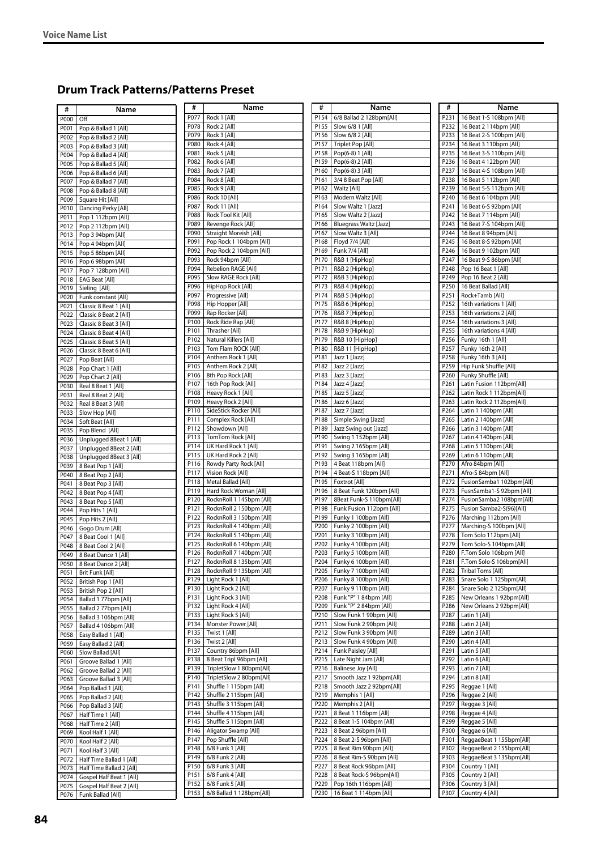## **Drum Track Patterns/Patterns Preset**

| #    | Name                            | #                | Name                            | #    | Name                            | #    | Name                     |
|------|---------------------------------|------------------|---------------------------------|------|---------------------------------|------|--------------------------|
| P000 | Off                             | P077             | Rock 1 [All]                    | P154 | 6/8 Ballad 2 128bpm[All]        | P231 | 16 Beat 1-S 108bpm [All] |
| P001 | Pop & Ballad 1 [All]            | P078             | Rock 2 [All]                    | P155 | Slow 6/8 1 [All]                | P232 | 16 Beat 2 114bpm [All]   |
| P002 | Pop & Ballad 2 [All]            | P079             | Rock 3 [All]                    | P156 | Slow 6/8 2 [All]                | P233 | 16 Beat 2-S 100bpm [All] |
| P003 | Pop & Ballad 3 [All]            | P080             | Rock 4 [All]                    | P157 | Triplet Pop [All]               | P234 | 16 Beat 3 110bpm [All]   |
|      |                                 | P081             | Rock 5 [All]                    | P158 | Pop(6-8) 1 [All]                | P235 | 16 Beat 3-S 110bpm [All] |
| P004 | Pop & Ballad 4 [All]            | P082             | Rock 6 [All]                    | P159 | Pop(6-8) 2 [All]                | P236 | 16 Beat 4 122bpm [All]   |
| P005 | Pop & Ballad 5 [All]            | P083             | Rock 7 [All]                    | P160 | Pop(6-8) 3 [All]                | P237 | 16 Beat 4-S 108bpm [All] |
| P006 | Pop & Ballad 6 [All]            | P084             | Rock 8 [All]                    | P161 | 3/4 8 Beat Pop [All]            | P238 | 16 Beat 5 112bpm [All]   |
| P007 | Pop & Ballad 7 [All]            | P085             | Rock 9 [All]                    | P162 | Waltz [All]                     | P239 | 16 Beat 5-S 112bpm [All] |
| P008 | Pop & Ballad 8 [All]            | P086             | Rock 10 [All]                   | P163 | Modern Waltz [All]              | P240 | 16 Beat 6 104bpm [All]   |
| P009 | Square Hit [All]                | P087             | Rock 11 [All]                   | P164 | Slow Waltz 1 [Jazz]             | P241 | 16 Beat 6-S 92bpm [All]  |
| P010 | Dancing Perky [All]             | P088             | Rock Tool Kit [All]             | P165 | Slow Waltz 2 [Jazz]             | P242 | 16 Beat 7 114bpm [All]   |
| P011 | Pop 1 112bpm [All]              | P089             | Revenge Rock [All]              | P166 | <b>Bluegrass Waltz [Jazz]</b>   | P243 | 16 Beat 7-S 104bpm [All] |
| P012 | Pop 2 112bpm [All]              | P090             | Straight Moreish [All]          | P167 |                                 | P244 | 16 Beat 8 94bpm [All]    |
| P013 | Pop 3 94bpm [All]               | P091             |                                 |      | Slow Waltz 3 [All]              | P245 |                          |
| P014 | Pop 494bpm [All]                |                  | Pop Rock 1 104bpm [All]         | P168 | Floyd 7/4 [All]                 |      | 16 Beat 8-S 92bpm [All]  |
| P015 | Pop 5 86bpm [All]               | P092             | Pop Rock 2 104bpm [All]         | P169 | Funk 7/4 [All]                  | P246 | 16 Beat 9 102bpm [All]   |
| P016 | Pop 6 98bpm [All]               | P093             | Rock 94bpm [All]                | P170 | R&B 1 [HipHop]                  | P247 | 16 Beat 9-S 86bpm [All]  |
| P017 | Pop 7 128bpm [All]              | P094             | Rebelion RAGE [All]             | P171 | R&B 2 [HipHop]                  | P248 | Pop 16 Beat 1 [All]      |
| P018 | <b>EAG Beat [All]</b>           | P095             | Slow RAGE Rock [All]            | P172 | R&B 3 [HipHop]                  | P249 | Pop 16 Beat 2 [All]      |
| P019 | Sieling [All]                   | P096             | HipHop Rock [All]               | P173 | R&B 4 [HipHop]                  | P250 | 16 Beat Ballad [All]     |
| P020 | Funk constant [All]             | P097             | Progressive [All]               | P174 | R&B 5 [HipHop]                  | P251 | Rock+Tamb [All]          |
| P021 | Classic 8 Beat 1 [All]          | P098             | Hip Hopper [All]                | P175 | R&B 6 [HipHop]                  | P252 | 16th variations 1 [All]  |
| P022 | Classic 8 Beat 2 [All]          | P099             | Rap Rocker [All]                | P176 | R&B 7 [HipHop]                  | P253 | 16th variations 2 [All]  |
| P023 | Classic 8 Beat 3 [All]          | P100             | Rock Ride Rap [All]             | P177 | R&B 8 [HipHop]                  | P254 | 16th variations 3 [All]  |
| P024 | Classic 8 Beat 4 [All]          | P101             | Thrasher [All]                  | P178 | R&B 9 [HipHop]                  | P255 | 16th variations 4 [All]  |
| P025 | Classic 8 Beat 5 [All]          | P102             | Natural Killers [All]           | P179 | R&B 10 [HipHop]                 | P256 | Funky 16th 1 [All]       |
| P026 | Classic 8 Beat 6 [All]          | P103             | Tom Flam ROCK [All]             | P180 | R&B 11 [HipHop]                 | P257 | Funky 16th 2 [All]       |
| P027 | Pop Beat [All]                  | P104             | Anthem Rock 1 [All]             | P181 | Jazz 1 [Jazz]                   | P258 | Funky 16th 3 [All]       |
| P028 | Pop Chart 1 [All]               | P105             | Anthem Rock 2 [All]             | P182 | Jazz 2 [Jazz]                   | P259 | Hip Funk Shuffle [All]   |
| P029 | Pop Chart 2 [All]               | P106             | 8th Pop Rock [All]              | P183 | Jazz 3 [Jazz]                   | P260 | Funky Shuffle [All]      |
| P030 | Real 8 Beat 1 [All]             | P107             | 16th Pop Rock [All]             | P184 | Jazz 4 [Jazz]                   | P261 | Latin Fusion 112bpm[All] |
| P031 | Real 8 Beat 2 [All]             | P108             | Heavy Rock 1 [All]              | P185 | Jazz 5 [Jazz]                   | P262 | Latin Rock 1 112bpm[All] |
| P032 | Real 8 Beat 3 [All]             | P109             | Heavy Rock 2 [All]              | P186 | Jazz 6 [Jazz]                   | P263 | Latin Rock 2 112bpm[All] |
| P033 | Slow Hop [All]                  | P110             | SideStick Rocker [All]          | P187 | Jazz 7 [Jazz]                   | P264 | Latin 1 140bpm [All]     |
| P034 | Soft Beat [All]                 | P111             | Complex Rock [All]              | P188 | Simple Swing [Jazz]             | P265 | Latin 2 140bpm [All]     |
| P035 | Pop Blend [All]                 | P112             | Showdown [All]                  | P189 | Jazz Swing out [Jazz]           | P266 | Latin 3 140bpm [All]     |
| P036 | Unplugged 8Beat 1 [All]         | P113             | TomTom Rock [All]               | P190 | Swing 1 152bpm [All]            | P267 | Latin 4 140bpm [All]     |
| P037 | Unplugged 8Beat 2 [All]         | P114             | UK Hard Rock 1 [All]            | P191 | Swing 2 165bpm [All]            | P268 | Latin 5 110bpm [All]     |
| P038 | Unplugged 8Beat 3 [All]         | P115             | UK Hard Rock 2 [All]            | P192 | Swing 3 165bpm [All]            | P269 | Latin 6 110bpm [All]     |
| P039 | 8 Beat Pop 1 [All]              | P116             | Rowdy Party Rock [All]          | P193 | 4 Beat 118bpm [All]             | P270 | Afro 84bpm [All]         |
| P040 | 8 Beat Pop 2 [All]              | P117             | Vision Rock [All]               | P194 | 4 Beat-S 118bpm [All]           | P271 | Afro-S 84bpm [All]       |
| P041 | 8 Beat Pop 3 [All]              | P118             | Metal Ballad [All]              | P195 | Foxtrot [All]                   | P272 | FusionSamba1 102bpm[All] |
| P042 | 8 Beat Pop 4 [All]              | P119             | Hard Rock Woman [All]           | P196 | 8 Beat Funk 120bpm [All]        | P273 | FusnSamba1-S 92bpm [All] |
| P043 | 8 Beat Pop 5 [All]              | P120             | RocknRoll 1 145bpm [All]        | P197 | 8Beat Funk-S 110bpm[All]        | P274 | FusionSamba2 108bpm[All] |
| P044 | Pop Hits 1 [All]                | P121             | RocknRoll 2 150bpm [All]        | P198 | Funk Fusion 112bpm [All]        | P275 | Fusion Samba2-S(96)[All] |
| P045 | Pop Hits 2 [All]                | P122             | RocknRoll 3 150bpm [All]        | P199 | Funky 1 100bpm [All]            | P276 | Marching 112bpm [All]    |
| P046 | Gogo Drum [All]                 | P123             | RocknRoll 4 140bpm [All]        | P200 | Funky 2 100bpm [All]            | P277 | Marching-S 100bpm [All]  |
| P047 | 8 Beat Cool 1 [All]             | P124             | RocknRoll 5 140bpm [All]        | P201 | Funky 3 100bpm [All]            | P278 | Tom Solo 112bpm [All]    |
| P048 | 8 Beat Cool 2 [All]             | P125             | RocknRoll 6 140bpm [All]        | P202 | Funky 4 100bpm [All]            | P279 | Tom Solo-S 104bpm [All]  |
| P049 | 8 Beat Dance 1 [All]            |                  | P126   RocknRoll 7 140bpm [All] |      | P203   Funky 5 100bpm [All]     | P280 | F.Tom Solo 106bpm [All]  |
| P050 | 8 Beat Dance 2 [All]            | P127             | RocknRoll 8 135bpm [All]        |      | P204   Funky 6 100bpm [All]     | P281 | F.Tom Solo-S 106bpm[All] |
| P051 | Brit Funk [All]                 | P128             | RocknRoll 9 135bpm [All]        | P205 | Funky 7 100bpm [All]            | P282 | <b>Tribal Toms [All]</b> |
| P052 | British Pop 1 [All]             | P129             | Light Rock 1 [All]              |      | P206   Funky 8 100bpm [All]     | P283 | Snare Solo 1 125bpm[All] |
| P053 | British Pop 2 [All]             | P130             | Light Rock 2 [All]              | P207 | Funky 9 110bpm [All]            | P284 | Snare Solo 2 125bpm[All] |
| P054 | Ballad 177bpm [All]             | P131             | Light Rock 3 [All]              | P208 | Funk "P" 1 84bpm [All]          | P285 | New Orleans 1 92bpm[All] |
| P055 | Ballad 2 77bpm [All]            | P132             | Light Rock 4 [All]              | P209 | Funk "P" 2 84bpm [All]          | P286 | New Orleans 2 92bpm[All] |
| P056 | Ballad 3 106bpm [All]           | P133             | Light Rock 5 [All]              | P210 | Slow Funk 1 90bpm [All]         | P287 | Latin 1 [All]            |
| P057 | Ballad 4 106bpm [All]           | P134             | Monster Power [All]             | P211 | Slow Funk 2 90bpm [All]         | P288 | Latin 2 [All]            |
| P058 | Easy Ballad 1 [All]             | P135             | Twist 1 [All]                   |      | P212   Slow Funk 3 90bpm [All]  | P289 | Latin 3 [All]            |
| P059 | Easy Ballad 2 [All]             | P136             | Twist 2 [All]                   | P213 | Slow Funk 4 90bpm [All]         | P290 | Latin 4 [All]            |
| P060 | Slow Ballad [All]               | P137             | Country 86bpm [All]             |      | P214   Funk Paisley [All]       | P291 | Latin 5 [All]            |
| P061 | Groove Ballad 1 [All]           | P138             | 8 Beat Tripl 96bpm [All]        |      | P215   Late Night Jam [All]     | P292 | Latin 6 [All]            |
| P062 | Groove Ballad 2 [All]           | P139             | TripletSlow 1 80bpm[All]        | P216 | Balinese Joy [All]              | P293 | Latin 7 [All]            |
| P063 | Groove Ballad 3 [All]           | P <sub>140</sub> | TripletSlow 2 80bpm[All]        |      | P217   Smooth Jazz 1 92bpm[All] | P294 | Latin 8 [All]            |
| P064 | Pop Ballad 1 [All]              | P141             | Shuffle 1 115bpm [All]          |      | P218   Smooth Jazz 2 92bpm[All] | P295 | Reggae 1 [All]           |
| P065 | Pop Ballad 2 [All]              | P142             | Shuffle 2 115bpm [All]          |      | P219   Memphis 1 [All]          | P296 | Reggae 2 [All]           |
| P066 | Pop Ballad 3 [All]              | P143             | Shuffle 3 115bpm [All]          |      | P220   Memphis 2 [All]          | P297 | Reggae 3 [All]           |
| P067 | Half Time 1 [All]               | P144             | Shuffle 4 115bpm [All]          |      | P221   8 Beat 1 116bpm [All]    | P298 | Reggae 4 [All]           |
| P068 | Half Time 2 [All]               | P145             | Shuffle 5 115bpm [All]          | P222 | 8 Beat 1-S 104bpm [All]         | P299 | Reggae 5 [All]           |
| P069 | Kool Half 1 [All]               | P146             | Aligator Swamp [All]            | P223 | 8 Beat 2 96bpm [All]            | P300 | Reggae 6 [All]           |
| P070 | Kool Half 2 [All]               | P147             | Pop Shuffle [All]               | P224 | 8 Beat 2-S 96bpm [All]          | P301 | ReggaeBeat 1 155bpm[All] |
| P071 | Kool Half 3 [All]               | P148             | 6/8 Funk 1 [All]                | P225 | 8 Beat Rim 90bpm [All]          | P302 | ReggaeBeat 2 155bpm[All] |
| P072 | Half Time Ballad 1 [All]        | P149             | 6/8 Funk 2 [All]                |      | P226   8 Beat Rim-S 90bpm [All] | P303 | ReggaeBeat 3 135bpm[All] |
| P073 | Half Time Ballad 2 [All]        | P150             | 6/8 Funk 3 [All]                | P227 | 8 Beat Rock 96bpm [All]         | P304 | Country 1 [All]          |
| P074 | Gospel Half Beat 1 [All]        | P151             | 6/8 Funk 4 [All]                | P228 | 8 Beat Rock-S 96bpm[All]        | P305 | Country 2 [All]          |
|      | P075   Gospel Half Beat 2 [All] | P152             | 6/8 Funk 5 [All]                |      | P229   Pop 16th 116bpm [All]    | P306 | Country 3 [All]          |
|      | P076   Funk Ballad [All]        |                  | P153   6/8 Ballad 1 128bpm[All] |      | P230   16 Beat 1 114bpm [All]   | P307 | Country 4 [All]          |
|      |                                 |                  |                                 |      |                                 |      |                          |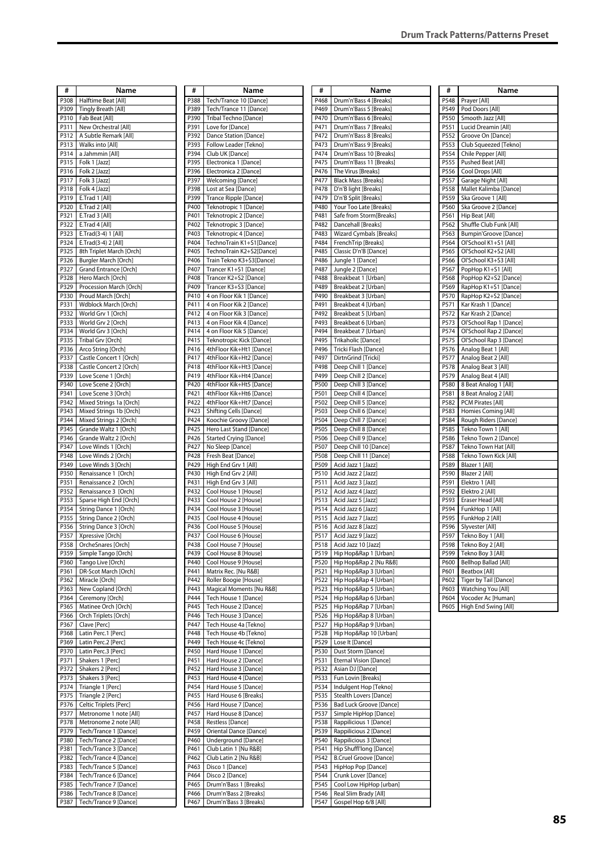| #    | Name                          | #    | Name                          | #    | Name                           | #    | Name                     |
|------|-------------------------------|------|-------------------------------|------|--------------------------------|------|--------------------------|
| P308 | Halftime Beat [All]           | P388 | Tech/Trance 10 [Dance]        | P468 | Drum'n'Bass 4 [Breaks]         | P548 | Prayer [All]             |
|      |                               |      |                               | P469 |                                | P549 |                          |
| P309 | Tingly Breath [All]           | P389 | Tech/Trance 11 [Dance]        |      | Drum'n'Bass 5 [Breaks]         |      | Pod Doors [All]          |
| P310 | Fab Beat [All]                | P390 | Tribal Techno [Dance]         | P470 | Drum'n'Bass 6 [Breaks]         | P550 | Smooth Jazz [All]        |
| P311 | New Orchestral [All]          | P391 | Love for [Dance]              | P471 | Drum'n'Bass 7 [Breaks]         | P551 | Lucid Dreamin [All]      |
| P312 | A Subtle Remark [All]         | P392 | Dance Station [Dance]         | P472 | Drum'n'Bass 8 [Breaks]         | P552 | Groove On [Dance]        |
| P313 | Walks into [All]              | P393 | Follow Leader [Tekno]         | P473 | Drum'n'Bass 9 [Breaks]         | P553 | Club Squeezed [Tekno]    |
| P314 | a Jahmmin [All]               | P394 | Club UK [Dance]               | P474 | Drum'n'Bass 10 [Breaks]        | P554 | Chile Pepper [All]       |
| P315 | Folk 1 [Jazz]                 | P395 | Electronica 1 [Dance]         | P475 | Drum'n'Bass 11 [Breaks]        | P555 | Pushed Beat [All]        |
| P316 | Folk 2 [Jazz]                 | P396 | Electronica 2 [Dance]         | P476 | The Virus [Breaks]             | P556 | Cool Drops [All]         |
| P317 | Folk 3 [Jazz]                 | P397 | <b>Welcoming [Dance]</b>      | P477 | <b>Black Mass [Breaks]</b>     | P557 | Garage Night [All]       |
| P318 | Folk 4 [Jazz]                 | P398 | Lost at Sea [Dance]           | P478 | D'n'B light [Breaks]           | P558 | Mallet Kalimba [Dance]   |
| P319 | E.Trad 1 [All]                | P399 | Trance Ripple [Dance]         | P479 | D'n'B Split [Breaks]           | P559 | Ska Groove 1 [All]       |
| P320 | E.Trad 2 [All]                | P400 | Teknotropic 1 [Dance]         | P480 | Your Too Late [Breaks]         | P560 | Ska Groove 2 [Dance]     |
| P321 | E.Trad 3 [All]                | P401 | Teknotropic 2 [Dance]         | P481 | Safe from Storm[Breaks]        | P561 | Hip Beat [All]           |
| P322 | E.Trad 4 [All]                | P402 | Teknotropic 3 [Dance]         | P482 | Dancehall [Breaks]             | P562 | Shuffle Club Funk [All]  |
| P323 | E.Trad(3-4) 1 [All]           | P403 | Teknotropic 4 [Dance]         | P483 | Wizard Cymbals [Breaks]        | P563 | Bumpin'Groove [Dance]    |
| P324 | E.Trad(3-4) 2 [All]           | P404 | TechnoTrain K1+S1[Dance]      | P484 | FrenchTrip [Breaks]            | P564 | Ol'School K1+S1 [All]    |
| P325 | 8th Triplet March [Orch]      | P405 | TechnoTrain K2+S2[Dance]      | P485 | Classic D'n'B [Dance]          | P565 | Ol'School K2+S2 [All]    |
| P326 | Burgler March [Orch]          | P406 | Train Tekno K3+S3[Dance]      | P486 | Jungle 1 [Dance]               | P566 | Ol'School K3+S3 [All]    |
| P327 | Grand Entrance [Orch]         | P407 | Trancer K1+S1 [Dance]         | P487 | Jungle 2 [Dance]               | P567 | PopHop K1+S1 [All]       |
| P328 | Hero March [Orch]             | P408 | Trancer K2+S2 [Dance]         | P488 | Breakbeat 1 [Urban]            | P568 | PopHop K2+S2 [Dance]     |
| P329 | Procession March [Orch]       | P409 | Trancer K3+S3 [Dance]         | P489 | Breakbeat 2 [Urban]            | P569 | RapHop K1+S1 [Dance]     |
| P330 | Proud March [Orch]            | P410 | 4 on Floor Kik 1 [Dance]      | P490 | Breakbeat 3 [Urban]            | P570 | RapHop K2+S2 [Dance]     |
| P331 | Wdblock March [Orch]          | P411 | 4 on Floor Kik 2 [Dance]      | P491 | Breakbeat 4 [Urban]            | P571 | Kar Krash 1 [Dance]      |
| P332 | World Grv 1 [Orch]            | P412 | 4 on Floor Kik 3 [Dance]      | P492 | Breakbeat 5 [Urban]            | P572 | Kar Krash 2 [Dance]      |
| P333 | World Grv 2 [Orch]            | P413 | 4 on Floor Kik 4 [Dance]      | P493 | Breakbeat 6 [Urban]            | P573 | Ol'School Rap 1 [Dance]  |
| P334 | World Grv 3 [Orch]            | P414 | 4 on Floor Kik 5 [Dance]      | P494 | Breakbeat 7 [Urban]            | P574 | Ol'School Rap 2 [Dance]  |
| P335 | Tribal Grv [Orch]             | P415 | Teknotropic Kick [Dance]      | P495 | Trikaholic [Dance]             | P575 | Ol'School Rap 3 [Dance]  |
| P336 | Arco String [Orch]            | P416 | 4thFloor Kik+Ht1 [Dance]      | P496 | Tricki Flash [Dance]           | P576 | Analog Beat 1 [All]      |
| P337 | Castle Concert 1 [Orch]       | P417 | 4thFloor Kik+Ht2 [Dance]      | P497 | DirtnGrind [Tricki]            | P577 | Analog Beat 2 [All]      |
| P338 | Castle Concert 2 [Orch]       | P418 | 4thFloor Kik+Ht3 [Dance]      | P498 | Deep Chill 1 [Dance]           | P578 | Analog Beat 3 [All]      |
| P339 | Love Scene 1 [Orch]           | P419 | 4thFloor Kik+Ht4 [Dance]      | P499 | Deep Chill 2 [Dance]           | P579 | Analog Beat 4 [All]      |
| P340 | Love Scene 2 [Orch]           | P420 | 4thFloor Kik+Ht5 [Dance]      | P500 | Deep Chill 3 [Dance]           | P580 | 8 Beat Analog 1 [All]    |
| P341 | Love Scene 3 [Orch]           | P421 | 4thFloor Kik+Ht6 [Dance]      | P501 | Deep Chill 4 [Dance]           | P581 | 8 Beat Analog 2 [All]    |
| P342 | Mixed Strings 1a [Orch]       | P422 | 4thFloor Kik+Ht7 [Dance]      | P502 | Deep Chill 5 [Dance]           | P582 | PCM Pirates [All]        |
| P343 | Mixed Strings 1b [Orch]       | P423 | Shifting Cells [Dance]        | P503 | Deep Chill 6 [Dance]           | P583 | Homies Coming [All]      |
| P344 | Mixed Strings 2 [Orch]        | P424 | Koochie Groovy [Dance]        | P504 | Deep Chill 7 [Dance]           | P584 | Rough Riders [Dance]     |
| P345 | Grande Waltz 1 [Orch]         | P425 | Hero Last Stand [Dance]       | P505 | Deep Chill 8 [Dance]           | P585 | Tekno Town 1 [All]       |
| P346 | Grande Waltz 2 [Orch]         | P426 | <b>Started Crying [Dance]</b> | P506 | Deep Chill 9 [Dance]           | P586 | Tekno Town 2 [Dance]     |
| P347 | Love Winds 1 [Orch]           | P427 | No Sleep [Dance]              | P507 | Deep Chill 10 [Dance]          | P587 | Tekno Town Hat [All]     |
| P348 | Love Winds 2 [Orch]           | P428 | Fresh Beat [Dance]            | P508 | Deep Chill 11 [Dance]          | P588 | Tekno Town Kick [All]    |
| P349 | Love Winds 3 [Orch]           | P429 | High End Grv 1 [All]          | P509 | Acid Jazz 1 [Jazz]             | P589 | Blazer 1 [All]           |
| P350 | Renaissance 1 [Orch]          | P430 | High End Grv 2 [All]          | P510 | Acid Jazz 2 [Jazz]             | P590 | Blazer 2 [All]           |
| P351 | Renaissance 2 [Orch]          | P431 | High End Grv 3 [All]          | P511 | Acid Jazz 3 [Jazz]             | P591 | Elektro 1 [All]          |
| P352 | Renaissance 3 [Orch]          | P432 | Cool House 1 [House]          | P512 | Acid Jazz 4 [Jazz]             | P592 | Elektro 2 [All]          |
| P353 | Sparse High End [Orch]        | P433 | Cool House 2 [House]          | P513 | Acid Jazz 5 [Jazz]             | P593 | Eraser Head [All]        |
| P354 | String Dance 1 [Orch]         | P434 | Cool House 3 [House]          | P514 | Acid Jazz 6 [Jazz]             | P594 | FunkHop 1 [All]          |
| P355 | String Dance 2 [Orch]         | P435 | Cool House 4 [House]          | P515 | Acid Jazz 7 [Jazz]             | P595 | FunkHop 2 [All]          |
| P356 | String Dance 3 [Orch]         | P436 | Cool House 5 [House]          | P516 | Acid Jazz 8 [Jazz]             | P596 | Slyvester [All]          |
| P357 | Xpressive [Orch]              |      | P437   Cool House 6 [House]   | P517 | Acid Jazz 9 [Jazz]             |      | P597   Tekno Boy 1 [All] |
| P358 | OrcheSnares [Orch]            | P438 | Cool House 7 [House]          |      | P518   Acid Jazz 10 [Jazz]     | P598 | Tekno Boy 2 [All]        |
| P359 | Simple Tango [Orch]           | P439 | Cool House 8 [House]          |      | P519   Hip Hop&Rap 1 [Urban]   | P599 | Tekno Boy 3 [All]        |
|      | P360   Tango Live [Orch]      | P440 | Cool House 9 [House]          |      | P520   Hip Hop&Rap 2 [Nu R&B]  | P600 | Bellhop Ballad [All]     |
| P361 | DR-Scot March [Orch]          | P441 | Matrix Rec. [Nu R&B]          |      | P521   Hip Hop&Rap 3 [Urban]   | P601 | Beatbox [All]            |
|      | P362   Miracle [Orch]         | P442 | Roller Boogie [House]         |      | P522   Hip Hop&Rap 4 [Urban]   | P602 | Tiger by Tail [Dance]    |
| P363 | New Copland [Orch]            | P443 | Magical Moments [Nu R&B]      | P523 | Hip Hop&Rap 5 [Urban]          | P603 | Watching You [All]       |
| P364 | Ceremony [Orch]               | P444 | Tech House 1 [Dance]          | P524 | Hip Hop&Rap 6 [Urban]          | P604 | Vocoder Ac [Human]       |
| P365 | Matinee Orch [Orch]           | P445 | Tech House 2 [Dance]          |      | P525   Hip Hop&Rap 7 [Urban]   | P605 | High End Swing [All]     |
| P366 | Orch Triplets [Orch]          | P446 | Tech House 3 [Dance]          |      | P526   Hip Hop&Rap 8 [Urban]   |      |                          |
| P367 | Clave [Perc]                  | P447 | Tech House 4a [Tekno]         | P527 | Hip Hop&Rap 9 [Urban]          |      |                          |
| P368 | Latin Perc.1 [Perc]           | P448 | Tech House 4b [Tekno]         | P528 | Hip Hop&Rap 10 [Urban]         |      |                          |
| P369 | Latin Perc.2 [Perc]           | P449 | Tech House 4c [Tekno]         | P529 | Lose It [Dance]                |      |                          |
| P370 | Latin Perc.3 [Perc]           | P450 | Hard House 1 [Dance]          | P530 | Dust Storm [Dance]             |      |                          |
| P371 | Shakers 1 [Perc]              | P451 | Hard House 2 [Dance]          | P531 | <b>Eternal Vision [Dance]</b>  |      |                          |
| P372 | Shakers 2 [Perc]              | P452 | Hard House 3 [Dance]          | P532 | Asian DJ [Dance]               |      |                          |
| P373 | Shakers 3 [Perc]              | P453 | Hard House 4 [Dance]          |      | P533   Fun Lovin [Breaks]      |      |                          |
| P374 | Triangle 1 [Perc]             | P454 | Hard House 5 [Dance]          | P534 | Indulgent Hop [Tekno]          |      |                          |
|      | P375   Triangle 2 [Perc]      | P455 | Hard House 6 [Breaks]         |      | P535   Stealth Lovers [Dance]  |      |                          |
|      | P376   Celtic Triplets [Perc] | P456 | Hard House 7 [Dance]          |      | P536   Bad Luck Groove [Dance] |      |                          |
| P377 | Metronome 1 note [All]        | P457 | Hard House 8 [Dance]          | P537 | Simple HipHop [Dance]          |      |                          |
| P378 | Metronome 2 note [All]        | P458 | Restless [Dance]              | P538 | Rappilicious 1 [Dance]         |      |                          |
| P379 | Tech/Trance 1 [Dance]         | P459 | Oriental Dance [Dance]        | P539 | Rappilicious 2 [Dance]         |      |                          |
| P380 | Tech/Trance 2 [Dance]         | P460 | Underground [Dance]           | P540 | Rappilicious 3 [Dance]         |      |                          |
| P381 | Tech/Trance 3 [Dance]         | P461 | Club Latin 1 [Nu R&B]         | P541 | Hip Shuffl'long [Dance]        |      |                          |
| P382 | Tech/Trance 4 [Dance]         | P462 | Club Latin 2 [Nu R&B]         | P542 | <b>B.Cruel Groove [Dance]</b>  |      |                          |
| P383 | Tech/Trance 5 [Dance]         | P463 | Disco 1 [Dance]               | P543 | HipHop Pop [Dance]             |      |                          |
| P384 | Tech/Trance 6 [Dance]         | P464 | Disco 2 [Dance]               | P544 | Crunk Lover [Dance]            |      |                          |
| P385 | Tech/Trance 7 [Dance]         | P465 | Drum'n'Bass 1 [Breaks]        | P545 | Cool Low HipHop [urban]        |      |                          |
|      | P386   Tech/Trance 8 [Dance]  | P466 | Drum'n'Bass 2 [Breaks]        |      | P546   Real Slim Brady [All]   |      |                          |

P547 Gospel Hop 6/8 [All]

1

P387 Tech/Trance 9 [Dance]

P467 | Drum'n'Bass 3 [Breaks]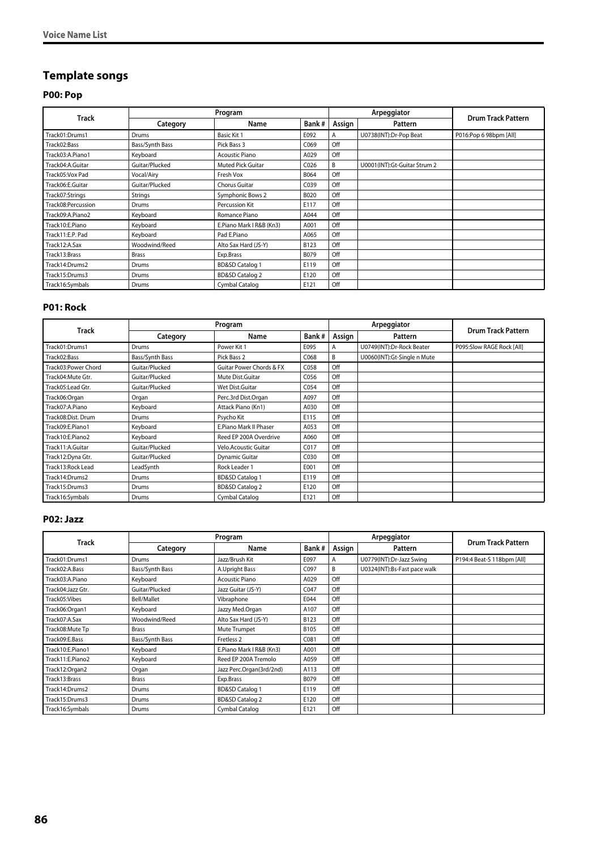# **Template songs**

## **P00: Pop**

| <b>Track</b>       |                 | Program                    |                  |        | Arpeggiator                  |                           |
|--------------------|-----------------|----------------------------|------------------|--------|------------------------------|---------------------------|
|                    | Category        | Name                       | Bank#            | Assign | Pattern                      | <b>Drum Track Pattern</b> |
| Track01:Drums1     | Drums           | Basic Kit 1                | E092             | A      | U0738(INT):Dr-Pop Beat       | P016:Pop 6 98bpm [All]    |
| Track02:Bass       | Bass/Synth Bass | Pick Bass 3                | C069             | Off    |                              |                           |
| Track03:A.Piano1   | Keyboard        | <b>Acoustic Piano</b>      | A029             | Off    |                              |                           |
| Track04:A.Guitar   | Guitar/Plucked  | Muted Pick Guitar          | C <sub>026</sub> | B      | U0001(INT):Gt-Guitar Strum 2 |                           |
| Track05:Vox Pad    | Vocal/Airy      | Fresh Vox                  | B064             | Off    |                              |                           |
| Track06:E.Guitar   | Guitar/Plucked  | Chorus Guitar              | C039             | Off    |                              |                           |
| Track07:Strings    | Strings         | Symphonic Bows 2           | B020             | Off    |                              |                           |
| Track08:Percussion | Drums           | Percussion Kit             | E117             | Off    |                              |                           |
| Track09:A.Piano2   | Keyboard        | Romance Piano              | A044             | Off    |                              |                           |
| Track10:E.Piano    | Keyboard        | E.Piano Mark I R&B (Kn3)   | A001             | Off    |                              |                           |
| Track11:E.P. Pad   | Keyboard        | Pad E.Piano                | A065             | Off    |                              |                           |
| Track12:A.Sax      | Woodwind/Reed   | Alto Sax Hard (JS-Y)       | B123             | Off    |                              |                           |
| Track13:Brass      | <b>Brass</b>    | Exp.Brass                  | B079             | Off    |                              |                           |
| Track14:Drums2     | Drums           | <b>BD&amp;SD Catalog 1</b> | E119             | Off    |                              |                           |
| Track15:Drums3     | Drums           | <b>BD&amp;SD Catalog 2</b> | E120             | Off    |                              |                           |
| Track16:Symbals    | Drums           | Cymbal Catalog             | E121             | Off    |                              |                           |

#### **P01: Rock**

| <b>Track</b>        |                 | Program                     |       |        | Arpeggiator                 | <b>Drum Track Pattern</b> |
|---------------------|-----------------|-----------------------------|-------|--------|-----------------------------|---------------------------|
|                     | Category        | Name                        | Bank# | Assign | Pattern                     |                           |
| Track01:Drums1      | Drums           | Power Kit 1                 | E095  | A      | U0749(INT):Dr-Rock Beater   | P095:Slow RAGE Rock [All] |
| Track02:Bass        | Bass/Synth Bass | Pick Bass 2                 | C068  | B      | U0060(INT):Gt-Single n Mute |                           |
| Track03:Power Chord | Guitar/Plucked  | Guitar Power Chords & FX    | C058  | Off    |                             |                           |
| Track04: Mute Gtr.  | Guitar/Plucked  | Mute Dist.Guitar            | C056  | Off    |                             |                           |
| Track05:Lead Gtr.   | Guitar/Plucked  | Wet Dist.Guitar             | C054  | Off    |                             |                           |
| Track06:Organ       | Organ           | Perc.3rd Dist.Organ         | A097  | Off    |                             |                           |
| Track07:A.Piano     | Keyboard        | Attack Piano (Kn1)          | A030  | Off    |                             |                           |
| Track08:Dist. Drum  | Drums           | Psycho Kit                  | E115  | Off    |                             |                           |
| Track09:E.Piano1    | Keyboard        | E.Piano Mark II Phaser      | A053  | Off    |                             |                           |
| Track10:E.Piano2    | Keyboard        | Reed EP 200A Overdrive      | A060  | Off    |                             |                           |
| Track11:A.Guitar    | Guitar/Plucked  | <b>Velo.Acoustic Guitar</b> | C017  | Off    |                             |                           |
| Track12:Dyna Gtr.   | Guitar/Plucked  | <b>Dynamic Guitar</b>       | C030  | Off    |                             |                           |
| Track13: Rock Lead  | LeadSynth       | Rock Leader 1               | E001  | Off    |                             |                           |
| Track14:Drums2      | <b>Drums</b>    | <b>BD&amp;SD Catalog 1</b>  | E119  | Off    |                             |                           |
| Track15:Drums3      | Drums           | <b>BD&amp;SD Catalog 2</b>  | E120  | Off    |                             |                           |
| Track16:Symbals     | Drums           | Cymbal Catalog              | E121  | Off    |                             |                           |

#### **P02: Jazz**

| <b>Track</b>      |                 | Program                    |       |        | Arpeggiator                  | <b>Drum Track Pattern</b>  |
|-------------------|-----------------|----------------------------|-------|--------|------------------------------|----------------------------|
|                   | Category        | Name                       | Bank# | Assign | Pattern                      |                            |
| Track01:Drums1    | Drums           | Jazz/Brush Kit             | E097  | A      | U0779(INT):Dr-Jazz Swing     | P194:4 Beat-S 118bpm [All] |
| Track02:A.Bass    | Bass/Synth Bass | A.Upright Bass             | C097  | B      | U0324(INT):Bs-Fast pace walk |                            |
| Track03:A.Piano   | Keyboard        | <b>Acoustic Piano</b>      | A029  | Off    |                              |                            |
| Track04:Jazz Gtr. | Guitar/Plucked  | Jazz Guitar (JS-Y)         | C047  | Off    |                              |                            |
| Track05:Vibes     | Bell/Mallet     | Vibraphone                 | E044  | Off    |                              |                            |
| Track06:Organ1    | Keyboard        | Jazzy Med.Organ            | A107  | Off    |                              |                            |
| Track07:A.Sax     | Woodwind/Reed   | Alto Sax Hard (JS-Y)       | B123  | Off    |                              |                            |
| Track08: Mute Tp  | <b>Brass</b>    | Mute Trumpet               | B105  | Off    |                              |                            |
| Track09:E.Bass    | Bass/Synth Bass | Fretless <sub>2</sub>      | C081  | Off    |                              |                            |
| Track10:E.Piano1  | Keyboard        | E.Piano Mark I R&B (Kn3)   | A001  | Off    |                              |                            |
| Track11:E.Piano2  | Keyboard        | Reed EP 200A Tremolo       | A059  | Off    |                              |                            |
| Track12:Organ2    | Organ           | Jazz Perc.Organ(3rd/2nd)   | A113  | Off    |                              |                            |
| Track13:Brass     | <b>Brass</b>    | Exp.Brass                  | B079  | Off    |                              |                            |
| Track14:Drums2    | Drums           | <b>BD&amp;SD Catalog 1</b> | E119  | Off    |                              |                            |
| Track15:Drums3    | Drums           | <b>BD&amp;SD Catalog 2</b> | E120  | Off    |                              |                            |
| Track16:Symbals   | Drums           | Cymbal Catalog             | E121  | Off    |                              |                            |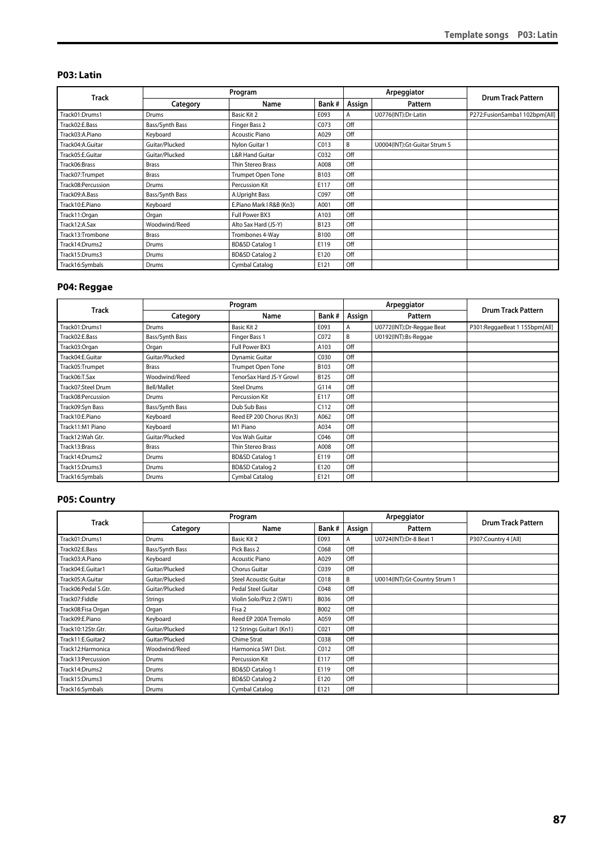#### **P03: Latin**

|                    |                 | Program                    |             |        | Arpeggiator                  |                              |
|--------------------|-----------------|----------------------------|-------------|--------|------------------------------|------------------------------|
| Track              | Category        | Name                       | Bank#       | Assign | Pattern                      | <b>Drum Track Pattern</b>    |
| Track01:Drums1     | Drums           | Basic Kit 2                | E093        | Α      | U0776(INT):Dr-Latin          | P272:FusionSamba1102bpm[All] |
| Track02:E.Bass     | Bass/Synth Bass | Finger Bass 2              | C073        | Off    |                              |                              |
| Track03:A.Piano    | Keyboard        | <b>Acoustic Piano</b>      | A029        | Off    |                              |                              |
| Track04:A.Guitar   | Guitar/Plucked  | Nylon Guitar 1             | C013        | B      | U0004(INT):Gt-Guitar Strum 5 |                              |
| Track05:E.Guitar   | Guitar/Plucked  | <b>L&amp;R Hand Guitar</b> | C032        | Off    |                              |                              |
| Track06:Brass      | <b>Brass</b>    | Thin Stereo Brass          | A008        | Off    |                              |                              |
| Track07:Trumpet    | <b>Brass</b>    | <b>Trumpet Open Tone</b>   | B103        | Off    |                              |                              |
| Track08:Percussion | Drums           | Percussion Kit             | E117        | Off    |                              |                              |
| Track09:A.Bass     | Bass/Synth Bass | A.Upright Bass             | C097        | Off    |                              |                              |
| Track10:E.Piano    | Keyboard        | E.Piano Mark I R&B (Kn3)   | A001        | Off    |                              |                              |
| Track11:Organ      | Organ           | Full Power BX3             | A103        | Off    |                              |                              |
| Track12:A.Sax      | Woodwind/Reed   | Alto Sax Hard (JS-Y)       | B123        | Off    |                              |                              |
| Track13:Trombone   | <b>Brass</b>    | Trombones 4-Way            | <b>B100</b> | Off    |                              |                              |
| Track14:Drums2     | Drums           | <b>BD&amp;SD Catalog 1</b> | E119        | Off    |                              |                              |
| Track15:Drums3     | Drums           | <b>BD&amp;SD Catalog 2</b> | E120        | Off    |                              |                              |
| Track16:Symbals    | Drums           | Cymbal Catalog             | E121        | Off    |                              |                              |

## **P04: Reggae**

| <b>Track</b>       |                 | Program                    |       |        | Arpeggiator               | <b>Drum Track Pattern</b>     |
|--------------------|-----------------|----------------------------|-------|--------|---------------------------|-------------------------------|
|                    | Category        | Name                       | Bank# | Assign | Pattern                   |                               |
| Track01:Drums1     | Drums           | Basic Kit 2                | E093  | Α      | U0772(INT):Dr-Reggae Beat | P301:ReggaeBeat 1 155bpm[All] |
| Track02:E.Bass     | Bass/Synth Bass | Finger Bass 1              | C072  | B      | U0192(INT):Bs-Reggae      |                               |
| Track03:Organ      | Organ           | Full Power BX3             | A103  | Off    |                           |                               |
| Track04:E.Guitar   | Guitar/Plucked  | <b>Dynamic Guitar</b>      | C030  | Off    |                           |                               |
| Track05:Trumpet    | <b>Brass</b>    | Trumpet Open Tone          | B103  | Off    |                           |                               |
| Track06:T.Sax      | Woodwind/Reed   | TenorSax Hard JS-Y Growl   | B125  | Off    |                           |                               |
| Track07:Steel Drum | Bell/Mallet     | <b>Steel Drums</b>         | G114  | Off    |                           |                               |
| Track08:Percussion | Drums           | Percussion Kit             | E117  | Off    |                           |                               |
| Track09:Syn Bass   | Bass/Synth Bass | Dub Sub Bass               | C112  | Off    |                           |                               |
| Track10:E.Piano    | Keyboard        | Reed EP 200 Chorus (Kn3)   | A062  | Off    |                           |                               |
| Track11:M1 Piano   | Keyboard        | M1 Piano                   | A034  | Off    |                           |                               |
| Track12: Wah Gtr.  | Guitar/Plucked  | Vox Wah Guitar             | C046  | Off    |                           |                               |
| Track13:Brass      | <b>Brass</b>    | Thin Stereo Brass          | A008  | Off    |                           |                               |
| Track14:Drums2     | Drums           | <b>BD&amp;SD Catalog 1</b> | E119  | Off    |                           |                               |
| Track15:Drums3     | Drums           | <b>BD&amp;SD Catalog 2</b> | E120  | Off    |                           |                               |
| Track16:Symbals    | Drums           | Cymbal Catalog             | E121  | Off    |                           |                               |

#### **P05: Country**

|                      |                 | Program                      |                  |        | Arpeggiator                   |                           |
|----------------------|-----------------|------------------------------|------------------|--------|-------------------------------|---------------------------|
| Track                | Category        | Name                         | Bank#            | Assign | Pattern                       | <b>Drum Track Pattern</b> |
| Track01:Drums1       | Drums           | Basic Kit 2                  | E093             | Α      | U0724(INT):Dr-8 Beat 1        | P307:Country 4 [All]      |
| Track02:E.Bass       | Bass/Synth Bass | Pick Bass 2                  | C068             | Off    |                               |                           |
| Track03:A.Piano      | Keyboard        | <b>Acoustic Piano</b>        | A029             | Off    |                               |                           |
| Track04:E.Guitar1    | Guitar/Plucked  | <b>Chorus Guitar</b>         | C039             | Off    |                               |                           |
| Track05:A.Guitar     | Guitar/Plucked  | <b>Steel Acoustic Guitar</b> | C018             | B      | U0014(INT):Gt-Country Strum 1 |                           |
| Track06:Pedal S.Gtr. | Guitar/Plucked  | Pedal Steel Guitar           | C048             | Off    |                               |                           |
| Track07:Fiddle       | <b>Strings</b>  | Violin Solo/Pizz 2 (SW1)     | B036             | Off    |                               |                           |
| Track08:Fisa Organ   | Organ           | Fisa 2                       | B002             | Off    |                               |                           |
| Track09:E.Piano      | Keyboard        | Reed EP 200A Tremolo         | A059             | Off    |                               |                           |
| Track10:12Str.Gtr.   | Guitar/Plucked  | 12 Strings Guitar1 (Kn1)     | CO <sub>21</sub> | Off    |                               |                           |
| Track11:E.Guitar2    | Guitar/Plucked  | Chime Strat                  | C038             | Off    |                               |                           |
| Track12: Harmonica   | Woodwind/Reed   | Harmonica SW1 Dist.          | C012             | Off    |                               |                           |
| Track13:Percussion   | Drums           | Percussion Kit               | E117             | Off    |                               |                           |
| Track14:Drums2       | Drums           | <b>BD&amp;SD Catalog 1</b>   | E119             | Off    |                               |                           |
| Track15:Drums3       | Drums           | <b>BD&amp;SD Catalog 2</b>   | E120             | Off    |                               |                           |
| Track16:Symbals      | Drums           | Cymbal Catalog               | E121             | Off    |                               |                           |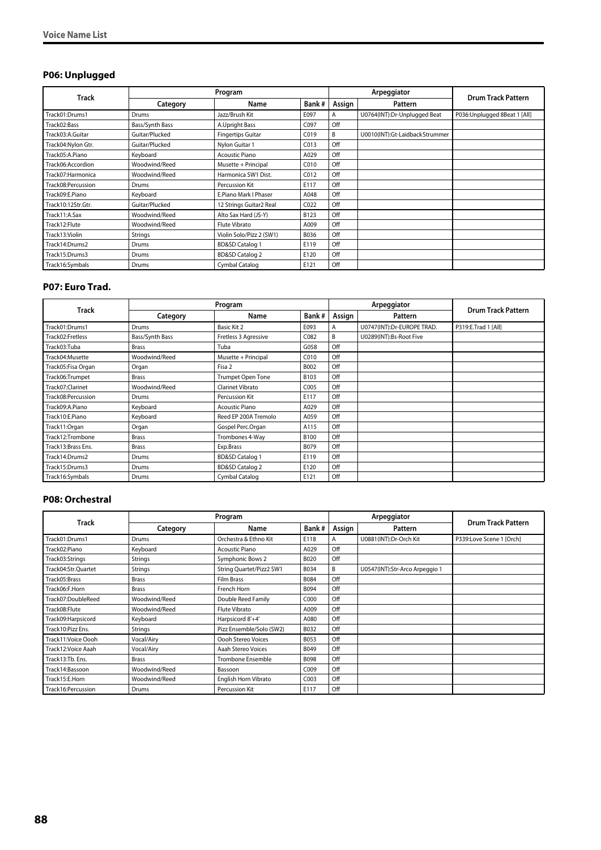# **P06: Unplugged**

|                    |                 | Program                    |       |        | Arpeggiator                     |                               |
|--------------------|-----------------|----------------------------|-------|--------|---------------------------------|-------------------------------|
| <b>Track</b>       | Category        | Name                       | Bank# | Assign | Pattern                         | <b>Drum Track Pattern</b>     |
| Track01:Drums1     | Drums           | Jazz/Brush Kit             | E097  | A      | U0764(INT):Dr-Unplugged Beat    | P036: Unplugged 8Beat 1 [All] |
| Track02:Bass       | Bass/Synth Bass | A.Upright Bass             | C097  | Off    |                                 |                               |
| Track03:A.Guitar   | Guitar/Plucked  | <b>Fingertips Guitar</b>   | C019  | B      | U0010(INT):Gt-Laidback Strummer |                               |
| Track04:Nylon Gtr. | Guitar/Plucked  | Nylon Guitar 1             | CO13  | Off    |                                 |                               |
| Track05:A.Piano    | Keyboard        | <b>Acoustic Piano</b>      | A029  | Off    |                                 |                               |
| Track06:Accordion  | Woodwind/Reed   | Musette + Principal        | C010  | Off    |                                 |                               |
| Track07: Harmonica | Woodwind/Reed   | Harmonica SW1 Dist.        | C012  | Off    |                                 |                               |
| Track08:Percussion | Drums           | Percussion Kit             | E117  | Off    |                                 |                               |
| Track09:E.Piano    | Keyboard        | E.Piano Mark I Phaser      | A048  | Off    |                                 |                               |
| Track10:12Str.Gtr. | Guitar/Plucked  | 12 Strings Guitar2 Real    | C022  | Off    |                                 |                               |
| Track11:A.Sax      | Woodwind/Reed   | Alto Sax Hard (JS-Y)       | B123  | Off    |                                 |                               |
| Track12:Flute      | Woodwind/Reed   | Flute Vibrato              | A009  | Off    |                                 |                               |
| Track13:Violin     | Strings         | Violin Solo/Pizz 2 (SW1)   | B036  | Off    |                                 |                               |
| Track14:Drums2     | Drums           | <b>BD&amp;SD Catalog 1</b> | E119  | Off    |                                 |                               |
| Track15:Drums3     | Drums           | <b>BD&amp;SD Catalog 2</b> | E120  | Off    |                                 |                               |
| Track16:Symbals    | Drums           | Cymbal Catalog             | E121  | Off    |                                 |                               |

#### **P07: Euro Trad.**

| <b>Track</b>       |                 | Program                    |       |        | Arpeggiator                | <b>Drum Track Pattern</b> |
|--------------------|-----------------|----------------------------|-------|--------|----------------------------|---------------------------|
|                    | Category        | Name                       | Bank# | Assign | Pattern                    |                           |
| Track01:Drums1     | Drums           | Basic Kit 2                | E093  | A      | U0747(INT):Dr-EUROPE TRAD. | P319:E.Trad 1 [All]       |
| Track02:Fretless   | Bass/Synth Bass | Fretless 3 Agressive       | C082  | B      | U0289(INT):Bs-Root Five    |                           |
| Track03:Tuba       | <b>Brass</b>    | Tuba                       | G058  | Off    |                            |                           |
| Track04:Musette    | Woodwind/Reed   | Musette + Principal        | C010  | Off    |                            |                           |
| Track05:Fisa Organ | Organ           | Fisa 2                     | B002  | Off    |                            |                           |
| Track06:Trumpet    | <b>Brass</b>    | Trumpet Open Tone          | B103  | Off    |                            |                           |
| Track07:Clarinet   | Woodwind/Reed   | <b>Clarinet Vibrato</b>    | C005  | Off    |                            |                           |
| Track08:Percussion | Drums           | Percussion Kit             | E117  | Off    |                            |                           |
| Track09:A.Piano    | Keyboard        | <b>Acoustic Piano</b>      | A029  | Off    |                            |                           |
| Track10:E.Piano    | Keyboard        | Reed EP 200A Tremolo       | A059  | Off    |                            |                           |
| Track11:Organ      | Organ           | Gospel Perc.Organ          | A115  | Off    |                            |                           |
| Track12:Trombone   | <b>Brass</b>    | Trombones 4-Way            | B100  | Off    |                            |                           |
| Track13:Brass Ens. | <b>Brass</b>    | Exp.Brass                  | B079  | Off    |                            |                           |
| Track14:Drums2     | Drums           | <b>BD&amp;SD Catalog 1</b> | E119  | Off    |                            |                           |
| Track15:Drums3     | Drums           | <b>BD&amp;SD Catalog 2</b> | E120  | Off    |                            |                           |
| Track16:Symbals    | Drums           | Cymbal Catalog             | E121  | Off    |                            |                           |

#### **P08: Orchestral**

|                     | Program       |                          |             |        | Arpeggiator                    |                           |
|---------------------|---------------|--------------------------|-------------|--------|--------------------------------|---------------------------|
| Track               | Category      | Name                     | Bank#       | Assign | Pattern                        | <b>Drum Track Pattern</b> |
| Track01:Drums1      | Drums         | Orchestra & Ethno Kit    | E118        | A      | U0881(INT):Dr-Orch Kit         | P339:Love Scene 1 [Orch]  |
| Track02:Piano       | Keyboard      | <b>Acoustic Piano</b>    | A029        | Off    |                                |                           |
| Track03:Strings     | Strings       | Symphonic Bows 2         | B020        | Off    |                                |                           |
| Track04:Str.Ouartet | Strings       | String Quartet/Pizz2 SW1 | B034        | B      | U0547(INT):Str-Arco Arpeggio 1 |                           |
| Track05:Brass       | <b>Brass</b>  | <b>Film Brass</b>        | <b>B084</b> | Off    |                                |                           |
| Track06:F.Horn      | <b>Brass</b>  | French Horn              | B094        | Off    |                                |                           |
| Track07:DoubleReed  | Woodwind/Reed | Double Reed Family       | C000        | Off    |                                |                           |
| Track08:Flute       | Woodwind/Reed | Flute Vibrato            | A009        | Off    |                                |                           |
| Track09: Harpsicord | Keyboard      | Harpsicord 8'+4'         | A080        | Off    |                                |                           |
| Track10:Pizz Ens.   | Strings       | Pizz Ensemble/Solo (SW2) | B032        | Off    |                                |                           |
| Track11: Voice Oooh | Vocal/Airy    | Oooh Stereo Voices       | B053        | Off    |                                |                           |
| Track12: Voice Aaah | Vocal/Airy    | Aaah Stereo Voices       | B049        | Off    |                                |                           |
| Track13:Tb. Ens.    | <b>Brass</b>  | <b>Trombone Ensemble</b> | <b>B098</b> | Off    |                                |                           |
| Track14:Bassoon     | Woodwind/Reed | Bassoon                  | C009        | Off    |                                |                           |
| Track15:E.Horn      | Woodwind/Reed | English Horn Vibrato     | C003        | Off    |                                |                           |
| Track16:Percussion  | Drums         | Percussion Kit           | E117        | Off    |                                |                           |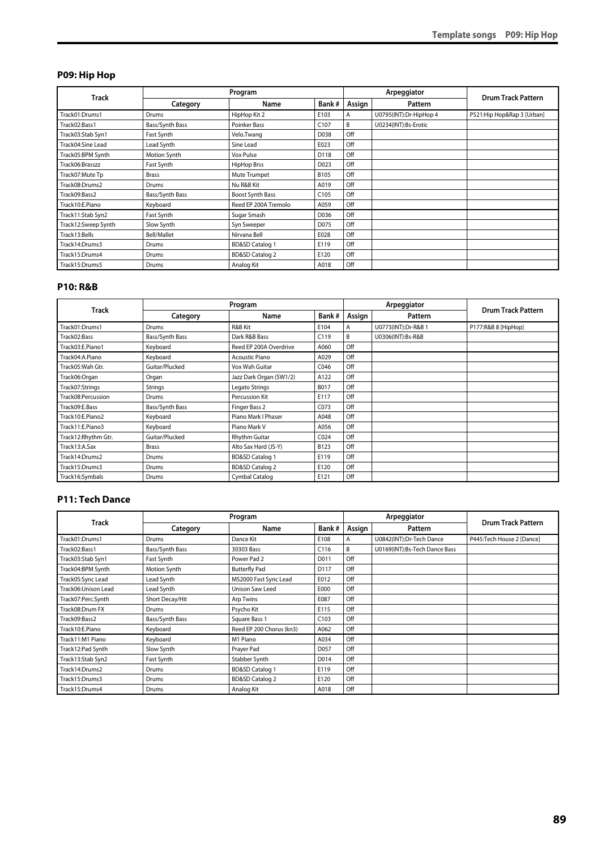#### **P09: Hip Hop**

|                     |                 | Program                    |                  |        | Arpeggiator            | <b>Drum Track Pattern</b>  |
|---------------------|-----------------|----------------------------|------------------|--------|------------------------|----------------------------|
| Track               | Category        | Name                       | Bank#            | Assign | Pattern                |                            |
| Track01:Drums1      | Drums           | HipHop Kit 2               | E103             | A      | U0795(INT):Dr-HipHop 4 | P521:Hip Hop&Rap 3 [Urban] |
| Track02:Bass1       | Bass/Synth Bass | Poinker Bass               | C <sub>107</sub> | B      | U0234(INT):Bs-Erotic   |                            |
| Track03:Stab Syn1   | Fast Synth      | Velo.Twang                 | D038             | Off    |                        |                            |
| Track04:Sine Lead   | Lead Synth      | Sine Lead                  | E023             | Off    |                        |                            |
| Track05:BPM Synth   | Motion Synth    | Vox Pulse                  | D118             | Off    |                        |                            |
| Track06:Brasszz     | Fast Synth      | HipHop Brss                | D023             | Off    |                        |                            |
| Track07:Mute Tp     | <b>Brass</b>    | Mute Trumpet               | B105             | Off    |                        |                            |
| Track08:Drums2      | Drums           | Nu R&B Kit                 | A019             | Off    |                        |                            |
| Track09:Bass2       | Bass/Synth Bass | Boost Synth Bass           | C <sub>105</sub> | Off    |                        |                            |
| Track10:E.Piano     | Keyboard        | Reed EP 200A Tremolo       | A059             | Off    |                        |                            |
| Track11:Stab Syn2   | Fast Synth      | Sugar Smash                | D036             | Off    |                        |                            |
| Track12:Sweep Synth | Slow Synth      | Syn Sweeper                | D075             | Off    |                        |                            |
| Track13:Bells       | Bell/Mallet     | Nirvana Bell               | E028             | Off    |                        |                            |
| Track14:Drums3      | Drums           | <b>BD&amp;SD Catalog 1</b> | E119             | Off    |                        |                            |
| Track15:Drums4      | Drums           | <b>BD&amp;SD Catalog 2</b> | E120             | Off    |                        |                            |
| Track15:Drums5      | Drums           | Analog Kit                 | A018             | Off    |                        |                            |

#### **P10: R&B**

| <b>Track</b>         | Program         |                            |                  |        | Arpeggiator         |                           |
|----------------------|-----------------|----------------------------|------------------|--------|---------------------|---------------------------|
|                      | Category        | Name                       | Bank#            | Assign | Pattern             | <b>Drum Track Pattern</b> |
| Track01:Drums1       | Drums           | R&B Kit                    | E104             | A      | U0773(INT):Dr-R&B 1 | P177:R&B 8 [HipHop]       |
| Track02:Bass         | Bass/Synth Bass | Dark R&B Bass              | C119             | B      | U0306(INT):Bs-R&B   |                           |
| Track03:E.Piano1     | Keyboard        | Reed EP 200A Overdrive     | A060             | Off    |                     |                           |
| Track04:A.Piano      | Keyboard        | <b>Acoustic Piano</b>      | A029             | Off    |                     |                           |
| Track05: Wah Gtr.    | Guitar/Plucked  | Vox Wah Guitar             | C046             | Off    |                     |                           |
| Track06:Organ        | Organ           | Jazz Dark Organ (SW1/2)    | A122             | Off    |                     |                           |
| Track07:Strings      | Strings         | Legato Strings             | B017             | Off    |                     |                           |
| Track08:Percussion   | Drums           | Percussion Kit             | E117             | Off    |                     |                           |
| Track09:E.Bass       | Bass/Synth Bass | Finger Bass 2              | C073             | Off    |                     |                           |
| Track10:E.Piano2     | Keyboard        | Piano Mark I Phaser        | A048             | Off    |                     |                           |
| Track11:E.Piano3     | Keyboard        | Piano Mark V               | A056             | Off    |                     |                           |
| Track12: Rhythm Gtr. | Guitar/Plucked  | <b>Rhythm Guitar</b>       | CO <sub>24</sub> | Off    |                     |                           |
| Track13:A.Sax        | <b>Brass</b>    | Alto Sax Hard (JS-Y)       | B123             | Off    |                     |                           |
| Track14:Drums2       | Drums           | <b>BD&amp;SD Catalog 1</b> | E119             | Off    |                     |                           |
| Track15:Drums3       | Drums           | <b>BD&amp;SD Catalog 2</b> | E120             | Off    |                     |                           |
| Track16:Symbals      | Drums           | Cymbal Catalog             | E121             | Off    |                     |                           |

#### **P11: Tech Dance**

|                      | Program         |                            |       |        | Arpeggiator                   |                           |
|----------------------|-----------------|----------------------------|-------|--------|-------------------------------|---------------------------|
| Track                | Category        | Name                       | Bank# | Assign | Pattern                       | <b>Drum Track Pattern</b> |
| Track01:Drums1       | Drums           | Dance Kit                  | E108  | Α      | U0842(INT):Dr-Tech Dance      | P445:Tech House 2 [Dance] |
| Track02:Bass1        | Bass/Synth Bass | 30303 Bass                 | C116  | B      | U0169(INT):Bs-Tech Dance Bass |                           |
| Track03:Stab Syn1    | Fast Synth      | Power Pad 2                | D011  | Off    |                               |                           |
| Track04:BPM Synth    | Motion Synth    | <b>Butterfly Pad</b>       | D117  | Off    |                               |                           |
| Track05:Sync Lead    | Lead Synth      | MS2000 Fast Sync Lead      | E012  | Off    |                               |                           |
| Track06: Unison Lead | Lead Synth      | Unison Saw Leed            | E000  | Off    |                               |                           |
| Track07:Perc.Synth   | Short Decay/Hit | Arp Twins                  | E087  | Off    |                               |                           |
| Track08:Drum FX      | Drums           | Psycho Kit                 | E115  | Off    |                               |                           |
| Track09:Bass2        | Bass/Synth Bass | Square Bass 1              | C103  | Off    |                               |                           |
| Track10:E.Piano      | Keyboard        | Reed EP 200 Chorus (kn3)   | A062  | Off    |                               |                           |
| Track11:M1 Piano     | Keyboard        | M1 Piano                   | A034  | Off    |                               |                           |
| Track12:Pad Synth    | Slow Synth      | Prayer Pad                 | D057  | Off    |                               |                           |
| Track13:Stab Syn2    | Fast Synth      | Stabber Synth              | D014  | Off    |                               |                           |
| Track14:Drums2       | Drums           | <b>BD&amp;SD Catalog 1</b> | E119  | Off    |                               |                           |
| Track15:Drums3       | Drums           | <b>BD&amp;SD Catalog 2</b> | E120  | Off    |                               |                           |
| Track15:Drums4       | Drums           | Analog Kit                 | A018  | Off    |                               |                           |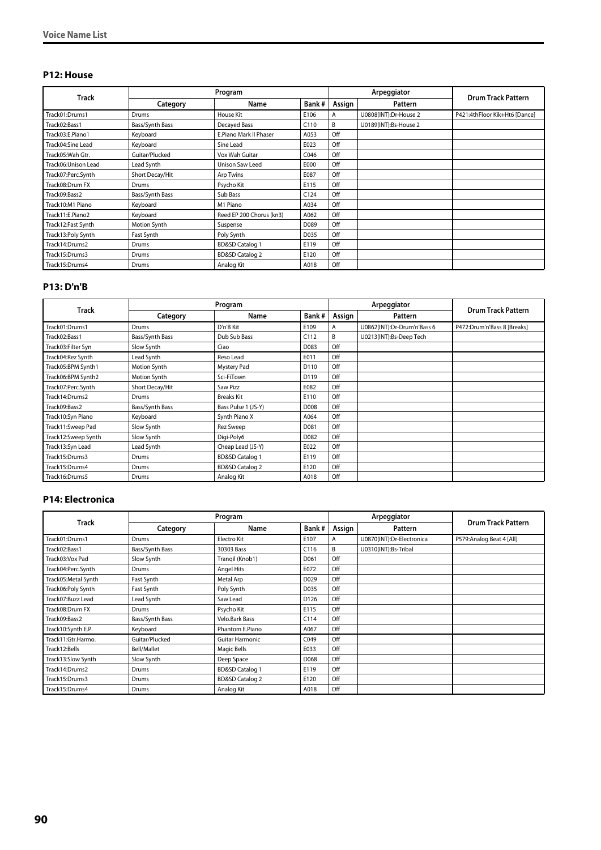#### **P12: House**

|                     | Program         |                            |       |        | Arpeggiator           |                               |
|---------------------|-----------------|----------------------------|-------|--------|-----------------------|-------------------------------|
| <b>Track</b>        | Category        | Name                       | Bank# | Assign | Pattern               | <b>Drum Track Pattern</b>     |
| Track01:Drums1      | Drums           | House Kit                  | E106  | A      | U0808(INT):Dr-House 2 | P421:4thFloor Kik+Ht6 [Dance] |
| Track02:Bass1       | Bass/Synth Bass | Decayed Bass               | C110  | B      | U0189(INT):Bs-House 2 |                               |
| Track03:E.Piano1    | Keyboard        | E.Piano Mark II Phaser     | A053  | Off    |                       |                               |
| Track04:Sine Lead   | Keyboard        | Sine Lead                  | E023  | Off    |                       |                               |
| Track05: Wah Gtr.   | Guitar/Plucked  | Vox Wah Guitar             | C046  | Off    |                       |                               |
| Track06:Unison Lead | Lead Synth      | Unison Saw Leed            | E000  | Off    |                       |                               |
| Track07:Perc.Synth  | Short Decay/Hit | Arp Twins                  | E087  | Off    |                       |                               |
| Track08:Drum FX     | Drums           | Psycho Kit                 | E115  | Off    |                       |                               |
| Track09:Bass2       | Bass/Synth Bass | Sub Bass                   | C124  | Off    |                       |                               |
| Track10:M1 Piano    | Keyboard        | M1 Piano                   | A034  | Off    |                       |                               |
| Track11:E.Piano2    | Keyboard        | Reed EP 200 Chorus (kn3)   | A062  | Off    |                       |                               |
| Track12:Fast Synth  | Motion Synth    | Suspense                   | D089  | Off    |                       |                               |
| Track13: Poly Synth | Fast Synth      | Poly Synth                 | D035  | Off    |                       |                               |
| Track14:Drums2      | Drums           | <b>BD&amp;SD Catalog 1</b> | E119  | Off    |                       |                               |
| Track15:Drums3      | Drums           | <b>BD&amp;SD Catalog 2</b> | E120  | Off    |                       |                               |
| Track15:Drums4      | Drums           | Analog Kit                 | A018  | Off    |                       |                               |

#### **P13: D'n'B**

| <b>Track</b>        | Program         |                            |       |        | Arpeggiator                 |                             |
|---------------------|-----------------|----------------------------|-------|--------|-----------------------------|-----------------------------|
|                     | Category        | Name                       | Bank# | Assign | Pattern                     | <b>Drum Track Pattern</b>   |
| Track01:Drums1      | Drums           | D'n'B Kit                  | E109  | A      | U0862(INT):Dr-Drum'n'Bass 6 | P472:Drum'n'Bass 8 [Breaks] |
| Track02:Bass1       | Bass/Synth Bass | Dub Sub Bass               | C112  | B      | U0213(INT):Bs-Deep Tech     |                             |
| Track03:Filter Syn  | Slow Synth      | Ciao                       | D083  | Off    |                             |                             |
| Track04:Rez Synth   | Lead Synth      | Reso Lead                  | E011  | Off    |                             |                             |
| Track05:BPM Synth1  | Motion Synth    | Mystery Pad                | D110  | Off    |                             |                             |
| Track06:BPM Synth2  | Motion Synth    | Sci-FiTown                 | D119  | Off    |                             |                             |
| Track07:Perc.Synth  | Short Decay/Hit | Saw Pizz                   | E082  | Off    |                             |                             |
| Track14:Drums2      | Drums           | <b>Breaks Kit</b>          | E110  | Off    |                             |                             |
| Track09:Bass2       | Bass/Synth Bass | Bass Pulse 1 (JS-Y)        | D008  | Off    |                             |                             |
| Track10:Syn Piano   | Keyboard        | Synth Piano X              | A064  | Off    |                             |                             |
| Track11:Sweep Pad   | Slow Synth      | Rez Sweep                  | D081  | Off    |                             |                             |
| Track12:Sweep Synth | Slow Synth      | Digi-Poly6                 | D082  | Off    |                             |                             |
| Track13:Syn Lead    | Lead Synth      | Cheap Lead (JS-Y)          | E022  | Off    |                             |                             |
| Track15:Drums3      | Drums           | <b>BD&amp;SD Catalog 1</b> | E119  | Off    |                             |                             |
| Track15:Drums4      | Drums           | <b>BD&amp;SD Catalog 2</b> | E120  | Off    |                             |                             |
| Track16:Drums5      | Drums           | Analog Kit                 | A018  | Off    |                             |                             |

#### **P14: Electronica**

|                     |                 | Program                    |       |        | Arpeggiator               |                           |
|---------------------|-----------------|----------------------------|-------|--------|---------------------------|---------------------------|
| Track               | Category        | Name                       | Bank# | Assign | Pattern                   | <b>Drum Track Pattern</b> |
| Track01:Drums1      | Drums           | Electro Kit                | E107  | A      | U0870(INT):Dr-Electronica | P579: Analog Beat 4 [All] |
| Track02:Bass1       | Bass/Synth Bass | 30303 Bass                 | C116  | B      | U0310(INT):Bs-Tribal      |                           |
| Track03:Vox Pad     | Slow Synth      | Trangil (Knob1)            | D061  | Off    |                           |                           |
| Track04:Perc.Synth  | Drums           | <b>Angel Hits</b>          | E072  | Off    |                           |                           |
| Track05:Metal Synth | Fast Synth      | Metal Arp                  | D029  | Off    |                           |                           |
| Track06:Poly Synth  | Fast Synth      | Poly Synth                 | D035  | Off    |                           |                           |
| Track07:Buzz Lead   | Lead Synth      | Saw Lead                   | D126  | Off    |                           |                           |
| Track08:Drum FX     | Drums           | Psycho Kit                 | E115  | Off    |                           |                           |
| Track09:Bass2       | Bass/Synth Bass | Velo.Bark Bass             | C114  | Off    |                           |                           |
| Track10:Synth E.P.  | Keyboard        | Phantom E.Piano            | A067  | Off    |                           |                           |
| Track11:Gtr.Harmo.  | Guitar/Plucked  | Guitar Harmonic            | C049  | Off    |                           |                           |
| Track12:Bells       | Bell/Mallet     | Magic Bells                | E033  | Off    |                           |                           |
| Track13:Slow Synth  | Slow Synth      | Deep Space                 | D068  | Off    |                           |                           |
| Track14:Drums2      | Drums           | <b>BD&amp;SD Catalog 1</b> | E119  | Off    |                           |                           |
| Track15:Drums3      | Drums           | <b>BD&amp;SD Catalog 2</b> | E120  | Off    |                           |                           |
| Track15:Drums4      | Drums           | Analog Kit                 | A018  | Off    |                           |                           |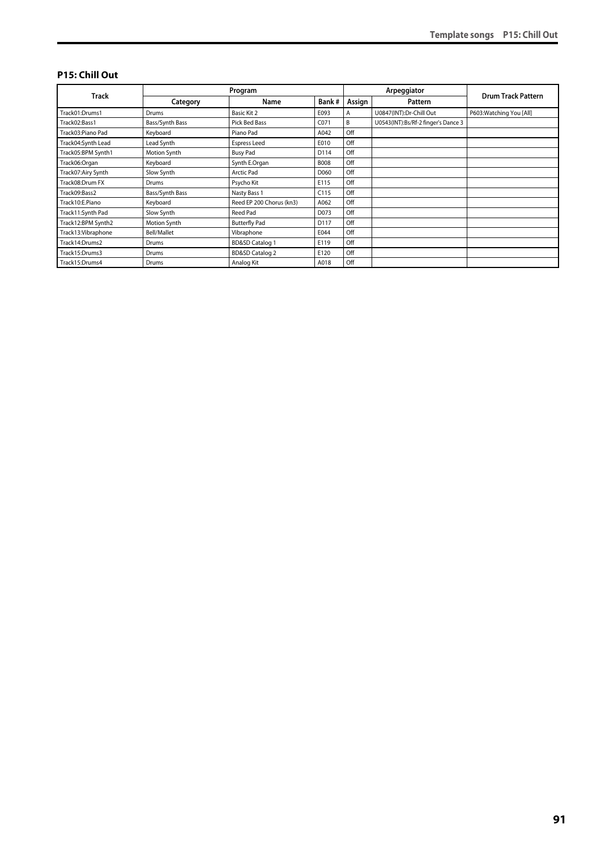#### **P15: Chill Out**

|                     | Program         |                            |             |        | Arpeggiator                         |                           |
|---------------------|-----------------|----------------------------|-------------|--------|-------------------------------------|---------------------------|
| Track               | Category        | Name                       | Bank#       | Assign | Pattern                             | <b>Drum Track Pattern</b> |
| Track01:Drums1      | Drums           | Basic Kit 2                | E093        | A      | U0847(INT):Dr-Chill Out             | P603: Watching You [All]  |
| Track02:Bass1       | Bass/Synth Bass | Pick Bed Bass              | C071        | B      | U0543(INT):Bs/Rf-2 finger's Dance 3 |                           |
| Track03:Piano Pad   | Keyboard        | Piano Pad                  | A042        | Off    |                                     |                           |
| Track04:Synth Lead  | Lead Synth      | <b>Espress Leed</b>        | E010        | Off    |                                     |                           |
| Track05:BPM Synth1  | Motion Synth    | <b>Busy Pad</b>            | D114        | Off    |                                     |                           |
| Track06:Organ       | Keyboard        | Synth E.Organ              | <b>B008</b> | Off    |                                     |                           |
| Track07:Airy Synth  | Slow Synth      | <b>Arctic Pad</b>          | D060        | Off    |                                     |                           |
| Track08:Drum FX     | Drums           | Psycho Kit                 | E115        | Off    |                                     |                           |
| Track09:Bass2       | Bass/Synth Bass | Nasty Bass 1               | C115        | Off    |                                     |                           |
| Track10:E.Piano     | Keyboard        | Reed EP 200 Chorus (kn3)   | A062        | Off    |                                     |                           |
| Track11:Synth Pad   | Slow Synth      | Reed Pad                   | D073        | Off    |                                     |                           |
| Track12:BPM Synth2  | Motion Synth    | <b>Butterfly Pad</b>       | D117        | Off    |                                     |                           |
| Track13: Vibraphone | Bell/Mallet     | Vibraphone                 | E044        | Off    |                                     |                           |
| Track14:Drums2      | Drums           | <b>BD&amp;SD Catalog 1</b> | E119        | Off    |                                     |                           |
| Track15:Drums3      | Drums           | <b>BD&amp;SD Catalog 2</b> | E120        | Off    |                                     |                           |
| Track15:Drums4      | Drums           | Analog Kit                 | A018        | Off    |                                     |                           |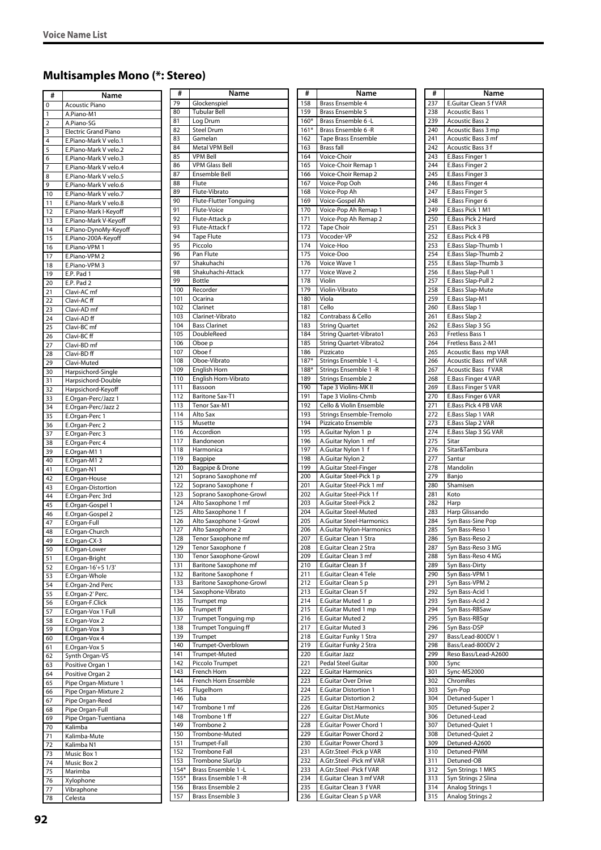# **Multisamples Mono (\*: Stereo)**

| #              | Name                                                 | #          |
|----------------|------------------------------------------------------|------------|
| 0              | <b>Acoustic Piano</b>                                | 79         |
| 1              | A.Piano-M1                                           | 80<br>81   |
| $\overline{2}$ | A.Piano-SG                                           | 82         |
| 3<br>4         | <b>Electric Grand Piano</b><br>E.Piano-Mark V velo.1 | 83         |
| 5              | E.Piano-Mark V velo.2                                | 84         |
| 6              | E.Piano-Mark V velo.3                                | 85         |
| 7              | E.Piano-Mark V velo.4                                | 86         |
| 8              | E.Piano-Mark V velo.5                                | 87         |
| 9              | E.Piano-Mark V velo.6                                | 88<br>89   |
| 10<br>11       | E.Piano-Mark V velo.7<br>E.Piano-Mark V velo.8       | 90         |
| 12             | E.Piano-Mark I-Keyoff                                | 91         |
| 13             | E.Piano-Mark V-Keyoff                                | 92         |
| 14             | E.Piano-DynoMy-Keyoff                                | 93         |
| 15             | E.Piano-200A-Keyoff                                  | 94         |
| 16             | E.Piano-VPM 1                                        | 95<br>96   |
| 17             | E.Piano-VPM 2                                        | 97         |
| 18<br>19       | E.Piano-VPM 3<br>E.P. Pad 1                          | 98         |
| 20             | E.P. Pad 2                                           | 99         |
| 21             | Clavi-AC mf                                          | 100        |
| 22             | Clavi-AC ff                                          | 101        |
| 23             | Clavi-AD mf                                          | 102<br>103 |
| 24             | Clavi-AD ff                                          | 104        |
| 25<br>26       | Clavi-BC mf<br>Clavi-BC ff                           | 105        |
| 27             | Clavi-BD <sub>mf</sub>                               | 106        |
| 28             | Clavi-BD ff                                          | 107        |
| 29             | Clavi-Muted                                          | 108        |
| 30             | Harpsichord-Single                                   | 109        |
| 31             | Harpsichord-Double                                   | 110<br>111 |
| 32<br>33       | Harpsichord-Keyoff<br>E.Organ-Perc/Jazz 1            | 112        |
| 34             | E.Organ-Perc/Jazz 2                                  | 113        |
| 35             | E.Organ-Perc 1                                       | 114        |
| 36             | E.Organ-Perc 2                                       | 115        |
| 37             | E.Organ-Perc 3                                       | 116        |
| 38             | E.Organ-Perc 4                                       | 117<br>118 |
| 39<br>40       | E.Organ-M1<br>$\mathbf{1}$<br>E.Organ-M1 2           | 119        |
| 41             | E.Organ-N1                                           | 120        |
| 42             | E.Organ-House                                        | 121        |
| 43             | E.Organ-Distortion                                   | 122        |
| 44             | E.Organ-Perc 3rd                                     | 123<br>124 |
| 45<br>46       | E.Organ-Gospel 1<br>E.Organ-Gospel 2                 | 125        |
| 47             | E.Organ-Full                                         | 126        |
| 48             | E.Organ-Church                                       | 127        |
| 49             | E.Organ-CX-3                                         | 128        |
| 50             | E.Organ-Lower                                        | 129        |
| 51             | E.Organ-Bright                                       | 130<br>131 |
| 52<br>53       | E.Organ-16'+5 1/3'<br>E.Organ-Whole                  | 132        |
| 54             | E.Organ-2nd Perc                                     | 133        |
| 55             | E.Organ-2' Perc.                                     | 134        |
| 56             | E.Organ-F.Click                                      | 135        |
| 57             | E.Organ-Vox 1 Full                                   | 136<br>137 |
| 58             | E.Organ-Vox 2                                        | 138        |
| 59<br>60       | E.Organ-Vox 3<br>E.Organ-Vox 4                       | 139        |
| 61             | E.Organ-Vox 5                                        | 140        |
| 62             | Synth Organ-VS                                       | 141        |
| 63             | Positive Organ 1                                     | 142        |
| 64             | Positive Organ 2                                     | 143<br>144 |
| 65<br>66       | Pipe Organ-Mixture 1<br>Pipe Organ-Mixture 2         | 145        |
| 67             | Pipe Organ-Reed                                      | 146        |
| 68             | Pipe Organ-Full                                      | 147        |
| 69             | Pipe Organ-Tuentiana                                 | 148        |
| 70             | Kalimba                                              | 149        |
| 71             | Kalimba-Mute                                         | 150<br>151 |
| 72<br>73       | Kalimba N1<br>Music Box 1                            | 152        |
| 74             | Music Box 2                                          | 153        |
| 75             | Marimba                                              | $154*$     |
| 76             | Xylophone                                            | $155*$     |
| 77             | Vibraphone                                           | 156        |
| 78             | Celesta                                              | 157        |

| #                        | Name                                            |
|--------------------------|-------------------------------------------------|
| 79                       | Glockenspiel                                    |
| 80                       | <b>Tubular Bell</b>                             |
| 81                       | Log Drum                                        |
| 82<br>83                 | <b>Steel Drum</b><br>Gamelan                    |
| 84                       | Metal VPM Bell                                  |
| 85                       | <b>VPM Bell</b>                                 |
| 86                       | <b>VPM Glass Bell</b>                           |
| 87                       | Ensemble Bell                                   |
| 88<br>89                 | Flute<br>Flute-Vibrato                          |
| 90                       | <b>Flute-Flutter Tonguing</b>                   |
| 91                       | Flute-Voice                                     |
| 92                       | Flute-Attack p                                  |
| 93                       | Flute-Attack f                                  |
| 94<br>95                 | <b>Tape Flute</b><br>Piccolo                    |
| 96                       | Pan Flute                                       |
| 97                       | Shakuhachi                                      |
| 98                       | Shakuhachi-Attack                               |
| 99                       | <b>Bottle</b>                                   |
| 100<br>101               | Recorder<br>Ocarina                             |
| 102                      | Clarinet                                        |
| 103                      | Clarinet-Vibrato                                |
| 104                      | <b>Bass Clarinet</b>                            |
| 105                      | DoubleReed                                      |
| 106<br>107               | Oboe p<br>Oboe f                                |
| 108                      | Oboe-Vibrato                                    |
| 109                      | English Horn                                    |
| 110                      | English Horn-Vibrato                            |
| 111<br>112               | Bassoon<br><b>Baritone Sax-T1</b>               |
| 113                      | Tenor Sax-M1                                    |
| 114                      | Alto Sax                                        |
| $\overline{1}$ 15        | Musette                                         |
| 116                      | Accordion                                       |
| 117<br>118               | Bandoneon<br>Harmonica                          |
| 119                      | Bagpipe                                         |
| 120                      | Bagpipe & Drone                                 |
| 121                      | Soprano Saxophone mf                            |
| 122<br>123               | Soprano Saxophone f                             |
| 124                      | Soprano Saxophone-Growl<br>Alto Saxophone 1 mf  |
| 125                      | Alto Saxophone 1 f                              |
| 126                      | Alto Saxophone 1-Growl                          |
| 127                      | Alto Saxophone 2                                |
| 128<br>$\overline{1}$ 29 | Tenor Saxophone mf<br>Tenor Saxophone f         |
| 130                      | Tenor Saxophone-Growl                           |
| 131                      | <b>Baritone Saxophone mf</b>                    |
| 132                      | <b>Baritone Saxophone f</b>                     |
| 133<br>134               | Baritone Saxophone-Growl<br>Saxophone-Vibrato   |
| 135                      | Trumpet mp                                      |
| 136                      | <b>Trumpet ff</b>                               |
| 137                      | Trumpet Tonguing mp                             |
| 138                      | Trumpet Tonguing ff                             |
| 139<br>140               | Trumpet<br>Trumpet-Overblown                    |
| 141                      | Trumpet-Muted                                   |
| 142                      | Piccolo Trumpet                                 |
| 143                      | French Horn                                     |
| 144<br>$\overline{145}$  | French Horn Ensemble<br>Flugelhorn              |
| 146                      | Tuba                                            |
| 147                      | Trombone 1 mf                                   |
| 148                      | Trombone 1 ff                                   |
| 149                      | Trombone 2                                      |
| 150<br>151               | Trombone-Muted<br>Trumpet-Fall                  |
| 152                      | <b>Trombone Fall</b>                            |
| 153                      | Trombone SlurUp                                 |
| $154*$                   | Brass Ensemble 1 -L                             |
| $155*$<br>156            | Brass Ensemble 1 - R<br><b>Brass Ensemble 2</b> |
| 157                      | Brass Ensemble 3                                |

| #          | Name                                                    |
|------------|---------------------------------------------------------|
| 158        | Brass Ensemble 4                                        |
| 159        | Brass Ensemble 5                                        |
| $160*$     | Brass Ensemble 6-L                                      |
| $161*$     | Brass Ensemble 6 -R                                     |
| 162        | Tape Brass Ensemble                                     |
| 163        | <b>Brass fall</b>                                       |
| 164        | Voice-Choir                                             |
| 165        | Voice-Choir Remap 1                                     |
| 166        | Voice-Choir Remap 2                                     |
| 167        | Voice-Pop Ooh                                           |
| 168        | Voice-Pop Ah                                            |
| 169        | Voice-Gospel Ah                                         |
| 170        | Voice-Pop Ah Remap 1                                    |
| 171        | Voice-Pop Ah Remap 2                                    |
| 172        | <b>Tape Choir</b>                                       |
| 173        | Vocoder-VP                                              |
| 174        | Voice-Hoo                                               |
| 175        | Voice-Doo                                               |
| 176        | Voice Wave 1                                            |
| 177        | Voice Wave 2                                            |
| 178        | Violin                                                  |
| 179        | Violin-Vibrato                                          |
| 180        | Viola                                                   |
| 181        | Cello                                                   |
| 182        | Contrabass & Cello                                      |
| 183        | <b>String Quartet</b>                                   |
| 184        | String Quartet-Vibrato1                                 |
| 185        | String Quartet-Vibrato2                                 |
| 186        | Pizzicato                                               |
| $187*$     | Strings Ensemble 1 -L                                   |
| 188*       | Strings Ensemble 1 - R                                  |
| 189        | Strings Ensemble 2                                      |
| 190        | Tape 3 Violins-MK II                                    |
| 191        | Tape 3 Violins-Chmb                                     |
| 192        | Cello & Violin Ensemble                                 |
| 193        | Strings Ensemble-Tremolo                                |
| 194        | Pizzicato Ensemble                                      |
| 195<br>196 | A.Guitar Nylon 1<br>р                                   |
| 197        | A.Guitar Nylon 1<br>mf<br>A.Guitar Nylon 1 f            |
| 198        | A.Guitar Nylon 2                                        |
| 199        | A.Guitar Steel-Finger                                   |
| 200        | A.Guitar Steel-Pick 1 p                                 |
| 201        | A.Guitar Steel-Pick 1 mf                                |
| 202        | A.Guitar Steel-Pick 1 f                                 |
| 203        | A.Guitar Steel-Pick 2                                   |
| 204        | A.Guitar Steel-Muted                                    |
| 205        | A.Guitar Steel-Harmonics                                |
| 206        | A.Guitar Nylon-Harmonics                                |
| 207        | E.Guitar Clean 1 Stra                                   |
| 208        | E.Guitar Clean 2 Stra                                   |
| 209        | E.Guitar Clean 3 mf                                     |
| 210        | E.Guitar Clean 3 f                                      |
| 211        | E.Guitar Clean 4 Tele                                   |
| 212        | E.Guitar Clean 5 p                                      |
| 213        | E.Guitar Clean 5 f                                      |
| 214        | E.Guitar Muted 1 p                                      |
| 215        | E.Guitar Muted 1 mp                                     |
| 216        | E.Guitar Muted 2                                        |
| 217        | E.Guitar Muted 3                                        |
| 218        | E.Guitar Funky 1 Stra                                   |
| 219        | E.Guitar Funky 2 Stra                                   |
| 220        | E.Guitar Jazz                                           |
| 221        | Pedal Steel Guitar                                      |
| 222        | <b>E.Guitar Harmonics</b>                               |
| 223        | E.Guitar Over Drive                                     |
| 224<br>225 | <b>E.Guitar Distortion 1</b>                            |
| 226        | <b>E.Guitar Distortion 2</b><br>E.Guitar Dist.Harmonics |
| 227        | E.Guitar Dist.Mute                                      |
| 228        | E.Guitar Power Chord 1                                  |
| 229        | E.Guitar Power Chord 2                                  |
| 230        | E.Guitar Power Chord 3                                  |
| 231        | A.Gtr.Steel -Pick p VAR                                 |
| 232        | A.Gtr.Steel -Pick mf VAR                                |
| 233        | A.Gtr.Steel -Pick f VAR                                 |
| 234        | E.Guitar Clean 3 mf VAR                                 |
| 235        | E.Guitar Clean 3 f VAR                                  |
| 236        | E.Guitar Clean 5 p VAR                                  |

| #   | Name                                        |
|-----|---------------------------------------------|
| 237 | E.Guitar Clean 5 f VAR                      |
| 238 | <b>Acoustic Bass 1</b>                      |
| 239 | <b>Acoustic Bass 2</b>                      |
| 240 | Acoustic Bass 3 mp                          |
| 241 | Acoustic Bass 3 mf                          |
| 242 | Acoustic Bass 3 f                           |
| 243 | E.Bass Finger 1                             |
| 244 | E.Bass Finger 2                             |
| 245 | E.Bass Finger 3                             |
| 246 | E.Bass Finger 4                             |
|     |                                             |
| 247 | E.Bass Finger 5                             |
| 248 | E.Bass Finger 6                             |
| 249 | E.Bass Pick 1 M1                            |
| 250 | E.Bass Pick 2 Hard                          |
| 251 | E.Bass Pick 3                               |
| 252 | E.Bass Pick 4 PB                            |
| 253 | E.Bass Slap-Thumb 1                         |
| 254 | E.Bass Slap-Thumb 2                         |
| 255 | E.Bass Slap-Thumb 3                         |
| 256 | E.Bass Slap-Pull 1                          |
| 257 | E.Bass Slap-Pull 2                          |
| 258 | E.Bass Slap-Mute                            |
| 259 | E.Bass Slap-M1                              |
| 260 | E.Bass Slap 1                               |
| 261 | E.Bass Slap 2                               |
| 262 | E.Bass Slap 3 SG                            |
| 263 | Fretless Bass 1                             |
| 264 | Fretless Bass 2-M1                          |
| 265 | Acoustic Bass mp VAR                        |
|     |                                             |
| 266 | Acoustic Bass mf VAR<br>Acoustic Bass f VAR |
| 267 |                                             |
| 268 | E.Bass Finger 4 VAR                         |
| 269 | E.Bass Finger 5 VAR                         |
| 270 | E.Bass Finger 6 VAR                         |
| 271 | E.Bass Pick 4 PB VAR                        |
| 272 | E.Bass Slap 1 VAR                           |
| 273 | E.Bass Slap 2 VAR                           |
| 274 | E.Bass Slap 3 SG VAR                        |
| 275 | Sitar                                       |
| 276 | Sitar&Tambura                               |
| 277 | Santur                                      |
| 278 | Mandolin                                    |
| 279 | Banjo                                       |
| 280 | Shamisen                                    |
| 281 | Koto                                        |
| 282 | Harp                                        |
| 283 | Harp Glissando                              |
| 284 | Syn Bass-Sine Pop                           |
| 285 | Syn Bass-Reso 1                             |
| 286 | Syn Bass-Reso 2                             |
| 287 | Syn Bass-Reso 3 MG                          |
| 288 | Syn Bass-Reso 4 MG                          |
| 289 | Syn Bass-Dirty                              |
| 290 | Syn Bass-VPM 1                              |
| 291 | Syn Bass-VPM 2                              |
| 292 | Syn Bass-Acid 1                             |
| 293 | Syn Bass-Acid 2                             |
| 294 | Syn Bass-RBSaw                              |
| 295 | Syn Bass-RBSqr                              |
| 296 | Syn Bass-DSP                                |
| 297 | Bass/Lead-800DV 1                           |
| 298 | Bass/Lead-800DV 2                           |
| 299 |                                             |
|     | Reso Bass/Lead-A2600                        |
| 300 | Sync                                        |
| 301 | Sync-MS2000                                 |
| 302 | ChromRes                                    |
| 303 | Syn-Pop                                     |
| 304 | Detuned-Super 1                             |
| 305 | Detuned-Super 2                             |
| 306 | Detuned-Lead                                |
| 307 | Detuned-Quiet 1                             |
| 308 | Detuned-Quiet 2                             |
| 309 | Detuned-A2600                               |
| 310 | Detuned-PWM                                 |
| 311 | Detuned-OB                                  |
| 312 | Syn Strings 1 MKS                           |
| 313 | Syn Strings 2 Slina                         |
| 314 | Analog Strings 1                            |
| 315 | Analog Strings 2                            |
|     |                                             |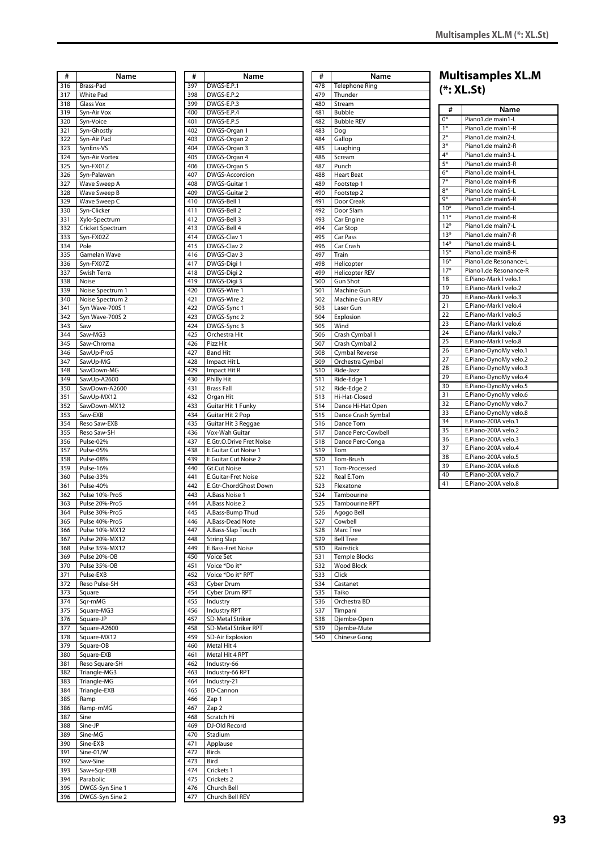|     |                  |     |                             |     |                       |       | <b>Multisan</b> |
|-----|------------------|-----|-----------------------------|-----|-----------------------|-------|-----------------|
| #   | Name             | #   | Name                        | #   | Name                  |       |                 |
| 316 | Brass-Pad        | 397 | DWGS-E.P.1                  | 478 | <b>Telephone Ring</b> |       | $(*:XL-St)$     |
| 317 | <b>White Pad</b> | 398 | DWGS-E.P.2                  | 479 | Thunder               |       |                 |
| 318 | <b>Glass Vox</b> | 399 | DWGS-E.P.3                  | 480 | Stream                | #     |                 |
| 319 | Syn-Air Vox      | 400 | DWGS-E.P.4                  | 481 | <b>Bubble</b>         |       |                 |
| 320 | Syn-Voice        | 401 | DWGS-E.P.5                  | 482 | <b>Bubble REV</b>     | $0*$  | Piano1.         |
| 321 | Syn-Ghostly      | 402 | DWGS-Organ 1                | 483 | Dog                   | $1*$  | Piano1.         |
| 322 | Syn-Air Pad      | 403 | DWGS-Organ 2                | 484 | Gallop                | $2*$  | Piano1.         |
| 323 | SynEns-VS        | 404 | DWGS-Organ 3                | 485 | Laughing              | $3*$  | Piano1.         |
| 324 | Syn-Air Vortex   | 405 | DWGS-Organ 4                | 486 | Scream                | $4*$  | Piano1.         |
| 325 | Syn-FX01Z        | 406 | DWGS-Organ 5                | 487 | Punch                 | $5*$  | Piano1.         |
| 326 | Syn-Palawan      | 407 | DWGS-Accordion              | 488 | <b>Heart Beat</b>     | $6*$  | Piano1.         |
| 327 | Wave Sweep A     | 408 | DWGS-Guitar 1               | 489 | Footstep 1            | $7*$  | Piano1.         |
| 328 | Wave Sweep B     | 409 | DWGS-Guitar 2               | 490 | Footstep 2            | $8*$  | Piano1.         |
| 329 | Wave Sweep C     | 410 | DWGS-Bell 1                 | 491 | Door Creak            | 9*    | Piano1.         |
| 330 | Syn-Clicker      | 411 | DWGS-Bell 2                 | 492 | Door Slam             | $10*$ | Piano1.         |
| 331 | Xylo-Spectrum    | 412 | DWGS-Bell 3                 | 493 | Car Engine            | $11*$ | Piano1.         |
| 332 | Cricket Spectrum | 413 | DWGS-Bell 4                 | 494 | Car Stop              | $12*$ | Piano1.         |
| 333 | Syn-FX02Z        | 414 | DWGS-Clav 1                 | 495 | Car Pass              | $13*$ | Piano1.         |
| 334 | Pole             | 415 | DWGS-Clav 2                 | 496 | Car Crash             | $14*$ | Piano1.         |
| 335 | Gamelan Wave     | 416 | DWGS-Clav 3                 | 497 | Train                 | $15*$ | Piano1.         |
| 336 | Syn-FX07Z        | 417 | DWGS-Digi 1                 | 498 | Helicopter            | $16*$ | Piano1.         |
| 337 | Swish Terra      | 418 | DWGS-Digi 2                 | 499 | <b>Helicopter REV</b> | $17*$ | Piano1.         |
| 338 | Noise            | 419 | DWGS-Digi 3                 | 500 | <b>Gun Shot</b>       | 18    | E.Piano         |
| 339 | Noise Spectrum 1 | 420 | DWGS-Wire 1                 | 501 | Machine Gun           | 19    | E.Piano         |
| 340 | Noise Spectrum 2 | 421 | DWGS-Wire 2                 | 502 | Machine Gun REV       | 20    | E.Piano         |
| 341 | Syn Wave-700S 1  | 422 | DWGS-Sync 1                 | 503 | Laser Gun             | 21    | E.Piano         |
| 342 | Syn Wave-700S 2  | 423 | DWGS-Sync 2                 | 504 | Explosion             | 22    | E.Piano         |
| 343 | Saw              | 424 | DWGS-Sync 3                 | 505 | Wind                  | 23    | E.Piano         |
| 344 | Saw-MG3          | 425 | Orchestra Hit               | 506 | Crash Cymbal 1        | 24    | E.Piano         |
| 345 | Saw-Chroma       | 426 | Pizz Hit                    | 507 | Crash Cymbal 2        | 25    | E.Piano         |
| 346 | SawUp-Pro5       | 427 | <b>Band Hit</b>             | 508 | Cymbal Reverse        | 26    | E.Piano         |
| 347 | SawUp-MG         | 428 | Impact Hit L                | 509 | Orchestra Cymbal      | 27    | E.Piano         |
| 348 | SawDown-MG       | 429 | Impact Hit R                | 510 | Ride-Jazz             | 28    | E.Piano         |
| 349 | SawUp-A2600      | 430 | <b>Philly Hit</b>           | 511 | Ride-Edge 1           | 29    | E.Piano         |
| 350 | SawDown-A2600    | 431 | <b>Brass Fall</b>           | 512 | Ride-Edge 2           | 30    | E.Piano         |
| 351 | SawUp-MX12       | 432 | Organ Hit                   | 513 | Hi-Hat-Closed         | 31    | E.Piano         |
| 352 | SawDown-MX12     | 433 | Guitar Hit 1 Funky          | 514 | Dance Hi-Hat Open     | 32    | E.Piano         |
| 353 | Saw-EXB          | 434 | Guitar Hit 2 Pop            | 515 | Dance Crash Symbal    | 33    | E.Piano         |
| 354 | Reso Saw-EXB     | 435 | Guitar Hit 3 Reggae         | 516 | Dance Tom             | 34    | E.Piano         |
| 355 | Reso Saw-SH      | 436 | Vox-Wah Guitar              | 517 | Dance Perc-Cowbell    | 35    | E.Piano         |
| 356 | Pulse-02%        | 437 | E.Gtr.O.Drive Fret Noise    | 518 | Dance Perc-Conga      | 36    | E.Piano         |
| 357 | Pulse-05%        | 438 | <b>E.Guitar Cut Noise 1</b> | 519 | Tom                   | 37    | E.Piano         |
| 358 | Pulse-08%        | 439 | E.Guitar Cut Noise 2        | 520 | Tom-Brush             | 38    | E.Piano         |
| 359 | Pulse-16%        | 440 | Gt.Cut Noise                | 521 | Tom-Processed         | 39    | E.Piano         |
| 360 | Pulse-33%        | 441 | <b>E.Guitar-Fret Noise</b>  | 522 | Real E.Tom            | 40    | E.Piano         |
| 361 | Pulse-40%        | 442 | E.Gtr-ChordGhost Down       | 523 | Flexatone             | 41    | E.Piano         |
| 362 | Pulse 10%-Pro5   | 443 | A.Bass Noise 1              | 524 | Tambourine            |       |                 |
| 363 | Pulse 20%-Pro5   | 444 | A.Bass Noise 2              | 525 | Tambourine RPT        |       |                 |
| 364 | Pulse 30%-Pro5   | 445 | A.Bass-Bump Thud            | 526 | Agogo Bell            |       |                 |
| 365 | Pulse 40%-Pro5   | 446 | A.Bass-Dead Note            | 527 | Cowbell               |       |                 |
| 366 | Pulse 10%-MX12   | 447 | A.Bass-Slap Touch           | 528 | Marc Tree             |       |                 |
| 367 | Pulse 20%-MX12   | 448 | <b>String Slap</b>          | 529 | <b>Bell Tree</b>      |       |                 |
| 368 | Pulse 35%-MX12   | 449 | E.Bass-Fret Noise           | 530 | Rainstick             |       |                 |
| 369 | Pulse 20%-OB     | 450 | Voice Set                   | 531 | Temple Blocks         |       |                 |
| 370 | Pulse 35%-OB     | 451 | Voice *Do it*               | 532 | Wood Block            |       |                 |
| 371 | Pulse-EXB        | 452 | Voice *Do it* RPT           | 533 | Click                 |       |                 |
| 372 | Reso Pulse-SH    | 453 | Cyber Drum                  | 534 | Castanet              |       |                 |
| 373 | Square           | 454 | Cyber Drum RPT              | 535 | Taiko                 |       |                 |
| 374 | Sqr-mMG          | 455 | Industry                    | 536 | Orchestra BD          |       |                 |
| 375 | Square-MG3       | 456 | <b>Industry RPT</b>         | 537 | Timpani               |       |                 |
| 376 | Square-JP        | 457 | SD-Metal Striker            | 538 | Djembe-Open           |       |                 |
| 377 | Square-A2600     | 458 | SD-Metal Striker RPT        | 539 | Djembe-Mute           |       |                 |
| 378 | Square-MX12      | 459 | <b>SD-Air Explosion</b>     | 540 | Chinese Gong          |       |                 |
| 379 | Square-OB        | 460 | Metal Hit 4                 |     |                       |       |                 |
| 380 | Square-EXB       | 461 | Metal Hit 4 RPT             |     |                       |       |                 |
| 381 | Reso Square-SH   | 462 | Industry-66                 |     |                       |       |                 |
| 382 | Triangle-MG3     | 463 | Industry-66 RPT             |     |                       |       |                 |
| 383 | Triangle-MG      | 464 | Industry-21                 |     |                       |       |                 |
| 384 | Triangle-EXB     | 465 | <b>BD-Cannon</b>            |     |                       |       |                 |
| 385 | Ramp             | 466 | Zap 1                       |     |                       |       |                 |
| 386 | Ramp-mMG         | 467 | Zap 2                       |     |                       |       |                 |
| 387 | Sine             | 468 | Scratch Hi                  |     |                       |       |                 |
| 388 | Sine-JP          | 469 | DJ-Old Record               |     |                       |       |                 |
| 389 | Sine-MG          | 470 | Stadium                     |     |                       |       |                 |
| 390 | Sine-EXB         | 471 | Applause                    |     |                       |       |                 |
| 391 | Sine-01/W        | 472 | Birds                       |     |                       |       |                 |
| 392 | Saw-Sine         | 473 | Bird                        |     |                       |       |                 |
| 393 | Saw+Sqr-EXB      | 474 | Crickets 1                  |     |                       |       |                 |
| 394 | Parabolic        | 475 | Crickets 2                  |     |                       |       |                 |
| 395 | DWGS-Syn Sine 1  | 476 | Church Bell                 |     |                       |       |                 |
| 396 | DWGS-Syn Sine 2  | 477 | Church Bell REV             |     |                       |       |                 |
|     |                  |     |                             |     |                       |       |                 |

| #          | Name                                    |
|------------|-----------------------------------------|
| 397        | DWGS-E.P.1                              |
| 398        | DWGS-E.P.2                              |
| 399        | DWGS-E.P.3                              |
| 400<br>401 | DWGS-E.P.4<br>DWGS-E.P.5                |
| 402        | DWGS-Organ 1                            |
| 403        | DWGS-Organ 2                            |
| 404        | DWGS-Organ 3                            |
| 405        | DWGS-Organ 4                            |
| 406        | DWGS-Organ 5                            |
| 407        | DWGS-Accordion                          |
| 408        | DWGS-Guitar 1                           |
| 409<br>410 | DWGS-Guitar 2<br>DWGS-Bell 1            |
| 411        | DWGS-Bell 2                             |
| 412        | DWGS-Bell 3                             |
| 413        | DWGS-Bell 4                             |
| 414        | DWGS-Clav 1                             |
| 415        | DWGS-Clav 2                             |
| 416        | DWGS-Clav 3                             |
| 417<br>418 | DWGS-Digi 1<br>DWGS-Digi 2              |
| 419        | DWGS-Digi 3                             |
| 420        | DWGS-Wire 1                             |
| 421        | DWGS-Wire 2                             |
| 422        | DWGS-Sync 1                             |
| 423        | DWGS-Sync 2                             |
| 424        | DWGS-Sync 3                             |
| 425<br>426 | Orchestra Hit                           |
| 427        | Pizz Hit<br><b>Band Hit</b>             |
| 428        | Impact Hit L                            |
| 429        | Impact Hit R                            |
| 430        | Philly Hit                              |
| 431        | <b>Brass Fall</b>                       |
| 432        | Organ Hit                               |
| 433        | Guitar Hit 1 Funky                      |
| 434        | Guitar Hit 2 Pop                        |
| 435<br>436 | Guitar Hit 3 Reggae<br>Vox-Wah Guitar   |
| 437        | E.Gtr.O.Drive Fret Noise                |
| 438        | E.Guitar Cut Noise 1                    |
| 439        | E.Guitar Cut Noise 2                    |
| 440        | <b>Gt.Cut Noise</b>                     |
| 441        | <b>E.Guitar-Fret Noise</b>              |
| 442<br>443 | E.Gtr-ChordGhost Down<br>A.Bass Noise 1 |
| 444        | A.Bass Noise 2                          |
| 445        | A.Bass-Bump Thud                        |
| 446        | A.Bass-Dead Note                        |
| 447        | A.Bass-Slap Touch                       |
| 448        | <b>String Slap</b>                      |
| 449        | E.Bass-Fret Noise                       |
| 450        | Voice Set<br>Voice *Do it*              |
| 451<br>452 | Voice *Do it* RPT                       |
| 453        | Cyber Drum                              |
| 454        | Cyber Drum RPT                          |
| 455        | Industry                                |
| 456        | <b>Industry RPT</b>                     |
| 457        | <b>SD-Metal Striker</b>                 |
| 458        | SD-Metal Striker RPT                    |
| 459<br>460 | <b>SD-Air Explosion</b><br>Metal Hit 4  |
| 461        | Metal Hit 4 RPT                         |
| 462        | Industry-66                             |
| 463        | Industry-66 RPT                         |
| 464        | Industry-21                             |
| 465        | <b>BD-Cannon</b>                        |
| 466        | Zap 1                                   |
| 467        | Zap 2                                   |
| 468<br>469 | Scratch Hi<br>DJ-Old Record             |
| 470        | Stadium                                 |
| 471        | Applause                                |
| 472        | Birds                                   |
| 473        | Bird                                    |
| 474        | Crickets 1                              |
| 475        | Crickets 2                              |
| 476        | Church Bell                             |
| 477        | Church Bell REV                         |

| #                | Name                             |
|------------------|----------------------------------|
| 478              | <b>Telephone Ring</b>            |
| 479              | Thunder                          |
| 480              | Stream                           |
| 481              | <b>Bubble</b>                    |
| 482              | <b>Bubble REV</b>                |
| 483              | Dog                              |
| 484              | Gallop                           |
| 485              | Laughing                         |
| 486              | Scream                           |
| 487              | Punch                            |
| 488              | <b>Heart Beat</b>                |
| 489              | Footstep 1                       |
| 490              | Footstep 2                       |
| 491              | Door Creak                       |
| 492              | Door Slam                        |
| 493              | Car Engine                       |
| 494              | Car Stop                         |
| 495              | Car Pass                         |
| 496              | Car Crash                        |
| 497              | Train                            |
| 498              | Helicopter                       |
| 499              | <b>Helicopter REV</b>            |
| 500              | Gun Shot                         |
| 501              | Machine Gun                      |
| 502              | Machine Gun REV                  |
| 503              | Laser Gun                        |
| 504              | Explosion                        |
| 505              | Wind                             |
| 506<br>507       | Crash Cymbal 1<br>Crash Cymbal 2 |
| 508              | Cymbal Reverse                   |
| 509              | Orchestra Cymbal                 |
| 510              | Ride-Jazz                        |
| 511              | Ride-Edge 1                      |
| 512              | Ride-Edge 2                      |
| 513              | Hi-Hat-Closed                    |
| 514              | Dance Hi-Hat Open                |
| 515              | Dance Crash Symbal               |
| 516              | Dance Tom                        |
| 517              | Dance Perc-Cowbell               |
| 518              | Dance Perc-Conga                 |
| 519              | Tom                              |
| 520              | Tom-Brush                        |
| 521              | Tom-Processed                    |
| 522              | Real E.Tom                       |
| 523              | Flexatone                        |
| 524              | Tambourine                       |
| 525              | Tambourine RPT                   |
| 526              | Agogo Bell                       |
| $\overline{527}$ | Cowbell                          |
| 528              | Marc Tree                        |
| 529              | <b>Bell Tree</b>                 |
| 530              | Rainstick                        |
| 531              | <b>Temple Blocks</b>             |
| 532              | <b>Wood Block</b>                |
| 533              | Click                            |
| 534              | Castanet                         |
| 535              | Taiko                            |
| 536              | Orchestra BD                     |
| 537              | Timpani                          |
| 538              | Djembe-Open                      |
| 539              | Djembe-Mute                      |
| 540              | Chinese Gong                     |

# **Multisamples XL.M**

| #     | Name                  |
|-------|-----------------------|
| $0^*$ | Piano1.de main1-L     |
| $1*$  | Piano1.de main1-R     |
| $2^*$ | Piano1.de main2-L     |
| $3*$  | Piano1.de main2-R     |
| $4*$  | Piano1.de main3-L     |
| 5*    | Piano1.de main3-R     |
| $6*$  | Piano1.de main4-L     |
| $7*$  | Piano1.de main4-R     |
| $8*$  | Piano1.de main5-L     |
| 9*    | Piano1.de main5-R     |
| $10*$ | Piano1.de main6-L     |
| $11*$ | Piano1.de main6-R     |
| $12*$ | Piano1.de main7-L     |
| $13*$ | Piano1.de main7-R     |
| $14*$ | Piano1.de main8-L     |
| $15*$ | Piano1.de main8-R     |
| $16*$ | Piano1.de Resonance-L |
| $17*$ | Piano1.de Resonance-R |
| 18    | E.Piano-Mark I velo.1 |
| 19    | E.Piano-Mark I velo.2 |
| 20    | E.Piano-Mark I velo.3 |
| 21    | E.Piano-Mark I velo.4 |
| 22    | E.Piano-Mark I velo.5 |
| 23    | E.Piano-Mark I velo.6 |
| 24    | E.Piano-Mark I velo.7 |
| 25    | E.Piano-Mark I velo.8 |
| 26    | E.Piano-DynoMy velo.1 |
| 27    | E.Piano-DynoMy velo.2 |
| 28    | E.Piano-DynoMy velo.3 |
| 29    | E.Piano-DynoMy velo.4 |
| 30    | E.Piano-DynoMy velo.5 |
| 31    | E.Piano-DynoMy velo.6 |
| 32    | E.Piano-DynoMy velo.7 |
| 33    | E.Piano-DynoMy velo.8 |
| 34    | E.Piano-200A velo.1   |
| 35    | E.Piano-200A velo.2   |
| 36    | E.Piano-200A velo.3   |
| 37    | E.Piano-200A velo.4   |
| 38    | E.Piano-200A velo.5   |
| 39    | E.Piano-200A velo.6   |
| 40    | E.Piano-200A velo.7   |
| 41    | E.Piano-200A velo.8   |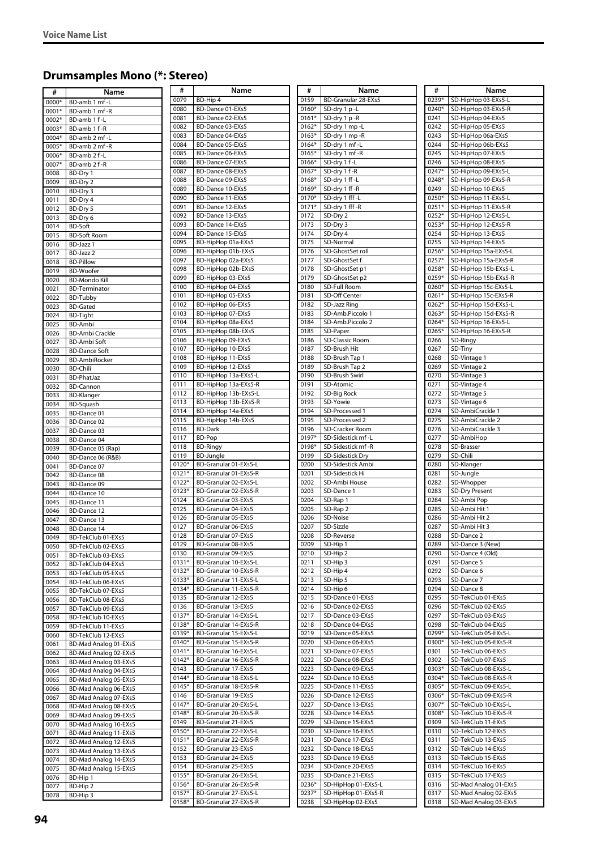# **Drumsamples Mono (\*: Stereo)**

| #     | Name                   | Ħ       | Name                  | Ħ       | Name                | #     | Name                  |
|-------|------------------------|---------|-----------------------|---------|---------------------|-------|-----------------------|
| 0000* | BD-amb 1 mf-L          | 0079    | BD-Hip 4              | 0159    | BD-Granular 28-EXs5 | 0239* | SD-HipHop 03-EXs5-L   |
| 0001* | BD-amb 1 mf-R          | 0080    | BD-Dance 01-EXs5      | 0160*   | SD-dry 1 p-L        | 0240* | SD-HipHop 03-EXs5-R   |
| 0002* | BD-amb 1 f-L           | 0081    | BD-Dance 02-EXs5      | $0161*$ | SD-dry 1 p-R        | 0241  | SD-HipHop 04-EXs5     |
| 0003* | BD-amb 1 f-R           | 0082    | BD-Dance 03-EXs5      | $0162*$ | SD-dry 1 mp -L      | 0242  | SD-HipHop 05-EXs5     |
|       |                        | 0083    | BD-Dance 04-EXs5      | $0163*$ | SD-dry 1 mp -R      | 0243  | SD-HipHop 06a-EXs5    |
| 0004* | BD-amb 2 mf-L          | 0084    | BD-Dance 05-EXs5      | 0164*   | SD-dry 1 mf -L      | 0244  | SD-HipHop 06b-EXs5    |
| 0005* | BD-amb 2 mf-R          |         |                       |         |                     |       |                       |
| 0006* | BD-amb 2 f-L           | 0085    | BD-Dance 06-EXs5      | 0165*   | SD-dry 1 mf -R      | 0245  | SD-HipHop 07-EXs5     |
| 0007* | BD-amb 2 f-R           | 0086    | BD-Dance 07-EXs5      | 0166*   | SD-dry 1 f-L        | 0246  | SD-HipHop 08-EXs5     |
| 0008  | BD-Dry 1               | 0087    | BD-Dance 08-EXs5      | 0167*   | SD-dry 1 f-R        | 0247* | SD-HipHop 09-EXs5-L   |
| 0009  | BD-Dry 2               | 0088    | BD-Dance 09-EXs5      | 0168*   | SD-dry 1 ff-L       | 0248* | SD-HipHop 09-EXs5-R   |
| 0010  | BD-Dry 3               | 0089    | BD-Dance 10-EXs5      | 0169*   | SD-dry 1 ff -R      | 0249  | SD-HipHop 10-EXs5     |
|       |                        | 0090    | BD-Dance 11-EXs5      | 0170*   | SD-dry 1 fff -L     | 0250* | SD-HipHop 11-EXs5-L   |
| 0011  | BD-Dry 4               |         | BD-Dance 12-EXs5      |         |                     |       |                       |
| 0012  | BD-Dry 5               | 0091    |                       | 0171*   | SD-dry 1 fff -R     | 0251* | SD-HipHop 11-EXs5-R   |
| 0013  | BD-Dry 6               | 0092    | BD-Dance 13-EXs5      | 0172    | SD-Dry 2            | 0252* | SD-HipHop 12-EXs5-L   |
| 0014  | <b>BD-Soft</b>         | 0093    | BD-Dance 14-EXs5      | 0173    | SD-Dry 3            | 0253* | SD-HipHop 12-EXs5-R   |
| 0015  | <b>BD-Soft Room</b>    | 0094    | BD-Dance 15-EXs5      | 0174    | SD-Dry 4            | 0254  | SD-HipHop 13-EXs5     |
| 0016  | BD-Jazz 1              | 0095    | BD-HipHop 01a-EXs5    | 0175    | SD-Normal           | 0255  | SD-HipHop 14-EXs5     |
|       |                        | 0096    | BD-HipHop 01b-EXs5    | 0176    | SD-GhostSet roll    | 0256* | SD-HipHop 15a-EXs5-L  |
| 0017  | BD-Jazz 2              | 0097    | BD-HipHop 02a-EXs5    | 0177    | SD-GhostSet f       | 0257* | SD-HipHop 15a-EXs5-R  |
| 0018  | <b>BD-Pillow</b>       |         |                       |         |                     |       |                       |
| 0019  | <b>BD-Woofer</b>       | 0098    | BD-HipHop 02b-EXs5    | 0178    | SD-GhostSet p1      | 0258* | SD-HipHop 15b-EXs5-L  |
| 0020  | <b>BD-Mondo Kill</b>   | 0099    | BD-HipHop 03-EXs5     | 0179    | SD-GhostSet p2      | 0259* | SD-HipHop 15b-EXs5-R  |
| 0021  | <b>BD-Terminator</b>   | 0100    | BD-HipHop 04-EXs5     | 0180    | SD-Full Room        | 0260* | SD-HipHop 15c-EXs5-L  |
| 0022  | <b>BD-Tubby</b>        | 0101    | BD-HipHop 05-EXs5     | 0181    | SD-Off Center       | 0261* | SD-HipHop 15c-EXs5-R  |
| 0023  | <b>BD-Gated</b>        | 0102    | BD-HipHop 06-EXs5     | 0182    | SD-Jazz Ring        | 0262* | SD-HipHop 15d-EXs5-L  |
|       |                        | 0103    | BD-HipHop 07-EXs5     | 0183    | SD-Amb.Piccolo 1    | 0263* | SD-HipHop 15d-EXs5-R  |
| 0024  | <b>BD-Tight</b>        |         |                       |         |                     |       |                       |
| 0025  | <b>BD-Ambi</b>         | 0104    | BD-HipHop 08a-EXs5    | 0184    | SD-Amb.Piccolo 2    | 0264* | SD-HipHop 16-EXs5-L   |
| 0026  | <b>BD-Ambi Crackle</b> | 0105    | BD-HipHop 08b-EXs5    | 0185    | SD-Paper            | 0265* | SD-HipHop 16-EXs5-R   |
| 0027  | <b>BD-Ambi Soft</b>    | 0106    | BD-HipHop 09-EXs5     | 0186    | SD-Classic Room     | 0266  | SD-Ringy              |
| 0028  | <b>BD-Dance Soft</b>   | 0107    | BD-HipHop 10-EXs5     | 0187    | SD-Brush Hit        | 0267  | SD-Tiny               |
| 0029  | <b>BD-AmbiRocker</b>   | 0108    | BD-HipHop 11-EXs5     | 0188    | SD-Brush Tap 1      | 0268  | SD-Vintage 1          |
|       |                        | 0109    | BD-HipHop 12-EXs5     | 0189    | SD-Brush Tap 2      | 0269  | SD-Vintage 2          |
| 0030  | <b>BD-Chili</b>        | 0110    | BD-HipHop 13a-EXs5-L  | 0190    | SD-Brush Swirl      | 0270  | SD-Vintage 3          |
| 0031  | <b>BD-PhatJaz</b>      |         |                       |         |                     |       |                       |
| 0032  | <b>BD-Cannon</b>       | 0111    | BD-HipHop 13a-EXs5-R  | 0191    | SD-Atomic           | 0271  | SD-Vintage 4          |
| 0033  | <b>BD-Klanger</b>      | 0112    | BD-HipHop 13b-EXs5-L  | 0192    | SD-Big Rock         | 0272  | SD-Vintage 5          |
| 0034  | BD-Squash              | 0113    | BD-HipHop 13b-EXs5-R  | 0193    | SD-Yowie            | 0273  | SD-Vintage 6          |
| 0035  | BD-Dance 01            | 0114    | BD-HipHop 14a-EXs5    | 0194    | SD-Processed 1      | 0274  | SD-AmbiCrackle 1      |
| 0036  | BD-Dance 02            | 0115    | BD-HipHop 14b-EXs5    | 0195    | SD-Processed 2      | 0275  | SD-AmbiCrackle 2      |
|       |                        | 0116    | <b>BD-Dark</b>        | 0196    | SD-Cracker Room     | 0276  | SD-AmbiCrackle 3      |
| 0037  | BD-Dance 03            | 0117    | BD-Pop                | 0197*   | SD-Sidestick mf-L   | 0277  | SD-AmbiHop            |
| 0038  | <b>BD-Dance 04</b>     |         |                       |         |                     |       |                       |
| 0039  | BD-Dance 05 (Rap)      | 0118    | <b>BD-Ringy</b>       | 0198*   | SD-Sidestick mf-R   | 0278  | SD-Brasser            |
| 0040  | BD-Dance 06 (R&B)      | 0119    | <b>BD-Jungle</b>      | 0199    | SD-Sidestick Dry    | 0279  | SD-Chili              |
| 0041  | BD-Dance 07            | 0120*   | BD-Granular 01-EXs5-L | 0200    | SD-Sidestick Ambi   | 0280  | SD-Klanger            |
| 0042  | BD-Dance 08            | $0121*$ | BD-Granular 01-EXs5-R | 0201    | SD-Sidestick Hi     | 0281  | SD-Jungle             |
| 0043  | BD-Dance 09            | 0122*   | BD-Granular 02-EXs5-L | 0202    | SD-Ambi House       | 0282  | SD-Whopper            |
|       |                        | 0123*   | BD-Granular 02-EXs5-R | 0203    | SD-Dance 1          | 0283  | <b>SD-Dry Present</b> |
| 0044  | <b>BD-Dance 10</b>     | 0124    | BD-Granular 03-EXs5   | 0204    | SD-Rap 1            | 0284  | SD-Ambi Pop           |
| 0045  | <b>BD-Dance 11</b>     |         |                       |         |                     |       |                       |
| 0046  | BD-Dance 12            | 0125    | BD-Granular 04-EXs5   | 0205    | SD-Rap 2            | 0285  | SD-Ambi Hit 1         |
| 0047  | <b>BD-Dance 13</b>     | 0126    | BD-Granular 05-EXs5   | 0206    | SD-Noise            | 0286  | SD-Ambi Hit 2         |
| 0048  | <b>BD-Dance 14</b>     | 0127    | BD-Granular 06-EXs5   | 0207    | SD-Sizzle           | 0287  | SD-Ambi Hit 3         |
| 0049  | BD-TekClub 01-EXs5     | 0128    | BD-Granular 07-EXs5   | 0208    | SD-Reverse          | 0288  | SD-Dance 2            |
|       |                        | 0129    | BD-Granular 08-EXs5   | 0209    | SD-Hip 1            | 0289  | SD-Dance 3 (New)      |
| 0050  | BD-TekClub 02-EXs5     | 0130    | BD-Granular 09-EXs5   | 0210    | SD-Hip 2            | 0290  | SD-Dance 4 (Old)      |
| 0051  | BD-TekClub 03-EXs5     |         |                       |         |                     |       | SD-Dance 5            |
| 0052  | BD-TekClub 04-EXs5     | $0131*$ | BD-Granular 10-EXs5-L | 0211    | SD-Hip 3            | 0291  |                       |
| 0053  | BD-TekClub 05-EXs5     | 0132*   | BD-Granular 10-EXs5-R | 0212    | SD-Hip 4            | 0292  | SD-Dance 6            |
| 0054  | BD-TekClub 06-EXs5     | 0133*   | BD-Granular 11-EXs5-L | 0213    | SD-Hip 5            | 0293  | SD-Dance 7            |
| 0055  | BD-TekClub 07-EXs5     | 0134*   | BD-Granular 11-EXs5-R | 0214    | SD-Hip 6            | 0294  | SD-Dance 8            |
| 0056  | BD-TekClub 08-EXs5     | 0135    | BD-Granular 12-EXs5   | 0215    | SD-Dance 01-EXs5    | 0295  | SD-TekClub 01-EXs5    |
| 0057  | BD-TekClub 09-EXs5     | 0136    | BD-Granular 13-EXs5   | 0216    | SD-Dance 02-EXs5    | 0296  | SD-TekClub 02-EXs5    |
|       |                        | 0137*   | BD-Granular 14-EXs5-L | 0217    | SD-Dance 03-EXs5    | 0297  | SD-TekClub 03-EXs5    |
| 0058  | BD-TekClub 10-EXs5     | 0138*   | BD-Granular 14-EXs5-R | 0218    | SD-Dance 04-EXs5    | 0298  | SD-TekClub 04-EXs5    |
| 0059  | BD-TekClub 11-EXs5     |         |                       |         |                     |       |                       |
| 0060  | BD-TekClub 12-EXs5     | 0139*   | BD-Granular 15-EXs5-L | 0219    | SD-Dance 05-EXs5    | 0299* | SD-TekClub 05-EXs5-L  |
| 0061  | BD-Mad Analog 01-EXs5  | 0140*   | BD-Granular 15-EXs5-R | 0220    | SD-Dance 06-EXs5    | 0300* | SD-TekClub 05-EXs5-R  |
| 0062  | BD-Mad Analog 02-EXs5  | $0141*$ | BD-Granular 16-EXs5-L | 0221    | SD-Dance 07-EXs5    | 0301  | SD-TekClub 06-EXs5    |
| 0063  | BD-Mad Analog 03-EXs5  | 0142*   | BD-Granular 16-EXs5-R | 0222    | SD-Dance 08-EXs5    | 0302  | SD-TekClub 07-EXs5    |
| 0064  | BD-Mad Analog 04-EXs5  | 0143    | BD-Granular 17-EXs5   | 0223    | SD-Dance 09-EXs5    | 0303* | SD-TekClub 08-EXs5-L  |
|       |                        | 0144*   | BD-Granular 18-EXs5-L | 0224    | SD-Dance 10-EXs5    | 0304* | SD-TekClub 08-EXs5-R  |
| 0065  | BD-Mad Analog 05-EXs5  | 0145*   | BD-Granular 18-EXs5-R | 0225    | SD-Dance 11-EXs5    | 0305* | SD-TekClub 09-EXs5-L  |
| 0066  | BD-Mad Analog 06-EXs5  |         |                       |         |                     |       |                       |
| 0067  | BD-Mad Analog 07-EXs5  | 0146    | BD-Granular 19-EXs5   | 0226    | SD-Dance 12-EXs5    | 0306* | SD-TekClub 09-EXs5-R  |
| 0068  | BD-Mad Analog 08-EXs5  | 0147*   | BD-Granular 20-EXs5-L | 0227    | SD-Dance 13-EXs5    | 0307* | SD-TekClub 10-EXs5-L  |
| 0069  | BD-Mad Analog 09-EXs5  | 0148*   | BD-Granular 20-EXs5-R | 0228    | SD-Dance 14-EXs5    | 0308* | SD-TekClub 10-EXs5-R  |
| 0070  | BD-Mad Analog 10-EXs5  | 0149    | BD-Granular 21-EXs5   | 0229    | SD-Dance 15-EXs5    | 0309  | SD-TekClub 11-EXs5    |
| 0071  | BD-Mad Analog 11-EXs5  | 0150*   | BD-Granular 22-EXs5-L | 0230    | SD-Dance 16-EXs5    | 0310  | SD-TekClub 12-EXs5    |
|       |                        | 0151*   | BD-Granular 22-EXs5-R | 0231    | SD-Dance 17-EXs5    | 0311  | SD-TekClub 13-EXs5    |
| 0072  | BD-Mad Analog 12-EXs5  |         |                       |         |                     |       |                       |
| 0073  | BD-Mad Analog 13-EXs5  | 0152    | BD-Granular 23-EXs5   | 0232    | SD-Dance 18-EXs5    | 0312  | SD-TekClub 14-EXs5    |
| 0074  | BD-Mad Analog 14-EXs5  | 0153    | BD-Granular 24-EXs5   | 0233    | SD-Dance 19-EXs5    | 0313  | SD-TekClub 15-EXs5    |
| 0075  | BD-Mad Analog 15-EXs5  | 0154    | BD-Granular 25-EXs5   | 0234    | SD-Dance 20-EXs5    | 0314  | SD-TekClub 16-EXs5    |
| 0076  | BD-Hip 1               | 0155*   | BD-Granular 26-EXs5-L | 0235    | SD-Dance 21-EXs5    | 0315  | SD-TekClub 17-EXs5    |
| 0077  | BD-Hip 2               | 0156*   | BD-Granular 26-EXs5-R | 0236*   | SD-HipHop 01-EXs5-L | 0316  | SD-Mad Analog 01-EXs5 |
|       |                        | 0157*   | BD-Granular 27-EXs5-L | 0237*   | SD-HipHop 01-EXs5-R | 0317  | SD-Mad Analog 02-EXs5 |
| 0078  | BD-Hip 3               | 0158*   |                       | 0238    |                     | 0318  | SD-Mad Analog 03-EXs5 |
|       |                        |         | BD-Granular 27-EXs5-R |         | SD-HipHop 02-EXs5   |       |                       |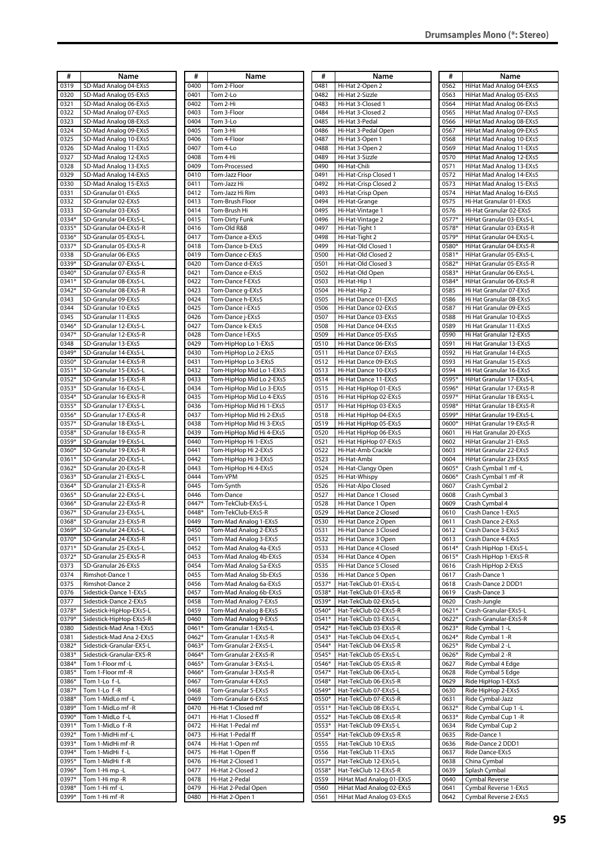| #       | Name                     |
|---------|--------------------------|
| 0319    | SD-Mad Analog 04-EXs5    |
| 0320    | SD-Mad Analog 05-EXs5    |
| 0321    | SD-Mad Analog 06-EXs5    |
| 0322    | SD-Mad Analog 07-EXs5    |
| 0323    | SD-Mad Analog 08-EXs5    |
| 0324    | SD-Mad Analog 09-EXs5    |
| 0325    | SD-Mad Analog 10-EXs5    |
|         |                          |
| 0326    | SD-Mad Analog 11-EXs5    |
| 0327    | SD-Mad Analog 12-EXs5    |
| 0328    | SD-Mad Analog 13-EXs5    |
| 0329    | SD-Mad Analog 14-EXs5    |
| 0330    | SD-Mad Analog 15-EXs5    |
| 0331    | SD-Granular 01-EXs5      |
| 0332    | SD-Granular 02-EXs5      |
|         | SD-Granular 03-EXs5      |
| 0333    |                          |
| 0334*   | SD-Granular 04-EXs5-L    |
| 0335*   | SD-Granular 04-EXs5-R    |
| 0336*   | SD-Granular 05-EXs5-L    |
| 0337*   | SD-Granular 05-EXs5-R    |
| 0338    | SD-Granular 06-EXs5      |
| 0339*   | SD-Granular 07-EXs5-L    |
| 0340*   | SD-Granular 07-EXs5-R    |
|         |                          |
| 0341*   | SD-Granular 08-EXs5-L    |
| $0342*$ | SD-Granular 08-EXs5-R    |
| 0343    | SD-Granular 09-EXs5      |
| 0344    | SD-Granular 10-EXs5      |
| 0345    | SD-Granular 11-EXs5      |
| 0346*   | SD-Granular 12-EXs5-L    |
| 0347*   | SD-Granular 12-EXs5-R    |
|         | SD-Granular 13-EXs5      |
| 0348    |                          |
| 0349*   | SD-Granular 14-EXs5-L    |
| 0350*   | SD-Granular 14-EXs5-R    |
| 0351*   | SD-Granular 15-EXs5-L    |
| 0352*   | SD-Granular 15-EXs5-R    |
| 0353*   | SD-Granular 16-EXs5-L    |
| 0354*   | SD-Granular 16-EXs5-R    |
| 0355*   | SD-Granular 17-EXs5-L    |
| 0356*   | SD-Granular 17-EXs5-R    |
|         |                          |
| 0357*   | SD-Granular 18-EXs5-L    |
| 0358*   | SD-Granular 18-EXs5-R    |
| 0359*   | SD-Granular 19-EXs5-L    |
| 0360*   | SD-Granular 19-EXs5-R    |
| 0361*   | SD-Granular 20-EXs5-L    |
| 0362*   | SD-Granular 20-EXs5-R    |
| 0363*   | SD-Granular 21-EXs5-L    |
| 0364*   | SD-Granular 21-EXs5-R    |
|         |                          |
| 0365*   | SD-Granular 22-EXs5-L    |
| 0366*   | SD-Granular 22-EXs5-R    |
| 0367*   | SD-Granular 23-EXs5-L    |
| 0368*   | SD-Granular 23-EXs5-R    |
| 0369*   | SD-Granular 24-EXs5-L    |
| 0370*   | SD-Granular 24-EXs5-R    |
| 0371*   | SD-Granular 25-EXs5-L    |
| 0372*   |                          |
|         | SD-Granular 25-EXs5-R    |
| 0373    | SD-Granular 26-EXs5      |
| 0374    | Rimshot-Dance 1          |
| 0375    | Rimshot-Dance 2          |
| 0376    | Sidestick-Dance 1-EXs5   |
| 0377    | Sidestick-Dance 2-EXs5   |
| 0378*   | Sidestick-HipHop-EXs5-L  |
| 0379*   | Sidestick-HipHop-EXs5-R  |
| 0380    | Sidestick-Mad Ana 1-EXs5 |
|         |                          |
| 0381    | Sidestick-Mad Ana 2-EXs5 |
| 0382*   | Sidestick-Granular-EX5-L |
| 0383*   | Sidestick-Granular-EX5-R |
| 0384*   | Tom 1-Floor mf-L         |
| 0385*   | Tom 1-Floor mf -R        |
| 0386*   | Tom 1-Lo f-L             |
| 0387*   | Tom 1-Lo f-R             |
| 0388*   | Tom 1-MidLo mf-L         |
|         |                          |
| 0389*   | Tom 1-MidLo mf-R         |
| 0390*   | Tom 1-MidLo f-L          |
| 0391*   | Tom 1-MidLo f-R          |
| 0392*   | Tom 1-MidHi mf-L         |
| 0393*   | Tom 1-MidHi mf -R        |
| 0394*   | Tom 1-MidHi f-L          |
| 0395*   | Tom 1-MidHi f-R          |
| 0396*   | Tom 1-Hi mp -L           |
|         |                          |
| 0397*   | Tom 1-Hi mp -R           |
| 0398*   | Tom 1-Hi mf -L           |

0399\* Tom 1-Hi mf -R

| #                | Name                                                 |
|------------------|------------------------------------------------------|
| 0400             | Tom 2-Floor                                          |
| 0401<br>0402     | Tom 2-Lo<br>Tom 2-Hi                                 |
| 0403             | Tom 3-Floor                                          |
| 0404             | Tom 3-Lo                                             |
| 0405             | Tom 3-Hi                                             |
| 0406<br>0407     | Tom 4-Floor<br>Tom 4-Lo                              |
| 0408             | Tom 4-Hi                                             |
| 0409             | Tom-Processed                                        |
| 0410             | Tom-Jazz Floor                                       |
| 0411<br>0412     | Tom-Jazz Hi<br>Tom-Jazz Hi Rim                       |
| 0413             | Tom-Brush Floor                                      |
| 0414             | Tom-Brush Hi                                         |
| 0415             | Tom-Dirty Funk                                       |
| 0416<br>0417     | Tom-Old R&B                                          |
| 0418             | Tom-Dance a-EXs5<br>Tom-Dance b-EXs5                 |
| 0419             | Tom-Dance c-EXs5                                     |
| 0420             | Tom-Dance d-EXs5                                     |
| 0421<br>0422     | Tom-Dance e-EXs5<br>Tom-Dance f-EXs5                 |
| 0423             | Tom-Dance g-EXs5                                     |
| 0424             | Tom-Dance h-EXs5                                     |
| 0425             | Tom-Dance i-EXs5                                     |
| 0426             | Tom-Dance j-EXs5                                     |
| 0427<br>0428     | Tom-Dance k-EXs5<br>Tom-Dance I-EXs5                 |
| 0429             | Tom-HipHop Lo 1-EXs5                                 |
| 0430             | Tom-HipHop Lo 2-EXs5                                 |
| 0431             | Tom-HipHop Lo 3-EXs5                                 |
| 0432<br>0433     | Tom-HipHop Mid Lo 1-EXs5<br>Tom-HipHop Mid Lo 2-EXs5 |
| 0434             | Tom-HipHop Mid Lo 3-EXs5                             |
| 0435             | Tom-HipHop Mid Lo 4-EXs5                             |
| 0436             | Tom-HipHop Mid Hi 1-EXs5                             |
| 0437<br>0438     | Tom-HipHop Mid Hi 2-EXs5<br>Tom-HipHop Mid Hi 3-EXs5 |
| 0439             | Tom-HipHop Mid Hi 4-EXs5                             |
| 0440             | Tom-HipHop Hi 1-EXs5                                 |
| 0441<br>0442     | Tom-HipHop Hi 2-EXs5<br>Tom-HipHop Hi 3-EXs5         |
| 0443             | Tom-HipHop Hi 4-EXs5                                 |
| 0444             | Tom-VPM                                              |
| 0445             | Tom-Synth                                            |
| 0446<br>0447*    | Tom-Dance<br>Tom-TekClub-EXs5-L                      |
| 0448*            | Tom-TekClub-EXs5-R                                   |
| 0449             | Tom-Mad Analog 1-EXs5                                |
| 0450             | Tom-Mad Analog 2-EXs5                                |
| 0451<br>0452     | Tom-Mad Analog 3-EXs5<br>Tom-Mad Analog 4a-EXs5      |
| 0453             | Tom-Mad Analog 4b-EXs5                               |
| 0454             | Tom-Mad Analog 5a-EXs5                               |
| 0455             | Tom-Mad Analog 5b-EXs5                               |
| 0456<br>0457     | Tom-Mad Analog 6a-EXs5<br>Tom-Mad Analog 6b-EXs5     |
| 0458             | Tom-Mad Analog 7-EXs5                                |
| 0459             | Tom-Mad Analog 8-EXs5                                |
| 0460             | Tom-Mad Analog 9-EXs5                                |
| 0461*<br>0462*   | Tom-Granular 1-EXs5-L<br>Tom-Granular 1-EXs5-R       |
| 0463*            | Tom-Granular 2-EXs5-L                                |
| 0464*            | Tom-Granular 2-EXs5-R                                |
| $0465*$<br>0466* | Tom-Granular 3-EXs5-L<br>Tom-Granular 3-EXs5-R       |
| 0467             | Tom-Granular 4-EXs5                                  |
| 0468             | Tom-Granular 5-EXs5                                  |
| 0469             | Tom-Granular 6-EXs5                                  |
| 0470<br>0471     | Hi-Hat 1-Closed mf<br>Hi-Hat 1-Closed ff             |
| 0472             | Hi-Hat 1-Pedal mf                                    |
| 0473             | Hi-Hat 1-Pedal ff                                    |
| 0474             | Hi-Hat 1-Open mf                                     |
| 0475<br>0476     | Hi-Hat 1-Open ff<br>Hi-Hat 2-Closed 1                |
| 0477             | Hi-Hat 2-Closed 2                                    |
| 0478             | Hi-Hat 2-Pedal                                       |
| 0479             | Hi-Hat 2-Pedal Open                                  |
| 0480             | Hi-Hat 2-Open 1                                      |

| #                | Name                                           |
|------------------|------------------------------------------------|
| 0481             | Hi-Hat 2-Open 2                                |
| 0482             | Hi-Hat 2-Sizzle                                |
| 0483             | Hi-Hat 3-Closed 1                              |
| 0484<br>0485     | Hi-Hat 3-Closed 2<br>Hi-Hat 3-Pedal            |
| 0486             | Hi-Hat 3-Pedal Open                            |
| 0487             | Hi-Hat 3-Open 1                                |
| 0488             | Hi-Hat 3-Open 2                                |
| 0489             | Hi-Hat 3-Sizzle                                |
| 0490<br>0491     | Hi-Hat-Chili<br>Hi-Hat-Crisp Closed 1          |
| 0492             | Hi-Hat-Crisp Closed 2                          |
| 0493             | Hi-Hat-Crisp Open                              |
| 0494             | Hi-Hat-Grange                                  |
| 0495             | Hi-Hat-Vintage                                 |
| 0496<br>0497     | Hi-Hat-Vintage 2<br>Hi-Hat-Tight 1             |
| 0498             | Hi-Hat-Tight 2                                 |
| 0499             | Hi-Hat-Old Closed 1                            |
| 0500             | Hi-Hat-Old Closed 2                            |
| 0501             | Hi-Hat-Old Closed 3                            |
| 0502<br>0503     | Hi-Hat-Old Open<br>Hi-Hat-Hip 1                |
| 0504             | Hi-Hat-Hip 2                                   |
| 0505             | Hi-Hat Dance 01-EXs5                           |
| 0506             | Hi-Hat Dance 02-EXs5                           |
| 0507             | Hi-Hat Dance 03-EXs5                           |
| 0508             | Hi-Hat Dance 04-EXs5                           |
| 0509<br>0510     | Hi-Hat Dance 05-EXs5<br>Hi-Hat Dance 06-EXs5   |
| 0511             | Hi-Hat Dance 07-EXs5                           |
| 0512             | Hi-Hat Dance 09-EXs5                           |
| 0513             | Hi-Hat Dance 10-EXs5                           |
| 0514<br>0515     | Hi-Hat Dance 11-EXs5<br>Hi-Hat HipHop 01-EXs5  |
| 0516             | Hi-Hat HipHop 02-EXs5                          |
| 0517             | Hi-Hat HipHop 03-EXs5                          |
| 0518             | Hi-Hat HipHop 04-EXs5                          |
| 0519<br>0520     | Hi-Hat HipHop 05-EXs5<br>Hi-Hat HipHop 06-EXs5 |
| 0521             | Hi-Hat HipHop 07-EXs5                          |
| 0522             | Hi-Hat-Amb Crackle                             |
| 0523             | Hi-Hat-Ambi                                    |
| 0524<br>0525     | Hi-Hat-Clangy Open<br>Hi-Hat-Whispy            |
| 0526             | Hi-Hat-Alpo Closed                             |
| 0527             | Hi-Hat Dance 1 Closed                          |
| 0528             | Hi-Hat Dance 1 Open                            |
| 0529<br>0530     | Hi-Hat Dance 2 Closed<br>Hi-Hat Dance 2 Open   |
| 0531             | Hi-Hat Dance 3 Closed                          |
| 0532             | Hi-Hat Dance 3 Open                            |
| 0533             | Hi-Hat Dance 4 Closed                          |
| 0534             | Hi-Hat Dance 4 Open                            |
| 0535<br>0536     | Hi-Hat Dance 5 Closed<br>Hi-Hat Dance 5 Open   |
| 0537*            | Hat-TekClub 01-EXs5-L                          |
| 0538*            | Hat-TekClub 01-EXs5-R                          |
| 0539*            | Hat-TekClub 02-EXs5-L                          |
| 0540*            | Hat-TekClub 02-EXs5-R                          |
| 0541*<br>0542*   | Hat-TekClub 03-EXs5-L<br>Hat-TekClub 03-EXs5-R |
| 0543*            | Hat-TekClub 04-EXs5-L                          |
| $0544*$          | Hat-TekClub 04-EXs5-R                          |
| 0545*            | Hat-TekClub 05-EXs5-L                          |
| 0546*<br>$0547*$ | Hat-TekClub 05-EXs5-R<br>Hat-TekClub 06-EXs5-L |
| 0548*            | Hat-TekClub 06-EXs5-R                          |
| 0549*            | Hat-TekClub 07-EXs5-L                          |
| 0550*            | Hat-TekClub 07-EXs5-R                          |
| 0551*<br>0552*   | Hat-TekClub 08-EXs5-L                          |
| 0553*            | Hat-TekClub 08-EXs5-R<br>Hat-TekClub 09-EXs5-L |
| 0554*            | Hat-TekClub 09-EXs5-R                          |
| 0555             | Hat-TekClub 10-EXs5                            |
| 0556             | Hat-TekClub 11-EXs5                            |
| 0557*<br>0558*   | Hat-TekClub 12-EXs5-L<br>Hat-TekClub 12-EXs5-R |
| 0559             | HiHat Mad Analog 01-EXs5                       |
| 0560             | HiHat Mad Analog 02-EXs5                       |
| 0561             | HiHat Mad Analog 03-EXs5                       |

| #       | Name                     |
|---------|--------------------------|
| 0562    | HiHat Mad Analog 04-EXs5 |
| 0563    | HiHat Mad Analog 05-EXs5 |
| 0564    | HiHat Mad Analog 06-EXs5 |
| 0565    | HiHat Mad Analog 07-EXs5 |
| 0566    | HiHat Mad Analog 08-EXs5 |
|         |                          |
| 0567    | HiHat Mad Analog 09-EXs5 |
| 0568    | HiHat Mad Analog 10-EXs5 |
| 0569    | HiHat Mad Analog 11-EXs5 |
| 0570    | HiHat Mad Analog 12-EXs5 |
| 0571    | HiHat Mad Analog 13-EXs5 |
| 0572    | HiHat Mad Analog 14-EXs5 |
| 0573    | HiHat Mad Analog 15-EXs5 |
| 0574    | HiHat Mad Analog 16-EXs5 |
| 0575    | Hi-Hat Granular 01-EXs5  |
| 0576    | Hi-Hat Granular 02-EXs5  |
| 0577*   | HiHat Granular 03-EXs5-L |
| $0578*$ | HiHat Granular 03-EXs5-R |
| 0579*   | HiHat Granular 04-EXs5-L |
| 0580*   | HiHat Granular 04-EXs5-R |
| 0581*   | HiHat Granular 05-EXs5-L |
| 0582*   | HiHat Granular 05-EXs5-R |
| 0583*   | HiHat Granular 06-EXs5-L |
|         |                          |
| 0584*   | HiHat Granular 06-EXs5-R |
| 0585    | Hi Hat Granular 07-EXs5  |
| 0586    | Hi Hat Granular 08-EXs5  |
| 0587    | Hi Hat Granular 09-EXs5  |
| 0588    | Hi Hat Granular 10-EXs5  |
| 0589    | Hi Hat Granular 11-EXs5  |
| 0590    | Hi Hat Granular 12-EXs5  |
| 0591    | Hi Hat Granular 13-EXs5  |
| 0592    | Hi Hat Granular 14-EXs5  |
| 0593    | Hi Hat Granular 15-EXs5  |
| 0594    | Hi Hat Granular 16-EXs5  |
| 0595*   | HiHat Granular 17-EXs5-L |
| 0596*   | HiHat Granular 17-EXs5-R |
| 0597*   | HiHat Granular 18-EXs5-L |
| 0598*   | HiHat Granular 18-EXs5-R |
| 0599*   | HiHat Granular 19-EXs5-L |
| 0600*   | HiHat Granular 19-EXs5-R |
| 0601    | Hi Hat Granular 20-EXs5  |
| 0602    | HiHat Granular 21-EXs5   |
| 0603    | HiHat Granular 22-EXs5   |
| 0604    | HiHat Granular 23-EXs5   |
| 0605*   | Crash Cymbal 1 mf -L     |
| 0606*   | Crash Cymbal 1 mf -R     |
| 0607    | Crash Cymbal 2           |
| 0608    | Crash Cymbal 3           |
| 0609    | Crash Cymbal 4           |
| 0610    | Crash Dance 1-EXs5       |
| 0611    | Crash Dance 2-EXs5       |
| 0612    | Crash Dance 3-EXs5       |
| 0613    | Crash Dance 4-EXs5       |
| 0614*   | Crash HipHop 1-EXs5-L    |
| 0615*   | Crash HipHop 1-EXs5-R    |
| 0616    | Crash HipHop 2-EXs5      |
| 0617    | Crash-Dance 1            |
| 0618    | Crash-Dance 2 DDD1       |
| 0619    | Crash-Dance 3            |
| 0620    | Crash-Jungle             |
| 0621*   | Crash-Granular-EXs5-L    |
| 0622*   | Crash-Granular-EXs5-R    |
| 0623*   | Ride Cymbal 1 -L         |
| 0624*   | Ride Cymbal 1 - R        |
| 0625*   | Ride Cymbal 2 -L         |
| 0626*   | Ride Cymbal 2 - R        |
| 0627    | Ride Cymbal 4 Edge       |
|         |                          |
| 0628    | Ride Cymbal 5 Edge       |
| 0629    | Ride HipHop 1-EXs5       |
| 0630    | Ride HipHop 2-EXs5       |
| 0631    | Ride Cymbal-Jazz         |
| 0632*   | Ride Cymbal Cup 1-L      |
| 0633*   | Ride Cymbal Cup 1 - R    |
| 0634    | Ride Cymbal Cup 2        |
| 0635    | Ride-Dance 1             |
| 0636    | Ride-Dance 2 DDD1        |
| 0637    | Ride Dance-EXs5          |
| 0638    | China Cymbal             |
| 0639    | Splash Cymbal            |
| 0640    | Cymbal Reverse           |
| 0641    | Cymbal Reverse 1-EXs5    |
| 0642    | Cymbal Reverse 2-EXs5    |
|         |                          |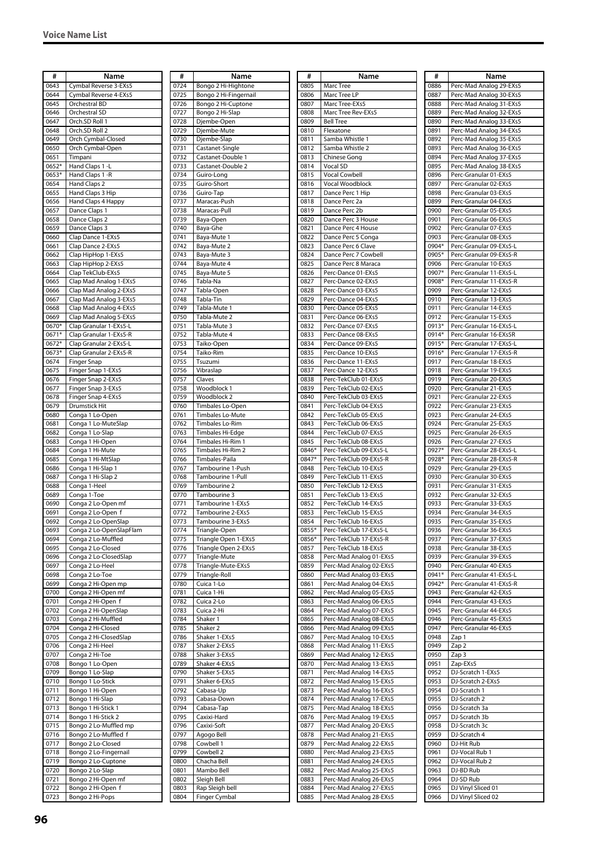| #            | Name                                       |
|--------------|--------------------------------------------|
| 0643         | Cymbal Reverse 3-EXs5                      |
| 0644         | Cymbal Reverse 4-EXs5                      |
| 0645         | Orchestral BD                              |
| 0646         | Orchestral SD                              |
| 0647<br>0648 | Orch.SD Roll 1<br>Orch.SD Roll 2           |
| 0649         | Orch Cymbal-Closed                         |
| 0650         | Orch Cymbal-Open                           |
| 0651         | Timpani                                    |
| 0652*        | Hand Claps 1 -L                            |
| 0653*        | Hand Claps 1 -R                            |
| 0654         | Hand Claps 2                               |
| 0655         | Hand Claps 3 Hip                           |
| 0656         | Hand Claps 4 Happy                         |
| 0657         | Dance Claps 1                              |
| 0658         | Dance Claps 2                              |
| 0659         | Dance Claps 3                              |
| 0660         | Clap Dance 1-EXs5                          |
| 0661         | Clap Dance 2-EXs5                          |
| 0662         | Clap HipHop 1-EXs5                         |
| 0663         | Clap HipHop 2-EXs5                         |
| 0664         | Clap TekClub-EXs5                          |
| 0665         | Clap Mad Analog 1-EXs5                     |
| 0666         | Clap Mad Analog 2-EXs5                     |
| 0667         | Clap Mad Analog 3-EXs5                     |
| 0668         | Clap Mad Analog 4-EXs5                     |
| 0669         | Clap Mad Analog 5-EXs5                     |
| 0670*        | Clap Granular 1-EXs5-L                     |
| 0671*        | Clap Granular 1-EXs5-R                     |
| 0672*        | Clap Granular 2-EXs5-L                     |
| 0673*        | Clap Granular 2-EXs5-R                     |
| 0674         | Finger Snap                                |
| 0675<br>0676 | Finger Snap 1-EXs5<br>Finger Snap 2-EXs5   |
| 0677         | Finger Snap 3-EXs5                         |
| 0678         | Finger Snap 4-EXs5                         |
| 0679         | Drumstick Hit                              |
| 0680         | Conga 1 Lo-Open                            |
| 0681         | Conga 1 Lo-MuteSlap                        |
| 0682         | Conga 1 Lo-Slap                            |
| 0683         | Conga 1 Hi-Open                            |
| 0684         | Conga 1 Hi-Mute                            |
| 0685         | Conga 1 Hi-MtSlap                          |
| 0686         | Conga 1 Hi-Slap 1                          |
| 0687         | Conga 1 Hi-Slap 2                          |
| 0688         | Conga 1-Heel                               |
| 0689         | Conga 1-Toe                                |
| 0690         | Conga 2 Lo-Open mf                         |
| 0691         | Conga 2 Lo-Open f                          |
| 0692         | Conga 2 Lo-OpenSlap                        |
| 0693         | Conga 2 Lo-OpenSlapFlam                    |
| 0694         | Conga 2 Lo-Muffled                         |
| 0695<br>0696 | Conga 2 Lo-Closed<br>Conga 2 Lo-ClosedSlap |
| 0697         | Conga 2 Lo-Heel                            |
| 0698         | Conga 2 Lo-Toe                             |
| 0699         | Conga 2 Hi-Open mp                         |
| 0700         | Conga 2 Hi-Open mf                         |
| 0701         | Conga 2 Hi-Open f                          |
| 0702         | Conga 2 Hi-OpenSlap                        |
| 0703         | Conga 2 Hi-Muffled                         |
| 0704         | Conga 2 Hi-Closed                          |
| 0705         | Conga 2 Hi-ClosedSlap                      |
| 0706         | Conga 2 Hi-Heel                            |
| 0707         | Conga 2 Hi-Toe                             |
| 0708         | Bongo 1 Lo-Open                            |
| 0709         | Bongo 1 Lo-Slap                            |
| 0710         | Bongo 1 Lo-Stick                           |
| 0711         | Bongo 1 Hi-Open                            |
| 0712         | Bongo 1 Hi-Slap                            |
| 0713         | Bongo 1 Hi-Stick 1                         |
| 0714         | Bongo 1 Hi-Stick 2                         |
| 0715         | Bongo 2 Lo-Muffled mp                      |
| 0716         | Bongo 2 Lo-Muffled f                       |
| 0717<br>0718 | Bongo 2 Lo-Closed                          |
|              | Bongo 2 Lo-Fingernail                      |
| 0719<br>0720 | Bongo 2 Lo-Cuptone<br>Bongo 2 Lo-Slap      |
| 0721         | Bongo 2 Hi-Open mf                         |
| 0722         | Bongo 2 Hi-Open f                          |
| 0723         | Bongo 2 Hi-Pops                            |
|              |                                            |

| #            | Name                                        |
|--------------|---------------------------------------------|
| 0724         | Bongo 2 Hi-Hightone                         |
| 0725<br>0726 | Bongo 2 Hi-Fingernail<br>Bongo 2 Hi-Cuptone |
| 0727         | Bongo 2 Hi-Slap                             |
| 0728         | Djembe-Open                                 |
| 0729         | Djembe-Mute                                 |
| 0730<br>0731 | Djembe-Slap<br>Castanet-Single              |
| 0732         | Castanet-Double 1                           |
| 0733         | Castanet-Double 2                           |
| 0734<br>0735 | Guiro-Long<br>Guiro-Short                   |
| 0736         | Guiro-Tap                                   |
| 0737         | Maracas-Push                                |
| 0738         | Maracas-Pull                                |
| 0739<br>0740 | Baya-Open<br>Baya-Ghe                       |
| 0741         | Baya-Mute 1                                 |
| 0742         | Baya-Mute 2                                 |
| 0743<br>0744 | Baya-Mute 3<br>Baya-Mute 4                  |
| 0745         | Baya-Mute 5                                 |
| 0746         | Tabla-Na                                    |
| 0747<br>0748 | Tabla-Open<br>Tabla-Tin                     |
| 0749         | Tabla-Mute 1                                |
| 0750         | Tabla-Mute 2                                |
| 0751         | Tabla-Mute 3                                |
| 0752<br>0753 | Tabla-Mute 4<br>Taiko-Open                  |
| 0754         | Taiko-Rim                                   |
| 0755         | Tsuzumi                                     |
| 0756<br>0757 | Vibraslap<br>Claves                         |
| 0758         | Woodblock 1                                 |
| 0759         | Woodblock 2                                 |
| 0760<br>0761 | Timbales Lo-Open<br>Timbales Lo-Mute        |
| 0762         | Timbales Lo-Rim                             |
| 0763         | Timbales Hi-Edge                            |
| 0764         | Timbales Hi-Rim 1                           |
| 0765<br>0766 | Timbales Hi-Rim 2<br>Timbales-Paila         |
| 0767         | Tambourine 1-Push                           |
| 0768         | Tambourine 1-Pull                           |
| 0769<br>0770 | Tambourine 2<br>Tambourine 3                |
| 0771         | Tambourine 1-EXs5                           |
| 0772         | Tambourine 2-EXs5                           |
| 0773<br>0774 | Tambourine 3-EXs5<br>Triangle-Open          |
| 0775         | Triangle Open 1-EXs5                        |
| 0776         | Triangle Open 2-EXs5                        |
| 0777<br>0778 | Triangle-Mute<br>Triangle-Mute-EXs5         |
| 0779         | Triangle-Roll                               |
| 0780         | Cuica 1-Lo                                  |
| 0781<br>0782 | Cuica 1-Hi<br>Cuica 2-Lo                    |
| 0783         | Cuica 2-Hi                                  |
| 0784         | Shaker 1                                    |
| 0785         | Shaker 2                                    |
| 0786<br>0787 | Shaker 1-EXs5<br>Shaker 2-EXs5              |
| 0788         | Shaker 3-EXs5                               |
| 0789         | Shaker 4-EXs5                               |
| 0790<br>0791 | Shaker 5-EXs5<br>Shaker 6-EXs5              |
| 0792         | Cabasa-Up                                   |
| 0793         | Cabasa-Down                                 |
| 0794<br>0795 | Cabasa-Tap<br>Caxixi-Hard                   |
| 0796         | Caxixi-Soft                                 |
| 0797         | Agogo Bell                                  |
| 0798<br>0799 | Cowbell 1                                   |
| 0800         | Cowbell 2<br>Chacha Bell                    |
| 0801         | Mambo Bell                                  |
| 0802         | Sleigh Bell                                 |
| 0803<br>0804 | Rap Sleigh bell<br>Finger Cymbal            |
|              |                                             |

| #              | Name                                               |
|----------------|----------------------------------------------------|
| 0805           | Marc Tree                                          |
| 0806<br>0807   | Marc Tree LP<br>Marc Tree-EXs5                     |
| 0808           | Marc Tree Rev-EXs5                                 |
| 0809           | <b>Bell Tree</b>                                   |
| 0810           | Flexatone                                          |
| 0811           | Samba Whistle 1                                    |
| 0812           | Samba Whistle 2                                    |
| 0813           | Chinese Gong<br>Vocal SD                           |
| 0814<br>0815   | <b>Vocal Cowbell</b>                               |
| 0816           | Vocal Woodblock                                    |
| 0817           | Dance Perc 1 Hip                                   |
| 0818           | Dance Perc 2a                                      |
| 0819<br>0820   | Dance Perc 2b<br>Dance Perc 3 House                |
| 0821           | Dance Perc 4 House                                 |
| 0822           | Dance Perc 5 Conga                                 |
| 0823           | Dance Perc 6 Clave                                 |
| 0824<br>0825   | Dance Perc 7 Cowbell<br>Dance Perc 8 Maraca        |
| 0826           | Perc-Dance 01-EXs5                                 |
| 0827           | Perc-Dance 02-EXs5                                 |
| 0828           | Perc-Dance 03-EXs5                                 |
| 0829           | Perc-Dance 04-EXs5                                 |
| 0830<br>0831   | Perc-Dance 05-EXs5<br>Perc-Dance 06-EXs5           |
| 0832           | Perc-Dance 07-EXs5                                 |
| 0833           | Perc-Dance 08-EXs5                                 |
| 0834           | Perc-Dance 09-EXs5                                 |
| 0835<br>0836   | Perc-Dance 10-EXs5<br>Perc-Dance 11-EXs5           |
| 0837           | Perc-Dance 12-EXs5                                 |
| 0838           | Perc-TekClub 01-EXs5                               |
| 0839           | Perc-TekClub 02-EXs5                               |
| 0840           | Perc-TekClub 03-EXs5                               |
| 0841<br>0842   | Perc-TekClub 04-EXs5<br>Perc-TekClub 05-EXs5       |
| 0843           | Perc-TekClub 06-EXs5                               |
| 0844           | Perc-TekClub 07-EXs5                               |
| 0845           | Perc-TekClub 08-EXs5                               |
| 0846*<br>0847* | Perc-TekClub 09-EXs5-L<br>Perc-TekClub 09-EXs5-R   |
| 0848           | Perc-TekClub 10-EXs5                               |
| 0849           | Perc-TekClub 11-EXs5                               |
| 0850           | Perc-TekClub 12-EXs5                               |
| 0851<br>0852   | Perc-TekClub 13-EXs5<br>Perc-TekClub 14-EXs5       |
| 0853           | Perc-TekClub 15-EXs5                               |
| 0854           | Perc-TekClub 16-EXs5                               |
| 0855*          | Perc-TekClub 17-EXs5-L                             |
| 0856*<br>0857  | Perc-TekClub 17-EXs5-R<br>Perc-TekClub 18-EXs5     |
| 0858           | Perc-Mad Analog 01-EXs5                            |
| 0859           | Perc-Mad Analog 02-EXs5                            |
| 0860           | Perc-Mad Analog 03-EXs5                            |
| 0861<br>0862   | Perc-Mad Analog 04-EXs5<br>Perc-Mad Analog 05-EXs5 |
| 0863           | Perc-Mad Analog 06-EXs5                            |
| 0864           | Perc-Mad Analog 07-EXs5                            |
| 0865           | Perc-Mad Analog 08-EXs5                            |
| 0866<br>0867   | Perc-Mad Analog 09-EXs5<br>Perc-Mad Analog 10-EXs5 |
| 0868           | Perc-Mad Analog 11-EXs5                            |
| 0869           | Perc-Mad Analog 12-EXs5                            |
| 0870           | Perc-Mad Analog 13-EXs5                            |
| 0871<br>0872   | Perc-Mad Analog 14-EXs5<br>Perc-Mad Analog 15-EXs5 |
| 0873           | Perc-Mad Analog 16-EXs5                            |
| 0874           | Perc-Mad Analog 17-EXs5                            |
| 0875           | Perc-Mad Analog 18-EXs5                            |
| 0876<br>0877   | Perc-Mad Analog 19-EXs5<br>Perc-Mad Analog 20-EXs5 |
| 0878           | Perc-Mad Analog 21-EXs5                            |
| 0879           | Perc-Mad Analog 22-EXs5                            |
| 0880           | Perc-Mad Analog 23-EXs5                            |
| 0881<br>0882   | Perc-Mad Analog 24-EXs5<br>Perc-Mad Analog 25-EXs5 |
| 0883           | Perc-Mad Analog 26-EXs5                            |
| 0884           | Perc-Mad Analog 27-EXs5                            |
| 0885           | Perc-Mad Analog 28-EXs5                            |

| #            | Name                                             |
|--------------|--------------------------------------------------|
| 0886         | Perc-Mad Analog 29-EXs5                          |
| 0887         | Perc-Mad Analog 30-EXs5                          |
| 0888         | Perc-Mad Analog 31-EXs5                          |
| 0889         | Perc-Mad Analog 32-EXs5                          |
| 0890         | Perc-Mad Analog 33-EXs5                          |
| 0891         | Perc-Mad Analog 34-EXs5                          |
| 0892         | Perc-Mad Analog 35-EXs5                          |
| 0893         | Perc-Mad Analog 36-EXs5                          |
| 0894         | Perc-Mad Analog 37-EXs5                          |
| 0895         | Perc-Mad Analog 38-EXs5                          |
| 0896         | Perc-Granular 01-EXs5                            |
| 0897<br>0898 | Perc-Granular 02-EXs5<br>Perc-Granular 03-EXs5   |
| 0899         | Perc-Granular 04-EXs5                            |
| 0900         | Perc-Granular 05-EXs5                            |
| 0901         | Perc-Granular 06-EXs5                            |
| 0902         | Perc-Granular 07-EXs5                            |
| 0903         | Perc-Granular 08-EXs5                            |
| 0904*        | Perc-Granular 09-EXs5-L                          |
| 0905*        | Perc-Granular 09-EXs5-R                          |
| 0906         | Perc-Granular 10-EXs5                            |
| 0907*        | Perc-Granular 11-EXs5-L                          |
| 0908*        | Perc-Granular 11-EXs5-R<br>Perc-Granular 12-EXs5 |
| 0909<br>0910 | Perc-Granular 13-EXs5                            |
| 0911         | Perc-Granular 14-EXs5                            |
| 0912         | Perc-Granular 15-EXs5                            |
| 0913*        | Perc-Granular 16-EXs5-L                          |
| 0914*        | Perc-Granular 16-EXs5R                           |
| 0915*        | Perc-Granular 17-EXs5-L                          |
| 0916*        | Perc-Granular 17-EXs5-R                          |
| 0917         | Perc-Granular 18-EXs5                            |
| 0918         | Perc-Granular 19-EXs5                            |
| 0919         | Perc-Granular 20-EXs5                            |
| 0920         | Perc-Granular 21-EXs5                            |
| 0921         | Perc-Granular 22-EXs5                            |
| 0922         | Perc-Granular 23-EXs5                            |
| 0923<br>0924 | Perc-Granular 24-EXs5<br>Perc-Granular 25-EXs5   |
| 0925         | Perc-Granular 26-EXs5                            |
| 0926         | Perc-Granular 27-EXs5                            |
| 0927*        | Perc-Granular 28-EXs5-L                          |
| 0928*        | Perc-Granular 28-EXs5-R                          |
| 0929         | Perc-Granular 29-EXs5                            |
| 0930         | Perc-Granular 30-EXs5                            |
| 0931         | Perc-Granular 31-EXs5                            |
| 0932         | Perc-Granular 32-EXs5                            |
| 0933         | Perc-Granular 33-EXs5                            |
| 0934<br>0935 | Perc-Granular 34-EXs5<br>Perc-Granular 35-EXs5   |
| 0936         | Perc-Granular 36-EXs5                            |
| 0937         | Perc-Granular 37-EXs5                            |
| 0938         | Perc-Granular 38-EXs5                            |
| 0939         | Perc-Granular 39-EXs5                            |
| 0940         | Perc-Granular 40-EXs5                            |
| 0941*        | Perc-Granular 41-EXs5-L                          |
| 0942*        | Perc-Granular 41-EXs5-R                          |
| 0943         | Perc-Granular 42-EXs5                            |
| 0944         | Perc-Granular 43-EXs5                            |
| 0945         | Perc-Granular 44-EXs5<br>Perc-Granular 45-EXs5   |
| 0946<br>0947 | Perc-Granular 46-EXs5                            |
| 0948         | Zap 1                                            |
| 0949         | Zap 2                                            |
| 0950         | Zap 3                                            |
| 0951         | Zap-EXs5                                         |
| 0952         | DJ-Scratch 1-EXs5                                |
| 0953         | DJ-Scratch 2-EXs5                                |
| 0954         | DJ-Scratch 1                                     |
| 0955         | DJ-Scratch 2                                     |
| 0956         | DJ-Scratch 3a                                    |
| 0957         | DJ-Scratch 3b                                    |
| 0958<br>0959 | DJ-Scratch 3c<br>DJ-Scratch 4                    |
| 0960         | DJ-Hit Rub                                       |
| 0961         | DJ-Vocal Rub 1                                   |
| 0962         | DJ-Vocal Rub 2                                   |
| 0963         | DJ-BD Rub                                        |
| 0964         | DJ-SD Rub                                        |
| 0965         | DJ Vinyl Sliced 01                               |
| 0966         | DJ Vinyl Sliced 02                               |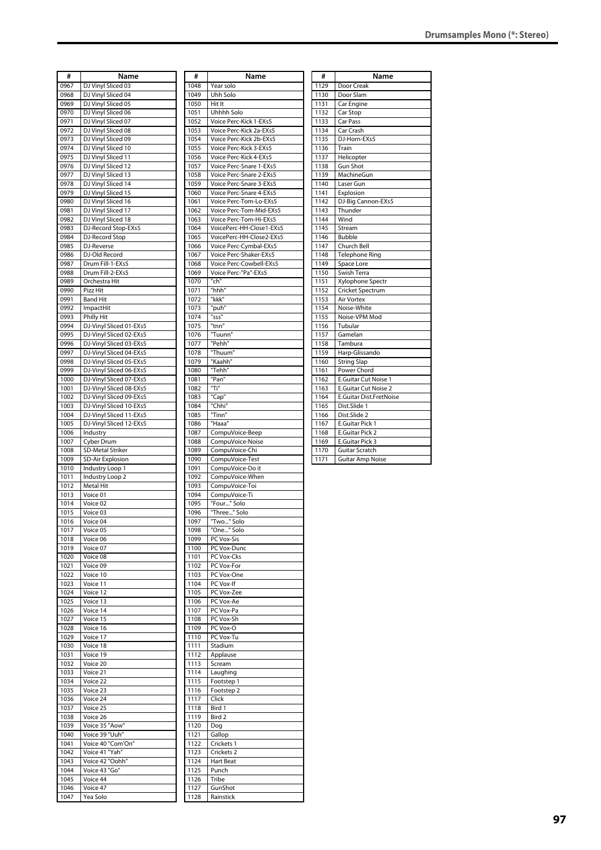| #            | Name                                               |
|--------------|----------------------------------------------------|
| 0967         | DJ Vinyl Sliced 03                                 |
| 0968         | DJ Vinyl Sliced 04                                 |
| 0969         | DJ Vinyl Sliced 05                                 |
| 0970         | DJ Vinyl Sliced 06                                 |
| 0971         | DJ Vinyl Sliced 07                                 |
| 0972         | DJ Vinyl Sliced 08                                 |
| 0973         | DJ Vinyl Sliced 09                                 |
| 0974         | DJ Vinyl Sliced 10                                 |
| 0975         | DJ Vinyl Sliced 11                                 |
| 0976         | DJ Vinyl Sliced 12                                 |
| 0977         | DJ Vinyl Sliced 13<br>DJ Vinyl Sliced 14           |
| 0978<br>0979 | DJ Vinyl Sliced 15                                 |
| 0980         | DJ Vinyl Sliced 16                                 |
| 0981         | DJ Vinyl Sliced 17                                 |
| 0982         | DJ Vinyl Sliced 18                                 |
| 0983         | DJ-Record Stop-EXs5                                |
| 0984         | DJ-Record Stop                                     |
| 0985         | DJ-Reverse                                         |
| 0986         | DJ-Old Record                                      |
| 0987         | Drum Fill-1-EXs5                                   |
| 0988         | Drum Fill-2-EXs5                                   |
| 0989         | Orchestra Hit                                      |
| 0990         | Pizz Hit                                           |
| 0991         | <b>Band Hit</b>                                    |
| 0992         | ImpactHit                                          |
| 0993         | <b>Philly Hit</b>                                  |
| 0994         | DJ-Vinyl Sliced 01-EXs5                            |
| 0995         | DJ-Vinyl Sliced 02-EXs5                            |
| 0996         | DJ-Vinyl Sliced 03-EXs5                            |
| 0997         | DJ-Vinyl Sliced 04-EXs5                            |
| 0998         | DJ-Vinyl Sliced 05-EXs5                            |
| 0999         | DJ-Vinyl Sliced 06-EXs5                            |
| 1000         | DJ-Vinyl Sliced 07-EXs5                            |
| 1001<br>1002 | DJ-Vinyl Sliced 08-EXs5<br>DJ-Vinyl Sliced 09-EXs5 |
| 1003         | DJ-Vinyl Sliced 10-EXs5                            |
| 1004         | DJ-Vinyl Sliced 11-EXs5                            |
| 1005         | DJ-Vinyl Sliced 12-EXs5                            |
| 1006         | Industry                                           |
| 1007         | Cyber Drum                                         |
| 1008         | <b>SD-Metal Striker</b>                            |
| 1009         | <b>SD-Air Explosion</b>                            |
| 1010         | Industry Loop 1                                    |
| 1011         | Industry Loop 2                                    |
| 1012         | Metal Hit                                          |
| 1013         | Voice 01                                           |
| 1014         | Voice 02                                           |
| 1015         | Voice 03                                           |
| 1016         | Voice 04                                           |
| 1017         | Voice 05                                           |
| 1018         | Voice 06                                           |
| 1019         | Voice 07                                           |
| 1020         | Voice 08                                           |
| 1021         | Voice 09                                           |
| 1022<br>1023 | Voice 10<br>Voice 11                               |
| 1024         | Voice 12                                           |
| 1025         | Voice 13                                           |
| 1026         | Voice 14                                           |
| 1027         | Voice 15                                           |
| 1028         | Voice 16                                           |
| 1029         | Voice 17                                           |
| 1030         | Voice 18                                           |
| 1031         | Voice 19                                           |
| 1032         | Voice 20                                           |
| 1033         | Voice 21                                           |
| 1034         | Voice 22                                           |
| 1035         | Voice 23                                           |
| 1036         | Voice 24                                           |
| 1037         | Voice 25                                           |
| 1038         | Voice 26                                           |
| 1039         | Voice 35 "Aow"                                     |
| 1040         | Voice 39 "Uuh"                                     |
| 1041         | Voice 40 "Com'On"                                  |
| 1042         | Voice 41 "Yah"                                     |
| 1043<br>1044 | Voice 42 "Oohh"<br>Voice 43 "Go"                   |
| 1045         | Voice 44                                           |
| 1046         | Voice 47                                           |
|              |                                                    |

1047 Yea Solo

| #                | Name                                             |
|------------------|--------------------------------------------------|
| 1048             | Year solo                                        |
| 1049             | Uhh Solo                                         |
| 1050             | Hit It                                           |
| 1051             | Uhhhh Solo                                       |
| 1052             | Voice Perc-Kick 1-EXs5                           |
| 1053             | Voice Perc-Kick 2a-EXs5                          |
| 1054             | Voice Perc-Kick 2b-EXs5                          |
| 1055<br>1056     | Voice Perc-Kick 3-EXs5<br>Voice Perc-Kick 4-EXs5 |
| 1057             | Voice Perc-Snare 1-EXs5                          |
| 1058             | Voice Perc-Snare 2-EXs5                          |
| 1059             | Voice Perc-Snare 3-EXs5                          |
| 1060             | Voice Perc-Snare 4-EXs5                          |
| 1061             | Voice Perc-Tom-Lo-EXs5                           |
| 1062             | Voice Perc-Tom-Mid-EXs5                          |
| 1063             | Voice Perc-Tom-Hi-EXs5                           |
| 1064             | VoicePerc-HH-Close1-EXs5                         |
| 1065             | VoicePerc-HH-Close2-EXs5                         |
| 1066             | Voice Perc-Cymbal-EXs5                           |
| 1067             | Voice Perc-Shaker-EXs5                           |
| 1068             | Voice Perc-Cowbell-EXs5                          |
| 1069             | Voice Perc-"Pa"-EXs5                             |
| 1070             | "ch"                                             |
| 1071             | "hhh"                                            |
| 1072             | "kkk"                                            |
| 1073<br>1074     | "puh"<br>"sss"                                   |
| 1075             | "tnn"                                            |
| 1076             | "Tuunn"                                          |
| 1077             | "Pehh"                                           |
| 1078             | "Thuum"                                          |
| 1079             | "Kaahh"                                          |
| 1080             | "Tehh"                                           |
| 1081             | "Pan"                                            |
| 1082             | "Ti"                                             |
| 1083             | "Cap"                                            |
| 1084             | "Chhi"                                           |
| 1085             | "Tinn"                                           |
| 1086             | "Haaa"                                           |
| 1087             | CompuVoice-Beep                                  |
| 1088             | CompuVoice-Noise                                 |
| 1089             | CompuVoice-Chi                                   |
| 1090             | CompuVoice-Test                                  |
| 1091             | CompuVoice-Do it                                 |
| 1092             | CompuVoice-When                                  |
| 1093             | CompuVoice-Toi                                   |
| 1094<br>1095     | CompuVoice-Ti<br>"Four" Solo                     |
| 1096             | "Three" Solo                                     |
| 1097             | "Two" Solo                                       |
| 1098             | "One" Solo                                       |
| 1099             | PC Vox-Sis                                       |
| 1100             | PC Vox-Dunc                                      |
| 1101             | PC Vox-Cks                                       |
| 1102             | PC Vox-For                                       |
| 1103             | PC Vox-One                                       |
| 1104             | PC Vox-If                                        |
| 1105             | PC Vox-Zee                                       |
| 1106             | PC Vox-Ae                                        |
| 1107             | PC Vox-Pa                                        |
| 1108             | PC Vox-Sh                                        |
| 1109             | PC Vox-O                                         |
| $\frac{1}{1}$ 10 | PC Vox-Tu                                        |
| 1111             | Stadium                                          |
| 1112             | Applause                                         |
| 1113             | Scream                                           |
| 1114             | Laughing                                         |
| 1115             | Footstep 1                                       |
| 1116             | Footstep 2                                       |
| 1117             | Click                                            |
| 1118<br>1119     | Bird 1<br>Bird 2                                 |
| 1120             | Dog                                              |
| 1121             | Gallop                                           |
| 1122             | Crickets 1                                       |
| 1123             | Crickets <sub>2</sub>                            |
| 1124             | <b>Hart Beat</b>                                 |
| 1125             | Punch                                            |
| 1126             | Tribe                                            |
| 1127             | GunShot                                          |
| 1128             | Rainstick                                        |
|                  |                                                  |

| #                | Name                        |  |  |  |  |
|------------------|-----------------------------|--|--|--|--|
| 1129             | Door Creak                  |  |  |  |  |
| 1130             | Door Slam                   |  |  |  |  |
| 1131             | Car Engine                  |  |  |  |  |
| 1132             | Car Stop                    |  |  |  |  |
| 1133             | Car Pass                    |  |  |  |  |
| 1134             | Car Crash                   |  |  |  |  |
| 1135             | DJ-Horn-EXs5                |  |  |  |  |
| 1136             | Train                       |  |  |  |  |
| 1137             | Helicopter                  |  |  |  |  |
| 1138             | <b>Gun Shot</b>             |  |  |  |  |
| 1139             | MachineGun                  |  |  |  |  |
| 1140             | Laser Gun                   |  |  |  |  |
| 1141             | Explosion                   |  |  |  |  |
| 1142             | DJ-Big Cannon-EXs5          |  |  |  |  |
| 1143             | Thunder                     |  |  |  |  |
| 1144             | Wind                        |  |  |  |  |
| 1145             | Stream                      |  |  |  |  |
| 1146             | <b>Bubble</b>               |  |  |  |  |
| 1147             | Church Bell                 |  |  |  |  |
| 1148             | Telephone Ring              |  |  |  |  |
| 1149             | Space Lore                  |  |  |  |  |
| 1150             | Swish Terra                 |  |  |  |  |
| 1151             | Xylophone Spectr            |  |  |  |  |
| 1152             | <b>Cricket Spectrum</b>     |  |  |  |  |
| 1153             | <b>Air Vortex</b>           |  |  |  |  |
| 1154             | Noise-White                 |  |  |  |  |
| 1155             | Noise-VPM Mod               |  |  |  |  |
| 1156             | Tubular                     |  |  |  |  |
| 1157             | Gamelan                     |  |  |  |  |
| 1158             | Tambura                     |  |  |  |  |
| 1159             | Harp-Glissando              |  |  |  |  |
| 1160             | <b>String Slap</b>          |  |  |  |  |
| 1161             | Power Chord                 |  |  |  |  |
| 1162             | <b>E.Guitar Cut Noise 1</b> |  |  |  |  |
| 1163             | E.Guitar Cut Noise 2        |  |  |  |  |
| 1164             | E.Guitar Dist.FretNoise     |  |  |  |  |
| 1165             | Dist.Slide 1                |  |  |  |  |
| 1166             | Dist.Slide 2                |  |  |  |  |
| 1167             | <b>E.Guitar Pick 1</b>      |  |  |  |  |
| 1168             | E.Guitar Pick 2             |  |  |  |  |
| 1169             | <b>E.Guitar Pick 3</b>      |  |  |  |  |
| 1170             | <b>Guitar Scratch</b>       |  |  |  |  |
| $\frac{1}{1171}$ | <b>Guitar Amp Noise</b>     |  |  |  |  |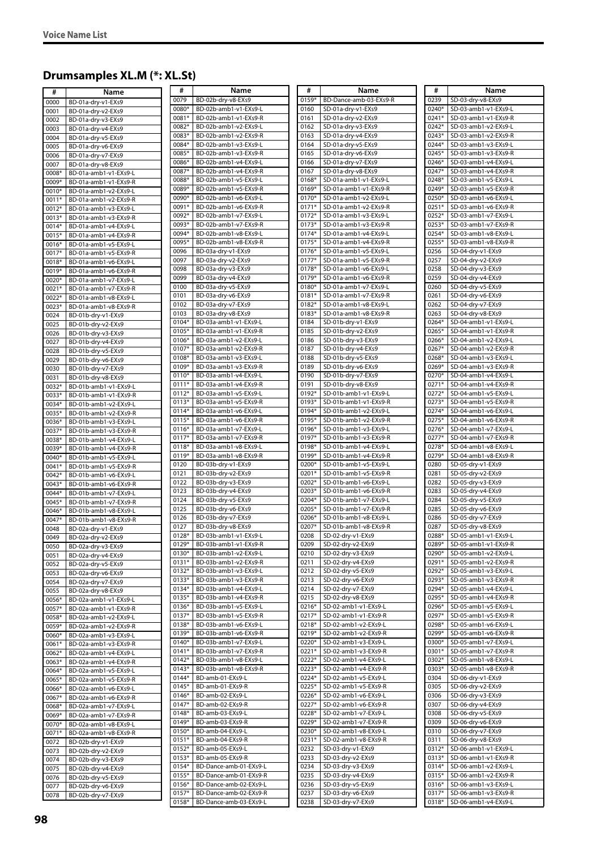# **Drumsamples XL.M (\*: XL.St)**

| #              | Name                                           | #                  | Name                                           | #              | Name                                           | #              | Name                                         |
|----------------|------------------------------------------------|--------------------|------------------------------------------------|----------------|------------------------------------------------|----------------|----------------------------------------------|
| 0000           | BD-01a-dry-v1-EXs9                             | 0079               | BD-02b-dry-v8-EXs9                             | 0159*          | BD-Dance-amb-03-EXs9-R                         | 0239           | SD-03-dry-v8-EXs9                            |
| 0001           | BD-01a-dry-v2-EXs9                             | 0080*              | BD-02b-amb1-v1-EXs9-L                          | 0160           | SD-01a-dry-v1-EXs9                             | 0240*          | SD-03-amb1-v1-EXs9-L                         |
| 0002           | BD-01a-dry-v3-EXs9                             | 0081*              | BD-02b-amb1-v1-EXs9-R                          | 0161           | SD-01a-dry-v2-EXs9                             | 0241*          | SD-03-amb1-v1-EXs9-R                         |
| 0003           | BD-01a-dry-v4-EXs9                             | 0082*              | BD-02b-amb1-v2-EXs9-L                          | 0162           | SD-01a-dry-v3-EXs9                             | 0242*          | SD-03-amb1-v2-EXs9-L                         |
| 0004           | BD-01a-dry-v5-EXs9                             | 0083*              | BD-02b-amb1-v2-EXs9-R                          | 0163           | SD-01a-dry-v4-EXs9                             | 0243*          | SD-03-amb1-v2-EXs9-R                         |
| 0005           | BD-01a-dry-v6-EXs9                             | 0084*              | BD-02b-amb1-v3-EXs9-L                          | 0164           | SD-01a-dry-v5-EXs9                             | 0244*          | SD-03-amb1-v3-EXs9-L                         |
| 0006           | BD-01a-dry-v7-EXs9                             | 0085*              | BD-02b-amb1-v3-EXs9-R                          | 0165           | SD-01a-dry-v6-EXs9                             | 0245*          | SD-03-amb1-v3-EXs9-R                         |
| 0007           | BD-01a-dry-v8-EXs9                             | 0086*              | BD-02b-amb1-v4-EXs9-L                          | 0166           | SD-01a-dry-v7-EXs9                             | 0246*          | SD-03-amb1-v4-EXs9-L                         |
| 0008*          | BD-01a-amb1-v1-EXs9-L                          | 0087*              | BD-02b-amb1-v4-EXs9-R                          | 0167           | SD-01a-dry-v8-EXs9                             | 0247*          | SD-03-amb1-v4-EXs9-R                         |
| 0009*          | BD-01a-amb1-v1-EXs9-R                          | 0088*              | BD-02b-amb1-v5-EXs9-L                          | 0168*          | SD-01a-amb1-v1-EXs9-L                          | 0248*          | SD-03-amb1-v5-EXs9-L                         |
| 0010*          | BD-01a-amb1-v2-EXs9-L                          | 0089*              | BD-02b-amb1-v5-EXs9-R                          | 0169*          | SD-01a-amb1-v1-EXs9-R                          | 0249*          | SD-03-amb1-v5-EXs9-R                         |
| 0011*          | BD-01a-amb1-v2-EXs9-R                          | 0090*              | BD-02b-amb1-v6-EXs9-L                          | 0170*          | SD-01a-amb1-v2-EXs9-L                          | 0250*          | SD-03-amb1-v6-EXs9-L                         |
| 0012*          | BD-01a-amb1-v3-EXs9-L                          | 0091*              | BD-02b-amb1-v6-EXs9-R                          | 0171*          | SD-01a-amb1-v2-EXs9-R                          | 0251*          | SD-03-amb1-v6-EXs9-R                         |
| 0013*          | BD-01a-amb1-v3-EXs9-R                          | 0092*              | BD-02b-amb1-v7-EXs9-L                          | 0172*          | SD-01a-amb1-v3-EXs9-L                          | 0252*          | SD-03-amb1-v7-EXs9-L                         |
| 0014*          | BD-01a-amb1-v4-EXs9-L                          | 0093*              | BD-02b-amb1-v7-EXs9-R                          | 0173*          | SD-01a-amb1-v3-EXs9-R                          | 0253*          | SD-03-amb1-v7-EXs9-R                         |
| 0015*          | BD-01a-amb1-v4-EXs9-R                          | 0094*              | BD-02b-amb1-v8-EXs9-L                          | 0174*          | SD-01a-amb1-v4-EXs9-L                          | 0254*          | SD-03-amb1-v8-EXs9-L                         |
| 0016*          | BD-01a-amb1-v5-EXs9-L                          | 0095*              | BD-02b-amb1-v8-EXs9-R                          | 0175*          | SD-01a-amb1-v4-EXs9-R                          | $0255*$        | SD-03-amb1-v8-EXs9-R                         |
| 0017*          | BD-01a-amb1-v5-EXs9-R                          | 0096               | BD-03a-dry-v1-EXs9                             | 0176*          | SD-01a-amb1-v5-EXs9-L                          | 0256           | SD-04-dry-v1-EXs9                            |
| 0018*          | BD-01a-amb1-v6-EXs9-L                          | 0097               | BD-03a-dry-v2-EXs9                             | $0177*$        | SD-01a-amb1-v5-EXs9-R                          | 0257           | SD-04-dry-v2-EXs9                            |
| 0019*          | BD-01a-amb1-v6-EXs9-R                          | 0098               | BD-03a-dry-v3-EXs9                             | 0178*          | SD-01a-amb1-v6-EXs9-L                          | 0258           | SD-04-dry-v3-EXs9                            |
| 0020*          | BD-01a-amb1-v7-EXs9-L                          | 0099               | BD-03a-dry-v4-EXs9                             | 0179*          | SD-01a-amb1-v6-EXs9-R                          | 0259           | SD-04-dry-v4-EXs9                            |
| 0021*          | BD-01a-amb1-v7-EXs9-R                          | 0100               | BD-03a-dry-v5-EXs9                             | 0180*          | SD-01a-amb1-v7-EXs9-L                          | 0260           | SD-04-dry-v5-EXs9                            |
| 0022*          | BD-01a-amb1-v8-EXs9-L                          | 0101               | BD-03a-dry-v6-EXs9                             | 0181*          | SD-01a-amb1-v7-EXs9-R                          | 0261           | SD-04-dry-v6-EXs9                            |
| 0023*          | BD-01a-amb1-v8-EXs9-R                          | 0102               | BD-03a-dry-v7-EXs9                             | 0182*          | SD-01a-amb1-v8-EXs9-L                          | 0262           | SD-04-dry-v7-EXs9                            |
| 0024           | BD-01b-dry-v1-EXs9                             | 0103               | BD-03a-dry-v8-EXs9                             | 0183*          | SD-01a-amb1-v8-EXs9-R                          | 0263           | SD-04-dry-v8-EXs9                            |
| 0025           | BD-01b-dry-v2-EXs9                             | 0104*              | BD-03a-amb1-v1-EXs9-L                          | 0184           | SD-01b-dry-v1-EXs9                             | 0264*          | SD-04-amb1-v1-EXs9-L                         |
| 0026           | BD-01b-dry-v3-EXs9                             | 0105*              | BD-03a-amb1-v1-EXs9-R                          | 0185           | SD-01b-dry-v2-EXs9                             | 0265*          | SD-04-amb1-v1-EXs9-R                         |
| 0027           | BD-01b-dry-v4-EXs9                             | 0106*              | BD-03a-amb1-v2-EXs9-L                          | 0186           | SD-01b-dry-v3-EXs9                             | 0266*          | SD-04-amb1-v2-EXs9-L                         |
| 0028           | BD-01b-dry-v5-EXs9                             | 0107*              | BD-03a-amb1-v2-EXs9-R                          | 0187           | SD-01b-dry-v4-EXs9                             | 0267*          | SD-04-amb1-v2-EXs9-R                         |
| 0029           | BD-01b-dry-v6-EXs9                             | 0108*              | BD-03a-amb1-v3-EXs9-L                          | 0188           | SD-01b-dry-v5-EXs9                             | 0268*          | SD-04-amb1-v3-EXs9-L                         |
| 0030           | BD-01b-dry-v7-EXs9                             | 0109*              | BD-03a-amb1-v3-EXs9-R                          | 0189           | SD-01b-dry-v6-EXs9                             | 0269*          | SD-04-amb1-v3-EXs9-R                         |
| 0031           | BD-01b-dry-v8-EXs9                             | 0110*              | BD-03a-amb1-v4-EXs9-L                          | 0190           | SD-01b-dry-v7-EXs9                             | 0270*          | SD-04-amb1-v4-EXs9-L                         |
| 0032*          | BD-01b-amb1-v1-EXs9-L                          | $0111*$            | BD-03a-amb1-v4-EXs9-R                          | 0191           | SD-01b-dry-v8-EXs9                             | 0271*          | SD-04-amb1-v4-EXs9-R                         |
| 0033*          | BD-01b-amb1-v1-EXs9-R                          | $0112*$<br>$0113*$ | BD-03a-amb1-v5-EXs9-L                          | 0192*<br>0193* | SD-01b-amb1-v1-EXs9-L                          | 0272*<br>0273* | SD-04-amb1-v5-EXs9-L                         |
| 0034*          | BD-01b-amb1-v2-EXs9-L                          | $0114*$            | BD-03a-amb1-v5-EXs9-R<br>BD-03a-amb1-v6-EXs9-L | 0194*          | SD-01b-amb1-v1-EXs9-R<br>SD-01b-amb1-v2-EXs9-L | 0274*          | SD-04-amb1-v5-EXs9-R<br>SD-04-amb1-v6-EXs9-L |
| $0035*$        | BD-01b-amb1-v2-EXs9-R                          | 0115*              | BD-03a-amb1-v6-EXs9-R                          | 0195*          | SD-01b-amb1-v2-EXs9-R                          | 0275*          | SD-04-amb1-v6-EXs9-R                         |
| 0036*          | BD-01b-amb1-v3-EXs9-L                          | $0116*$            | BD-03a-amb1-v7-EXs9-L                          | 0196*          | SD-01b-amb1-v3-EXs9-L                          | 0276*          | SD-04-amb1-v7-EXs9-L                         |
| 0037*<br>0038* | BD-01b-amb1-v3-EXs9-R<br>BD-01b-amb1-v4-EXs9-L | 0117*              | BD-03a-amb1-v7-EXs9-R                          | 0197*          | SD-01b-amb1-v3-EXs9-R                          | 0277*          | SD-04-amb1-v7-EXs9-R                         |
| 0039*          | BD-01b-amb1-v4-EXs9-R                          | 0118*              | BD-03a-amb1-v8-EXs9-L                          | 0198*          | SD-01b-amb1-v4-EXs9-L                          | 0278*          | SD-04-amb1-v8-EXs9-L                         |
| 0040*          | BD-01b-amb1-v5-EXs9-L                          | 0119*              | BD-03a-amb1-v8-EXs9-R                          | 0199*          | SD-01b-amb1-v4-EXs9-R                          | 0279*          | SD-04-amb1-v8-EXs9-R                         |
| 0041*          | BD-01b-amb1-v5-EXs9-R                          | 0120               | BD-03b-dry-v1-EXs9                             | 0200*          | SD-01b-amb1-v5-EXs9-L                          | 0280           | SD-05-dry-v1-EXs9                            |
| 0042*          | BD-01b-amb1-v6-EXs9-L                          | 0121               | BD-03b-dry-v2-EXs9                             | 0201*          | SD-01b-amb1-v5-EXs9-R                          | 0281           | SD-05-dry-v2-EXs9                            |
| 0043*          | BD-01b-amb1-v6-EXs9-R                          | 0122               | BD-03b-dry-v3-EXs9                             | 0202*          | SD-01b-amb1-v6-EXs9-L                          | 0282           | SD-05-dry-v3-EXs9                            |
| 0044*          | BD-01b-amb1-v7-EXs9-L                          | 0123               | BD-03b-dry-v4-EXs9                             | 0203*          | SD-01b-amb1-v6-EXs9-R                          | 0283           | SD-05-dry-v4-EXs9                            |
| 0045*          | BD-01b-amb1-v7-EXs9-R                          | 0124               | BD-03b-dry-v5-EXs9                             | 0204*          | SD-01b-amb1-v7-EXs9-L                          | 0284           | SD-05-dry-v5-EXs9                            |
| 0046*          | BD-01b-amb1-v8-EXs9-L                          | 0125               | BD-03b-dry-v6-EXs9                             | 0205*          | SD-01b-amb1-v7-EXs9-R                          | 0285           | SD-05-dry-v6-EXs9                            |
| 0047*          | BD-01b-amb1-v8-EXs9-R                          | 0126               | BD-03b-dry-v7-EXs9                             | 0206*          | SD-01b-amb1-v8-EXs9-L                          | 0286           | SD-05-dry-v7-EXs9                            |
| 0048           | BD-02a-dry-v1-EXs9                             | 0127               | BD-03b-dry-v8-EXs9                             | 0207*          | SD-01b-amb1-v8-EXs9-R                          | 0287           | SD-05-dry-v8-EXs9                            |
| 0049           | BD-02a-drv-v2-EXs9                             | 0128*              | BD-03b-amb1-v1-EXs9-L                          | 0208           | SD-02-dry-v1-EXs9                              | 0288*          | SD-05-amb1-v1-EXs9-L                         |
| 0050           | BD-02a-dry-v3-EXs9                             | 0129*              | BD-03b-amb1-v1-EXs9-R                          | 0209           | SD-02-dry-v2-EXs9                              | 0289*          | SD-05-amb1-v1-EXs9-R                         |
| 0051           | BD-02a-dry-v4-EXs9                             | $0130*$            | BD-03b-amb1-v2-EXs9-L                          | 0210           | SD-02-dry-v3-EXs9                              | 0290*          | SD-05-amb1-v2-EXs9-L                         |
| 0052           | BD-02a-dry-v5-EXs9                             | 0131*              | BD-03b-amb1-v2-EXs9-R                          | 0211           | SD-02-dry-v4-EXs9                              | 0291*          | SD-05-amb1-v2-EXs9-R                         |
| 0053           | BD-02a-dry-v6-EXs9                             | 0132*              | BD-03b-amb1-v3-EXs9-L                          | 0212           | SD-02-dry-v5-EXs9                              | 0292*          | SD-05-amb1-v3-EXs9-L                         |
| 0054           | BD-02a-dry-v7-EXs9                             | $0133*$            | BD-03b-amb1-v3-EXs9-R<br>BD-03b-amb1-v4-EXs9-L | 0213           | SD-02-dry-v6-EXs9                              | 0293*          | SD-05-amb1-v3-EXs9-R                         |
| 0055           | BD-02a-dry-v8-EXs9                             | 0134*<br>0135*     |                                                | 0214<br>0215   | SD-02-dry-v7-EXs9                              | 0294*<br>0295* | SD-05-amb1-v4-EXs9-L                         |
| 0056*          | BD-02a-amb1-v1-EXs9-L                          | 0136*              | BD-03b-amb1-v4-EXs9-R<br>BD-03b-amb1-v5-EXs9-L | 0216*          | SD-02-dry-v8-EXs9<br>SD-02-amb1-v1-EXs9-L      | 0296*          | SD-05-amb1-v4-EXs9-R<br>SD-05-amb1-v5-EXs9-L |
| 0057*          | BD-02a-amb1-v1-EXs9-R                          | 0137*              | BD-03b-amb1-v5-EXs9-R                          | 0217*          | SD-02-amb1-v1-EXs9-R                           | 0297*          | SD-05-amb1-v5-EXs9-R                         |
| 0058*          | BD-02a-amb1-v2-EXs9-L                          | 0138*              | BD-03b-amb1-v6-EXs9-L                          | 0218*          | SD-02-amb1-v2-EXs9-L                           | 0298*          | SD-05-amb1-v6-EXs9-L                         |
| 0059*          | BD-02a-amb1-v2-EXs9-R                          | 0139*              | BD-03b-amb1-v6-EXs9-R                          | 0219*          | SD-02-amb1-v2-EXs9-R                           | 0299*          | SD-05-amb1-v6-EXs9-R                         |
| 0060*<br>0061* | BD-02a-amb1-v3-EXs9-L<br>BD-02a-amb1-v3-EXs9-R | 0140*              | BD-03b-amb1-v7-EXs9-L                          | 0220*          | SD-02-amb1-v3-EXs9-L                           | 0300*          | SD-05-amb1-v7-EXs9-L                         |
| 0062*          | BD-02a-amb1-v4-EXs9-L                          | $0141*$            | BD-03b-amb1-v7-EXs9-R                          | 0221*          | SD-02-amb1-v3-EXs9-R                           | 0301*          | SD-05-amb1-v7-EXs9-R                         |
| 0063*          | BD-02a-amb1-v4-EXs9-R                          | 0142*              | BD-03b-amb1-v8-EXs9-L                          | 0222*          | SD-02-amb1-v4-EXs9-L                           | 0302*          | SD-05-amb1-v8-EXs9-L                         |
| 0064*          | BD-02a-amb1-v5-EXs9-L                          | $0143*$            | BD-03b-amb1-v8-EXs9-R                          | 0223*          | SD-02-amb1-v4-EXs9-R                           | 0303*          | SD-05-amb1-v8-EXs9-R                         |
| 0065*          | BD-02a-amb1-v5-EXs9-R                          | 0144*              | BD-amb-01-EXs9-L                               | 0224*          | SD-02-amb1-v5-EXs9-L                           | 0304           | SD-06-dry-v1-EXs9                            |
| 0066*          | BD-02a-amb1-v6-EXs9-L                          | 0145*              | BD-amb-01-EXs9-R                               | 0225*          | SD-02-amb1-v5-EXs9-R                           | 0305           | SD-06-dry-v2-EXs9                            |
| 0067*          | BD-02a-amb1-v6-EXs9-R                          | 0146*              | BD-amb-02-EXs9-L                               | 0226*          | SD-02-amb1-v6-EXs9-L                           | 0306           | SD-06-dry-v3-EXs9                            |
| 0068*          | BD-02a-amb1-v7-EXs9-L                          | 0147*              | BD-amb-02-EXs9-R                               | 0227*          | SD-02-amb1-v6-EXs9-R                           | 0307           | SD-06-dry-v4-EXs9                            |
| 0069*          | BD-02a-amb1-v7-EXs9-R                          | 0148*              | BD-amb-03-EXs9-L                               | 0228*          | SD-02-amb1-v7-EXs9-L                           | 0308           | SD-06-dry-v5-EXs9                            |
| 0070*          | BD-02a-amb1-v8-EXs9-L                          | 0149*              | BD-amb-03-EXs9-R                               | 0229*          | SD-02-amb1-v7-EXs9-R                           | 0309           | SD-06-dry-v6-EXs9                            |
| 0071*          | BD-02a-amb1-v8-EXs9-R                          | 0150*              | BD-amb-04-EXs9-L                               | 0230*          | SD-02-amb1-v8-EXs9-L                           | 0310           | SD-06-dry-v7-EXs9                            |
| 0072           | BD-02b-dry-v1-EXs9                             | 0151*              | BD-amb-04-EXs9-R                               | 0231*          | SD-02-amb1-v8-EXs9-R                           | 0311           | SD-06-dry-v8-EXs9                            |
| 0073           | BD-02b-dry-v2-EXs9                             | 0152*              | BD-amb-05-EXs9-L                               | 0232           | SD-03-dry-v1-EXs9                              | 0312*          | SD-06-amb1-v1-EXs9-L                         |
| 0074           | BD-02b-dry-v3-EXs9                             | 0153*              | BD-amb-05-EXs9-R                               | 0233           | SD-03-dry-v2-EXs9                              | 0313*          | SD-06-amb1-v1-EXs9-R                         |
| 0075           | BD-02b-dry-v4-EXs9                             | 0154*              | BD-Dance-amb-01-EXs9-L                         | 0234           | SD-03-dry-v3-EXs9                              | 0314*          | SD-06-amb1-v2-EXs9-L                         |
| 0076           | BD-02b-dry-v5-EXs9                             | 0155*              | BD-Dance-amb-01-EXs9-R                         | 0235           | SD-03-dry-v4-EXs9                              | 0315*          | SD-06-amb1-v2-EXs9-R                         |
| 0077           | BD-02b-dry-v6-EXs9                             | 0156*              | BD-Dance-amb-02-EXs9-L                         | 0236           | SD-03-dry-v5-EXs9                              | 0316*          | SD-06-amb1-v3-EXs9-L                         |
| 0078           | BD-02b-dry-v7-EXs9                             | 0157*              | BD-Dance-amb-02-EXs9-R                         | 0237           | SD-03-dry-v6-EXs9                              | 0317*          | SD-06-amb1-v3-EXs9-R                         |
|                |                                                | 0158*              | BD-Dance-amb-03-EXs9-L                         | 0238           | SD-03-dry-v7-EXs9                              | 0318*          | SD-06-amb1-v4-EXs9-L                         |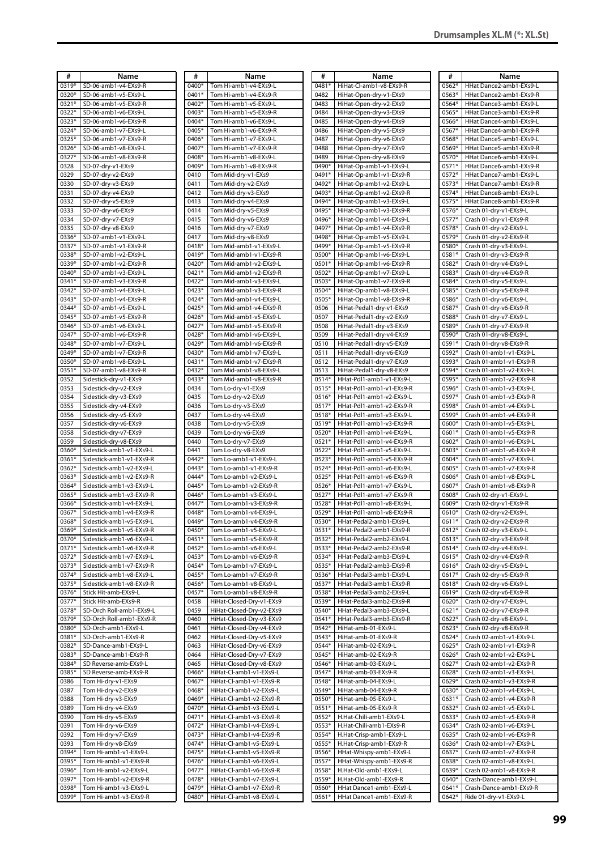| #     | Name                     | #     | Name                     | #       | Name                     | #     | Name                    |
|-------|--------------------------|-------|--------------------------|---------|--------------------------|-------|-------------------------|
| 0319* | SD-06-amb1-v4-EXs9-R     | 0400* | Tom Hi-amb1-v4-EXs9-L    | 0481*   | HiHat-Cl-amb1-v8-EXs9-R  | 0562* | HHat Dance2-amb1-EXs9-L |
| 0320* | SD-06-amb1-v5-EXs9-L     | 0401* | Tom Hi-amb1-v4-EXs9-R    | 0482    | HiHat-Open-dry-v1-EXs9   | 0563* | HHat Dance2-amb1-EXs9-R |
| 0321* | SD-06-amb1-v5-EXs9-R     | 0402* | Tom Hi-amb1-v5-EXs9-L    | 0483    | HiHat-Open-dry-v2-EXs9   | 0564* | HHat Dance3-amb1-EXs9-L |
| 0322* | SD-06-amb1-v6-EXs9-L     | 0403* | Tom Hi-amb1-v5-EXs9-R    | 0484    | HiHat-Open-dry-v3-EXs9   | 0565* | HHat Dance3-amb1-EXs9-R |
| 0323* | SD-06-amb1-v6-EXs9-R     | 0404* | Tom Hi-amb1-v6-EXs9-L    | 0485    | HiHat-Open-dry-v4-EXs9   | 0566* | HHat Dance4-amb1-EXs9-L |
| 0324* | SD-06-amb1-v7-EXs9-L     | 0405* | Tom Hi-amb1-v6-EXs9-R    | 0486    | HiHat-Open-dry-v5-EXs9   | 0567* | HHat Dance4-amb1-EXs9-R |
| 0325* | SD-06-amb1-v7-EXs9-R     | 0406* | Tom Hi-amb1-v7-EXs9-L    | 0487    | HiHat-Open-dry-v6-EXs9   | 0568* | HHat Dance5-amb1-EXs9-L |
| 0326* | SD-06-amb1-v8-EXs9-L     | 0407* | Tom Hi-amb1-v7-EXs9-R    | 0488    | HiHat-Open-dry-v7-EXs9   | 0569* | HHat Dance5-amb1-EXs9-R |
| 0327* | SD-06-amb1-v8-EXs9-R     | 0408* | Tom Hi-amb1-v8-EXs9-L    | 0489    | HiHat-Open-dry-v8-EXs9   | 0570* | HHat Dance6-amb1-EXs9-L |
| 0328  | SD-07-dry-v1-EXs9        | 0409* | Tom Hi-amb1-v8-EXs9-R    | 0490*   | HiHat-Op-amb1-v1-EXs9-L  | 0571* | HHat Dance6-amb1-EXs9-R |
| 0329  | SD-07-dry-v2-EXs9        | 0410  | Tom Mid-dry-v1-EXs9      | 0491*   | HiHat-Op-amb1-v1-EXs9-R  | 0572* | HHat Dance7-amb1-EXs9-L |
| 0330  | SD-07-dry-v3-EXs9        | 0411  | Tom Mid-dry-v2-EXs9      | 0492*   | HiHat-Op-amb1-v2-EXs9-L  | 0573* | HHat Dance7-amb1-EXs9-R |
| 0331  | SD-07-dry-v4-EXs9        | 0412  | Tom Mid-dry-v3-EXs9      | 0493*   | HiHat-Op-amb1-v2-EXs9-R  | 0574* | HHat Dance8-amb1-EXs9-L |
| 0332  | SD-07-dry-v5-EXs9        | 0413  | Tom Mid-dry-v4-EXs9      | 0494*   | HiHat-Op-amb1-v3-EXs9-L  | 0575* | HHat Dance8-amb1-EXs9-R |
| 0333  | SD-07-dry-v6-EXs9        | 0414  | Tom Mid-dry-v5-EXs9      | 0495*   | HiHat-Op-amb1-v3-EXs9-R  | 0576* | Crash 01-dry-v1-EXs9-L  |
| 0334  | SD-07-dry-v7-EXs9        | 0415  | Tom Mid-dry-v6-EXs9      | 0496*   | HiHat-Op-amb1-v4-EXs9-L  | 0577* | Crash 01-dry-v1-EXs9-R  |
| 0335  | SD-07-dry-v8-EXs9        | 0416  | Tom Mid-dry-v7-EXs9      | 0497*   | HiHat-Op-amb1-v4-EXs9-R  | 0578* | Crash 01-dry-v2-EXs9-L  |
| 0336* | SD-07-amb1-v1-EXs9-L     | 0417  | Tom Mid-dry-v8-EXs9      | 0498*   | HiHat-Op-amb1-v5-EXs9-L  | 0579* | Crash 01-dry-v2-EXs9-R  |
| 0337* | SD-07-amb1-v1-EXs9-R     | 0418* | Tom Mid-amb1-v1-EXs9-L   | 0499*   | HiHat-Op-amb1-v5-EXs9-R  | 0580* | Crash 01-dry-v3-EXs9-L  |
| 0338* | SD-07-amb1-v2-EXs9-L     | 0419* | Tom Mid-amb1-v1-EXs9-R   | 0500*   | HiHat-Op-amb1-v6-EXs9-L  | 0581* | Crash 01-dry-v3-EXs9-R  |
| 0339* | SD-07-amb1-v2-EXs9-R     | 0420* | Tom Mid-amb1-v2-EXs9-L   | 0501*   | HiHat-Op-amb1-v6-EXs9-R  | 0582* | Crash 01-dry-v4-EXs9-L  |
| 0340* | SD-07-amb1-v3-EXs9-L     | 0421* | Tom Mid-amb1-v2-EXs9-R   | $0502*$ | HiHat-Op-amb1-v7-EXs9-L  | 0583* | Crash 01-dry-v4-EXs9-R  |
| 0341* | SD-07-amb1-v3-EXs9-R     | 0422* | Tom Mid-amb1-v3-EXs9-L   | 0503*   | HiHat-Op-amb1-v7-EXs9-R  | 0584* | Crash 01-dry-v5-EXs9-L  |
| 0342* | SD-07-amb1-v4-EXs9-L     | 0423* | Tom Mid-amb1-v3-EXs9-R   | 0504*   | HiHat-Op-amb1-v8-EXs9-L  | 0585* | Crash 01-dry-v5-EXs9-R  |
| 0343* | SD-07-amb1-v4-EXs9-R     | 0424* | Tom Mid-amb1-v4-EXs9-L   | 0505*   | HiHat-Op-amb1-v8-EXs9-R  | 0586* | Crash 01-dry-v6-EXs9-L  |
| 0344* | SD-07-amb1-v5-EXs9-L     | 0425* | Tom Mid-amb1-v4-EXs9-R   | 0506    | HiHat-Pedal1-dry-v1-EXs9 | 0587* | Crash 01-dry-v6-EXs9-R  |
| 0345* | SD-07-amb1-v5-EXs9-R     | 0426* | Tom Mid-amb1-v5-EXs9-L   | 0507    | HiHat-Pedal1-dry-v2-EXs9 | 0588* | Crash 01-dry-v7-EXs9-L  |
| 0346* | SD-07-amb1-v6-EXs9-L     | 0427* | Tom Mid-amb1-v5-EXs9-R   | 0508    | HiHat-Pedal1-dry-v3-EXs9 | 0589* | Crash 01-dry-v7-EXs9-R  |
|       |                          |       |                          |         |                          |       |                         |
| 0347* | SD-07-amb1-v6-EXs9-R     | 0428* | Tom Mid-amb1-v6-EXs9-L   | 0509    | HiHat-Pedal1-dry-v4-EXs9 | 0590* | Crash 01-dry-v8-EXs9-L  |
| 0348* | SD-07-amb1-v7-EXs9-L     | 0429* | Tom Mid-amb1-v6-EXs9-R   | 0510    | HiHat-Pedal1-dry-v5-EXs9 | 0591* | Crash 01-dry-v8-EXs9-R  |
| 0349* | SD-07-amb1-v7-EXs9-R     | 0430* | Tom Mid-amb1-v7-EXs9-L   | 0511    | HiHat-Pedal1-dry-v6-EXs9 | 0592* | Crash 01-amb1-v1-EXs9-L |
| 0350* | SD-07-amb1-v8-EXs9-L     | 0431* | Tom Mid-amb1-v7-EXs9-R   | 0512    | HiHat-Pedal1-dry-v7-EXs9 | 0593* | Crash 01-amb1-v1-EXs9-R |
| 0351* | SD-07-amb1-v8-EXs9-R     | 0432* | Tom Mid-amb1-v8-EXs9-L   | 0513    | HiHat-Pedal1-dry-v8-EXs9 | 0594* | Crash 01-amb1-v2-EXs9-L |
| 0352  | Sidestick-dry-v1-EXs9    | 0433* | Tom Mid-amb1-v8-EXs9-R   | 0514*   | HHat-Pdl1-amb1-v1-EXs9-L | 0595* | Crash 01-amb1-v2-EXs9-R |
| 0353  | Sidestick-dry-v2-EXs9    | 0434  | Tom Lo-dry-v1-EXs9       | 0515*   | HHat-Pdl1-amb1-v1-EXs9-R | 0596* | Crash 01-amb1-v3-EXs9-L |
| 0354  | Sidestick-dry-v3-EXs9    | 0435  | Tom Lo-dry-v2-EXs9       | 0516*   | HHat-Pdl1-amb1-v2-EXs9-L | 0597* | Crash 01-amb1-v3-EXs9-R |
| 0355  | Sidestick-dry-v4-EXs9    | 0436  | Tom Lo-dry-v3-EXs9       | 0517*   | HHat-Pdl1-amb1-v2-EXs9-R | 0598* | Crash 01-amb1-v4-EXs9-L |
| 0356  | Sidestick-dry-v5-EXs9    | 0437  | Tom Lo-dry-v4-EXs9       | 0518*   | HHat-Pdl1-amb1-v3-EXs9-L | 0599* | Crash 01-amb1-v4-EXs9-R |
| 0357  | Sidestick-dry-v6-EXs9    | 0438  | Tom Lo-dry-v5-EXs9       | 0519*   | HHat-Pdl1-amb1-v3-EXs9-R | 0600* | Crash 01-amb1-v5-EXs9-L |
| 0358  | Sidestick-dry-v7-EXs9    | 0439  | Tom Lo-dry-v6-EXs9       | 0520*   | HHat-Pdl1-amb1-v4-EXs9-L | 0601* | Crash 01-amb1-v5-EXs9-R |
| 0359  | Sidestick-dry-v8-EXs9    | 0440  | Tom Lo-dry-v7-EXs9       | 0521*   | HHat-Pdl1-amb1-v4-EXs9-R | 0602* | Crash 01-amb1-v6-EXs9-L |
| 0360* | Sidestick-amb1-v1-EXs9-L | 0441  | Tom Lo-dry-v8-EXs9       | 0522*   | HHat-Pdl1-amb1-v5-EXs9-L | 0603* | Crash 01-amb1-v6-EXs9-R |
| 0361* | Sidestick-amb1-v1-EXs9-R | 0442* | Tom Lo-amb1-v1-EXs9-L    | 0523*   | HHat-Pdl1-amb1-v5-EXs9-R | 0604* | Crash 01-amb1-v7-EXs9-L |
| 0362* | Sidestick-amb1-v2-EXs9-L | 0443* | Tom Lo-amb1-v1-EXs9-R    | 0524*   | HHat-Pdl1-amb1-v6-EXs9-L | 0605* | Crash 01-amb1-v7-EXs9-R |
| 0363* | Sidestick-amb1-v2-EXs9-R | 0444* | Tom Lo-amb1-v2-EXs9-L    | 0525*   | HHat-Pdl1-amb1-v6-EXs9-R | 0606* | Crash 01-amb1-v8-EXs9-L |
| 0364* | Sidestick-amb1-v3-EXs9-L | 0445* | Tom Lo-amb1-v2-EXs9-R    | 0526*   | HHat-Pdl1-amb1-v7-EXs9-L | 0607* | Crash 01-amb1-v8-EXs9-R |
| 0365* | Sidestick-amb1-v3-EXs9-R | 0446* | Tom Lo-amb1-v3-EXs9-L    | 0527*   | HHat-Pdl1-amb1-v7-EXs9-R | 0608* | Crash 02-dry-v1-EXs9-L  |
| 0366* | Sidestick-amb1-v4-EXs9-L | 0447* | Tom Lo-amb1-v3-EXs9-R    | 0528*   | HHat-Pdl1-amb1-v8-EXs9-L | 0609* | Crash 02-dry-v1-EXs9-R  |
| 0367* | Sidestick-amb1-v4-EXs9-R | 0448* | Tom Lo-amb1-v4-EXs9-L    | 0529*   | HHat-Pdl1-amb1-v8-EXs9-R | 0610* | Crash 02-dry-v2-EXs9-L  |
| 0368* | Sidestick-amb1-v5-EXs9-L | 0449* | Tom Lo-amb1-v4-EXs9-R    | 0530*   | HHat-Pedal2-amb1-EXs9-L  | 0611* | Crash 02-dry-v2-EXs9-R  |
| 0369* | Sidestick-amb1-v5-EXs9-R | 0450* | Tom Lo-amb1-v5-EXs9-L    | 0531*   | HHat-Pedal2-amb1-EXs9-R  | 0612* | Crash 02-dry-v3-EXs9-L  |
| 0370* | Sidestick-amb1-v6-EXs9-L | 0451* | Tom Lo-amb1-v5-EXs9-R    | 0532*   | HHat-Pedal2-amb2-EXs9-L  | 0613* | Crash 02-dry-v3-EXs9-R  |
| 0371* | Sidestick-amb1-v6-EXs9-R | 0452* | Tom Lo-amb1-v6-EXs9-L    | 0533*   | HHat-Pedal2-amb2-EXs9-R  | 0614* | Crash 02-dry-v4-EXs9-L  |
| 0372* | Sidestick-amb1-v7-EXs9-L | 0453* | Tom Lo-amb1-v6-EXs9-R    | 0534*   | HHat-Pedal2-amb3-EXs9-L  | 0615* | Crash 02-dry-v4-EXs9-R  |
| 0373* | Sidestick-amb1-v7-EXs9-R | 0454* | Tom Lo-amb1-v7-EXs9-L    | 0535*   | HHat-Pedal2-amb3-EXs9-R  | 0616* | Crash 02-dry-v5-EXs9-L  |
| 0374* | Sidestick-amb1-v8-EXs9-L | 0455* | Tom Lo-amb1-v7-EXs9-R    | 0536*   | HHat-Pedal3-amb1-EXs9-L  | 0617* | Crash 02-dry-v5-EXs9-R  |
| 0375* | Sidestick-amb1-v8-EXs9-R | 0456* | Tom Lo-amb1-v8-EXs9-L    | 0537*   | HHat-Pedal3-amb1-EXs9-R  | 0618* | Crash 02-dry-v6-EXs9-L  |
| 0376* | Stick Hit-amb-EXs9-L     | 0457* | Tom Lo-amb1-v8-EXs9-R    | 0538*   | HHat-Pedal3-amb2-EXs9-L  | 0619* | Crash 02-dry-v6-EXs9-R  |
| 0377* | Stick Hit-amb-EXs9-R     | 0458  | HiHat-Closed-Dry-v1-EXs9 | 0539*   | HHat-Pedal3-amb2-EXs9-R  | 0620* | Crash 02-dry-v7-EXs9-L  |
| 0378* | SD-Orch Roll-amb1-EXs9-L | 0459  | HiHat-Closed-Dry-v2-EXs9 | 0540*   | HHat-Pedal3-amb3-EXs9-L  | 0621* | Crash 02-dry-v7-EXs9-R  |
| 0379* | SD-Orch Roll-amb1-EXs9-R | 0460  | HiHat-Closed-Dry-v3-EXs9 | 0541*   | HHat-Pedal3-amb3-EXs9-R  | 0622* | Crash 02-dry-v8-EXs9-L  |
| 0380* | SD-Orch-amb1-EXs9-L      | 0461  | HiHat-Closed-Dry-v4-EXs9 | 0542*   | HiHat-amb-01-EXs9-L      | 0623* | Crash 02-dry-v8-EXs9-R  |
| 0381* | SD-Orch-amb1-EXs9-R      | 0462  | HiHat-Closed-Dry-v5-EXs9 | 0543*   | HiHat-amb-01-EXs9-R      | 0624* | Crash 02-amb1-v1-EXs9-L |
| 0382* | SD-Dance-amb1-EXs9-L     | 0463  | HiHat-Closed-Dry-v6-EXs9 | 0544*   | HiHat-amb-02-EXs9-L      | 0625* | Crash 02-amb1-v1-EXs9-R |
| 0383* | SD-Dance-amb1-EXs9-R     | 0464  | HiHat-Closed-Dry-v7-EXs9 | 0545*   | HiHat-amb-02-EXs9-R      | 0626* | Crash 02-amb1-v2-EXs9-L |
| 0384* | SD Reverse-amb-EXs9-L    | 0465  | HiHat-Closed-Dry-v8-EXs9 | 0546*   | HiHat-amb-03-EXs9-L      | 0627* | Crash 02-amb1-v2-EXs9-R |
| 0385* | SD Reverse-amb-EXs9-R    | 0466* | HiHat-Cl-amb1-v1-EXs9-L  | 0547*   | HiHat-amb-03-EXs9-R      | 0628* | Crash 02-amb1-v3-EXs9-L |
| 0386  | Tom Hi-dry-v1-EXs9       | 0467* | HiHat-Cl-amb1-v1-EXs9-R  | 0548*   | HiHat-amb-04-EXs9-L      | 0629* | Crash 02-amb1-v3-EXs9-R |
| 0387  | Tom Hi-dry-v2-EXs9       | 0468* | HiHat-Cl-amb1-v2-EXs9-L  | 0549*   | HiHat-amb-04-EXs9-R      | 0630* | Crash 02-amb1-v4-EXs9-L |
| 0388  | Tom Hi-dry-v3-EXs9       | 0469* | HiHat-Cl-amb1-v2-EXs9-R  | 0550*   | HiHat-amb-05-EXs9-L      | 0631* | Crash 02-amb1-v4-EXs9-R |
| 0389  | Tom Hi-dry-v4-EXs9       | 0470* | HiHat-Cl-amb1-v3-EXs9-L  | 0551*   | HiHat-amb-05-EXs9-R      | 0632* | Crash 02-amb1-v5-EXs9-L |
| 0390  | Tom Hi-dry-v5-EXs9       | 0471* | HiHat-Cl-amb1-v3-EXs9-R  | 0552*   | H.Hat-Chili-amb1-EXs9-L  | 0633* | Crash 02-amb1-v5-EXs9-R |
| 0391  | Tom Hi-dry-v6-EXs9       | 0472* | HiHat-Cl-amb1-v4-EXs9-L  | 0553*   | H.Hat-Chili-amb1-EXs9-R  | 0634* | Crash 02-amb1-v6-EXs9-L |
| 0392  | Tom Hi-dry-v7-EXs9       | 0473* | HiHat-Cl-amb1-v4-EXs9-R  | 0554*   | H.Hat-Crisp-amb1-EXs9-L  | 0635* | Crash 02-amb1-v6-EXs9-R |
| 0393  | Tom Hi-dry-v8-EXs9       | 0474* | HiHat-Cl-amb1-v5-EXs9-L  | 0555*   | H.Hat-Crisp-amb1-EXs9-R  | 0636* | Crash 02-amb1-v7-EXs9-L |
| 0394* | Tom Hi-amb1-v1-EXs9-L    | 0475* | HiHat-Cl-amb1-v5-EXs9-R  | 0556*   | HHat-Whispy-amb1-EXs9-L  | 0637* | Crash 02-amb1-v7-EXs9-R |
| 0395* | Tom Hi-amb1-v1-EXs9-R    | 0476* | HiHat-Cl-amb1-v6-EXs9-L  | 0557*   | HHat-Whispy-amb1-EXs9-R  | 0638* | Crash 02-amb1-v8-EXs9-L |
| 0396* | Tom Hi-amb1-v2-EXs9-L    | 0477* | HiHat-Cl-amb1-v6-EXs9-R  | 0558*   | H.Hat-Old-amb1-EXs9-L    | 0639* | Crash 02-amb1-v8-EXs9-R |
| 0397* | Tom Hi-amb1-v2-EXs9-R    | 0478* | HiHat-Cl-amb1-v7-EXs9-L  | 0559*   | H.Hat-Old-amb1-EXs9-R    | 0640* | Crash-Dance-amb1-EXs9-L |
| 0398* | Tom Hi-amb1-v3-EXs9-L    | 0479* | HiHat-Cl-amb1-v7-EXs9-R  | 0560*   | HHat Dance1-amb1-EXs9-L  | 0641* | Crash-Dance-amb1-EXs9-R |
| 0399* | Tom Hi-amb1-v3-EXs9-R    | 0480* | HiHat-Cl-amb1-v8-EXs9-L  | 0561*   | HHat Dance1-amb1-EXs9-R  | 0642* | Ride 01-dry-v1-EXs9-L   |
|       |                          |       |                          |         |                          |       |                         |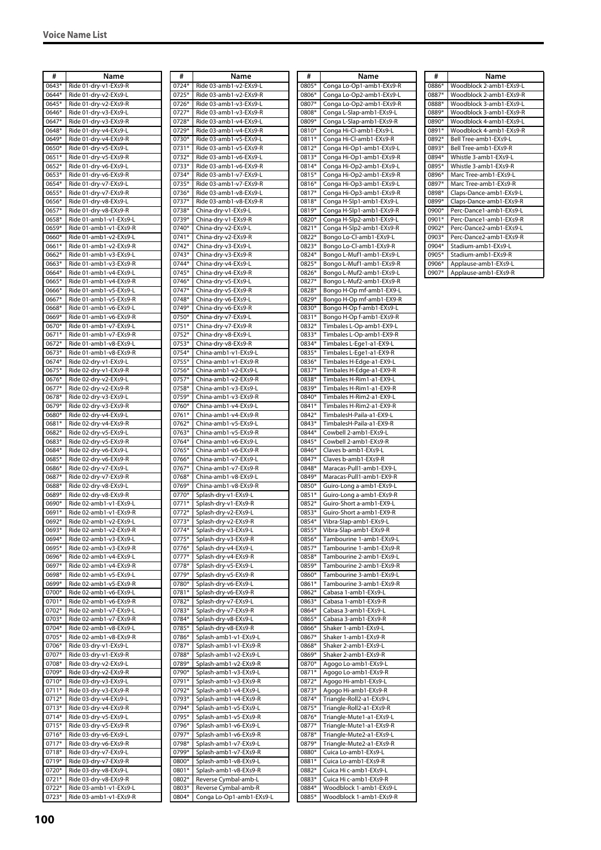| #              | Name                                             | #              | Name                                             | #              | Name                                                 |
|----------------|--------------------------------------------------|----------------|--------------------------------------------------|----------------|------------------------------------------------------|
| 0643*          | Ride 01-dry-v1-EXs9-R                            | 0724*          | Ride 03-amb1-v2-EXs9-L                           | 0805*          | Conga Lo-Op1-amb1-EXs9-R                             |
| 0644*          | Ride 01-dry-v2-EXs9-L                            | $0725*$        | Ride 03-amb1-v2-EXs9-R                           | 0806*          | Conga Lo-Op2-amb1-EXs9-L                             |
| 0645*          | Ride 01-dry-v2-EXs9-R                            | 0726*          | Ride 03-amb1-v3-EXs9-L                           | 0807*          | Conga Lo-Op2-amb1-EXs9-R                             |
| 0646*          | Ride 01-dry-v3-EXs9-L                            | $0727*$        | Ride 03-amb1-v3-EXs9-R                           | 0808*          | Conga L-Slap-amb1-EXs9-L                             |
| 0647*          | Ride 01-dry-v3-EXs9-R                            | 0728*          | Ride 03-amb1-v4-EXs9-L                           | 0809*          | Conga L-Slap-amb1-EXs9-R                             |
| 0648*          | Ride 01-dry-v4-EXs9-L                            | 0729*          | Ride 03-amb1-v4-EXs9-R                           | 0810*          | Conga Hi-Cl-amb1-EXs9-L                              |
| 0649*          | Ride 01-dry-v4-EXs9-R                            | 0730*          | Ride 03-amb1-v5-EXs9-L                           | 0811*          | Conga Hi-Cl-amb1-EXs9-R                              |
| 0650*          | Ride 01-dry-v5-EXs9-L                            | 0731*          | Ride 03-amb1-v5-EXs9-R                           | 0812*          | Conga Hi-Op1-amb1-EXs9-L                             |
| 0651*          | Ride 01-dry-v5-EXs9-R                            | 0732*          | Ride 03-amb1-v6-EXs9-L                           | 0813*          | Conga Hi-Op1-amb1-EXs9-R                             |
| 0652*          | Ride 01-dry-v6-EXs9-L                            | 0733*          | Ride 03-amb1-v6-EXs9-R                           | 0814*          | Conga Hi-Op2-amb1-EXs9-L                             |
| 0653*          | Ride 01-dry-v6-EXs9-R                            | 0734*          | Ride 03-amb1-v7-EXs9-L                           | 0815*          | Conga Hi-Op2-amb1-EXs9-R                             |
| 0654*<br>0655* | Ride 01-dry-v7-EXs9-L                            | 0735*          | Ride 03-amb1-v7-EXs9-R<br>Ride 03-amb1-v8-EXs9-L | 0816*<br>0817* | Conga Hi-Op3-amb1-EXs9-L                             |
| 0656*          | Ride 01-dry-v7-EXs9-R<br>Ride 01-dry-v8-EXs9-L   | 0736*          |                                                  | 0818*          | Conga Hi-Op3-amb1-EXs9-R                             |
| 0657*          | Ride 01-dry-v8-EXs9-R                            | 0737*<br>0738* | Ride 03-amb1-v8-EXs9-R<br>China-dry-v1-EXs9-L    | 0819*          | Conga H-Slp1-amb1-EXs9-L<br>Conga H-Slp1-amb1-EXs9-R |
| 0658*          | Ride 01-amb1-v1-EXs9-L                           | 0739*          | China-dry-v1-EXs9-R                              | 0820*          | Conga H-Slp2-amb1-EXs9-L                             |
| 0659*          | Ride 01-amb1-v1-EXs9-R                           | 0740*          | China-dry-v2-EXs9-L                              | 0821*          | Conga H-Slp2-amb1-EXs9-R                             |
| 0660*          | Ride 01-amb1-v2-EXs9-L                           | 0741*          | China-dry-v2-EXs9-R                              | 0822*          | Bongo Lo-Cl-amb1-EXs9-L                              |
| 0661*          | Ride 01-amb1-v2-EXs9-R                           | 0742*          | China-dry-v3-EXs9-L                              | 0823*          | Bongo Lo-Cl-amb1-EXs9-R                              |
| 0662*          | Ride 01-amb1-v3-EXs9-L                           | 0743*          | China-dry-v3-EXs9-R                              | 0824*          | Bongo L-Muf1-amb1-EXs9-L                             |
| 0663*          | Ride 01-amb1-v3-EXs9-R                           | 0744*          | China-dry-v4-EXs9-L                              | 0825*          | Bongo L-Muf1-amb1-EXs9-R                             |
| 0664*          | Ride 01-amb1-v4-EXs9-L                           | 0745*          | China-dry-v4-EXs9-R                              | 0826*          | Bongo L-Muf2-amb1-EXs9-L                             |
| 0665*          | Ride 01-amb1-v4-EXs9-R                           | 0746*          | China-dry-v5-EXs9-L                              | 0827*          | Bongo L-Muf2-amb1-EXs9-R                             |
| 0666*          | Ride 01-amb1-v5-EXs9-L                           | 0747*          | China-dry-v5-EXs9-R                              | 0828*          | Bongo H-Op mf-amb1-EX9-L                             |
| 0667*          | Ride 01-amb1-v5-EXs9-R                           | 0748*          | China-dry-v6-EXs9-L                              | 0829*          | Bongo H-Op mf-amb1-EX9-R                             |
| 0668*          | Ride 01-amb1-v6-EXs9-L                           | 0749*          | China-dry-v6-EXs9-R                              | 0830*          | Bongo H-Op f-amb1-EXs9-L                             |
| 0669*          | Ride 01-amb1-v6-EXs9-R                           | 0750*          | China-dry-v7-EXs9-L                              | 0831*          | Bongo H-Op f-amb1-EXs9-R                             |
| 0670*          | Ride 01-amb1-v7-EXs9-L                           | 0751*          | China-dry-v7-EXs9-R                              | 0832*          | Timbales L-Op-amb1-EX9-L                             |
| 0671*          | Ride 01-amb1-v7-EXs9-R                           | 0752*          | China-dry-v8-EXs9-L                              | 0833*          | Timbales L-Op-amb1-EX9-R                             |
| 0672*          | Ride 01-amb1-v8-EXs9-L                           | 0753*          | China-dry-v8-EXs9-R                              | 0834*          | Timbales L-Ege1-a1-EX9-L                             |
| 0673*          | Ride 01-amb1-v8-EXs9-R                           | 0754*          | China-amb1-v1-EXs9-L                             | 0835*          | Timbales L-Ege1-a1-EX9-R                             |
| 0674*          | Ride 02-dry-v1-EXs9-L                            | 0755*          | China-amb1-v1-EXs9-R                             | 0836*          | Timbales H-Edge-a1-EX9-L                             |
| 0675*          | Ride 02-dry-v1-EXs9-R                            | 0756*          | China-amb1-v2-EXs9-L                             | 0837*          | Timbales H-Edge-a1-EX9-R                             |
| 0676*          | Ride 02-dry-v2-EXs9-L                            | 0757*          | China-amb1-v2-EXs9-R                             | 0838*          | Timbales H-Rim1-a1-EX9-L                             |
| 0677*          | Ride 02-dry-v2-EXs9-R                            | 0758*          | China-amb1-v3-EXs9-L                             | 0839*          | Timbales H-Rim1-a1-EX9-R                             |
| 0678*          | Ride 02-dry-v3-EXs9-L                            | 0759*          | China-amb1-v3-EXs9-R                             | $0840*$        | Timbales H-Rim2-a1-EX9-L                             |
| 0679*          | Ride 02-dry-v3-EXs9-R                            | 0760*          | China-amb1-v4-EXs9-L                             | 0841*          | Timbales H-Rim2-a1-EX9-R                             |
| 0680*          | Ride 02-dry-v4-EXs9-L                            | 0761*          | China-amb1-v4-EXs9-R                             | 0842*          | TimbalesH-Paila-a1-EX9-L                             |
| 0681*          | Ride 02-dry-v4-EXs9-R                            | 0762*          | China-amb1-v5-EXs9-L                             | 0843*          | TimbalesH-Paila-a1-EX9-R                             |
| 0682*          | Ride 02-dry-v5-EXs9-L                            | 0763*          | China-amb1-v5-EXs9-R                             | 0844*          | Cowbell 2-amb1-EXs9-L                                |
| 0683*          | Ride 02-dry-v5-EXs9-R                            | 0764*          | China-amb1-v6-EXs9-L                             | 0845*          | Cowbell 2-amb1-EXs9-R                                |
| 0684*          | Ride 02-dry-v6-EXs9-L                            | 0765*          | China-amb1-v6-EXs9-R                             | 0846*          | Claves b-amb1-EXs9-L                                 |
| 0685*          | Ride 02-dry-v6-EXs9-R                            | 0766*          | China-amb1-v7-EXs9-L                             | 0847*          | Claves b-amb1-EXs9-R                                 |
| 0686*          | Ride 02-dry-v7-EXs9-L                            | 0767*          | China-amb1-v7-EXs9-R                             | 0848*          | Maracas-Pull1-amb1-EX9-L                             |
| 0687*          | Ride 02-dry-v7-EXs9-R                            | 0768*          | China-amb1-v8-EXs9-L                             | 0849*          | Maracas-Pull1-amb1-EX9-R                             |
| 0688*          | Ride 02-dry-v8-EXs9-L                            | 0769*          | China-amb1-v8-EXs9-R                             | 0850*          | Guiro-Long a-amb1-EXs9-L                             |
| 0689*          | Ride 02-dry-v8-EXs9-R                            | 0770*          | Splash-dry-v1-EXs9-L                             | 0851*          | Guiro-Long a-amb1-EXs9-R                             |
| 0690*<br>0691* | Ride 02-amb1-v1-EXs9-L                           | 0771*<br>0772* | Splash-dry-v1-EXs9-R                             | 0852*<br>0853* | Guiro-Short a-amb1-EX9-L                             |
| 0692*          | Ride 02-amb1-v1-EXs9-R<br>Ride 02-amb1-v2-EXs9-L | $0773*$        | Splash-dry-v2-EXs9-L                             | 0854*          | Guiro-Short a-amb1-EX9-R<br>Vibra-Slap-amb1-EXs9-L   |
| 0693*          | Ride 02-amb1-v2-EXs9-R                           | 0774*          | Splash-dry-v2-EXs9-R<br>Splash-dry-v3-EXs9-L     | 0855*          | Vibra-Slap-amb1-EXs9-R                               |
| 0694*          | Ride 02-amb1-v3-EXs9-L                           | 0775*          | Splash-dry-v3-EXs9-R                             | 0856*          | Tambourine 1-amb1-EXs9-L                             |
| 0695*          | Ride 02-amb1-v3-EXs9-R                           | 0776*          | Splash-dry-v4-EXs9-L                             | 0857*          | Tambourine 1-amb1-EXs9-R                             |
| 0696*          | Ride 02-amb1-v4-EXs9-L                           | 0777*          | Splash-dry-v4-EXs9-R                             | 0858*          | Tambourine 2-amb1-EXs9-L                             |
| 0697*          | Ride 02-amb1-v4-EXs9-R                           | 0778*          | Splash-dry-v5-EXs9-L                             | 0859*          | Tambourine 2-amb1-EXs9-R                             |
| 0698*          | Ride 02-amb1-v5-EXs9-L                           | 0779*          | Splash-dry-v5-EXs9-R                             | 0860*          | Tambourine 3-amb1-EXs9-L                             |
| 0699*          | Ride 02-amb1-v5-EXs9-R                           | 0780*          | Splash-dry-v6-EXs9-L                             | 0861*          | Tambourine 3-amb1-EXs9-R                             |
| 0700*          | Ride 02-amb1-v6-EXs9-L                           | 0781*          | Splash-dry-v6-EXs9-R                             | 0862*          | Cabasa 1-amb1-EXs9-L                                 |
| 0701*          | Ride 02-amb1-v6-EXs9-R                           | 0782*          | Splash-dry-v7-EXs9-L                             | 0863*          | Cabasa 1-amb1-EXs9-R                                 |
| 0702*          | Ride 02-amb1-v7-EXs9-L                           | 0783*          | Splash-dry-v7-EXs9-R                             | 0864*          | Cabasa 3-amb1-EXs9-L                                 |
| 0703*          | Ride 02-amb1-v7-EXs9-R                           | 0784*          | Splash-dry-v8-EXs9-L                             | 0865*          | Cabasa 3-amb1-EXs9-R                                 |
| 0704*          | Ride 02-amb1-v8-EXs9-L                           | 0785*          | Splash-dry-v8-EXs9-R                             | 0866*          | Shaker 1-amb1-EXs9-L                                 |
| 0705*          | Ride 02-amb1-v8-EXs9-R                           | 0786*          | Splash-amb1-v1-EXs9-L                            | 0867*          | Shaker 1-amb1-EXs9-R                                 |
| 0706*          | Ride 03-dry-v1-EXs9-L                            | 0787*          | Splash-amb1-v1-EXs9-R                            | 0868*          | Shaker 2-amb1-EXs9-L                                 |
| 0707*          | Ride 03-dry-v1-EXs9-R                            | 0788*          | Splash-amb1-v2-EXs9-L                            | 0869*          | Shaker 2-amb1-EXs9-R                                 |
| 0708*          | Ride 03-dry-v2-EXs9-L                            | 0789*          | Splash-amb1-v2-EXs9-R                            | 0870*          | Agogo Lo-amb1-EXs9-L                                 |
| 0709*          | Ride 03-dry-v2-EXs9-R                            | 0790*          | Splash-amb1-v3-EXs9-L                            | 0871*          | Agogo Lo-amb1-EXs9-R                                 |
| 0710*          | Ride 03-dry-v3-EXs9-L                            | 0791*          | Splash-amb1-v3-EXs9-R                            | 0872*          | Agogo Hi-amb1-EXs9-L                                 |
| 0711*          | Ride 03-dry-v3-EXs9-R                            | 0792*          | Splash-amb1-v4-EXs9-L                            | 0873*          | Agogo Hi-amb1-EXs9-R                                 |
| 0712*          | Ride 03-dry-v4-EXs9-L                            | 0793*          | Splash-amb1-v4-EXs9-R                            | 0874*          | Triangle-Roll2-a1-EXs9-L                             |
| 0713*          | Ride 03-dry-v4-EXs9-R                            | 0794*          | Splash-amb1-v5-EXs9-L                            | 0875*          | Triangle-Roll2-a1-EXs9-R                             |
| 0714*          | Ride 03-dry-v5-EXs9-L                            | 0795*          | Splash-amb1-v5-EXs9-R                            | 0876*          | Triangle-Mute1-a1-EXs9-L                             |
| 0715*          | Ride 03-dry-v5-EXs9-R                            | 0796*          | Splash-amb1-v6-EXs9-L                            | 0877*          | Triangle-Mute1-a1-EXs9-R                             |
| 0716*          | Ride 03-dry-v6-EXs9-L                            | 0797*          | Splash-amb1-v6-EXs9-R                            | 0878*          | Triangle-Mute2-a1-EXs9-L                             |
| 0717*          | Ride 03-dry-v6-EXs9-R                            | 0798*          | Splash-amb1-v7-EXs9-L                            | 0879*          | Triangle-Mute2-a1-EXs9-R                             |
| 0718*          | Ride 03-dry-v7-EXs9-L                            | 0799*          | Splash-amb1-v7-EXs9-R                            | 0880*          | Cuica Lo-amb1-EXs9-L                                 |
| 0719*          | Ride 03-dry-v7-EXs9-R                            | 0800*          | Splash-amb1-v8-EXs9-L                            | 0881*          | Cuica Lo-amb1-EXs9-R                                 |
| 0720*          | Ride 03-dry-v8-EXs9-L                            | 0801*          | Splash-amb1-v8-EXs9-R                            | 0882*          | Cuica Hi c-amb1-EXs9-L                               |
| 0721*          | Ride 03-dry-v8-EXs9-R                            | 0802*          | Reverse Cymbal-amb-L                             | 0883*          | Cuica Hi c-amb1-EXs9-R                               |
| 0722*          | Ride 03-amb1-v1-EXs9-L                           | 0803*          | Reverse Cymbal-amb-R                             | 0884*          | Woodblock 1-amb1-EXs9-L                              |
| 0723*          | Ride 03-amb1-v1-EXs9-R                           | 0804*          | Conga Lo-Op1-amb1-EXs9-L                         | 0885*          | Woodblock 1-amb1-EXs9-R                              |

| #       | Name                    |
|---------|-------------------------|
| 0886*   | Woodblock 2-amb1-EXs9-L |
| 0887*   | Woodblock 2-amb1-EXs9-R |
| 0888*   | Woodblock 3-amb1-EXs9-L |
| 0889*   | Woodblock 3-amb1-EXs9-R |
| 0890*   | Woodblock 4-amb1-EXs9-L |
| 0891*   | Woodblock 4-amb1-EXs9-R |
| 0892*   | Bell Tree-amb1-EXs9-L   |
| 0893*   | Bell Tree-amb1-EXs9-R   |
| 0894*   | Whistle 3-amb1-EXs9-L   |
| 0895*   | Whistle 3-amb1-EXs9-R   |
| 0896*   | Marc Tree-amb1-EXs9-L   |
| 0897*   | Marc Tree-amb1-EXs9-R   |
| 0898*   | Claps-Dance-amb1-EXs9-L |
| 0899*   | Claps-Dance-amb1-EXs9-R |
| 0900*   | Perc-Dance1-amb1-EXs9-L |
| 0901*   | Perc-Dance1-amb1-EXs9-R |
| 0902*   | Perc-Dance2-amb1-EXs9-L |
| 0903*   | Perc-Dance2-amb1-EXs9-R |
| 0904*   | Stadium-amb1-EXs9-L     |
| 0905*   | Stadium-amb1-EXs9-R     |
| 0906*   | Applause-amb1-EXs9-L    |
| $0907*$ | Applause-amb1-EXs9-R    |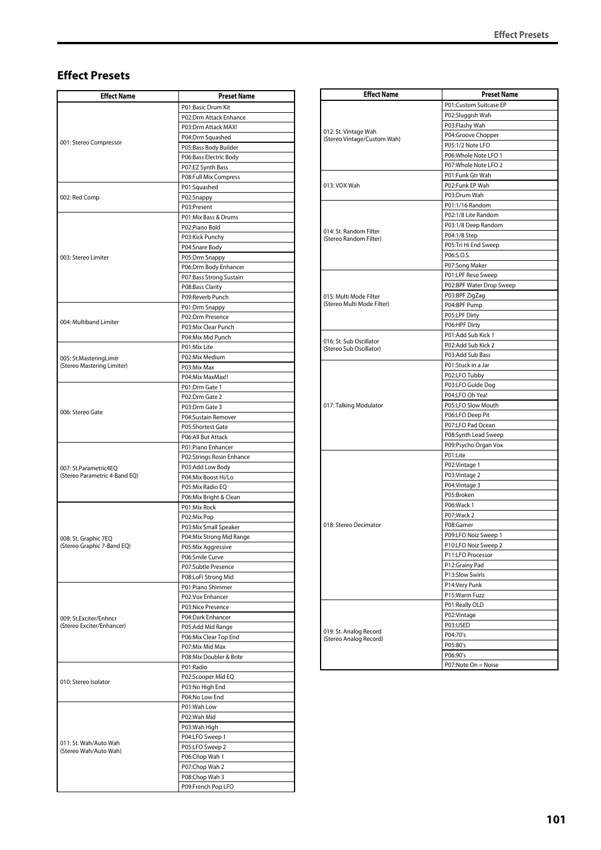## **Effect Presets**

| <b>Effect Name</b>                                     | <b>Preset Name</b>                            |
|--------------------------------------------------------|-----------------------------------------------|
|                                                        | P01:Basic Drum Kit                            |
|                                                        | P02:Drm Attack Enhance                        |
|                                                        | P03:Drm Attack MAX!                           |
| 001: Stereo Compressor                                 | P04:Drm Squashed                              |
|                                                        | P05:Bass Body Builder                         |
|                                                        | P06:Bass Electric Body                        |
|                                                        | P07:EZ Synth Bass                             |
|                                                        | P08:Full Mix Compress                         |
|                                                        | P01:Squashed                                  |
| 002: Red Comp                                          | P02:Snappy                                    |
|                                                        | P03:Present                                   |
|                                                        | P01:Mix Bass & Drums<br>P02:Piano Bold        |
|                                                        | P03:Kick Punchy                               |
|                                                        | P04:Snare Body                                |
| 003: Stereo Limiter                                    | P05:Drm Snappy                                |
|                                                        | P06:Drm Body Enhancer                         |
|                                                        | P07:Bass Strong Sustain                       |
|                                                        | P08:Bass Clarity                              |
|                                                        | P09:Reverb Punch                              |
|                                                        | P01:Drm Snappy                                |
|                                                        | P02:Drm Presence                              |
| 004: Multiband Limiter                                 | P03:Mix Clear Punch                           |
|                                                        | P04:Mix Mid Punch                             |
|                                                        | P01:Mix Lite                                  |
| 005: St.MasteringLimtr                                 | P02:Mix Medium                                |
| (Stereo Mastering Limiter)                             | P03:Mix Max                                   |
|                                                        | P04:Mix MaxMax!!                              |
|                                                        | P01:Drm Gate 1                                |
|                                                        | P02:Drm Gate 2                                |
| 006: Stereo Gate                                       | P03:Drm Gate 3                                |
|                                                        | P04:Sustain Remover                           |
|                                                        | P05:Shortest Gate                             |
|                                                        | P06:All But Attack                            |
|                                                        | P01:Piano Enhancer                            |
|                                                        | P02:Strings Rosin Enhance<br>P03:Add Low Body |
| 007: St.Parametric4EQ<br>(Stereo Parametric 4-Band EQ) | P04:Mix Boost Hi/Lo                           |
|                                                        | P05:Mix Radio EQ                              |
|                                                        | P06:Mix Bright & Clean                        |
|                                                        | P01:Mix Rock                                  |
|                                                        | P02:Mix Pop                                   |
|                                                        | P03:Mix Small Speaker                         |
| 008: St. Graphic 7EQ                                   | P04:Mix Strong Mid Range                      |
| (Stereo Graphic 7-Band EQ)                             | P05:Mix Aggressive                            |
|                                                        | P06:Smile Curve                               |
|                                                        | P07:Subtle Presence                           |
|                                                        | P08:LoFi Strong Mid                           |
|                                                        | P01:Piano Shimmer                             |
|                                                        | P02:Vox Enhancer                              |
|                                                        | P03:Nice Presence                             |
| 009: St.Exciter/Enhncr<br>(Stereo Exciter/Enhancer)    | P04:Dark Enhancer                             |
|                                                        | P05:Add Mid Range                             |
|                                                        | P06:Mix Clear Top End<br>P07:Mix Mid Max      |
|                                                        | P08:Mix Doubler & Brite                       |
|                                                        | P01:Radio                                     |
|                                                        | P02:Scooper Mid EQ                            |
| 010: Stereo Isolator                                   | P03:No High End                               |
|                                                        | P04:No Low End                                |
|                                                        | P01:Wah Low                                   |
|                                                        | P02:Wah Mid                                   |
|                                                        | P03:Wah High                                  |
|                                                        | P04:LFO Sweep 1                               |
| 011: St. Wah/Auto Wah<br>(Stereo Wah/Auto Wah)         | P05:LFO Sweep 2                               |
|                                                        | P06:Chop Wah 1                                |
|                                                        | P07:Chop Wah 2                                |
|                                                        | P08:Chop Wah 3                                |
|                                                        | P09:French Pop LFO                            |

| <b>Effect Name</b>                               | <b>Preset Name</b>       |
|--------------------------------------------------|--------------------------|
|                                                  | P01:Custom Suitcase EP   |
|                                                  | P02:Sluggish Wah         |
| 012: St. Vintage Wah                             | P03:Flashy Wah           |
| (Stereo Vintage/Custom Wah)                      | P04:Groove Chopper       |
|                                                  | P05:1/2 Note LFO         |
|                                                  | P06: Whole Note LFO 1    |
|                                                  | P07: Whole Note LFO 2    |
|                                                  | P01:Funk Gtr Wah         |
| 013: VOX Wah                                     | P02:Funk EP Wah          |
|                                                  | P03:Drum Wah             |
|                                                  | P01:1/16 Random          |
|                                                  | P02:1/8 Lite Random      |
|                                                  | P03:1/8 Deep Random      |
| 014: St. Random Filter<br>(Stereo Random Filter) | P04:1/8 Step             |
|                                                  | P05:Tri Hi End Sweep     |
|                                                  | P06:S.O.S.               |
|                                                  | P07:Song Maker           |
|                                                  | P01:LPF Reso Sweep       |
|                                                  | P02:BPF Water Drop Sweep |
| 015: Multi Mode Filter                           | P03:BPF ZigZag           |
| (Stereo Multi Mode Filter)                       | P04:BPF Pump             |
|                                                  | P05:LPF Dirty            |
|                                                  | P06:HPF Dirty            |
|                                                  | P01:Add Sub Kick 1       |
| 016: St. Sub Oscillator                          | P02:Add Sub Kick 2       |
| (Stereo Sub Oscillator)                          | P03:Add Sub Bass         |
|                                                  | P01:Stuck in a Jar       |
|                                                  | P02:LFO Tubby            |
|                                                  | P03:LFO Guide Dog        |
|                                                  | P04:LFO Oh Yea!          |
| 017: Talking Modulator                           | P05:LFO Slow Mouth       |
|                                                  | P06:LFO Deep Pit         |
|                                                  | P07:LFO Pad Ocean        |
|                                                  | P08:Synth Lead Sweep     |
|                                                  | P09:Psycho Organ Vox     |
|                                                  | P01:Lite                 |
|                                                  |                          |
|                                                  | P02: Vintage 1           |
|                                                  | P03: Vintage 2           |
|                                                  | P04: Vintage 3           |
|                                                  | P05:Broken               |
|                                                  | P06:Wack 1               |
|                                                  | P07:Wack 2               |
| 018: Stereo Decimator                            | P08:Gamer                |
|                                                  | P09:LFO Noiz Sweep 1     |
|                                                  | P10:LFO Noiz Sweep 2     |
|                                                  | P11:LFO Processor        |
|                                                  | P12:Grainy Pad           |
|                                                  | P13:Slow Swirls          |
|                                                  | P14:Very Punk            |
|                                                  | P15:Warm Fuzz            |
|                                                  | P01:Really OLD           |
|                                                  | P02:Vintage              |
|                                                  | P03:USED                 |
| 019: St. Analog Record                           | P04:70's                 |
| (Stereo Analog Record)                           | P05:80's                 |
|                                                  | P06:90's                 |
|                                                  | P07:Note On = Noise      |
|                                                  |                          |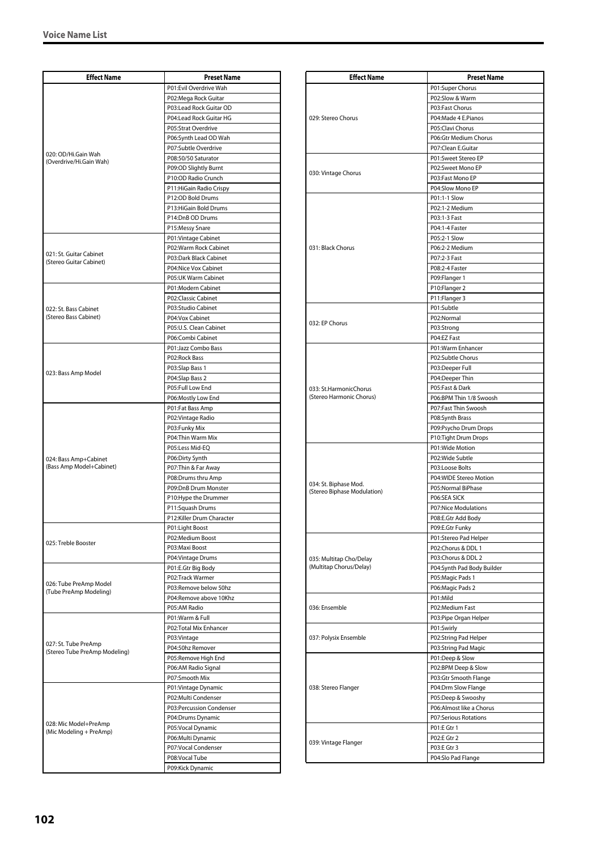| <b>Effect Name</b>                                    | <b>Preset Name</b>                              |
|-------------------------------------------------------|-------------------------------------------------|
|                                                       | P01:Evil Overdrive Wah                          |
|                                                       | P02:Mega Rock Guitar                            |
|                                                       | P03:Lead Rock Guitar OD                         |
|                                                       | P04:Lead Rock Guitar HG                         |
|                                                       | P05:Strat Overdrive                             |
|                                                       | P06:Synth Lead OD Wah                           |
| 020: OD/Hi.Gain Wah                                   | P07:Subtle Overdrive                            |
| (Overdrive/Hi.Gain Wah)                               | P08:50/50 Saturator                             |
|                                                       | P09:OD Slightly Burnt                           |
|                                                       | P10:OD Radio Crunch                             |
|                                                       | P11: HiGain Radio Crispy                        |
|                                                       | P12:OD Bold Drums<br>P13: HiGain Bold Drums     |
|                                                       | P14:DnB OD Drums                                |
|                                                       | P15:Messy Snare                                 |
|                                                       | P01: Vintage Cabinet                            |
|                                                       | P02:Warm Rock Cabinet                           |
| 021: St. Guitar Cabinet                               | P03:Dark Black Cabinet                          |
| (Stereo Guitar Cabinet)                               | P04:Nice Vox Cabinet                            |
|                                                       | P05:UK Warm Cabinet                             |
|                                                       | P01:Modern Cabinet                              |
|                                                       | P02:Classic Cabinet                             |
| 022: St. Bass Cabinet                                 | P03:Studio Cabinet                              |
| (Stereo Bass Cabinet)                                 | P04:Vox Cabinet                                 |
|                                                       | P05:U.S. Clean Cabinet                          |
|                                                       | P06:Combi Cabinet                               |
|                                                       | P01:Jazz Combo Bass                             |
|                                                       | P02:Rock Bass                                   |
| 023: Bass Amp Model                                   | P03:Slap Bass 1                                 |
|                                                       | P04:Slap Bass 2<br>P05:Full Low End             |
|                                                       | P06:Mostly Low End                              |
|                                                       | P01:Fat Bass Amp                                |
|                                                       | P02:Vintage Radio                               |
|                                                       | P03:Funky Mix                                   |
|                                                       | P04: Thin Warm Mix                              |
|                                                       | P05:Less Mid-EQ                                 |
| 024: Bass Amp+Cabinet                                 | P06:Dirty Synth                                 |
| (Bass Amp Model+Cabinet)                              | P07: Thin & Far Away                            |
|                                                       | P08:Drums thru Amp                              |
|                                                       | P09:DnB Drum Monster                            |
|                                                       | P10: Hype the Drummer                           |
|                                                       | P11:Squash Drums                                |
|                                                       | P12:Killer Drum Character                       |
|                                                       | P01:Light Boost<br>P02:Medium Boost             |
| 025: Treble Booster                                   |                                                 |
|                                                       | P03:Maxi Boost<br>P04: Vintage Drums            |
|                                                       | P01:E.Gtr Big Body                              |
|                                                       | P02:Track Warmer                                |
| 026: Tube PreAmp Model                                | P03:Remove below 50hz                           |
| (Tube PreAmp Modeling)                                | P04:Remove above 10Khz                          |
|                                                       | P05:AM Radio                                    |
|                                                       | P01:Warm & Full                                 |
|                                                       | P02:Total Mix Enhancer                          |
|                                                       | P03:Vintage                                     |
| 027: St. Tube PreAmp<br>(Stereo Tube PreAmp Modeling) | P04:50hz Remover                                |
|                                                       | P05:Remove High End                             |
|                                                       | P06:AM Radio Signal                             |
|                                                       | P07:Smooth Mix                                  |
|                                                       | P01:Vintage Dynamic                             |
|                                                       | P02:Multi Condenser<br>P03:Percussion Condenser |
|                                                       | P04:Drums Dynamic                               |
| 028: Mic Model+PreAmp                                 | P05:Vocal Dynamic                               |
| (Mic Modeling + PreAmp)                               | P06:Multi Dynamic                               |
|                                                       | P07:Vocal Condenser                             |
|                                                       | P08:Vocal Tube                                  |
|                                                       | P09:Kick Dynamic                                |

| <b>Effect Name</b>          | <b>Preset Name</b>                        |
|-----------------------------|-------------------------------------------|
|                             | P01:Super Chorus                          |
|                             | P02:Slow & Warm                           |
|                             | P03:Fast Chorus                           |
| 029: Stereo Chorus          | P04:Made 4 E.Pianos                       |
|                             | P05:Clavi Chorus<br>P06:Gtr Medium Chorus |
|                             | P07:Clean E.Guitar                        |
|                             | P01:Sweet Stereo EP                       |
|                             | P02:Sweet Mono EP                         |
| 030: Vintage Chorus         | P03:Fast Mono EP                          |
|                             | P04:Slow Mono EP                          |
|                             | P01:1-1 Slow                              |
|                             | P02:1-2 Medium                            |
|                             | P03:1-3 Fast<br>P04:1-4 Faster            |
|                             | P05:2-1 Slow                              |
| 031: Black Chorus           | P06:2-2 Medium                            |
|                             | P07:2-3 Fast                              |
|                             | P08:2-4 Faster                            |
|                             | P09:Flanger 1                             |
|                             | P10:Flanger 2                             |
|                             | P11:Flanger 3                             |
|                             | P01:Subtle                                |
| 032: EP Chorus              | P02:Normal<br>P03:Strong                  |
|                             | P04:EZ Fast                               |
|                             | P01:Warm Enhancer                         |
|                             | P02:Subtle Chorus                         |
|                             | P03:Deeper Full                           |
|                             | P04:Deeper Thin                           |
| 033: St.HarmonicChorus      | P05:Fast & Dark                           |
| (Stereo Harmonic Chorus)    | P06:BPM Thin 1/8 Swoosh                   |
|                             | P07:Fast Thin Swoosh                      |
|                             | P08:Synth Brass<br>P09:Psycho Drum Drops  |
|                             | P10:Tight Drum Drops                      |
|                             | P01:Wide Motion                           |
|                             | P02:Wide Subtle                           |
|                             | P03:Loose Bolts                           |
| 034: St. Biphase Mod.       | P04:WIDE Stereo Motion                    |
| (Stereo Biphase Modulation) | P05:Normal BiPhase                        |
|                             | P06:SEA SICK<br>P07:Nice Modulations      |
|                             | P08:E.Gtr Add Body                        |
|                             | P09:E.Gtr Funky                           |
|                             | P01:Stereo Pad Helper                     |
|                             | P02:Chorus & DDL 1                        |
| 035: Multitap Cho/Delay     | P03:Chorus & DDL 2                        |
| (Multitap Chorus/Delay)     | P04:Synth Pad Body Builder                |
|                             | P05: Magic Pads 1                         |
|                             | P06: Magic Pads 2<br>P01:Mild             |
| 036: Ensemble               | P02:Medium Fast                           |
|                             | P03:Pipe Organ Helper                     |
|                             | P01:Swirly                                |
| 037: Polysix Ensemble       | P02:String Pad Helper                     |
|                             | P03:String Pad Magic                      |
|                             | P01:Deep & Slow                           |
|                             | P02:BPM Deep & Slow                       |
|                             | P03:Gtr Smooth Flange                     |
| 038: Stereo Flanger         | P04:Drm Slow Flange<br>P05:Deep & Swooshy |
|                             | P06:Almost like a Chorus                  |
|                             | <b>P07:Serious Rotations</b>              |
|                             | P01:E Gtr 1                               |
| 039: Vintage Flanger        | P02:E Gtr 2                               |
|                             | P03:E Gtr 3                               |
|                             | P04:Slo Pad Flange                        |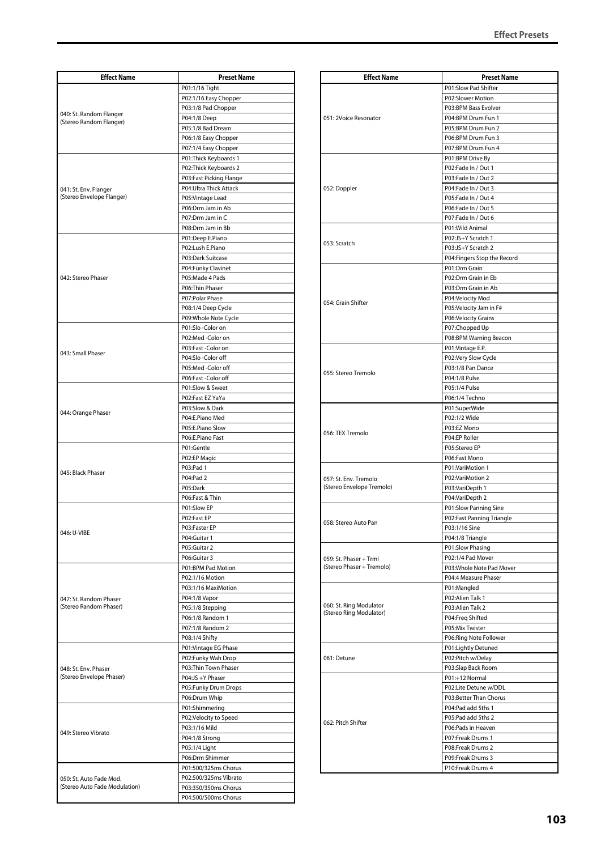| <b>Effect Name</b>                                       | <b>Preset Name</b>                     |
|----------------------------------------------------------|----------------------------------------|
|                                                          |                                        |
|                                                          | P01:1/16 Tight                         |
|                                                          | P02:1/16 Easy Chopper                  |
| 040: St. Random Flanger                                  | P03:1/8 Pad Chopper<br>P04:1/8 Deep    |
| (Stereo Random Flanger)                                  | P05:1/8 Bad Dream                      |
|                                                          | P06:1/8 Easy Chopper                   |
|                                                          | P07:1/4 Easy Chopper                   |
|                                                          | P01:Thick Keyboards 1                  |
|                                                          | P02: Thick Keyboards 2                 |
|                                                          | P03:Fast Picking Flange                |
| 041: St. Env. Flanger                                    | P04: Ultra Thick Attack                |
| (Stereo Envelope Flanger)                                | P05: Vintage Lead                      |
|                                                          | P06:Drm Jam in Ab                      |
|                                                          | P07:Drm Jam in C                       |
|                                                          | P08:Drm Jam in Bb                      |
|                                                          | P01:Deep E.Piano                       |
|                                                          | P02:Lush E.Piano                       |
|                                                          | P03:Dark Suitcase                      |
|                                                          | P04:Funky Clavinet                     |
| 042: Stereo Phaser                                       | P05:Made 4 Pads                        |
|                                                          | P06:Thin Phaser                        |
|                                                          | P07:Polar Phase                        |
|                                                          | P08:1/4 Deep Cycle                     |
|                                                          | P09: Whole Note Cycle                  |
|                                                          | P01:Slo-Color on                       |
|                                                          | P02:Med-Color on                       |
| 043: Small Phaser                                        | P03:Fast -Color on                     |
|                                                          | P04:Slo-Color off                      |
|                                                          | P05:Med-Color off                      |
|                                                          | P06:Fast -Color off                    |
|                                                          | P01:Slow & Sweet                       |
|                                                          | P02:Fast EZ YaYa                       |
| 044: Orange Phaser                                       | P03:Slow & Dark                        |
|                                                          | P04:E.Piano Med                        |
|                                                          | P05:E.Piano Slow                       |
|                                                          | P06:E.Piano Fast                       |
|                                                          | P01:Gentle                             |
|                                                          | P02:EP Magic                           |
| 045: Black Phaser                                        | P03:Pad 1                              |
|                                                          | P04:Pad 2                              |
|                                                          | P05:Dark                               |
|                                                          | P06:Fast & Thin                        |
|                                                          | P01:Slow EP                            |
|                                                          | P02:Fast EP                            |
| 046: U-VIBE                                              | P03:Faster EP                          |
|                                                          | P04:Guitar 1                           |
|                                                          | P05:Guitar 2                           |
|                                                          | P06:Guitar 3                           |
|                                                          | P01:BPM Pad Motion                     |
|                                                          | P02:1/16 Motion                        |
|                                                          | P03:1/16 MaxiMotion                    |
| 047: St. Random Phaser                                   | P04:1/8 Vapor                          |
| (Stereo Random Phaser)                                   | P05:1/8 Stepping                       |
|                                                          | P06:1/8 Random 1                       |
|                                                          | P07:1/8 Random 2                       |
|                                                          | P08:1/4 Shifty                         |
|                                                          | P01: Vintage EG Phase                  |
| 048: St. Env. Phaser<br>(Stereo Envelope Phaser)         | P02:Funky Wah Drop                     |
|                                                          | P03:Thin Town Phaser                   |
|                                                          | P04:JS +Y Phaser                       |
|                                                          | P05:Funky Drum Drops                   |
|                                                          | P06:Drum Whip                          |
|                                                          | P01:Shimmering                         |
|                                                          | P02:Velocity to Speed<br>P03:1/16 Mild |
| 049: Stereo Vibrato                                      |                                        |
|                                                          | P04:1/8 Strong<br>P05:1/4 Light        |
|                                                          | P06:Drm Shimmer                        |
|                                                          | P01:500/325ms Chorus                   |
| 050: St. Auto Fade Mod.<br>(Stereo Auto Fade Modulation) | P02:500/325ms Vibrato                  |
|                                                          | P03:350/350ms Chorus                   |
|                                                          | P04:500/500ms Chorus                   |
|                                                          |                                        |

| <b>Effect Name</b>                                 | <b>Preset Name</b>                              |
|----------------------------------------------------|-------------------------------------------------|
| 051: 2Voice Resonator                              | P01:Slow Pad Shifter                            |
|                                                    | P02:Slower Motion                               |
|                                                    | P03:BPM Bass Evolver                            |
|                                                    | P04:BPM Drum Fun 1                              |
|                                                    | P05:BPM Drum Fun 2                              |
|                                                    | P06:BPM Drum Fun 3                              |
|                                                    | P07:BPM Drum Fun 4                              |
|                                                    | P01:BPM Drive By<br>P02:Fade In / Out 1         |
|                                                    | P03:Fade In / Out 2                             |
| 052: Doppler                                       | P04:Fade In / Out 3                             |
|                                                    | P05:Fade In / Out 4                             |
|                                                    | P06:Fade In / Out 5                             |
|                                                    | P07:Fade In / Out 6                             |
|                                                    | P01: Wild Animal                                |
|                                                    | P02:JS+Y Scratch 1                              |
| 053: Scratch                                       | P03:JS+Y Scratch 2                              |
|                                                    | P04: Fingers Stop the Record                    |
|                                                    | P01:Drm Grain                                   |
|                                                    | P02:Drm Grain in Eb                             |
|                                                    | P03:Drm Grain in Ab                             |
| 054: Grain Shifter                                 | P04:Velocity Mod                                |
|                                                    | P05:Velocity Jam in F#                          |
|                                                    | P06: Velocity Grains                            |
|                                                    | P07:Chopped Up                                  |
|                                                    | P08:BPM Warning Beacon                          |
|                                                    | P01: Vintage E.P.                               |
|                                                    | P02:Very Slow Cycle                             |
| 055: Stereo Tremolo                                | P03:1/8 Pan Dance                               |
|                                                    | P04:1/8 Pulse                                   |
|                                                    | P05:1/4 Pulse                                   |
|                                                    | P06:1/4 Techno                                  |
|                                                    | P01:SuperWide                                   |
|                                                    | P02:1/2 Wide<br>P03:EZ Mono                     |
| 056: TEX Tremolo                                   | P04:EP Roller                                   |
|                                                    | P05:Stereo EP                                   |
|                                                    | P06:Fast Mono                                   |
|                                                    | P01:VariMotion 1                                |
| 057: St. Env. Tremolo                              | P02:VariMotion 2                                |
| (Stereo Envelope Tremolo)                          | P03:VariDepth 1                                 |
|                                                    | P04:VariDepth 2                                 |
|                                                    | P01:Slow Panning Sine                           |
|                                                    | P02:Fast Panning Triangle                       |
| 058: Stereo Auto Pan                               | P03:1/16 Sine                                   |
|                                                    | P04:1/8 Triangle                                |
|                                                    | P01:Slow Phasing                                |
| 059: St. Phaser + Trml                             | P02:1/4 Pad Mover                               |
| (Stereo Phaser + Tremolo)                          | P03: Whole Note Pad Mover                       |
|                                                    | P04:4 Measure Phaser                            |
|                                                    | P01:Mangled                                     |
|                                                    | P02:Alien Talk 1                                |
| 060: St. Ring Modulator<br>(Stereo Ring Modulator) | P03:Alien Talk 2                                |
|                                                    | P04:Freq Shifted                                |
|                                                    | P05:Mix Twister                                 |
|                                                    | P06: Ring Note Follower                         |
|                                                    | P01:Lightly Detuned                             |
| 061: Detune                                        | P02:Pitch w/Delay                               |
|                                                    | P03:Slap Back Room                              |
|                                                    | P01:+12 Normal                                  |
| 062: Pitch Shifter                                 | P02:Lite Detune w/DDL<br>P03:Better Than Chorus |
|                                                    | P04:Pad add 5ths 1                              |
|                                                    | P05:Pad add 5ths 2                              |
|                                                    | P06:Pads in Heaven                              |
|                                                    | P07:Freak Drums 1                               |
|                                                    | P08:Freak Drums 2                               |
|                                                    | P09:Freak Drums 3                               |
|                                                    | P10:Freak Drums 4                               |
|                                                    |                                                 |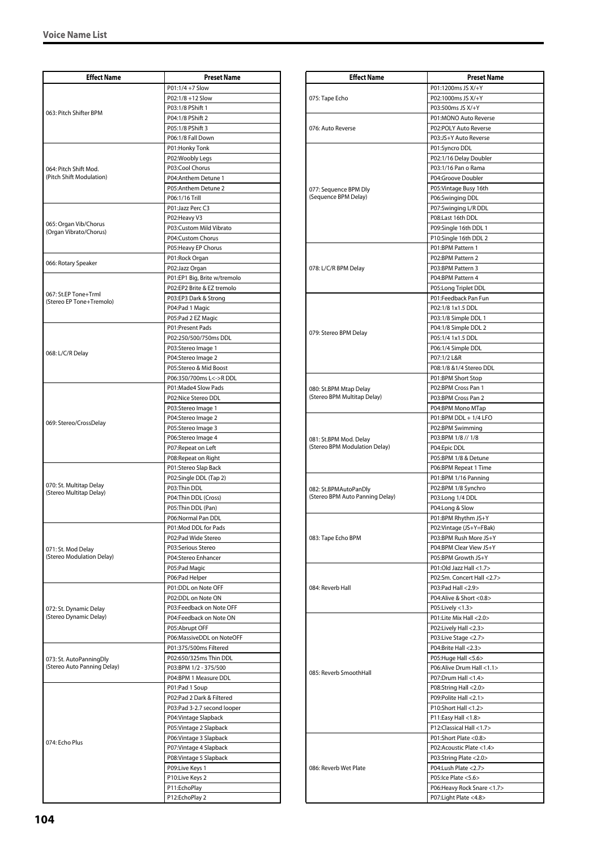| <b>Effect Name</b>                                     | <b>Preset Name</b>           |
|--------------------------------------------------------|------------------------------|
|                                                        | P01:1/4 +7 Slow              |
|                                                        | P02:1/8 +12 Slow             |
|                                                        | P03:1/8 PShift 1             |
| 063: Pitch Shifter BPM                                 | P04:1/8 PShift 2             |
|                                                        | P05:1/8 PShift 3             |
|                                                        | P06:1/8 Fall Down            |
|                                                        | P01:Honky Tonk               |
|                                                        | P02:Woobly Legs              |
| 064: Pitch Shift Mod.                                  | P03:Cool Chorus              |
| (Pitch Shift Modulation)                               | P04:Anthem Detune 1          |
|                                                        | P05:Anthem Detune 2          |
|                                                        | P06:1/16 Trill               |
|                                                        | P01:Jazz Perc C3             |
|                                                        | P02:Heavy V3                 |
| 065: Organ Vib/Chorus                                  | P03:Custom Mild Vibrato      |
| (Organ Vibrato/Chorus)                                 | P04:Custom Chorus            |
|                                                        | P05:Heavy EP Chorus          |
|                                                        | P01:Rock Organ               |
| 066: Rotary Speaker                                    | P02:Jazz Organ               |
|                                                        | P01:EP1 Big, Brite w/tremolo |
|                                                        | P02:EP2 Brite & EZ tremolo   |
| 067: St.EP Tone+Trml                                   | P03:EP3 Dark & Strong        |
| (Stereo EP Tone+Tremolo)                               | P04:Pad 1 Magic              |
|                                                        | P05:Pad 2 EZ Magic           |
|                                                        | P01:Present Pads             |
|                                                        | P02:250/500/750ms DDL        |
|                                                        | P03:Stereo Image 1           |
| 068: L/C/R Delay                                       | P04:Stereo Image 2           |
|                                                        | P05:Stereo & Mid Boost       |
|                                                        | P06:350/700ms L<->RDDL       |
|                                                        | P01:Made4 Slow Pads          |
|                                                        | P02:Nice Stereo DDL          |
|                                                        | P03:Stereo Image 1           |
|                                                        | P04:Stereo Image 2           |
| 069: Stereo/CrossDelay                                 | P05:Stereo Image 3           |
|                                                        | P06:Stereo Image 4           |
|                                                        | P07:Repeat on Left           |
|                                                        | P08: Repeat on Right         |
|                                                        | P01:Stereo Slap Back         |
|                                                        | P02:Single DDL (Tap 2)       |
| 070: St. Multitap Delay                                | P03:Thin DDL                 |
| (Stereo Multitap Delay)                                | P04:Thin DDL (Cross)         |
|                                                        | P05:Thin DDL (Pan)           |
|                                                        | P06:Normal Pan DDL           |
|                                                        | P01:Mod DDL for Pads         |
|                                                        | P02:Pad Wide Stereo          |
|                                                        | P03:Serious Stereo           |
| 071: St. Mod Delay<br>(Stereo Modulation Delay)        | P04:Stereo Enhancer          |
|                                                        | P05:Pad Magic                |
|                                                        | P06:Pad Helper               |
|                                                        | P01:DDL on Note OFF          |
| 072: St. Dynamic Delay                                 | P02:DDL on Note ON           |
|                                                        | P03:Feedback on Note OFF     |
| (Stereo Dynamic Delay)                                 | P04:Feedback on Note ON      |
|                                                        | P05:Abrupt OFF               |
|                                                        | P06:MassiveDDL on NoteOFF    |
|                                                        | P01:375/500ms Filtered       |
| 073: St. AutoPanningDly<br>(Stereo Auto Panning Delay) | P02:650/325ms Thin DDL       |
|                                                        | P03:BPM 1/2 - 375/500        |
|                                                        | P04:BPM 1 Measure DDL        |
| 074: Echo Plus                                         | P01:Pad 1 Soup               |
|                                                        | P02:Pad 2 Dark & Filtered    |
|                                                        | P03:Pad 3-2.7 second looper  |
|                                                        | P04: Vintage Slapback        |
|                                                        | P05: Vintage 2 Slapback      |
|                                                        | P06: Vintage 3 Slapback      |
|                                                        | P07: Vintage 4 Slapback      |
|                                                        | P08: Vintage 5 Slapback      |
|                                                        | P09:Live Keys 1              |
|                                                        | P10:Live Keys 2              |
|                                                        | P11:EchoPlay                 |
|                                                        | P12:EchoPlay 2               |
|                                                        |                              |

| <b>Effect Name</b>                                      | <b>Preset Name</b>                                |
|---------------------------------------------------------|---------------------------------------------------|
|                                                         | P01:1200ms JS X/+Y                                |
| 075: Tape Echo                                          | P02:1000ms JS X/+Y                                |
|                                                         | P03:500ms JS X/+Y                                 |
|                                                         | P01:MONO Auto Reverse                             |
| 076: Auto Reverse                                       | P02:POLY Auto Reverse                             |
|                                                         | P03:JS+Y Auto Reverse                             |
|                                                         | P01:Syncro DDL                                    |
|                                                         | P02:1/16 Delay Doubler                            |
|                                                         | P03:1/16 Pan o Rama                               |
|                                                         | P04:Groove Doubler                                |
| 077: Sequence BPM Dly<br>(Sequence BPM Delay)           | P05:Vintage Busy 16th<br>P06:Swinging DDL         |
|                                                         | P07:Swinging L/R DDL                              |
|                                                         | P08:Last 16th DDL                                 |
|                                                         | P09:Single 16th DDL 1                             |
|                                                         | P10:Single 16th DDL 2                             |
|                                                         | P01:BPM Pattern 1                                 |
|                                                         | P02:BPM Pattern 2                                 |
| 078: L/C/R BPM Delay                                    | P03:BPM Pattern 3                                 |
|                                                         | P04:BPM Pattern 4                                 |
|                                                         | P05:Long Triplet DDL                              |
|                                                         | P01:Feedback Pan Fun                              |
|                                                         | P02:1/8 1x1.5 DDL                                 |
|                                                         | P03:1/8 Simple DDL 1                              |
| 079: Stereo BPM Delay                                   | P04:1/8 Simple DDL 2<br>P05:1/4 1x1.5 DDL         |
|                                                         | P06:1/4 Simple DDL                                |
|                                                         | P07:1/2 L&R                                       |
|                                                         | P08:1/8 &1/4 Stereo DDL                           |
|                                                         | P01:BPM Short Stop                                |
| 080: St.BPM Mtap Delay                                  | P02:BPM Cross Pan 1                               |
| (Stereo BPM Multitap Delay)                             | P03:BPM Cross Pan 2                               |
|                                                         | P04:BPM Mono MTap                                 |
|                                                         | P01:BPM DDL + 1/4 LFO                             |
|                                                         | P02:BPM Swimming                                  |
| 081: St.BPM Mod. Delay<br>(Stereo BPM Modulation Delay) | P03:BPM 1/8 // 1/8<br>P04:Epic DDL                |
|                                                         | P05:BPM 1/8 & Detune                              |
|                                                         | P06:BPM Repeat 1 Time                             |
|                                                         | P01:BPM 1/16 Panning                              |
| 082: St.BPMAutoPanDly                                   | P02:BPM 1/8 Synchro                               |
| (Stereo BPM Auto Panning Delay)                         | P03:Long 1/4 DDL                                  |
|                                                         | P04:Long & Slow                                   |
|                                                         | P01:BPM Rhythm JS+Y                               |
| 083: Tape Echo BPM                                      | P02:Vintage (JS+Y=FBak)<br>P03:BPM Rush More JS+Y |
|                                                         | P04:BPM Clear View JS+Y                           |
|                                                         | P05:BPM Growth JS+Y                               |
|                                                         | P01:Old Jazz Hall <1.7>                           |
|                                                         | P02:Sm. Concert Hall <2.7>                        |
| 084: Reverb Hall                                        | P03:Pad Hall <2.9>                                |
|                                                         | P04:Alive & Short <0.8>                           |
|                                                         | P05:Lively <1.3>                                  |
|                                                         | P01:Lite Mix Hall <2.0>                           |
|                                                         | P02:Lively Hall <2.3><br>P03:Live Stage <2.7>     |
|                                                         | P04:Brite Hall <2.3>                              |
| 085: Reverb SmoothHall<br>086: Reverb Wet Plate         | P05:Huge Hall <5.6>                               |
|                                                         | P06:Alive Drum Hall <1.1>                         |
|                                                         | P07:Drum Hall <1.4>                               |
|                                                         | P08:String Hall <2.0>                             |
|                                                         | P09:Polite Hall <2.1>                             |
|                                                         | P10:Short Hall <1.2>                              |
|                                                         | P11:Easy Hall <1.8>                               |
|                                                         | P12:Classical Hall <1.7><br>P01:Short Plate <0.8> |
|                                                         | P02:Acoustic Plate <1.4>                          |
|                                                         | P03:String Plate <2.0>                            |
|                                                         | P04:Lush Plate <2.7>                              |
|                                                         | P05:Ice Plate <5.6>                               |
|                                                         | P06:Heavy Rock Snare <1.7>                        |
|                                                         | P07:Light Plate <4.8>                             |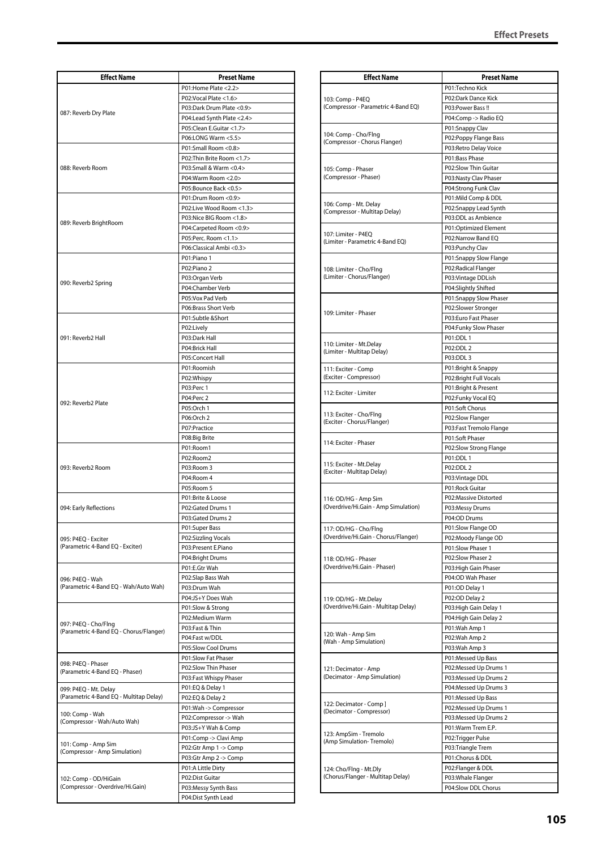| <b>Effect Name</b>                                              | <b>Preset Name</b>         |
|-----------------------------------------------------------------|----------------------------|
|                                                                 | P01:Home Plate <2.2>       |
|                                                                 | P02:Vocal Plate <1.6>      |
|                                                                 | P03:Dark Drum Plate < 0.9> |
| 087: Reverb Dry Plate                                           | P04:Lead Synth Plate <2.4> |
|                                                                 | P05:Clean E.Guitar <1.7>   |
|                                                                 | P06:LONG Warm <5.5>        |
|                                                                 | P01:Small Room <0.8>       |
|                                                                 | P02: Thin Brite Room <1.7> |
| 088: Reverb Room                                                | P03:Small & Warm <0.4>     |
|                                                                 | P04:Warm Room <2.0>        |
|                                                                 | P05:Bounce Back <0.5>      |
|                                                                 | P01:Drum Room <0.9>        |
|                                                                 | P02:Live Wood Room <1.3>   |
|                                                                 | P03:Nice BIG Room <1.8>    |
| 089: Reverb BrightRoom                                          | P04:Carpeted Room <0.9>    |
|                                                                 | P05:Perc. Room <1.1>       |
|                                                                 | P06:Classical Ambi <0.3>   |
|                                                                 | P01:Piano 1                |
|                                                                 | P02:Piano 2                |
|                                                                 | P03:Organ Verb             |
| 090: Reverb2 Spring                                             | P04:Chamber Verb           |
|                                                                 | P05:Vox Pad Verb           |
|                                                                 | P06:Brass Short Verb       |
|                                                                 | P01:Subtle &Short          |
|                                                                 | P02:Lively                 |
| 091: Reverb2 Hall                                               | P03:Dark Hall              |
|                                                                 | P04:Brick Hall             |
|                                                                 | P05:Concert Hall           |
|                                                                 | P01:Roomish                |
|                                                                 | P02:Whispy                 |
|                                                                 | P03:Perc 1                 |
|                                                                 | P04:Perc 2                 |
| 092: Reverb2 Plate                                              | P05:Orch 1                 |
|                                                                 | P06:Orch 2                 |
|                                                                 | P07:Practice               |
|                                                                 | P08:Big Brite              |
|                                                                 | P01:Room1                  |
|                                                                 | P02:Room2                  |
| 093: Reverb2 Room                                               | P03:Room 3                 |
|                                                                 | P04:Room 4                 |
|                                                                 | P05:Room 5                 |
|                                                                 | P01:Brite & Loose          |
| 094: Early Reflections                                          | P02:Gated Drums 1          |
|                                                                 | P03:Gated Drums 2          |
|                                                                 | P01:Super Bass             |
| 095: P4EQ - Exciter                                             | P02:Sizzling Vocals        |
| (Parametric 4-Band EQ - Exciter)                                | P03:Present E.Piano        |
|                                                                 | P04:Bright Drums           |
|                                                                 | P01:E.Gtr Wah              |
| 096: P4EQ - Wah                                                 | P02:Slap Bass Wah          |
| (Parametric 4-Band EQ - Wah/Auto Wah)                           | P03:Drum Wah               |
|                                                                 | P04:JS+Y Does Wah          |
|                                                                 | P01:Slow & Strong          |
|                                                                 | P02:Medium Warm            |
| 097: P4EQ - Cho/Flng<br>(Parametric 4-Band EQ - Chorus/Flanger) | P03:Fast & Thin            |
|                                                                 | P04:Fast w/DDL             |
|                                                                 | P05:Slow Cool Drums        |
| 098: P4EQ - Phaser                                              | P01:Slow Fat Phaser        |
| (Parametric 4-Band EQ - Phaser)                                 | P02:Slow Thin Phaser       |
|                                                                 | P03:Fast Whispy Phaser     |
| 099: P4EQ - Mt. Delay                                           | P01:EQ & Delay 1           |
| (Parametric 4-Band EQ - Multitap Delay)                         | P02:EQ & Delay 2           |
| 100: Comp - Wah<br>(Compressor - Wah/Auto Wah)                  | P01:Wah -> Compressor      |
|                                                                 | P02:Compressor -> Wah      |
|                                                                 | P03:JS+Y Wah & Comp        |
|                                                                 | P01:Comp -> Clavi Amp      |
| 101: Comp - Amp Sim<br>(Compressor - Amp Simulation)            | P02:Gtr Amp 1 -> Comp      |
|                                                                 | P03:Gtr Amp 2 -> Comp      |
| 102: Comp - OD/HiGain<br>(Compressor - Overdrive/Hi.Gain)       | P01:A Little Dirty         |
|                                                                 | P02:Dist Guitar            |
|                                                                 | P03:Messy Synth Bass       |
|                                                                 | P04:Dist Synth Lead        |

| <b>Effect Name</b>                                            | <b>Preset Name</b>                              |
|---------------------------------------------------------------|-------------------------------------------------|
| 103: Comp - P4EQ<br>(Compressor - Parametric 4-Band EQ)       | P01:Techno Kick                                 |
|                                                               | P02:Dark Dance Kick                             |
|                                                               | P03:Power Bass!!                                |
|                                                               | P04:Comp -> Radio EQ                            |
| 104: Comp - Cho/Flng                                          | P01:Snappy Clav                                 |
| (Compressor - Chorus Flanger)                                 | P02:Poppy Flange Bass<br>P03: Retro Delay Voice |
|                                                               | P01:Bass Phase                                  |
|                                                               | P02:Slow Thin Guitar                            |
| 105: Comp - Phaser<br>(Compressor - Phaser)                   | P03:Nasty Clav Phaser                           |
|                                                               | P04:Strong Funk Clav                            |
|                                                               | P01:Mild Comp & DDL                             |
| 106: Comp - Mt. Delay<br>(Compressor - Multitap Delay)        | P02:Snappy Lead Synth                           |
|                                                               | P03:DDL as Ambience                             |
| 107: Limiter - P4EQ                                           | P01:Optimized Element                           |
| (Limiter - Parametric 4-Band EQ)                              | P02:Narrow Band EQ                              |
|                                                               | P03:Punchy Clav                                 |
|                                                               | P01:Snappy Slow Flange<br>P02:Radical Flanger   |
| 108: Limiter - Cho/Flng<br>(Limiter - Chorus/Flanger)         | P03: Vintage DDLish                             |
|                                                               | P04:Slightly Shifted                            |
|                                                               | P01:Snappy Slow Phaser                          |
|                                                               | P02:Slower Stronger                             |
| 109: Limiter - Phaser                                         | P03:Euro Fast Phaser                            |
|                                                               | P04:Funky Slow Phaser                           |
|                                                               | P01:DDL 1                                       |
| 110: Limiter - Mt.Delay<br>(Limiter - Multitap Delay)         | P02:DDL 2                                       |
|                                                               | P03:DDL 3                                       |
| 111: Exciter - Comp                                           | P01:Bright & Snappy                             |
| (Exciter - Compressor)                                        | P02:Bright Full Vocals                          |
| 112: Exciter - Limiter                                        | P01:Bright & Present                            |
|                                                               | P02:Funky Vocal EQ<br>P01:Soft Chorus           |
| 113: Exciter - Cho/Flng                                       | P02:Slow Flanger                                |
| (Exciter - Chorus/Flanger)                                    | P03:Fast Tremolo Flange                         |
|                                                               | P01:Soft Phaser                                 |
| 114: Exciter - Phaser                                         | P02:Slow Strong Flange                          |
|                                                               | P01:DDL 1                                       |
| 115: Exciter - Mt.Delay<br>(Exciter - Multitap Delay)         | P02:DDL 2                                       |
|                                                               | P03: Vintage DDL                                |
|                                                               | P01:Rock Guitar                                 |
| 116: OD/HG - Amp Sim<br>(Overdrive/Hi.Gain - Amp Simulation)  | P02:Massive Distorted                           |
|                                                               | P03:Messy Drums<br>P04:OD Drums                 |
|                                                               | P01:Slow Flange OD                              |
| 117: OD/HG - Cho/Flng<br>(Overdrive/Hi.Gain - Chorus/Flanger) | P02:Moody Flange OD                             |
|                                                               | P01:Slow Phaser 1                               |
| 118: OD/HG - Phaser                                           | P02:Slow Phaser 2                               |
| (Overdrive/Hi.Gain - Phaser)                                  | P03: High Gain Phaser                           |
|                                                               | P04:OD Wah Phaser                               |
|                                                               | P01:OD Delay 1                                  |
| 119: OD/HG - Mt.Delay                                         | P02:OD Delay 2                                  |
| (Overdrive/Hi.Gain - Multitap Delay)                          | P03: High Gain Delay 1                          |
|                                                               | P04: High Gain Delay 2<br>P01:Wah Amp 1         |
| 120: Wah - Amp Sim                                            | P02:Wah Amp 2                                   |
| (Wah - Amp Simulation)                                        | P03:Wah Amp 3                                   |
|                                                               | P01:Messed Up Bass                              |
| 121: Decimator - Amp                                          | P02:Messed Up Drums 1                           |
| (Decimator - Amp Simulation)                                  | P03:Messed Up Drums 2                           |
|                                                               | P04:Messed Up Drums 3                           |
| 122: Decimator - Comp]<br>(Decimator - Compressor)            | P01:Messed Up Bass                              |
|                                                               | P02:Messed Up Drums 1                           |
|                                                               | P03:Messed Up Drums 2                           |
| 123: AmpSim - Tremolo                                         | P01:Warm Trem E.P.                              |
| (Amp Simulation-Tremolo)                                      | P02:Trigger Pulse                               |
|                                                               | P03:Triangle Trem                               |
|                                                               | P01:Chorus & DDL                                |
| 124: Cho/Flng - Mt.Dly<br>(Chorus/Flanger - Multitap Delay)   | P02:Flanger & DDL<br>P03: Whale Flanger         |
|                                                               | P04:Slow DDL Chorus                             |
|                                                               |                                                 |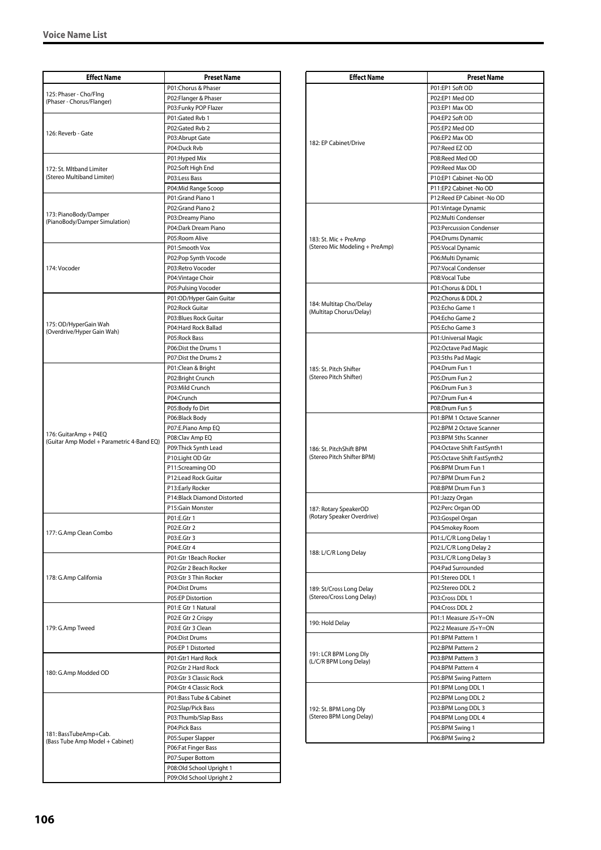| <b>Effect Name</b>                                       | <b>Preset Name</b>                              |
|----------------------------------------------------------|-------------------------------------------------|
| 125: Phaser - Cho/Flng<br>(Phaser - Chorus/Flanger)      | P01:Chorus & Phaser                             |
|                                                          | P02:Flanger & Phaser                            |
|                                                          | P03:Funky POP Flazer                            |
| 126: Reverb - Gate                                       | P01:Gated Rvb 1                                 |
|                                                          | P02:Gated Rvb 2                                 |
|                                                          | P03:Abrupt Gate                                 |
|                                                          | P04:Duck Rvb                                    |
|                                                          | P01: Hyped Mix                                  |
| 172: St. Mltband Limiter                                 | P02:Soft High End                               |
| (Stereo Multiband Limiter)                               | P03:Less Bass<br>P04:Mid Range Scoop            |
|                                                          | P01:Grand Piano 1                               |
|                                                          | P02:Grand Piano 2                               |
| 173: PianoBody/Damper                                    | P03:Dreamy Piano                                |
| (PianoBody/Damper Simulation)                            | P04:Dark Dream Piano                            |
|                                                          | P05:Room Alive                                  |
|                                                          | P01:Smooth Vox                                  |
|                                                          | P02:Pop Synth Vocode                            |
| 174: Vocoder                                             | P03:Retro Vocoder                               |
|                                                          | P04: Vintage Choir                              |
|                                                          | P05:Pulsing Vocoder                             |
|                                                          | P01:OD/Hyper Gain Guitar                        |
|                                                          | P02:Rock Guitar                                 |
| 175: OD/HyperGain Wah                                    | P03:Blues Rock Guitar                           |
| (Overdrive/Hyper Gain Wah)                               | P04:Hard Rock Ballad                            |
|                                                          | P05:Rock Bass                                   |
|                                                          | P06:Dist the Drums 1                            |
|                                                          | P07:Dist the Drums 2                            |
|                                                          | P01:Clean & Bright                              |
|                                                          | P02:Bright Crunch<br>P03:Mild Crunch            |
|                                                          | P04:Crunch                                      |
|                                                          | P05:Body fo Dirt                                |
|                                                          | P06:Black Body                                  |
|                                                          | P07:E.Piano Amp EQ                              |
| 176: GuitarAmp + P4EQ                                    | P08:Clav Amp EQ                                 |
| (Guitar Amp Model + Parametric 4-Band EQ)                | P09:Thick Synth Lead                            |
|                                                          | P10:Light OD Gtr                                |
|                                                          | P11:Screaming OD                                |
|                                                          | P12:Lead Rock Guitar                            |
|                                                          | P13:Early Rocker                                |
|                                                          | P14:Black Diamond Distorted                     |
|                                                          | P15:Gain Monster                                |
|                                                          | P01:E.Gtr 1                                     |
| 177: G.Amp Clean Combo                                   | P02:E.Gtr 2                                     |
|                                                          | P03:E.Gtr 3                                     |
|                                                          | P04:E.Gtr 4                                     |
|                                                          | P01:Gtr 1Beach Rocker<br>P02:Gtr 2 Beach Rocker |
| 178: G.Amp California                                    | P03:Gtr 3 Thin Rocker                           |
|                                                          | P04:Dist Drums                                  |
|                                                          | P05:EP Distortion                               |
| 179: G.Amp Tweed                                         | P01:E Gtr 1 Natural                             |
|                                                          | P02:E Gtr 2 Crispy                              |
|                                                          | P03:E Gtr 3 Clean                               |
|                                                          | P04:Dist Drums                                  |
|                                                          | P05:EP 1 Distorted                              |
| 180: G.Amp Modded OD                                     | P01:Gtr1 Hard Rock                              |
|                                                          | P02:Gtr 2 Hard Rock                             |
|                                                          | P03:Gtr 3 Classic Rock                          |
|                                                          | P04:Gtr 4 Classic Rock                          |
|                                                          | P01:Bass Tube & Cabinet                         |
|                                                          | P02:Slap/Pick Bass                              |
|                                                          | P03:Thumb/Slap Bass                             |
| 181: BassTubeAmp+Cab.<br>(Bass Tube Amp Model + Cabinet) | P04:Pick Bass                                   |
|                                                          | P05:Super Slapper                               |
|                                                          | P06:Fat Finger Bass                             |
|                                                          | P07:Super Bottom<br>P08:Old School Upright 1    |
|                                                          | P09:Old School Upright 2                        |
|                                                          |                                                 |

| <b>Effect Name</b>                               | <b>Preset Name</b>                         |
|--------------------------------------------------|--------------------------------------------|
|                                                  | P01:EP1 Soft OD                            |
|                                                  | P02:EP1 Med OD                             |
|                                                  | P03:EP1 Max OD                             |
|                                                  | P04:EP2 Soft OD                            |
|                                                  | P05:EP2 Med OD                             |
| 182: EP Cabinet/Drive                            | P06:EP2 Max OD                             |
|                                                  | P07:Reed EZ OD                             |
|                                                  | P08:Reed Med OD<br>P09:Reed Max OD         |
|                                                  | P10:EP1 Cabinet -No OD                     |
|                                                  | P11:EP2 Cabinet -No OD                     |
|                                                  | P12:Reed EP Cabinet -No OD                 |
|                                                  | P01: Vintage Dynamic                       |
|                                                  | P02:Multi Condenser                        |
|                                                  | P03:Percussion Condenser                   |
| 183: St. Mic + PreAmp                            | P04:Drums Dynamic                          |
| (Stereo Mic Modeling + PreAmp)                   | P05:Vocal Dynamic                          |
|                                                  | P06:Multi Dynamic                          |
|                                                  | P07:Vocal Condenser                        |
|                                                  | P08:Vocal Tube<br>P01:Chorus & DDL 1       |
|                                                  | P02:Chorus & DDL 2                         |
| 184: Multitap Cho/Delay                          | P03:Echo Game 1                            |
| (Multitap Chorus/Delay)                          | P04:Echo Game 2                            |
|                                                  | P05:Echo Game 3                            |
|                                                  | P01: Universal Magic                       |
|                                                  | P02:Octave Pad Magic                       |
|                                                  | P03:5ths Pad Magic                         |
| 185: St. Pitch Shifter                           | P04:Drum Fun 1                             |
| (Stereo Pitch Shifter)                           | P05:Drum Fun 2                             |
|                                                  | P06:Drum Fun 3                             |
|                                                  | P07:Drum Fun 4                             |
|                                                  | P08:Drum Fun 5<br>P01:BPM 1 Octave Scanner |
|                                                  | P02:BPM 2 Octave Scanner                   |
|                                                  | P03:BPM 5ths Scanner                       |
| 186: St. PitchShift BPM                          | P04:Octave Shift FastSynth1                |
| (Stereo Pitch Shifter BPM)                       | P05:Octave Shift FastSynth2                |
|                                                  | P06:BPM Drum Fun 1                         |
|                                                  | P07:BPM Drum Fun 2                         |
|                                                  | P08:BPM Drum Fun 3                         |
|                                                  | P01:Jazzy Organ                            |
| 187: Rotary SpeakerOD                            | P02:Perc Organ OD                          |
| (Rotary Speaker Overdrive)                       | P03:Gospel Organ                           |
|                                                  | P04:Smokey Room<br>P01:L/C/R Long Delay 1  |
|                                                  | P02:L/C/R Long Delay 2                     |
| 188: L/C/R Long Delay                            | P03:L/C/R Long Delay 3                     |
|                                                  | P04:Pad Surrounded                         |
|                                                  | P01:Stereo DDL 1                           |
| 189: St/Cross Long Delay                         | P02:Stereo DDL 2                           |
| (Stereo/Cross Long Delay)                        | P03:Cross DDL 1                            |
|                                                  | P04:Cross DDL 2                            |
| 190: Hold Delay                                  | P01:1 Measure JS+Y=ON                      |
|                                                  | P02:2 Measure JS+Y=ON                      |
| 191: LCR BPM Long Dly<br>(L/C/R BPM Long Delay)  | P01:BPM Pattern 1                          |
|                                                  | P02:BPM Pattern 2<br>P03:BPM Pattern 3     |
|                                                  | P04:BPM Pattern 4                          |
|                                                  | P05:BPM Swing Pattern                      |
|                                                  | P01:BPM Long DDL 1                         |
| 192: St. BPM Long Dly<br>(Stereo BPM Long Delay) | P02:BPM Long DDL 2                         |
|                                                  | P03:BPM Long DDL 3                         |
|                                                  | P04:BPM Long DDL 4                         |
|                                                  | P05:BPM Swing 1                            |
|                                                  | P06:BPM Swing 2                            |
|                                                  |                                            |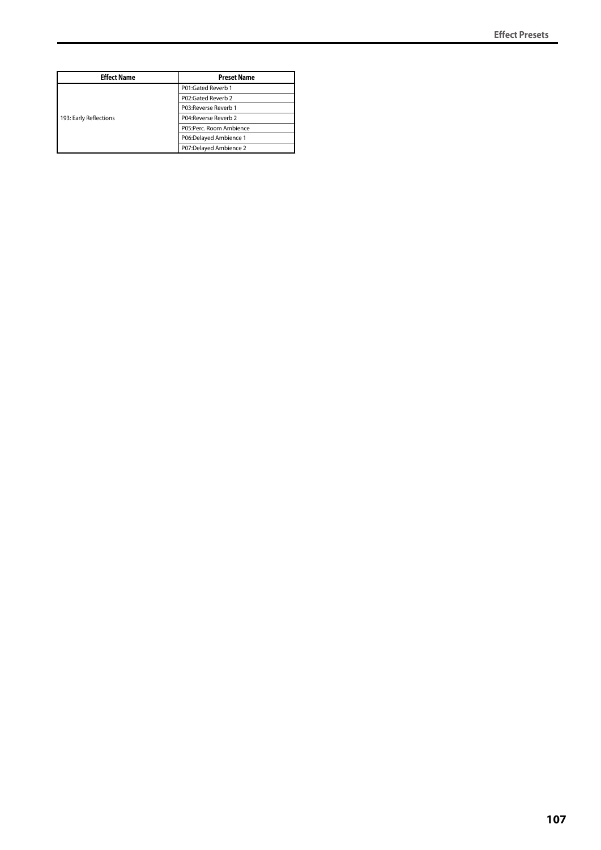| <b>Effect Name</b>     | <b>Preset Name</b>      |
|------------------------|-------------------------|
| 193: Early Reflections | P01:Gated Reverb 1      |
|                        | P02:Gated Reverb 2      |
|                        | P03:Reverse Reverb 1    |
|                        | P04: Reverse Reverb 2   |
|                        | P05:Perc. Room Ambience |
|                        | P06:Delayed Ambience 1  |
|                        | P07:Delayed Ambience 2  |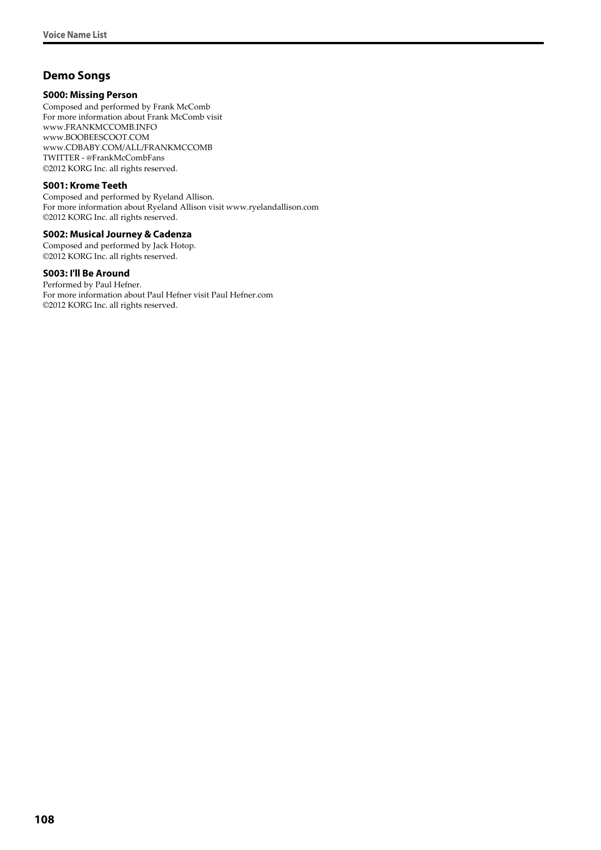## **Demo Songs**

#### **S000: Missing Person**

Composed and performed by Frank McComb For more information about Frank McComb visit www.FRANKMCCOMB.INFO www.BOOBEESCOOT.COM www.CDBABY.COM/ALL/FRANKMCCOMB TWITTER - @FrankMcCombFans ©2012 KORG Inc. all rights reserved.

#### **S001: Krome Teeth**

Composed and performed by Ryeland Allison. For more information about Ryeland Allison visit www.ryelandallison.com ©2012 KORG Inc. all rights reserved.

#### **S002: Musical Journey & Cadenza**

Composed and performed by Jack Hotop. ©2012 KORG Inc. all rights reserved.

#### **S003: I'll Be Around**

Performed by Paul Hefner. For more information about Paul Hefner visit Paul Hefner.com ©2012 KORG Inc. all rights reserved.